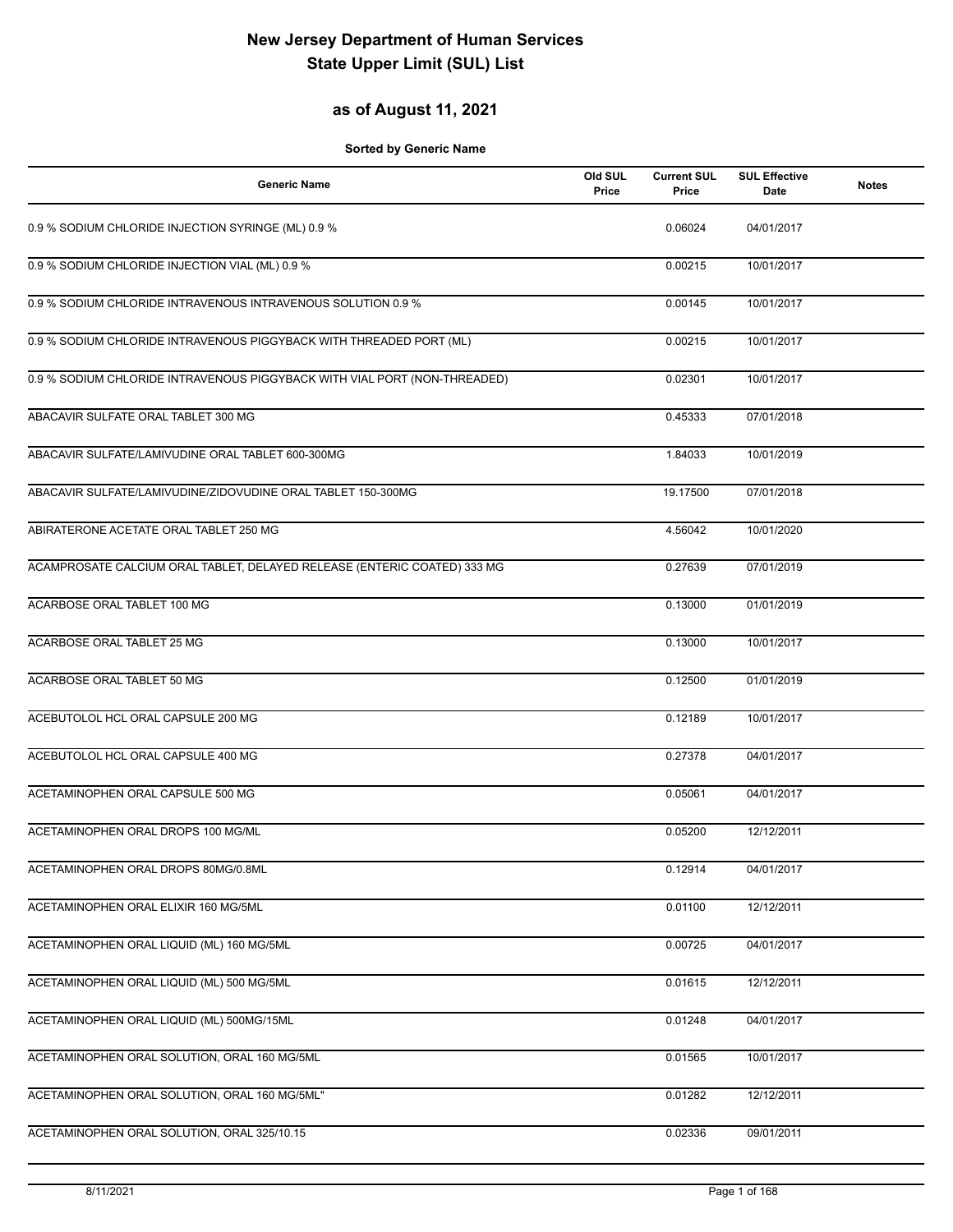## **as of August 11, 2021**

| <b>Generic Name</b>                                                       | Old SUL<br>Price | <b>Current SUL</b><br>Price | <b>SUL Effective</b><br>Date | <b>Notes</b> |
|---------------------------------------------------------------------------|------------------|-----------------------------|------------------------------|--------------|
| 0.9 % SODIUM CHLORIDE INJECTION SYRINGE (ML) 0.9 %                        |                  | 0.06024                     | 04/01/2017                   |              |
| 0.9 % SODIUM CHLORIDE INJECTION VIAL (ML) 0.9 %                           |                  | 0.00215                     | 10/01/2017                   |              |
| 0.9 % SODIUM CHLORIDE INTRAVENOUS INTRAVENOUS SOLUTION 0.9 %              |                  | 0.00145                     | 10/01/2017                   |              |
| 0.9 % SODIUM CHLORIDE INTRAVENOUS PIGGYBACK WITH THREADED PORT (ML)       |                  | 0.00215                     | 10/01/2017                   |              |
| 0.9 % SODIUM CHLORIDE INTRAVENOUS PIGGYBACK WITH VIAL PORT (NON-THREADED) |                  | 0.02301                     | 10/01/2017                   |              |
| ABACAVIR SULFATE ORAL TABLET 300 MG                                       |                  | 0.45333                     | 07/01/2018                   |              |
| ABACAVIR SULFATE/LAMIVUDINE ORAL TABLET 600-300MG                         |                  | 1.84033                     | 10/01/2019                   |              |
| ABACAVIR SULFATE/LAMIVUDINE/ZIDOVUDINE ORAL TABLET 150-300MG              |                  | 19.17500                    | 07/01/2018                   |              |
| ABIRATERONE ACETATE ORAL TABLET 250 MG                                    |                  | 4.56042                     | 10/01/2020                   |              |
| ACAMPROSATE CALCIUM ORAL TABLET, DELAYED RELEASE (ENTERIC COATED) 333 MG  |                  | 0.27639                     | 07/01/2019                   |              |
| ACARBOSE ORAL TABLET 100 MG                                               |                  | 0.13000                     | 01/01/2019                   |              |
| <b>ACARBOSE ORAL TABLET 25 MG</b>                                         |                  | 0.13000                     | 10/01/2017                   |              |
| ACARBOSE ORAL TABLET 50 MG                                                |                  | 0.12500                     | 01/01/2019                   |              |
| ACEBUTOLOL HCL ORAL CAPSULE 200 MG                                        |                  | 0.12189                     | 10/01/2017                   |              |
| ACEBUTOLOL HCL ORAL CAPSULE 400 MG                                        |                  | 0.27378                     | 04/01/2017                   |              |
| ACETAMINOPHEN ORAL CAPSULE 500 MG                                         |                  | 0.05061                     | 04/01/2017                   |              |
| ACETAMINOPHEN ORAL DROPS 100 MG/ML                                        |                  | 0.05200                     | 12/12/2011                   |              |
| ACETAMINOPHEN ORAL DROPS 80MG/0.8ML                                       |                  | 0.12914                     | 04/01/2017                   |              |
| ACETAMINOPHEN ORAL ELIXIR 160 MG/5ML                                      |                  | 0.01100                     | 12/12/2011                   |              |
| ACETAMINOPHEN ORAL LIQUID (ML) 160 MG/5ML                                 |                  | 0.00725                     | 04/01/2017                   |              |
| ACETAMINOPHEN ORAL LIQUID (ML) 500 MG/5ML                                 |                  | 0.01615                     | 12/12/2011                   |              |
| ACETAMINOPHEN ORAL LIQUID (ML) 500MG/15ML                                 |                  | 0.01248                     | 04/01/2017                   |              |
| ACETAMINOPHEN ORAL SOLUTION, ORAL 160 MG/5ML                              |                  | 0.01565                     | 10/01/2017                   |              |
| ACETAMINOPHEN ORAL SOLUTION, ORAL 160 MG/5ML"                             |                  | 0.01282                     | 12/12/2011                   |              |
| ACETAMINOPHEN ORAL SOLUTION, ORAL 325/10.15                               |                  | 0.02336                     | 09/01/2011                   |              |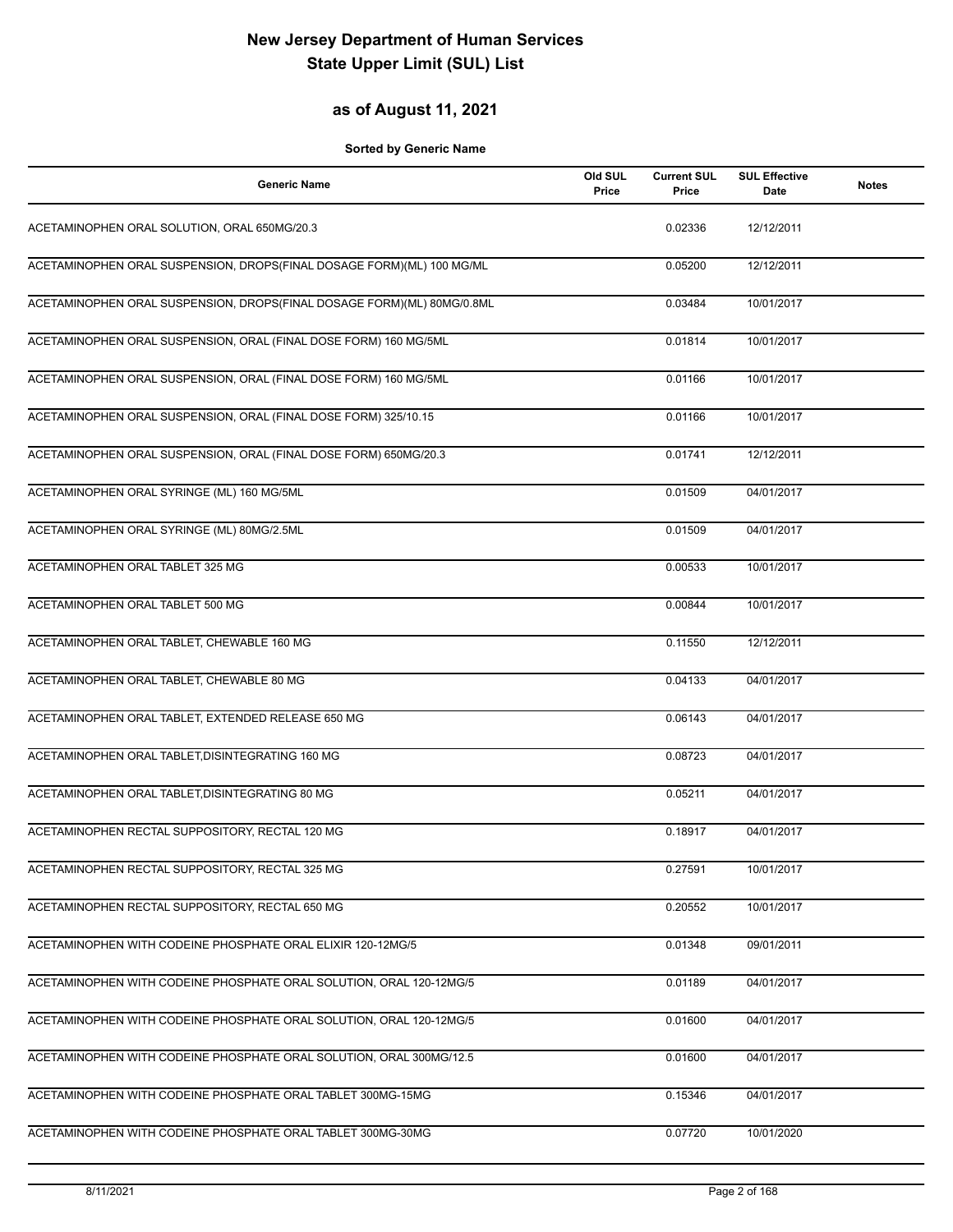## **as of August 11, 2021**

| <b>Generic Name</b>                                                    | Old SUL<br>Price | <b>Current SUL</b><br>Price | <b>SUL Effective</b><br>Date | <b>Notes</b> |
|------------------------------------------------------------------------|------------------|-----------------------------|------------------------------|--------------|
| ACETAMINOPHEN ORAL SOLUTION, ORAL 650MG/20.3                           |                  | 0.02336                     | 12/12/2011                   |              |
| ACETAMINOPHEN ORAL SUSPENSION, DROPS(FINAL DOSAGE FORM)(ML) 100 MG/ML  |                  | 0.05200                     | 12/12/2011                   |              |
| ACETAMINOPHEN ORAL SUSPENSION, DROPS(FINAL DOSAGE FORM)(ML) 80MG/0.8ML |                  | 0.03484                     | 10/01/2017                   |              |
| ACETAMINOPHEN ORAL SUSPENSION, ORAL (FINAL DOSE FORM) 160 MG/5ML       |                  | 0.01814                     | 10/01/2017                   |              |
| ACETAMINOPHEN ORAL SUSPENSION, ORAL (FINAL DOSE FORM) 160 MG/5ML       |                  | 0.01166                     | 10/01/2017                   |              |
| ACETAMINOPHEN ORAL SUSPENSION, ORAL (FINAL DOSE FORM) 325/10.15        |                  | 0.01166                     | 10/01/2017                   |              |
| ACETAMINOPHEN ORAL SUSPENSION, ORAL (FINAL DOSE FORM) 650MG/20.3       |                  | 0.01741                     | 12/12/2011                   |              |
| ACETAMINOPHEN ORAL SYRINGE (ML) 160 MG/5ML                             |                  | 0.01509                     | 04/01/2017                   |              |
| ACETAMINOPHEN ORAL SYRINGE (ML) 80MG/2.5ML                             |                  | 0.01509                     | 04/01/2017                   |              |
| ACETAMINOPHEN ORAL TABLET 325 MG                                       |                  | 0.00533                     | 10/01/2017                   |              |
| ACETAMINOPHEN ORAL TABLET 500 MG                                       |                  | 0.00844                     | 10/01/2017                   |              |
| ACETAMINOPHEN ORAL TABLET, CHEWABLE 160 MG                             |                  | 0.11550                     | 12/12/2011                   |              |
| ACETAMINOPHEN ORAL TABLET, CHEWABLE 80 MG                              |                  | 0.04133                     | 04/01/2017                   |              |
| ACETAMINOPHEN ORAL TABLET, EXTENDED RELEASE 650 MG                     |                  | 0.06143                     | 04/01/2017                   |              |
| ACETAMINOPHEN ORAL TABLET, DISINTEGRATING 160 MG                       |                  | 0.08723                     | 04/01/2017                   |              |
| ACETAMINOPHEN ORAL TABLET, DISINTEGRATING 80 MG                        |                  | 0.05211                     | 04/01/2017                   |              |
| ACETAMINOPHEN RECTAL SUPPOSITORY, RECTAL 120 MG                        |                  | 0.18917                     | 04/01/2017                   |              |
| ACETAMINOPHEN RECTAL SUPPOSITORY, RECTAL 325 MG                        |                  | 0.27591                     | 10/01/2017                   |              |
| ACETAMINOPHEN RECTAL SUPPOSITORY, RECTAL 650 MG                        |                  | 0.20552                     | 10/01/2017                   |              |
| ACETAMINOPHEN WITH CODEINE PHOSPHATE ORAL ELIXIR 120-12MG/5            |                  | 0.01348                     | 09/01/2011                   |              |
| ACETAMINOPHEN WITH CODEINE PHOSPHATE ORAL SOLUTION, ORAL 120-12MG/5    |                  | 0.01189                     | 04/01/2017                   |              |
| ACETAMINOPHEN WITH CODEINE PHOSPHATE ORAL SOLUTION, ORAL 120-12MG/5    |                  | 0.01600                     | 04/01/2017                   |              |
| ACETAMINOPHEN WITH CODEINE PHOSPHATE ORAL SOLUTION, ORAL 300MG/12.5    |                  | 0.01600                     | 04/01/2017                   |              |
| ACETAMINOPHEN WITH CODEINE PHOSPHATE ORAL TABLET 300MG-15MG            |                  | 0.15346                     | 04/01/2017                   |              |
| ACETAMINOPHEN WITH CODEINE PHOSPHATE ORAL TABLET 300MG-30MG            |                  | 0.07720                     | 10/01/2020                   |              |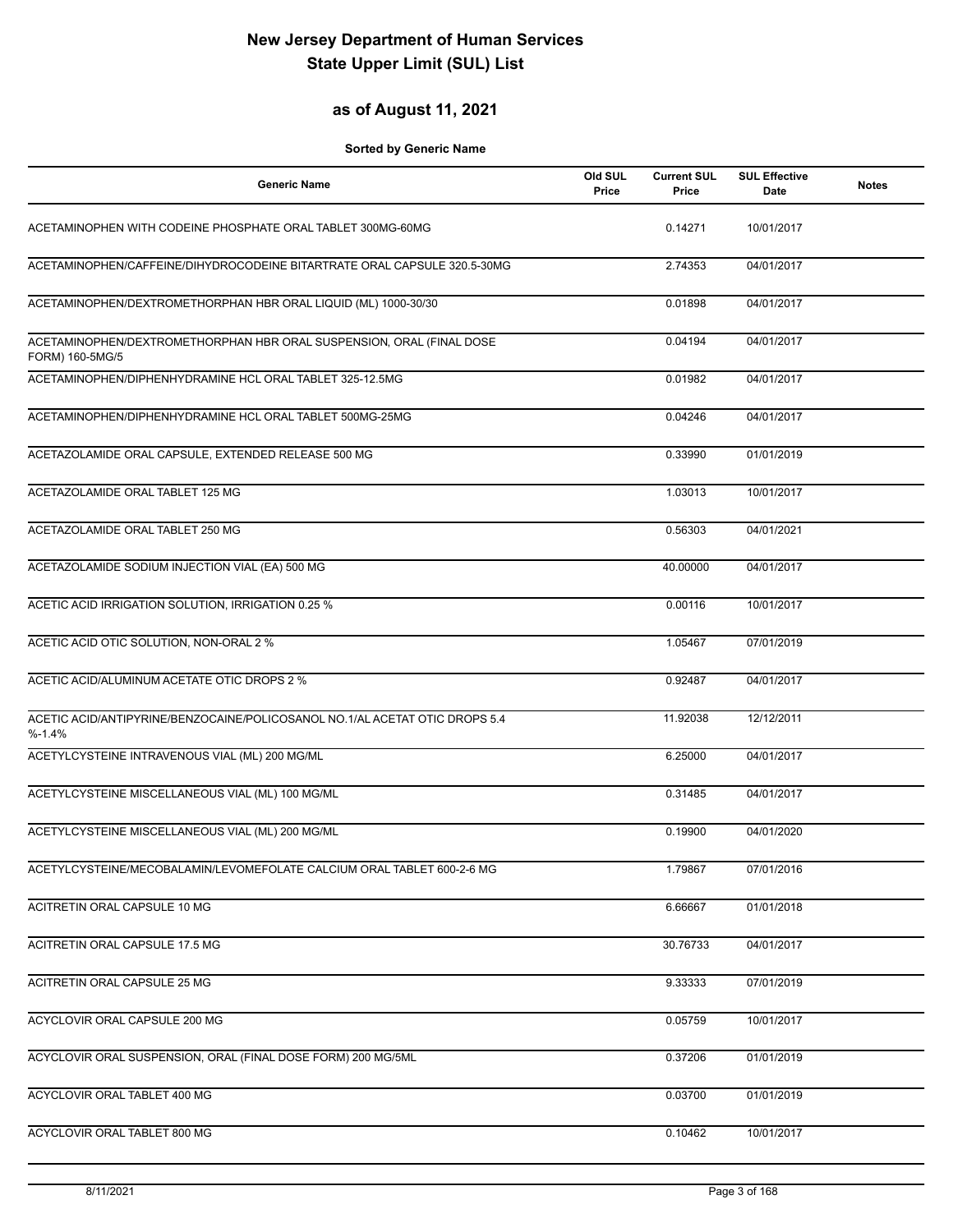## **as of August 11, 2021**

| <b>Generic Name</b>                                                                      | Old SUL<br>Price | <b>Current SUL</b><br>Price | <b>SUL Effective</b><br>Date | <b>Notes</b> |
|------------------------------------------------------------------------------------------|------------------|-----------------------------|------------------------------|--------------|
| ACETAMINOPHEN WITH CODEINE PHOSPHATE ORAL TABLET 300MG-60MG                              |                  | 0.14271                     | 10/01/2017                   |              |
| ACETAMINOPHEN/CAFFEINE/DIHYDROCODEINE BITARTRATE ORAL CAPSULE 320.5-30MG                 |                  | 2.74353                     | 04/01/2017                   |              |
| ACETAMINOPHEN/DEXTROMETHORPHAN HBR ORAL LIQUID (ML) 1000-30/30                           |                  | 0.01898                     | 04/01/2017                   |              |
| ACETAMINOPHEN/DEXTROMETHORPHAN HBR ORAL SUSPENSION, ORAL (FINAL DOSE<br>FORM) 160-5MG/5  |                  | 0.04194                     | 04/01/2017                   |              |
| ACETAMINOPHEN/DIPHENHYDRAMINE HCL ORAL TABLET 325-12.5MG                                 |                  | 0.01982                     | 04/01/2017                   |              |
| ACETAMINOPHEN/DIPHENHYDRAMINE HCL ORAL TABLET 500MG-25MG                                 |                  | 0.04246                     | 04/01/2017                   |              |
| ACETAZOLAMIDE ORAL CAPSULE, EXTENDED RELEASE 500 MG                                      |                  | 0.33990                     | 01/01/2019                   |              |
| ACETAZOLAMIDE ORAL TABLET 125 MG                                                         |                  | 1.03013                     | 10/01/2017                   |              |
| ACETAZOLAMIDE ORAL TABLET 250 MG                                                         |                  | 0.56303                     | 04/01/2021                   |              |
| ACETAZOLAMIDE SODIUM INJECTION VIAL (EA) 500 MG                                          |                  | 40.00000                    | 04/01/2017                   |              |
| ACETIC ACID IRRIGATION SOLUTION, IRRIGATION 0.25 %                                       |                  | 0.00116                     | 10/01/2017                   |              |
| ACETIC ACID OTIC SOLUTION, NON-ORAL 2 %                                                  |                  | 1.05467                     | 07/01/2019                   |              |
| ACETIC ACID/ALUMINUM ACETATE OTIC DROPS 2 %                                              |                  | 0.92487                     | 04/01/2017                   |              |
| ACETIC ACID/ANTIPYRINE/BENZOCAINE/POLICOSANOL NO.1/AL ACETAT OTIC DROPS 5.4<br>$% -1.4%$ |                  | 11.92038                    | 12/12/2011                   |              |
| ACETYLCYSTEINE INTRAVENOUS VIAL (ML) 200 MG/ML                                           |                  | 6.25000                     | 04/01/2017                   |              |
| ACETYLCYSTEINE MISCELLANEOUS VIAL (ML) 100 MG/ML                                         |                  | 0.31485                     | 04/01/2017                   |              |
| ACETYLCYSTEINE MISCELLANEOUS VIAL (ML) 200 MG/ML                                         |                  | 0.19900                     | 04/01/2020                   |              |
| ACETYLCYSTEINE/MECOBALAMIN/LEVOMEFOLATE CALCIUM ORAL TABLET 600-2-6 MG                   |                  | 1.79867                     | 07/01/2016                   |              |
| ACITRETIN ORAL CAPSULE 10 MG                                                             |                  | 6.66667                     | 01/01/2018                   |              |
| ACITRETIN ORAL CAPSULE 17.5 MG                                                           |                  | 30.76733                    | 04/01/2017                   |              |
| ACITRETIN ORAL CAPSULE 25 MG                                                             |                  | 9.33333                     | 07/01/2019                   |              |
| ACYCLOVIR ORAL CAPSULE 200 MG                                                            |                  | 0.05759                     | 10/01/2017                   |              |
| ACYCLOVIR ORAL SUSPENSION, ORAL (FINAL DOSE FORM) 200 MG/5ML                             |                  | 0.37206                     | 01/01/2019                   |              |
| ACYCLOVIR ORAL TABLET 400 MG                                                             |                  | 0.03700                     | 01/01/2019                   |              |
| ACYCLOVIR ORAL TABLET 800 MG                                                             |                  | 0.10462                     | 10/01/2017                   |              |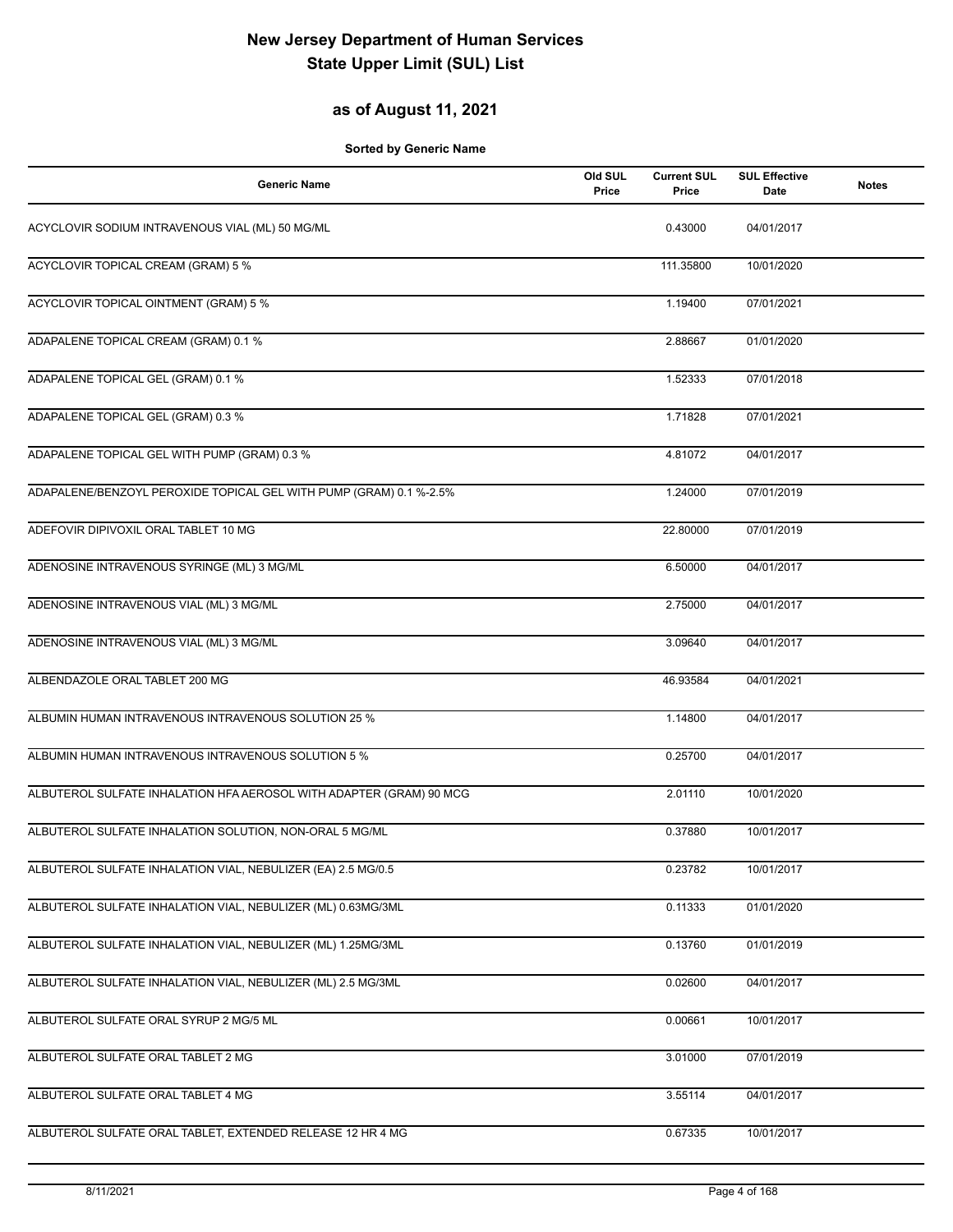## **as of August 11, 2021**

| <b>Generic Name</b>                                                 | Old SUL<br>Price | <b>Current SUL</b><br><b>Price</b> | <b>SUL Effective</b><br><b>Date</b> | <b>Notes</b> |
|---------------------------------------------------------------------|------------------|------------------------------------|-------------------------------------|--------------|
| ACYCLOVIR SODIUM INTRAVENOUS VIAL (ML) 50 MG/ML                     |                  | 0.43000                            | 04/01/2017                          |              |
| ACYCLOVIR TOPICAL CREAM (GRAM) 5 %                                  |                  | 111.35800                          | 10/01/2020                          |              |
| <b>ACYCLOVIR TOPICAL OINTMENT (GRAM) 5 %</b>                        |                  | 1.19400                            | 07/01/2021                          |              |
| ADAPALENE TOPICAL CREAM (GRAM) 0.1 %                                |                  | 2.88667                            | 01/01/2020                          |              |
| ADAPALENE TOPICAL GEL (GRAM) 0.1 %                                  |                  | 1.52333                            | 07/01/2018                          |              |
| ADAPALENE TOPICAL GEL (GRAM) 0.3 %                                  |                  | 1.71828                            | 07/01/2021                          |              |
| ADAPALENE TOPICAL GEL WITH PUMP (GRAM) 0.3 %                        |                  | 4.81072                            | 04/01/2017                          |              |
| ADAPALENE/BENZOYL PEROXIDE TOPICAL GEL WITH PUMP (GRAM) 0.1 %-2.5%  |                  | 1.24000                            | 07/01/2019                          |              |
| ADEFOVIR DIPIVOXIL ORAL TABLET 10 MG                                |                  | 22.80000                           | 07/01/2019                          |              |
| ADENOSINE INTRAVENOUS SYRINGE (ML) 3 MG/ML                          |                  | 6.50000                            | 04/01/2017                          |              |
| ADENOSINE INTRAVENOUS VIAL (ML) 3 MG/ML                             |                  | 2.75000                            | 04/01/2017                          |              |
| ADENOSINE INTRAVENOUS VIAL (ML) 3 MG/ML                             |                  | 3.09640                            | 04/01/2017                          |              |
| ALBENDAZOLE ORAL TABLET 200 MG                                      |                  | 46.93584                           | 04/01/2021                          |              |
| ALBUMIN HUMAN INTRAVENOUS INTRAVENOUS SOLUTION 25 %                 |                  | 1.14800                            | 04/01/2017                          |              |
| ALBUMIN HUMAN INTRAVENOUS INTRAVENOUS SOLUTION 5 %                  |                  | 0.25700                            | 04/01/2017                          |              |
| ALBUTEROL SULFATE INHALATION HFA AEROSOL WITH ADAPTER (GRAM) 90 MCG |                  | 2.01110                            | 10/01/2020                          |              |
| ALBUTEROL SULFATE INHALATION SOLUTION, NON-ORAL 5 MG/ML             |                  | 0.37880                            | 10/01/2017                          |              |
| ALBUTEROL SULFATE INHALATION VIAL, NEBULIZER (EA) 2.5 MG/0.5        |                  | 0.23782                            | 10/01/2017                          |              |
| ALBUTEROL SULFATE INHALATION VIAL, NEBULIZER (ML) 0.63MG/3ML        |                  | 0.11333                            | 01/01/2020                          |              |
| ALBUTEROL SULFATE INHALATION VIAL, NEBULIZER (ML) 1.25MG/3ML        |                  | 0.13760                            | 01/01/2019                          |              |
| ALBUTEROL SULFATE INHALATION VIAL, NEBULIZER (ML) 2.5 MG/3ML        |                  | 0.02600                            | 04/01/2017                          |              |
| ALBUTEROL SULFATE ORAL SYRUP 2 MG/5 ML                              |                  | 0.00661                            | 10/01/2017                          |              |
| ALBUTEROL SULFATE ORAL TABLET 2 MG                                  |                  | 3.01000                            | 07/01/2019                          |              |
| ALBUTEROL SULFATE ORAL TABLET 4 MG                                  |                  | 3.55114                            | 04/01/2017                          |              |
| ALBUTEROL SULFATE ORAL TABLET, EXTENDED RELEASE 12 HR 4 MG          |                  | 0.67335                            | 10/01/2017                          |              |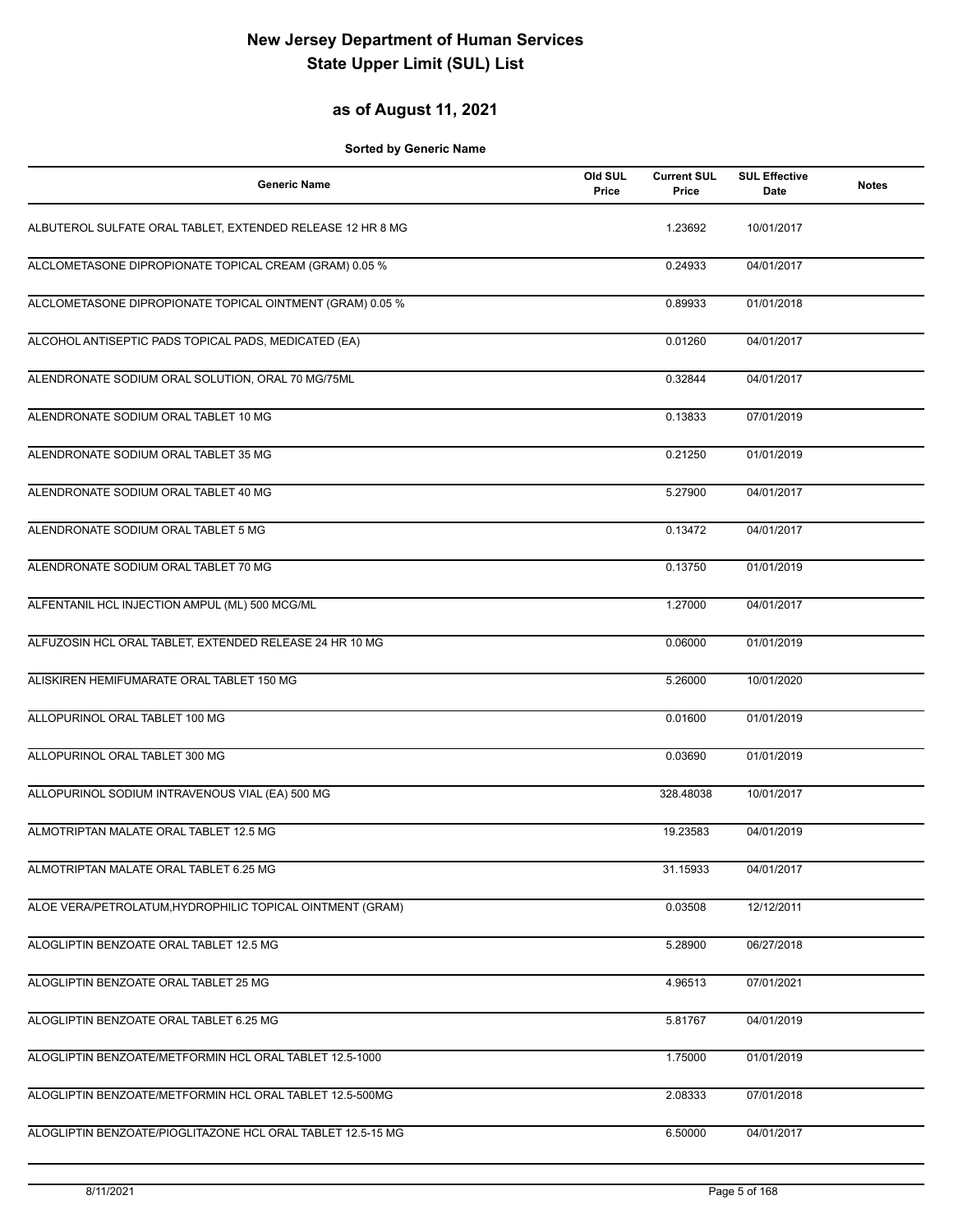## **as of August 11, 2021**

| <b>Generic Name</b>                                         | Old SUL<br>Price | <b>Current SUL</b><br>Price | <b>SUL Effective</b><br><b>Date</b> | <b>Notes</b> |
|-------------------------------------------------------------|------------------|-----------------------------|-------------------------------------|--------------|
| ALBUTEROL SULFATE ORAL TABLET, EXTENDED RELEASE 12 HR 8 MG  |                  | 1.23692                     | 10/01/2017                          |              |
| ALCLOMETASONE DIPROPIONATE TOPICAL CREAM (GRAM) 0.05 %      |                  | 0.24933                     | 04/01/2017                          |              |
| ALCLOMETASONE DIPROPIONATE TOPICAL OINTMENT (GRAM) 0.05 %   |                  | 0.89933                     | 01/01/2018                          |              |
| ALCOHOL ANTISEPTIC PADS TOPICAL PADS, MEDICATED (EA)        |                  | 0.01260                     | 04/01/2017                          |              |
| ALENDRONATE SODIUM ORAL SOLUTION, ORAL 70 MG/75ML           |                  | 0.32844                     | 04/01/2017                          |              |
| ALENDRONATE SODIUM ORAL TABLET 10 MG                        |                  | 0.13833                     | 07/01/2019                          |              |
| ALENDRONATE SODIUM ORAL TABLET 35 MG                        |                  | 0.21250                     | 01/01/2019                          |              |
| ALENDRONATE SODIUM ORAL TABLET 40 MG                        |                  | 5.27900                     | 04/01/2017                          |              |
| ALENDRONATE SODIUM ORAL TABLET 5 MG                         |                  | 0.13472                     | 04/01/2017                          |              |
| ALENDRONATE SODIUM ORAL TABLET 70 MG                        |                  | 0.13750                     | 01/01/2019                          |              |
| ALFENTANIL HCL INJECTION AMPUL (ML) 500 MCG/ML              |                  | 1.27000                     | 04/01/2017                          |              |
| ALFUZOSIN HCL ORAL TABLET, EXTENDED RELEASE 24 HR 10 MG     |                  | 0.06000                     | 01/01/2019                          |              |
| ALISKIREN HEMIFUMARATE ORAL TABLET 150 MG                   |                  | 5.26000                     | 10/01/2020                          |              |
| ALLOPURINOL ORAL TABLET 100 MG                              |                  | 0.01600                     | 01/01/2019                          |              |
| ALLOPURINOL ORAL TABLET 300 MG                              |                  | 0.03690                     | 01/01/2019                          |              |
| ALLOPURINOL SODIUM INTRAVENOUS VIAL (EA) 500 MG             |                  | 328.48038                   | 10/01/2017                          |              |
| ALMOTRIPTAN MALATE ORAL TABLET 12.5 MG                      |                  | 19.23583                    | 04/01/2019                          |              |
| ALMOTRIPTAN MALATE ORAL TABLET 6.25 MG                      |                  | 31.15933                    | 04/01/2017                          |              |
| ALOE VERA/PETROLATUM, HYDROPHILIC TOPICAL OINTMENT (GRAM)   |                  | 0.03508                     | 12/12/2011                          |              |
| ALOGLIPTIN BENZOATE ORAL TABLET 12.5 MG                     |                  | 5.28900                     | 06/27/2018                          |              |
| ALOGLIPTIN BENZOATE ORAL TABLET 25 MG                       |                  | 4.96513                     | 07/01/2021                          |              |
| ALOGLIPTIN BENZOATE ORAL TABLET 6.25 MG                     |                  | 5.81767                     | 04/01/2019                          |              |
| ALOGLIPTIN BENZOATE/METFORMIN HCL ORAL TABLET 12.5-1000     |                  | 1.75000                     | 01/01/2019                          |              |
| ALOGLIPTIN BENZOATE/METFORMIN HCL ORAL TABLET 12.5-500MG    |                  | 2.08333                     | 07/01/2018                          |              |
| ALOGLIPTIN BENZOATE/PIOGLITAZONE HCL ORAL TABLET 12.5-15 MG |                  | 6.50000                     | 04/01/2017                          |              |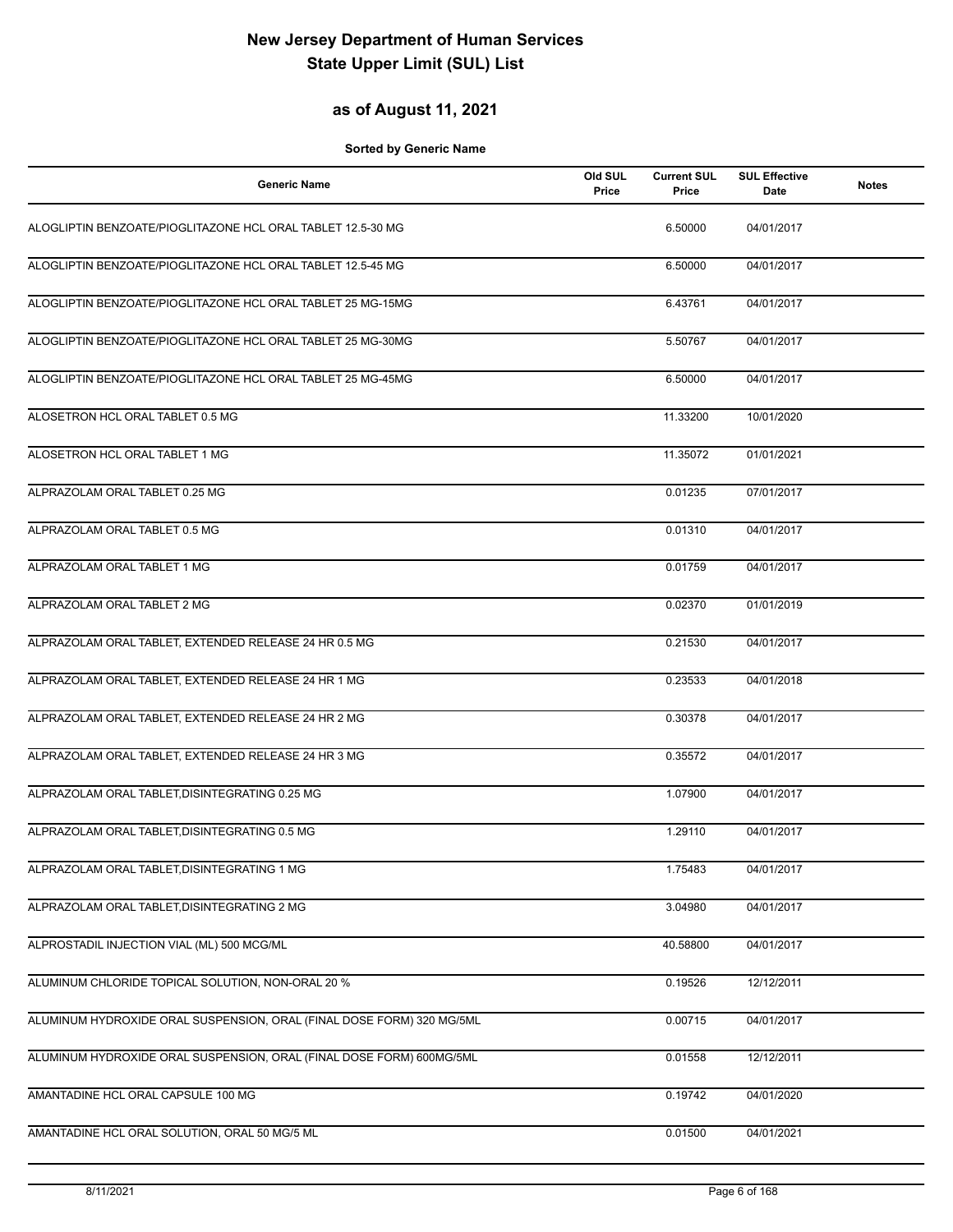## **as of August 11, 2021**

| <b>Generic Name</b>                                                   | Old SUL<br>Price | <b>Current SUL</b><br>Price | <b>SUL Effective</b><br>Date | <b>Notes</b> |
|-----------------------------------------------------------------------|------------------|-----------------------------|------------------------------|--------------|
| ALOGLIPTIN BENZOATE/PIOGLITAZONE HCL ORAL TABLET 12.5-30 MG           |                  | 6.50000                     | 04/01/2017                   |              |
| ALOGLIPTIN BENZOATE/PIOGLITAZONE HCL ORAL TABLET 12.5-45 MG           |                  | 6.50000                     | 04/01/2017                   |              |
| ALOGLIPTIN BENZOATE/PIOGLITAZONE HCL ORAL TABLET 25 MG-15MG           |                  | 6.43761                     | 04/01/2017                   |              |
| ALOGLIPTIN BENZOATE/PIOGLITAZONE HCL ORAL TABLET 25 MG-30MG           |                  | 5.50767                     | 04/01/2017                   |              |
| ALOGLIPTIN BENZOATE/PIOGLITAZONE HCL ORAL TABLET 25 MG-45MG           |                  | 6.50000                     | 04/01/2017                   |              |
| ALOSETRON HCL ORAL TABLET 0.5 MG                                      |                  | 11.33200                    | 10/01/2020                   |              |
| ALOSETRON HCL ORAL TABLET 1 MG                                        |                  | 11.35072                    | 01/01/2021                   |              |
| ALPRAZOLAM ORAL TABLET 0.25 MG                                        |                  | 0.01235                     | 07/01/2017                   |              |
| ALPRAZOLAM ORAL TABLET 0.5 MG                                         |                  | 0.01310                     | 04/01/2017                   |              |
| ALPRAZOLAM ORAL TABLET 1 MG                                           |                  | 0.01759                     | 04/01/2017                   |              |
| ALPRAZOLAM ORAL TABLET 2 MG                                           |                  | 0.02370                     | 01/01/2019                   |              |
| ALPRAZOLAM ORAL TABLET, EXTENDED RELEASE 24 HR 0.5 MG                 |                  | 0.21530                     | 04/01/2017                   |              |
| ALPRAZOLAM ORAL TABLET, EXTENDED RELEASE 24 HR 1 MG                   |                  | 0.23533                     | 04/01/2018                   |              |
| ALPRAZOLAM ORAL TABLET, EXTENDED RELEASE 24 HR 2 MG                   |                  | 0.30378                     | 04/01/2017                   |              |
| ALPRAZOLAM ORAL TABLET, EXTENDED RELEASE 24 HR 3 MG                   |                  | 0.35572                     | 04/01/2017                   |              |
| ALPRAZOLAM ORAL TABLET, DISINTEGRATING 0.25 MG                        |                  | 1.07900                     | 04/01/2017                   |              |
| ALPRAZOLAM ORAL TABLET.DISINTEGRATING 0.5 MG                          |                  | 1.29110                     | 04/01/2017                   |              |
| ALPRAZOLAM ORAL TABLET, DISINTEGRATING 1 MG                           |                  | 1.75483                     | 04/01/2017                   |              |
| ALPRAZOLAM ORAL TABLET, DISINTEGRATING 2 MG                           |                  | 3.04980                     | 04/01/2017                   |              |
| ALPROSTADIL INJECTION VIAL (ML) 500 MCG/ML                            |                  | 40.58800                    | 04/01/2017                   |              |
| ALUMINUM CHLORIDE TOPICAL SOLUTION, NON-ORAL 20 %                     |                  | 0.19526                     | 12/12/2011                   |              |
| ALUMINUM HYDROXIDE ORAL SUSPENSION, ORAL (FINAL DOSE FORM) 320 MG/5ML |                  | 0.00715                     | 04/01/2017                   |              |
| ALUMINUM HYDROXIDE ORAL SUSPENSION, ORAL (FINAL DOSE FORM) 600MG/5ML  |                  | 0.01558                     | 12/12/2011                   |              |
| AMANTADINE HCL ORAL CAPSULE 100 MG                                    |                  | 0.19742                     | 04/01/2020                   |              |
| AMANTADINE HCL ORAL SOLUTION, ORAL 50 MG/5 ML                         |                  | 0.01500                     | 04/01/2021                   |              |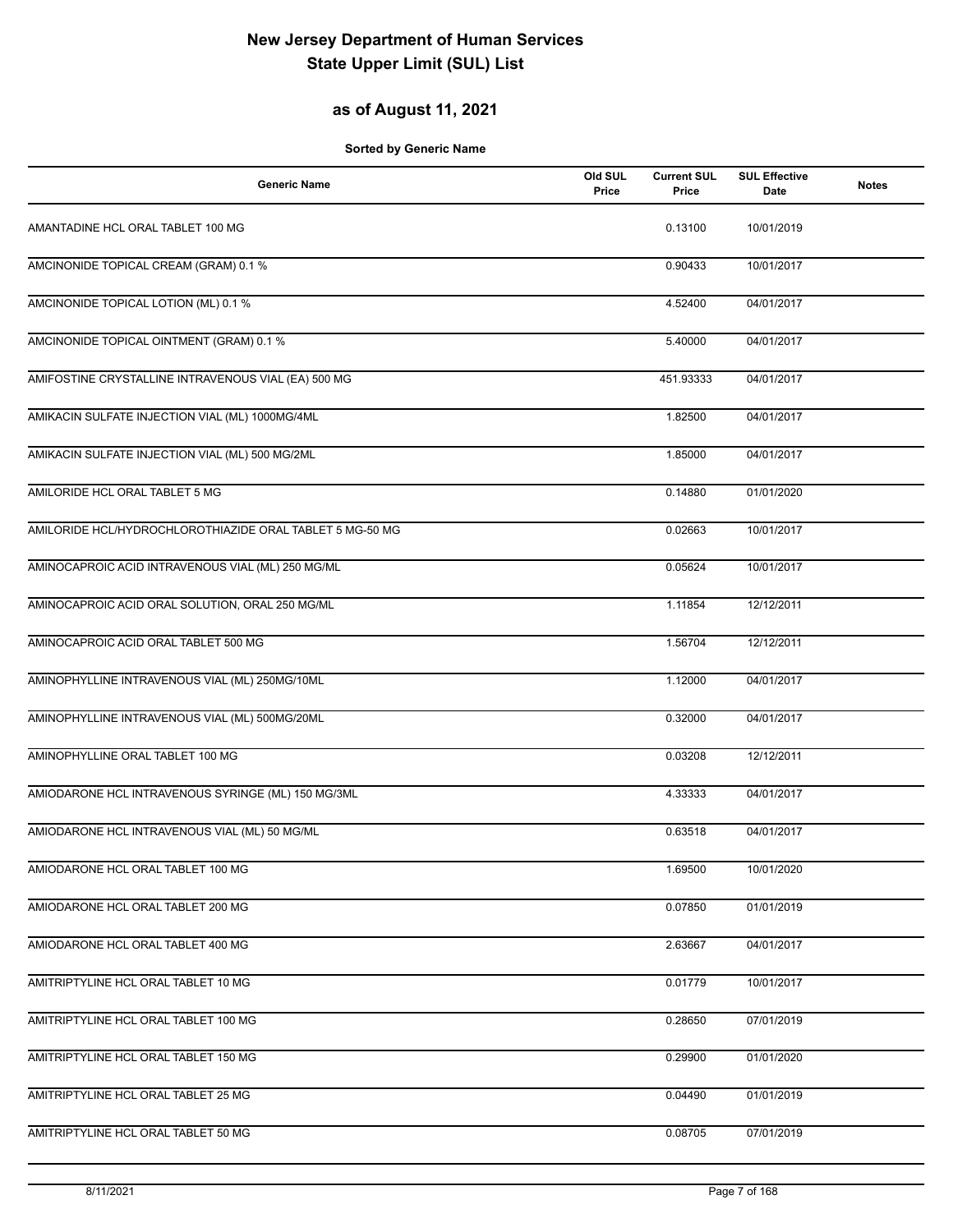## **as of August 11, 2021**

| <b>Generic Name</b>                                      | Old SUL<br>Price | <b>Current SUL</b><br>Price | <b>SUL Effective</b><br><b>Date</b> | <b>Notes</b> |
|----------------------------------------------------------|------------------|-----------------------------|-------------------------------------|--------------|
| AMANTADINE HCL ORAL TABLET 100 MG                        |                  | 0.13100                     | 10/01/2019                          |              |
| AMCINONIDE TOPICAL CREAM (GRAM) 0.1 %                    |                  | 0.90433                     | 10/01/2017                          |              |
| AMCINONIDE TOPICAL LOTION (ML) 0.1 %                     |                  | 4.52400                     | 04/01/2017                          |              |
| AMCINONIDE TOPICAL OINTMENT (GRAM) 0.1 %                 |                  | 5.40000                     | 04/01/2017                          |              |
| AMIFOSTINE CRYSTALLINE INTRAVENOUS VIAL (EA) 500 MG      |                  | 451.93333                   | 04/01/2017                          |              |
| AMIKACIN SULFATE INJECTION VIAL (ML) 1000MG/4ML          |                  | 1.82500                     | 04/01/2017                          |              |
| AMIKACIN SULFATE INJECTION VIAL (ML) 500 MG/2ML          |                  | 1.85000                     | 04/01/2017                          |              |
| AMILORIDE HCL ORAL TABLET 5 MG                           |                  | 0.14880                     | 01/01/2020                          |              |
| AMILORIDE HCL/HYDROCHLOROTHIAZIDE ORAL TABLET 5 MG-50 MG |                  | 0.02663                     | 10/01/2017                          |              |
| AMINOCAPROIC ACID INTRAVENOUS VIAL (ML) 250 MG/ML        |                  | 0.05624                     | 10/01/2017                          |              |
| AMINOCAPROIC ACID ORAL SOLUTION, ORAL 250 MG/ML          |                  | 1.11854                     | 12/12/2011                          |              |
| AMINOCAPROIC ACID ORAL TABLET 500 MG                     |                  | 1.56704                     | 12/12/2011                          |              |
| AMINOPHYLLINE INTRAVENOUS VIAL (ML) 250MG/10ML           |                  | 1.12000                     | 04/01/2017                          |              |
| AMINOPHYLLINE INTRAVENOUS VIAL (ML) 500MG/20ML           |                  | 0.32000                     | 04/01/2017                          |              |
| AMINOPHYLLINE ORAL TABLET 100 MG                         |                  | 0.03208                     | 12/12/2011                          |              |
| AMIODARONE HCL INTRAVENOUS SYRINGE (ML) 150 MG/3ML       |                  | 4.33333                     | 04/01/2017                          |              |
| AMIODARONE HCL INTRAVENOUS VIAL (ML) 50 MG/ML            |                  | 0.63518                     | 04/01/2017                          |              |
| AMIODARONE HCL ORAL TABLET 100 MG                        |                  | 1.69500                     | 10/01/2020                          |              |
| AMIODARONE HCL ORAL TABLET 200 MG                        |                  | 0.07850                     | 01/01/2019                          |              |
| AMIODARONE HCL ORAL TABLET 400 MG                        |                  | 2.63667                     | 04/01/2017                          |              |
| AMITRIPTYLINE HCL ORAL TABLET 10 MG                      |                  | 0.01779                     | 10/01/2017                          |              |
| AMITRIPTYLINE HCL ORAL TABLET 100 MG                     |                  | 0.28650                     | 07/01/2019                          |              |
| AMITRIPTYLINE HCL ORAL TABLET 150 MG                     |                  | 0.29900                     | 01/01/2020                          |              |
| AMITRIPTYLINE HCL ORAL TABLET 25 MG                      |                  | 0.04490                     | 01/01/2019                          |              |
| AMITRIPTYLINE HCL ORAL TABLET 50 MG                      |                  | 0.08705                     | 07/01/2019                          |              |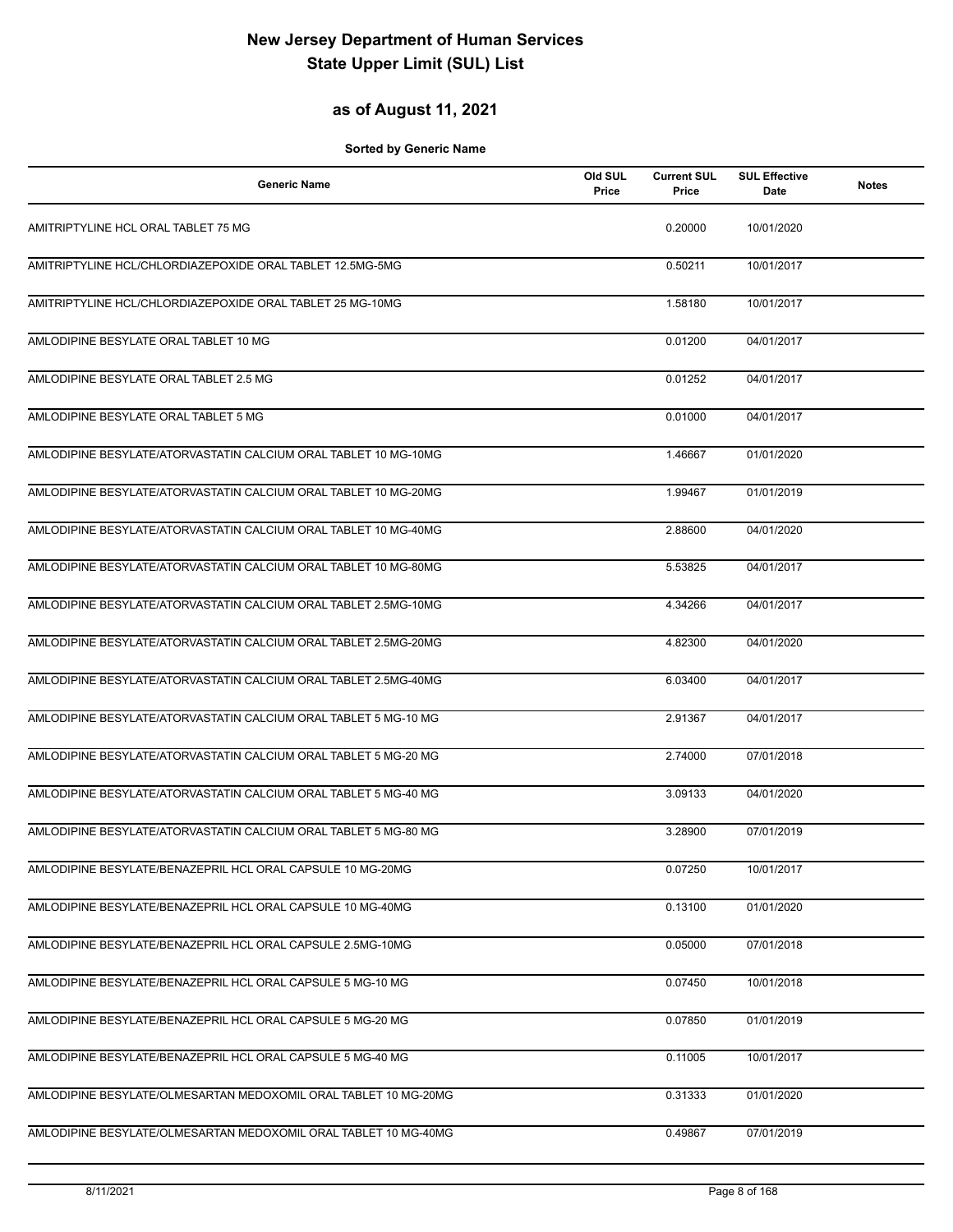### **as of August 11, 2021**

| <b>Generic Name</b>                                             | Old SUL<br>Price | <b>Current SUL</b><br>Price | <b>SUL Effective</b><br>Date | <b>Notes</b> |
|-----------------------------------------------------------------|------------------|-----------------------------|------------------------------|--------------|
| AMITRIPTYLINE HCL ORAL TABLET 75 MG                             |                  | 0.20000                     | 10/01/2020                   |              |
| AMITRIPTYLINE HCL/CHLORDIAZEPOXIDE ORAL TABLET 12.5MG-5MG       |                  | 0.50211                     | 10/01/2017                   |              |
| AMITRIPTYLINE HCL/CHLORDIAZEPOXIDE ORAL TABLET 25 MG-10MG       |                  | 1.58180                     | 10/01/2017                   |              |
| AMLODIPINE BESYLATE ORAL TABLET 10 MG                           |                  | 0.01200                     | 04/01/2017                   |              |
| AMLODIPINE BESYLATE ORAL TABLET 2.5 MG                          |                  | 0.01252                     | 04/01/2017                   |              |
| AMLODIPINE BESYLATE ORAL TABLET 5 MG                            |                  | 0.01000                     | 04/01/2017                   |              |
| AMLODIPINE BESYLATE/ATORVASTATIN CALCIUM ORAL TABLET 10 MG-10MG |                  | 1.46667                     | 01/01/2020                   |              |
| AMLODIPINE BESYLATE/ATORVASTATIN CALCIUM ORAL TABLET 10 MG-20MG |                  | 1.99467                     | 01/01/2019                   |              |
| AMLODIPINE BESYLATE/ATORVASTATIN CALCIUM ORAL TABLET 10 MG-40MG |                  | 2.88600                     | 04/01/2020                   |              |
| AMLODIPINE BESYLATE/ATORVASTATIN CALCIUM ORAL TABLET 10 MG-80MG |                  | 5.53825                     | 04/01/2017                   |              |
| AMLODIPINE BESYLATE/ATORVASTATIN CALCIUM ORAL TABLET 2.5MG-10MG |                  | 4.34266                     | 04/01/2017                   |              |
| AMLODIPINE BESYLATE/ATORVASTATIN CALCIUM ORAL TABLET 2.5MG-20MG |                  | 4.82300                     | 04/01/2020                   |              |
| AMLODIPINE BESYLATE/ATORVASTATIN CALCIUM ORAL TABLET 2.5MG-40MG |                  | 6.03400                     | 04/01/2017                   |              |
| AMLODIPINE BESYLATE/ATORVASTATIN CALCIUM ORAL TABLET 5 MG-10 MG |                  | 2.91367                     | 04/01/2017                   |              |
| AMLODIPINE BESYLATE/ATORVASTATIN CALCIUM ORAL TABLET 5 MG-20 MG |                  | 2.74000                     | 07/01/2018                   |              |
| AMLODIPINE BESYLATE/ATORVASTATIN CALCIUM ORAL TABLET 5 MG-40 MG |                  | 3.09133                     | 04/01/2020                   |              |
| AMLODIPINE BESYLATE/ATORVASTATIN CALCIUM ORAL TABLET 5 MG-80 MG |                  | 3.28900                     | 07/01/2019                   |              |
| AMLODIPINE BESYLATE/BENAZEPRIL HCL ORAL CAPSULE 10 MG-20MG      |                  | 0.07250                     | 10/01/2017                   |              |
| AMLODIPINE BESYLATE/BENAZEPRIL HCL ORAL CAPSULE 10 MG-40MG      |                  | 0.13100                     | 01/01/2020                   |              |
| AMLODIPINE BESYLATE/BENAZEPRIL HCL ORAL CAPSULE 2.5MG-10MG      |                  | 0.05000                     | 07/01/2018                   |              |
| AMLODIPINE BESYLATE/BENAZEPRIL HCL ORAL CAPSULE 5 MG-10 MG      |                  | 0.07450                     | 10/01/2018                   |              |
| AMLODIPINE BESYLATE/BENAZEPRIL HCL ORAL CAPSULE 5 MG-20 MG      |                  | 0.07850                     | 01/01/2019                   |              |
| AMLODIPINE BESYLATE/BENAZEPRIL HCL ORAL CAPSULE 5 MG-40 MG      |                  | 0.11005                     | 10/01/2017                   |              |
| AMLODIPINE BESYLATE/OLMESARTAN MEDOXOMIL ORAL TABLET 10 MG-20MG |                  | 0.31333                     | 01/01/2020                   |              |
| AMLODIPINE BESYLATE/OLMESARTAN MEDOXOMIL ORAL TABLET 10 MG-40MG |                  | 0.49867                     | 07/01/2019                   |              |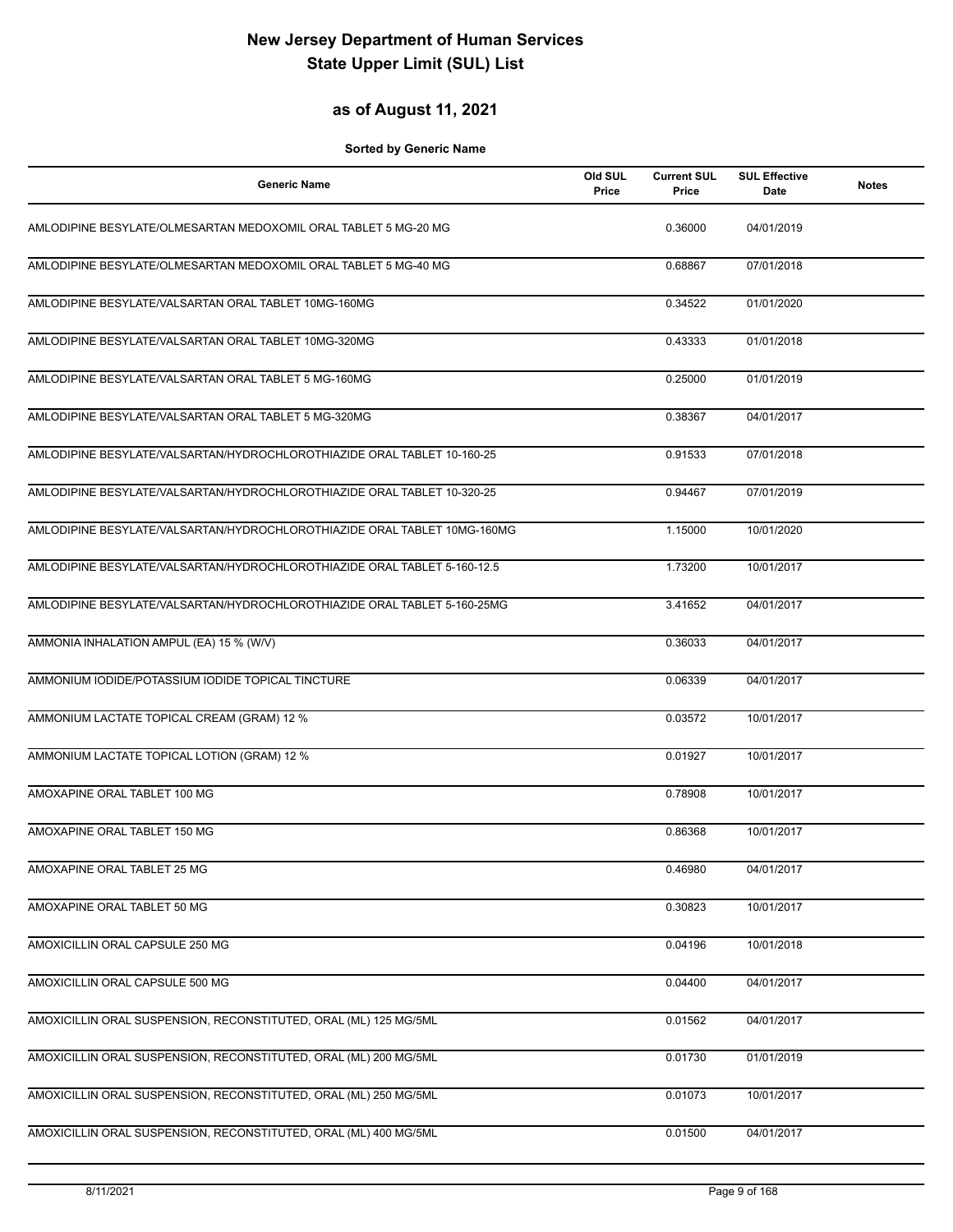### **as of August 11, 2021**

| <b>Generic Name</b>                                                      | Old SUL<br>Price | <b>Current SUL</b><br>Price | <b>SUL Effective</b><br>Date | <b>Notes</b> |
|--------------------------------------------------------------------------|------------------|-----------------------------|------------------------------|--------------|
| AMLODIPINE BESYLATE/OLMESARTAN MEDOXOMIL ORAL TABLET 5 MG-20 MG          |                  | 0.36000                     | 04/01/2019                   |              |
| AMLODIPINE BESYLATE/OLMESARTAN MEDOXOMIL ORAL TABLET 5 MG-40 MG          |                  | 0.68867                     | 07/01/2018                   |              |
| AMLODIPINE BESYLATE/VALSARTAN ORAL TABLET 10MG-160MG                     |                  | 0.34522                     | 01/01/2020                   |              |
| AMLODIPINE BESYLATE/VALSARTAN ORAL TABLET 10MG-320MG                     |                  | 0.43333                     | 01/01/2018                   |              |
| AMLODIPINE BESYLATE/VALSARTAN ORAL TABLET 5 MG-160MG                     |                  | 0.25000                     | 01/01/2019                   |              |
| AMLODIPINE BESYLATE/VALSARTAN ORAL TABLET 5 MG-320MG                     |                  | 0.38367                     | 04/01/2017                   |              |
| AMLODIPINE BESYLATE/VALSARTAN/HYDROCHLOROTHIAZIDE ORAL TABLET 10-160-25  |                  | 0.91533                     | 07/01/2018                   |              |
| AMLODIPINE BESYLATE/VALSARTAN/HYDROCHLOROTHIAZIDE ORAL TABLET 10-320-25  |                  | 0.94467                     | 07/01/2019                   |              |
| AMLODIPINE BESYLATE/VALSARTAN/HYDROCHLOROTHIAZIDE ORAL TABLET 10MG-160MG |                  | 1.15000                     | 10/01/2020                   |              |
| AMLODIPINE BESYLATE/VALSARTAN/HYDROCHLOROTHIAZIDE ORAL TABLET 5-160-12.5 |                  | 1.73200                     | 10/01/2017                   |              |
| AMLODIPINE BESYLATE/VALSARTAN/HYDROCHLOROTHIAZIDE ORAL TABLET 5-160-25MG |                  | 3.41652                     | 04/01/2017                   |              |
| AMMONIA INHALATION AMPUL (EA) 15 % (W/V)                                 |                  | 0.36033                     | 04/01/2017                   |              |
| AMMONIUM IODIDE/POTASSIUM IODIDE TOPICAL TINCTURE                        |                  | 0.06339                     | 04/01/2017                   |              |
| AMMONIUM LACTATE TOPICAL CREAM (GRAM) 12 %                               |                  | 0.03572                     | 10/01/2017                   |              |
| AMMONIUM LACTATE TOPICAL LOTION (GRAM) 12 %                              |                  | 0.01927                     | 10/01/2017                   |              |
| AMOXAPINE ORAL TABLET 100 MG                                             |                  | 0.78908                     | 10/01/2017                   |              |
| AMOXAPINE ORAL TABLET 150 MG                                             |                  | 0.86368                     | 10/01/2017                   |              |
| AMOXAPINE ORAL TABLET 25 MG                                              |                  | 0.46980                     | 04/01/2017                   |              |
| AMOXAPINE ORAL TABLET 50 MG                                              |                  | 0.30823                     | 10/01/2017                   |              |
| AMOXICILLIN ORAL CAPSULE 250 MG                                          |                  | 0.04196                     | 10/01/2018                   |              |
| AMOXICILLIN ORAL CAPSULE 500 MG                                          |                  | 0.04400                     | 04/01/2017                   |              |
| AMOXICILLIN ORAL SUSPENSION, RECONSTITUTED, ORAL (ML) 125 MG/5ML         |                  | 0.01562                     | 04/01/2017                   |              |
| AMOXICILLIN ORAL SUSPENSION, RECONSTITUTED, ORAL (ML) 200 MG/5ML         |                  | 0.01730                     | 01/01/2019                   |              |
| AMOXICILLIN ORAL SUSPENSION, RECONSTITUTED, ORAL (ML) 250 MG/5ML         |                  | 0.01073                     | 10/01/2017                   |              |
| AMOXICILLIN ORAL SUSPENSION, RECONSTITUTED, ORAL (ML) 400 MG/5ML         |                  | 0.01500                     | 04/01/2017                   |              |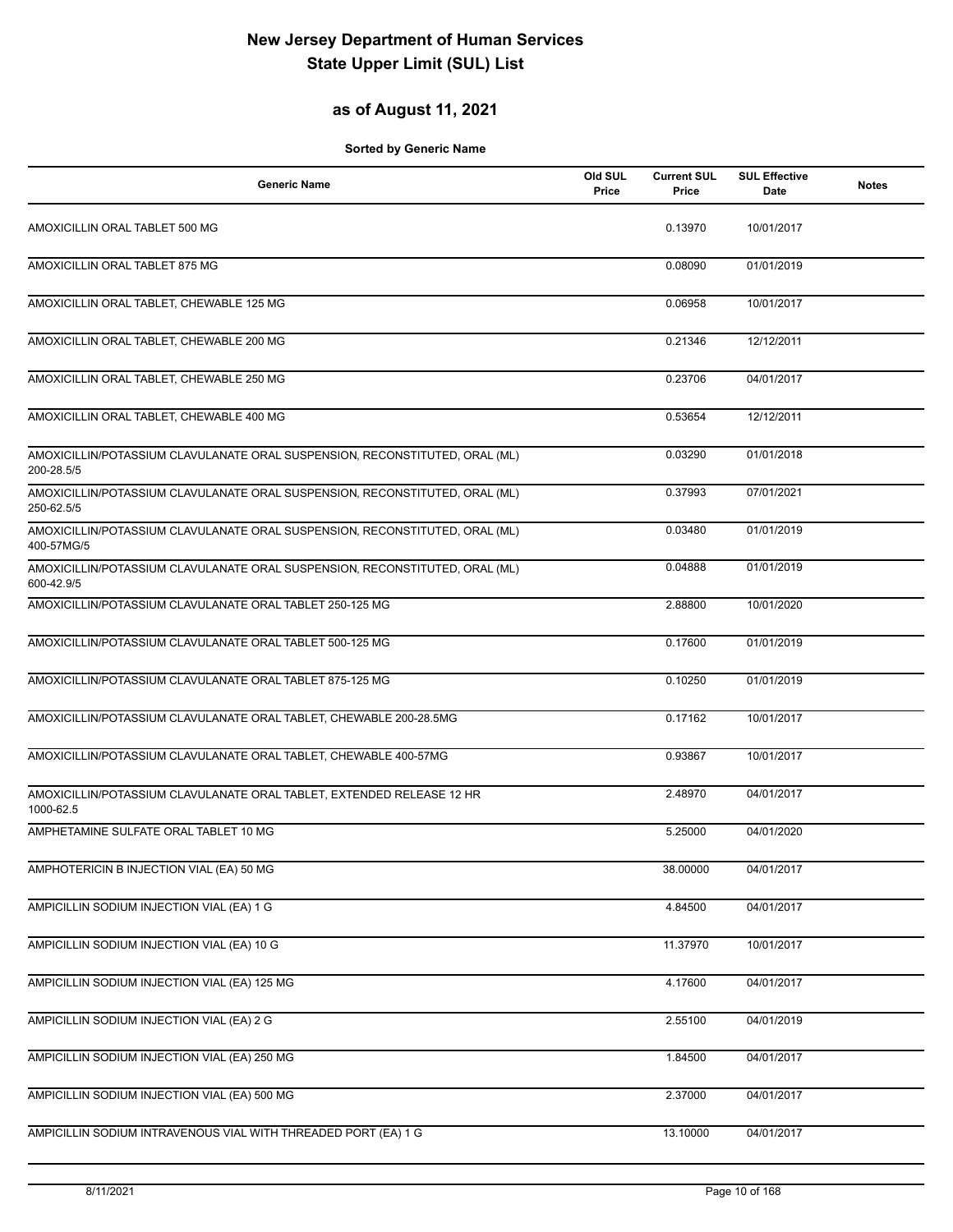## **as of August 11, 2021**

| <b>Generic Name</b>                                                                       | Old SUL<br>Price | <b>Current SUL</b><br>Price | <b>SUL Effective</b><br>Date | <b>Notes</b> |
|-------------------------------------------------------------------------------------------|------------------|-----------------------------|------------------------------|--------------|
| AMOXICILLIN ORAL TABLET 500 MG                                                            |                  | 0.13970                     | 10/01/2017                   |              |
| AMOXICILLIN ORAL TABLET 875 MG                                                            |                  | 0.08090                     | 01/01/2019                   |              |
| AMOXICILLIN ORAL TABLET, CHEWABLE 125 MG                                                  |                  | 0.06958                     | 10/01/2017                   |              |
| AMOXICILLIN ORAL TABLET, CHEWABLE 200 MG                                                  |                  | 0.21346                     | 12/12/2011                   |              |
| AMOXICILLIN ORAL TABLET, CHEWABLE 250 MG                                                  |                  | 0.23706                     | 04/01/2017                   |              |
| AMOXICILLIN ORAL TABLET, CHEWABLE 400 MG                                                  |                  | 0.53654                     | 12/12/2011                   |              |
| AMOXICILLIN/POTASSIUM CLAVULANATE ORAL SUSPENSION, RECONSTITUTED, ORAL (ML)<br>200-28.5/5 |                  | 0.03290                     | 01/01/2018                   |              |
| AMOXICILLIN/POTASSIUM CLAVULANATE ORAL SUSPENSION, RECONSTITUTED, ORAL (ML)<br>250-62.5/5 |                  | 0.37993                     | 07/01/2021                   |              |
| AMOXICILLIN/POTASSIUM CLAVULANATE ORAL SUSPENSION, RECONSTITUTED, ORAL (ML)<br>400-57MG/5 |                  | 0.03480                     | 01/01/2019                   |              |
| AMOXICILLIN/POTASSIUM CLAVULANATE ORAL SUSPENSION, RECONSTITUTED, ORAL (ML)<br>600-42.9/5 |                  | 0.04888                     | 01/01/2019                   |              |
| AMOXICILLIN/POTASSIUM CLAVULANATE ORAL TABLET 250-125 MG                                  |                  | 2.88800                     | 10/01/2020                   |              |
| AMOXICILLIN/POTASSIUM CLAVULANATE ORAL TABLET 500-125 MG                                  |                  | 0.17600                     | 01/01/2019                   |              |
| AMOXICILLIN/POTASSIUM CLAVULANATE ORAL TABLET 875-125 MG                                  |                  | 0.10250                     | 01/01/2019                   |              |
| AMOXICILLIN/POTASSIUM CLAVULANATE ORAL TABLET, CHEWABLE 200-28.5MG                        |                  | 0.17162                     | 10/01/2017                   |              |
| AMOXICILLIN/POTASSIUM CLAVULANATE ORAL TABLET, CHEWABLE 400-57MG                          |                  | 0.93867                     | 10/01/2017                   |              |
| AMOXICILLIN/POTASSIUM CLAVULANATE ORAL TABLET, EXTENDED RELEASE 12 HR<br>1000-62.5        |                  | 2.48970                     | 04/01/2017                   |              |
| AMPHETAMINE SULFATE ORAL TABLET 10 MG                                                     |                  | 5.25000                     | 04/01/2020                   |              |
| AMPHOTERICIN B INJECTION VIAL (EA) 50 MG                                                  |                  | 38.00000                    | 04/01/2017                   |              |
| AMPICILLIN SODIUM INJECTION VIAL (EA) 1 G                                                 |                  | 4.84500                     | 04/01/2017                   |              |
| AMPICILLIN SODIUM INJECTION VIAL (EA) 10 G                                                |                  | 11.37970                    | 10/01/2017                   |              |
| AMPICILLIN SODIUM INJECTION VIAL (EA) 125 MG                                              |                  | 4.17600                     | 04/01/2017                   |              |
| AMPICILLIN SODIUM INJECTION VIAL (EA) 2 G                                                 |                  | 2.55100                     | 04/01/2019                   |              |
| AMPICILLIN SODIUM INJECTION VIAL (EA) 250 MG                                              |                  | 1.84500                     | 04/01/2017                   |              |
| AMPICILLIN SODIUM INJECTION VIAL (EA) 500 MG                                              |                  | 2.37000                     | 04/01/2017                   |              |
| AMPICILLIN SODIUM INTRAVENOUS VIAL WITH THREADED PORT (EA) 1 G                            |                  | 13.10000                    | 04/01/2017                   |              |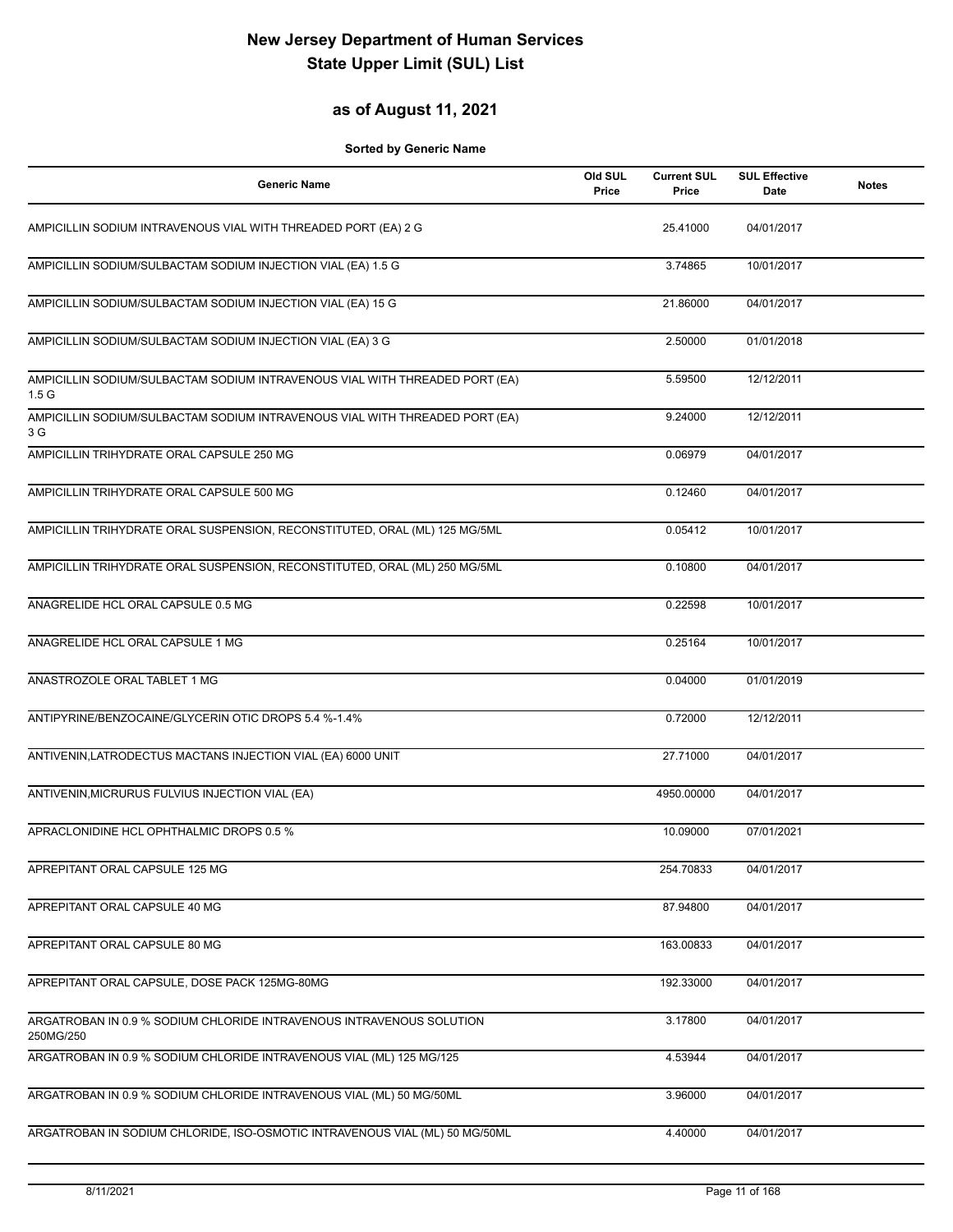## **as of August 11, 2021**

| <b>Generic Name</b>                                                                             | Old SUL<br>Price | <b>Current SUL</b><br>Price | <b>SUL Effective</b><br>Date | <b>Notes</b> |
|-------------------------------------------------------------------------------------------------|------------------|-----------------------------|------------------------------|--------------|
| AMPICILLIN SODIUM INTRAVENOUS VIAL WITH THREADED PORT (EA) 2 G                                  |                  | 25.41000                    | 04/01/2017                   |              |
| AMPICILLIN SODIUM/SULBACTAM SODIUM INJECTION VIAL (EA) 1.5 G                                    |                  | 3.74865                     | 10/01/2017                   |              |
| AMPICILLIN SODIUM/SULBACTAM SODIUM INJECTION VIAL (EA) 15 G                                     |                  | 21.86000                    | 04/01/2017                   |              |
| AMPICILLIN SODIUM/SULBACTAM SODIUM INJECTION VIAL (EA) 3 G                                      |                  | 2.50000                     | 01/01/2018                   |              |
| AMPICILLIN SODIUM/SULBACTAM SODIUM INTRAVENOUS VIAL WITH THREADED PORT (EA)<br>1.5 <sub>G</sub> |                  | 5.59500                     | 12/12/2011                   |              |
| AMPICILLIN SODIUM/SULBACTAM SODIUM INTRAVENOUS VIAL WITH THREADED PORT (EA)<br>3 G              |                  | 9.24000                     | 12/12/2011                   |              |
| AMPICILLIN TRIHYDRATE ORAL CAPSULE 250 MG                                                       |                  | 0.06979                     | 04/01/2017                   |              |
| AMPICILLIN TRIHYDRATE ORAL CAPSULE 500 MG                                                       |                  | 0.12460                     | 04/01/2017                   |              |
| AMPICILLIN TRIHYDRATE ORAL SUSPENSION, RECONSTITUTED, ORAL (ML) 125 MG/5ML                      |                  | 0.05412                     | 10/01/2017                   |              |
| AMPICILLIN TRIHYDRATE ORAL SUSPENSION, RECONSTITUTED, ORAL (ML) 250 MG/5ML                      |                  | 0.10800                     | 04/01/2017                   |              |
| ANAGRELIDE HCL ORAL CAPSULE 0.5 MG                                                              |                  | 0.22598                     | 10/01/2017                   |              |
| ANAGRELIDE HCL ORAL CAPSULE 1 MG                                                                |                  | 0.25164                     | 10/01/2017                   |              |
| ANASTROZOLE ORAL TABLET 1 MG                                                                    |                  | 0.04000                     | 01/01/2019                   |              |
| ANTIPYRINE/BENZOCAINE/GLYCERIN OTIC DROPS 5.4 %-1.4%                                            |                  | 0.72000                     | 12/12/2011                   |              |
| ANTIVENIN, LATRODECTUS MACTANS INJECTION VIAL (EA) 6000 UNIT                                    |                  | 27.71000                    | 04/01/2017                   |              |
| ANTIVENIN, MICRURUS FULVIUS INJECTION VIAL (EA)                                                 |                  | 4950.00000                  | 04/01/2017                   |              |
| APRACLONIDINE HCL OPHTHALMIC DROPS 0.5 %                                                        |                  | 10.09000                    | 07/01/2021                   |              |
| APREPITANT ORAL CAPSULE 125 MG                                                                  |                  | 254.70833                   | 04/01/2017                   |              |
| APREPITANT ORAL CAPSULE 40 MG                                                                   |                  | 87.94800                    | 04/01/2017                   |              |
| APREPITANT ORAL CAPSULE 80 MG                                                                   |                  | 163.00833                   | 04/01/2017                   |              |
| APREPITANT ORAL CAPSULE, DOSE PACK 125MG-80MG                                                   |                  | 192.33000                   | 04/01/2017                   |              |
| ARGATROBAN IN 0.9 % SODIUM CHLORIDE INTRAVENOUS INTRAVENOUS SOLUTION                            |                  | 3.17800                     | 04/01/2017                   |              |
| 250MG/250<br>ARGATROBAN IN 0.9 % SODIUM CHLORIDE INTRAVENOUS VIAL (ML) 125 MG/125               |                  | 4.53944                     | 04/01/2017                   |              |
| ARGATROBAN IN 0.9 % SODIUM CHLORIDE INTRAVENOUS VIAL (ML) 50 MG/50ML                            |                  | 3.96000                     | 04/01/2017                   |              |
| ARGATROBAN IN SODIUM CHLORIDE, ISO-OSMOTIC INTRAVENOUS VIAL (ML) 50 MG/50ML                     |                  | 4.40000                     | 04/01/2017                   |              |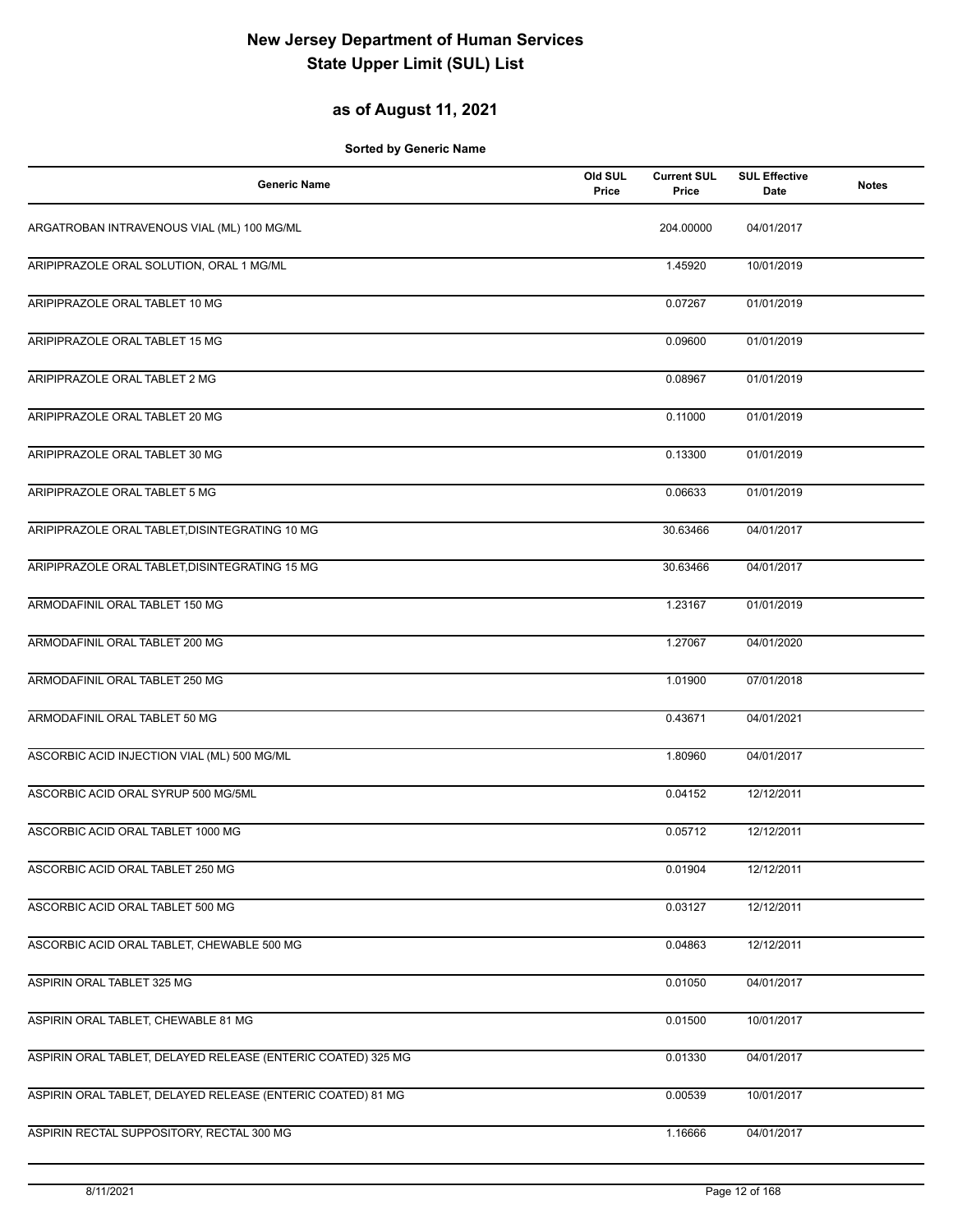## **as of August 11, 2021**

| <b>Generic Name</b>                                          | Old SUL<br>Price | <b>Current SUL</b><br>Price | <b>SUL Effective</b><br>Date | <b>Notes</b> |
|--------------------------------------------------------------|------------------|-----------------------------|------------------------------|--------------|
| ARGATROBAN INTRAVENOUS VIAL (ML) 100 MG/ML                   |                  | 204.00000                   | 04/01/2017                   |              |
| ARIPIPRAZOLE ORAL SOLUTION, ORAL 1 MG/ML                     |                  | 1.45920                     | 10/01/2019                   |              |
| ARIPIPRAZOLE ORAL TABLET 10 MG                               |                  | 0.07267                     | 01/01/2019                   |              |
| ARIPIPRAZOLE ORAL TABLET 15 MG                               |                  | 0.09600                     | 01/01/2019                   |              |
| ARIPIPRAZOLE ORAL TABLET 2 MG                                |                  | 0.08967                     | 01/01/2019                   |              |
| ARIPIPRAZOLE ORAL TABLET 20 MG                               |                  | 0.11000                     | 01/01/2019                   |              |
| ARIPIPRAZOLE ORAL TABLET 30 MG                               |                  | 0.13300                     | 01/01/2019                   |              |
| ARIPIPRAZOLE ORAL TABLET 5 MG                                |                  | 0.06633                     | 01/01/2019                   |              |
| ARIPIPRAZOLE ORAL TABLET, DISINTEGRATING 10 MG               |                  | 30.63466                    | 04/01/2017                   |              |
| ARIPIPRAZOLE ORAL TABLET, DISINTEGRATING 15 MG               |                  | 30.63466                    | 04/01/2017                   |              |
| ARMODAFINIL ORAL TABLET 150 MG                               |                  | 1.23167                     | 01/01/2019                   |              |
| ARMODAFINIL ORAL TABLET 200 MG                               |                  | 1.27067                     | 04/01/2020                   |              |
| ARMODAFINIL ORAL TABLET 250 MG                               |                  | 1.01900                     | 07/01/2018                   |              |
| ARMODAFINIL ORAL TABLET 50 MG                                |                  | 0.43671                     | 04/01/2021                   |              |
| ASCORBIC ACID INJECTION VIAL (ML) 500 MG/ML                  |                  | 1.80960                     | 04/01/2017                   |              |
| ASCORBIC ACID ORAL SYRUP 500 MG/5ML                          |                  | 0.04152                     | 12/12/2011                   |              |
| ASCORBIC ACID ORAL TABLET 1000 MG                            |                  | 0.05712                     | 12/12/2011                   |              |
| ASCORBIC ACID ORAL TABLET 250 MG                             |                  | 0.01904                     | 12/12/2011                   |              |
| ASCORBIC ACID ORAL TABLET 500 MG                             |                  | 0.03127                     | 12/12/2011                   |              |
| ASCORBIC ACID ORAL TABLET, CHEWABLE 500 MG                   |                  | 0.04863                     | 12/12/2011                   |              |
| ASPIRIN ORAL TABLET 325 MG                                   |                  | 0.01050                     | 04/01/2017                   |              |
| ASPIRIN ORAL TABLET, CHEWABLE 81 MG                          |                  | 0.01500                     | 10/01/2017                   |              |
| ASPIRIN ORAL TABLET, DELAYED RELEASE (ENTERIC COATED) 325 MG |                  | 0.01330                     | 04/01/2017                   |              |
| ASPIRIN ORAL TABLET, DELAYED RELEASE (ENTERIC COATED) 81 MG  |                  | 0.00539                     | 10/01/2017                   |              |
| ASPIRIN RECTAL SUPPOSITORY, RECTAL 300 MG                    |                  | 1.16666                     | 04/01/2017                   |              |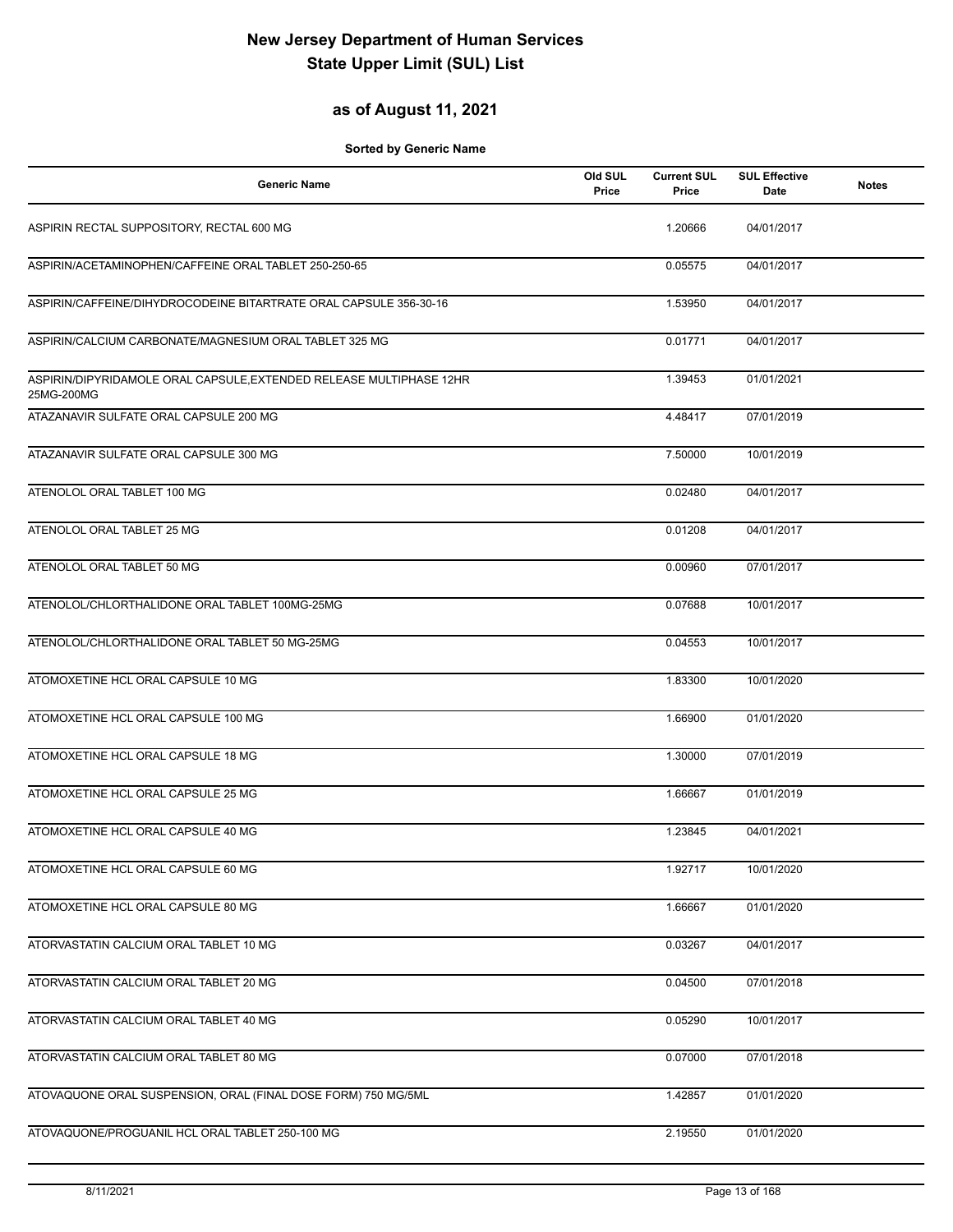### **as of August 11, 2021**

| <b>Generic Name</b>                                                               | Old SUL<br>Price | <b>Current SUL</b><br>Price | <b>SUL Effective</b><br>Date | <b>Notes</b> |
|-----------------------------------------------------------------------------------|------------------|-----------------------------|------------------------------|--------------|
| ASPIRIN RECTAL SUPPOSITORY, RECTAL 600 MG                                         |                  | 1.20666                     | 04/01/2017                   |              |
| ASPIRIN/ACETAMINOPHEN/CAFFEINE ORAL TABLET 250-250-65                             |                  | 0.05575                     | 04/01/2017                   |              |
| ASPIRIN/CAFFEINE/DIHYDROCODEINE BITARTRATE ORAL CAPSULE 356-30-16                 |                  | 1.53950                     | 04/01/2017                   |              |
| ASPIRIN/CALCIUM CARBONATE/MAGNESIUM ORAL TABLET 325 MG                            |                  | 0.01771                     | 04/01/2017                   |              |
| ASPIRIN/DIPYRIDAMOLE ORAL CAPSULE, EXTENDED RELEASE MULTIPHASE 12HR<br>25MG-200MG |                  | 1.39453                     | 01/01/2021                   |              |
| ATAZANAVIR SULFATE ORAL CAPSULE 200 MG                                            |                  | 4.48417                     | 07/01/2019                   |              |
| ATAZANAVIR SULFATE ORAL CAPSULE 300 MG                                            |                  | 7.50000                     | 10/01/2019                   |              |
| ATENOLOL ORAL TABLET 100 MG                                                       |                  | 0.02480                     | 04/01/2017                   |              |
| ATENOLOL ORAL TABLET 25 MG                                                        |                  | 0.01208                     | 04/01/2017                   |              |
| ATENOLOL ORAL TABLET 50 MG                                                        |                  | 0.00960                     | 07/01/2017                   |              |
| ATENOLOL/CHLORTHALIDONE ORAL TABLET 100MG-25MG                                    |                  | 0.07688                     | 10/01/2017                   |              |
| ATENOLOL/CHLORTHALIDONE ORAL TABLET 50 MG-25MG                                    |                  | 0.04553                     | 10/01/2017                   |              |
| ATOMOXETINE HCL ORAL CAPSULE 10 MG                                                |                  | 1.83300                     | 10/01/2020                   |              |
| ATOMOXETINE HCL ORAL CAPSULE 100 MG                                               |                  | 1.66900                     | 01/01/2020                   |              |
| ATOMOXETINE HCL ORAL CAPSULE 18 MG                                                |                  | 1.30000                     | 07/01/2019                   |              |
| ATOMOXETINE HCL ORAL CAPSULE 25 MG                                                |                  | 1.66667                     | 01/01/2019                   |              |
| ATOMOXETINE HCL ORAL CAPSULE 40 MG                                                |                  | 1.23845                     | 04/01/2021                   |              |
| ATOMOXETINE HCL ORAL CAPSULE 60 MG                                                |                  | 1.92717                     | 10/01/2020                   |              |
| ATOMOXETINE HCL ORAL CAPSULE 80 MG                                                |                  | 1.66667                     | 01/01/2020                   |              |
| ATORVASTATIN CALCIUM ORAL TABLET 10 MG                                            |                  | 0.03267                     | 04/01/2017                   |              |
| ATORVASTATIN CALCIUM ORAL TABLET 20 MG                                            |                  | 0.04500                     | 07/01/2018                   |              |
| ATORVASTATIN CALCIUM ORAL TABLET 40 MG                                            |                  | 0.05290                     | 10/01/2017                   |              |
| ATORVASTATIN CALCIUM ORAL TABLET 80 MG                                            |                  | 0.07000                     | 07/01/2018                   |              |
| ATOVAQUONE ORAL SUSPENSION, ORAL (FINAL DOSE FORM) 750 MG/5ML                     |                  | 1.42857                     | 01/01/2020                   |              |
| ATOVAQUONE/PROGUANIL HCL ORAL TABLET 250-100 MG                                   |                  | 2.19550                     | 01/01/2020                   |              |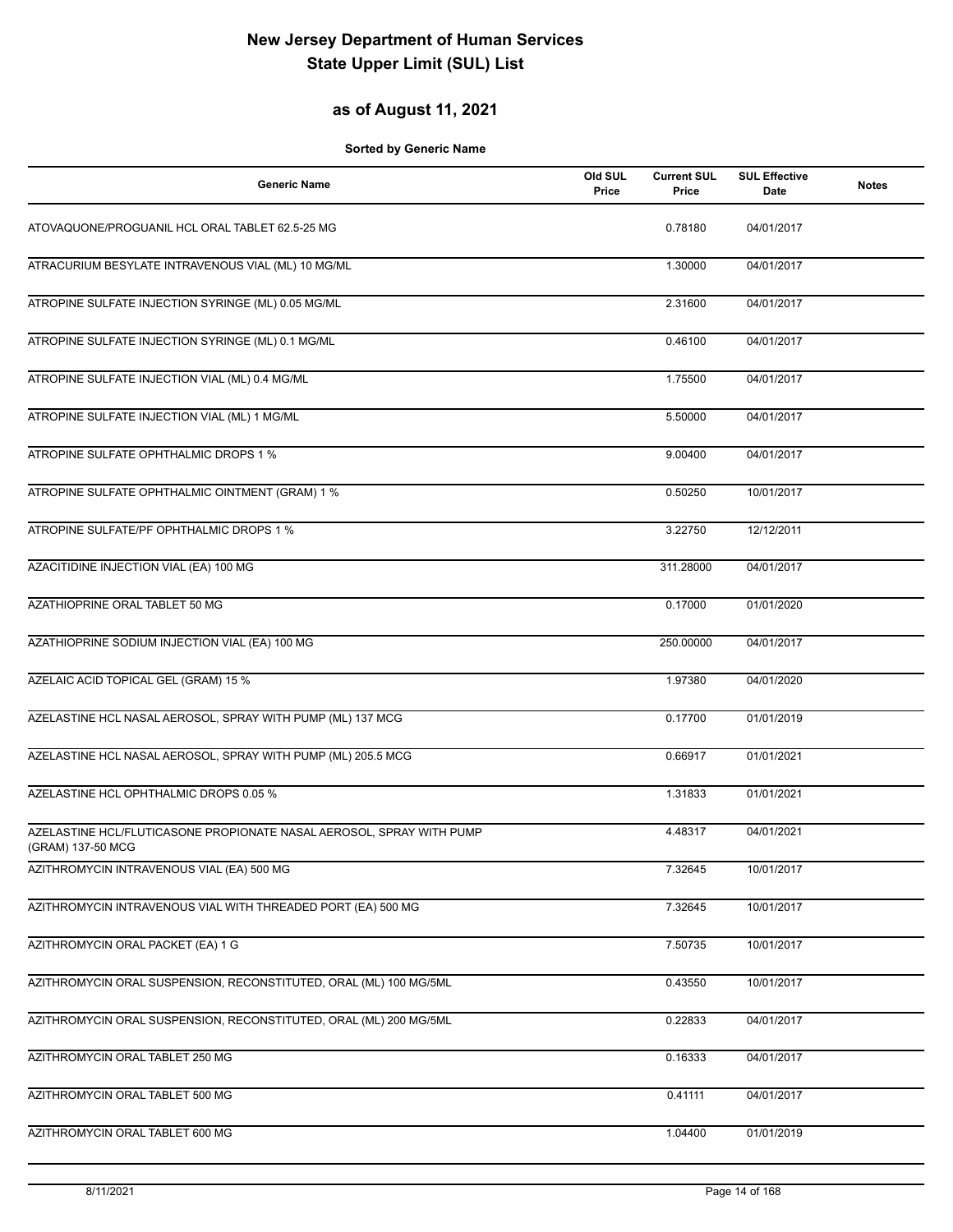### **as of August 11, 2021**

| <b>Generic Name</b>                                                                       | Old SUL<br>Price | <b>Current SUL</b><br>Price | <b>SUL Effective</b><br>Date | <b>Notes</b> |
|-------------------------------------------------------------------------------------------|------------------|-----------------------------|------------------------------|--------------|
| ATOVAQUONE/PROGUANIL HCL ORAL TABLET 62.5-25 MG                                           |                  | 0.78180                     | 04/01/2017                   |              |
| ATRACURIUM BESYLATE INTRAVENOUS VIAL (ML) 10 MG/ML                                        |                  | 1.30000                     | 04/01/2017                   |              |
| ATROPINE SULFATE INJECTION SYRINGE (ML) 0.05 MG/ML                                        |                  | 2.31600                     | 04/01/2017                   |              |
| ATROPINE SULFATE INJECTION SYRINGE (ML) 0.1 MG/ML                                         |                  | 0.46100                     | 04/01/2017                   |              |
| ATROPINE SULFATE INJECTION VIAL (ML) 0.4 MG/ML                                            |                  | 1.75500                     | 04/01/2017                   |              |
| ATROPINE SULFATE INJECTION VIAL (ML) 1 MG/ML                                              |                  | 5.50000                     | 04/01/2017                   |              |
| ATROPINE SULFATE OPHTHALMIC DROPS 1 %                                                     |                  | 9.00400                     | 04/01/2017                   |              |
| ATROPINE SULFATE OPHTHALMIC OINTMENT (GRAM) 1 %                                           |                  | 0.50250                     | 10/01/2017                   |              |
| ATROPINE SULFATE/PF OPHTHALMIC DROPS 1 %                                                  |                  | 3.22750                     | 12/12/2011                   |              |
| AZACITIDINE INJECTION VIAL (EA) 100 MG                                                    |                  | 311.28000                   | 04/01/2017                   |              |
| AZATHIOPRINE ORAL TABLET 50 MG                                                            |                  | 0.17000                     | 01/01/2020                   |              |
| AZATHIOPRINE SODIUM INJECTION VIAL (EA) 100 MG                                            |                  | 250.00000                   | 04/01/2017                   |              |
| AZELAIC ACID TOPICAL GEL (GRAM) 15 %                                                      |                  | 1.97380                     | 04/01/2020                   |              |
| AZELASTINE HCL NASAL AEROSOL, SPRAY WITH PUMP (ML) 137 MCG                                |                  | 0.17700                     | 01/01/2019                   |              |
| AZELASTINE HCL NASAL AEROSOL, SPRAY WITH PUMP (ML) 205.5 MCG                              |                  | 0.66917                     | 01/01/2021                   |              |
| AZELASTINE HCL OPHTHALMIC DROPS 0.05 %                                                    |                  | 1.31833                     | 01/01/2021                   |              |
| AZELASTINE HCL/FLUTICASONE PROPIONATE NASAL AEROSOL, SPRAY WITH PUMP<br>(GRAM) 137-50 MCG |                  | 4.48317                     | 04/01/2021                   |              |
| AZITHROMYCIN INTRAVENOUS VIAL (EA) 500 MG                                                 |                  | 7.32645                     | 10/01/2017                   |              |
| AZITHROMYCIN INTRAVENOUS VIAL WITH THREADED PORT (EA) 500 MG                              |                  | 7.32645                     | 10/01/2017                   |              |
| AZITHROMYCIN ORAL PACKET (EA) 1 G                                                         |                  | 7.50735                     | 10/01/2017                   |              |
| AZITHROMYCIN ORAL SUSPENSION, RECONSTITUTED, ORAL (ML) 100 MG/5ML                         |                  | 0.43550                     | 10/01/2017                   |              |
| AZITHROMYCIN ORAL SUSPENSION, RECONSTITUTED, ORAL (ML) 200 MG/5ML                         |                  | 0.22833                     | 04/01/2017                   |              |
| AZITHROMYCIN ORAL TABLET 250 MG                                                           |                  | 0.16333                     | 04/01/2017                   |              |
| AZITHROMYCIN ORAL TABLET 500 MG                                                           |                  | 0.41111                     | 04/01/2017                   |              |
| AZITHROMYCIN ORAL TABLET 600 MG                                                           |                  | 1.04400                     | 01/01/2019                   |              |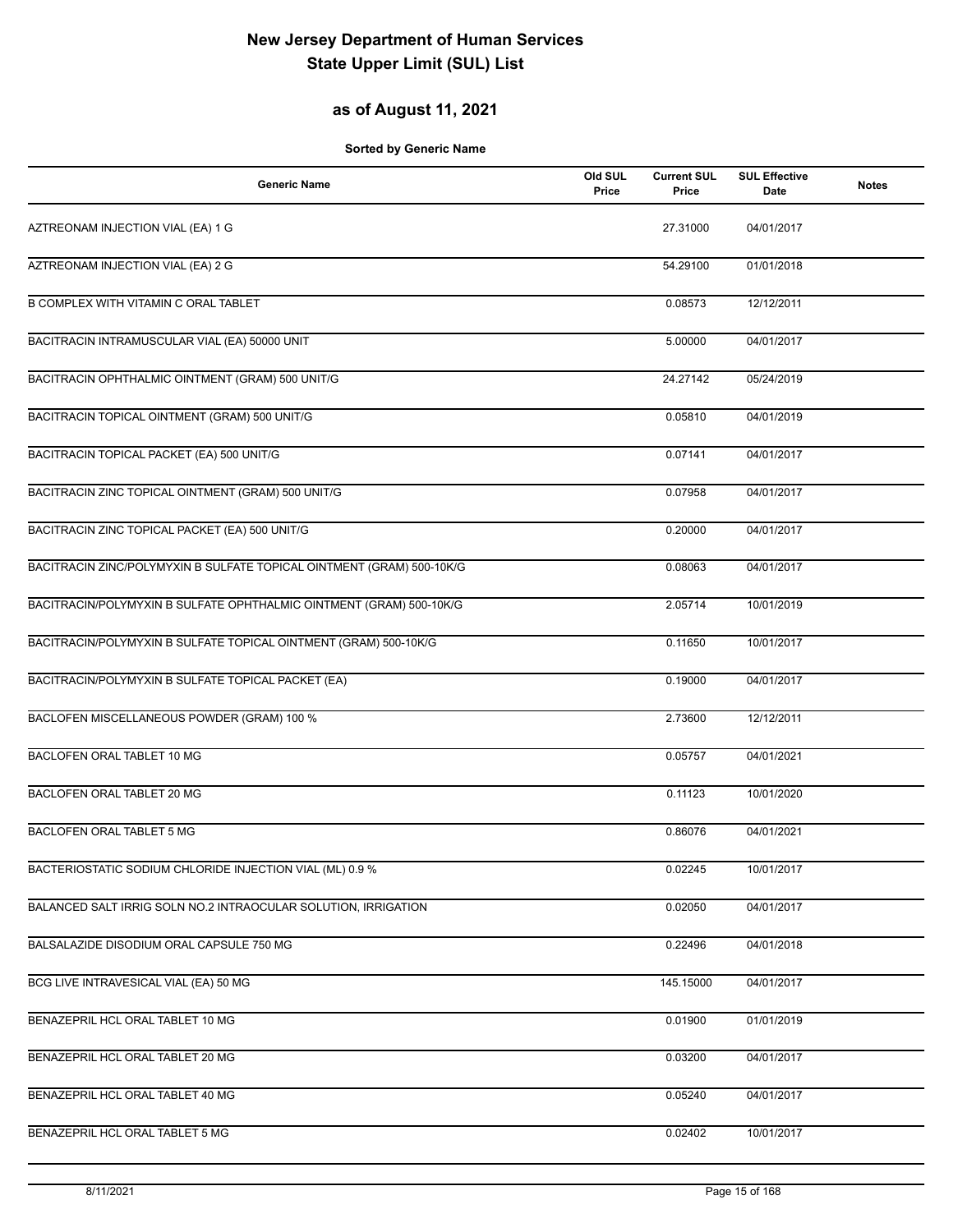## **as of August 11, 2021**

| <b>Generic Name</b>                                                   | Old SUL<br>Price | <b>Current SUL</b><br>Price | <b>SUL Effective</b><br><b>Date</b> | <b>Notes</b> |
|-----------------------------------------------------------------------|------------------|-----------------------------|-------------------------------------|--------------|
| AZTREONAM INJECTION VIAL (EA) 1 G                                     |                  | 27.31000                    | 04/01/2017                          |              |
| AZTREONAM INJECTION VIAL (EA) 2 G                                     |                  | 54.29100                    | 01/01/2018                          |              |
| B COMPLEX WITH VITAMIN C ORAL TABLET                                  |                  | 0.08573                     | 12/12/2011                          |              |
| BACITRACIN INTRAMUSCULAR VIAL (EA) 50000 UNIT                         |                  | 5.00000                     | 04/01/2017                          |              |
| BACITRACIN OPHTHALMIC OINTMENT (GRAM) 500 UNIT/G                      |                  | 24.27142                    | 05/24/2019                          |              |
| BACITRACIN TOPICAL OINTMENT (GRAM) 500 UNIT/G                         |                  | 0.05810                     | 04/01/2019                          |              |
| BACITRACIN TOPICAL PACKET (EA) 500 UNIT/G                             |                  | 0.07141                     | 04/01/2017                          |              |
| BACITRACIN ZINC TOPICAL OINTMENT (GRAM) 500 UNIT/G                    |                  | 0.07958                     | 04/01/2017                          |              |
| BACITRACIN ZINC TOPICAL PACKET (EA) 500 UNIT/G                        |                  | 0.20000                     | 04/01/2017                          |              |
| BACITRACIN ZINC/POLYMYXIN B SULFATE TOPICAL OINTMENT (GRAM) 500-10K/G |                  | 0.08063                     | 04/01/2017                          |              |
| BACITRACIN/POLYMYXIN B SULFATE OPHTHALMIC OINTMENT (GRAM) 500-10K/G   |                  | 2.05714                     | 10/01/2019                          |              |
| BACITRACIN/POLYMYXIN B SULFATE TOPICAL OINTMENT (GRAM) 500-10K/G      |                  | 0.11650                     | 10/01/2017                          |              |
| BACITRACIN/POLYMYXIN B SULFATE TOPICAL PACKET (EA)                    |                  | 0.19000                     | 04/01/2017                          |              |
| BACLOFEN MISCELLANEOUS POWDER (GRAM) 100 %                            |                  | 2.73600                     | 12/12/2011                          |              |
| BACLOFEN ORAL TABLET 10 MG                                            |                  | 0.05757                     | 04/01/2021                          |              |
| BACLOFEN ORAL TABLET 20 MG                                            |                  | 0.11123                     | 10/01/2020                          |              |
| <b>BACLOFEN ORAL TABLET 5 MG</b>                                      |                  | 0.86076                     | 04/01/2021                          |              |
| BACTERIOSTATIC SODIUM CHLORIDE INJECTION VIAL (ML) 0.9 %              |                  | 0.02245                     | 10/01/2017                          |              |
| BALANCED SALT IRRIG SOLN NO.2 INTRAOCULAR SOLUTION, IRRIGATION        |                  | 0.02050                     | 04/01/2017                          |              |
| BALSALAZIDE DISODIUM ORAL CAPSULE 750 MG                              |                  | 0.22496                     | 04/01/2018                          |              |
| BCG LIVE INTRAVESICAL VIAL (EA) 50 MG                                 |                  | 145.15000                   | 04/01/2017                          |              |
| BENAZEPRIL HCL ORAL TABLET 10 MG                                      |                  | 0.01900                     | 01/01/2019                          |              |
| BENAZEPRIL HCL ORAL TABLET 20 MG                                      |                  | 0.03200                     | 04/01/2017                          |              |
| BENAZEPRIL HCL ORAL TABLET 40 MG                                      |                  | 0.05240                     | 04/01/2017                          |              |
| BENAZEPRIL HCL ORAL TABLET 5 MG                                       |                  | 0.02402                     | 10/01/2017                          |              |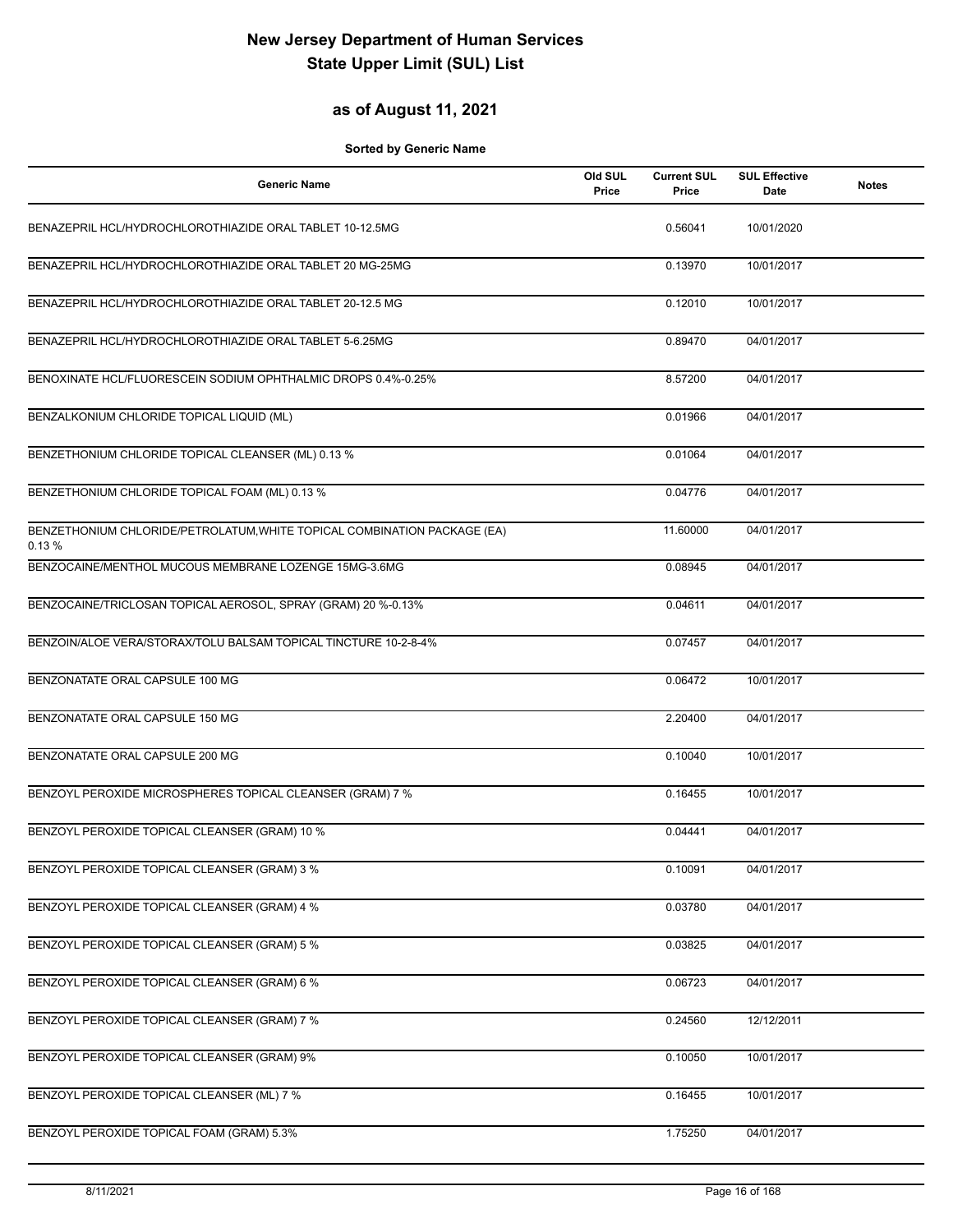## **as of August 11, 2021**

| <b>Generic Name</b>                                                               | Old SUL<br>Price | <b>Current SUL</b><br>Price | <b>SUL Effective</b><br><b>Date</b> | <b>Notes</b> |
|-----------------------------------------------------------------------------------|------------------|-----------------------------|-------------------------------------|--------------|
| BENAZEPRIL HCL/HYDROCHLOROTHIAZIDE ORAL TABLET 10-12.5MG                          |                  | 0.56041                     | 10/01/2020                          |              |
| BENAZEPRIL HCL/HYDROCHLOROTHIAZIDE ORAL TABLET 20 MG-25MG                         |                  | 0.13970                     | 10/01/2017                          |              |
| BENAZEPRIL HCL/HYDROCHLOROTHIAZIDE ORAL TABLET 20-12.5 MG                         |                  | 0.12010                     | 10/01/2017                          |              |
| BENAZEPRIL HCL/HYDROCHLOROTHIAZIDE ORAL TABLET 5-6.25MG                           |                  | 0.89470                     | 04/01/2017                          |              |
| BENOXINATE HCL/FLUORESCEIN SODIUM OPHTHALMIC DROPS 0.4%-0.25%                     |                  | 8.57200                     | 04/01/2017                          |              |
| BENZALKONIUM CHLORIDE TOPICAL LIQUID (ML)                                         |                  | 0.01966                     | 04/01/2017                          |              |
| BENZETHONIUM CHLORIDE TOPICAL CLEANSER (ML) 0.13 %                                |                  | 0.01064                     | 04/01/2017                          |              |
| BENZETHONIUM CHLORIDE TOPICAL FOAM (ML) 0.13 %                                    |                  | 0.04776                     | 04/01/2017                          |              |
| BENZETHONIUM CHLORIDE/PETROLATUM, WHITE TOPICAL COMBINATION PACKAGE (EA)<br>0.13% |                  | 11.60000                    | 04/01/2017                          |              |
| BENZOCAINE/MENTHOL MUCOUS MEMBRANE LOZENGE 15MG-3.6MG                             |                  | 0.08945                     | 04/01/2017                          |              |
| BENZOCAINE/TRICLOSAN TOPICAL AEROSOL, SPRAY (GRAM) 20 %-0.13%                     |                  | 0.04611                     | 04/01/2017                          |              |
| BENZOIN/ALOE VERA/STORAX/TOLU BALSAM TOPICAL TINCTURE 10-2-8-4%                   |                  | 0.07457                     | 04/01/2017                          |              |
| BENZONATATE ORAL CAPSULE 100 MG                                                   |                  | 0.06472                     | 10/01/2017                          |              |
| BENZONATATE ORAL CAPSULE 150 MG                                                   |                  | 2.20400                     | 04/01/2017                          |              |
| BENZONATATE ORAL CAPSULE 200 MG                                                   |                  | 0.10040                     | 10/01/2017                          |              |
| BENZOYL PEROXIDE MICROSPHERES TOPICAL CLEANSER (GRAM) 7 %                         |                  | 0.16455                     | 10/01/2017                          |              |
| BENZOYL PEROXIDE TOPICAL CLEANSER (GRAM) 10 %                                     |                  | 0.04441                     | 04/01/2017                          |              |
| BENZOYL PEROXIDE TOPICAL CLEANSER (GRAM) 3 %                                      |                  | 0.10091                     | 04/01/2017                          |              |
| BENZOYL PEROXIDE TOPICAL CLEANSER (GRAM) 4 %                                      |                  | 0.03780                     | 04/01/2017                          |              |
| BENZOYL PEROXIDE TOPICAL CLEANSER (GRAM) 5 %                                      |                  | 0.03825                     | 04/01/2017                          |              |
| BENZOYL PEROXIDE TOPICAL CLEANSER (GRAM) 6 %                                      |                  | 0.06723                     | 04/01/2017                          |              |
| BENZOYL PEROXIDE TOPICAL CLEANSER (GRAM) 7 %                                      |                  | 0.24560                     | 12/12/2011                          |              |
| BENZOYL PEROXIDE TOPICAL CLEANSER (GRAM) 9%                                       |                  | 0.10050                     | 10/01/2017                          |              |
| BENZOYL PEROXIDE TOPICAL CLEANSER (ML) 7 %                                        |                  | 0.16455                     | 10/01/2017                          |              |
| BENZOYL PEROXIDE TOPICAL FOAM (GRAM) 5.3%                                         |                  | 1.75250                     | 04/01/2017                          |              |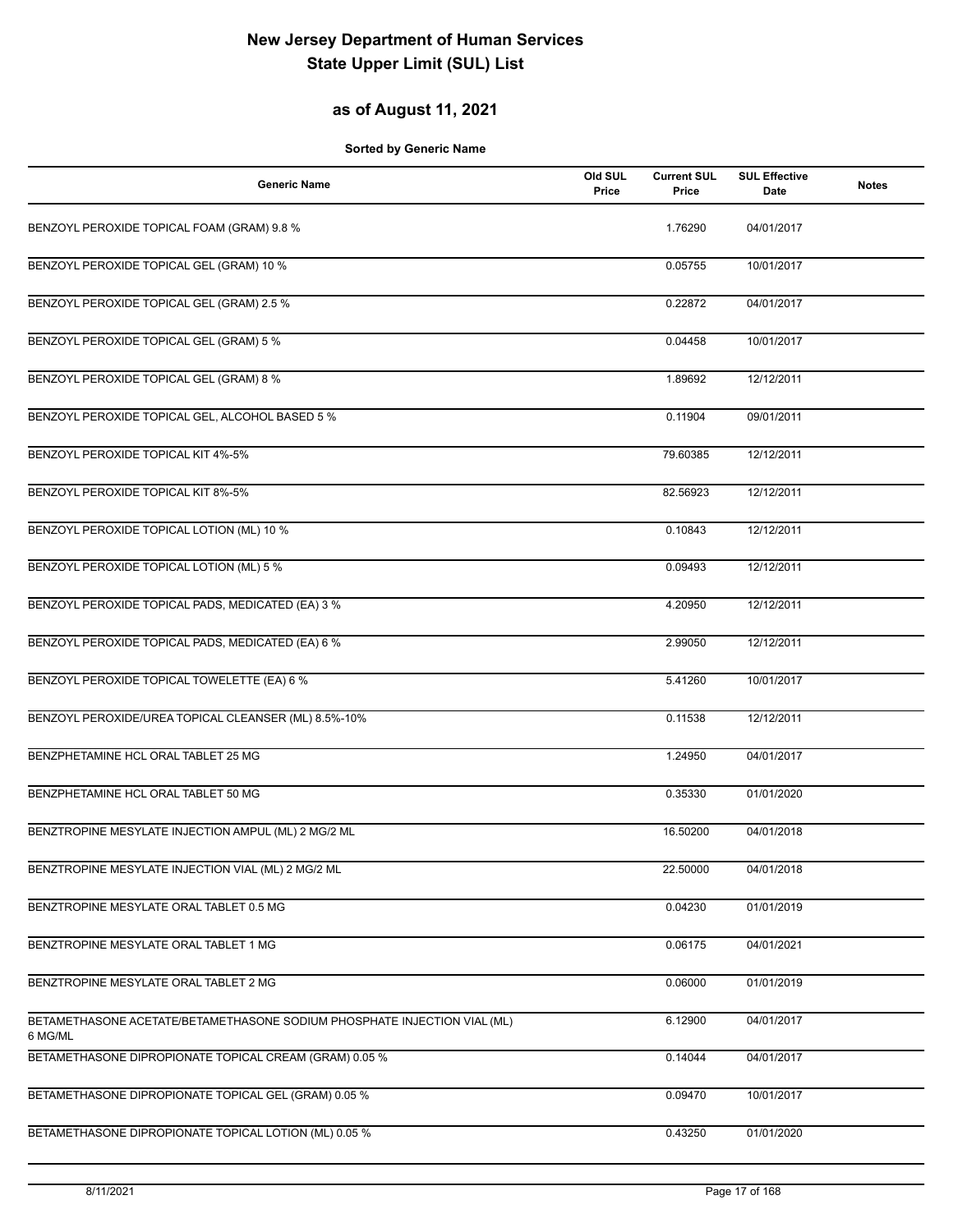### **as of August 11, 2021**

| <b>Generic Name</b>                                                                 | Old SUL<br>Price | <b>Current SUL</b><br>Price | <b>SUL Effective</b><br>Date | <b>Notes</b> |
|-------------------------------------------------------------------------------------|------------------|-----------------------------|------------------------------|--------------|
| BENZOYL PEROXIDE TOPICAL FOAM (GRAM) 9.8 %                                          |                  | 1.76290                     | 04/01/2017                   |              |
| BENZOYL PEROXIDE TOPICAL GEL (GRAM) 10 %                                            |                  | 0.05755                     | 10/01/2017                   |              |
| BENZOYL PEROXIDE TOPICAL GEL (GRAM) 2.5 %                                           |                  | 0.22872                     | 04/01/2017                   |              |
| BENZOYL PEROXIDE TOPICAL GEL (GRAM) 5 %                                             |                  | 0.04458                     | 10/01/2017                   |              |
| BENZOYL PEROXIDE TOPICAL GEL (GRAM) 8 %                                             |                  | 1.89692                     | 12/12/2011                   |              |
| BENZOYL PEROXIDE TOPICAL GEL, ALCOHOL BASED 5 %                                     |                  | 0.11904                     | 09/01/2011                   |              |
| BENZOYL PEROXIDE TOPICAL KIT 4%-5%                                                  |                  | 79.60385                    | 12/12/2011                   |              |
| BENZOYL PEROXIDE TOPICAL KIT 8%-5%                                                  |                  | 82.56923                    | 12/12/2011                   |              |
| BENZOYL PEROXIDE TOPICAL LOTION (ML) 10 %                                           |                  | 0.10843                     | 12/12/2011                   |              |
| BENZOYL PEROXIDE TOPICAL LOTION (ML) 5 %                                            |                  | 0.09493                     | 12/12/2011                   |              |
| BENZOYL PEROXIDE TOPICAL PADS, MEDICATED (EA) 3 %                                   |                  | 4.20950                     | 12/12/2011                   |              |
| BENZOYL PEROXIDE TOPICAL PADS, MEDICATED (EA) 6 %                                   |                  | 2.99050                     | 12/12/2011                   |              |
| BENZOYL PEROXIDE TOPICAL TOWELETTE (EA) 6 %                                         |                  | 5.41260                     | 10/01/2017                   |              |
| BENZOYL PEROXIDE/UREA TOPICAL CLEANSER (ML) 8.5%-10%                                |                  | 0.11538                     | 12/12/2011                   |              |
| BENZPHETAMINE HCL ORAL TABLET 25 MG                                                 |                  | 1.24950                     | 04/01/2017                   |              |
| BENZPHETAMINE HCL ORAL TABLET 50 MG                                                 |                  | 0.35330                     | 01/01/2020                   |              |
| BENZTROPINE MESYLATE INJECTION AMPUL (ML) 2 MG/2 ML                                 |                  | 16.50200                    | 04/01/2018                   |              |
| BENZTROPINE MESYLATE INJECTION VIAL (ML) 2 MG/2 ML                                  |                  | 22.50000                    | 04/01/2018                   |              |
| BENZTROPINE MESYLATE ORAL TABLET 0.5 MG                                             |                  | 0.04230                     | 01/01/2019                   |              |
| BENZTROPINE MESYLATE ORAL TABLET 1 MG                                               |                  | 0.06175                     | 04/01/2021                   |              |
| BENZTROPINE MESYLATE ORAL TABLET 2 MG                                               |                  | 0.06000                     | 01/01/2019                   |              |
| BETAMETHASONE ACETATE/BETAMETHASONE SODIUM PHOSPHATE INJECTION VIAL (ML)<br>6 MG/ML |                  | 6.12900                     | 04/01/2017                   |              |
| BETAMETHASONE DIPROPIONATE TOPICAL CREAM (GRAM) 0.05 %                              |                  | 0.14044                     | 04/01/2017                   |              |
| BETAMETHASONE DIPROPIONATE TOPICAL GEL (GRAM) 0.05 %                                |                  | 0.09470                     | 10/01/2017                   |              |
| BETAMETHASONE DIPROPIONATE TOPICAL LOTION (ML) 0.05 %                               |                  | 0.43250                     | 01/01/2020                   |              |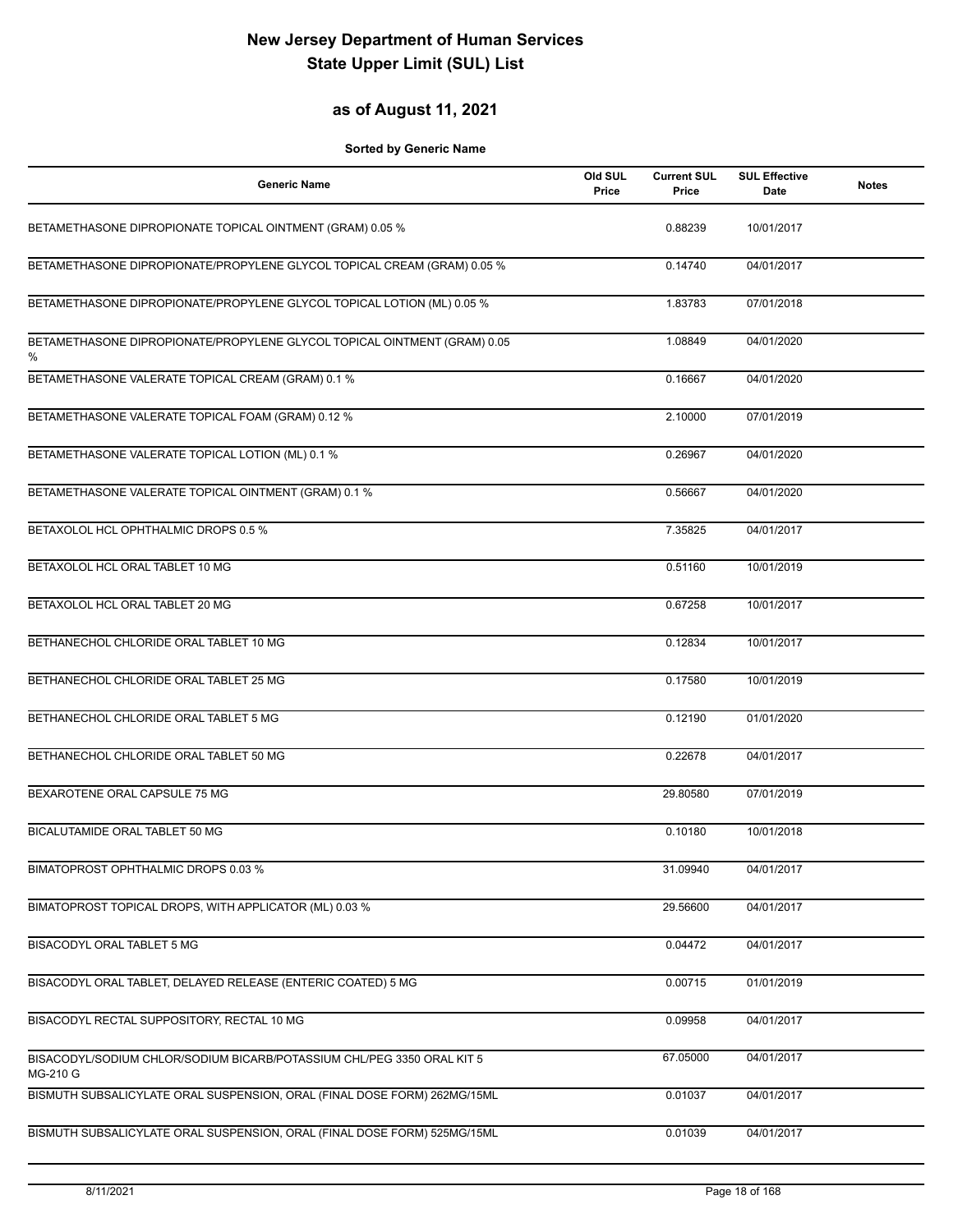## **as of August 11, 2021**

| <b>Generic Name</b>                                                                | Old SUL<br>Price | <b>Current SUL</b><br>Price | <b>SUL Effective</b><br>Date | <b>Notes</b> |
|------------------------------------------------------------------------------------|------------------|-----------------------------|------------------------------|--------------|
| BETAMETHASONE DIPROPIONATE TOPICAL OINTMENT (GRAM) 0.05 %                          |                  | 0.88239                     | 10/01/2017                   |              |
| BETAMETHASONE DIPROPIONATE/PROPYLENE GLYCOL TOPICAL CREAM (GRAM) 0.05 %            |                  | 0.14740                     | 04/01/2017                   |              |
| BETAMETHASONE DIPROPIONATE/PROPYLENE GLYCOL TOPICAL LOTION (ML) 0.05 %             |                  | 1.83783                     | 07/01/2018                   |              |
| BETAMETHASONE DIPROPIONATE/PROPYLENE GLYCOL TOPICAL OINTMENT (GRAM) 0.05<br>%      |                  | 1.08849                     | 04/01/2020                   |              |
| BETAMETHASONE VALERATE TOPICAL CREAM (GRAM) 0.1 %                                  |                  | 0.16667                     | 04/01/2020                   |              |
| BETAMETHASONE VALERATE TOPICAL FOAM (GRAM) 0.12 %                                  |                  | 2.10000                     | 07/01/2019                   |              |
| BETAMETHASONE VALERATE TOPICAL LOTION (ML) 0.1 %                                   |                  | 0.26967                     | 04/01/2020                   |              |
| BETAMETHASONE VALERATE TOPICAL OINTMENT (GRAM) 0.1 %                               |                  | 0.56667                     | 04/01/2020                   |              |
| BETAXOLOL HCL OPHTHALMIC DROPS 0.5 %                                               |                  | 7.35825                     | 04/01/2017                   |              |
| BETAXOLOL HCL ORAL TABLET 10 MG                                                    |                  | 0.51160                     | 10/01/2019                   |              |
| BETAXOLOL HCL ORAL TABLET 20 MG                                                    |                  | 0.67258                     | 10/01/2017                   |              |
| BETHANECHOL CHLORIDE ORAL TABLET 10 MG                                             |                  | 0.12834                     | 10/01/2017                   |              |
| BETHANECHOL CHLORIDE ORAL TABLET 25 MG                                             |                  | 0.17580                     | 10/01/2019                   |              |
| BETHANECHOL CHLORIDE ORAL TABLET 5 MG                                              |                  | 0.12190                     | 01/01/2020                   |              |
| BETHANECHOL CHLORIDE ORAL TABLET 50 MG                                             |                  | 0.22678                     | 04/01/2017                   |              |
| BEXAROTENE ORAL CAPSULE 75 MG                                                      |                  | 29.80580                    | 07/01/2019                   |              |
| BICALUTAMIDE ORAL TABLET 50 MG                                                     |                  | 0.10180                     | 10/01/2018                   |              |
| BIMATOPROST OPHTHALMIC DROPS 0.03 %                                                |                  | 31.09940                    | 04/01/2017                   |              |
| BIMATOPROST TOPICAL DROPS, WITH APPLICATOR (ML) 0.03 %                             |                  | 29.56600                    | 04/01/2017                   |              |
| BISACODYL ORAL TABLET 5 MG                                                         |                  | 0.04472                     | 04/01/2017                   |              |
| BISACODYL ORAL TABLET, DELAYED RELEASE (ENTERIC COATED) 5 MG                       |                  | 0.00715                     | 01/01/2019                   |              |
| BISACODYL RECTAL SUPPOSITORY, RECTAL 10 MG                                         |                  | 0.09958                     | 04/01/2017                   |              |
| BISACODYL/SODIUM CHLOR/SODIUM BICARB/POTASSIUM CHL/PEG 3350 ORAL KIT 5<br>MG-210 G |                  | 67.05000                    | 04/01/2017                   |              |
| BISMUTH SUBSALICYLATE ORAL SUSPENSION, ORAL (FINAL DOSE FORM) 262MG/15ML           |                  | 0.01037                     | 04/01/2017                   |              |
| BISMUTH SUBSALICYLATE ORAL SUSPENSION, ORAL (FINAL DOSE FORM) 525MG/15ML           |                  | 0.01039                     | 04/01/2017                   |              |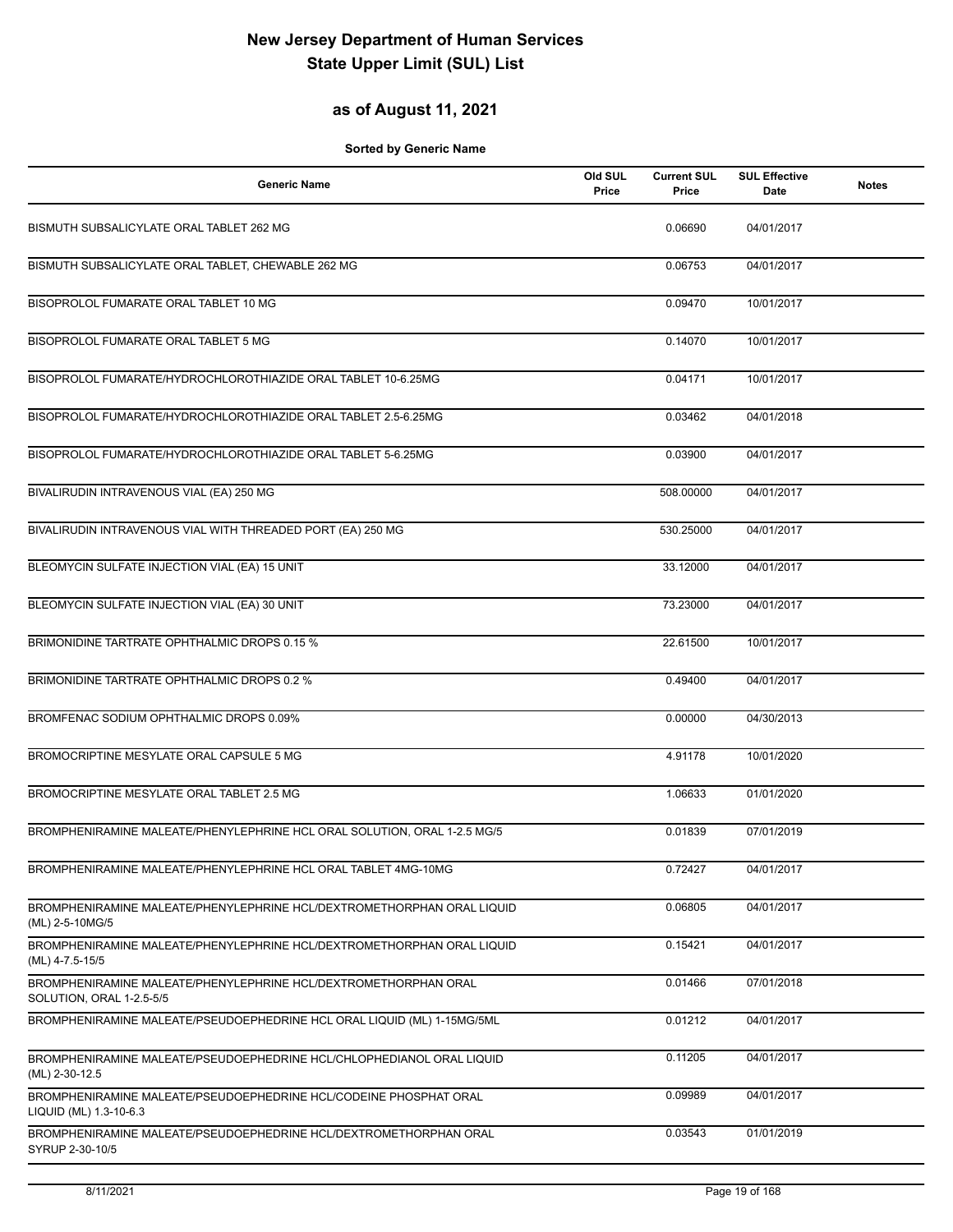### **as of August 11, 2021**

| <b>Generic Name</b>                                                                         | Old SUL<br>Price | <b>Current SUL</b><br>Price | <b>SUL Effective</b><br>Date | <b>Notes</b> |
|---------------------------------------------------------------------------------------------|------------------|-----------------------------|------------------------------|--------------|
| BISMUTH SUBSALICYLATE ORAL TABLET 262 MG                                                    |                  | 0.06690                     | 04/01/2017                   |              |
| BISMUTH SUBSALICYLATE ORAL TABLET, CHEWABLE 262 MG                                          |                  | 0.06753                     | 04/01/2017                   |              |
| BISOPROLOL FUMARATE ORAL TABLET 10 MG                                                       |                  | 0.09470                     | 10/01/2017                   |              |
| BISOPROLOL FUMARATE ORAL TABLET 5 MG                                                        |                  | 0.14070                     | 10/01/2017                   |              |
| BISOPROLOL FUMARATE/HYDROCHLOROTHIAZIDE ORAL TABLET 10-6.25MG                               |                  | 0.04171                     | 10/01/2017                   |              |
| BISOPROLOL FUMARATE/HYDROCHLOROTHIAZIDE ORAL TABLET 2.5-6.25MG                              |                  | 0.03462                     | 04/01/2018                   |              |
| BISOPROLOL FUMARATE/HYDROCHLOROTHIAZIDE ORAL TABLET 5-6.25MG                                |                  | 0.03900                     | 04/01/2017                   |              |
| BIVALIRUDIN INTRAVENOUS VIAL (EA) 250 MG                                                    |                  | 508.00000                   | 04/01/2017                   |              |
| BIVALIRUDIN INTRAVENOUS VIAL WITH THREADED PORT (EA) 250 MG                                 |                  | 530.25000                   | 04/01/2017                   |              |
| BLEOMYCIN SULFATE INJECTION VIAL (EA) 15 UNIT                                               |                  | 33.12000                    | 04/01/2017                   |              |
| BLEOMYCIN SULFATE INJECTION VIAL (EA) 30 UNIT                                               |                  | 73.23000                    | 04/01/2017                   |              |
| BRIMONIDINE TARTRATE OPHTHALMIC DROPS 0.15 %                                                |                  | 22.61500                    | 10/01/2017                   |              |
| BRIMONIDINE TARTRATE OPHTHALMIC DROPS 0.2 %                                                 |                  | 0.49400                     | 04/01/2017                   |              |
| BROMFENAC SODIUM OPHTHALMIC DROPS 0.09%                                                     |                  | 0.00000                     | 04/30/2013                   |              |
| BROMOCRIPTINE MESYLATE ORAL CAPSULE 5 MG                                                    |                  | 4.91178                     | 10/01/2020                   |              |
| BROMOCRIPTINE MESYLATE ORAL TABLET 2.5 MG                                                   |                  | 1.06633                     | 01/01/2020                   |              |
| BROMPHENIRAMINE MALEATE/PHENYLEPHRINE HCL ORAL SOLUTION, ORAL 1-2.5 MG/5                    |                  | 0.01839                     | 07/01/2019                   |              |
| BROMPHENIRAMINE MALEATE/PHENYLEPHRINE HCL ORAL TABLET 4MG-10MG                              |                  | 0.72427                     | 04/01/2017                   |              |
| BROMPHENIRAMINE MALEATE/PHENYLEPHRINE HCL/DEXTROMETHORPHAN ORAL LIQUID<br>(ML) 2-5-10MG/5   |                  | 0.06805                     | 04/01/2017                   |              |
| BROMPHENIRAMINE MALEATE/PHENYLEPHRINE HCL/DEXTROMETHORPHAN ORAL LIQUID<br>(ML) 4-7.5-15/5   |                  | 0.15421                     | 04/01/2017                   |              |
| BROMPHENIRAMINE MALEATE/PHENYLEPHRINE HCL/DEXTROMETHORPHAN ORAL<br>SOLUTION, ORAL 1-2.5-5/5 |                  | 0.01466                     | 07/01/2018                   |              |
| BROMPHENIRAMINE MALEATE/PSEUDOEPHEDRINE HCL ORAL LIQUID (ML) 1-15MG/5ML                     |                  | 0.01212                     | 04/01/2017                   |              |
| BROMPHENIRAMINE MALEATE/PSEUDOEPHEDRINE HCL/CHLOPHEDIANOL ORAL LIQUID<br>(ML) 2-30-12.5     |                  | 0.11205                     | 04/01/2017                   |              |
| BROMPHENIRAMINE MALEATE/PSEUDOEPHEDRINE HCL/CODEINE PHOSPHAT ORAL<br>LIQUID (ML) 1.3-10-6.3 |                  | 0.09989                     | 04/01/2017                   |              |
| BROMPHENIRAMINE MALEATE/PSEUDOEPHEDRINE HCL/DEXTROMETHORPHAN ORAL<br>SYRUP 2-30-10/5        |                  | 0.03543                     | 01/01/2019                   |              |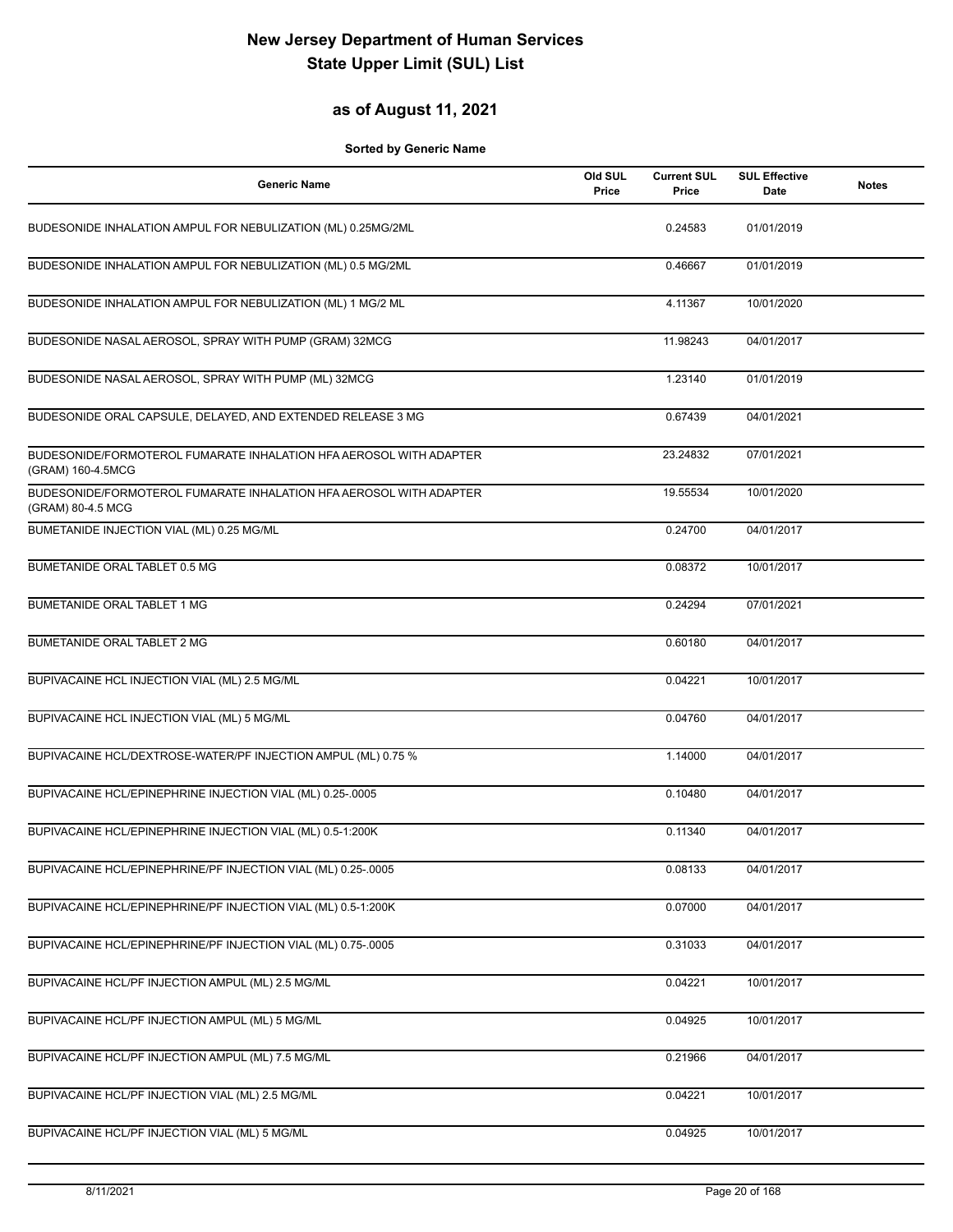## **as of August 11, 2021**

| <b>Generic Name</b>                                                                     | Old SUL<br>Price | <b>Current SUL</b><br>Price | <b>SUL Effective</b><br><b>Date</b> | <b>Notes</b> |
|-----------------------------------------------------------------------------------------|------------------|-----------------------------|-------------------------------------|--------------|
| BUDESONIDE INHALATION AMPUL FOR NEBULIZATION (ML) 0.25MG/2ML                            |                  | 0.24583                     | 01/01/2019                          |              |
| BUDESONIDE INHALATION AMPUL FOR NEBULIZATION (ML) 0.5 MG/2ML                            |                  | 0.46667                     | 01/01/2019                          |              |
| BUDESONIDE INHALATION AMPUL FOR NEBULIZATION (ML) 1 MG/2 ML                             |                  | 4.11367                     | 10/01/2020                          |              |
| BUDESONIDE NASAL AEROSOL, SPRAY WITH PUMP (GRAM) 32MCG                                  |                  | 11.98243                    | 04/01/2017                          |              |
| BUDESONIDE NASAL AEROSOL, SPRAY WITH PUMP (ML) 32MCG                                    |                  | 1.23140                     | 01/01/2019                          |              |
| BUDESONIDE ORAL CAPSULE, DELAYED, AND EXTENDED RELEASE 3 MG                             |                  | 0.67439                     | 04/01/2021                          |              |
| BUDESONIDE/FORMOTEROL FUMARATE INHALATION HFA AEROSOL WITH ADAPTER<br>(GRAM) 160-4.5MCG |                  | 23.24832                    | 07/01/2021                          |              |
| BUDESONIDE/FORMOTEROL FUMARATE INHALATION HFA AEROSOL WITH ADAPTER<br>(GRAM) 80-4.5 MCG |                  | 19.55534                    | 10/01/2020                          |              |
| BUMETANIDE INJECTION VIAL (ML) 0.25 MG/ML                                               |                  | 0.24700                     | 04/01/2017                          |              |
| BUMETANIDE ORAL TABLET 0.5 MG                                                           |                  | 0.08372                     | 10/01/2017                          |              |
| <b>BUMETANIDE ORAL TABLET 1 MG</b>                                                      |                  | 0.24294                     | 07/01/2021                          |              |
| <b>BUMETANIDE ORAL TABLET 2 MG</b>                                                      |                  | 0.60180                     | 04/01/2017                          |              |
| BUPIVACAINE HCL INJECTION VIAL (ML) 2.5 MG/ML                                           |                  | 0.04221                     | 10/01/2017                          |              |
| BUPIVACAINE HCL INJECTION VIAL (ML) 5 MG/ML                                             |                  | 0.04760                     | 04/01/2017                          |              |
| BUPIVACAINE HCL/DEXTROSE-WATER/PF INJECTION AMPUL (ML) 0.75 %                           |                  | 1.14000                     | 04/01/2017                          |              |
| BUPIVACAINE HCL/EPINEPHRINE INJECTION VIAL (ML) 0.25-.0005                              |                  | 0.10480                     | 04/01/2017                          |              |
| BUPIVACAINE HCL/EPINEPHRINE INJECTION VIAL (ML) 0.5-1:200K                              |                  | 0.11340                     | 04/01/2017                          |              |
| BUPIVACAINE HCL/EPINEPHRINE/PF INJECTION VIAL (ML) 0.25-.0005                           |                  | 0.08133                     | 04/01/2017                          |              |
| BUPIVACAINE HCL/EPINEPHRINE/PF INJECTION VIAL (ML) 0.5-1:200K                           |                  | 0.07000                     | 04/01/2017                          |              |
| BUPIVACAINE HCL/EPINEPHRINE/PF INJECTION VIAL (ML) 0.75-.0005                           |                  | 0.31033                     | 04/01/2017                          |              |
| BUPIVACAINE HCL/PF INJECTION AMPUL (ML) 2.5 MG/ML                                       |                  | 0.04221                     | 10/01/2017                          |              |
| BUPIVACAINE HCL/PF INJECTION AMPUL (ML) 5 MG/ML                                         |                  | 0.04925                     | 10/01/2017                          |              |
| BUPIVACAINE HCL/PF INJECTION AMPUL (ML) 7.5 MG/ML                                       |                  | 0.21966                     | 04/01/2017                          |              |
| BUPIVACAINE HCL/PF INJECTION VIAL (ML) 2.5 MG/ML                                        |                  | 0.04221                     | 10/01/2017                          |              |
| BUPIVACAINE HCL/PF INJECTION VIAL (ML) 5 MG/ML                                          |                  | 0.04925                     | 10/01/2017                          |              |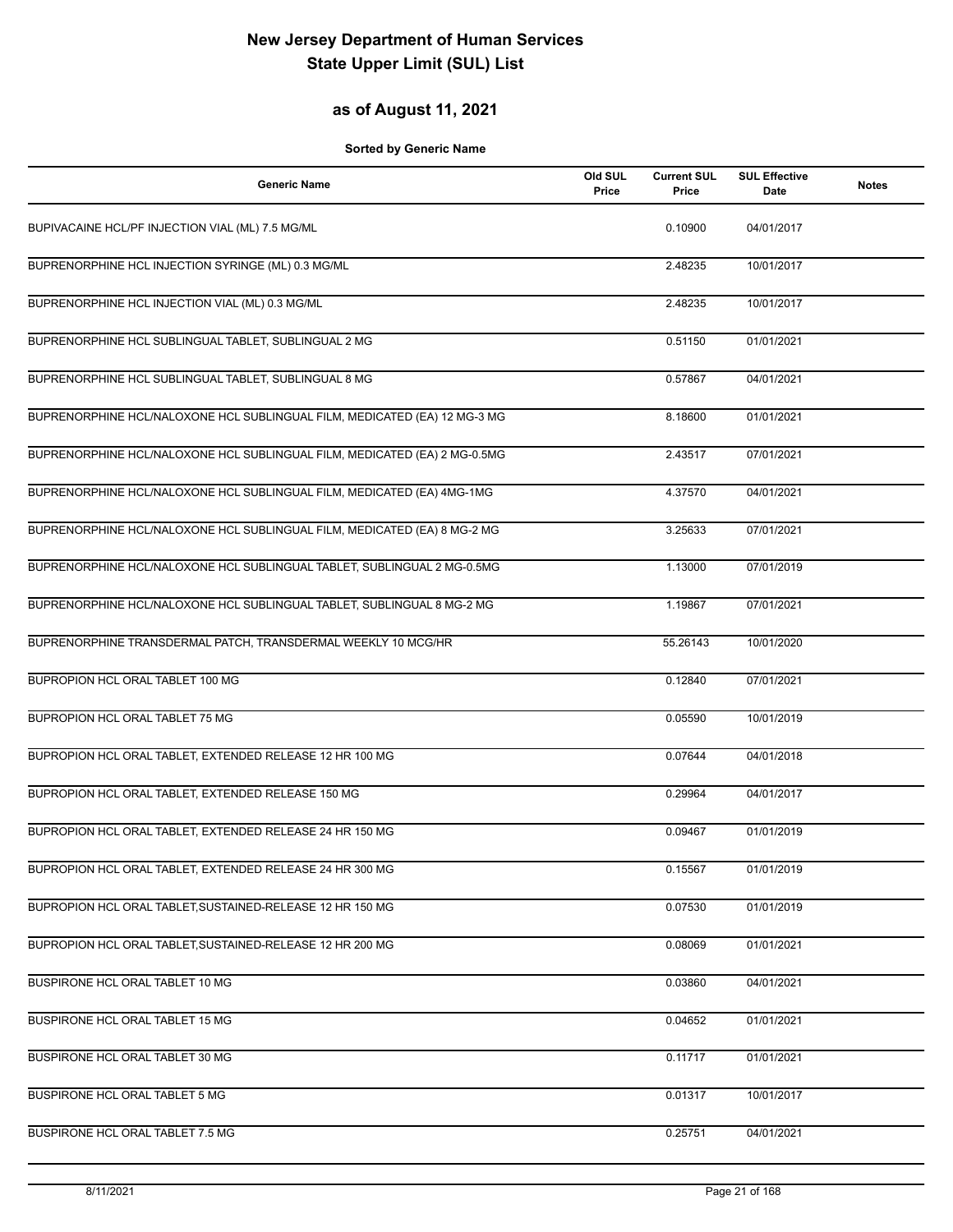### **as of August 11, 2021**

| <b>Generic Name</b>                                                       | Old SUL<br>Price | <b>Current SUL</b><br>Price | <b>SUL Effective</b><br><b>Date</b> | <b>Notes</b> |
|---------------------------------------------------------------------------|------------------|-----------------------------|-------------------------------------|--------------|
| BUPIVACAINE HCL/PF INJECTION VIAL (ML) 7.5 MG/ML                          |                  | 0.10900                     | 04/01/2017                          |              |
| BUPRENORPHINE HCL INJECTION SYRINGE (ML) 0.3 MG/ML                        |                  | 2.48235                     | 10/01/2017                          |              |
| BUPRENORPHINE HCL INJECTION VIAL (ML) 0.3 MG/ML                           |                  | 2.48235                     | 10/01/2017                          |              |
| BUPRENORPHINE HCL SUBLINGUAL TABLET, SUBLINGUAL 2 MG                      |                  | 0.51150                     | 01/01/2021                          |              |
| BUPRENORPHINE HCL SUBLINGUAL TABLET, SUBLINGUAL 8 MG                      |                  | 0.57867                     | 04/01/2021                          |              |
| BUPRENORPHINE HCL/NALOXONE HCL SUBLINGUAL FILM, MEDICATED (EA) 12 MG-3 MG |                  | 8.18600                     | 01/01/2021                          |              |
| BUPRENORPHINE HCL/NALOXONE HCL SUBLINGUAL FILM, MEDICATED (EA) 2 MG-0.5MG |                  | 2.43517                     | 07/01/2021                          |              |
| BUPRENORPHINE HCL/NALOXONE HCL SUBLINGUAL FILM, MEDICATED (EA) 4MG-1MG    |                  | 4.37570                     | 04/01/2021                          |              |
| BUPRENORPHINE HCL/NALOXONE HCL SUBLINGUAL FILM, MEDICATED (EA) 8 MG-2 MG  |                  | 3.25633                     | 07/01/2021                          |              |
| BUPRENORPHINE HCL/NALOXONE HCL SUBLINGUAL TABLET, SUBLINGUAL 2 MG-0.5MG   |                  | 1.13000                     | 07/01/2019                          |              |
| BUPRENORPHINE HCL/NALOXONE HCL SUBLINGUAL TABLET, SUBLINGUAL 8 MG-2 MG    |                  | 1.19867                     | 07/01/2021                          |              |
| BUPRENORPHINE TRANSDERMAL PATCH, TRANSDERMAL WEEKLY 10 MCG/HR             |                  | 55.26143                    | 10/01/2020                          |              |
| BUPROPION HCL ORAL TABLET 100 MG                                          |                  | 0.12840                     | 07/01/2021                          |              |
| BUPROPION HCL ORAL TABLET 75 MG                                           |                  | 0.05590                     | 10/01/2019                          |              |
| BUPROPION HCL ORAL TABLET, EXTENDED RELEASE 12 HR 100 MG                  |                  | 0.07644                     | 04/01/2018                          |              |
| BUPROPION HCL ORAL TABLET, EXTENDED RELEASE 150 MG                        |                  | 0.29964                     | 04/01/2017                          |              |
| BUPROPION HCL ORAL TABLET, EXTENDED RELEASE 24 HR 150 MG                  |                  | 0.09467                     | 01/01/2019                          |              |
| BUPROPION HCL ORAL TABLET, EXTENDED RELEASE 24 HR 300 MG                  |                  | 0.15567                     | 01/01/2019                          |              |
| BUPROPION HCL ORAL TABLET, SUSTAINED-RELEASE 12 HR 150 MG                 |                  | 0.07530                     | 01/01/2019                          |              |
| BUPROPION HCL ORAL TABLET, SUSTAINED-RELEASE 12 HR 200 MG                 |                  | 0.08069                     | 01/01/2021                          |              |
| BUSPIRONE HCL ORAL TABLET 10 MG                                           |                  | 0.03860                     | 04/01/2021                          |              |
| BUSPIRONE HCL ORAL TABLET 15 MG                                           |                  | 0.04652                     | 01/01/2021                          |              |
| BUSPIRONE HCL ORAL TABLET 30 MG                                           |                  | 0.11717                     | 01/01/2021                          |              |
| BUSPIRONE HCL ORAL TABLET 5 MG                                            |                  | 0.01317                     | 10/01/2017                          |              |
| BUSPIRONE HCL ORAL TABLET 7.5 MG                                          |                  | 0.25751                     | 04/01/2021                          |              |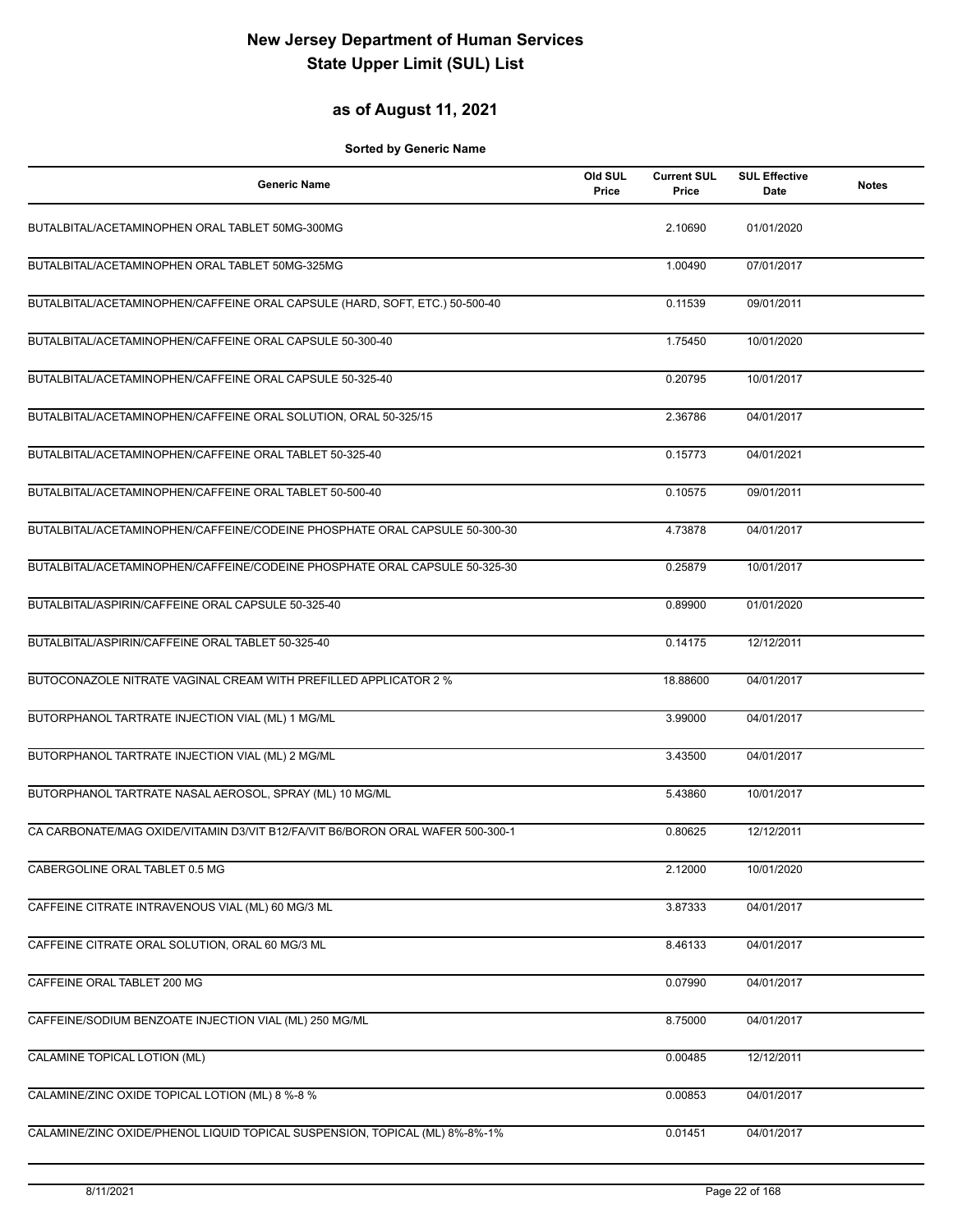## **as of August 11, 2021**

| <b>Generic Name</b>                                                            | Old SUL<br>Price | <b>Current SUL</b><br>Price | <b>SUL Effective</b><br>Date | <b>Notes</b> |
|--------------------------------------------------------------------------------|------------------|-----------------------------|------------------------------|--------------|
| BUTALBITAL/ACETAMINOPHEN ORAL TABLET 50MG-300MG                                |                  | 2.10690                     | 01/01/2020                   |              |
| BUTALBITAL/ACETAMINOPHEN ORAL TABLET 50MG-325MG                                |                  | 1.00490                     | 07/01/2017                   |              |
| BUTALBITAL/ACETAMINOPHEN/CAFFEINE ORAL CAPSULE (HARD, SOFT, ETC.) 50-500-40    |                  | 0.11539                     | 09/01/2011                   |              |
| BUTALBITAL/ACETAMINOPHEN/CAFFEINE ORAL CAPSULE 50-300-40                       |                  | 1.75450                     | 10/01/2020                   |              |
| BUTALBITAL/ACETAMINOPHEN/CAFFEINE ORAL CAPSULE 50-325-40                       |                  | 0.20795                     | 10/01/2017                   |              |
| BUTALBITAL/ACETAMINOPHEN/CAFFEINE ORAL SOLUTION, ORAL 50-325/15                |                  | 2.36786                     | 04/01/2017                   |              |
| BUTALBITAL/ACETAMINOPHEN/CAFFEINE ORAL TABLET 50-325-40                        |                  | 0.15773                     | 04/01/2021                   |              |
| BUTALBITAL/ACETAMINOPHEN/CAFFEINE ORAL TABLET 50-500-40                        |                  | 0.10575                     | 09/01/2011                   |              |
| BUTALBITAL/ACETAMINOPHEN/CAFFEINE/CODEINE PHOSPHATE ORAL CAPSULE 50-300-30     |                  | 4.73878                     | 04/01/2017                   |              |
| BUTALBITAL/ACETAMINOPHEN/CAFFEINE/CODEINE PHOSPHATE ORAL CAPSULE 50-325-30     |                  | 0.25879                     | 10/01/2017                   |              |
| BUTALBITAL/ASPIRIN/CAFFEINE ORAL CAPSULE 50-325-40                             |                  | 0.89900                     | 01/01/2020                   |              |
| BUTALBITAL/ASPIRIN/CAFFEINE ORAL TABLET 50-325-40                              |                  | 0.14175                     | 12/12/2011                   |              |
| BUTOCONAZOLE NITRATE VAGINAL CREAM WITH PREFILLED APPLICATOR 2 %               |                  | 18.88600                    | 04/01/2017                   |              |
| BUTORPHANOL TARTRATE INJECTION VIAL (ML) 1 MG/ML                               |                  | 3.99000                     | 04/01/2017                   |              |
| BUTORPHANOL TARTRATE INJECTION VIAL (ML) 2 MG/ML                               |                  | 3.43500                     | 04/01/2017                   |              |
| BUTORPHANOL TARTRATE NASAL AEROSOL, SPRAY (ML) 10 MG/ML                        |                  | 5.43860                     | 10/01/2017                   |              |
| CA CARBONATE/MAG OXIDE/VITAMIN D3/VIT B12/FA/VIT B6/BORON ORAL WAFER 500-300-1 |                  | 0.80625                     | 12/12/2011                   |              |
| CABERGOLINE ORAL TABLET 0.5 MG                                                 |                  | 2.12000                     | 10/01/2020                   |              |
| CAFFEINE CITRATE INTRAVENOUS VIAL (ML) 60 MG/3 ML                              |                  | 3.87333                     | 04/01/2017                   |              |
| CAFFEINE CITRATE ORAL SOLUTION, ORAL 60 MG/3 ML                                |                  | 8.46133                     | 04/01/2017                   |              |
| CAFFEINE ORAL TABLET 200 MG                                                    |                  | 0.07990                     | 04/01/2017                   |              |
| CAFFEINE/SODIUM BENZOATE INJECTION VIAL (ML) 250 MG/ML                         |                  | 8.75000                     | 04/01/2017                   |              |
| CALAMINE TOPICAL LOTION (ML)                                                   |                  | 0.00485                     | 12/12/2011                   |              |
| CALAMINE/ZINC OXIDE TOPICAL LOTION (ML) 8 %-8 %                                |                  | 0.00853                     | 04/01/2017                   |              |
| CALAMINE/ZINC OXIDE/PHENOL LIQUID TOPICAL SUSPENSION, TOPICAL (ML) 8%-8%-1%    |                  | 0.01451                     | 04/01/2017                   |              |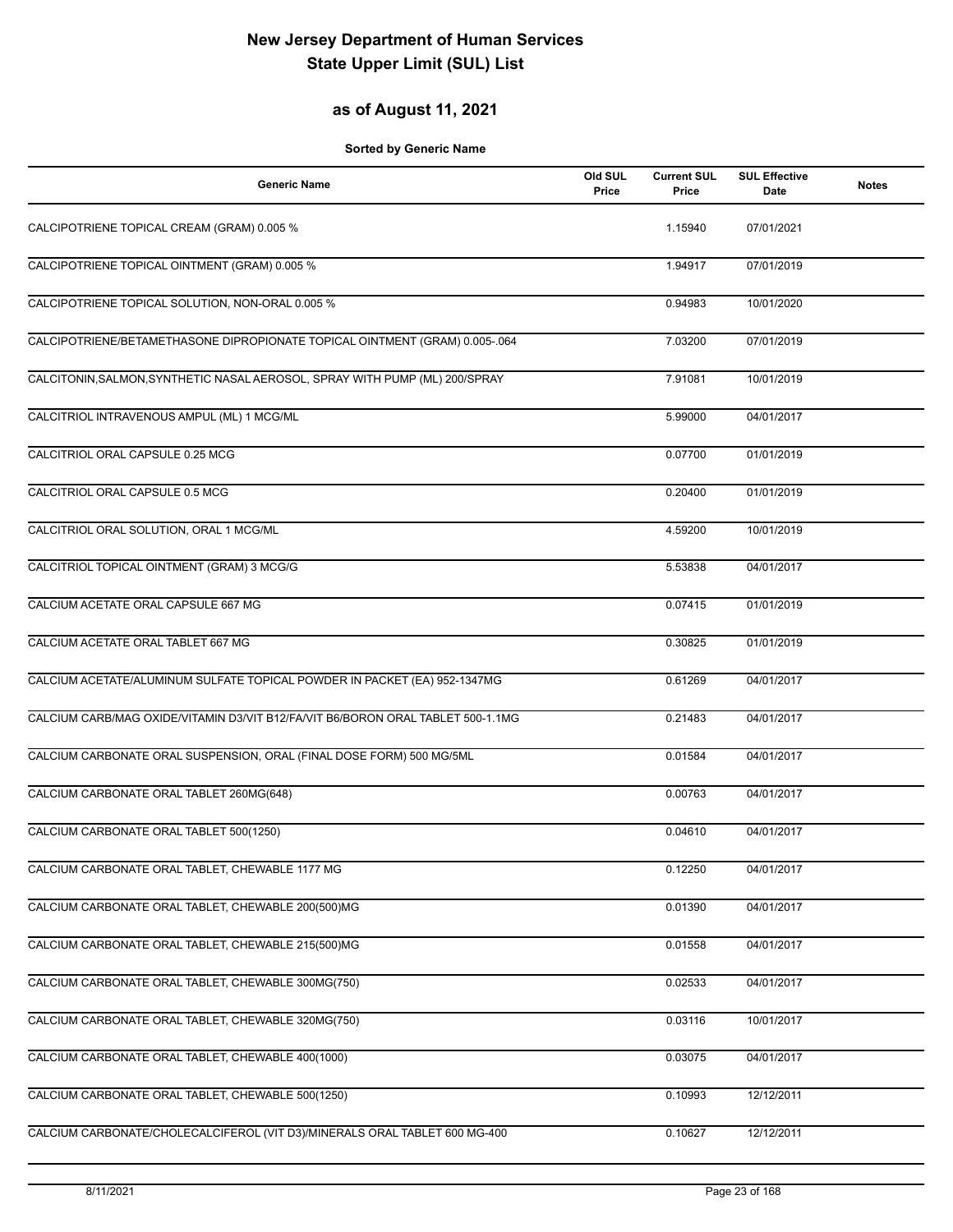## **as of August 11, 2021**

| <b>Generic Name</b>                                                             | Old SUL<br>Price | <b>Current SUL</b><br>Price | <b>SUL Effective</b><br><b>Date</b> | <b>Notes</b> |
|---------------------------------------------------------------------------------|------------------|-----------------------------|-------------------------------------|--------------|
| CALCIPOTRIENE TOPICAL CREAM (GRAM) 0.005 %                                      |                  | 1.15940                     | 07/01/2021                          |              |
| CALCIPOTRIENE TOPICAL OINTMENT (GRAM) 0.005 %                                   |                  | 1.94917                     | 07/01/2019                          |              |
| CALCIPOTRIENE TOPICAL SOLUTION, NON-ORAL 0.005 %                                |                  | 0.94983                     | 10/01/2020                          |              |
| CALCIPOTRIENE/BETAMETHASONE DIPROPIONATE TOPICAL OINTMENT (GRAM) 0.005-.064     |                  | 7.03200                     | 07/01/2019                          |              |
| CALCITONIN, SALMON, SYNTHETIC NASAL AEROSOL, SPRAY WITH PUMP (ML) 200/SPRAY     |                  | 7.91081                     | 10/01/2019                          |              |
| CALCITRIOL INTRAVENOUS AMPUL (ML) 1 MCG/ML                                      |                  | 5.99000                     | 04/01/2017                          |              |
| CALCITRIOL ORAL CAPSULE 0.25 MCG                                                |                  | 0.07700                     | 01/01/2019                          |              |
| CALCITRIOL ORAL CAPSULE 0.5 MCG                                                 |                  | 0.20400                     | 01/01/2019                          |              |
| CALCITRIOL ORAL SOLUTION, ORAL 1 MCG/ML                                         |                  | 4.59200                     | 10/01/2019                          |              |
| CALCITRIOL TOPICAL OINTMENT (GRAM) 3 MCG/G                                      |                  | 5.53838                     | 04/01/2017                          |              |
| CALCIUM ACETATE ORAL CAPSULE 667 MG                                             |                  | 0.07415                     | 01/01/2019                          |              |
| CALCIUM ACETATE ORAL TABLET 667 MG                                              |                  | 0.30825                     | 01/01/2019                          |              |
| CALCIUM ACETATE/ALUMINUM SULFATE TOPICAL POWDER IN PACKET (EA) 952-1347MG       |                  | 0.61269                     | 04/01/2017                          |              |
| CALCIUM CARB/MAG OXIDE/VITAMIN D3/VIT B12/FA/VIT B6/BORON ORAL TABLET 500-1.1MG |                  | 0.21483                     | 04/01/2017                          |              |
| CALCIUM CARBONATE ORAL SUSPENSION, ORAL (FINAL DOSE FORM) 500 MG/5ML            |                  | 0.01584                     | 04/01/2017                          |              |
| CALCIUM CARBONATE ORAL TABLET 260MG(648)                                        |                  | 0.00763                     | 04/01/2017                          |              |
| CALCIUM CARBONATE ORAL TABLET 500(1250)                                         |                  | 0.04610                     | 04/01/2017                          |              |
| CALCIUM CARBONATE ORAL TABLET, CHEWABLE 1177 MG                                 |                  | 0.12250                     | 04/01/2017                          |              |
| CALCIUM CARBONATE ORAL TABLET, CHEWABLE 200(500)MG                              |                  | 0.01390                     | 04/01/2017                          |              |
| CALCIUM CARBONATE ORAL TABLET, CHEWABLE 215(500)MG                              |                  | 0.01558                     | 04/01/2017                          |              |
| CALCIUM CARBONATE ORAL TABLET, CHEWABLE 300MG(750)                              |                  | 0.02533                     | 04/01/2017                          |              |
| CALCIUM CARBONATE ORAL TABLET, CHEWABLE 320MG(750)                              |                  | 0.03116                     | 10/01/2017                          |              |
| CALCIUM CARBONATE ORAL TABLET, CHEWABLE 400(1000)                               |                  | 0.03075                     | 04/01/2017                          |              |
| CALCIUM CARBONATE ORAL TABLET, CHEWABLE 500(1250)                               |                  | $0.\overline{10993}$        | 12/12/2011                          |              |
| CALCIUM CARBONATE/CHOLECALCIFEROL (VIT D3)/MINERALS ORAL TABLET 600 MG-400      |                  | 0.10627                     | 12/12/2011                          |              |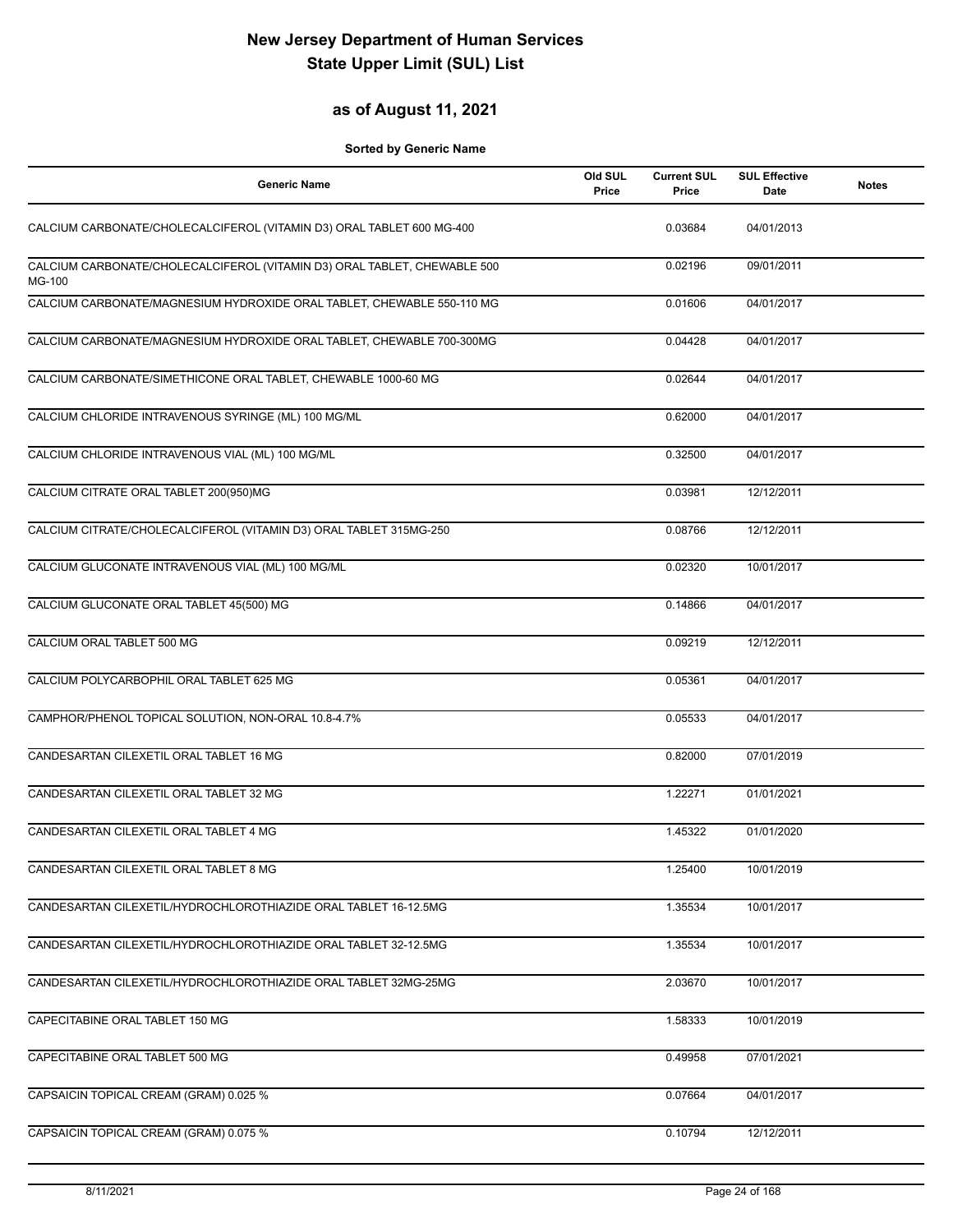## **as of August 11, 2021**

| <b>Generic Name</b>                                                                | Old SUL<br>Price | <b>Current SUL</b><br>Price | <b>SUL Effective</b><br>Date | <b>Notes</b> |
|------------------------------------------------------------------------------------|------------------|-----------------------------|------------------------------|--------------|
| CALCIUM CARBONATE/CHOLECALCIFEROL (VITAMIN D3) ORAL TABLET 600 MG-400              |                  | 0.03684                     | 04/01/2013                   |              |
| CALCIUM CARBONATE/CHOLECALCIFEROL (VITAMIN D3) ORAL TABLET, CHEWABLE 500<br>MG-100 |                  | 0.02196                     | 09/01/2011                   |              |
| CALCIUM CARBONATE/MAGNESIUM HYDROXIDE ORAL TABLET, CHEWABLE 550-110 MG             |                  | 0.01606                     | 04/01/2017                   |              |
| CALCIUM CARBONATE/MAGNESIUM HYDROXIDE ORAL TABLET, CHEWABLE 700-300MG              |                  | 0.04428                     | 04/01/2017                   |              |
| CALCIUM CARBONATE/SIMETHICONE ORAL TABLET, CHEWABLE 1000-60 MG                     |                  | 0.02644                     | 04/01/2017                   |              |
| CALCIUM CHLORIDE INTRAVENOUS SYRINGE (ML) 100 MG/ML                                |                  | 0.62000                     | 04/01/2017                   |              |
| CALCIUM CHLORIDE INTRAVENOUS VIAL (ML) 100 MG/ML                                   |                  | 0.32500                     | 04/01/2017                   |              |
| CALCIUM CITRATE ORAL TABLET 200(950)MG                                             |                  | 0.03981                     | 12/12/2011                   |              |
| CALCIUM CITRATE/CHOLECALCIFEROL (VITAMIN D3) ORAL TABLET 315MG-250                 |                  | 0.08766                     | 12/12/2011                   |              |
| CALCIUM GLUCONATE INTRAVENOUS VIAL (ML) 100 MG/ML                                  |                  | 0.02320                     | 10/01/2017                   |              |
| CALCIUM GLUCONATE ORAL TABLET 45(500) MG                                           |                  | 0.14866                     | 04/01/2017                   |              |
| CALCIUM ORAL TABLET 500 MG                                                         |                  | 0.09219                     | 12/12/2011                   |              |
| CALCIUM POLYCARBOPHIL ORAL TABLET 625 MG                                           |                  | 0.05361                     | 04/01/2017                   |              |
| CAMPHOR/PHENOL TOPICAL SOLUTION, NON-ORAL 10.8-4.7%                                |                  | 0.05533                     | 04/01/2017                   |              |
| CANDESARTAN CILEXETIL ORAL TABLET 16 MG                                            |                  | 0.82000                     | 07/01/2019                   |              |
| CANDESARTAN CILEXETIL ORAL TABLET 32 MG                                            |                  | 1.22271                     | 01/01/2021                   |              |
| CANDESARTAN CILEXETIL ORAL TABLET 4 MG                                             |                  | 1.45322                     | 01/01/2020                   |              |
| CANDESARTAN CILEXETIL ORAL TABLET 8 MG                                             |                  | 1.25400                     | 10/01/2019                   |              |
| CANDESARTAN CILEXETIL/HYDROCHLOROTHIAZIDE ORAL TABLET 16-12.5MG                    |                  | 1.35534                     | 10/01/2017                   |              |
| CANDESARTAN CILEXETIL/HYDROCHLOROTHIAZIDE ORAL TABLET 32-12.5MG                    |                  | 1.35534                     | 10/01/2017                   |              |
| CANDESARTAN CILEXETIL/HYDROCHLOROTHIAZIDE ORAL TABLET 32MG-25MG                    |                  | 2.03670                     | 10/01/2017                   |              |
| CAPECITABINE ORAL TABLET 150 MG                                                    |                  | 1.58333                     | 10/01/2019                   |              |
| CAPECITABINE ORAL TABLET 500 MG                                                    |                  | 0.49958                     | 07/01/2021                   |              |
| CAPSAICIN TOPICAL CREAM (GRAM) 0.025 %                                             |                  | 0.07664                     | 04/01/2017                   |              |
| CAPSAICIN TOPICAL CREAM (GRAM) 0.075 %                                             |                  | 0.10794                     | 12/12/2011                   |              |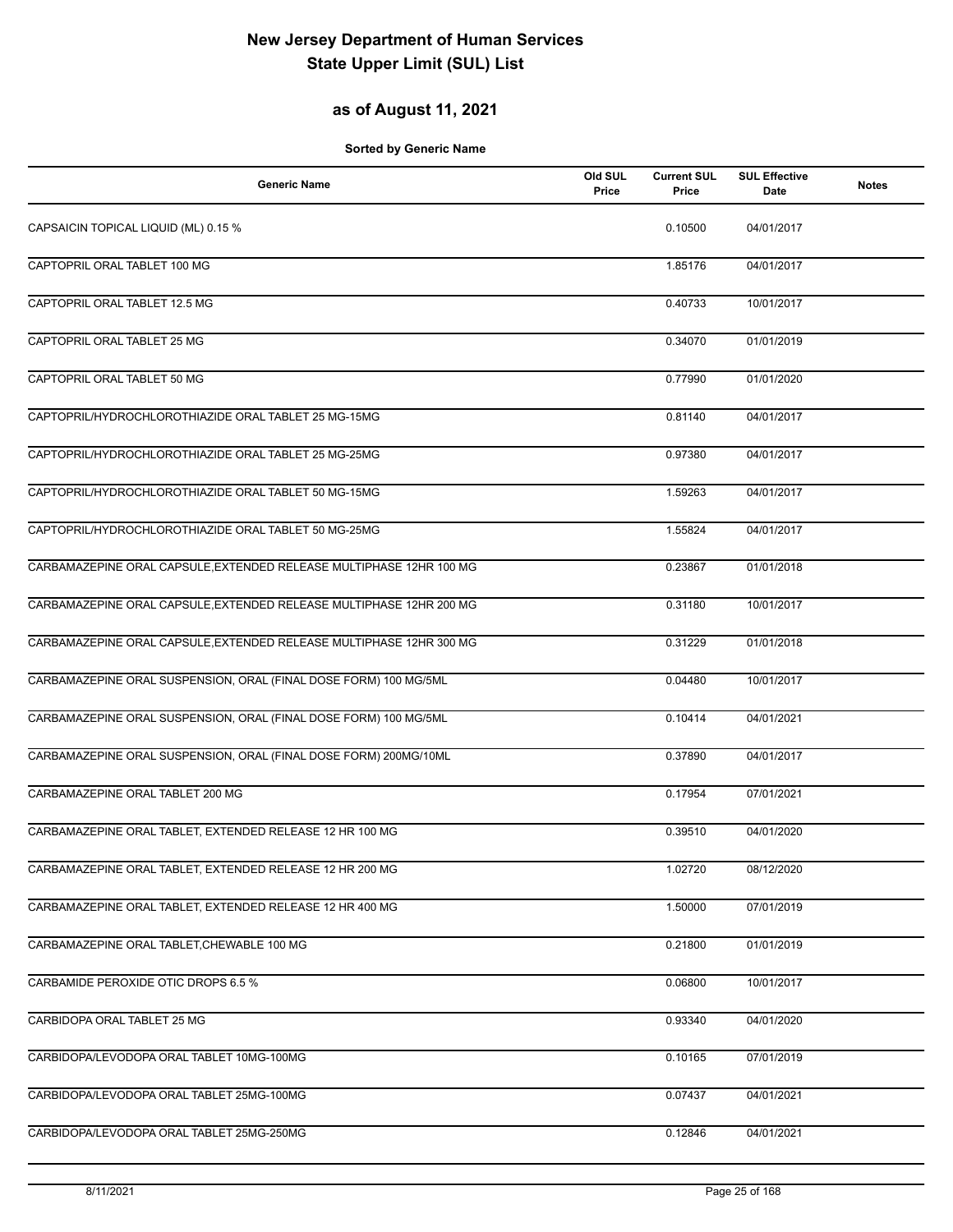## **as of August 11, 2021**

| <b>Generic Name</b>                                                 | Old SUL<br>Price | <b>Current SUL</b><br>Price | <b>SUL Effective</b><br>Date | <b>Notes</b> |
|---------------------------------------------------------------------|------------------|-----------------------------|------------------------------|--------------|
| CAPSAICIN TOPICAL LIQUID (ML) 0.15 %                                |                  | 0.10500                     | 04/01/2017                   |              |
| CAPTOPRIL ORAL TABLET 100 MG                                        |                  | 1.85176                     | 04/01/2017                   |              |
| CAPTOPRIL ORAL TABLET 12.5 MG                                       |                  | 0.40733                     | 10/01/2017                   |              |
| CAPTOPRIL ORAL TABLET 25 MG                                         |                  | 0.34070                     | 01/01/2019                   |              |
| CAPTOPRIL ORAL TABLET 50 MG                                         |                  | 0.77990                     | 01/01/2020                   |              |
| CAPTOPRIL/HYDROCHLOROTHIAZIDE ORAL TABLET 25 MG-15MG                |                  | 0.81140                     | 04/01/2017                   |              |
| CAPTOPRIL/HYDROCHLOROTHIAZIDE ORAL TABLET 25 MG-25MG                |                  | 0.97380                     | 04/01/2017                   |              |
| CAPTOPRIL/HYDROCHLOROTHIAZIDE ORAL TABLET 50 MG-15MG                |                  | 1.59263                     | 04/01/2017                   |              |
| CAPTOPRIL/HYDROCHLOROTHIAZIDE ORAL TABLET 50 MG-25MG                |                  | 1.55824                     | 04/01/2017                   |              |
| CARBAMAZEPINE ORAL CAPSULE, EXTENDED RELEASE MULTIPHASE 12HR 100 MG |                  | 0.23867                     | 01/01/2018                   |              |
| CARBAMAZEPINE ORAL CAPSULE, EXTENDED RELEASE MULTIPHASE 12HR 200 MG |                  | 0.31180                     | 10/01/2017                   |              |
| CARBAMAZEPINE ORAL CAPSULE, EXTENDED RELEASE MULTIPHASE 12HR 300 MG |                  | 0.31229                     | 01/01/2018                   |              |
| CARBAMAZEPINE ORAL SUSPENSION, ORAL (FINAL DOSE FORM) 100 MG/5ML    |                  | 0.04480                     | 10/01/2017                   |              |
| CARBAMAZEPINE ORAL SUSPENSION, ORAL (FINAL DOSE FORM) 100 MG/5ML    |                  | 0.10414                     | 04/01/2021                   |              |
| CARBAMAZEPINE ORAL SUSPENSION, ORAL (FINAL DOSE FORM) 200MG/10ML    |                  | 0.37890                     | 04/01/2017                   |              |
| CARBAMAZEPINE ORAL TABLET 200 MG                                    |                  | 0.17954                     | 07/01/2021                   |              |
| CARBAMAZEPINE ORAL TABLET, EXTENDED RELEASE 12 HR 100 MG            |                  | 0.39510                     | 04/01/2020                   |              |
| CARBAMAZEPINE ORAL TABLET, EXTENDED RELEASE 12 HR 200 MG            |                  | 1.02720                     | 08/12/2020                   |              |
| CARBAMAZEPINE ORAL TABLET, EXTENDED RELEASE 12 HR 400 MG            |                  | 1.50000                     | 07/01/2019                   |              |
| CARBAMAZEPINE ORAL TABLET, CHEWABLE 100 MG                          |                  | 0.21800                     | 01/01/2019                   |              |
| CARBAMIDE PEROXIDE OTIC DROPS 6.5 %                                 |                  | 0.06800                     | 10/01/2017                   |              |
| CARBIDOPA ORAL TABLET 25 MG                                         |                  | 0.93340                     | 04/01/2020                   |              |
| CARBIDOPA/LEVODOPA ORAL TABLET 10MG-100MG                           |                  | 0.10165                     | 07/01/2019                   |              |
| CARBIDOPA/LEVODOPA ORAL TABLET 25MG-100MG                           |                  | 0.07437                     | 04/01/2021                   |              |
| CARBIDOPA/LEVODOPA ORAL TABLET 25MG-250MG                           |                  | 0.12846                     | 04/01/2021                   |              |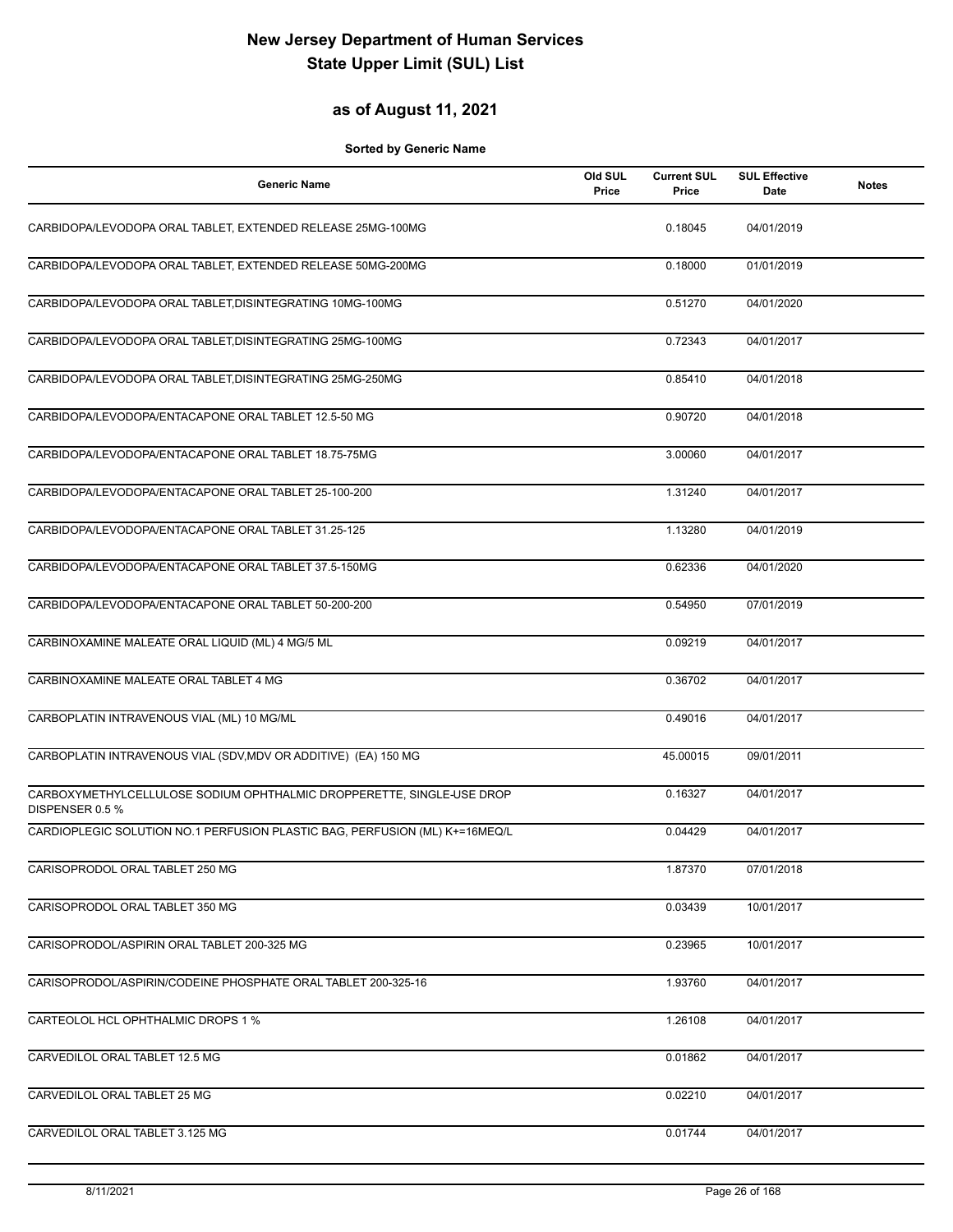## **as of August 11, 2021**

| <b>Generic Name</b>                                                                      | Old SUL<br>Price | <b>Current SUL</b><br>Price | <b>SUL Effective</b><br>Date | <b>Notes</b> |
|------------------------------------------------------------------------------------------|------------------|-----------------------------|------------------------------|--------------|
| CARBIDOPA/LEVODOPA ORAL TABLET, EXTENDED RELEASE 25MG-100MG                              |                  | 0.18045                     | 04/01/2019                   |              |
| CARBIDOPA/LEVODOPA ORAL TABLET, EXTENDED RELEASE 50MG-200MG                              |                  | 0.18000                     | 01/01/2019                   |              |
| CARBIDOPA/LEVODOPA ORAL TABLET, DISINTEGRATING 10MG-100MG                                |                  | 0.51270                     | 04/01/2020                   |              |
| CARBIDOPA/LEVODOPA ORAL TABLET, DISINTEGRATING 25MG-100MG                                |                  | 0.72343                     | 04/01/2017                   |              |
| CARBIDOPA/LEVODOPA ORAL TABLET, DISINTEGRATING 25MG-250MG                                |                  | 0.85410                     | 04/01/2018                   |              |
| CARBIDOPA/LEVODOPA/ENTACAPONE ORAL TABLET 12.5-50 MG                                     |                  | 0.90720                     | 04/01/2018                   |              |
| CARBIDOPA/LEVODOPA/ENTACAPONE ORAL TABLET 18.75-75MG                                     |                  | 3.00060                     | 04/01/2017                   |              |
| CARBIDOPA/LEVODOPA/ENTACAPONE ORAL TABLET 25-100-200                                     |                  | 1.31240                     | 04/01/2017                   |              |
| CARBIDOPA/LEVODOPA/ENTACAPONE ORAL TABLET 31.25-125                                      |                  | 1.13280                     | 04/01/2019                   |              |
| CARBIDOPA/LEVODOPA/ENTACAPONE ORAL TABLET 37.5-150MG                                     |                  | 0.62336                     | 04/01/2020                   |              |
| CARBIDOPA/LEVODOPA/ENTACAPONE ORAL TABLET 50-200-200                                     |                  | 0.54950                     | 07/01/2019                   |              |
| CARBINOXAMINE MALEATE ORAL LIQUID (ML) 4 MG/5 ML                                         |                  | 0.09219                     | 04/01/2017                   |              |
| CARBINOXAMINE MALEATE ORAL TABLET 4 MG                                                   |                  | 0.36702                     | 04/01/2017                   |              |
| CARBOPLATIN INTRAVENOUS VIAL (ML) 10 MG/ML                                               |                  | 0.49016                     | 04/01/2017                   |              |
| CARBOPLATIN INTRAVENOUS VIAL (SDV, MDV OR ADDITIVE) (EA) 150 MG                          |                  | 45.00015                    | 09/01/2011                   |              |
| CARBOXYMETHYLCELLULOSE SODIUM OPHTHALMIC DROPPERETTE, SINGLE-USE DROP<br>DISPENSER 0.5 % |                  | 0.16327                     | 04/01/2017                   |              |
| CARDIOPLEGIC SOLUTION NO.1 PERFUSION PLASTIC BAG, PERFUSION (ML) K+=16MEQ/L              |                  | 0.04429                     | 04/01/2017                   |              |
| CARISOPRODOL ORAL TABLET 250 MG                                                          |                  | 1.87370                     | 07/01/2018                   |              |
| CARISOPRODOL ORAL TABLET 350 MG                                                          |                  | 0.03439                     | 10/01/2017                   |              |
| CARISOPRODOL/ASPIRIN ORAL TABLET 200-325 MG                                              |                  | 0.23965                     | 10/01/2017                   |              |
| CARISOPRODOL/ASPIRIN/CODEINE PHOSPHATE ORAL TABLET 200-325-16                            |                  | 1.93760                     | 04/01/2017                   |              |
| CARTEOLOL HCL OPHTHALMIC DROPS 1 %                                                       |                  | 1.26108                     | 04/01/2017                   |              |
| CARVEDILOL ORAL TABLET 12.5 MG                                                           |                  | 0.01862                     | 04/01/2017                   |              |
| CARVEDILOL ORAL TABLET 25 MG                                                             |                  | 0.02210                     | 04/01/2017                   |              |
| CARVEDILOL ORAL TABLET 3.125 MG                                                          |                  | 0.01744                     | 04/01/2017                   |              |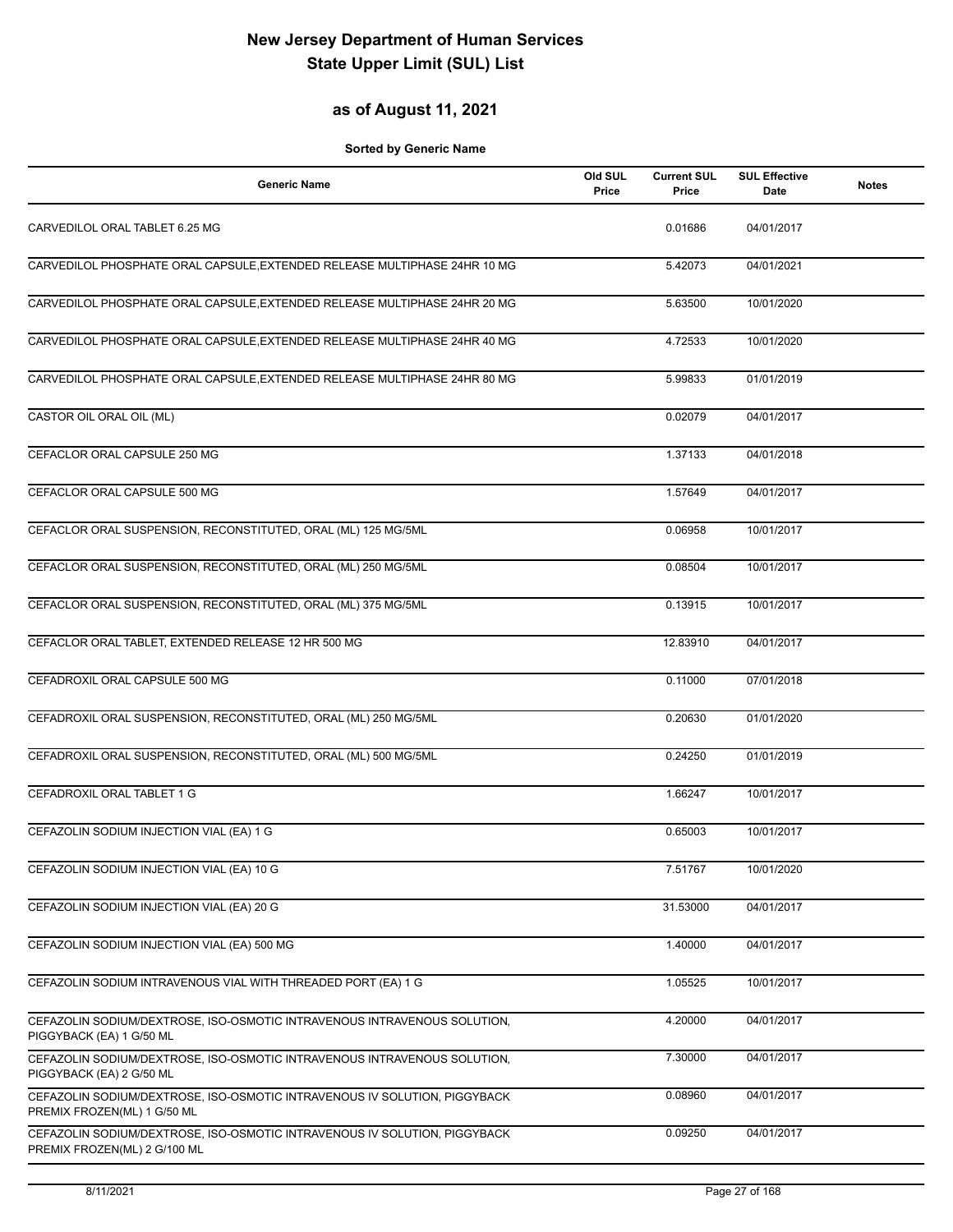## **as of August 11, 2021**

| <b>Generic Name</b>                                                                                       | Old SUL<br>Price | <b>Current SUL</b><br>Price | <b>SUL Effective</b><br>Date | <b>Notes</b> |
|-----------------------------------------------------------------------------------------------------------|------------------|-----------------------------|------------------------------|--------------|
| CARVEDILOL ORAL TABLET 6.25 MG                                                                            |                  | 0.01686                     | 04/01/2017                   |              |
| CARVEDILOL PHOSPHATE ORAL CAPSULE, EXTENDED RELEASE MULTIPHASE 24HR 10 MG                                 |                  | 5.42073                     | 04/01/2021                   |              |
| CARVEDILOL PHOSPHATE ORAL CAPSULE, EXTENDED RELEASE MULTIPHASE 24HR 20 MG                                 |                  | 5.63500                     | 10/01/2020                   |              |
| CARVEDILOL PHOSPHATE ORAL CAPSULE, EXTENDED RELEASE MULTIPHASE 24HR 40 MG                                 |                  | 4.72533                     | 10/01/2020                   |              |
| CARVEDILOL PHOSPHATE ORAL CAPSULE, EXTENDED RELEASE MULTIPHASE 24HR 80 MG                                 |                  | 5.99833                     | 01/01/2019                   |              |
| CASTOR OIL ORAL OIL (ML)                                                                                  |                  | 0.02079                     | 04/01/2017                   |              |
| CEFACLOR ORAL CAPSULE 250 MG                                                                              |                  | 1.37133                     | 04/01/2018                   |              |
| CEFACLOR ORAL CAPSULE 500 MG                                                                              |                  | 1.57649                     | 04/01/2017                   |              |
| CEFACLOR ORAL SUSPENSION, RECONSTITUTED, ORAL (ML) 125 MG/5ML                                             |                  | 0.06958                     | 10/01/2017                   |              |
| CEFACLOR ORAL SUSPENSION, RECONSTITUTED, ORAL (ML) 250 MG/5ML                                             |                  | 0.08504                     | 10/01/2017                   |              |
| CEFACLOR ORAL SUSPENSION, RECONSTITUTED, ORAL (ML) 375 MG/5ML                                             |                  | 0.13915                     | 10/01/2017                   |              |
| CEFACLOR ORAL TABLET, EXTENDED RELEASE 12 HR 500 MG                                                       |                  | 12.83910                    | 04/01/2017                   |              |
| CEFADROXIL ORAL CAPSULE 500 MG                                                                            |                  | 0.11000                     | 07/01/2018                   |              |
| CEFADROXIL ORAL SUSPENSION, RECONSTITUTED, ORAL (ML) 250 MG/5ML                                           |                  | 0.20630                     | 01/01/2020                   |              |
| CEFADROXIL ORAL SUSPENSION, RECONSTITUTED, ORAL (ML) 500 MG/5ML                                           |                  | 0.24250                     | 01/01/2019                   |              |
| CEFADROXIL ORAL TABLET 1 G                                                                                |                  | 1.66247                     | 10/01/2017                   |              |
| CEFAZOLIN SODIUM INJECTION VIAL (EA) 1 G                                                                  |                  | 0.65003                     | 10/01/2017                   |              |
| CEFAZOLIN SODIUM INJECTION VIAL (EA) 10 G                                                                 |                  | 7.51767                     | 10/01/2020                   |              |
| CEFAZOLIN SODIUM INJECTION VIAL (EA) 20 G                                                                 |                  | 31.53000                    | 04/01/2017                   |              |
| CEFAZOLIN SODIUM INJECTION VIAL (EA) 500 MG                                                               |                  | 1.40000                     | 04/01/2017                   |              |
| CEFAZOLIN SODIUM INTRAVENOUS VIAL WITH THREADED PORT (EA) 1 G                                             |                  | 1.05525                     | 10/01/2017                   |              |
| CEFAZOLIN SODIUM/DEXTROSE, ISO-OSMOTIC INTRAVENOUS INTRAVENOUS SOLUTION,<br>PIGGYBACK (EA) 1 G/50 ML      |                  | 4.20000                     | 04/01/2017                   |              |
| CEFAZOLIN SODIUM/DEXTROSE, ISO-OSMOTIC INTRAVENOUS INTRAVENOUS SOLUTION,<br>PIGGYBACK (EA) 2 G/50 ML      |                  | 7.30000                     | 04/01/2017                   |              |
| CEFAZOLIN SODIUM/DEXTROSE, ISO-OSMOTIC INTRAVENOUS IV SOLUTION, PIGGYBACK<br>PREMIX FROZEN(ML) 1 G/50 ML  |                  | 0.08960                     | 04/01/2017                   |              |
| CEFAZOLIN SODIUM/DEXTROSE, ISO-OSMOTIC INTRAVENOUS IV SOLUTION, PIGGYBACK<br>PREMIX FROZEN(ML) 2 G/100 ML |                  | 0.09250                     | 04/01/2017                   |              |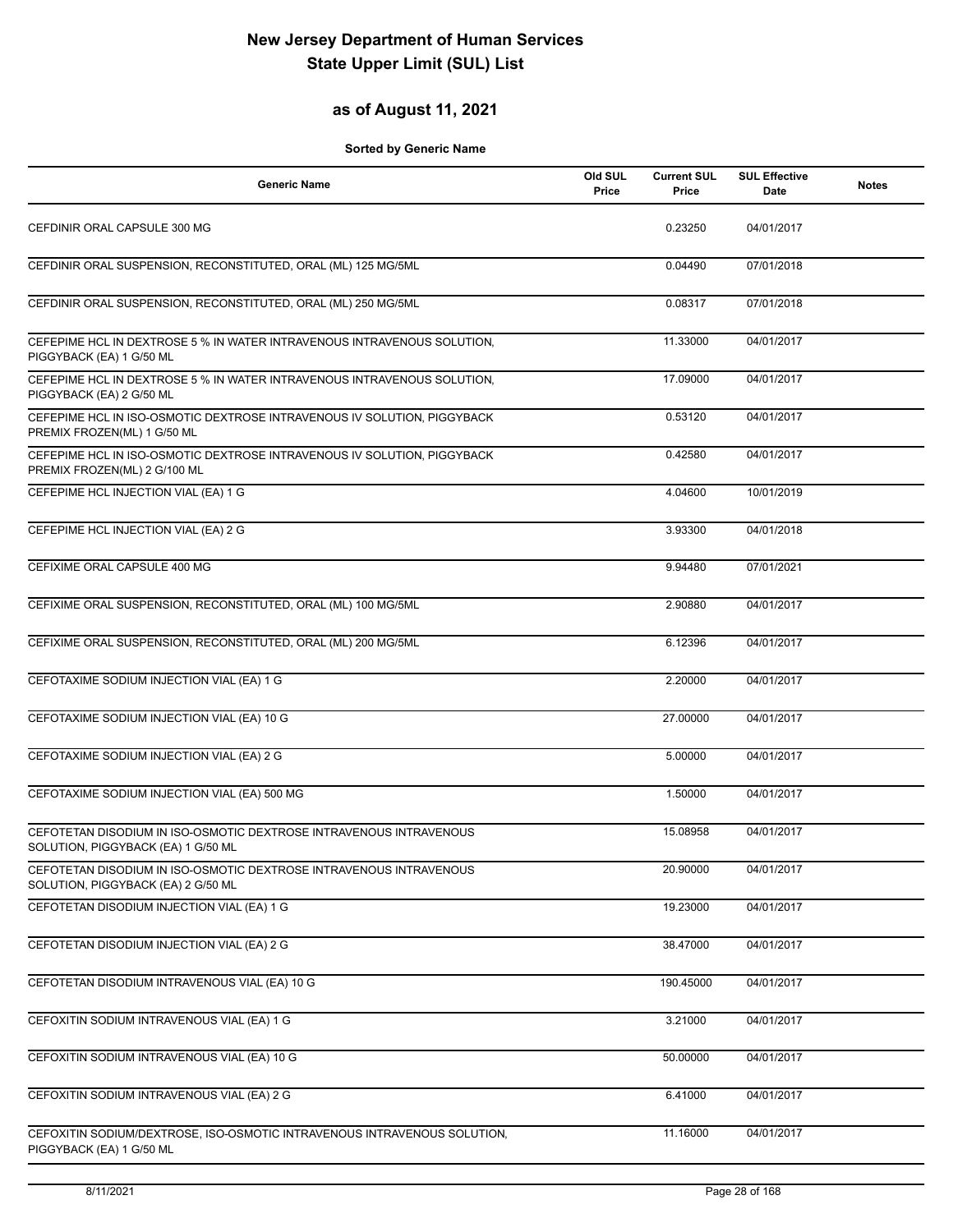## **as of August 11, 2021**

| <b>Generic Name</b>                                                                                      | Old SUL<br>Price | <b>Current SUL</b><br>Price | <b>SUL Effective</b><br>Date | <b>Notes</b> |
|----------------------------------------------------------------------------------------------------------|------------------|-----------------------------|------------------------------|--------------|
| CEFDINIR ORAL CAPSULE 300 MG                                                                             |                  | 0.23250                     | 04/01/2017                   |              |
| CEFDINIR ORAL SUSPENSION, RECONSTITUTED, ORAL (ML) 125 MG/5ML                                            |                  | 0.04490                     | 07/01/2018                   |              |
| CEFDINIR ORAL SUSPENSION, RECONSTITUTED, ORAL (ML) 250 MG/5ML                                            |                  | 0.08317                     | 07/01/2018                   |              |
| CEFEPIME HCL IN DEXTROSE 5 % IN WATER INTRAVENOUS INTRAVENOUS SOLUTION,<br>PIGGYBACK (EA) 1 G/50 ML      |                  | 11.33000                    | 04/01/2017                   |              |
| CEFEPIME HCL IN DEXTROSE 5 % IN WATER INTRAVENOUS INTRAVENOUS SOLUTION.<br>PIGGYBACK (EA) 2 G/50 ML      |                  | 17.09000                    | 04/01/2017                   |              |
| CEFEPIME HCL IN ISO-OSMOTIC DEXTROSE INTRAVENOUS IV SOLUTION, PIGGYBACK<br>PREMIX FROZEN(ML) 1 G/50 ML   |                  | 0.53120                     | 04/01/2017                   |              |
| CEFEPIME HCL IN ISO-OSMOTIC DEXTROSE INTRAVENOUS IV SOLUTION, PIGGYBACK<br>PREMIX FROZEN(ML) 2 G/100 ML  |                  | 0.42580                     | 04/01/2017                   |              |
| CEFEPIME HCL INJECTION VIAL (EA) 1 G                                                                     |                  | 4.04600                     | 10/01/2019                   |              |
| CEFEPIME HCL INJECTION VIAL (EA) 2 G                                                                     |                  | 3.93300                     | 04/01/2018                   |              |
| CEFIXIME ORAL CAPSULE 400 MG                                                                             |                  | 9.94480                     | 07/01/2021                   |              |
| CEFIXIME ORAL SUSPENSION, RECONSTITUTED, ORAL (ML) 100 MG/5ML                                            |                  | 2.90880                     | 04/01/2017                   |              |
| CEFIXIME ORAL SUSPENSION, RECONSTITUTED, ORAL (ML) 200 MG/5ML                                            |                  | 6.12396                     | 04/01/2017                   |              |
| CEFOTAXIME SODIUM INJECTION VIAL (EA) 1 G                                                                |                  | 2.20000                     | 04/01/2017                   |              |
| CEFOTAXIME SODIUM INJECTION VIAL (EA) 10 G                                                               |                  | 27.00000                    | 04/01/2017                   |              |
| CEFOTAXIME SODIUM INJECTION VIAL (EA) 2 G                                                                |                  | 5.00000                     | 04/01/2017                   |              |
| CEFOTAXIME SODIUM INJECTION VIAL (EA) 500 MG                                                             |                  | 1.50000                     | 04/01/2017                   |              |
| CEFOTETAN DISODIUM IN ISO-OSMOTIC DEXTROSE INTRAVENOUS INTRAVENOUS<br>SOLUTION, PIGGYBACK (EA) 1 G/50 ML |                  | 15.08958                    | 04/01/2017                   |              |
| CEFOTETAN DISODIUM IN ISO-OSMOTIC DEXTROSE INTRAVENOUS INTRAVENOUS<br>SOLUTION, PIGGYBACK (EA) 2 G/50 ML |                  | 20.90000                    | 04/01/2017                   |              |
| CEFOTETAN DISODIUM INJECTION VIAL (EA) 1 G                                                               |                  | 19.23000                    | 04/01/2017                   |              |
| CEFOTETAN DISODIUM INJECTION VIAL (EA) 2 G                                                               |                  | 38.47000                    | 04/01/2017                   |              |
| CEFOTETAN DISODIUM INTRAVENOUS VIAL (EA) 10 G                                                            |                  | 190.45000                   | 04/01/2017                   |              |
| CEFOXITIN SODIUM INTRAVENOUS VIAL (EA) 1 G                                                               |                  | 3.21000                     | 04/01/2017                   |              |
| CEFOXITIN SODIUM INTRAVENOUS VIAL (EA) 10 G                                                              |                  | 50.00000                    | 04/01/2017                   |              |
| CEFOXITIN SODIUM INTRAVENOUS VIAL (EA) 2 G                                                               |                  | 6.41000                     | 04/01/2017                   |              |
| CEFOXITIN SODIUM/DEXTROSE, ISO-OSMOTIC INTRAVENOUS INTRAVENOUS SOLUTION,<br>PIGGYBACK (EA) 1 G/50 ML     |                  | 11.16000                    | 04/01/2017                   |              |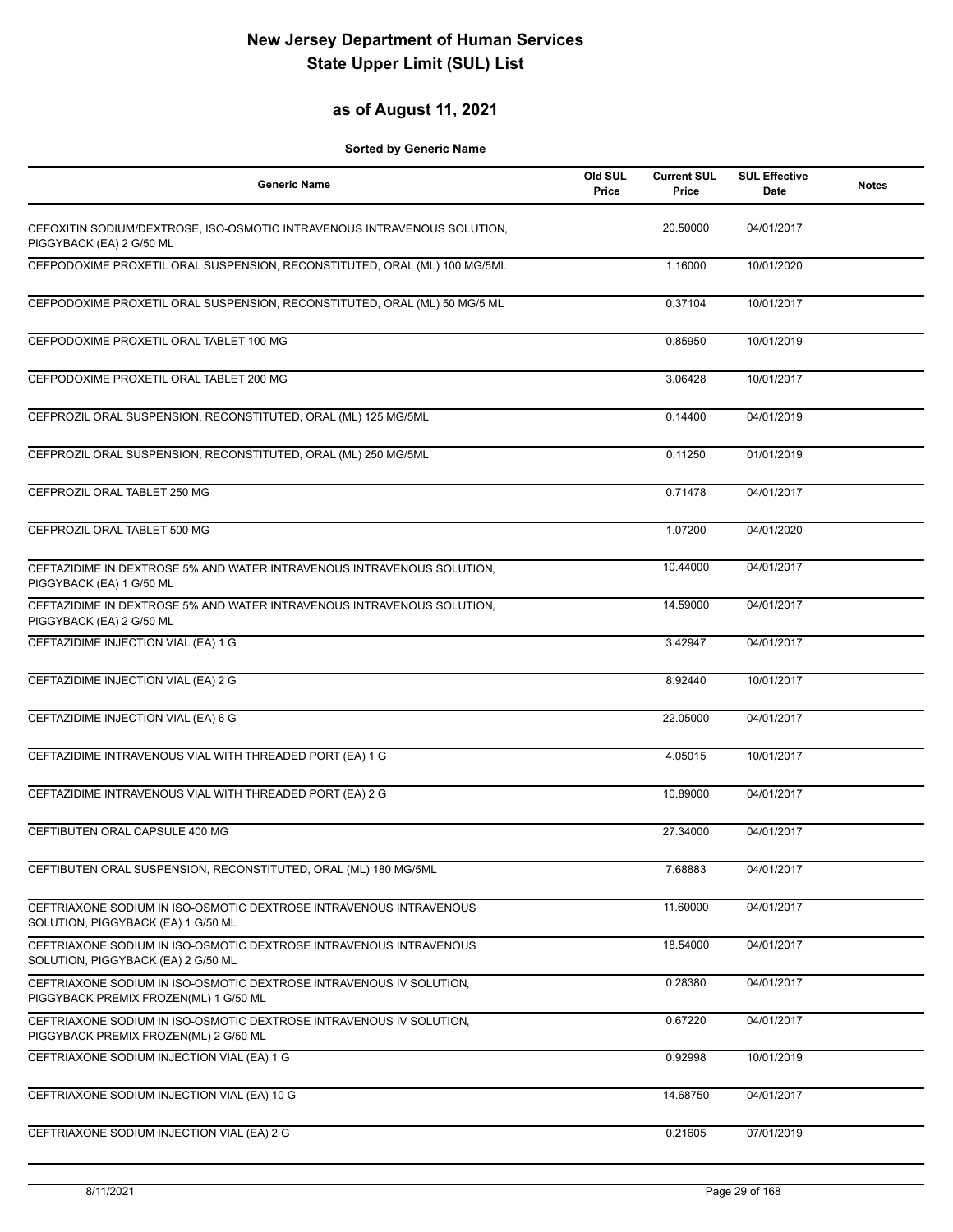## **as of August 11, 2021**

| <b>Generic Name</b>                                                                                          | Old SUL<br>Price | <b>Current SUL</b><br>Price | <b>SUL Effective</b><br>Date | <b>Notes</b> |
|--------------------------------------------------------------------------------------------------------------|------------------|-----------------------------|------------------------------|--------------|
| CEFOXITIN SODIUM/DEXTROSE, ISO-OSMOTIC INTRAVENOUS INTRAVENOUS SOLUTION,<br>PIGGYBACK (EA) 2 G/50 ML         |                  | 20.50000                    | 04/01/2017                   |              |
| CEFPODOXIME PROXETIL ORAL SUSPENSION, RECONSTITUTED, ORAL (ML) 100 MG/5ML                                    |                  | 1.16000                     | 10/01/2020                   |              |
| CEFPODOXIME PROXETIL ORAL SUSPENSION, RECONSTITUTED, ORAL (ML) 50 MG/5 ML                                    |                  | 0.37104                     | 10/01/2017                   |              |
| CEFPODOXIME PROXETIL ORAL TABLET 100 MG                                                                      |                  | 0.85950                     | 10/01/2019                   |              |
| CEFPODOXIME PROXETIL ORAL TABLET 200 MG                                                                      |                  | 3.06428                     | 10/01/2017                   |              |
| CEFPROZIL ORAL SUSPENSION, RECONSTITUTED, ORAL (ML) 125 MG/5ML                                               |                  | 0.14400                     | 04/01/2019                   |              |
| CEFPROZIL ORAL SUSPENSION, RECONSTITUTED, ORAL (ML) 250 MG/5ML                                               |                  | 0.11250                     | 01/01/2019                   |              |
| CEFPROZIL ORAL TABLET 250 MG                                                                                 |                  | 0.71478                     | 04/01/2017                   |              |
| CEFPROZIL ORAL TABLET 500 MG                                                                                 |                  | 1.07200                     | 04/01/2020                   |              |
| CEFTAZIDIME IN DEXTROSE 5% AND WATER INTRAVENOUS INTRAVENOUS SOLUTION,<br>PIGGYBACK (EA) 1 G/50 ML           |                  | 10.44000                    | 04/01/2017                   |              |
| CEFTAZIDIME IN DEXTROSE 5% AND WATER INTRAVENOUS INTRAVENOUS SOLUTION,<br>PIGGYBACK (EA) 2 G/50 ML           |                  | 14.59000                    | 04/01/2017                   |              |
| CEFTAZIDIME INJECTION VIAL (EA) 1 G                                                                          |                  | 3.42947                     | 04/01/2017                   |              |
| CEFTAZIDIME INJECTION VIAL (EA) 2 G                                                                          |                  | 8.92440                     | 10/01/2017                   |              |
| CEFTAZIDIME INJECTION VIAL (EA) 6 G                                                                          |                  | 22.05000                    | 04/01/2017                   |              |
| CEFTAZIDIME INTRAVENOUS VIAL WITH THREADED PORT (EA) 1 G                                                     |                  | 4.05015                     | 10/01/2017                   |              |
| CEFTAZIDIME INTRAVENOUS VIAL WITH THREADED PORT (EA) 2 G                                                     |                  | 10.89000                    | 04/01/2017                   |              |
| CEFTIBUTEN ORAL CAPSULE 400 MG                                                                               |                  | 27.34000                    | 04/01/2017                   |              |
| CEFTIBUTEN ORAL SUSPENSION, RECONSTITUTED, ORAL (ML) 180 MG/5ML                                              |                  | 7.68883                     | 04/01/2017                   |              |
| CEFTRIAXONE SODIUM IN ISO-OSMOTIC DEXTROSE INTRAVENOUS INTRAVENOUS<br>SOLUTION, PIGGYBACK (EA) 1 G/50 ML     |                  | 11.60000                    | 04/01/2017                   |              |
| CEFTRIAXONE SODIUM IN ISO-OSMOTIC DEXTROSE INTRAVENOUS INTRAVENOUS<br>SOLUTION, PIGGYBACK (EA) 2 G/50 ML     |                  | 18.54000                    | 04/01/2017                   |              |
| CEFTRIAXONE SODIUM IN ISO-OSMOTIC DEXTROSE INTRAVENOUS IV SOLUTION,<br>PIGGYBACK PREMIX FROZEN(ML) 1 G/50 ML |                  | 0.28380                     | 04/01/2017                   |              |
| CEFTRIAXONE SODIUM IN ISO-OSMOTIC DEXTROSE INTRAVENOUS IV SOLUTION.<br>PIGGYBACK PREMIX FROZEN(ML) 2 G/50 ML |                  | 0.67220                     | 04/01/2017                   |              |
| CEFTRIAXONE SODIUM INJECTION VIAL (EA) 1 G                                                                   |                  | 0.92998                     | 10/01/2019                   |              |
| CEFTRIAXONE SODIUM INJECTION VIAL (EA) 10 G                                                                  |                  | 14.68750                    | 04/01/2017                   |              |
| CEFTRIAXONE SODIUM INJECTION VIAL (EA) 2 G                                                                   |                  | 0.21605                     | 07/01/2019                   |              |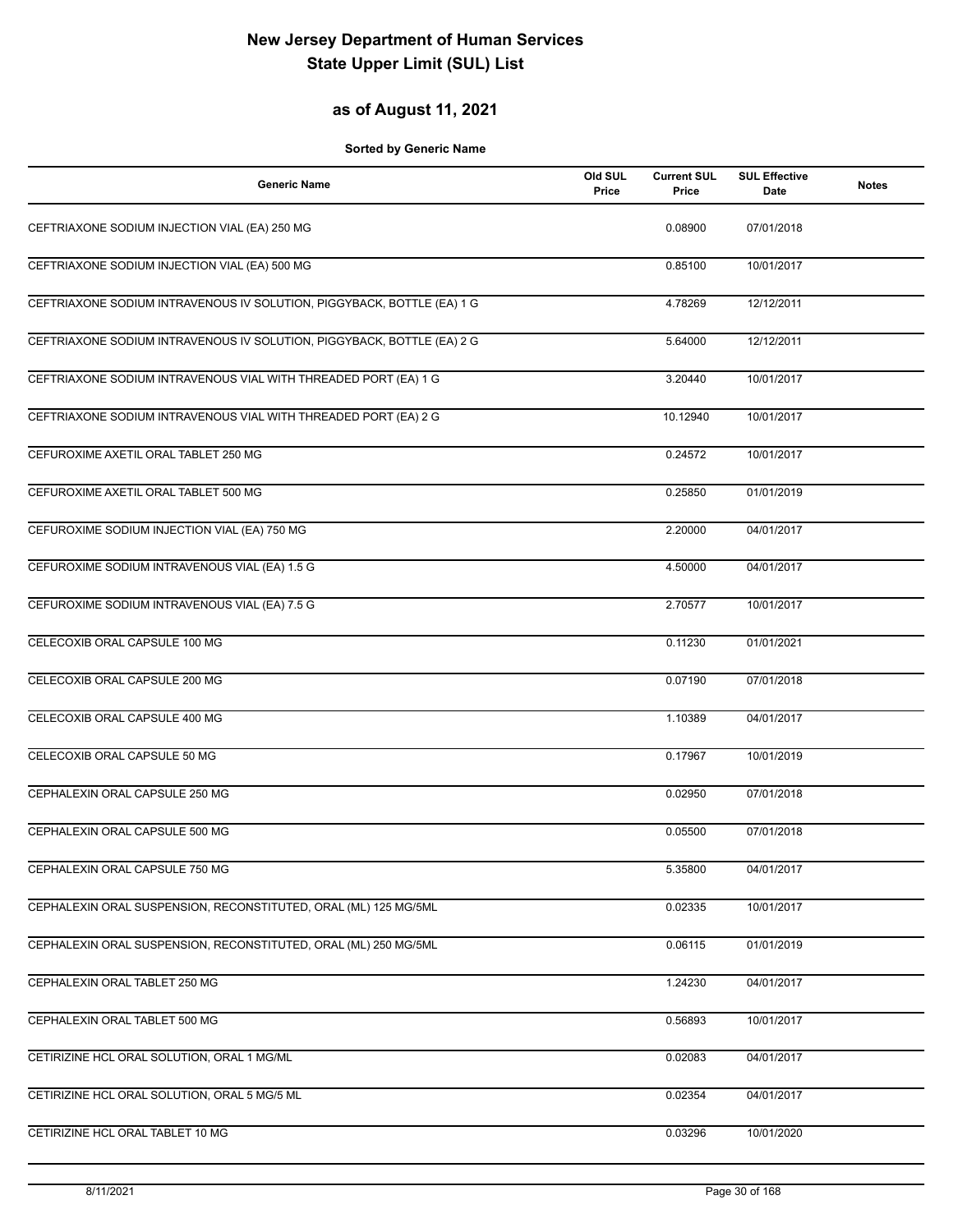### **as of August 11, 2021**

| <b>Generic Name</b>                                                    | Old SUL<br>Price | <b>Current SUL</b><br>Price | <b>SUL Effective</b><br>Date | <b>Notes</b> |
|------------------------------------------------------------------------|------------------|-----------------------------|------------------------------|--------------|
| CEFTRIAXONE SODIUM INJECTION VIAL (EA) 250 MG                          |                  | 0.08900                     | 07/01/2018                   |              |
| CEFTRIAXONE SODIUM INJECTION VIAL (EA) 500 MG                          |                  | 0.85100                     | 10/01/2017                   |              |
| CEFTRIAXONE SODIUM INTRAVENOUS IV SOLUTION, PIGGYBACK, BOTTLE (EA) 1 G |                  | 4.78269                     | 12/12/2011                   |              |
| CEFTRIAXONE SODIUM INTRAVENOUS IV SOLUTION, PIGGYBACK, BOTTLE (EA) 2 G |                  | 5.64000                     | 12/12/2011                   |              |
| CEFTRIAXONE SODIUM INTRAVENOUS VIAL WITH THREADED PORT (EA) 1 G        |                  | 3.20440                     | 10/01/2017                   |              |
| CEFTRIAXONE SODIUM INTRAVENOUS VIAL WITH THREADED PORT (EA) 2 G        |                  | 10.12940                    | 10/01/2017                   |              |
| CEFUROXIME AXETIL ORAL TABLET 250 MG                                   |                  | 0.24572                     | 10/01/2017                   |              |
| CEFUROXIME AXETIL ORAL TABLET 500 MG                                   |                  | 0.25850                     | 01/01/2019                   |              |
| CEFUROXIME SODIUM INJECTION VIAL (EA) 750 MG                           |                  | 2.20000                     | 04/01/2017                   |              |
| CEFUROXIME SODIUM INTRAVENOUS VIAL (EA) 1.5 G                          |                  | 4.50000                     | 04/01/2017                   |              |
| CEFUROXIME SODIUM INTRAVENOUS VIAL (EA) 7.5 G                          |                  | 2.70577                     | 10/01/2017                   |              |
| CELECOXIB ORAL CAPSULE 100 MG                                          |                  | 0.11230                     | 01/01/2021                   |              |
| CELECOXIB ORAL CAPSULE 200 MG                                          |                  | 0.07190                     | 07/01/2018                   |              |
| CELECOXIB ORAL CAPSULE 400 MG                                          |                  | 1.10389                     | 04/01/2017                   |              |
| CELECOXIB ORAL CAPSULE 50 MG                                           |                  | 0.17967                     | 10/01/2019                   |              |
| CEPHALEXIN ORAL CAPSULE 250 MG                                         |                  | 0.02950                     | 07/01/2018                   |              |
| CEPHALEXIN ORAL CAPSULE 500 MG                                         |                  | 0.05500                     | 07/01/2018                   |              |
| CEPHALEXIN ORAL CAPSULE 750 MG                                         |                  | 5.35800                     | 04/01/2017                   |              |
| CEPHALEXIN ORAL SUSPENSION, RECONSTITUTED, ORAL (ML) 125 MG/5ML        |                  | 0.02335                     | 10/01/2017                   |              |
| CEPHALEXIN ORAL SUSPENSION, RECONSTITUTED, ORAL (ML) 250 MG/5ML        |                  | 0.06115                     | 01/01/2019                   |              |
| CEPHALEXIN ORAL TABLET 250 MG                                          |                  | 1.24230                     | 04/01/2017                   |              |
| CEPHALEXIN ORAL TABLET 500 MG                                          |                  | 0.56893                     | 10/01/2017                   |              |
| CETIRIZINE HCL ORAL SOLUTION, ORAL 1 MG/ML                             |                  | 0.02083                     | 04/01/2017                   |              |
| CETIRIZINE HCL ORAL SOLUTION, ORAL 5 MG/5 ML                           |                  | 0.02354                     | 04/01/2017                   |              |
| CETIRIZINE HCL ORAL TABLET 10 MG                                       |                  | 0.03296                     | 10/01/2020                   |              |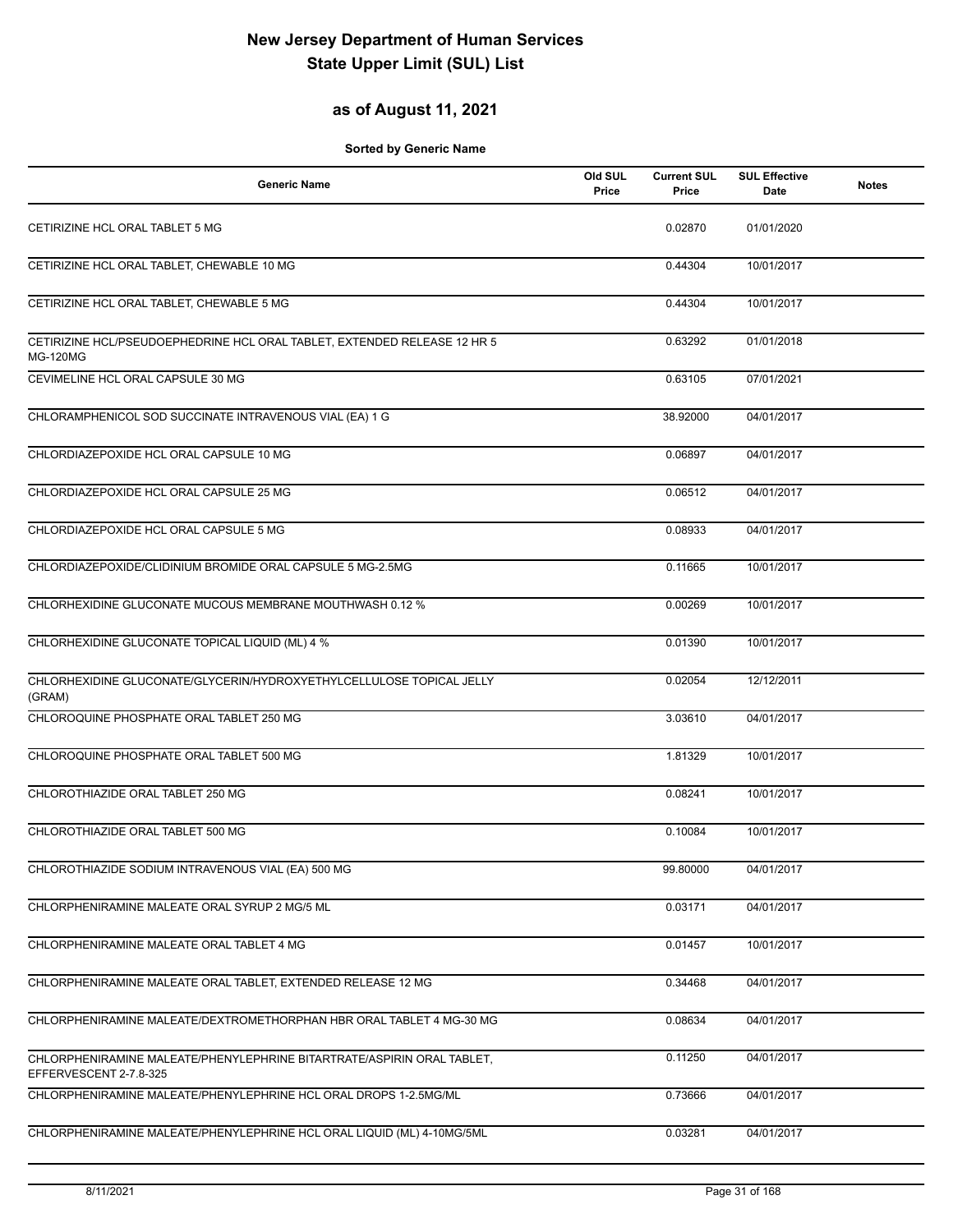## **as of August 11, 2021**

| <b>Generic Name</b>                                                                              | Old SUL<br>Price | <b>Current SUL</b><br>Price | <b>SUL Effective</b><br>Date | <b>Notes</b> |
|--------------------------------------------------------------------------------------------------|------------------|-----------------------------|------------------------------|--------------|
| CETIRIZINE HCL ORAL TABLET 5 MG                                                                  |                  | 0.02870                     | 01/01/2020                   |              |
| CETIRIZINE HCL ORAL TABLET, CHEWABLE 10 MG                                                       |                  | 0.44304                     | 10/01/2017                   |              |
| CETIRIZINE HCL ORAL TABLET, CHEWABLE 5 MG                                                        |                  | 0.44304                     | 10/01/2017                   |              |
| CETIRIZINE HCL/PSEUDOEPHEDRINE HCL ORAL TABLET, EXTENDED RELEASE 12 HR 5<br><b>MG-120MG</b>      |                  | 0.63292                     | 01/01/2018                   |              |
| CEVIMELINE HCL ORAL CAPSULE 30 MG                                                                |                  | 0.63105                     | 07/01/2021                   |              |
| CHLORAMPHENICOL SOD SUCCINATE INTRAVENOUS VIAL (EA) 1 G                                          |                  | 38.92000                    | 04/01/2017                   |              |
| CHLORDIAZEPOXIDE HCL ORAL CAPSULE 10 MG                                                          |                  | 0.06897                     | 04/01/2017                   |              |
| CHLORDIAZEPOXIDE HCL ORAL CAPSULE 25 MG                                                          |                  | 0.06512                     | 04/01/2017                   |              |
| CHLORDIAZEPOXIDE HCL ORAL CAPSULE 5 MG                                                           |                  | 0.08933                     | 04/01/2017                   |              |
| CHLORDIAZEPOXIDE/CLIDINIUM BROMIDE ORAL CAPSULE 5 MG-2.5MG                                       |                  | 0.11665                     | 10/01/2017                   |              |
| CHLORHEXIDINE GLUCONATE MUCOUS MEMBRANE MOUTHWASH 0.12 %                                         |                  | 0.00269                     | 10/01/2017                   |              |
| CHLORHEXIDINE GLUCONATE TOPICAL LIQUID (ML) 4 %                                                  |                  | 0.01390                     | 10/01/2017                   |              |
| CHLORHEXIDINE GLUCONATE/GLYCERIN/HYDROXYETHYLCELLULOSE TOPICAL JELLY<br>(GRAM)                   |                  | 0.02054                     | 12/12/2011                   |              |
| CHLOROQUINE PHOSPHATE ORAL TABLET 250 MG                                                         |                  | 3.03610                     | 04/01/2017                   |              |
| CHLOROQUINE PHOSPHATE ORAL TABLET 500 MG                                                         |                  | 1.81329                     | 10/01/2017                   |              |
| CHLOROTHIAZIDE ORAL TABLET 250 MG                                                                |                  | 0.08241                     | 10/01/2017                   |              |
| CHLOROTHIAZIDE ORAL TABLET 500 MG                                                                |                  | 0.10084                     | 10/01/2017                   |              |
| CHLOROTHIAZIDE SODIUM INTRAVENOUS VIAL (EA) 500 MG                                               |                  | 99.80000                    | 04/01/2017                   |              |
| CHLORPHENIRAMINE MALEATE ORAL SYRUP 2 MG/5 ML                                                    |                  | 0.03171                     | 04/01/2017                   |              |
| CHLORPHENIRAMINE MALEATE ORAL TABLET 4 MG                                                        |                  | 0.01457                     | 10/01/2017                   |              |
| CHLORPHENIRAMINE MALEATE ORAL TABLET, EXTENDED RELEASE 12 MG                                     |                  | 0.34468                     | 04/01/2017                   |              |
| CHLORPHENIRAMINE MALEATE/DEXTROMETHORPHAN HBR ORAL TABLET 4 MG-30 MG                             |                  | 0.08634                     | 04/01/2017                   |              |
| CHLORPHENIRAMINE MALEATE/PHENYLEPHRINE BITARTRATE/ASPIRIN ORAL TABLET,<br>EFFERVESCENT 2-7.8-325 |                  | 0.11250                     | 04/01/2017                   |              |
| CHLORPHENIRAMINE MALEATE/PHENYLEPHRINE HCL ORAL DROPS 1-2.5MG/ML                                 |                  | 0.73666                     | 04/01/2017                   |              |
| CHLORPHENIRAMINE MALEATE/PHENYLEPHRINE HCL ORAL LIQUID (ML) 4-10MG/5ML                           |                  | 0.03281                     | 04/01/2017                   |              |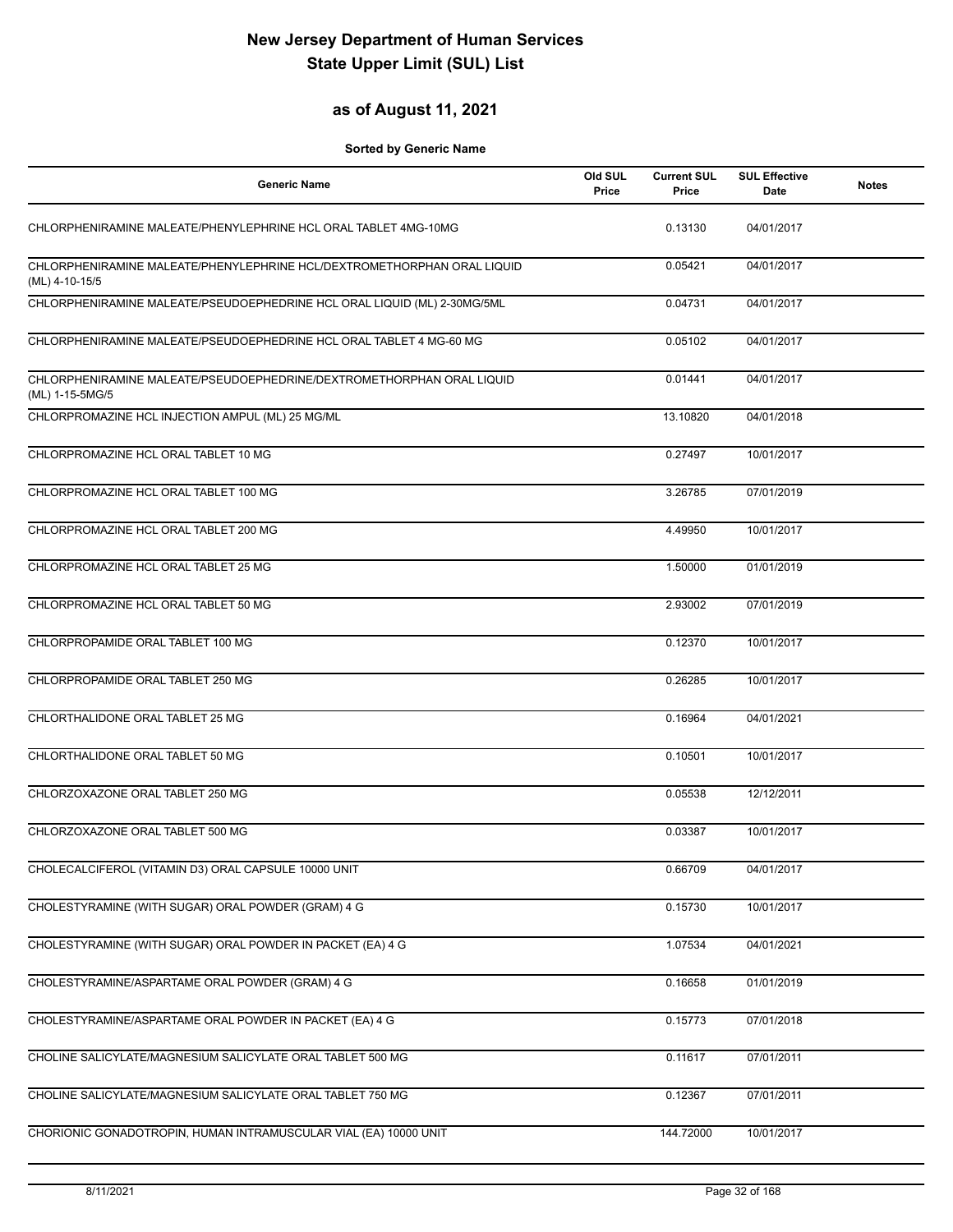## **as of August 11, 2021**

| <b>Generic Name</b>                                                                       | Old SUL<br>Price | <b>Current SUL</b><br>Price | <b>SUL Effective</b><br><b>Date</b> | <b>Notes</b> |
|-------------------------------------------------------------------------------------------|------------------|-----------------------------|-------------------------------------|--------------|
| CHLORPHENIRAMINE MALEATE/PHENYLEPHRINE HCL ORAL TABLET 4MG-10MG                           |                  | 0.13130                     | 04/01/2017                          |              |
| CHLORPHENIRAMINE MALEATE/PHENYLEPHRINE HCL/DEXTROMETHORPHAN ORAL LIQUID<br>(ML) 4-10-15/5 |                  | 0.05421                     | 04/01/2017                          |              |
| CHLORPHENIRAMINE MALEATE/PSEUDOEPHEDRINE HCL ORAL LIQUID (ML) 2-30MG/5ML                  |                  | 0.04731                     | 04/01/2017                          |              |
| CHLORPHENIRAMINE MALEATE/PSEUDOEPHEDRINE HCL ORAL TABLET 4 MG-60 MG                       |                  | 0.05102                     | 04/01/2017                          |              |
| CHLORPHENIRAMINE MALEATE/PSEUDOEPHEDRINE/DEXTROMETHORPHAN ORAL LIQUID<br>(ML) 1-15-5MG/5  |                  | 0.01441                     | 04/01/2017                          |              |
| CHLORPROMAZINE HCL INJECTION AMPUL (ML) 25 MG/ML                                          |                  | 13.10820                    | 04/01/2018                          |              |
| CHLORPROMAZINE HCL ORAL TABLET 10 MG                                                      |                  | 0.27497                     | 10/01/2017                          |              |
| CHLORPROMAZINE HCL ORAL TABLET 100 MG                                                     |                  | 3.26785                     | 07/01/2019                          |              |
| CHLORPROMAZINE HCL ORAL TABLET 200 MG                                                     |                  | 4.49950                     | 10/01/2017                          |              |
| CHLORPROMAZINE HCL ORAL TABLET 25 MG                                                      |                  | 1.50000                     | 01/01/2019                          |              |
| CHLORPROMAZINE HCL ORAL TABLET 50 MG                                                      |                  | 2.93002                     | 07/01/2019                          |              |
| CHLORPROPAMIDE ORAL TABLET 100 MG                                                         |                  | 0.12370                     | 10/01/2017                          |              |
| CHLORPROPAMIDE ORAL TABLET 250 MG                                                         |                  | 0.26285                     | 10/01/2017                          |              |
| CHLORTHALIDONE ORAL TABLET 25 MG                                                          |                  | 0.16964                     | 04/01/2021                          |              |
| CHLORTHALIDONE ORAL TABLET 50 MG                                                          |                  | 0.10501                     | 10/01/2017                          |              |
| CHLORZOXAZONE ORAL TABLET 250 MG                                                          |                  | 0.05538                     | 12/12/2011                          |              |
| CHLORZOXAZONE ORAL TABLET 500 MG                                                          |                  | 0.03387                     | 10/01/2017                          |              |
| CHOLECALCIFEROL (VITAMIN D3) ORAL CAPSULE 10000 UNIT                                      |                  | 0.66709                     | 04/01/2017                          |              |
| CHOLESTYRAMINE (WITH SUGAR) ORAL POWDER (GRAM) 4 G                                        |                  | 0.15730                     | 10/01/2017                          |              |
| CHOLESTYRAMINE (WITH SUGAR) ORAL POWDER IN PACKET (EA) 4 G                                |                  | 1.07534                     | 04/01/2021                          |              |
| CHOLESTYRAMINE/ASPARTAME ORAL POWDER (GRAM) 4 G                                           |                  | 0.16658                     | 01/01/2019                          |              |
| CHOLESTYRAMINE/ASPARTAME ORAL POWDER IN PACKET (EA) 4 G                                   |                  | 0.15773                     | 07/01/2018                          |              |
| CHOLINE SALICYLATE/MAGNESIUM SALICYLATE ORAL TABLET 500 MG                                |                  | 0.11617                     | 07/01/2011                          |              |
| CHOLINE SALICYLATE/MAGNESIUM SALICYLATE ORAL TABLET 750 MG                                |                  | 0.12367                     | 07/01/2011                          |              |
| CHORIONIC GONADOTROPIN, HUMAN INTRAMUSCULAR VIAL (EA) 10000 UNIT                          |                  | 144.72000                   | 10/01/2017                          |              |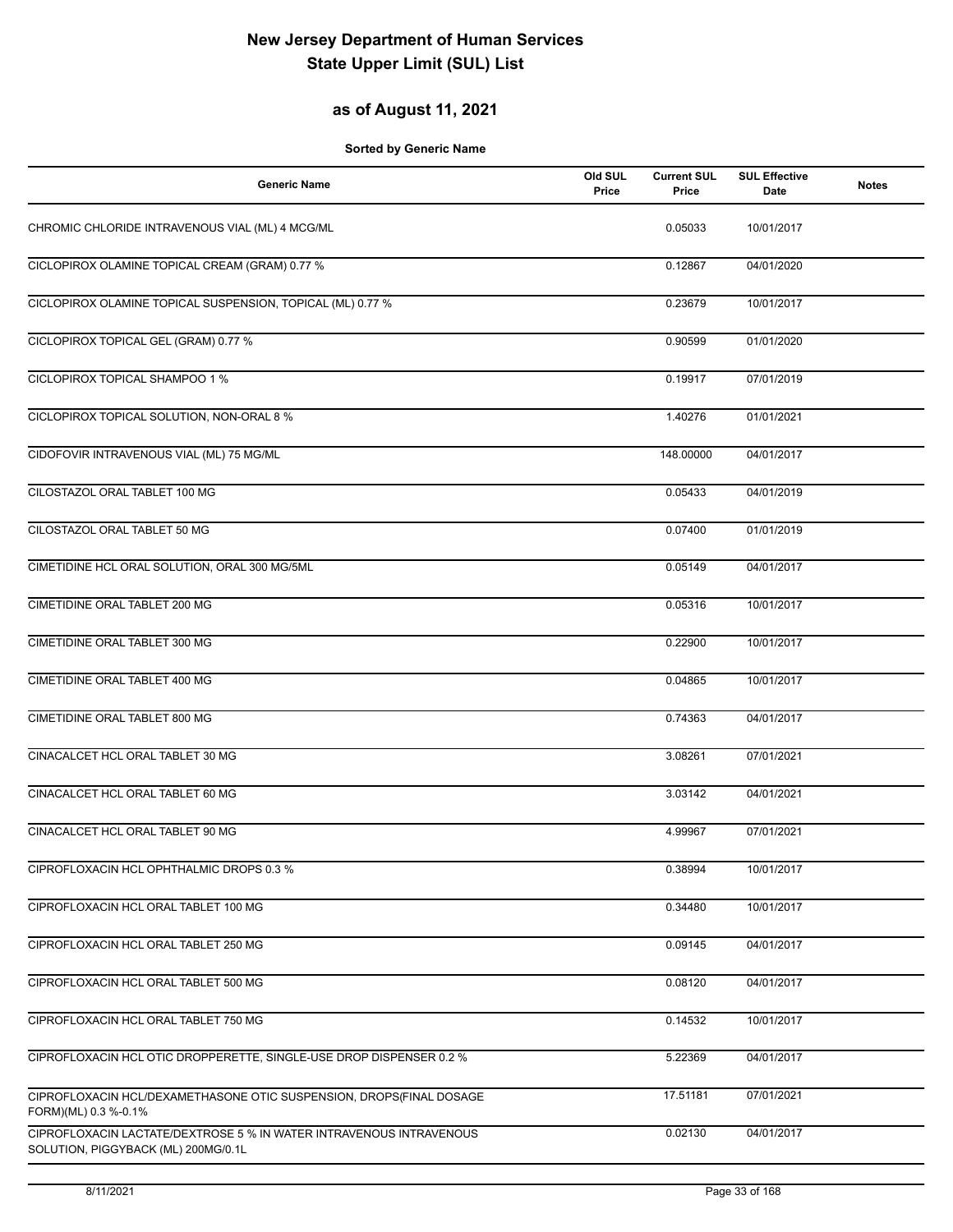### **as of August 11, 2021**

| <b>Generic Name</b>                                                                                        | Old SUL<br>Price | <b>Current SUL</b><br>Price | <b>SUL Effective</b><br>Date | <b>Notes</b> |
|------------------------------------------------------------------------------------------------------------|------------------|-----------------------------|------------------------------|--------------|
| CHROMIC CHLORIDE INTRAVENOUS VIAL (ML) 4 MCG/ML                                                            |                  | 0.05033                     | 10/01/2017                   |              |
| CICLOPIROX OLAMINE TOPICAL CREAM (GRAM) 0.77 %                                                             |                  | 0.12867                     | 04/01/2020                   |              |
| CICLOPIROX OLAMINE TOPICAL SUSPENSION, TOPICAL (ML) 0.77 %                                                 |                  | 0.23679                     | 10/01/2017                   |              |
| CICLOPIROX TOPICAL GEL (GRAM) 0.77 %                                                                       |                  | 0.90599                     | 01/01/2020                   |              |
| CICLOPIROX TOPICAL SHAMPOO 1 %                                                                             |                  | 0.19917                     | 07/01/2019                   |              |
| CICLOPIROX TOPICAL SOLUTION, NON-ORAL 8 %                                                                  |                  | 1.40276                     | 01/01/2021                   |              |
| CIDOFOVIR INTRAVENOUS VIAL (ML) 75 MG/ML                                                                   |                  | 148.00000                   | 04/01/2017                   |              |
| CILOSTAZOL ORAL TABLET 100 MG                                                                              |                  | 0.05433                     | 04/01/2019                   |              |
| CILOSTAZOL ORAL TABLET 50 MG                                                                               |                  | 0.07400                     | 01/01/2019                   |              |
| CIMETIDINE HCL ORAL SOLUTION, ORAL 300 MG/5ML                                                              |                  | 0.05149                     | 04/01/2017                   |              |
| CIMETIDINE ORAL TABLET 200 MG                                                                              |                  | 0.05316                     | 10/01/2017                   |              |
| CIMETIDINE ORAL TABLET 300 MG                                                                              |                  | 0.22900                     | 10/01/2017                   |              |
| CIMETIDINE ORAL TABLET 400 MG                                                                              |                  | 0.04865                     | 10/01/2017                   |              |
| CIMETIDINE ORAL TABLET 800 MG                                                                              |                  | 0.74363                     | 04/01/2017                   |              |
| CINACALCET HCL ORAL TABLET 30 MG                                                                           |                  | 3.08261                     | 07/01/2021                   |              |
| CINACALCET HCL ORAL TABLET 60 MG                                                                           |                  | 3.03142                     | 04/01/2021                   |              |
| CINACALCET HCL ORAL TABLET 90 MG                                                                           |                  | 4.99967                     | 07/01/2021                   |              |
| CIPROFLOXACIN HCL OPHTHALMIC DROPS 0.3 %                                                                   |                  | 0.38994                     | 10/01/2017                   |              |
| CIPROFLOXACIN HCL ORAL TABLET 100 MG                                                                       |                  | 0.34480                     | 10/01/2017                   |              |
| CIPROFLOXACIN HCL ORAL TABLET 250 MG                                                                       |                  | 0.09145                     | 04/01/2017                   |              |
| CIPROFLOXACIN HCL ORAL TABLET 500 MG                                                                       |                  | 0.08120                     | 04/01/2017                   |              |
| CIPROFLOXACIN HCL ORAL TABLET 750 MG                                                                       |                  | 0.14532                     | 10/01/2017                   |              |
| CIPROFLOXACIN HCL OTIC DROPPERETTE, SINGLE-USE DROP DISPENSER 0.2 %                                        |                  | 5.22369                     | 04/01/2017                   |              |
| CIPROFLOXACIN HCL/DEXAMETHASONE OTIC SUSPENSION, DROPS(FINAL DOSAGE<br>FORM)(ML) 0.3 %-0.1%                |                  | 17.51181                    | 07/01/2021                   |              |
| CIPROFLOXACIN LACTATE/DEXTROSE 5 % IN WATER INTRAVENOUS INTRAVENOUS<br>SOLUTION, PIGGYBACK (ML) 200MG/0.1L |                  | 0.02130                     | 04/01/2017                   |              |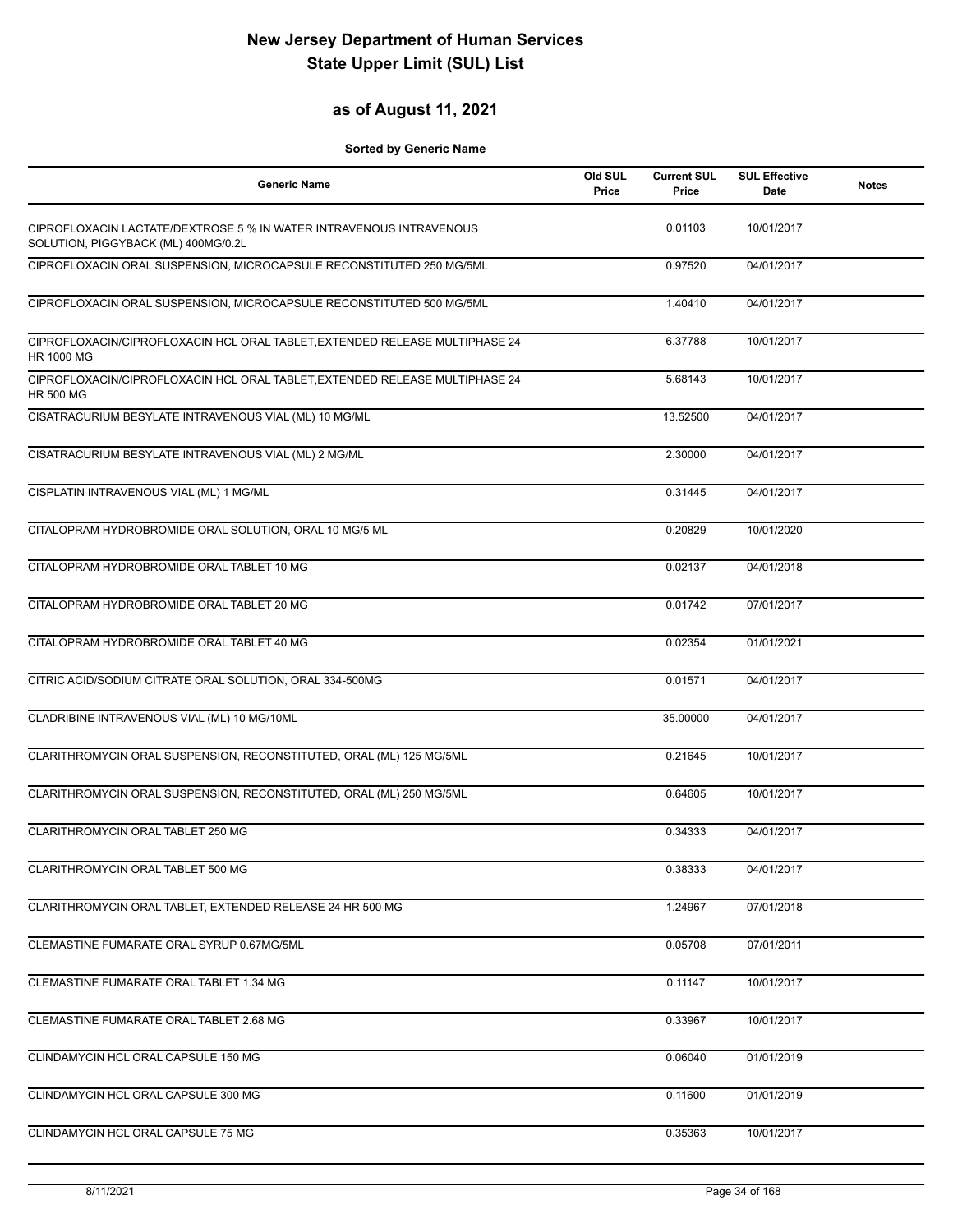## **as of August 11, 2021**

| <b>Generic Name</b>                                                                                        | Old SUL<br>Price | <b>Current SUL</b><br>Price | <b>SUL Effective</b><br>Date | <b>Notes</b> |
|------------------------------------------------------------------------------------------------------------|------------------|-----------------------------|------------------------------|--------------|
| CIPROFLOXACIN LACTATE/DEXTROSE 5 % IN WATER INTRAVENOUS INTRAVENOUS<br>SOLUTION, PIGGYBACK (ML) 400MG/0.2L |                  | 0.01103                     | 10/01/2017                   |              |
| CIPROFLOXACIN ORAL SUSPENSION, MICROCAPSULE RECONSTITUTED 250 MG/5ML                                       |                  | 0.97520                     | 04/01/2017                   |              |
| CIPROFLOXACIN ORAL SUSPENSION, MICROCAPSULE RECONSTITUTED 500 MG/5ML                                       |                  | 1.40410                     | 04/01/2017                   |              |
| CIPROFLOXACIN/CIPROFLOXACIN HCL ORAL TABLET, EXTENDED RELEASE MULTIPHASE 24<br>HR 1000 MG                  |                  | 6.37788                     | 10/01/2017                   |              |
| CIPROFLOXACIN/CIPROFLOXACIN HCL ORAL TABLET, EXTENDED RELEASE MULTIPHASE 24<br><b>HR 500 MG</b>            |                  | 5.68143                     | 10/01/2017                   |              |
| CISATRACURIUM BESYLATE INTRAVENOUS VIAL (ML) 10 MG/ML                                                      |                  | 13.52500                    | 04/01/2017                   |              |
| CISATRACURIUM BESYLATE INTRAVENOUS VIAL (ML) 2 MG/ML                                                       |                  | 2.30000                     | 04/01/2017                   |              |
| CISPLATIN INTRAVENOUS VIAL (ML) 1 MG/ML                                                                    |                  | 0.31445                     | 04/01/2017                   |              |
| CITALOPRAM HYDROBROMIDE ORAL SOLUTION, ORAL 10 MG/5 ML                                                     |                  | 0.20829                     | 10/01/2020                   |              |
| CITALOPRAM HYDROBROMIDE ORAL TABLET 10 MG                                                                  |                  | 0.02137                     | 04/01/2018                   |              |
| CITALOPRAM HYDROBROMIDE ORAL TABLET 20 MG                                                                  |                  | 0.01742                     | 07/01/2017                   |              |
| CITALOPRAM HYDROBROMIDE ORAL TABLET 40 MG                                                                  |                  | 0.02354                     | 01/01/2021                   |              |
| CITRIC ACID/SODIUM CITRATE ORAL SOLUTION, ORAL 334-500MG                                                   |                  | 0.01571                     | 04/01/2017                   |              |
| CLADRIBINE INTRAVENOUS VIAL (ML) 10 MG/10ML                                                                |                  | 35.00000                    | 04/01/2017                   |              |
| CLARITHROMYCIN ORAL SUSPENSION, RECONSTITUTED, ORAL (ML) 125 MG/5ML                                        |                  | 0.21645                     | 10/01/2017                   |              |
| CLARITHROMYCIN ORAL SUSPENSION, RECONSTITUTED, ORAL (ML) 250 MG/5ML                                        |                  | 0.64605                     | 10/01/2017                   |              |
| CLARITHROMYCIN ORAL TABLET 250 MG                                                                          |                  | 0.34333                     | 04/01/2017                   |              |
| CLARITHROMYCIN ORAL TABLET 500 MG                                                                          |                  | 0.38333                     | 04/01/2017                   |              |
| CLARITHROMYCIN ORAL TABLET, EXTENDED RELEASE 24 HR 500 MG                                                  |                  | 1.24967                     | 07/01/2018                   |              |
| CLEMASTINE FUMARATE ORAL SYRUP 0.67MG/5ML                                                                  |                  | 0.05708                     | 07/01/2011                   |              |
| CLEMASTINE FUMARATE ORAL TABLET 1.34 MG                                                                    |                  | 0.11147                     | 10/01/2017                   |              |
| CLEMASTINE FUMARATE ORAL TABLET 2.68 MG                                                                    |                  | 0.33967                     | 10/01/2017                   |              |
| CLINDAMYCIN HCL ORAL CAPSULE 150 MG                                                                        |                  | 0.06040                     | 01/01/2019                   |              |
| CLINDAMYCIN HCL ORAL CAPSULE 300 MG                                                                        |                  | 0.11600                     | 01/01/2019                   |              |
| CLINDAMYCIN HCL ORAL CAPSULE 75 MG                                                                         |                  | 0.35363                     | 10/01/2017                   |              |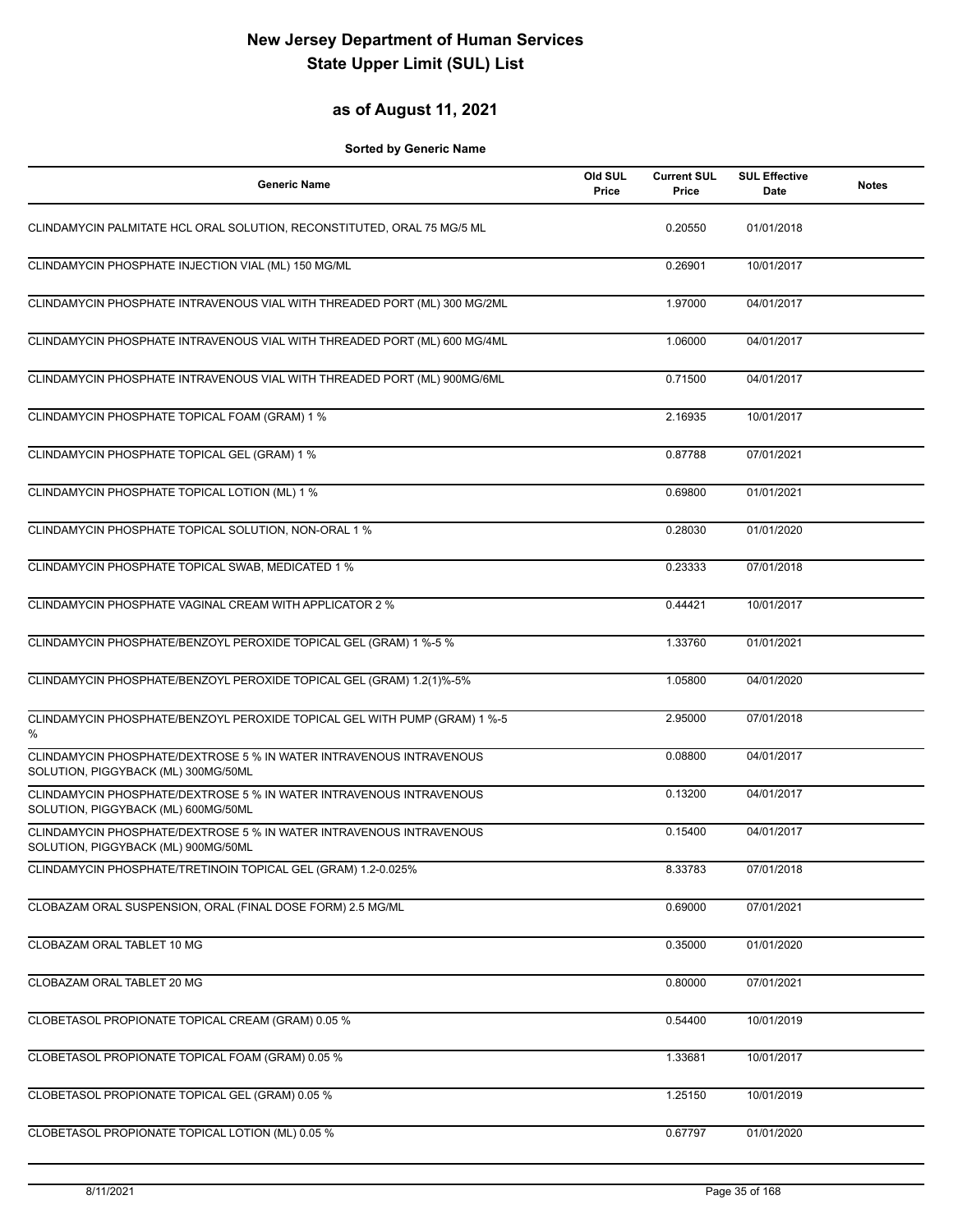## **as of August 11, 2021**

| <b>Generic Name</b>                                                                                        | Old SUL<br>Price | <b>Current SUL</b><br>Price | <b>SUL Effective</b><br>Date | <b>Notes</b> |
|------------------------------------------------------------------------------------------------------------|------------------|-----------------------------|------------------------------|--------------|
| CLINDAMYCIN PALMITATE HCL ORAL SOLUTION, RECONSTITUTED, ORAL 75 MG/5 ML                                    |                  | 0.20550                     | 01/01/2018                   |              |
| CLINDAMYCIN PHOSPHATE INJECTION VIAL (ML) 150 MG/ML                                                        |                  | 0.26901                     | 10/01/2017                   |              |
| CLINDAMYCIN PHOSPHATE INTRAVENOUS VIAL WITH THREADED PORT (ML) 300 MG/2ML                                  |                  | 1.97000                     | 04/01/2017                   |              |
| CLINDAMYCIN PHOSPHATE INTRAVENOUS VIAL WITH THREADED PORT (ML) 600 MG/4ML                                  |                  | 1.06000                     | 04/01/2017                   |              |
| CLINDAMYCIN PHOSPHATE INTRAVENOUS VIAL WITH THREADED PORT (ML) 900MG/6ML                                   |                  | 0.71500                     | 04/01/2017                   |              |
| CLINDAMYCIN PHOSPHATE TOPICAL FOAM (GRAM) 1 %                                                              |                  | 2.16935                     | 10/01/2017                   |              |
| CLINDAMYCIN PHOSPHATE TOPICAL GEL (GRAM) 1 %                                                               |                  | 0.87788                     | 07/01/2021                   |              |
| CLINDAMYCIN PHOSPHATE TOPICAL LOTION (ML) 1 %                                                              |                  | 0.69800                     | 01/01/2021                   |              |
| CLINDAMYCIN PHOSPHATE TOPICAL SOLUTION, NON-ORAL 1 %                                                       |                  | 0.28030                     | 01/01/2020                   |              |
| CLINDAMYCIN PHOSPHATE TOPICAL SWAB, MEDICATED 1 %                                                          |                  | 0.23333                     | 07/01/2018                   |              |
| CLINDAMYCIN PHOSPHATE VAGINAL CREAM WITH APPLICATOR 2 %                                                    |                  | 0.44421                     | 10/01/2017                   |              |
| CLINDAMYCIN PHOSPHATE/BENZOYL PEROXIDE TOPICAL GEL (GRAM) 1 %-5 %                                          |                  | 1.33760                     | 01/01/2021                   |              |
| CLINDAMYCIN PHOSPHATE/BENZOYL PEROXIDE TOPICAL GEL (GRAM) 1.2(1)%-5%                                       |                  | 1.05800                     | 04/01/2020                   |              |
| CLINDAMYCIN PHOSPHATE/BENZOYL PEROXIDE TOPICAL GEL WITH PUMP (GRAM) 1 %-5<br>%                             |                  | 2.95000                     | 07/01/2018                   |              |
| CLINDAMYCIN PHOSPHATE/DEXTROSE 5 % IN WATER INTRAVENOUS INTRAVENOUS<br>SOLUTION, PIGGYBACK (ML) 300MG/50ML |                  | 0.08800                     | 04/01/2017                   |              |
| CLINDAMYCIN PHOSPHATE/DEXTROSE 5 % IN WATER INTRAVENOUS INTRAVENOUS<br>SOLUTION, PIGGYBACK (ML) 600MG/50ML |                  | 0.13200                     | 04/01/2017                   |              |
| CLINDAMYCIN PHOSPHATE/DEXTROSE 5 % IN WATER INTRAVENOUS INTRAVENOUS<br>SOLUTION, PIGGYBACK (ML) 900MG/50ML |                  | 0.15400                     | 04/01/2017                   |              |
| CLINDAMYCIN PHOSPHATE/TRETINOIN TOPICAL GEL (GRAM) 1.2-0.025%                                              |                  | 8.33783                     | 07/01/2018                   |              |
| CLOBAZAM ORAL SUSPENSION, ORAL (FINAL DOSE FORM) 2.5 MG/ML                                                 |                  | 0.69000                     | 07/01/2021                   |              |
| CLOBAZAM ORAL TABLET 10 MG                                                                                 |                  | 0.35000                     | 01/01/2020                   |              |
| CLOBAZAM ORAL TABLET 20 MG                                                                                 |                  | 0.80000                     | 07/01/2021                   |              |
| CLOBETASOL PROPIONATE TOPICAL CREAM (GRAM) 0.05 %                                                          |                  | 0.54400                     | 10/01/2019                   |              |
| CLOBETASOL PROPIONATE TOPICAL FOAM (GRAM) 0.05 %                                                           |                  | 1.33681                     | 10/01/2017                   |              |
| CLOBETASOL PROPIONATE TOPICAL GEL (GRAM) 0.05 %                                                            |                  | 1.25150                     | 10/01/2019                   |              |
| CLOBETASOL PROPIONATE TOPICAL LOTION (ML) 0.05 %                                                           |                  | 0.67797                     | 01/01/2020                   |              |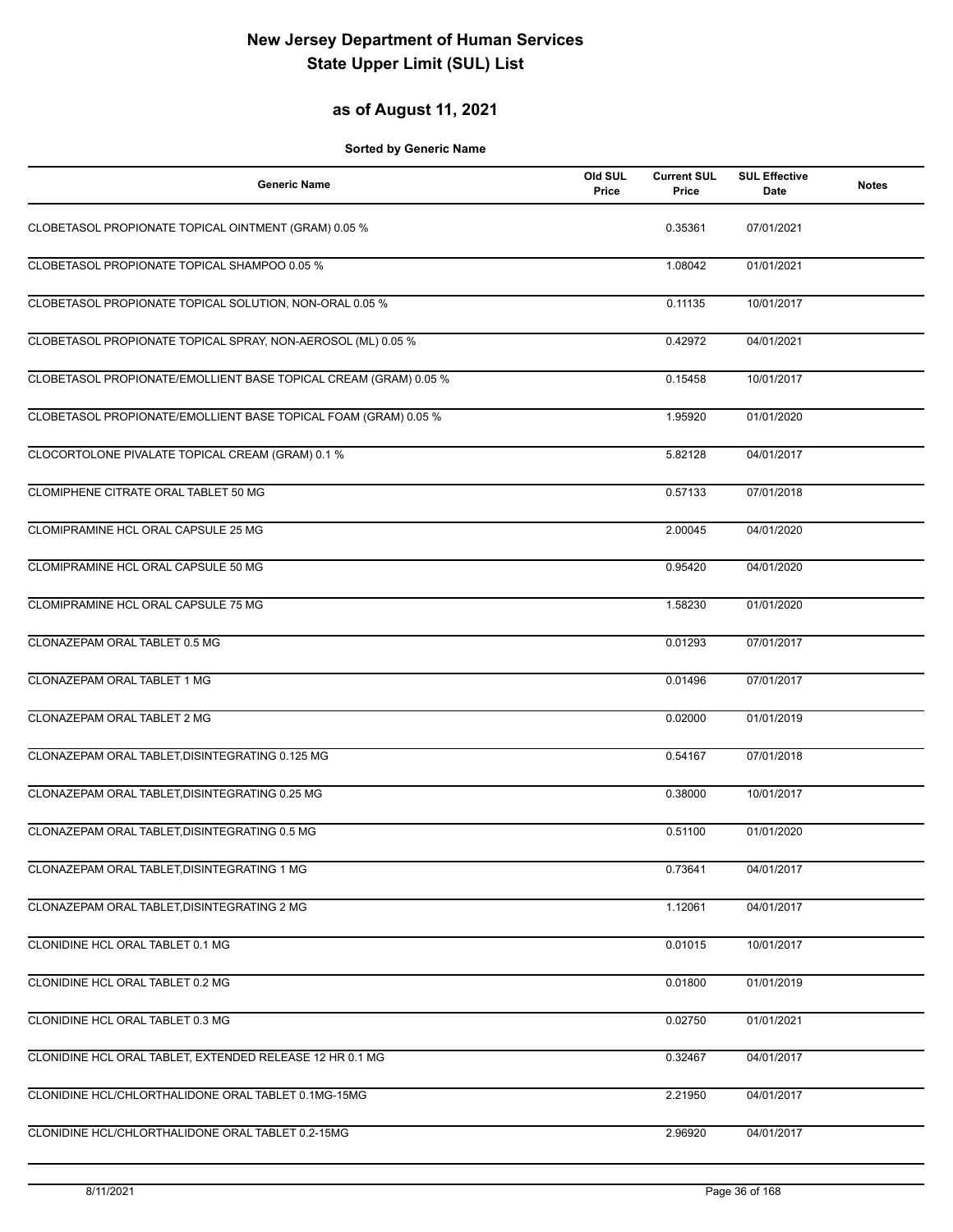## **as of August 11, 2021**

| <b>Generic Name</b>                                              | Old SUL<br>Price | <b>Current SUL</b><br>Price | <b>SUL Effective</b><br>Date | <b>Notes</b> |
|------------------------------------------------------------------|------------------|-----------------------------|------------------------------|--------------|
| CLOBETASOL PROPIONATE TOPICAL OINTMENT (GRAM) 0.05 %             |                  | 0.35361                     | 07/01/2021                   |              |
| CLOBETASOL PROPIONATE TOPICAL SHAMPOO 0.05 %                     |                  | 1.08042                     | 01/01/2021                   |              |
| CLOBETASOL PROPIONATE TOPICAL SOLUTION, NON-ORAL 0.05 %          |                  | 0.11135                     | 10/01/2017                   |              |
| CLOBETASOL PROPIONATE TOPICAL SPRAY, NON-AEROSOL (ML) 0.05 %     |                  | 0.42972                     | 04/01/2021                   |              |
| CLOBETASOL PROPIONATE/EMOLLIENT BASE TOPICAL CREAM (GRAM) 0.05 % |                  | 0.15458                     | 10/01/2017                   |              |
| CLOBETASOL PROPIONATE/EMOLLIENT BASE TOPICAL FOAM (GRAM) 0.05 %  |                  | 1.95920                     | 01/01/2020                   |              |
| CLOCORTOLONE PIVALATE TOPICAL CREAM (GRAM) 0.1 %                 |                  | 5.82128                     | 04/01/2017                   |              |
| CLOMIPHENE CITRATE ORAL TABLET 50 MG                             |                  | 0.57133                     | 07/01/2018                   |              |
| CLOMIPRAMINE HCL ORAL CAPSULE 25 MG                              |                  | 2.00045                     | 04/01/2020                   |              |
| CLOMIPRAMINE HCL ORAL CAPSULE 50 MG                              |                  | 0.95420                     | 04/01/2020                   |              |
| CLOMIPRAMINE HCL ORAL CAPSULE 75 MG                              |                  | 1.58230                     | 01/01/2020                   |              |
| CLONAZEPAM ORAL TABLET 0.5 MG                                    |                  | 0.01293                     | 07/01/2017                   |              |
| CLONAZEPAM ORAL TABLET 1 MG                                      |                  | 0.01496                     | 07/01/2017                   |              |
| CLONAZEPAM ORAL TABLET 2 MG                                      |                  | 0.02000                     | 01/01/2019                   |              |
| CLONAZEPAM ORAL TABLET, DISINTEGRATING 0.125 MG                  |                  | 0.54167                     | 07/01/2018                   |              |
| CLONAZEPAM ORAL TABLET, DISINTEGRATING 0.25 MG                   |                  | 0.38000                     | 10/01/2017                   |              |
| CLONAZEPAM ORAL TABLET, DISINTEGRATING 0.5 MG                    |                  | 0.51100                     | 01/01/2020                   |              |
| CLONAZEPAM ORAL TABLET, DISINTEGRATING 1 MG                      |                  | 0.73641                     | 04/01/2017                   |              |
| CLONAZEPAM ORAL TABLET, DISINTEGRATING 2 MG                      |                  | 1.12061                     | 04/01/2017                   |              |
| CLONIDINE HCL ORAL TABLET 0.1 MG                                 |                  | 0.01015                     | 10/01/2017                   |              |
| CLONIDINE HCL ORAL TABLET 0.2 MG                                 |                  | 0.01800                     | 01/01/2019                   |              |
| CLONIDINE HCL ORAL TABLET 0.3 MG                                 |                  | 0.02750                     | 01/01/2021                   |              |
| CLONIDINE HCL ORAL TABLET, EXTENDED RELEASE 12 HR 0.1 MG         |                  | 0.32467                     | 04/01/2017                   |              |
| CLONIDINE HCL/CHLORTHALIDONE ORAL TABLET 0.1MG-15MG              |                  | 2.21950                     | 04/01/2017                   |              |
| CLONIDINE HCL/CHLORTHALIDONE ORAL TABLET 0.2-15MG                |                  | 2.96920                     | 04/01/2017                   |              |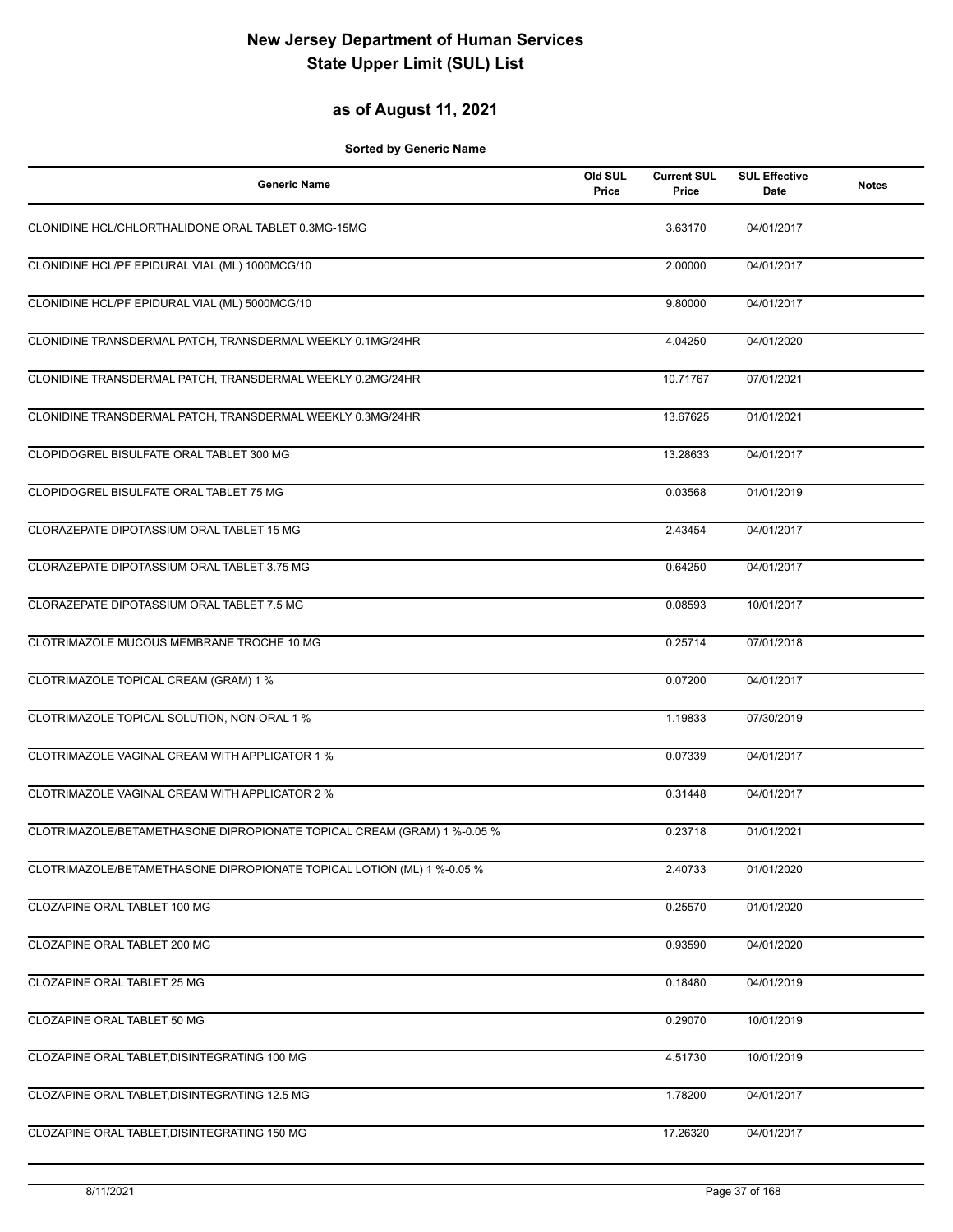### **as of August 11, 2021**

| <b>Generic Name</b>                                                     | Old SUL<br>Price | <b>Current SUL</b><br>Price | <b>SUL Effective</b><br>Date | <b>Notes</b> |
|-------------------------------------------------------------------------|------------------|-----------------------------|------------------------------|--------------|
| CLONIDINE HCL/CHLORTHALIDONE ORAL TABLET 0.3MG-15MG                     |                  | 3.63170                     | 04/01/2017                   |              |
| CLONIDINE HCL/PF EPIDURAL VIAL (ML) 1000MCG/10                          |                  | 2.00000                     | 04/01/2017                   |              |
| CLONIDINE HCL/PF EPIDURAL VIAL (ML) 5000MCG/10                          |                  | 9.80000                     | 04/01/2017                   |              |
| CLONIDINE TRANSDERMAL PATCH, TRANSDERMAL WEEKLY 0.1MG/24HR              |                  | 4.04250                     | 04/01/2020                   |              |
| CLONIDINE TRANSDERMAL PATCH, TRANSDERMAL WEEKLY 0.2MG/24HR              |                  | 10.71767                    | 07/01/2021                   |              |
| CLONIDINE TRANSDERMAL PATCH, TRANSDERMAL WEEKLY 0.3MG/24HR              |                  | 13.67625                    | 01/01/2021                   |              |
| CLOPIDOGREL BISULFATE ORAL TABLET 300 MG                                |                  | 13.28633                    | 04/01/2017                   |              |
| CLOPIDOGREL BISULFATE ORAL TABLET 75 MG                                 |                  | 0.03568                     | 01/01/2019                   |              |
| CLORAZEPATE DIPOTASSIUM ORAL TABLET 15 MG                               |                  | 2.43454                     | 04/01/2017                   |              |
| CLORAZEPATE DIPOTASSIUM ORAL TABLET 3.75 MG                             |                  | 0.64250                     | 04/01/2017                   |              |
| CLORAZEPATE DIPOTASSIUM ORAL TABLET 7.5 MG                              |                  | 0.08593                     | 10/01/2017                   |              |
| CLOTRIMAZOLE MUCOUS MEMBRANE TROCHE 10 MG                               |                  | 0.25714                     | 07/01/2018                   |              |
| CLOTRIMAZOLE TOPICAL CREAM (GRAM) 1 %                                   |                  | 0.07200                     | 04/01/2017                   |              |
| CLOTRIMAZOLE TOPICAL SOLUTION, NON-ORAL 1 %                             |                  | 1.19833                     | 07/30/2019                   |              |
| CLOTRIMAZOLE VAGINAL CREAM WITH APPLICATOR 1 %                          |                  | 0.07339                     | 04/01/2017                   |              |
| CLOTRIMAZOLE VAGINAL CREAM WITH APPLICATOR 2 %                          |                  | 0.31448                     | 04/01/2017                   |              |
| CLOTRIMAZOLE/BETAMETHASONE DIPROPIONATE TOPICAL CREAM (GRAM) 1 %-0.05 % |                  | 0.23718                     | 01/01/2021                   |              |
| CLOTRIMAZOLE/BETAMETHASONE DIPROPIONATE TOPICAL LOTION (ML) 1 %-0.05 %  |                  | 2.40733                     | 01/01/2020                   |              |
| CLOZAPINE ORAL TABLET 100 MG                                            |                  | 0.25570                     | 01/01/2020                   |              |
| CLOZAPINE ORAL TABLET 200 MG                                            |                  | 0.93590                     | 04/01/2020                   |              |
| CLOZAPINE ORAL TABLET 25 MG                                             |                  | 0.18480                     | 04/01/2019                   |              |
| CLOZAPINE ORAL TABLET 50 MG                                             |                  | 0.29070                     | 10/01/2019                   |              |
| CLOZAPINE ORAL TABLET, DISINTEGRATING 100 MG                            |                  | 4.51730                     | 10/01/2019                   |              |
| CLOZAPINE ORAL TABLET, DISINTEGRATING 12.5 MG                           |                  | 1.78200                     | 04/01/2017                   |              |
| CLOZAPINE ORAL TABLET, DISINTEGRATING 150 MG                            |                  | 17.26320                    | 04/01/2017                   |              |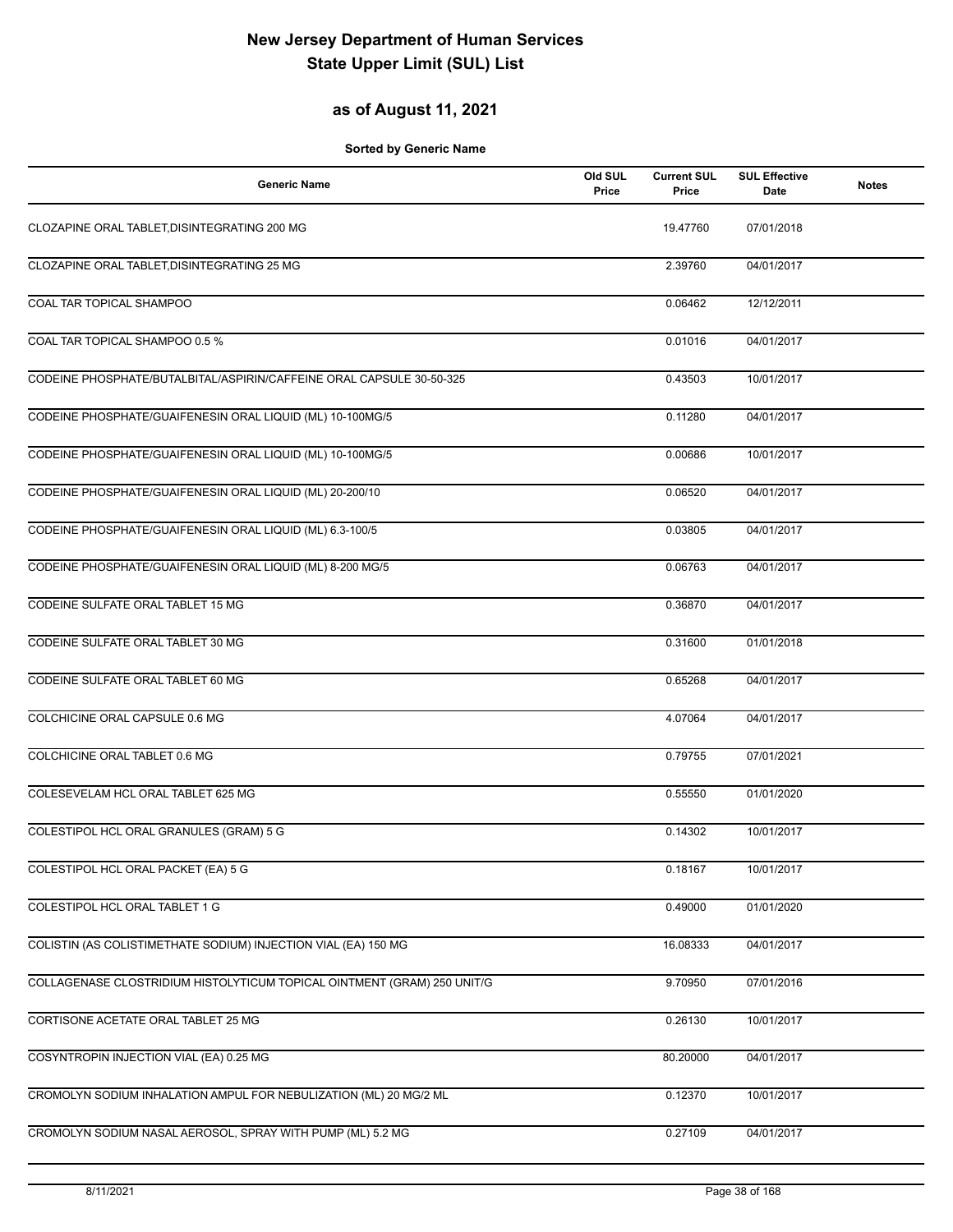### **as of August 11, 2021**

| <b>Generic Name</b>                                                     | Old SUL<br>Price | <b>Current SUL</b><br>Price | <b>SUL Effective</b><br>Date | <b>Notes</b> |
|-------------------------------------------------------------------------|------------------|-----------------------------|------------------------------|--------------|
| CLOZAPINE ORAL TABLET, DISINTEGRATING 200 MG                            |                  | 19.47760                    | 07/01/2018                   |              |
| CLOZAPINE ORAL TABLET.DISINTEGRATING 25 MG                              |                  | 2.39760                     | 04/01/2017                   |              |
| COAL TAR TOPICAL SHAMPOO                                                |                  | 0.06462                     | 12/12/2011                   |              |
| COAL TAR TOPICAL SHAMPOO 0.5 %                                          |                  | 0.01016                     | 04/01/2017                   |              |
| CODEINE PHOSPHATE/BUTALBITAL/ASPIRIN/CAFFEINE ORAL CAPSULE 30-50-325    |                  | 0.43503                     | 10/01/2017                   |              |
| CODEINE PHOSPHATE/GUAIFENESIN ORAL LIQUID (ML) 10-100MG/5               |                  | 0.11280                     | 04/01/2017                   |              |
| CODEINE PHOSPHATE/GUAIFENESIN ORAL LIQUID (ML) 10-100MG/5               |                  | 0.00686                     | 10/01/2017                   |              |
| CODEINE PHOSPHATE/GUAIFENESIN ORAL LIQUID (ML) 20-200/10                |                  | 0.06520                     | 04/01/2017                   |              |
| CODEINE PHOSPHATE/GUAIFENESIN ORAL LIQUID (ML) 6.3-100/5                |                  | 0.03805                     | 04/01/2017                   |              |
| CODEINE PHOSPHATE/GUAIFENESIN ORAL LIQUID (ML) 8-200 MG/5               |                  | 0.06763                     | 04/01/2017                   |              |
| CODEINE SULFATE ORAL TABLET 15 MG                                       |                  | 0.36870                     | 04/01/2017                   |              |
| CODEINE SULFATE ORAL TABLET 30 MG                                       |                  | 0.31600                     | 01/01/2018                   |              |
| CODEINE SULFATE ORAL TABLET 60 MG                                       |                  | 0.65268                     | 04/01/2017                   |              |
| COLCHICINE ORAL CAPSULE 0.6 MG                                          |                  | 4.07064                     | 04/01/2017                   |              |
| COLCHICINE ORAL TABLET 0.6 MG                                           |                  | 0.79755                     | 07/01/2021                   |              |
| COLESEVELAM HCL ORAL TABLET 625 MG                                      |                  | 0.55550                     | 01/01/2020                   |              |
| COLESTIPOL HCL ORAL GRANULES (GRAM) 5 G                                 |                  | 0.14302                     | 10/01/2017                   |              |
| COLESTIPOL HCL ORAL PACKET (EA) 5 G                                     |                  | 0.18167                     | 10/01/2017                   |              |
| COLESTIPOL HCL ORAL TABLET 1 G                                          |                  | 0.49000                     | 01/01/2020                   |              |
| COLISTIN (AS COLISTIMETHATE SODIUM) INJECTION VIAL (EA) 150 MG          |                  | 16.08333                    | 04/01/2017                   |              |
| COLLAGENASE CLOSTRIDIUM HISTOLYTICUM TOPICAL OINTMENT (GRAM) 250 UNIT/G |                  | 9.70950                     | 07/01/2016                   |              |
| CORTISONE ACETATE ORAL TABLET 25 MG                                     |                  | 0.26130                     | 10/01/2017                   |              |
| COSYNTROPIN INJECTION VIAL (EA) 0.25 MG                                 |                  | 80.20000                    | 04/01/2017                   |              |
| CROMOLYN SODIUM INHALATION AMPUL FOR NEBULIZATION (ML) 20 MG/2 ML       |                  | 0.12370                     | 10/01/2017                   |              |
| CROMOLYN SODIUM NASAL AEROSOL, SPRAY WITH PUMP (ML) 5.2 MG              |                  | 0.27109                     | 04/01/2017                   |              |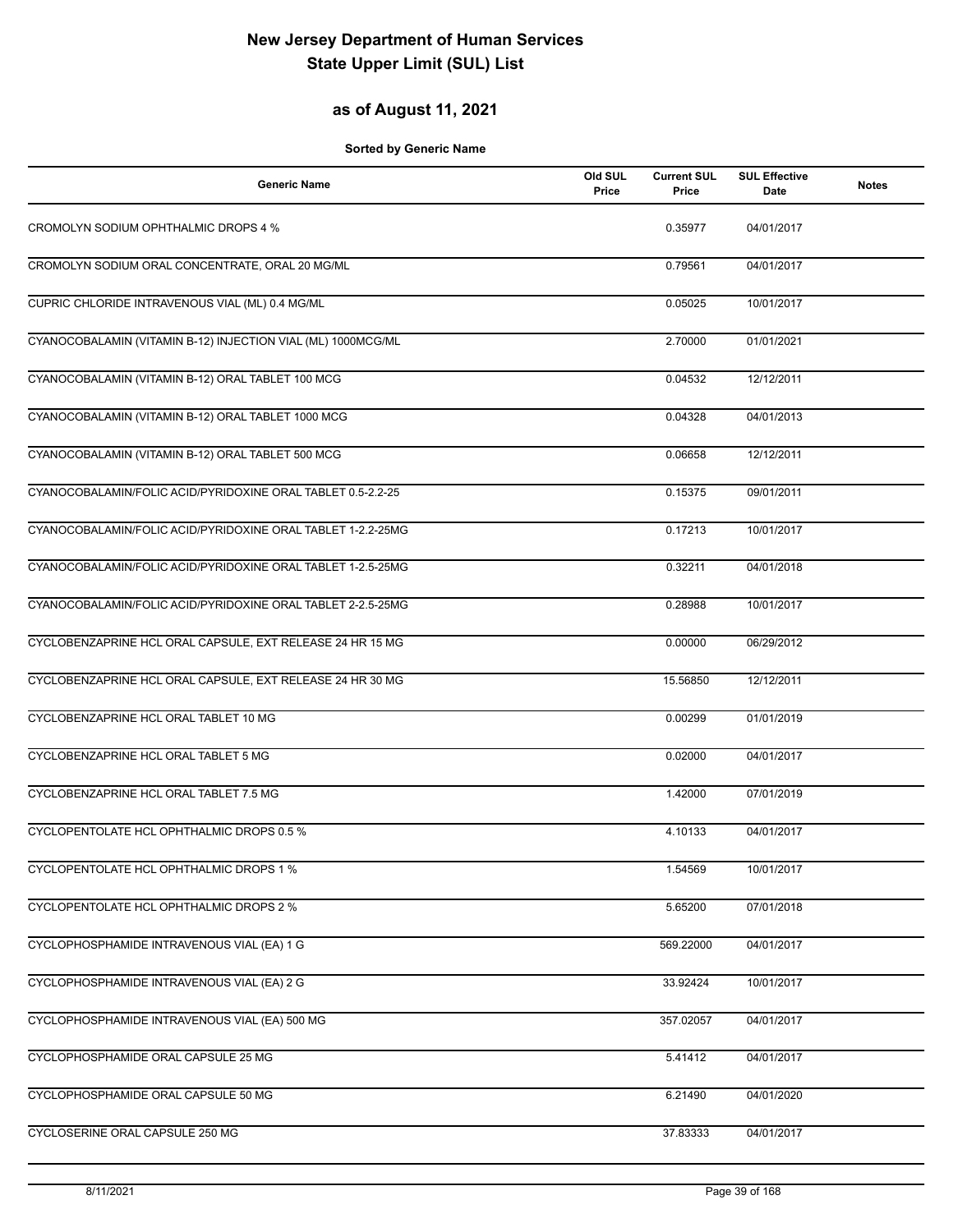#### **as of August 11, 2021**

| <b>Generic Name</b>                                          | Old SUL<br>Price | <b>Current SUL</b><br>Price | <b>SUL Effective</b><br>Date | <b>Notes</b> |
|--------------------------------------------------------------|------------------|-----------------------------|------------------------------|--------------|
| CROMOLYN SODIUM OPHTHALMIC DROPS 4 %                         |                  | 0.35977                     | 04/01/2017                   |              |
| CROMOLYN SODIUM ORAL CONCENTRATE, ORAL 20 MG/ML              |                  | 0.79561                     | 04/01/2017                   |              |
| CUPRIC CHLORIDE INTRAVENOUS VIAL (ML) 0.4 MG/ML              |                  | 0.05025                     | 10/01/2017                   |              |
| CYANOCOBALAMIN (VITAMIN B-12) INJECTION VIAL (ML) 1000MCG/ML |                  | 2.70000                     | 01/01/2021                   |              |
| CYANOCOBALAMIN (VITAMIN B-12) ORAL TABLET 100 MCG            |                  | 0.04532                     | 12/12/2011                   |              |
| CYANOCOBALAMIN (VITAMIN B-12) ORAL TABLET 1000 MCG           |                  | 0.04328                     | 04/01/2013                   |              |
| CYANOCOBALAMIN (VITAMIN B-12) ORAL TABLET 500 MCG            |                  | 0.06658                     | 12/12/2011                   |              |
| CYANOCOBALAMIN/FOLIC ACID/PYRIDOXINE ORAL TABLET 0.5-2.2-25  |                  | 0.15375                     | 09/01/2011                   |              |
| CYANOCOBALAMIN/FOLIC ACID/PYRIDOXINE ORAL TABLET 1-2.2-25MG  |                  | 0.17213                     | 10/01/2017                   |              |
| CYANOCOBALAMIN/FOLIC ACID/PYRIDOXINE ORAL TABLET 1-2.5-25MG  |                  | 0.32211                     | 04/01/2018                   |              |
| CYANOCOBALAMIN/FOLIC ACID/PYRIDOXINE ORAL TABLET 2-2.5-25MG  |                  | 0.28988                     | 10/01/2017                   |              |
| CYCLOBENZAPRINE HCL ORAL CAPSULE, EXT RELEASE 24 HR 15 MG    |                  | 0.00000                     | 06/29/2012                   |              |
| CYCLOBENZAPRINE HCL ORAL CAPSULE, EXT RELEASE 24 HR 30 MG    |                  | 15.56850                    | 12/12/2011                   |              |
| CYCLOBENZAPRINE HCL ORAL TABLET 10 MG                        |                  | 0.00299                     | 01/01/2019                   |              |
| CYCLOBENZAPRINE HCL ORAL TABLET 5 MG                         |                  | 0.02000                     | 04/01/2017                   |              |
| CYCLOBENZAPRINE HCL ORAL TABLET 7.5 MG                       |                  | 1.42000                     | 07/01/2019                   |              |
| CYCLOPENTOLATE HCL OPHTHALMIC DROPS 0.5 %                    |                  | 4.10133                     | 04/01/2017                   |              |
| CYCLOPENTOLATE HCL OPHTHALMIC DROPS 1 %                      |                  | 1.54569                     | 10/01/2017                   |              |
| CYCLOPENTOLATE HCL OPHTHALMIC DROPS 2 %                      |                  | 5.65200                     | 07/01/2018                   |              |
| CYCLOPHOSPHAMIDE INTRAVENOUS VIAL (EA) 1 G                   |                  | 569.22000                   | 04/01/2017                   |              |
| CYCLOPHOSPHAMIDE INTRAVENOUS VIAL (EA) 2 G                   |                  | 33.92424                    | 10/01/2017                   |              |
| CYCLOPHOSPHAMIDE INTRAVENOUS VIAL (EA) 500 MG                |                  | 357.02057                   | 04/01/2017                   |              |
| CYCLOPHOSPHAMIDE ORAL CAPSULE 25 MG                          |                  | 5.41412                     | 04/01/2017                   |              |
| CYCLOPHOSPHAMIDE ORAL CAPSULE 50 MG                          |                  | 6.21490                     | 04/01/2020                   |              |
| CYCLOSERINE ORAL CAPSULE 250 MG                              |                  | 37.83333                    | 04/01/2017                   |              |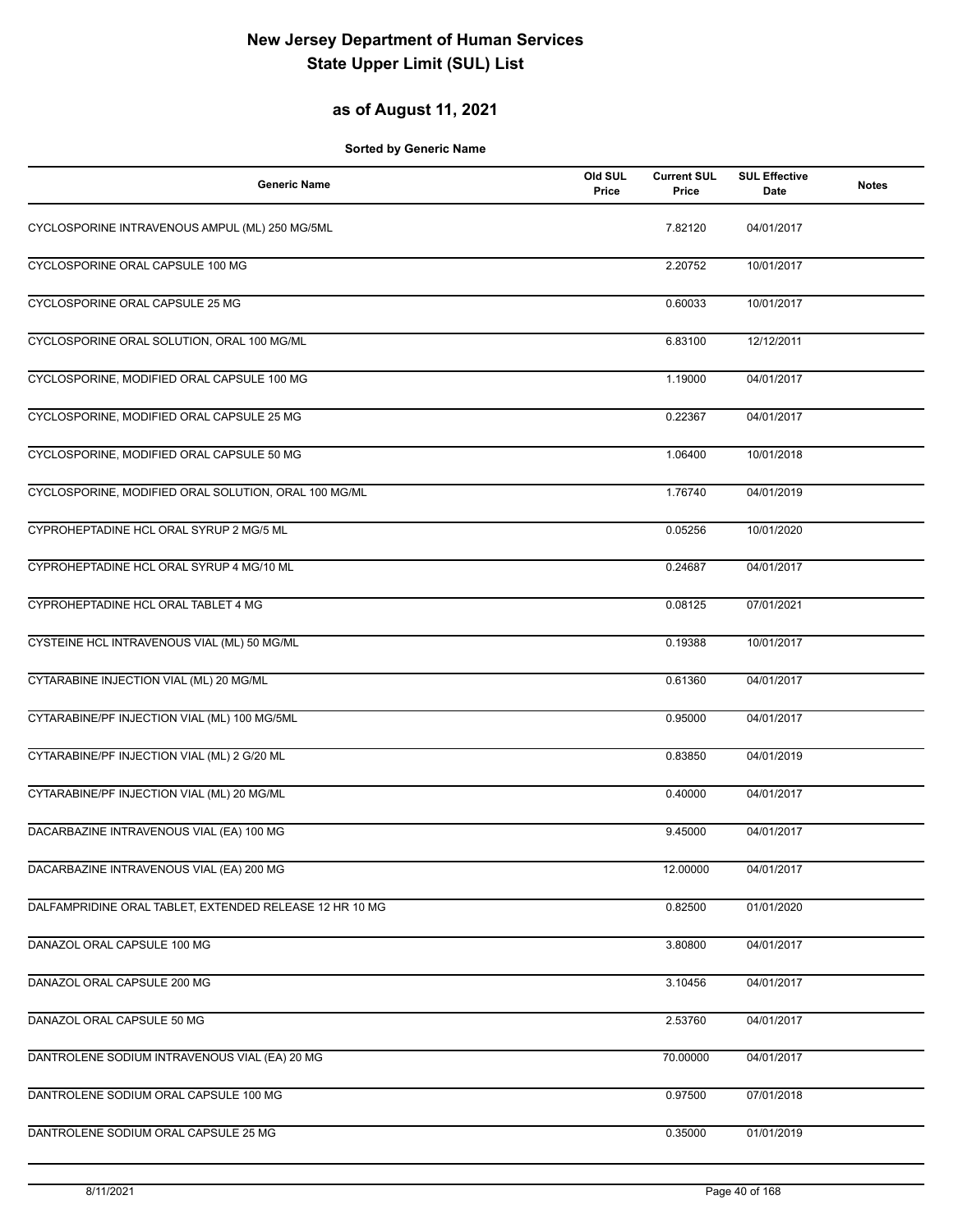#### **as of August 11, 2021**

| <b>Generic Name</b>                                     | Old SUL<br>Price | <b>Current SUL</b><br>Price | <b>SUL Effective</b><br>Date | <b>Notes</b> |
|---------------------------------------------------------|------------------|-----------------------------|------------------------------|--------------|
| CYCLOSPORINE INTRAVENOUS AMPUL (ML) 250 MG/5ML          |                  | 7.82120                     | 04/01/2017                   |              |
| CYCLOSPORINE ORAL CAPSULE 100 MG                        |                  | 2.20752                     | 10/01/2017                   |              |
| CYCLOSPORINE ORAL CAPSULE 25 MG                         |                  | 0.60033                     | 10/01/2017                   |              |
| CYCLOSPORINE ORAL SOLUTION, ORAL 100 MG/ML              |                  | 6.83100                     | 12/12/2011                   |              |
| CYCLOSPORINE, MODIFIED ORAL CAPSULE 100 MG              |                  | 1.19000                     | 04/01/2017                   |              |
| CYCLOSPORINE, MODIFIED ORAL CAPSULE 25 MG               |                  | 0.22367                     | 04/01/2017                   |              |
| CYCLOSPORINE, MODIFIED ORAL CAPSULE 50 MG               |                  | 1.06400                     | 10/01/2018                   |              |
| CYCLOSPORINE, MODIFIED ORAL SOLUTION, ORAL 100 MG/ML    |                  | 1.76740                     | 04/01/2019                   |              |
| CYPROHEPTADINE HCL ORAL SYRUP 2 MG/5 ML                 |                  | 0.05256                     | 10/01/2020                   |              |
| CYPROHEPTADINE HCL ORAL SYRUP 4 MG/10 ML                |                  | 0.24687                     | 04/01/2017                   |              |
| CYPROHEPTADINE HCL ORAL TABLET 4 MG                     |                  | 0.08125                     | 07/01/2021                   |              |
| CYSTEINE HCL INTRAVENOUS VIAL (ML) 50 MG/ML             |                  | 0.19388                     | 10/01/2017                   |              |
| CYTARABINE INJECTION VIAL (ML) 20 MG/ML                 |                  | 0.61360                     | 04/01/2017                   |              |
| CYTARABINE/PF INJECTION VIAL (ML) 100 MG/5ML            |                  | 0.95000                     | 04/01/2017                   |              |
| CYTARABINE/PF INJECTION VIAL (ML) 2 G/20 ML             |                  | 0.83850                     | 04/01/2019                   |              |
| CYTARABINE/PF INJECTION VIAL (ML) 20 MG/ML              |                  | 0.40000                     | 04/01/2017                   |              |
| DACARBAZINE INTRAVENOUS VIAL (EA) 100 MG                |                  | 9.45000                     | 04/01/2017                   |              |
| DACARBAZINE INTRAVENOUS VIAL (EA) 200 MG                |                  | 12.00000                    | 04/01/2017                   |              |
| DALFAMPRIDINE ORAL TABLET, EXTENDED RELEASE 12 HR 10 MG |                  | 0.82500                     | 01/01/2020                   |              |
| DANAZOL ORAL CAPSULE 100 MG                             |                  | 3.80800                     | 04/01/2017                   |              |
| DANAZOL ORAL CAPSULE 200 MG                             |                  | 3.10456                     | 04/01/2017                   |              |
| DANAZOL ORAL CAPSULE 50 MG                              |                  | 2.53760                     | 04/01/2017                   |              |
| DANTROLENE SODIUM INTRAVENOUS VIAL (EA) 20 MG           |                  | 70.00000                    | 04/01/2017                   |              |
| DANTROLENE SODIUM ORAL CAPSULE 100 MG                   |                  | 0.97500                     | 07/01/2018                   |              |
| DANTROLENE SODIUM ORAL CAPSULE 25 MG                    |                  | 0.35000                     | 01/01/2019                   |              |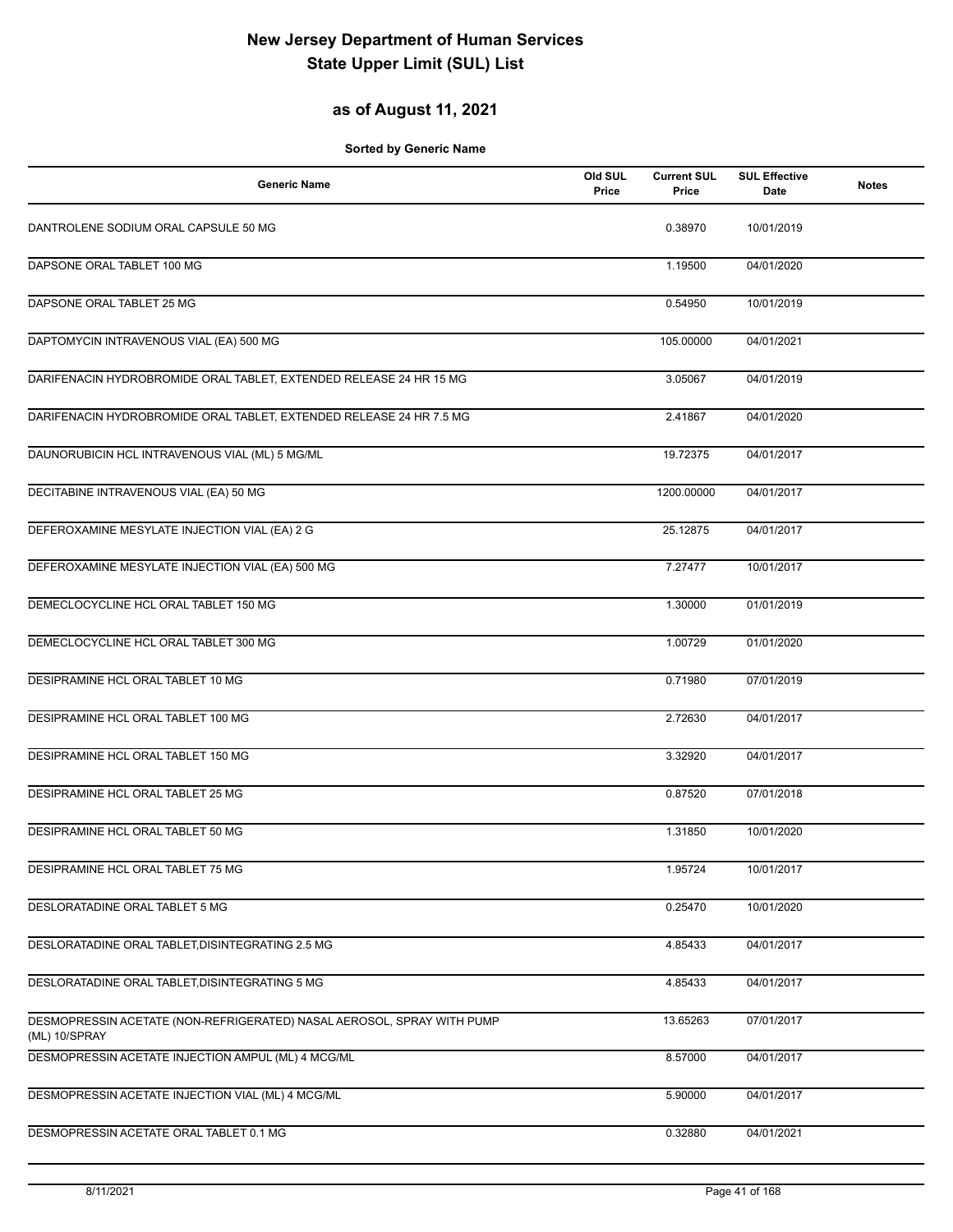### **as of August 11, 2021**

| <b>Generic Name</b>                                                                     | Old SUL<br>Price | <b>Current SUL</b><br>Price | <b>SUL Effective</b><br>Date | <b>Notes</b> |
|-----------------------------------------------------------------------------------------|------------------|-----------------------------|------------------------------|--------------|
| DANTROLENE SODIUM ORAL CAPSULE 50 MG                                                    |                  | 0.38970                     | 10/01/2019                   |              |
| DAPSONE ORAL TABLET 100 MG                                                              |                  | 1.19500                     | 04/01/2020                   |              |
| DAPSONE ORAL TABLET 25 MG                                                               |                  | 0.54950                     | 10/01/2019                   |              |
| DAPTOMYCIN INTRAVENOUS VIAL (EA) 500 MG                                                 |                  | 105.00000                   | 04/01/2021                   |              |
| DARIFENACIN HYDROBROMIDE ORAL TABLET, EXTENDED RELEASE 24 HR 15 MG                      |                  | 3.05067                     | 04/01/2019                   |              |
| DARIFENACIN HYDROBROMIDE ORAL TABLET, EXTENDED RELEASE 24 HR 7.5 MG                     |                  | 2.41867                     | 04/01/2020                   |              |
| DAUNORUBICIN HCL INTRAVENOUS VIAL (ML) 5 MG/ML                                          |                  | 19.72375                    | 04/01/2017                   |              |
| DECITABINE INTRAVENOUS VIAL (EA) 50 MG                                                  |                  | 1200.00000                  | 04/01/2017                   |              |
| DEFEROXAMINE MESYLATE INJECTION VIAL (EA) 2 G                                           |                  | 25.12875                    | 04/01/2017                   |              |
| DEFEROXAMINE MESYLATE INJECTION VIAL (EA) 500 MG                                        |                  | 7.27477                     | 10/01/2017                   |              |
| DEMECLOCYCLINE HCL ORAL TABLET 150 MG                                                   |                  | 1.30000                     | 01/01/2019                   |              |
| DEMECLOCYCLINE HCL ORAL TABLET 300 MG                                                   |                  | 1.00729                     | 01/01/2020                   |              |
| DESIPRAMINE HCL ORAL TABLET 10 MG                                                       |                  | 0.71980                     | 07/01/2019                   |              |
| DESIPRAMINE HCL ORAL TABLET 100 MG                                                      |                  | 2.72630                     | 04/01/2017                   |              |
| DESIPRAMINE HCL ORAL TABLET 150 MG                                                      |                  | 3.32920                     | 04/01/2017                   |              |
| DESIPRAMINE HCL ORAL TABLET 25 MG                                                       |                  | 0.87520                     | 07/01/2018                   |              |
| DESIPRAMINE HCL ORAL TABLET 50 MG                                                       |                  | 1.31850                     | 10/01/2020                   |              |
| DESIPRAMINE HCL ORAL TABLET 75 MG                                                       |                  | 1.95724                     | 10/01/2017                   |              |
| DESLORATADINE ORAL TABLET 5 MG                                                          |                  | 0.25470                     | 10/01/2020                   |              |
| DESLORATADINE ORAL TABLET, DISINTEGRATING 2.5 MG                                        |                  | 4.85433                     | 04/01/2017                   |              |
| DESLORATADINE ORAL TABLET, DISINTEGRATING 5 MG                                          |                  | 4.85433                     | 04/01/2017                   |              |
| DESMOPRESSIN ACETATE (NON-REFRIGERATED) NASAL AEROSOL, SPRAY WITH PUMP<br>(ML) 10/SPRAY |                  | 13.65263                    | 07/01/2017                   |              |
| DESMOPRESSIN ACETATE INJECTION AMPUL (ML) 4 MCG/ML                                      |                  | 8.57000                     | 04/01/2017                   |              |
| DESMOPRESSIN ACETATE INJECTION VIAL (ML) 4 MCG/ML                                       |                  | 5.90000                     | 04/01/2017                   |              |
| DESMOPRESSIN ACETATE ORAL TABLET 0.1 MG                                                 |                  | 0.32880                     | 04/01/2021                   |              |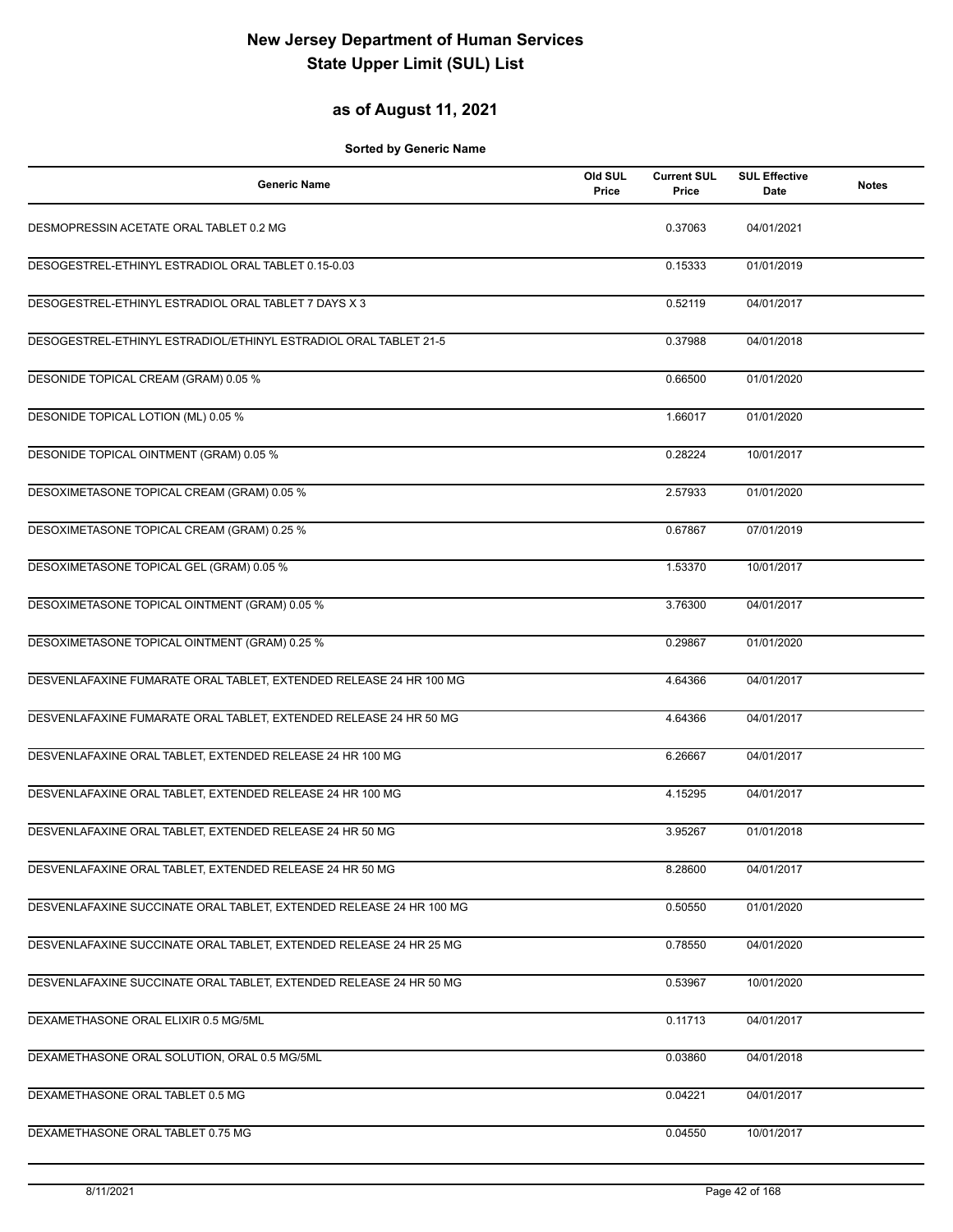#### **as of August 11, 2021**

| <b>Generic Name</b>                                                 | Old SUL<br>Price | <b>Current SUL</b><br>Price | <b>SUL Effective</b><br>Date | <b>Notes</b> |
|---------------------------------------------------------------------|------------------|-----------------------------|------------------------------|--------------|
| DESMOPRESSIN ACETATE ORAL TABLET 0.2 MG                             |                  | 0.37063                     | 04/01/2021                   |              |
| DESOGESTREL-ETHINYL ESTRADIOL ORAL TABLET 0.15-0.03                 |                  | 0.15333                     | 01/01/2019                   |              |
| DESOGESTREL-ETHINYL ESTRADIOL ORAL TABLET 7 DAYS X 3                |                  | 0.52119                     | 04/01/2017                   |              |
| DESOGESTREL-ETHINYL ESTRADIOL/ETHINYL ESTRADIOL ORAL TABLET 21-5    |                  | 0.37988                     | 04/01/2018                   |              |
| DESONIDE TOPICAL CREAM (GRAM) 0.05 %                                |                  | 0.66500                     | 01/01/2020                   |              |
| DESONIDE TOPICAL LOTION (ML) 0.05 %                                 |                  | 1.66017                     | 01/01/2020                   |              |
| DESONIDE TOPICAL OINTMENT (GRAM) 0.05 %                             |                  | 0.28224                     | 10/01/2017                   |              |
| DESOXIMETASONE TOPICAL CREAM (GRAM) 0.05 %                          |                  | 2.57933                     | 01/01/2020                   |              |
| DESOXIMETASONE TOPICAL CREAM (GRAM) 0.25 %                          |                  | 0.67867                     | 07/01/2019                   |              |
| DESOXIMETASONE TOPICAL GEL (GRAM) 0.05 %                            |                  | 1.53370                     | 10/01/2017                   |              |
| DESOXIMETASONE TOPICAL OINTMENT (GRAM) 0.05 %                       |                  | 3.76300                     | 04/01/2017                   |              |
| DESOXIMETASONE TOPICAL OINTMENT (GRAM) 0.25 %                       |                  | 0.29867                     | 01/01/2020                   |              |
| DESVENLAFAXINE FUMARATE ORAL TABLET, EXTENDED RELEASE 24 HR 100 MG  |                  | 4.64366                     | 04/01/2017                   |              |
| DESVENLAFAXINE FUMARATE ORAL TABLET, EXTENDED RELEASE 24 HR 50 MG   |                  | 4.64366                     | 04/01/2017                   |              |
| DESVENLAFAXINE ORAL TABLET, EXTENDED RELEASE 24 HR 100 MG           |                  | 6.26667                     | 04/01/2017                   |              |
| DESVENLAFAXINE ORAL TABLET, EXTENDED RELEASE 24 HR 100 MG           |                  | 4.15295                     | 04/01/2017                   |              |
| DESVENLAFAXINE ORAL TABLET, EXTENDED RELEASE 24 HR 50 MG            |                  | 3.95267                     | 01/01/2018                   |              |
| DESVENLAFAXINE ORAL TABLET, EXTENDED RELEASE 24 HR 50 MG            |                  | 8.28600                     | 04/01/2017                   |              |
| DESVENLAFAXINE SUCCINATE ORAL TABLET, EXTENDED RELEASE 24 HR 100 MG |                  | 0.50550                     | 01/01/2020                   |              |
| DESVENLAFAXINE SUCCINATE ORAL TABLET. EXTENDED RELEASE 24 HR 25 MG  |                  | 0.78550                     | 04/01/2020                   |              |
| DESVENLAFAXINE SUCCINATE ORAL TABLET, EXTENDED RELEASE 24 HR 50 MG  |                  | 0.53967                     | 10/01/2020                   |              |
| DEXAMETHASONE ORAL ELIXIR 0.5 MG/5ML                                |                  | 0.11713                     | 04/01/2017                   |              |
| DEXAMETHASONE ORAL SOLUTION, ORAL 0.5 MG/5ML                        |                  | 0.03860                     | 04/01/2018                   |              |
| DEXAMETHASONE ORAL TABLET 0.5 MG                                    |                  | 0.04221                     | 04/01/2017                   |              |
| DEXAMETHASONE ORAL TABLET 0.75 MG                                   |                  | 0.04550                     | 10/01/2017                   |              |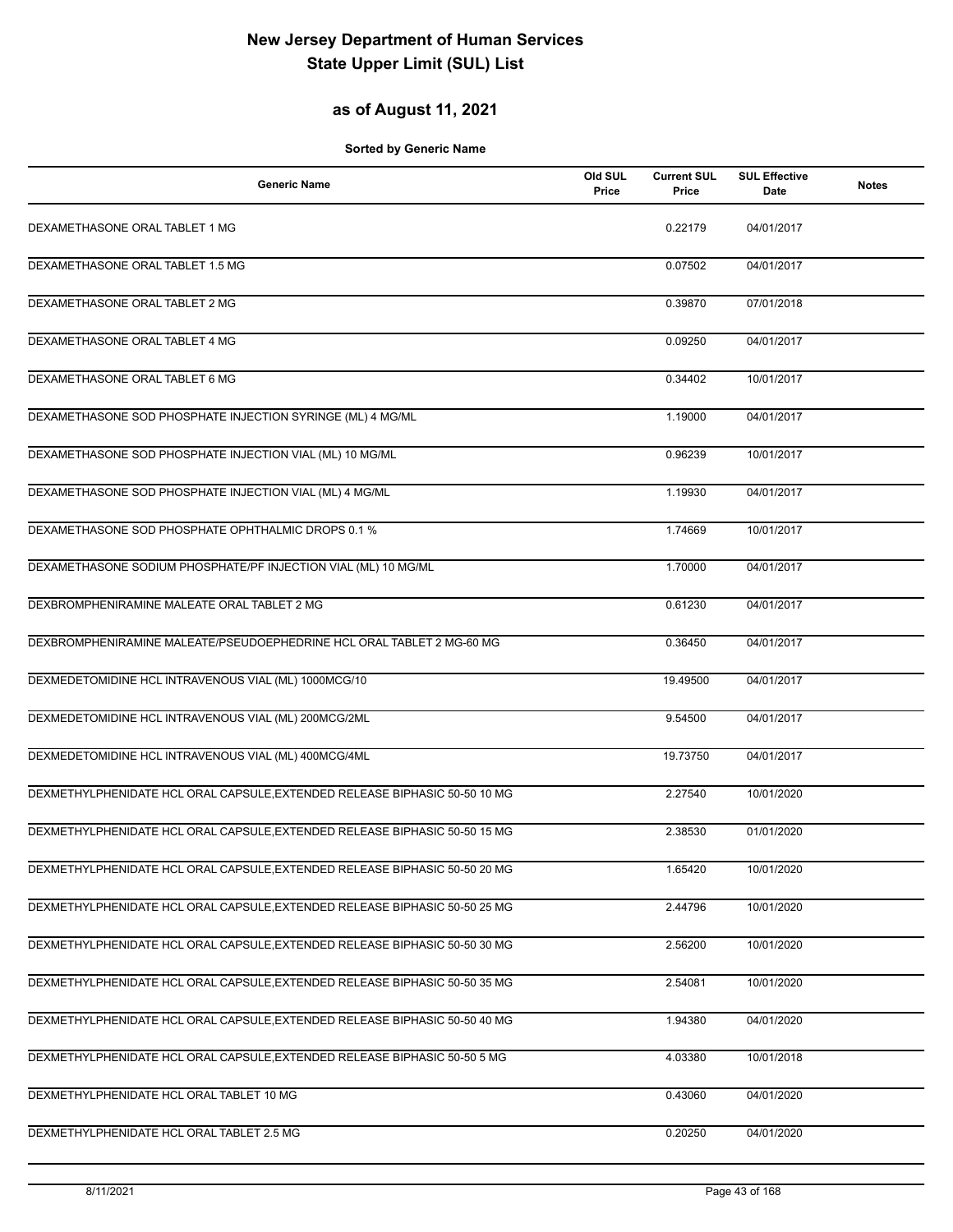### **as of August 11, 2021**

| <b>Generic Name</b>                                                        | Old SUL<br>Price | <b>Current SUL</b><br>Price | <b>SUL Effective</b><br>Date | <b>Notes</b> |
|----------------------------------------------------------------------------|------------------|-----------------------------|------------------------------|--------------|
| DEXAMETHASONE ORAL TABLET 1 MG                                             |                  | 0.22179                     | 04/01/2017                   |              |
| DEXAMETHASONE ORAL TABLET 1.5 MG                                           |                  | 0.07502                     | 04/01/2017                   |              |
| DEXAMETHASONE ORAL TABLET 2 MG                                             |                  | 0.39870                     | 07/01/2018                   |              |
| DEXAMETHASONE ORAL TABLET 4 MG                                             |                  | 0.09250                     | 04/01/2017                   |              |
| DEXAMETHASONE ORAL TABLET 6 MG                                             |                  | 0.34402                     | 10/01/2017                   |              |
| DEXAMETHASONE SOD PHOSPHATE INJECTION SYRINGE (ML) 4 MG/ML                 |                  | 1.19000                     | 04/01/2017                   |              |
| DEXAMETHASONE SOD PHOSPHATE INJECTION VIAL (ML) 10 MG/ML                   |                  | 0.96239                     | 10/01/2017                   |              |
| DEXAMETHASONE SOD PHOSPHATE INJECTION VIAL (ML) 4 MG/ML                    |                  | 1.19930                     | 04/01/2017                   |              |
| DEXAMETHASONE SOD PHOSPHATE OPHTHALMIC DROPS 0.1 %                         |                  | 1.74669                     | 10/01/2017                   |              |
| DEXAMETHASONE SODIUM PHOSPHATE/PF INJECTION VIAL (ML) 10 MG/ML             |                  | 1.70000                     | 04/01/2017                   |              |
| DEXBROMPHENIRAMINE MALEATE ORAL TABLET 2 MG                                |                  | 0.61230                     | 04/01/2017                   |              |
| DEXBROMPHENIRAMINE MALEATE/PSEUDOEPHEDRINE HCL ORAL TABLET 2 MG-60 MG      |                  | 0.36450                     | 04/01/2017                   |              |
| DEXMEDETOMIDINE HCL INTRAVENOUS VIAL (ML) 1000MCG/10                       |                  | 19.49500                    | 04/01/2017                   |              |
| DEXMEDETOMIDINE HCL INTRAVENOUS VIAL (ML) 200MCG/2ML                       |                  | 9.54500                     | 04/01/2017                   |              |
| DEXMEDETOMIDINE HCL INTRAVENOUS VIAL (ML) 400MCG/4ML                       |                  | 19.73750                    | 04/01/2017                   |              |
| DEXMETHYLPHENIDATE HCL ORAL CAPSULE, EXTENDED RELEASE BIPHASIC 50-50 10 MG |                  | 2.27540                     | 10/01/2020                   |              |
| DEXMETHYLPHENIDATE HCL ORAL CAPSULE, EXTENDED RELEASE BIPHASIC 50-50 15 MG |                  | 2.38530                     | 01/01/2020                   |              |
| DEXMETHYLPHENIDATE HCL ORAL CAPSULE, EXTENDED RELEASE BIPHASIC 50-50 20 MG |                  | 1.65420                     | 10/01/2020                   |              |
| DEXMETHYLPHENIDATE HCL ORAL CAPSULE, EXTENDED RELEASE BIPHASIC 50-50 25 MG |                  | 2.44796                     | 10/01/2020                   |              |
| DEXMETHYLPHENIDATE HCL ORAL CAPSULE, EXTENDED RELEASE BIPHASIC 50-50 30 MG |                  | 2.56200                     | 10/01/2020                   |              |
| DEXMETHYLPHENIDATE HCL ORAL CAPSULE, EXTENDED RELEASE BIPHASIC 50-50 35 MG |                  | 2.54081                     | 10/01/2020                   |              |
| DEXMETHYLPHENIDATE HCL ORAL CAPSULE, EXTENDED RELEASE BIPHASIC 50-50 40 MG |                  | 1.94380                     | 04/01/2020                   |              |
| DEXMETHYLPHENIDATE HCL ORAL CAPSULE, EXTENDED RELEASE BIPHASIC 50-50 5 MG  |                  | 4.03380                     | 10/01/2018                   |              |
| DEXMETHYLPHENIDATE HCL ORAL TABLET 10 MG                                   |                  | 0.43060                     | 04/01/2020                   |              |
| DEXMETHYLPHENIDATE HCL ORAL TABLET 2.5 MG                                  |                  | 0.20250                     | 04/01/2020                   |              |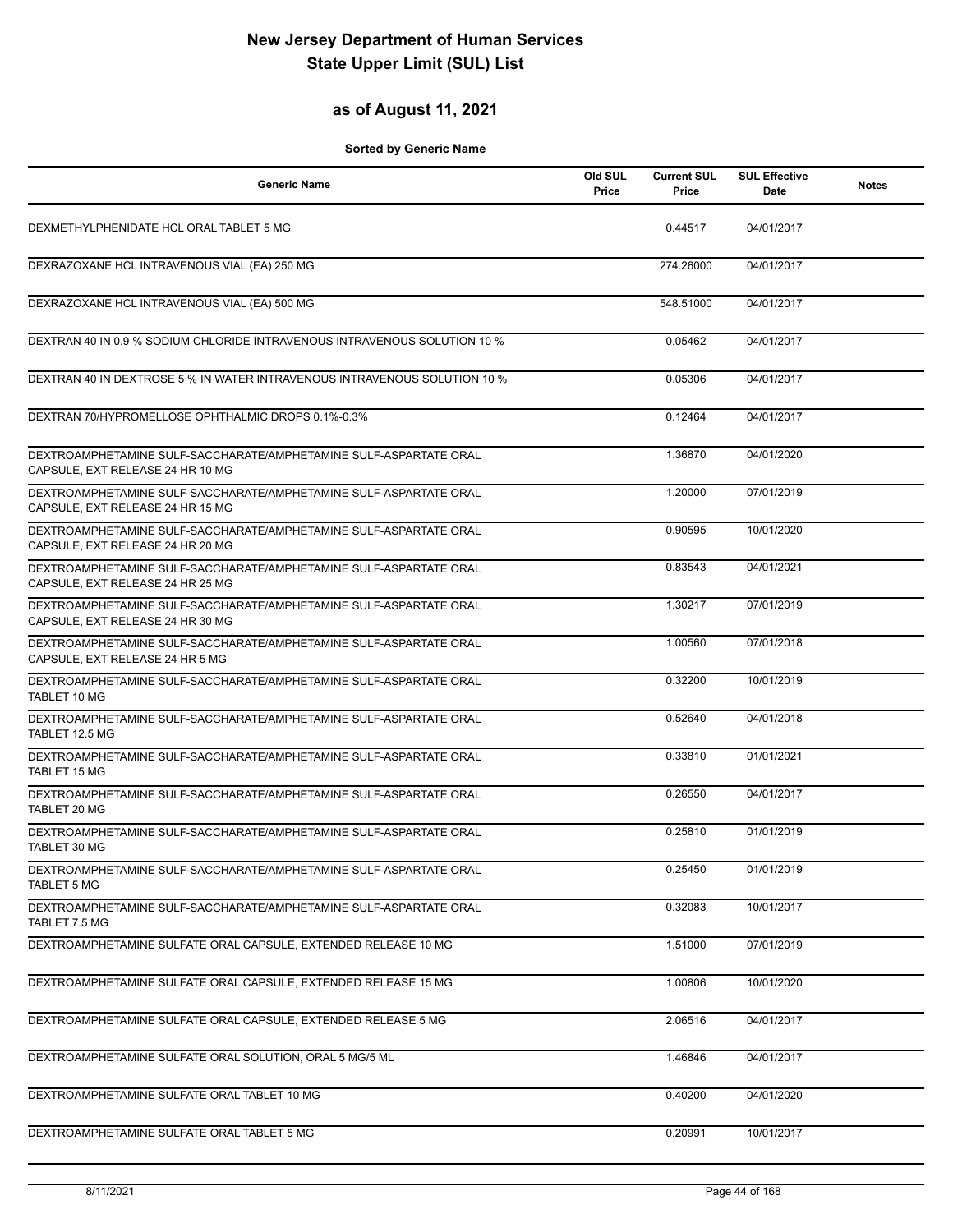#### **as of August 11, 2021**

| <b>Generic Name</b>                                                                                   | Old SUL<br>Price | <b>Current SUL</b><br>Price | <b>SUL Effective</b><br>Date | <b>Notes</b> |
|-------------------------------------------------------------------------------------------------------|------------------|-----------------------------|------------------------------|--------------|
| DEXMETHYLPHENIDATE HCL ORAL TABLET 5 MG                                                               |                  | 0.44517                     | 04/01/2017                   |              |
| DEXRAZOXANE HCL INTRAVENOUS VIAL (EA) 250 MG                                                          |                  | 274.26000                   | 04/01/2017                   |              |
| DEXRAZOXANE HCL INTRAVENOUS VIAL (EA) 500 MG                                                          |                  | 548.51000                   | 04/01/2017                   |              |
| DEXTRAN 40 IN 0.9 % SODIUM CHLORIDE INTRAVENOUS INTRAVENOUS SOLUTION 10 %                             |                  | 0.05462                     | 04/01/2017                   |              |
| DEXTRAN 40 IN DEXTROSE 5 % IN WATER INTRAVENOUS INTRAVENOUS SOLUTION 10 %                             |                  | 0.05306                     | 04/01/2017                   |              |
| DEXTRAN 70/HYPROMELLOSE OPHTHALMIC DROPS 0.1%-0.3%                                                    |                  | 0.12464                     | 04/01/2017                   |              |
| DEXTROAMPHETAMINE SULF-SACCHARATE/AMPHETAMINE SULF-ASPARTATE ORAL<br>CAPSULE, EXT RELEASE 24 HR 10 MG |                  | 1.36870                     | 04/01/2020                   |              |
| DEXTROAMPHETAMINE SULF-SACCHARATE/AMPHETAMINE SULF-ASPARTATE ORAL<br>CAPSULE, EXT RELEASE 24 HR 15 MG |                  | 1.20000                     | 07/01/2019                   |              |
| DEXTROAMPHETAMINE SULF-SACCHARATE/AMPHETAMINE SULF-ASPARTATE ORAL<br>CAPSULE, EXT RELEASE 24 HR 20 MG |                  | 0.90595                     | 10/01/2020                   |              |
| DEXTROAMPHETAMINE SULF-SACCHARATE/AMPHETAMINE SULF-ASPARTATE ORAL<br>CAPSULE, EXT RELEASE 24 HR 25 MG |                  | 0.83543                     | 04/01/2021                   |              |
| DEXTROAMPHETAMINE SULF-SACCHARATE/AMPHETAMINE SULF-ASPARTATE ORAL<br>CAPSULE, EXT RELEASE 24 HR 30 MG |                  | 1.30217                     | 07/01/2019                   |              |
| DEXTROAMPHETAMINE SULF-SACCHARATE/AMPHETAMINE SULF-ASPARTATE ORAL<br>CAPSULE, EXT RELEASE 24 HR 5 MG  |                  | 1.00560                     | 07/01/2018                   |              |
| DEXTROAMPHETAMINE SULF-SACCHARATE/AMPHETAMINE SULF-ASPARTATE ORAL<br>TABLET 10 MG                     |                  | 0.32200                     | 10/01/2019                   |              |
| DEXTROAMPHETAMINE SULF-SACCHARATE/AMPHETAMINE SULF-ASPARTATE ORAL<br>TABLET 12.5 MG                   |                  | 0.52640                     | 04/01/2018                   |              |
| DEXTROAMPHETAMINE SULF-SACCHARATE/AMPHETAMINE SULF-ASPARTATE ORAL<br>TABLET 15 MG                     |                  | 0.33810                     | 01/01/2021                   |              |
| DEXTROAMPHETAMINE SULF-SACCHARATE/AMPHETAMINE SULF-ASPARTATE ORAL<br>TABLET 20 MG                     |                  | 0.26550                     | 04/01/2017                   |              |
| DEXTROAMPHETAMINE SULF-SACCHARATE/AMPHETAMINE SULF-ASPARTATE ORAL<br>TABLET 30 MG                     |                  | 0.25810                     | 01/01/2019                   |              |
| DEXTROAMPHETAMINE SULF-SACCHARATE/AMPHETAMINE SULF-ASPARTATE ORAL<br><b>TABLET 5 MG</b>               |                  | 0.25450                     | 01/01/2019                   |              |
| DEXTROAMPHETAMINE SULF-SACCHARATE/AMPHETAMINE SULF-ASPARTATE ORAL<br>TABLET 7.5 MG                    |                  | 0.32083                     | 10/01/2017                   |              |
| DEXTROAMPHETAMINE SULFATE ORAL CAPSULE, EXTENDED RELEASE 10 MG                                        |                  | 1.51000                     | 07/01/2019                   |              |
| DEXTROAMPHETAMINE SULFATE ORAL CAPSULE, EXTENDED RELEASE 15 MG                                        |                  | 1.00806                     | 10/01/2020                   |              |
| DEXTROAMPHETAMINE SULFATE ORAL CAPSULE. EXTENDED RELEASE 5 MG                                         |                  | 2.06516                     | 04/01/2017                   |              |
| DEXTROAMPHETAMINE SULFATE ORAL SOLUTION, ORAL 5 MG/5 ML                                               |                  | 1.46846                     | 04/01/2017                   |              |
| DEXTROAMPHETAMINE SULFATE ORAL TABLET 10 MG                                                           |                  | 0.40200                     | 04/01/2020                   |              |
| DEXTROAMPHETAMINE SULFATE ORAL TABLET 5 MG                                                            |                  | 0.20991                     | 10/01/2017                   |              |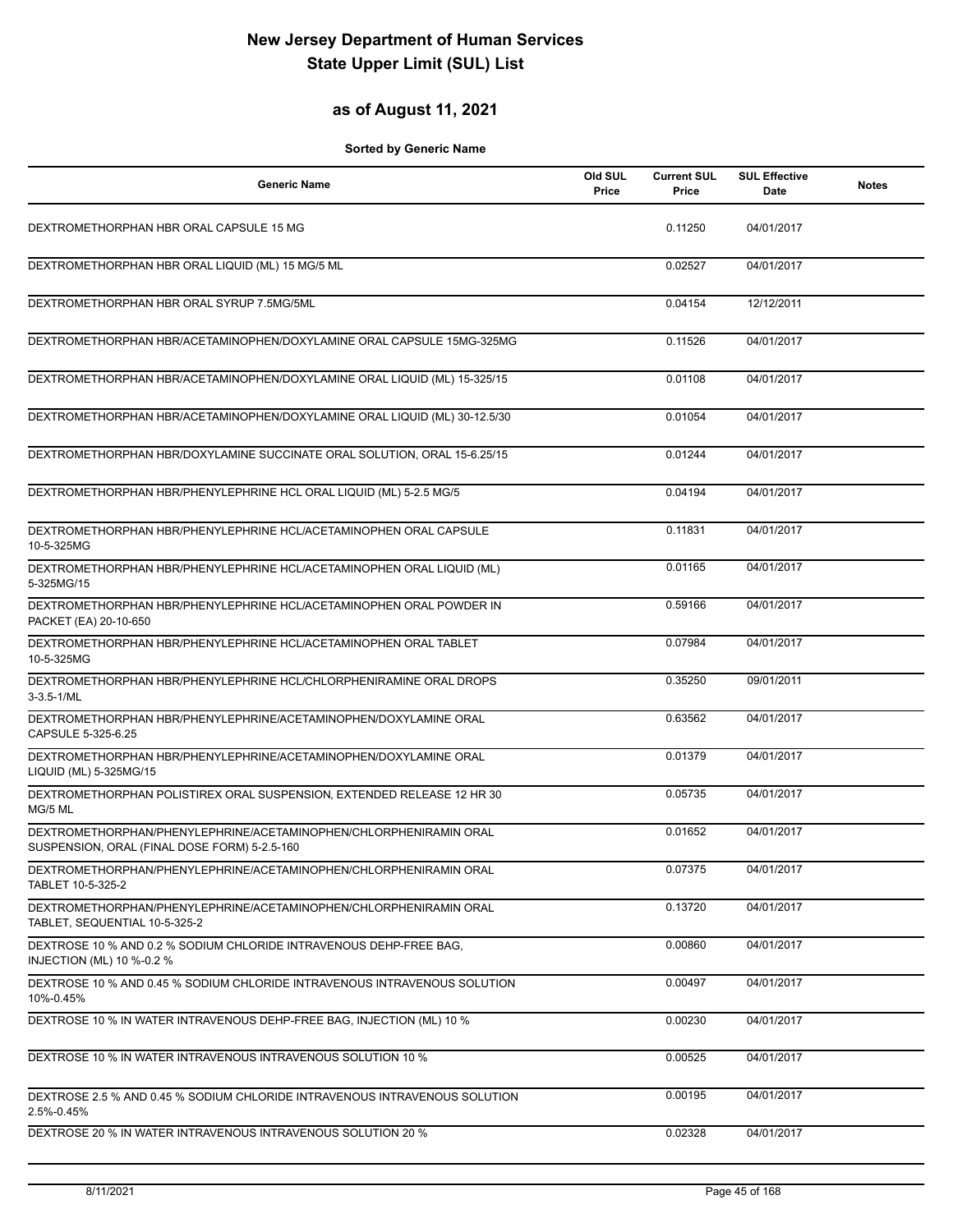### **as of August 11, 2021**

| <b>Generic Name</b>                                                                                               | Old SUL<br>Price | <b>Current SUL</b><br>Price | <b>SUL Effective</b><br>Date | <b>Notes</b> |
|-------------------------------------------------------------------------------------------------------------------|------------------|-----------------------------|------------------------------|--------------|
| DEXTROMETHORPHAN HBR ORAL CAPSULE 15 MG                                                                           |                  | 0.11250                     | 04/01/2017                   |              |
| DEXTROMETHORPHAN HBR ORAL LIQUID (ML) 15 MG/5 ML                                                                  |                  | 0.02527                     | 04/01/2017                   |              |
| DEXTROMETHORPHAN HBR ORAL SYRUP 7.5MG/5ML                                                                         |                  | 0.04154                     | 12/12/2011                   |              |
| DEXTROMETHORPHAN HBR/ACETAMINOPHEN/DOXYLAMINE ORAL CAPSULE 15MG-325MG                                             |                  | 0.11526                     | 04/01/2017                   |              |
| DEXTROMETHORPHAN HBR/ACETAMINOPHEN/DOXYLAMINE ORAL LIQUID (ML) 15-325/15                                          |                  | 0.01108                     | 04/01/2017                   |              |
| DEXTROMETHORPHAN HBR/ACETAMINOPHEN/DOXYLAMINE ORAL LIQUID (ML) 30-12.5/30                                         |                  | 0.01054                     | 04/01/2017                   |              |
| DEXTROMETHORPHAN HBR/DOXYLAMINE SUCCINATE ORAL SOLUTION, ORAL 15-6.25/15                                          |                  | 0.01244                     | 04/01/2017                   |              |
| DEXTROMETHORPHAN HBR/PHENYLEPHRINE HCL ORAL LIQUID (ML) 5-2.5 MG/5                                                |                  | 0.04194                     | 04/01/2017                   |              |
| DEXTROMETHORPHAN HBR/PHENYLEPHRINE HCL/ACETAMINOPHEN ORAL CAPSULE<br>10-5-325MG                                   |                  | 0.11831                     | 04/01/2017                   |              |
| DEXTROMETHORPHAN HBR/PHENYLEPHRINE HCL/ACETAMINOPHEN ORAL LIQUID (ML)<br>5-325MG/15                               |                  | 0.01165                     | 04/01/2017                   |              |
| DEXTROMETHORPHAN HBR/PHENYLEPHRINE HCL/ACETAMINOPHEN ORAL POWDER IN<br>PACKET (EA) 20-10-650                      |                  | 0.59166                     | 04/01/2017                   |              |
| DEXTROMETHORPHAN HBR/PHENYLEPHRINE HCL/ACETAMINOPHEN ORAL TABLET<br>10-5-325MG                                    |                  | 0.07984                     | 04/01/2017                   |              |
| DEXTROMETHORPHAN HBR/PHENYLEPHRINE HCL/CHLORPHENIRAMINE ORAL DROPS<br>$3-3.5-1/ML$                                |                  | 0.35250                     | 09/01/2011                   |              |
| DEXTROMETHORPHAN HBR/PHENYLEPHRINE/ACETAMINOPHEN/DOXYLAMINE ORAL<br>CAPSULE 5-325-6.25                            |                  | 0.63562                     | 04/01/2017                   |              |
| DEXTROMETHORPHAN HBR/PHENYLEPHRINE/ACETAMINOPHEN/DOXYLAMINE ORAL<br>LIQUID (ML) 5-325MG/15                        |                  | 0.01379                     | 04/01/2017                   |              |
| DEXTROMETHORPHAN POLISTIREX ORAL SUSPENSION, EXTENDED RELEASE 12 HR 30<br>MG/5 ML                                 |                  | 0.05735                     | 04/01/2017                   |              |
| DEXTROMETHORPHAN/PHENYLEPHRINE/ACETAMINOPHEN/CHLORPHENIRAMIN ORAL<br>SUSPENSION, ORAL (FINAL DOSE FORM) 5-2.5-160 |                  | 0.01652                     | 04/01/2017                   |              |
| DEXTROMETHORPHAN/PHENYLEPHRINE/ACETAMINOPHEN/CHLORPHENIRAMIN ORAL<br>TABLET 10-5-325-2                            |                  | 0.07375                     | 04/01/2017                   |              |
| DEXTROMETHORPHAN/PHENYLEPHRINE/ACETAMINOPHEN/CHLORPHENIRAMIN ORAL<br>TABLET, SEQUENTIAL 10-5-325-2                |                  | 0.13720                     | 04/01/2017                   |              |
| DEXTROSE 10 % AND 0.2 % SODIUM CHLORIDE INTRAVENOUS DEHP-FREE BAG.<br>INJECTION (ML) 10 %-0.2 %                   |                  | 0.00860                     | 04/01/2017                   |              |
| DEXTROSE 10 % AND 0.45 % SODIUM CHLORIDE INTRAVENOUS INTRAVENOUS SOLUTION<br>10%-0.45%                            |                  | 0.00497                     | 04/01/2017                   |              |
| DEXTROSE 10 % IN WATER INTRAVENOUS DEHP-FREE BAG, INJECTION (ML) 10 %                                             |                  | 0.00230                     | 04/01/2017                   |              |
| DEXTROSE 10 % IN WATER INTRAVENOUS INTRAVENOUS SOLUTION 10 %                                                      |                  | 0.00525                     | 04/01/2017                   |              |
| DEXTROSE 2.5 % AND 0.45 % SODIUM CHLORIDE INTRAVENOUS INTRAVENOUS SOLUTION<br>2.5%-0.45%                          |                  | 0.00195                     | 04/01/2017                   |              |
| DEXTROSE 20 % IN WATER INTRAVENOUS INTRAVENOUS SOLUTION 20 %                                                      |                  | 0.02328                     | 04/01/2017                   |              |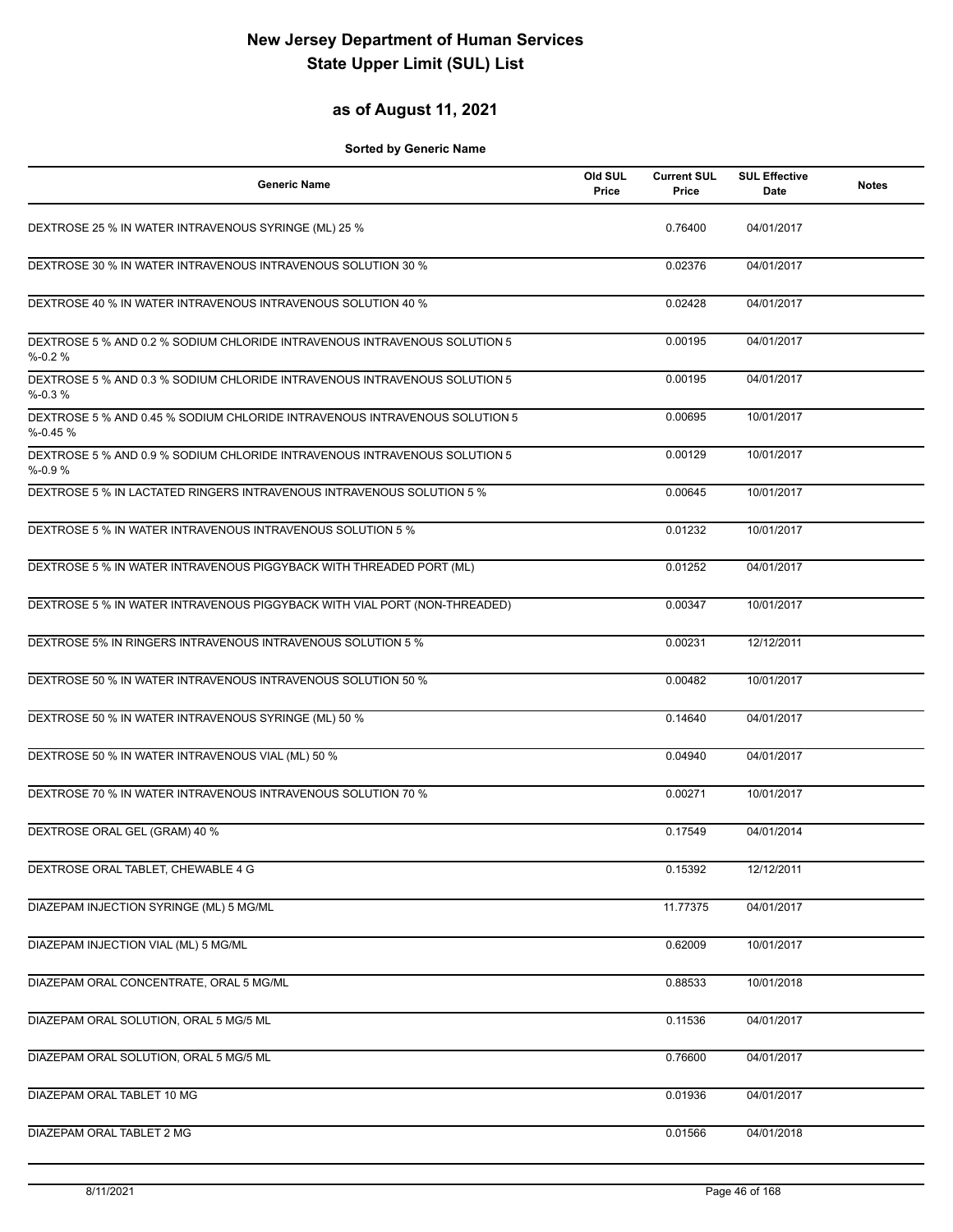### **as of August 11, 2021**

| Generic Name                                                                             | Old SUL<br>Price | <b>Current SUL</b><br>Price | <b>SUL Effective</b><br><b>Date</b> | <b>Notes</b> |
|------------------------------------------------------------------------------------------|------------------|-----------------------------|-------------------------------------|--------------|
| DEXTROSE 25 % IN WATER INTRAVENOUS SYRINGE (ML) 25 %                                     |                  | 0.76400                     | 04/01/2017                          |              |
| DEXTROSE 30 % IN WATER INTRAVENOUS INTRAVENOUS SOLUTION 30 %                             |                  | 0.02376                     | 04/01/2017                          |              |
| DEXTROSE 40 % IN WATER INTRAVENOUS INTRAVENOUS SOLUTION 40 %                             |                  | 0.02428                     | 04/01/2017                          |              |
| DEXTROSE 5 % AND 0.2 % SODIUM CHLORIDE INTRAVENOUS INTRAVENOUS SOLUTION 5<br>$% -0.2%$   |                  | 0.00195                     | 04/01/2017                          |              |
| DEXTROSE 5 % AND 0.3 % SODIUM CHLORIDE INTRAVENOUS INTRAVENOUS SOLUTION 5<br>$% -0.3%$   |                  | 0.00195                     | 04/01/2017                          |              |
| DEXTROSE 5 % AND 0.45 % SODIUM CHLORIDE INTRAVENOUS INTRAVENOUS SOLUTION 5<br>$% -0.45%$ |                  | 0.00695                     | 10/01/2017                          |              |
| DEXTROSE 5 % AND 0.9 % SODIUM CHLORIDE INTRAVENOUS INTRAVENOUS SOLUTION 5<br>$% -0.9%$   |                  | 0.00129                     | 10/01/2017                          |              |
| DEXTROSE 5 % IN LACTATED RINGERS INTRAVENOUS INTRAVENOUS SOLUTION 5 %                    |                  | 0.00645                     | 10/01/2017                          |              |
| DEXTROSE 5 % IN WATER INTRAVENOUS INTRAVENOUS SOLUTION 5 %                               |                  | 0.01232                     | 10/01/2017                          |              |
| DEXTROSE 5 % IN WATER INTRAVENOUS PIGGYBACK WITH THREADED PORT (ML)                      |                  | 0.01252                     | 04/01/2017                          |              |
| DEXTROSE 5 % IN WATER INTRAVENOUS PIGGYBACK WITH VIAL PORT (NON-THREADED)                |                  | 0.00347                     | 10/01/2017                          |              |
| DEXTROSE 5% IN RINGERS INTRAVENOUS INTRAVENOUS SOLUTION 5 %                              |                  | 0.00231                     | 12/12/2011                          |              |
| DEXTROSE 50 % IN WATER INTRAVENOUS INTRAVENOUS SOLUTION 50 %                             |                  | 0.00482                     | 10/01/2017                          |              |
| DEXTROSE 50 % IN WATER INTRAVENOUS SYRINGE (ML) 50 %                                     |                  | 0.14640                     | 04/01/2017                          |              |
| DEXTROSE 50 % IN WATER INTRAVENOUS VIAL (ML) 50 %                                        |                  | 0.04940                     | 04/01/2017                          |              |
| DEXTROSE 70 % IN WATER INTRAVENOUS INTRAVENOUS SOLUTION 70 %                             |                  | 0.00271                     | 10/01/2017                          |              |
| DEXTROSE ORAL GEL (GRAM) 40 %                                                            |                  | 0.17549                     | 04/01/2014                          |              |
| DEXTROSE ORAL TABLET, CHEWABLE 4 G                                                       |                  | 0.15392                     | 12/12/2011                          |              |
| DIAZEPAM INJECTION SYRINGE (ML) 5 MG/ML                                                  |                  | 11.77375                    | 04/01/2017                          |              |
| DIAZEPAM INJECTION VIAL (ML) 5 MG/ML                                                     |                  | 0.62009                     | 10/01/2017                          |              |
| DIAZEPAM ORAL CONCENTRATE, ORAL 5 MG/ML                                                  |                  | 0.88533                     | 10/01/2018                          |              |
| DIAZEPAM ORAL SOLUTION, ORAL 5 MG/5 ML                                                   |                  | 0.11536                     | 04/01/2017                          |              |
| DIAZEPAM ORAL SOLUTION, ORAL 5 MG/5 ML                                                   |                  | 0.76600                     | 04/01/2017                          |              |
| DIAZEPAM ORAL TABLET 10 MG                                                               |                  | 0.01936                     | 04/01/2017                          |              |
| DIAZEPAM ORAL TABLET 2 MG                                                                |                  | 0.01566                     | 04/01/2018                          |              |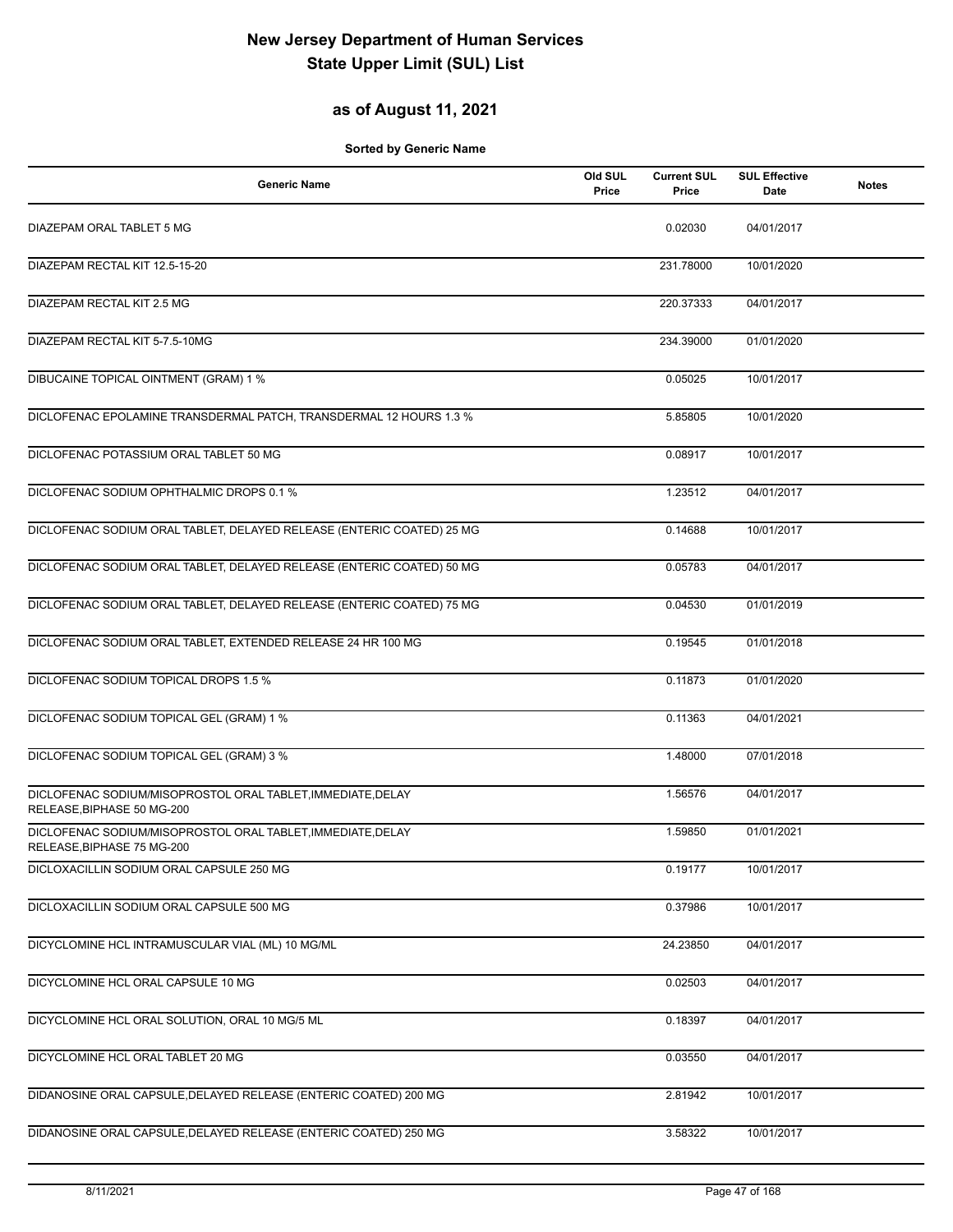### **as of August 11, 2021**

| <b>Generic Name</b>                                                                       | Old SUL<br>Price | <b>Current SUL</b><br>Price | <b>SUL Effective</b><br>Date | <b>Notes</b> |
|-------------------------------------------------------------------------------------------|------------------|-----------------------------|------------------------------|--------------|
| DIAZEPAM ORAL TABLET 5 MG                                                                 |                  | 0.02030                     | 04/01/2017                   |              |
| DIAZEPAM RECTAL KIT 12.5-15-20                                                            |                  | 231.78000                   | 10/01/2020                   |              |
| DIAZEPAM RECTAL KIT 2.5 MG                                                                |                  | 220.37333                   | 04/01/2017                   |              |
| DIAZEPAM RECTAL KIT 5-7.5-10MG                                                            |                  | 234.39000                   | 01/01/2020                   |              |
| DIBUCAINE TOPICAL OINTMENT (GRAM) 1 %                                                     |                  | 0.05025                     | 10/01/2017                   |              |
| DICLOFENAC EPOLAMINE TRANSDERMAL PATCH, TRANSDERMAL 12 HOURS 1.3 %                        |                  | 5.85805                     | 10/01/2020                   |              |
| DICLOFENAC POTASSIUM ORAL TABLET 50 MG                                                    |                  | 0.08917                     | 10/01/2017                   |              |
| DICLOFENAC SODIUM OPHTHALMIC DROPS 0.1 %                                                  |                  | 1.23512                     | 04/01/2017                   |              |
| DICLOFENAC SODIUM ORAL TABLET, DELAYED RELEASE (ENTERIC COATED) 25 MG                     |                  | 0.14688                     | 10/01/2017                   |              |
| DICLOFENAC SODIUM ORAL TABLET, DELAYED RELEASE (ENTERIC COATED) 50 MG                     |                  | 0.05783                     | 04/01/2017                   |              |
| DICLOFENAC SODIUM ORAL TABLET, DELAYED RELEASE (ENTERIC COATED) 75 MG                     |                  | 0.04530                     | 01/01/2019                   |              |
| DICLOFENAC SODIUM ORAL TABLET, EXTENDED RELEASE 24 HR 100 MG                              |                  | 0.19545                     | 01/01/2018                   |              |
| DICLOFENAC SODIUM TOPICAL DROPS 1.5 %                                                     |                  | 0.11873                     | 01/01/2020                   |              |
| DICLOFENAC SODIUM TOPICAL GEL (GRAM) 1 %                                                  |                  | 0.11363                     | 04/01/2021                   |              |
| DICLOFENAC SODIUM TOPICAL GEL (GRAM) 3 %                                                  |                  | 1.48000                     | 07/01/2018                   |              |
| DICLOFENAC SODIUM/MISOPROSTOL ORAL TABLET, IMMEDIATE, DELAY<br>RELEASE, BIPHASE 50 MG-200 |                  | 1.56576                     | 04/01/2017                   |              |
| DICLOFENAC SODIUM/MISOPROSTOL ORAL TABLET, IMMEDIATE, DELAY<br>RELEASE, BIPHASE 75 MG-200 |                  | 1.59850                     | 01/01/2021                   |              |
| DICLOXACILLIN SODIUM ORAL CAPSULE 250 MG                                                  |                  | 0.19177                     | 10/01/2017                   |              |
| DICLOXACILLIN SODIUM ORAL CAPSULE 500 MG                                                  |                  | 0.37986                     | 10/01/2017                   |              |
| DICYCLOMINE HCL INTRAMUSCULAR VIAL (ML) 10 MG/ML                                          |                  | 24.23850                    | 04/01/2017                   |              |
| DICYCLOMINE HCL ORAL CAPSULE 10 MG                                                        |                  | 0.02503                     | 04/01/2017                   |              |
| DICYCLOMINE HCL ORAL SOLUTION, ORAL 10 MG/5 ML                                            |                  | 0.18397                     | 04/01/2017                   |              |
| DICYCLOMINE HCL ORAL TABLET 20 MG                                                         |                  | 0.03550                     | 04/01/2017                   |              |
| DIDANOSINE ORAL CAPSULE, DELAYED RELEASE (ENTERIC COATED) 200 MG                          |                  | 2.81942                     | 10/01/2017                   |              |
| DIDANOSINE ORAL CAPSULE, DELAYED RELEASE (ENTERIC COATED) 250 MG                          |                  | 3.58322                     | 10/01/2017                   |              |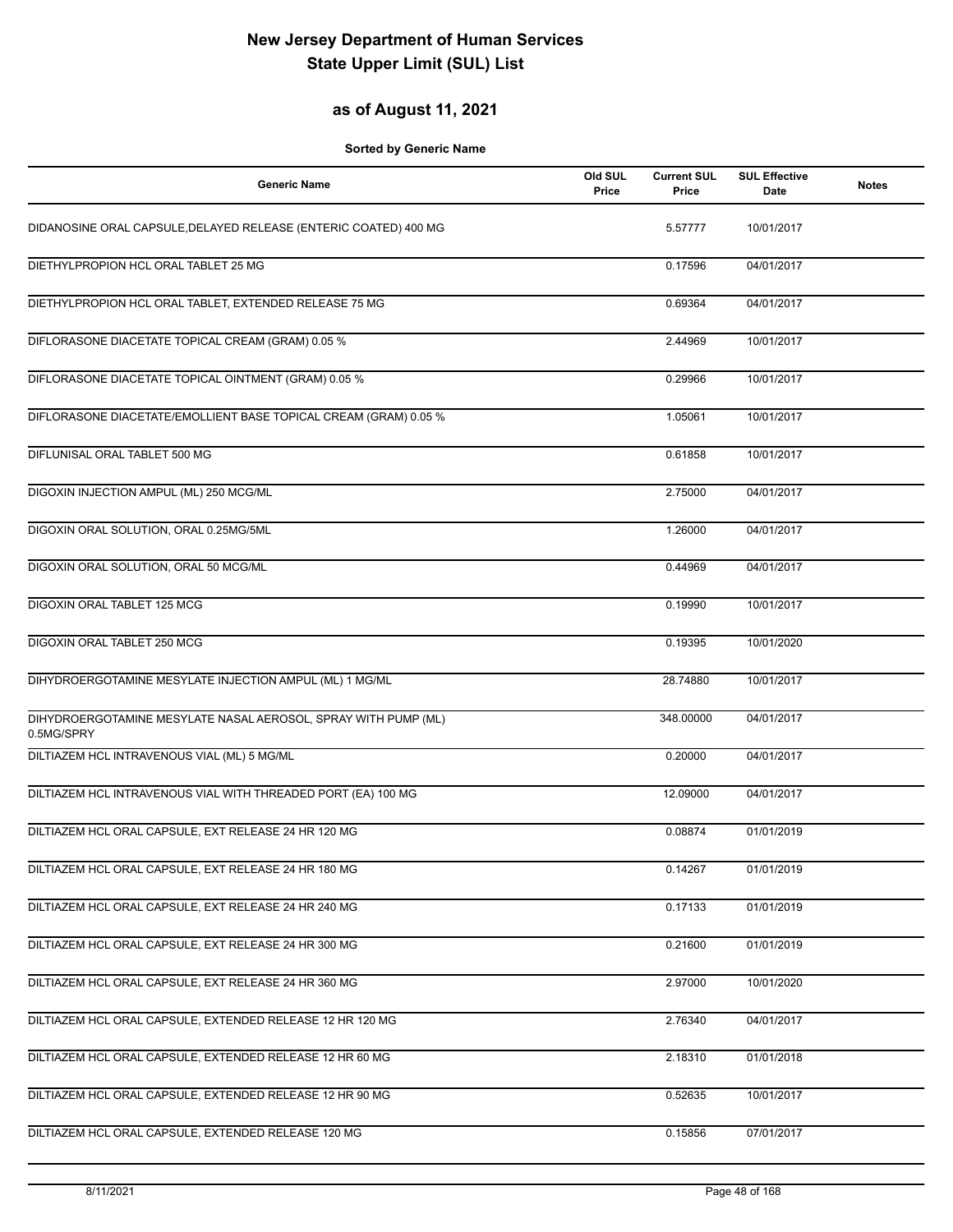### **as of August 11, 2021**

| <b>Generic Name</b>                                                          | Old SUL<br>Price | <b>Current SUL</b><br>Price | <b>SUL Effective</b><br><b>Date</b> | <b>Notes</b> |
|------------------------------------------------------------------------------|------------------|-----------------------------|-------------------------------------|--------------|
| DIDANOSINE ORAL CAPSULE, DELAYED RELEASE (ENTERIC COATED) 400 MG             |                  | 5.57777                     | 10/01/2017                          |              |
| DIETHYLPROPION HCL ORAL TABLET 25 MG                                         |                  | 0.17596                     | 04/01/2017                          |              |
| DIETHYLPROPION HCL ORAL TABLET, EXTENDED RELEASE 75 MG                       |                  | 0.69364                     | 04/01/2017                          |              |
| DIFLORASONE DIACETATE TOPICAL CREAM (GRAM) 0.05 %                            |                  | 2.44969                     | 10/01/2017                          |              |
| DIFLORASONE DIACETATE TOPICAL OINTMENT (GRAM) 0.05 %                         |                  | 0.29966                     | 10/01/2017                          |              |
| DIFLORASONE DIACETATE/EMOLLIENT BASE TOPICAL CREAM (GRAM) 0.05 %             |                  | 1.05061                     | 10/01/2017                          |              |
| DIFLUNISAL ORAL TABLET 500 MG                                                |                  | 0.61858                     | 10/01/2017                          |              |
| DIGOXIN INJECTION AMPUL (ML) 250 MCG/ML                                      |                  | 2.75000                     | 04/01/2017                          |              |
| DIGOXIN ORAL SOLUTION, ORAL 0.25MG/5ML                                       |                  | 1.26000                     | 04/01/2017                          |              |
| DIGOXIN ORAL SOLUTION, ORAL 50 MCG/ML                                        |                  | 0.44969                     | 04/01/2017                          |              |
| DIGOXIN ORAL TABLET 125 MCG                                                  |                  | 0.19990                     | 10/01/2017                          |              |
| <b>DIGOXIN ORAL TABLET 250 MCG</b>                                           |                  | 0.19395                     | 10/01/2020                          |              |
| DIHYDROERGOTAMINE MESYLATE INJECTION AMPUL (ML) 1 MG/ML                      |                  | 28.74880                    | 10/01/2017                          |              |
| DIHYDROERGOTAMINE MESYLATE NASAL AEROSOL, SPRAY WITH PUMP (ML)<br>0.5MG/SPRY |                  | 348.00000                   | 04/01/2017                          |              |
| DILTIAZEM HCL INTRAVENOUS VIAL (ML) 5 MG/ML                                  |                  | 0.20000                     | 04/01/2017                          |              |
| DILTIAZEM HCL INTRAVENOUS VIAL WITH THREADED PORT (EA) 100 MG                |                  | 12.09000                    | 04/01/2017                          |              |
| DILTIAZEM HCL ORAL CAPSULE, EXT RELEASE 24 HR 120 MG                         |                  | 0.08874                     | 01/01/2019                          |              |
| DILTIAZEM HCL ORAL CAPSULE, EXT RELEASE 24 HR 180 MG                         |                  | 0.14267                     | 01/01/2019                          |              |
| DILTIAZEM HCL ORAL CAPSULE, EXT RELEASE 24 HR 240 MG                         |                  | 0.17133                     | 01/01/2019                          |              |
| DILTIAZEM HCL ORAL CAPSULE, EXT RELEASE 24 HR 300 MG                         |                  | 0.21600                     | 01/01/2019                          |              |
| DILTIAZEM HCL ORAL CAPSULE, EXT RELEASE 24 HR 360 MG                         |                  | 2.97000                     | 10/01/2020                          |              |
| DILTIAZEM HCL ORAL CAPSULE, EXTENDED RELEASE 12 HR 120 MG                    |                  | 2.76340                     | 04/01/2017                          |              |
| DILTIAZEM HCL ORAL CAPSULE, EXTENDED RELEASE 12 HR 60 MG                     |                  | 2.18310                     | 01/01/2018                          |              |
| DILTIAZEM HCL ORAL CAPSULE, EXTENDED RELEASE 12 HR 90 MG                     |                  | 0.52635                     | 10/01/2017                          |              |
| DILTIAZEM HCL ORAL CAPSULE, EXTENDED RELEASE 120 MG                          |                  | 0.15856                     | 07/01/2017                          |              |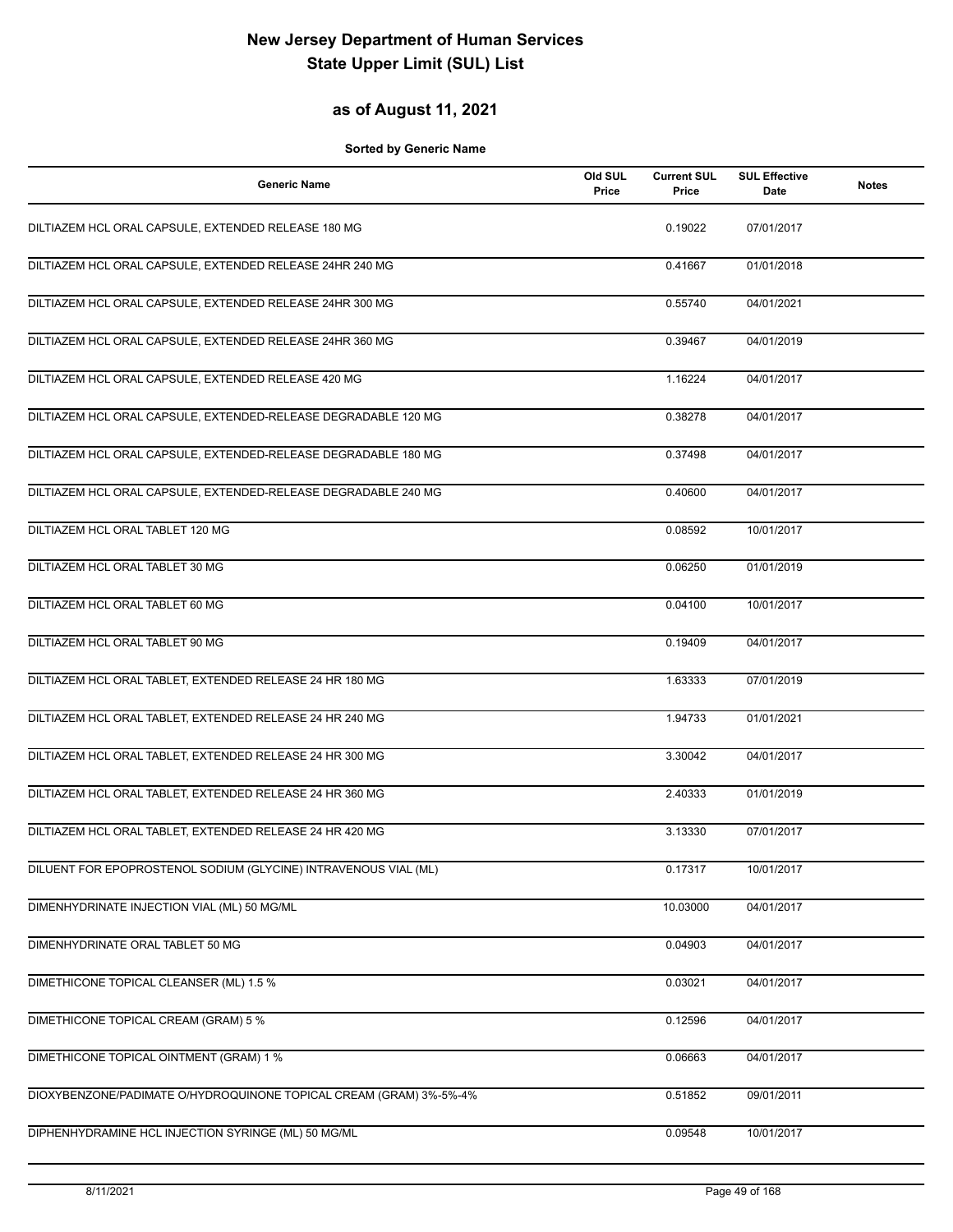### **as of August 11, 2021**

| <b>Generic Name</b>                                                | Old SUL<br>Price | <b>Current SUL</b><br>Price | <b>SUL Effective</b><br>Date | <b>Notes</b> |
|--------------------------------------------------------------------|------------------|-----------------------------|------------------------------|--------------|
| DILTIAZEM HCL ORAL CAPSULE, EXTENDED RELEASE 180 MG                |                  | 0.19022                     | 07/01/2017                   |              |
| DILTIAZEM HCL ORAL CAPSULE, EXTENDED RELEASE 24HR 240 MG           |                  | 0.41667                     | 01/01/2018                   |              |
| DILTIAZEM HCL ORAL CAPSULE, EXTENDED RELEASE 24HR 300 MG           |                  | 0.55740                     | 04/01/2021                   |              |
| DILTIAZEM HCL ORAL CAPSULE, EXTENDED RELEASE 24HR 360 MG           |                  | 0.39467                     | 04/01/2019                   |              |
| DILTIAZEM HCL ORAL CAPSULE, EXTENDED RELEASE 420 MG                |                  | 1.16224                     | 04/01/2017                   |              |
| DILTIAZEM HCL ORAL CAPSULE, EXTENDED-RELEASE DEGRADABLE 120 MG     |                  | 0.38278                     | 04/01/2017                   |              |
| DILTIAZEM HCL ORAL CAPSULE, EXTENDED-RELEASE DEGRADABLE 180 MG     |                  | 0.37498                     | 04/01/2017                   |              |
| DILTIAZEM HCL ORAL CAPSULE, EXTENDED-RELEASE DEGRADABLE 240 MG     |                  | 0.40600                     | 04/01/2017                   |              |
| DILTIAZEM HCL ORAL TABLET 120 MG                                   |                  | 0.08592                     | 10/01/2017                   |              |
| DILTIAZEM HCL ORAL TABLET 30 MG                                    |                  | 0.06250                     | 01/01/2019                   |              |
| DILTIAZEM HCL ORAL TABLET 60 MG                                    |                  | 0.04100                     | 10/01/2017                   |              |
| DILTIAZEM HCL ORAL TABLET 90 MG                                    |                  | 0.19409                     | 04/01/2017                   |              |
| DILTIAZEM HCL ORAL TABLET, EXTENDED RELEASE 24 HR 180 MG           |                  | 1.63333                     | 07/01/2019                   |              |
| DILTIAZEM HCL ORAL TABLET, EXTENDED RELEASE 24 HR 240 MG           |                  | 1.94733                     | 01/01/2021                   |              |
| DILTIAZEM HCL ORAL TABLET, EXTENDED RELEASE 24 HR 300 MG           |                  | 3.30042                     | 04/01/2017                   |              |
| DILTIAZEM HCL ORAL TABLET, EXTENDED RELEASE 24 HR 360 MG           |                  | 2.40333                     | 01/01/2019                   |              |
| DILTIAZEM HCL ORAL TABLET, EXTENDED RELEASE 24 HR 420 MG           |                  | 3.13330                     | 07/01/2017                   |              |
| DILUENT FOR EPOPROSTENOL SODIUM (GLYCINE) INTRAVENOUS VIAL (ML)    |                  | 0.17317                     | 10/01/2017                   |              |
| DIMENHYDRINATE INJECTION VIAL (ML) 50 MG/ML                        |                  | 10.03000                    | 04/01/2017                   |              |
| DIMENHYDRINATE ORAL TABLET 50 MG                                   |                  | 0.04903                     | 04/01/2017                   |              |
| DIMETHICONE TOPICAL CLEANSER (ML) 1.5 %                            |                  | 0.03021                     | 04/01/2017                   |              |
| <b>DIMETHICONE TOPICAL CREAM (GRAM) 5 %</b>                        |                  | 0.12596                     | 04/01/2017                   |              |
| DIMETHICONE TOPICAL OINTMENT (GRAM) 1 %                            |                  | 0.06663                     | 04/01/2017                   |              |
| DIOXYBENZONE/PADIMATE O/HYDROQUINONE TOPICAL CREAM (GRAM) 3%-5%-4% |                  | 0.51852                     | 09/01/2011                   |              |
| DIPHENHYDRAMINE HCL INJECTION SYRINGE (ML) 50 MG/ML                |                  | 0.09548                     | 10/01/2017                   |              |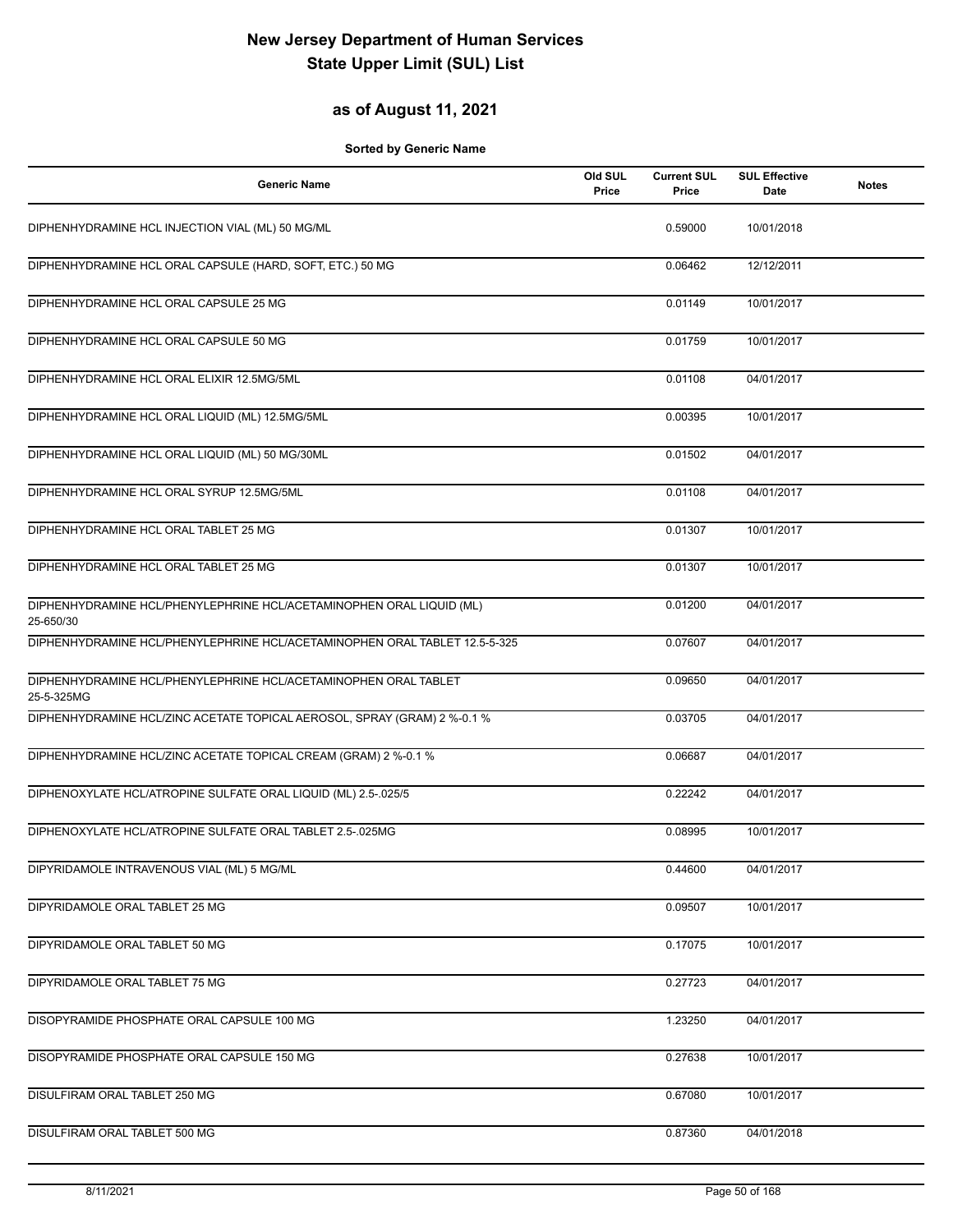### **as of August 11, 2021**

| <b>Generic Name</b>                                                               | Old SUL<br>Price | <b>Current SUL</b><br>Price | <b>SUL Effective</b><br>Date | <b>Notes</b> |
|-----------------------------------------------------------------------------------|------------------|-----------------------------|------------------------------|--------------|
| DIPHENHYDRAMINE HCL INJECTION VIAL (ML) 50 MG/ML                                  |                  | 0.59000                     | 10/01/2018                   |              |
| DIPHENHYDRAMINE HCL ORAL CAPSULE (HARD, SOFT, ETC.) 50 MG                         |                  | 0.06462                     | 12/12/2011                   |              |
| DIPHENHYDRAMINE HCL ORAL CAPSULE 25 MG                                            |                  | 0.01149                     | 10/01/2017                   |              |
| DIPHENHYDRAMINE HCL ORAL CAPSULE 50 MG                                            |                  | 0.01759                     | 10/01/2017                   |              |
| DIPHENHYDRAMINE HCL ORAL ELIXIR 12.5MG/5ML                                        |                  | 0.01108                     | 04/01/2017                   |              |
| DIPHENHYDRAMINE HCL ORAL LIQUID (ML) 12.5MG/5ML                                   |                  | 0.00395                     | 10/01/2017                   |              |
| DIPHENHYDRAMINE HCL ORAL LIQUID (ML) 50 MG/30ML                                   |                  | 0.01502                     | 04/01/2017                   |              |
| DIPHENHYDRAMINE HCL ORAL SYRUP 12.5MG/5ML                                         |                  | 0.01108                     | 04/01/2017                   |              |
| DIPHENHYDRAMINE HCL ORAL TABLET 25 MG                                             |                  | 0.01307                     | 10/01/2017                   |              |
| DIPHENHYDRAMINE HCL ORAL TABLET 25 MG                                             |                  | 0.01307                     | 10/01/2017                   |              |
| DIPHENHYDRAMINE HCL/PHENYLEPHRINE HCL/ACETAMINOPHEN ORAL LIQUID (ML)<br>25-650/30 |                  | 0.01200                     | 04/01/2017                   |              |
| DIPHENHYDRAMINE HCL/PHENYLEPHRINE HCL/ACETAMINOPHEN ORAL TABLET 12.5-5-325        |                  | 0.07607                     | 04/01/2017                   |              |
| DIPHENHYDRAMINE HCL/PHENYLEPHRINE HCL/ACETAMINOPHEN ORAL TABLET<br>25-5-325MG     |                  | 0.09650                     | 04/01/2017                   |              |
| DIPHENHYDRAMINE HCL/ZINC ACETATE TOPICAL AEROSOL, SPRAY (GRAM) 2 %-0.1 %          |                  | 0.03705                     | 04/01/2017                   |              |
| DIPHENHYDRAMINE HCL/ZINC ACETATE TOPICAL CREAM (GRAM) 2 %-0.1 %                   |                  | 0.06687                     | 04/01/2017                   |              |
| DIPHENOXYLATE HCL/ATROPINE SULFATE ORAL LIQUID (ML) 2.5-.025/5                    |                  | 0.22242                     | 04/01/2017                   |              |
| DIPHENOXYLATE HCL/ATROPINE SULFATE ORAL TABLET 2.5-025MG                          |                  | 0.08995                     | 10/01/2017                   |              |
| DIPYRIDAMOLE INTRAVENOUS VIAL (ML) 5 MG/ML                                        |                  | 0.44600                     | 04/01/2017                   |              |
| DIPYRIDAMOLE ORAL TABLET 25 MG                                                    |                  | 0.09507                     | 10/01/2017                   |              |
| DIPYRIDAMOLE ORAL TABLET 50 MG                                                    |                  | 0.17075                     | 10/01/2017                   |              |
| DIPYRIDAMOLE ORAL TABLET 75 MG                                                    |                  | 0.27723                     | 04/01/2017                   |              |
| DISOPYRAMIDE PHOSPHATE ORAL CAPSULE 100 MG                                        |                  | 1.23250                     | 04/01/2017                   |              |
| DISOPYRAMIDE PHOSPHATE ORAL CAPSULE 150 MG                                        |                  | 0.27638                     | 10/01/2017                   |              |
| DISULFIRAM ORAL TABLET 250 MG                                                     |                  | 0.67080                     | 10/01/2017                   |              |
| DISULFIRAM ORAL TABLET 500 MG                                                     |                  | 0.87360                     | 04/01/2018                   |              |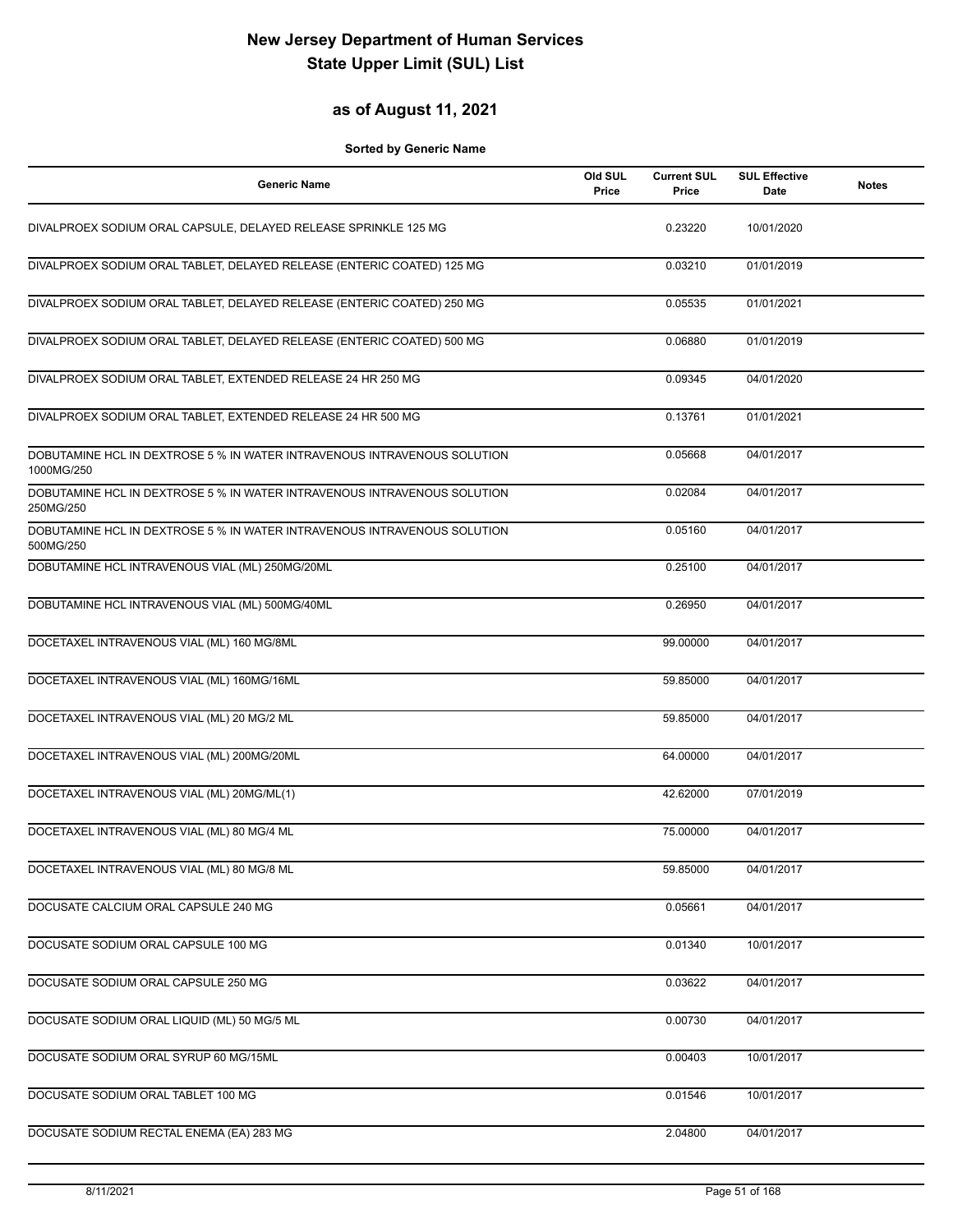### **as of August 11, 2021**

| <b>Generic Name</b>                                                                    | Old SUL<br>Price | <b>Current SUL</b><br>Price | <b>SUL Effective</b><br>Date | <b>Notes</b> |
|----------------------------------------------------------------------------------------|------------------|-----------------------------|------------------------------|--------------|
| DIVALPROEX SODIUM ORAL CAPSULE, DELAYED RELEASE SPRINKLE 125 MG                        |                  | 0.23220                     | 10/01/2020                   |              |
| DIVALPROEX SODIUM ORAL TABLET, DELAYED RELEASE (ENTERIC COATED) 125 MG                 |                  | 0.03210                     | 01/01/2019                   |              |
| DIVALPROEX SODIUM ORAL TABLET, DELAYED RELEASE (ENTERIC COATED) 250 MG                 |                  | 0.05535                     | 01/01/2021                   |              |
| DIVALPROEX SODIUM ORAL TABLET, DELAYED RELEASE (ENTERIC COATED) 500 MG                 |                  | 0.06880                     | 01/01/2019                   |              |
| DIVALPROEX SODIUM ORAL TABLET, EXTENDED RELEASE 24 HR 250 MG                           |                  | 0.09345                     | 04/01/2020                   |              |
| DIVALPROEX SODIUM ORAL TABLET, EXTENDED RELEASE 24 HR 500 MG                           |                  | 0.13761                     | 01/01/2021                   |              |
| DOBUTAMINE HCL IN DEXTROSE 5 % IN WATER INTRAVENOUS INTRAVENOUS SOLUTION<br>1000MG/250 |                  | 0.05668                     | 04/01/2017                   |              |
| DOBUTAMINE HCL IN DEXTROSE 5 % IN WATER INTRAVENOUS INTRAVENOUS SOLUTION<br>250MG/250  |                  | 0.02084                     | 04/01/2017                   |              |
| DOBUTAMINE HCL IN DEXTROSE 5 % IN WATER INTRAVENOUS INTRAVENOUS SOLUTION<br>500MG/250  |                  | 0.05160                     | 04/01/2017                   |              |
| DOBUTAMINE HCL INTRAVENOUS VIAL (ML) 250MG/20ML                                        |                  | 0.25100                     | 04/01/2017                   |              |
| DOBUTAMINE HCL INTRAVENOUS VIAL (ML) 500MG/40ML                                        |                  | 0.26950                     | 04/01/2017                   |              |
| DOCETAXEL INTRAVENOUS VIAL (ML) 160 MG/8ML                                             |                  | 99.00000                    | 04/01/2017                   |              |
| DOCETAXEL INTRAVENOUS VIAL (ML) 160MG/16ML                                             |                  | 59.85000                    | 04/01/2017                   |              |
| DOCETAXEL INTRAVENOUS VIAL (ML) 20 MG/2 ML                                             |                  | 59.85000                    | 04/01/2017                   |              |
| DOCETAXEL INTRAVENOUS VIAL (ML) 200MG/20ML                                             |                  | 64.00000                    | 04/01/2017                   |              |
| DOCETAXEL INTRAVENOUS VIAL (ML) 20MG/ML(1)                                             |                  | 42.62000                    | 07/01/2019                   |              |
| DOCETAXEL INTRAVENOUS VIAL (ML) 80 MG/4 ML                                             |                  | 75.00000                    | 04/01/2017                   |              |
| DOCETAXEL INTRAVENOUS VIAL (ML) 80 MG/8 ML                                             |                  | 59.85000                    | 04/01/2017                   |              |
| DOCUSATE CALCIUM ORAL CAPSULE 240 MG                                                   |                  | 0.05661                     | 04/01/2017                   |              |
| DOCUSATE SODIUM ORAL CAPSULE 100 MG                                                    |                  | 0.01340                     | 10/01/2017                   |              |
| DOCUSATE SODIUM ORAL CAPSULE 250 MG                                                    |                  | 0.03622                     | 04/01/2017                   |              |
| DOCUSATE SODIUM ORAL LIQUID (ML) 50 MG/5 ML                                            |                  | 0.00730                     | 04/01/2017                   |              |
| DOCUSATE SODIUM ORAL SYRUP 60 MG/15ML                                                  |                  | 0.00403                     | 10/01/2017                   |              |
| DOCUSATE SODIUM ORAL TABLET 100 MG                                                     |                  | 0.01546                     | 10/01/2017                   |              |
| DOCUSATE SODIUM RECTAL ENEMA (EA) 283 MG                                               |                  | 2.04800                     | 04/01/2017                   |              |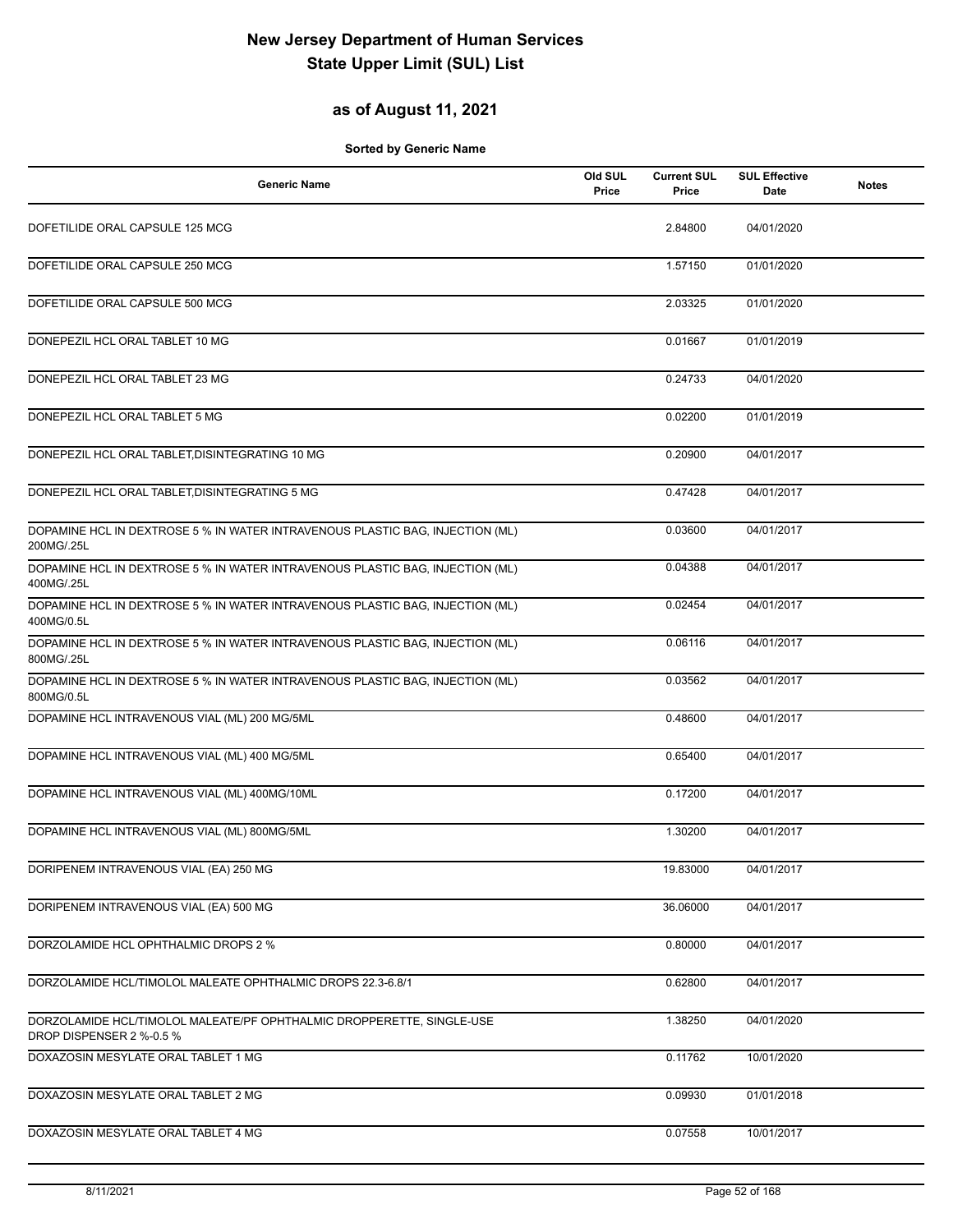### **as of August 11, 2021**

| <b>Generic Name</b>                                                                               | Old SUL<br>Price | <b>Current SUL</b><br>Price | <b>SUL Effective</b><br>Date | <b>Notes</b> |
|---------------------------------------------------------------------------------------------------|------------------|-----------------------------|------------------------------|--------------|
| DOFETILIDE ORAL CAPSULE 125 MCG                                                                   |                  | 2.84800                     | 04/01/2020                   |              |
| DOFETILIDE ORAL CAPSULE 250 MCG                                                                   |                  | 1.57150                     | 01/01/2020                   |              |
| DOFETILIDE ORAL CAPSULE 500 MCG                                                                   |                  | 2.03325                     | 01/01/2020                   |              |
| DONEPEZIL HCL ORAL TABLET 10 MG                                                                   |                  | 0.01667                     | 01/01/2019                   |              |
| DONEPEZIL HCL ORAL TABLET 23 MG                                                                   |                  | 0.24733                     | 04/01/2020                   |              |
| DONEPEZIL HCL ORAL TABLET 5 MG                                                                    |                  | 0.02200                     | 01/01/2019                   |              |
| DONEPEZIL HCL ORAL TABLET, DISINTEGRATING 10 MG                                                   |                  | 0.20900                     | 04/01/2017                   |              |
| DONEPEZIL HCL ORAL TABLET, DISINTEGRATING 5 MG                                                    |                  | 0.47428                     | 04/01/2017                   |              |
| DOPAMINE HCL IN DEXTROSE 5 % IN WATER INTRAVENOUS PLASTIC BAG, INJECTION (ML)<br>200MG/.25L       |                  | 0.03600                     | 04/01/2017                   |              |
| DOPAMINE HCL IN DEXTROSE 5 % IN WATER INTRAVENOUS PLASTIC BAG, INJECTION (ML)<br>400MG/.25L       |                  | 0.04388                     | 04/01/2017                   |              |
| DOPAMINE HCL IN DEXTROSE 5 % IN WATER INTRAVENOUS PLASTIC BAG, INJECTION (ML)<br>400MG/0.5L       |                  | 0.02454                     | 04/01/2017                   |              |
| DOPAMINE HCL IN DEXTROSE 5 % IN WATER INTRAVENOUS PLASTIC BAG, INJECTION (ML)<br>800MG/.25L       |                  | 0.06116                     | 04/01/2017                   |              |
| DOPAMINE HCL IN DEXTROSE 5 % IN WATER INTRAVENOUS PLASTIC BAG, INJECTION (ML)<br>800MG/0.5L       |                  | 0.03562                     | 04/01/2017                   |              |
| DOPAMINE HCL INTRAVENOUS VIAL (ML) 200 MG/5ML                                                     |                  | 0.48600                     | 04/01/2017                   |              |
| DOPAMINE HCL INTRAVENOUS VIAL (ML) 400 MG/5ML                                                     |                  | 0.65400                     | 04/01/2017                   |              |
| DOPAMINE HCL INTRAVENOUS VIAL (ML) 400MG/10ML                                                     |                  | 0.17200                     | 04/01/2017                   |              |
| DOPAMINE HCL INTRAVENOUS VIAL (ML) 800MG/5ML                                                      |                  | 1.30200                     | 04/01/2017                   |              |
| DORIPENEM INTRAVENOUS VIAL (EA) 250 MG                                                            |                  | 19.83000                    | 04/01/2017                   |              |
| DORIPENEM INTRAVENOUS VIAL (EA) 500 MG                                                            |                  | 36.06000                    | 04/01/2017                   |              |
| DORZOLAMIDE HCL OPHTHALMIC DROPS 2 %                                                              |                  | 0.80000                     | 04/01/2017                   |              |
| DORZOLAMIDE HCL/TIMOLOL MALEATE OPHTHALMIC DROPS 22.3-6.8/1                                       |                  | 0.62800                     | 04/01/2017                   |              |
| DORZOLAMIDE HCL/TIMOLOL MALEATE/PF OPHTHALMIC DROPPERETTE, SINGLE-USE<br>DROP DISPENSER 2 %-0.5 % |                  | 1.38250                     | 04/01/2020                   |              |
| DOXAZOSIN MESYLATE ORAL TABLET 1 MG                                                               |                  | 0.11762                     | 10/01/2020                   |              |
| DOXAZOSIN MESYLATE ORAL TABLET 2 MG                                                               |                  | 0.09930                     | 01/01/2018                   |              |
| DOXAZOSIN MESYLATE ORAL TABLET 4 MG                                                               |                  | 0.07558                     | 10/01/2017                   |              |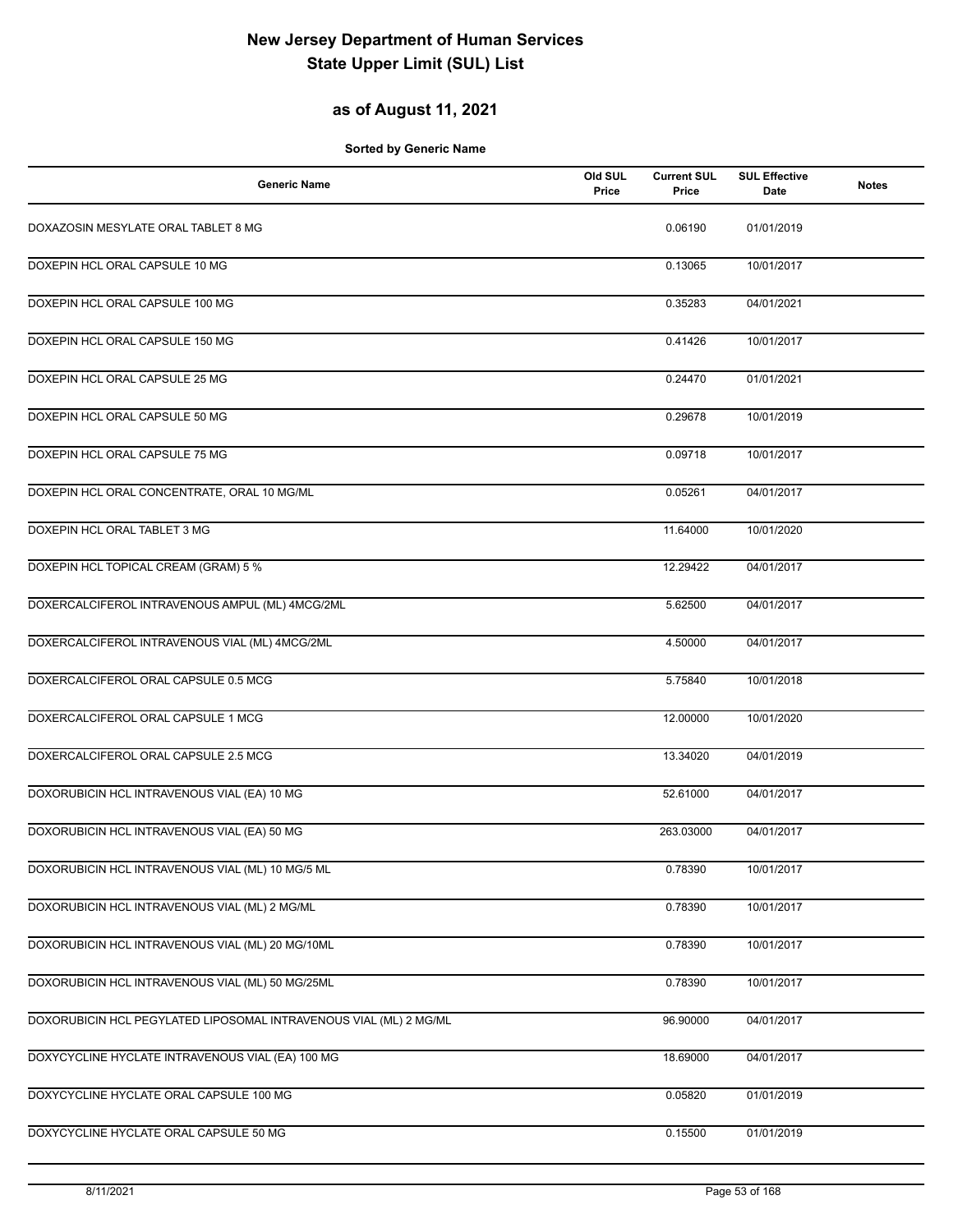### **as of August 11, 2021**

| <b>Generic Name</b>                                               | Old SUL<br>Price | <b>Current SUL</b><br>Price | <b>SUL Effective</b><br>Date | <b>Notes</b> |
|-------------------------------------------------------------------|------------------|-----------------------------|------------------------------|--------------|
| DOXAZOSIN MESYLATE ORAL TABLET 8 MG                               |                  | 0.06190                     | 01/01/2019                   |              |
| DOXEPIN HCL ORAL CAPSULE 10 MG                                    |                  | 0.13065                     | 10/01/2017                   |              |
| DOXEPIN HCL ORAL CAPSULE 100 MG                                   |                  | 0.35283                     | 04/01/2021                   |              |
| DOXEPIN HCL ORAL CAPSULE 150 MG                                   |                  | 0.41426                     | 10/01/2017                   |              |
| DOXEPIN HCL ORAL CAPSULE 25 MG                                    |                  | 0.24470                     | 01/01/2021                   |              |
| DOXEPIN HCL ORAL CAPSULE 50 MG                                    |                  | 0.29678                     | 10/01/2019                   |              |
| DOXEPIN HCL ORAL CAPSULE 75 MG                                    |                  | 0.09718                     | 10/01/2017                   |              |
| DOXEPIN HCL ORAL CONCENTRATE, ORAL 10 MG/ML                       |                  | 0.05261                     | 04/01/2017                   |              |
| DOXEPIN HCL ORAL TABLET 3 MG                                      |                  | 11.64000                    | 10/01/2020                   |              |
| DOXEPIN HCL TOPICAL CREAM (GRAM) 5 %                              |                  | 12.29422                    | 04/01/2017                   |              |
| DOXERCALCIFEROL INTRAVENOUS AMPUL (ML) 4MCG/2ML                   |                  | 5.62500                     | 04/01/2017                   |              |
| DOXERCALCIFEROL INTRAVENOUS VIAL (ML) 4MCG/2ML                    |                  | 4.50000                     | 04/01/2017                   |              |
| DOXERCALCIFEROL ORAL CAPSULE 0.5 MCG                              |                  | 5.75840                     | 10/01/2018                   |              |
| DOXERCALCIFEROL ORAL CAPSULE 1 MCG                                |                  | 12.00000                    | 10/01/2020                   |              |
| DOXERCALCIFEROL ORAL CAPSULE 2.5 MCG                              |                  | 13.34020                    | 04/01/2019                   |              |
| DOXORUBICIN HCL INTRAVENOUS VIAL (EA) 10 MG                       |                  | 52.61000                    | 04/01/2017                   |              |
| DOXORUBICIN HCL INTRAVENOUS VIAL (EA) 50 MG                       |                  | 263.03000                   | 04/01/2017                   |              |
| DOXORUBICIN HCL INTRAVENOUS VIAL (ML) 10 MG/5 ML                  |                  | 0.78390                     | 10/01/2017                   |              |
| DOXORUBICIN HCL INTRAVENOUS VIAL (ML) 2 MG/ML                     |                  | 0.78390                     | 10/01/2017                   |              |
| DOXORUBICIN HCL INTRAVENOUS VIAL (ML) 20 MG/10ML                  |                  | 0.78390                     | 10/01/2017                   |              |
| DOXORUBICIN HCL INTRAVENOUS VIAL (ML) 50 MG/25ML                  |                  | 0.78390                     | 10/01/2017                   |              |
| DOXORUBICIN HCL PEGYLATED LIPOSOMAL INTRAVENOUS VIAL (ML) 2 MG/ML |                  | 96.90000                    | 04/01/2017                   |              |
| DOXYCYCLINE HYCLATE INTRAVENOUS VIAL (EA) 100 MG                  |                  | 18.69000                    | 04/01/2017                   |              |
| DOXYCYCLINE HYCLATE ORAL CAPSULE 100 MG                           |                  | 0.05820                     | 01/01/2019                   |              |
| DOXYCYCLINE HYCLATE ORAL CAPSULE 50 MG                            |                  | 0.15500                     | 01/01/2019                   |              |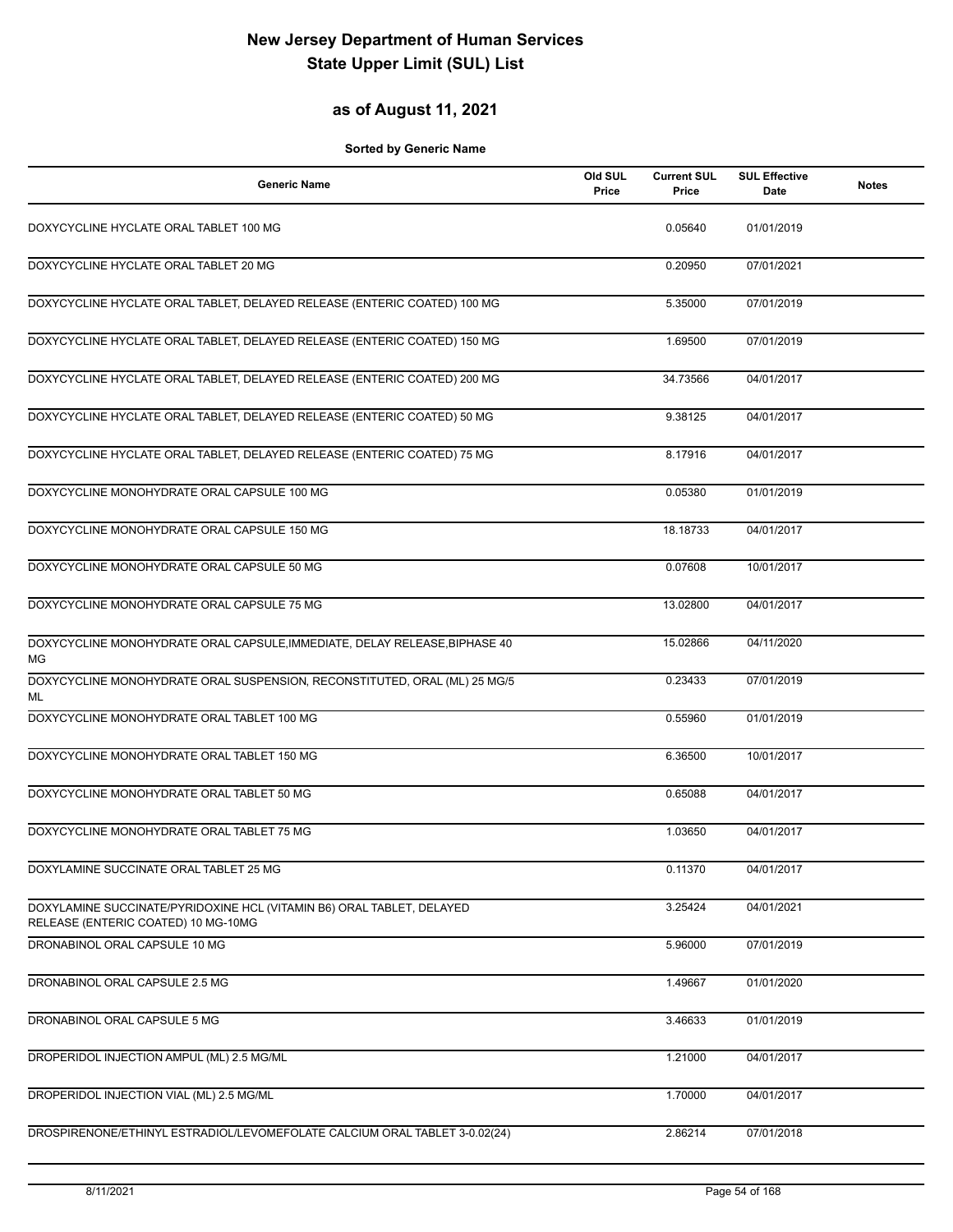### **as of August 11, 2021**

| <b>Generic Name</b>                                                                                          | Old SUL<br>Price | <b>Current SUL</b><br>Price | <b>SUL Effective</b><br>Date | <b>Notes</b> |
|--------------------------------------------------------------------------------------------------------------|------------------|-----------------------------|------------------------------|--------------|
| DOXYCYCLINE HYCLATE ORAL TABLET 100 MG                                                                       |                  | 0.05640                     | 01/01/2019                   |              |
| DOXYCYCLINE HYCLATE ORAL TABLET 20 MG                                                                        |                  | 0.20950                     | 07/01/2021                   |              |
| DOXYCYCLINE HYCLATE ORAL TABLET, DELAYED RELEASE (ENTERIC COATED) 100 MG                                     |                  | 5.35000                     | 07/01/2019                   |              |
| DOXYCYCLINE HYCLATE ORAL TABLET, DELAYED RELEASE (ENTERIC COATED) 150 MG                                     |                  | 1.69500                     | 07/01/2019                   |              |
| DOXYCYCLINE HYCLATE ORAL TABLET, DELAYED RELEASE (ENTERIC COATED) 200 MG                                     |                  | 34.73566                    | 04/01/2017                   |              |
| DOXYCYCLINE HYCLATE ORAL TABLET, DELAYED RELEASE (ENTERIC COATED) 50 MG                                      |                  | 9.38125                     | 04/01/2017                   |              |
| DOXYCYCLINE HYCLATE ORAL TABLET, DELAYED RELEASE (ENTERIC COATED) 75 MG                                      |                  | 8.17916                     | 04/01/2017                   |              |
| DOXYCYCLINE MONOHYDRATE ORAL CAPSULE 100 MG                                                                  |                  | 0.05380                     | 01/01/2019                   |              |
| DOXYCYCLINE MONOHYDRATE ORAL CAPSULE 150 MG                                                                  |                  | 18.18733                    | 04/01/2017                   |              |
| DOXYCYCLINE MONOHYDRATE ORAL CAPSULE 50 MG                                                                   |                  | 0.07608                     | 10/01/2017                   |              |
| DOXYCYCLINE MONOHYDRATE ORAL CAPSULE 75 MG                                                                   |                  | 13.02800                    | 04/01/2017                   |              |
| DOXYCYCLINE MONOHYDRATE ORAL CAPSULE, IMMEDIATE, DELAY RELEASE, BIPHASE 40<br>МG                             |                  | 15.02866                    | 04/11/2020                   |              |
| DOXYCYCLINE MONOHYDRATE ORAL SUSPENSION, RECONSTITUTED, ORAL (ML) 25 MG/5<br>ML                              |                  | 0.23433                     | 07/01/2019                   |              |
| DOXYCYCLINE MONOHYDRATE ORAL TABLET 100 MG                                                                   |                  | 0.55960                     | 01/01/2019                   |              |
| DOXYCYCLINE MONOHYDRATE ORAL TABLET 150 MG                                                                   |                  | 6.36500                     | 10/01/2017                   |              |
| DOXYCYCLINE MONOHYDRATE ORAL TABLET 50 MG                                                                    |                  | 0.65088                     | 04/01/2017                   |              |
| DOXYCYCLINE MONOHYDRATE ORAL TABLET 75 MG                                                                    |                  | 1.03650                     | 04/01/2017                   |              |
| DOXYLAMINE SUCCINATE ORAL TABLET 25 MG                                                                       |                  | 0.11370                     | 04/01/2017                   |              |
| DOXYLAMINE SUCCINATE/PYRIDOXINE HCL (VITAMIN B6) ORAL TABLET, DELAYED<br>RELEASE (ENTERIC COATED) 10 MG-10MG |                  | 3.25424                     | 04/01/2021                   |              |
| DRONABINOL ORAL CAPSULE 10 MG                                                                                |                  | 5.96000                     | 07/01/2019                   |              |
| DRONABINOL ORAL CAPSULE 2.5 MG                                                                               |                  | 1.49667                     | 01/01/2020                   |              |
| DRONABINOL ORAL CAPSULE 5 MG                                                                                 |                  | 3.46633                     | 01/01/2019                   |              |
| DROPERIDOL INJECTION AMPUL (ML) 2.5 MG/ML                                                                    |                  | 1.21000                     | 04/01/2017                   |              |
| DROPERIDOL INJECTION VIAL (ML) 2.5 MG/ML                                                                     |                  | 1.70000                     | 04/01/2017                   |              |
| DROSPIRENONE/ETHINYL ESTRADIOL/LEVOMEFOLATE CALCIUM ORAL TABLET 3-0.02(24)                                   |                  | 2.86214                     | 07/01/2018                   |              |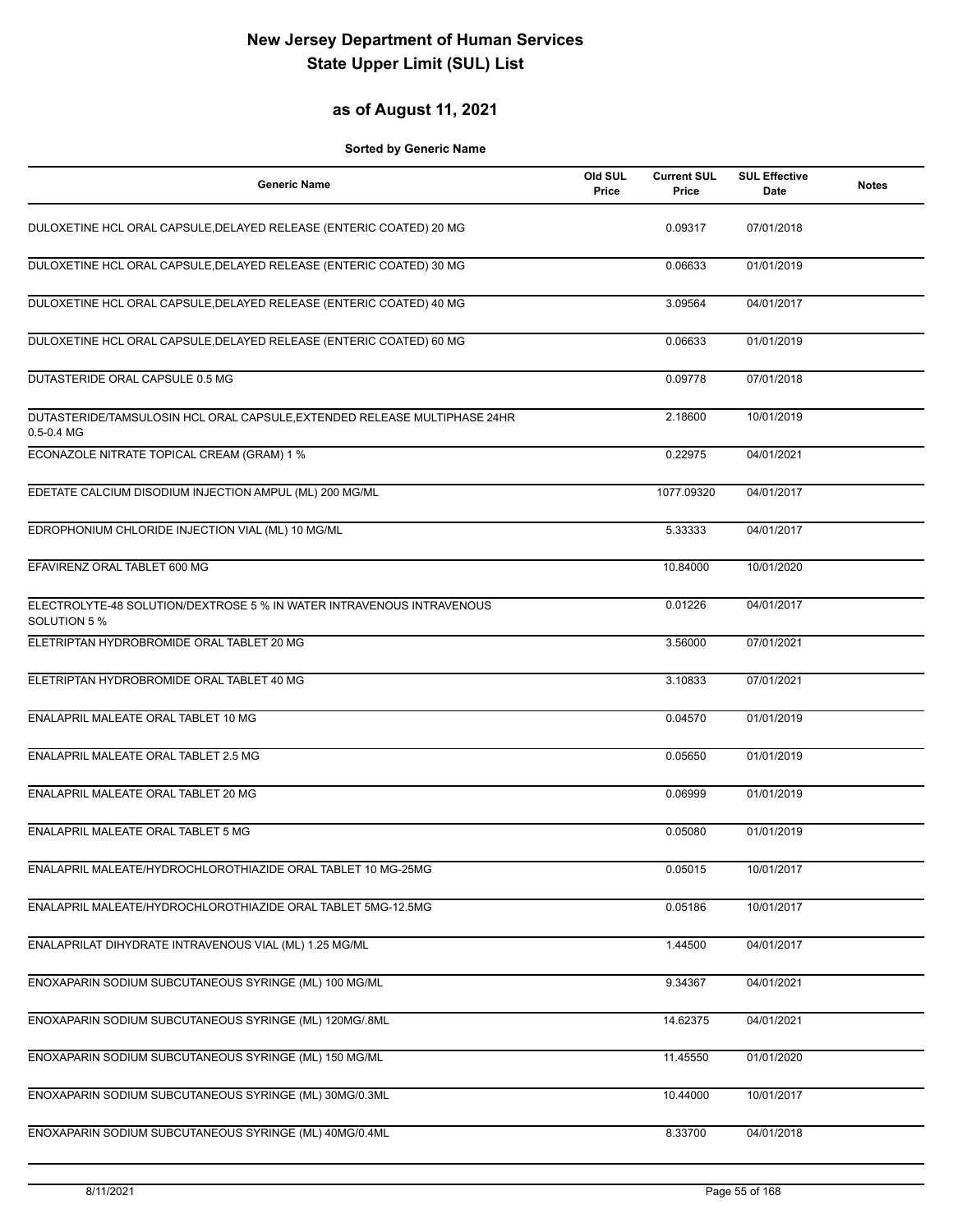#### **as of August 11, 2021**

| <b>Generic Name</b>                                                                         | Old SUL<br>Price | <b>Current SUL</b><br>Price | <b>SUL Effective</b><br>Date | <b>Notes</b> |
|---------------------------------------------------------------------------------------------|------------------|-----------------------------|------------------------------|--------------|
| DULOXETINE HCL ORAL CAPSULE, DELAYED RELEASE (ENTERIC COATED) 20 MG                         |                  | 0.09317                     | 07/01/2018                   |              |
| DULOXETINE HCL ORAL CAPSULE, DELAYED RELEASE (ENTERIC COATED) 30 MG                         |                  | 0.06633                     | 01/01/2019                   |              |
| DULOXETINE HCL ORAL CAPSULE, DELAYED RELEASE (ENTERIC COATED) 40 MG                         |                  | 3.09564                     | 04/01/2017                   |              |
| DULOXETINE HCL ORAL CAPSULE, DELAYED RELEASE (ENTERIC COATED) 60 MG                         |                  | 0.06633                     | 01/01/2019                   |              |
| DUTASTERIDE ORAL CAPSULE 0.5 MG                                                             |                  | 0.09778                     | 07/01/2018                   |              |
| DUTASTERIDE/TAMSULOSIN HCL ORAL CAPSULE, EXTENDED RELEASE MULTIPHASE 24HR<br>$0.5 - 0.4$ MG |                  | 2.18600                     | 10/01/2019                   |              |
| ECONAZOLE NITRATE TOPICAL CREAM (GRAM) 1 %                                                  |                  | 0.22975                     | 04/01/2021                   |              |
| EDETATE CALCIUM DISODIUM INJECTION AMPUL (ML) 200 MG/ML                                     |                  | 1077.09320                  | 04/01/2017                   |              |
| EDROPHONIUM CHLORIDE INJECTION VIAL (ML) 10 MG/ML                                           |                  | 5.33333                     | 04/01/2017                   |              |
| EFAVIRENZ ORAL TABLET 600 MG                                                                |                  | 10.84000                    | 10/01/2020                   |              |
| ELECTROLYTE-48 SOLUTION/DEXTROSE 5 % IN WATER INTRAVENOUS INTRAVENOUS<br>SOLUTION 5 %       |                  | 0.01226                     | 04/01/2017                   |              |
| ELETRIPTAN HYDROBROMIDE ORAL TABLET 20 MG                                                   |                  | 3.56000                     | 07/01/2021                   |              |
| ELETRIPTAN HYDROBROMIDE ORAL TABLET 40 MG                                                   |                  | 3.10833                     | 07/01/2021                   |              |
| ENALAPRIL MALEATE ORAL TABLET 10 MG                                                         |                  | 0.04570                     | 01/01/2019                   |              |
| ENALAPRIL MALEATE ORAL TABLET 2.5 MG                                                        |                  | 0.05650                     | 01/01/2019                   |              |
| ENALAPRIL MALEATE ORAL TABLET 20 MG                                                         |                  | 0.06999                     | 01/01/2019                   |              |
| ENALAPRIL MALEATE ORAL TABLET 5 MG                                                          |                  | 0.05080                     | 01/01/2019                   |              |
| ENALAPRIL MALEATE/HYDROCHLOROTHIAZIDE ORAL TABLET 10 MG-25MG                                |                  | 0.05015                     | 10/01/2017                   |              |
| ENALAPRIL MALEATE/HYDROCHLOROTHIAZIDE ORAL TABLET 5MG-12.5MG                                |                  | 0.05186                     | 10/01/2017                   |              |
| ENALAPRILAT DIHYDRATE INTRAVENOUS VIAL (ML) 1.25 MG/ML                                      |                  | 1.44500                     | 04/01/2017                   |              |
| ENOXAPARIN SODIUM SUBCUTANEOUS SYRINGE (ML) 100 MG/ML                                       |                  | 9.34367                     | 04/01/2021                   |              |
| ENOXAPARIN SODIUM SUBCUTANEOUS SYRINGE (ML) 120MG/.8ML                                      |                  | 14.62375                    | 04/01/2021                   |              |
| ENOXAPARIN SODIUM SUBCUTANEOUS SYRINGE (ML) 150 MG/ML                                       |                  | 11.45550                    | 01/01/2020                   |              |
| ENOXAPARIN SODIUM SUBCUTANEOUS SYRINGE (ML) 30MG/0.3ML                                      |                  | 10.44000                    | 10/01/2017                   |              |
| ENOXAPARIN SODIUM SUBCUTANEOUS SYRINGE (ML) 40MG/0.4ML                                      |                  | 8.33700                     | 04/01/2018                   |              |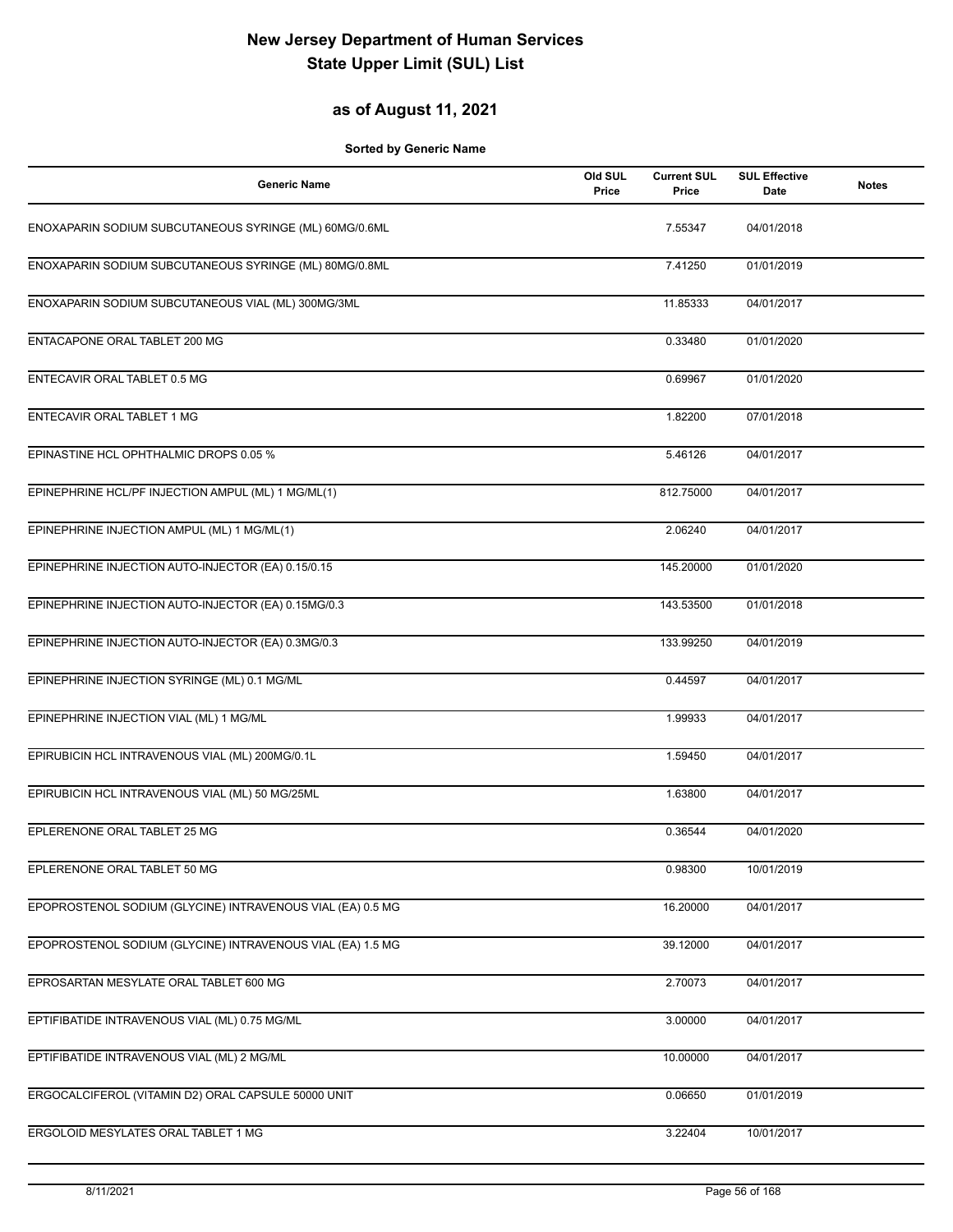### **as of August 11, 2021**

| <b>Generic Name</b>                                        | Old SUL<br>Price | <b>Current SUL</b><br>Price | <b>SUL Effective</b><br>Date | <b>Notes</b> |
|------------------------------------------------------------|------------------|-----------------------------|------------------------------|--------------|
| ENOXAPARIN SODIUM SUBCUTANEOUS SYRINGE (ML) 60MG/0.6ML     |                  | 7.55347                     | 04/01/2018                   |              |
| ENOXAPARIN SODIUM SUBCUTANEOUS SYRINGE (ML) 80MG/0.8ML     |                  | 7.41250                     | 01/01/2019                   |              |
| ENOXAPARIN SODIUM SUBCUTANEOUS VIAL (ML) 300MG/3ML         |                  | 11.85333                    | 04/01/2017                   |              |
| ENTACAPONE ORAL TABLET 200 MG                              |                  | 0.33480                     | 01/01/2020                   |              |
| ENTECAVIR ORAL TABLET 0.5 MG                               |                  | 0.69967                     | 01/01/2020                   |              |
| ENTECAVIR ORAL TABLET 1 MG                                 |                  | 1.82200                     | 07/01/2018                   |              |
| EPINASTINE HCL OPHTHALMIC DROPS 0.05 %                     |                  | 5.46126                     | 04/01/2017                   |              |
| EPINEPHRINE HCL/PF INJECTION AMPUL (ML) 1 MG/ML(1)         |                  | 812.75000                   | 04/01/2017                   |              |
| EPINEPHRINE INJECTION AMPUL (ML) 1 MG/ML(1)                |                  | 2.06240                     | 04/01/2017                   |              |
| EPINEPHRINE INJECTION AUTO-INJECTOR (EA) 0.15/0.15         |                  | 145.20000                   | 01/01/2020                   |              |
| EPINEPHRINE INJECTION AUTO-INJECTOR (EA) 0.15MG/0.3        |                  | 143.53500                   | 01/01/2018                   |              |
| EPINEPHRINE INJECTION AUTO-INJECTOR (EA) 0.3MG/0.3         |                  | 133.99250                   | 04/01/2019                   |              |
| EPINEPHRINE INJECTION SYRINGE (ML) 0.1 MG/ML               |                  | 0.44597                     | 04/01/2017                   |              |
| EPINEPHRINE INJECTION VIAL (ML) 1 MG/ML                    |                  | 1.99933                     | 04/01/2017                   |              |
| EPIRUBICIN HCL INTRAVENOUS VIAL (ML) 200MG/0.1L            |                  | 1.59450                     | 04/01/2017                   |              |
| EPIRUBICIN HCL INTRAVENOUS VIAL (ML) 50 MG/25ML            |                  | 1.63800                     | 04/01/2017                   |              |
| EPLERENONE ORAL TABLET 25 MG                               |                  | 0.36544                     | 04/01/2020                   |              |
| EPLERENONE ORAL TABLET 50 MG                               |                  | 0.98300                     | 10/01/2019                   |              |
| EPOPROSTENOL SODIUM (GLYCINE) INTRAVENOUS VIAL (EA) 0.5 MG |                  | 16.20000                    | 04/01/2017                   |              |
| EPOPROSTENOL SODIUM (GLYCINE) INTRAVENOUS VIAL (EA) 1.5 MG |                  | 39.12000                    | 04/01/2017                   |              |
| EPROSARTAN MESYLATE ORAL TABLET 600 MG                     |                  | 2.70073                     | 04/01/2017                   |              |
| EPTIFIBATIDE INTRAVENOUS VIAL (ML) 0.75 MG/ML              |                  | 3.00000                     | 04/01/2017                   |              |
| EPTIFIBATIDE INTRAVENOUS VIAL (ML) 2 MG/ML                 |                  | 10.00000                    | 04/01/2017                   |              |
| ERGOCALCIFEROL (VITAMIN D2) ORAL CAPSULE 50000 UNIT        |                  | 0.06650                     | 01/01/2019                   |              |
| ERGOLOID MESYLATES ORAL TABLET 1 MG                        |                  | 3.22404                     | 10/01/2017                   |              |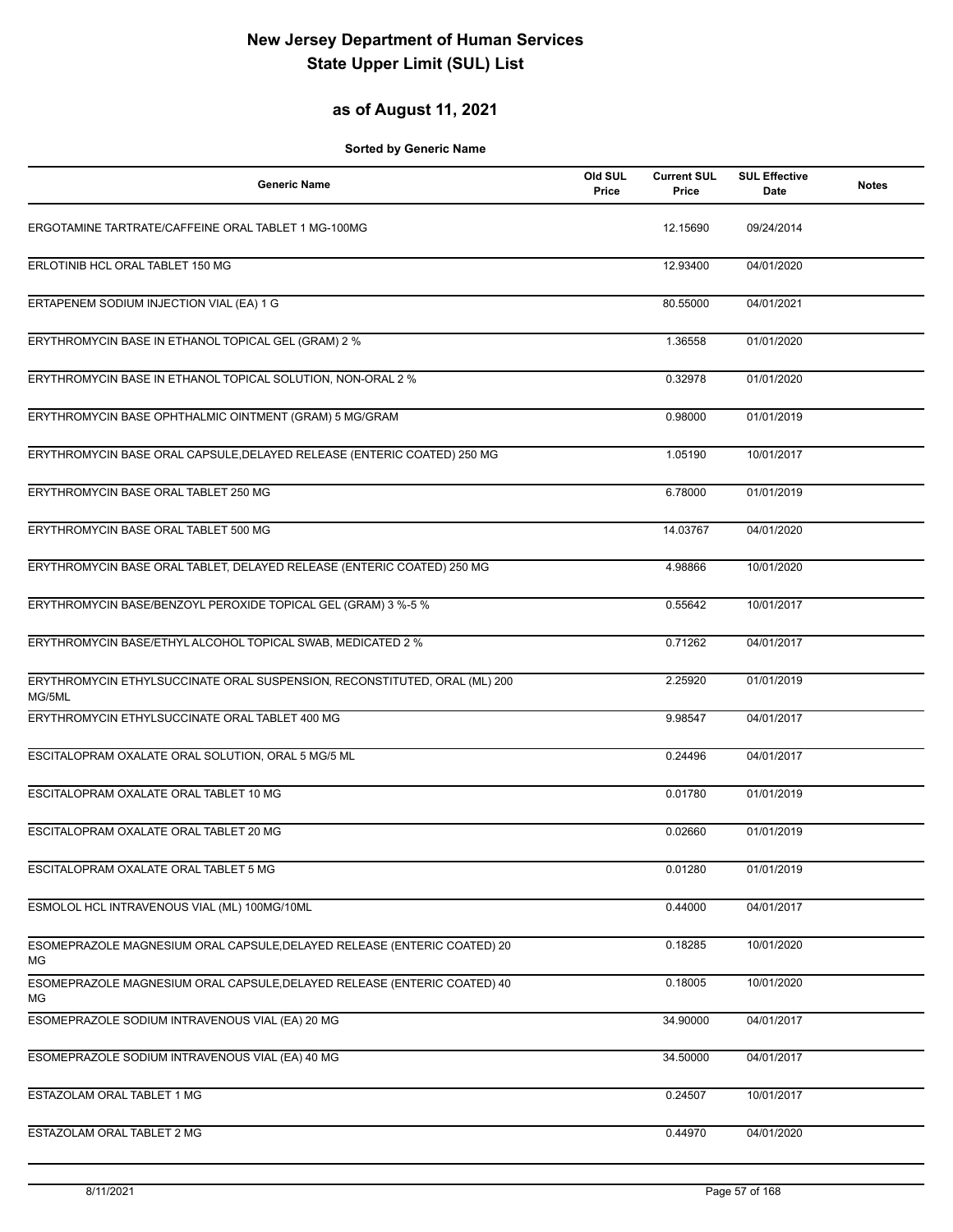### **as of August 11, 2021**

| <b>Generic Name</b>                                                                 | Old SUL<br>Price | <b>Current SUL</b><br>Price | <b>SUL Effective</b><br>Date | <b>Notes</b> |
|-------------------------------------------------------------------------------------|------------------|-----------------------------|------------------------------|--------------|
| ERGOTAMINE TARTRATE/CAFFEINE ORAL TABLET 1 MG-100MG                                 |                  | 12.15690                    | 09/24/2014                   |              |
| ERLOTINIB HCL ORAL TABLET 150 MG                                                    |                  | 12.93400                    | 04/01/2020                   |              |
| ERTAPENEM SODIUM INJECTION VIAL (EA) 1 G                                            |                  | 80.55000                    | 04/01/2021                   |              |
| ERYTHROMYCIN BASE IN ETHANOL TOPICAL GEL (GRAM) 2 %                                 |                  | 1.36558                     | 01/01/2020                   |              |
| ERYTHROMYCIN BASE IN ETHANOL TOPICAL SOLUTION, NON-ORAL 2 %                         |                  | 0.32978                     | 01/01/2020                   |              |
| ERYTHROMYCIN BASE OPHTHALMIC OINTMENT (GRAM) 5 MG/GRAM                              |                  | 0.98000                     | 01/01/2019                   |              |
| ERYTHROMYCIN BASE ORAL CAPSULE, DELAYED RELEASE (ENTERIC COATED) 250 MG             |                  | 1.05190                     | 10/01/2017                   |              |
| ERYTHROMYCIN BASE ORAL TABLET 250 MG                                                |                  | 6.78000                     | 01/01/2019                   |              |
| ERYTHROMYCIN BASE ORAL TABLET 500 MG                                                |                  | 14.03767                    | 04/01/2020                   |              |
| ERYTHROMYCIN BASE ORAL TABLET, DELAYED RELEASE (ENTERIC COATED) 250 MG              |                  | 4.98866                     | 10/01/2020                   |              |
| ERYTHROMYCIN BASE/BENZOYL PEROXIDE TOPICAL GEL (GRAM) 3 %-5 %                       |                  | 0.55642                     | 10/01/2017                   |              |
| ERYTHROMYCIN BASE/ETHYL ALCOHOL TOPICAL SWAB, MEDICATED 2 %                         |                  | 0.71262                     | 04/01/2017                   |              |
| ERYTHROMYCIN ETHYLSUCCINATE ORAL SUSPENSION, RECONSTITUTED, ORAL (ML) 200<br>MG/5ML |                  | 2.25920                     | 01/01/2019                   |              |
| ERYTHROMYCIN ETHYLSUCCINATE ORAL TABLET 400 MG                                      |                  | 9.98547                     | 04/01/2017                   |              |
| ESCITALOPRAM OXALATE ORAL SOLUTION, ORAL 5 MG/5 ML                                  |                  | 0.24496                     | 04/01/2017                   |              |
| ESCITALOPRAM OXALATE ORAL TABLET 10 MG                                              |                  | 0.01780                     | 01/01/2019                   |              |
| ESCITALOPRAM OXALATE ORAL TABLET 20 MG                                              |                  | 0.02660                     | 01/01/2019                   |              |
| ESCITALOPRAM OXALATE ORAL TABLET 5 MG                                               |                  | 0.01280                     | 01/01/2019                   |              |
| ESMOLOL HCL INTRAVENOUS VIAL (ML) 100MG/10ML                                        |                  | 0.44000                     | 04/01/2017                   |              |
| ESOMEPRAZOLE MAGNESIUM ORAL CAPSULE, DELAYED RELEASE (ENTERIC COATED) 20<br>МG      |                  | 0.18285                     | 10/01/2020                   |              |
| ESOMEPRAZOLE MAGNESIUM ORAL CAPSULE, DELAYED RELEASE (ENTERIC COATED) 40<br>ΜG      |                  | 0.18005                     | 10/01/2020                   |              |
| ESOMEPRAZOLE SODIUM INTRAVENOUS VIAL (EA) 20 MG                                     |                  | 34.90000                    | 04/01/2017                   |              |
| ESOMEPRAZOLE SODIUM INTRAVENOUS VIAL (EA) 40 MG                                     |                  | 34.50000                    | 04/01/2017                   |              |
| ESTAZOLAM ORAL TABLET 1 MG                                                          |                  | 0.24507                     | 10/01/2017                   |              |
| ESTAZOLAM ORAL TABLET 2 MG                                                          |                  | 0.44970                     | 04/01/2020                   |              |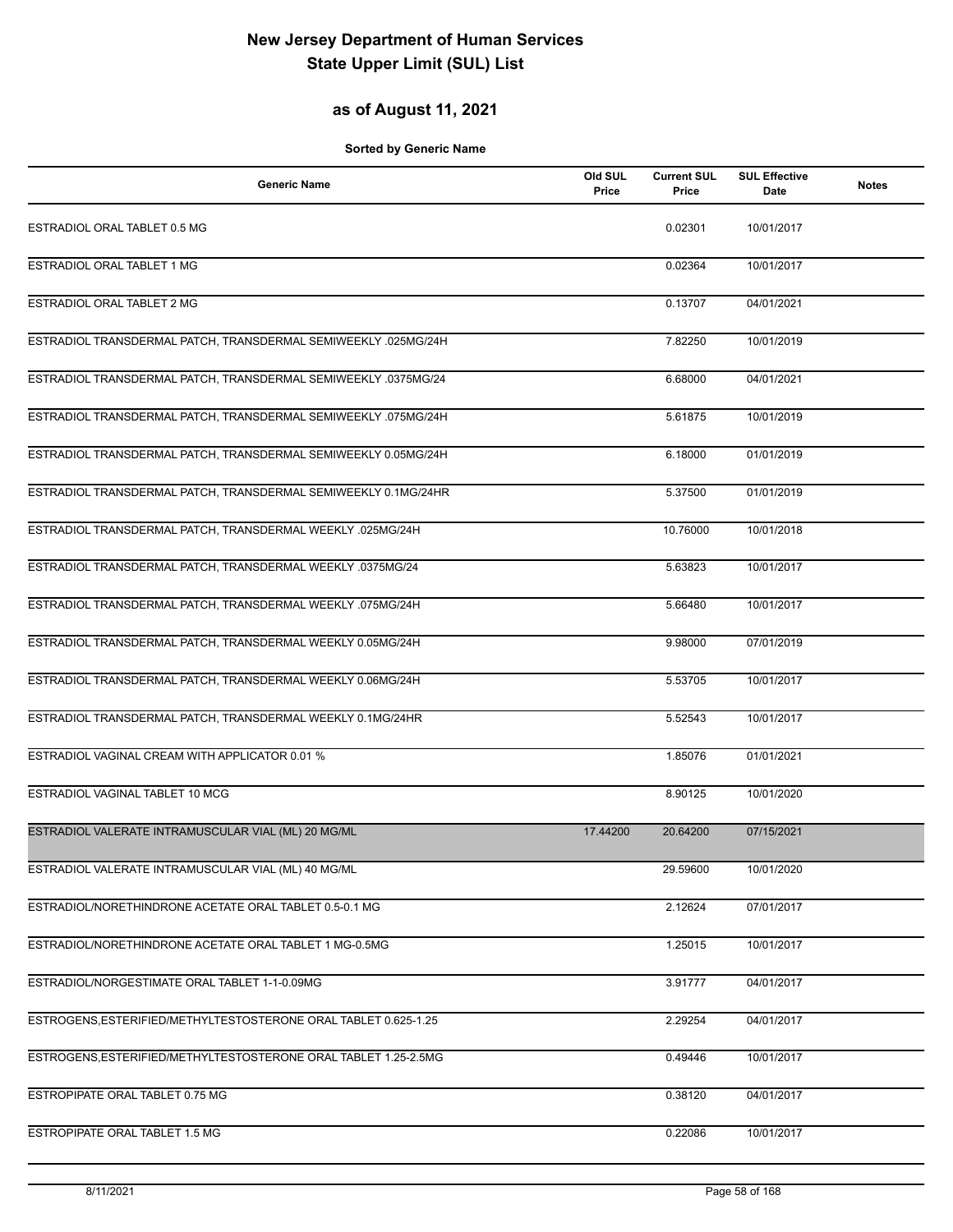### **as of August 11, 2021**

| <b>Generic Name</b>                                             | Old SUL<br>Price | <b>Current SUL</b><br>Price | <b>SUL Effective</b><br>Date | <b>Notes</b> |
|-----------------------------------------------------------------|------------------|-----------------------------|------------------------------|--------------|
| ESTRADIOL ORAL TABLET 0.5 MG                                    |                  | 0.02301                     | 10/01/2017                   |              |
| ESTRADIOL ORAL TABLET 1 MG                                      |                  | 0.02364                     | 10/01/2017                   |              |
| ESTRADIOL ORAL TABLET 2 MG                                      |                  | 0.13707                     | 04/01/2021                   |              |
| ESTRADIOL TRANSDERMAL PATCH, TRANSDERMAL SEMIWEEKLY .025MG/24H  |                  | 7.82250                     | 10/01/2019                   |              |
| ESTRADIOL TRANSDERMAL PATCH, TRANSDERMAL SEMIWEEKLY .0375MG/24  |                  | 6.68000                     | 04/01/2021                   |              |
| ESTRADIOL TRANSDERMAL PATCH, TRANSDERMAL SEMIWEEKLY .075MG/24H  |                  | 5.61875                     | 10/01/2019                   |              |
| ESTRADIOL TRANSDERMAL PATCH, TRANSDERMAL SEMIWEEKLY 0.05MG/24H  |                  | 6.18000                     | 01/01/2019                   |              |
| ESTRADIOL TRANSDERMAL PATCH, TRANSDERMAL SEMIWEEKLY 0.1MG/24HR  |                  | 5.37500                     | 01/01/2019                   |              |
| ESTRADIOL TRANSDERMAL PATCH, TRANSDERMAL WEEKLY .025MG/24H      |                  | 10.76000                    | 10/01/2018                   |              |
| ESTRADIOL TRANSDERMAL PATCH, TRANSDERMAL WEEKLY .0375MG/24      |                  | 5.63823                     | 10/01/2017                   |              |
| ESTRADIOL TRANSDERMAL PATCH, TRANSDERMAL WEEKLY .075MG/24H      |                  | 5.66480                     | 10/01/2017                   |              |
| ESTRADIOL TRANSDERMAL PATCH, TRANSDERMAL WEEKLY 0.05MG/24H      |                  | 9.98000                     | 07/01/2019                   |              |
| ESTRADIOL TRANSDERMAL PATCH, TRANSDERMAL WEEKLY 0.06MG/24H      |                  | 5.53705                     | 10/01/2017                   |              |
| ESTRADIOL TRANSDERMAL PATCH, TRANSDERMAL WEEKLY 0.1MG/24HR      |                  | 5.52543                     | 10/01/2017                   |              |
| ESTRADIOL VAGINAL CREAM WITH APPLICATOR 0.01 %                  |                  | 1.85076                     | 01/01/2021                   |              |
| ESTRADIOL VAGINAL TABLET 10 MCG                                 |                  | 8.90125                     | 10/01/2020                   |              |
| ESTRADIOL VALERATE INTRAMUSCULAR VIAL (ML) 20 MG/ML             | 17.44200         | 20.64200                    | 07/15/2021                   |              |
| ESTRADIOL VALERATE INTRAMUSCULAR VIAL (ML) 40 MG/ML             |                  | 29.59600                    | 10/01/2020                   |              |
| ESTRADIOL/NORETHINDRONE ACETATE ORAL TABLET 0.5-0.1 MG          |                  | 2.12624                     | 07/01/2017                   |              |
| ESTRADIOL/NORETHINDRONE ACETATE ORAL TABLET 1 MG-0.5MG          |                  | 1.25015                     | 10/01/2017                   |              |
| ESTRADIOL/NORGESTIMATE ORAL TABLET 1-1-0.09MG                   |                  | 3.91777                     | 04/01/2017                   |              |
| ESTROGENS, ESTERIFIED/METHYLTESTOSTERONE ORAL TABLET 0.625-1.25 |                  | 2.29254                     | 04/01/2017                   |              |
| ESTROGENS, ESTERIFIED/METHYLTESTOSTERONE ORAL TABLET 1.25-2.5MG |                  | 0.49446                     | 10/01/2017                   |              |
| ESTROPIPATE ORAL TABLET 0.75 MG                                 |                  | 0.38120                     | 04/01/2017                   |              |
| ESTROPIPATE ORAL TABLET 1.5 MG                                  |                  | 0.22086                     | 10/01/2017                   |              |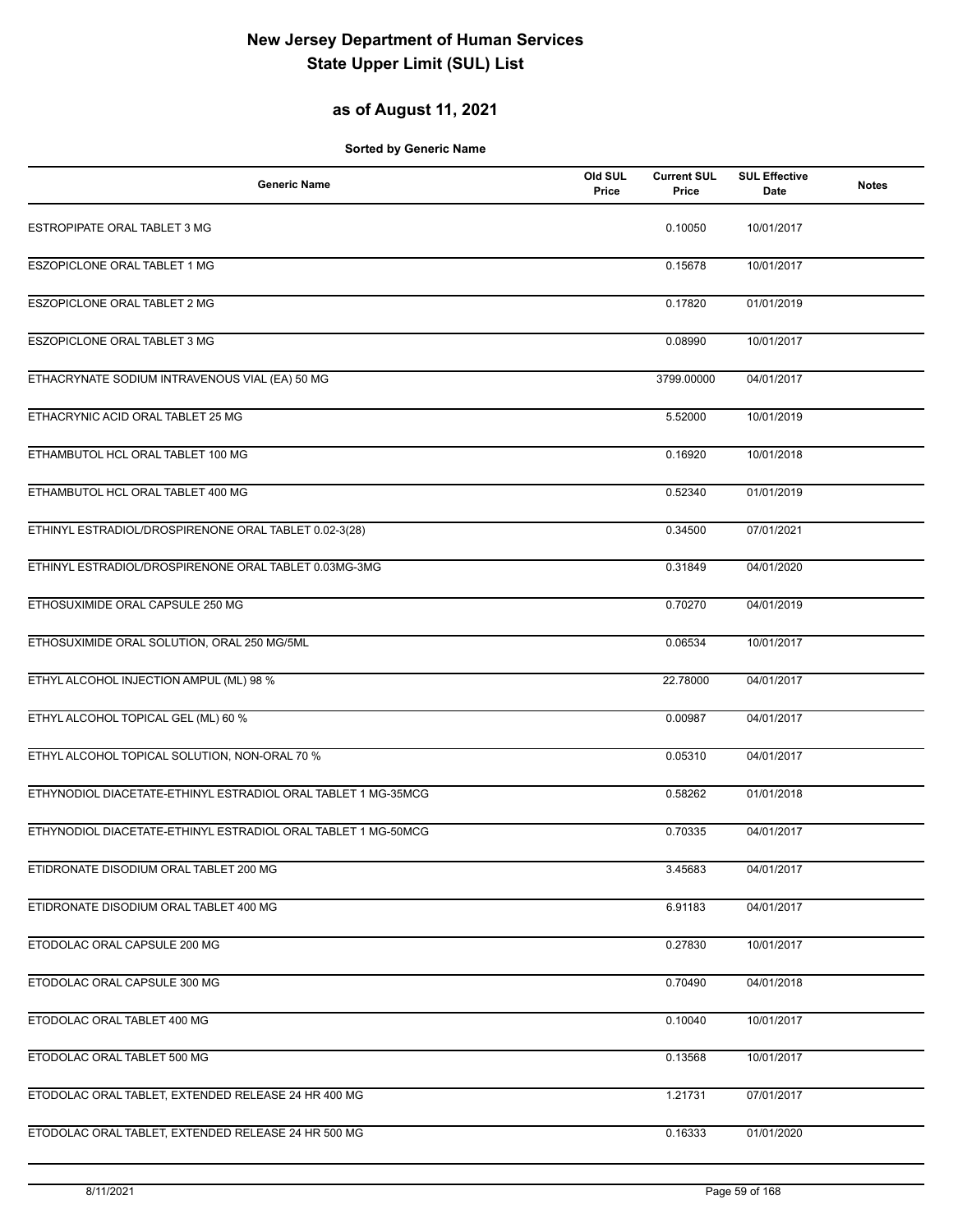### **as of August 11, 2021**

| <b>Generic Name</b>                                           | Old SUL<br>Price | <b>Current SUL</b><br>Price | <b>SUL Effective</b><br>Date | <b>Notes</b> |
|---------------------------------------------------------------|------------------|-----------------------------|------------------------------|--------------|
| ESTROPIPATE ORAL TABLET 3 MG                                  |                  | 0.10050                     | 10/01/2017                   |              |
| ESZOPICLONE ORAL TABLET 1 MG                                  |                  | 0.15678                     | 10/01/2017                   |              |
| <b>ESZOPICLONE ORAL TABLET 2 MG</b>                           |                  | 0.17820                     | 01/01/2019                   |              |
| <b>ESZOPICLONE ORAL TABLET 3 MG</b>                           |                  | 0.08990                     | 10/01/2017                   |              |
| ETHACRYNATE SODIUM INTRAVENOUS VIAL (EA) 50 MG                |                  | 3799.00000                  | 04/01/2017                   |              |
| ETHACRYNIC ACID ORAL TABLET 25 MG                             |                  | 5.52000                     | 10/01/2019                   |              |
| ETHAMBUTOL HCL ORAL TABLET 100 MG                             |                  | 0.16920                     | 10/01/2018                   |              |
| ETHAMBUTOL HCL ORAL TABLET 400 MG                             |                  | 0.52340                     | 01/01/2019                   |              |
| ETHINYL ESTRADIOL/DROSPIRENONE ORAL TABLET 0.02-3(28)         |                  | 0.34500                     | 07/01/2021                   |              |
| ETHINYL ESTRADIOL/DROSPIRENONE ORAL TABLET 0.03MG-3MG         |                  | 0.31849                     | 04/01/2020                   |              |
| ETHOSUXIMIDE ORAL CAPSULE 250 MG                              |                  | 0.70270                     | 04/01/2019                   |              |
| ETHOSUXIMIDE ORAL SOLUTION, ORAL 250 MG/5ML                   |                  | 0.06534                     | 10/01/2017                   |              |
| ETHYL ALCOHOL INJECTION AMPUL (ML) 98 %                       |                  | 22.78000                    | 04/01/2017                   |              |
| ETHYL ALCOHOL TOPICAL GEL (ML) 60 %                           |                  | 0.00987                     | 04/01/2017                   |              |
| ETHYL ALCOHOL TOPICAL SOLUTION, NON-ORAL 70 %                 |                  | 0.05310                     | 04/01/2017                   |              |
| ETHYNODIOL DIACETATE-ETHINYL ESTRADIOL ORAL TABLET 1 MG-35MCG |                  | 0.58262                     | 01/01/2018                   |              |
| ETHYNODIOL DIACETATE-ETHINYL ESTRADIOL ORAL TABLET 1 MG-50MCG |                  | 0.70335                     | 04/01/2017                   |              |
| ETIDRONATE DISODIUM ORAL TABLET 200 MG                        |                  | 3.45683                     | 04/01/2017                   |              |
| ETIDRONATE DISODIUM ORAL TABLET 400 MG                        |                  | 6.91183                     | 04/01/2017                   |              |
| ETODOLAC ORAL CAPSULE 200 MG                                  |                  | 0.27830                     | 10/01/2017                   |              |
| ETODOLAC ORAL CAPSULE 300 MG                                  |                  | 0.70490                     | 04/01/2018                   |              |
| ETODOLAC ORAL TABLET 400 MG                                   |                  | 0.10040                     | 10/01/2017                   |              |
| ETODOLAC ORAL TABLET 500 MG                                   |                  | 0.13568                     | 10/01/2017                   |              |
| ETODOLAC ORAL TABLET, EXTENDED RELEASE 24 HR 400 MG           |                  | 1.21731                     | 07/01/2017                   |              |
| ETODOLAC ORAL TABLET, EXTENDED RELEASE 24 HR 500 MG           |                  | 0.16333                     | 01/01/2020                   |              |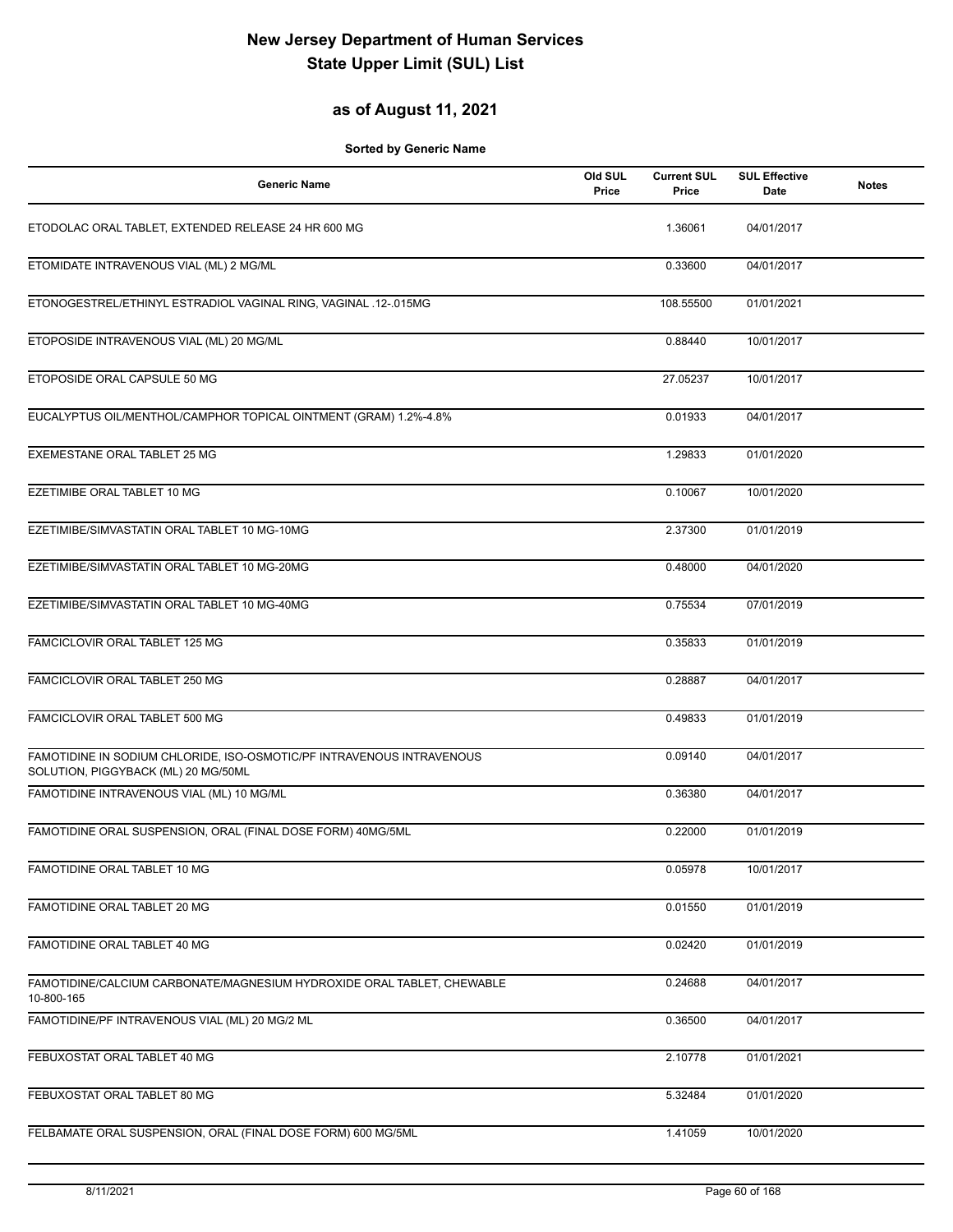### **as of August 11, 2021**

| <b>Generic Name</b>                                                                                          | Old SUL<br>Price | <b>Current SUL</b><br>Price | <b>SUL Effective</b><br>Date | <b>Notes</b> |
|--------------------------------------------------------------------------------------------------------------|------------------|-----------------------------|------------------------------|--------------|
| ETODOLAC ORAL TABLET, EXTENDED RELEASE 24 HR 600 MG                                                          |                  | 1.36061                     | 04/01/2017                   |              |
| ETOMIDATE INTRAVENOUS VIAL (ML) 2 MG/ML                                                                      |                  | 0.33600                     | 04/01/2017                   |              |
| ETONOGESTREL/ETHINYL ESTRADIOL VAGINAL RING, VAGINAL .12-.015MG                                              |                  | 108.55500                   | 01/01/2021                   |              |
| ETOPOSIDE INTRAVENOUS VIAL (ML) 20 MG/ML                                                                     |                  | 0.88440                     | 10/01/2017                   |              |
| ETOPOSIDE ORAL CAPSULE 50 MG                                                                                 |                  | 27.05237                    | 10/01/2017                   |              |
| EUCALYPTUS OIL/MENTHOL/CAMPHOR TOPICAL OINTMENT (GRAM) 1.2%-4.8%                                             |                  | 0.01933                     | 04/01/2017                   |              |
| EXEMESTANE ORAL TABLET 25 MG                                                                                 |                  | 1.29833                     | 01/01/2020                   |              |
| EZETIMIBE ORAL TABLET 10 MG                                                                                  |                  | 0.10067                     | 10/01/2020                   |              |
| EZETIMIBE/SIMVASTATIN ORAL TABLET 10 MG-10MG                                                                 |                  | 2.37300                     | 01/01/2019                   |              |
| EZETIMIBE/SIMVASTATIN ORAL TABLET 10 MG-20MG                                                                 |                  | 0.48000                     | 04/01/2020                   |              |
| EZETIMIBE/SIMVASTATIN ORAL TABLET 10 MG-40MG                                                                 |                  | 0.75534                     | 07/01/2019                   |              |
| FAMCICLOVIR ORAL TABLET 125 MG                                                                               |                  | 0.35833                     | 01/01/2019                   |              |
| FAMCICLOVIR ORAL TABLET 250 MG                                                                               |                  | 0.28887                     | 04/01/2017                   |              |
| FAMCICLOVIR ORAL TABLET 500 MG                                                                               |                  | 0.49833                     | 01/01/2019                   |              |
| FAMOTIDINE IN SODIUM CHLORIDE, ISO-OSMOTIC/PF INTRAVENOUS INTRAVENOUS<br>SOLUTION, PIGGYBACK (ML) 20 MG/50ML |                  | 0.09140                     | 04/01/2017                   |              |
| FAMOTIDINE INTRAVENOUS VIAL (ML) 10 MG/ML                                                                    |                  | 0.36380                     | 04/01/2017                   |              |
| FAMOTIDINE ORAL SUSPENSION, ORAL (FINAL DOSE FORM) 40MG/5ML                                                  |                  | 0.22000                     | 01/01/2019                   |              |
| FAMOTIDINE ORAL TABLET 10 MG                                                                                 |                  | 0.05978                     | 10/01/2017                   |              |
| FAMOTIDINE ORAL TABLET 20 MG                                                                                 |                  | 0.01550                     | 01/01/2019                   |              |
| FAMOTIDINE ORAL TABLET 40 MG                                                                                 |                  | 0.02420                     | 01/01/2019                   |              |
| FAMOTIDINE/CALCIUM CARBONATE/MAGNESIUM HYDROXIDE ORAL TABLET, CHEWABLE<br>10-800-165                         |                  | 0.24688                     | 04/01/2017                   |              |
| FAMOTIDINE/PF INTRAVENOUS VIAL (ML) 20 MG/2 ML                                                               |                  | 0.36500                     | 04/01/2017                   |              |
| FEBUXOSTAT ORAL TABLET 40 MG                                                                                 |                  | 2.10778                     | 01/01/2021                   |              |
| FEBUXOSTAT ORAL TABLET 80 MG                                                                                 |                  | 5.32484                     | 01/01/2020                   |              |
| FELBAMATE ORAL SUSPENSION, ORAL (FINAL DOSE FORM) 600 MG/5ML                                                 |                  | 1.41059                     | 10/01/2020                   |              |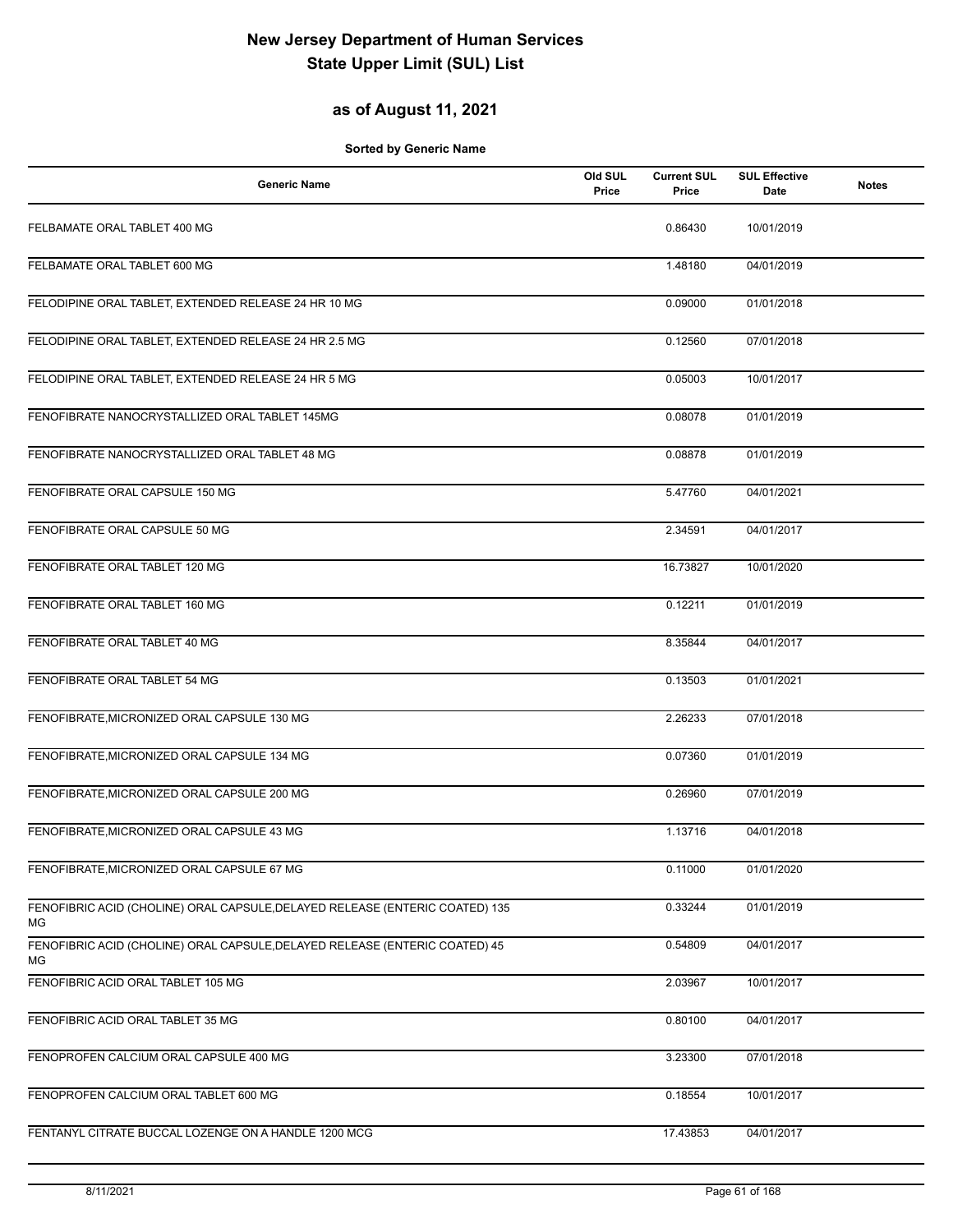### **as of August 11, 2021**

| <b>Generic Name</b>                                                                | Old SUL<br>Price | <b>Current SUL</b><br>Price | <b>SUL Effective</b><br>Date | <b>Notes</b> |
|------------------------------------------------------------------------------------|------------------|-----------------------------|------------------------------|--------------|
| FELBAMATE ORAL TABLET 400 MG                                                       |                  | 0.86430                     | 10/01/2019                   |              |
| FELBAMATE ORAL TABLET 600 MG                                                       |                  | 1.48180                     | 04/01/2019                   |              |
| FELODIPINE ORAL TABLET, EXTENDED RELEASE 24 HR 10 MG                               |                  | 0.09000                     | 01/01/2018                   |              |
| FELODIPINE ORAL TABLET, EXTENDED RELEASE 24 HR 2.5 MG                              |                  | 0.12560                     | 07/01/2018                   |              |
| FELODIPINE ORAL TABLET, EXTENDED RELEASE 24 HR 5 MG                                |                  | 0.05003                     | 10/01/2017                   |              |
| FENOFIBRATE NANOCRYSTALLIZED ORAL TABLET 145MG                                     |                  | 0.08078                     | 01/01/2019                   |              |
| FENOFIBRATE NANOCRYSTALLIZED ORAL TABLET 48 MG                                     |                  | 0.08878                     | 01/01/2019                   |              |
| FENOFIBRATE ORAL CAPSULE 150 MG                                                    |                  | 5.47760                     | 04/01/2021                   |              |
| FENOFIBRATE ORAL CAPSULE 50 MG                                                     |                  | 2.34591                     | 04/01/2017                   |              |
| FENOFIBRATE ORAL TABLET 120 MG                                                     |                  | 16.73827                    | 10/01/2020                   |              |
| FENOFIBRATE ORAL TABLET 160 MG                                                     |                  | 0.12211                     | 01/01/2019                   |              |
| FENOFIBRATE ORAL TABLET 40 MG                                                      |                  | 8.35844                     | 04/01/2017                   |              |
| FENOFIBRATE ORAL TABLET 54 MG                                                      |                  | 0.13503                     | 01/01/2021                   |              |
| FENOFIBRATE, MICRONIZED ORAL CAPSULE 130 MG                                        |                  | 2.26233                     | 07/01/2018                   |              |
| FENOFIBRATE, MICRONIZED ORAL CAPSULE 134 MG                                        |                  | 0.07360                     | 01/01/2019                   |              |
| FENOFIBRATE, MICRONIZED ORAL CAPSULE 200 MG                                        |                  | 0.26960                     | 07/01/2019                   |              |
| FENOFIBRATE, MICRONIZED ORAL CAPSULE 43 MG                                         |                  | 1.13716                     | 04/01/2018                   |              |
| FENOFIBRATE, MICRONIZED ORAL CAPSULE 67 MG                                         |                  | 0.11000                     | 01/01/2020                   |              |
| FENOFIBRIC ACID (CHOLINE) ORAL CAPSULE, DELAYED RELEASE (ENTERIC COATED) 135<br>ΜG |                  | 0.33244                     | 01/01/2019                   |              |
| FENOFIBRIC ACID (CHOLINE) ORAL CAPSULE, DELAYED RELEASE (ENTERIC COATED) 45<br>ΜG  |                  | 0.54809                     | 04/01/2017                   |              |
| FENOFIBRIC ACID ORAL TABLET 105 MG                                                 |                  | 2.03967                     | 10/01/2017                   |              |
| FENOFIBRIC ACID ORAL TABLET 35 MG                                                  |                  | 0.80100                     | 04/01/2017                   |              |
| FENOPROFEN CALCIUM ORAL CAPSULE 400 MG                                             |                  | 3.23300                     | 07/01/2018                   |              |
| FENOPROFEN CALCIUM ORAL TABLET 600 MG                                              |                  | 0.18554                     | 10/01/2017                   |              |
| FENTANYL CITRATE BUCCAL LOZENGE ON A HANDLE 1200 MCG                               |                  | 17.43853                    | 04/01/2017                   |              |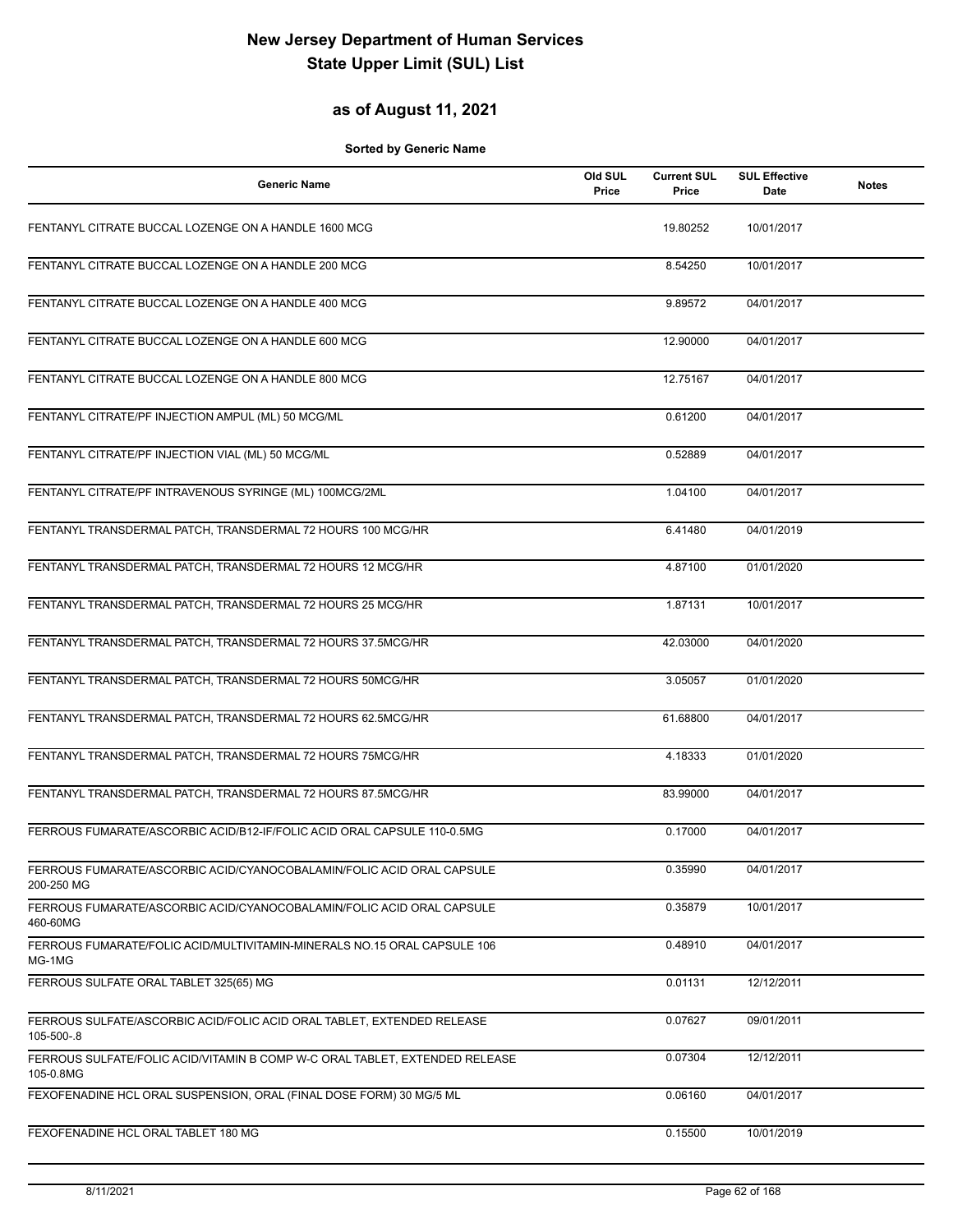### **as of August 11, 2021**

| <b>Generic Name</b>                                                                      | Old SUL<br>Price | <b>Current SUL</b><br>Price | <b>SUL Effective</b><br>Date | <b>Notes</b> |
|------------------------------------------------------------------------------------------|------------------|-----------------------------|------------------------------|--------------|
| FENTANYL CITRATE BUCCAL LOZENGE ON A HANDLE 1600 MCG                                     |                  | 19.80252                    | 10/01/2017                   |              |
| FENTANYL CITRATE BUCCAL LOZENGE ON A HANDLE 200 MCG                                      |                  | 8.54250                     | 10/01/2017                   |              |
| FENTANYL CITRATE BUCCAL LOZENGE ON A HANDLE 400 MCG                                      |                  | 9.89572                     | 04/01/2017                   |              |
| FENTANYL CITRATE BUCCAL LOZENGE ON A HANDLE 600 MCG                                      |                  | 12.90000                    | 04/01/2017                   |              |
| FENTANYL CITRATE BUCCAL LOZENGE ON A HANDLE 800 MCG                                      |                  | 12.75167                    | 04/01/2017                   |              |
| FENTANYL CITRATE/PF INJECTION AMPUL (ML) 50 MCG/ML                                       |                  | 0.61200                     | 04/01/2017                   |              |
| FENTANYL CITRATE/PF INJECTION VIAL (ML) 50 MCG/ML                                        |                  | 0.52889                     | 04/01/2017                   |              |
| FENTANYL CITRATE/PF INTRAVENOUS SYRINGE (ML) 100MCG/2ML                                  |                  | 1.04100                     | 04/01/2017                   |              |
| FENTANYL TRANSDERMAL PATCH, TRANSDERMAL 72 HOURS 100 MCG/HR                              |                  | 6.41480                     | 04/01/2019                   |              |
| FENTANYL TRANSDERMAL PATCH, TRANSDERMAL 72 HOURS 12 MCG/HR                               |                  | 4.87100                     | 01/01/2020                   |              |
| FENTANYL TRANSDERMAL PATCH, TRANSDERMAL 72 HOURS 25 MCG/HR                               |                  | 1.87131                     | 10/01/2017                   |              |
| FENTANYL TRANSDERMAL PATCH, TRANSDERMAL 72 HOURS 37.5MCG/HR                              |                  | 42.03000                    | 04/01/2020                   |              |
| FENTANYL TRANSDERMAL PATCH, TRANSDERMAL 72 HOURS 50MCG/HR                                |                  | 3.05057                     | 01/01/2020                   |              |
| FENTANYL TRANSDERMAL PATCH, TRANSDERMAL 72 HOURS 62.5MCG/HR                              |                  | 61.68800                    | 04/01/2017                   |              |
| FENTANYL TRANSDERMAL PATCH, TRANSDERMAL 72 HOURS 75MCG/HR                                |                  | 4.18333                     | 01/01/2020                   |              |
| FENTANYL TRANSDERMAL PATCH, TRANSDERMAL 72 HOURS 87.5MCG/HR                              |                  | 83.99000                    | 04/01/2017                   |              |
| FERROUS FUMARATE/ASCORBIC ACID/B12-IF/FOLIC ACID ORAL CAPSULE 110-0.5MG                  |                  | 0.17000                     | 04/01/2017                   |              |
| FERROUS FUMARATE/ASCORBIC ACID/CYANOCOBALAMIN/FOLIC ACID ORAL CAPSULE<br>200-250 MG      |                  | 0.35990                     | 04/01/2017                   |              |
| FERROUS FUMARATE/ASCORBIC ACID/CYANOCOBALAMIN/FOLIC ACID ORAL CAPSULE<br>460-60MG        |                  | 0.35879                     | 10/01/2017                   |              |
| FERROUS FUMARATE/FOLIC ACID/MULTIVITAMIN-MINERALS NO.15 ORAL CAPSULE 106<br>MG-1MG       |                  | 0.48910                     | 04/01/2017                   |              |
| FERROUS SULFATE ORAL TABLET 325(65) MG                                                   |                  | 0.01131                     | 12/12/2011                   |              |
| FERROUS SULFATE/ASCORBIC ACID/FOLIC ACID ORAL TABLET, EXTENDED RELEASE<br>105-500-.8     |                  | 0.07627                     | 09/01/2011                   |              |
| FERROUS SULFATE/FOLIC ACID/VITAMIN B COMP W-C ORAL TABLET, EXTENDED RELEASE<br>105-0.8MG |                  | 0.07304                     | 12/12/2011                   |              |
| FEXOFENADINE HCL ORAL SUSPENSION, ORAL (FINAL DOSE FORM) 30 MG/5 ML                      |                  | 0.06160                     | 04/01/2017                   |              |
| FEXOFENADINE HCL ORAL TABLET 180 MG                                                      |                  | 0.15500                     | 10/01/2019                   |              |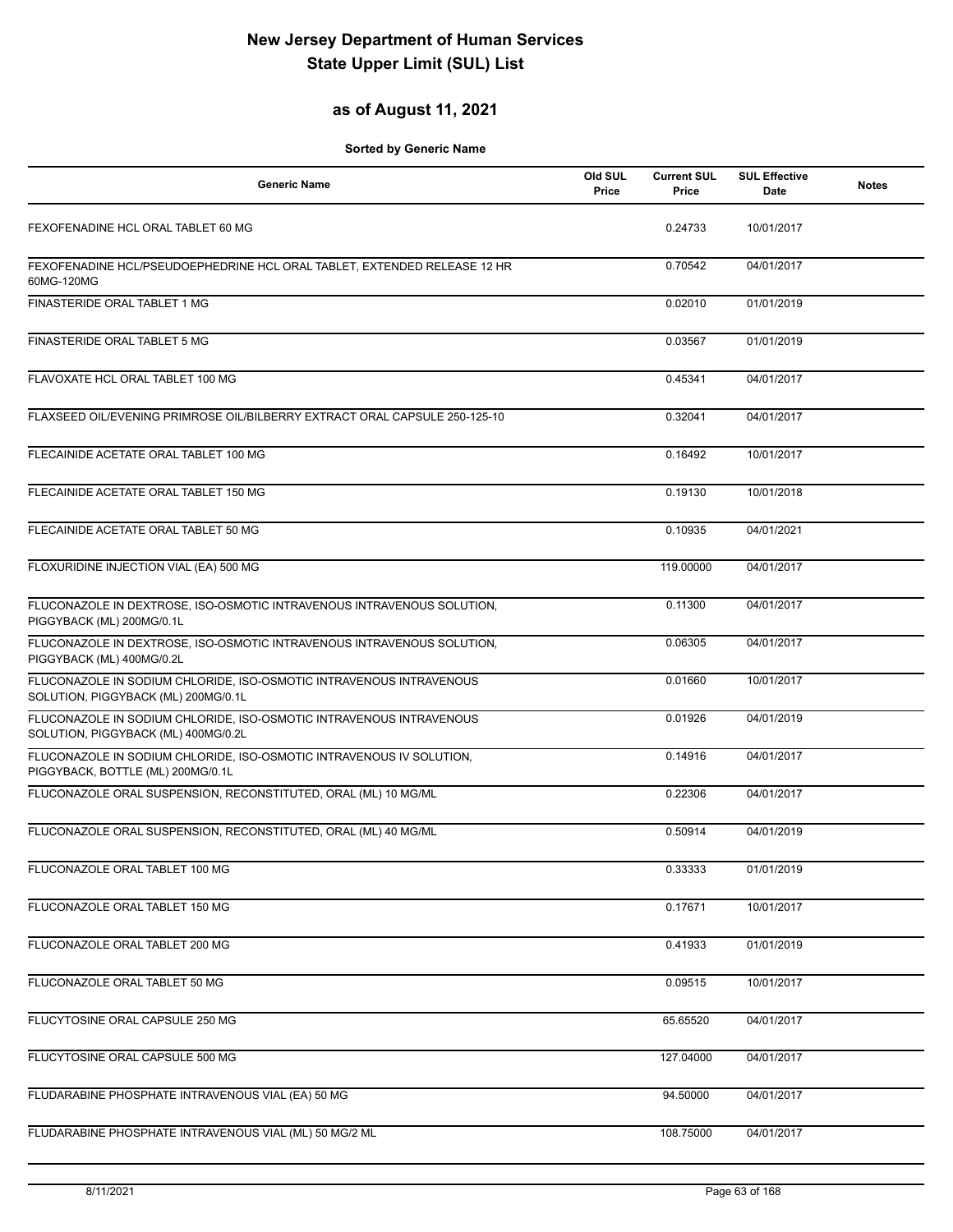### **as of August 11, 2021**

| <b>Generic Name</b>                                                                                        | Old SUL<br>Price | <b>Current SUL</b><br>Price | <b>SUL Effective</b><br><b>Date</b> | <b>Notes</b> |
|------------------------------------------------------------------------------------------------------------|------------------|-----------------------------|-------------------------------------|--------------|
| FEXOFENADINE HCL ORAL TABLET 60 MG                                                                         |                  | 0.24733                     | 10/01/2017                          |              |
| FEXOFENADINE HCL/PSEUDOEPHEDRINE HCL ORAL TABLET, EXTENDED RELEASE 12 HR<br>60MG-120MG                     |                  | 0.70542                     | 04/01/2017                          |              |
| FINASTERIDE ORAL TABLET 1 MG                                                                               |                  | 0.02010                     | 01/01/2019                          |              |
| FINASTERIDE ORAL TABLET 5 MG                                                                               |                  | 0.03567                     | 01/01/2019                          |              |
| FLAVOXATE HCL ORAL TABLET 100 MG                                                                           |                  | 0.45341                     | 04/01/2017                          |              |
| FLAXSEED OIL/EVENING PRIMROSE OIL/BILBERRY EXTRACT ORAL CAPSULE 250-125-10                                 |                  | 0.32041                     | 04/01/2017                          |              |
| FLECAINIDE ACETATE ORAL TABLET 100 MG                                                                      |                  | 0.16492                     | 10/01/2017                          |              |
| FLECAINIDE ACETATE ORAL TABLET 150 MG                                                                      |                  | 0.19130                     | 10/01/2018                          |              |
| FLECAINIDE ACETATE ORAL TABLET 50 MG                                                                       |                  | 0.10935                     | 04/01/2021                          |              |
| FLOXURIDINE INJECTION VIAL (EA) 500 MG                                                                     |                  | 119.00000                   | 04/01/2017                          |              |
| FLUCONAZOLE IN DEXTROSE, ISO-OSMOTIC INTRAVENOUS INTRAVENOUS SOLUTION,<br>PIGGYBACK (ML) 200MG/0.1L        |                  | 0.11300                     | 04/01/2017                          |              |
| FLUCONAZOLE IN DEXTROSE, ISO-OSMOTIC INTRAVENOUS INTRAVENOUS SOLUTION,<br>PIGGYBACK (ML) 400MG/0.2L        |                  | 0.06305                     | 04/01/2017                          |              |
| FLUCONAZOLE IN SODIUM CHLORIDE, ISO-OSMOTIC INTRAVENOUS INTRAVENOUS<br>SOLUTION, PIGGYBACK (ML) 200MG/0.1L |                  | 0.01660                     | 10/01/2017                          |              |
| FLUCONAZOLE IN SODIUM CHLORIDE, ISO-OSMOTIC INTRAVENOUS INTRAVENOUS<br>SOLUTION, PIGGYBACK (ML) 400MG/0.2L |                  | 0.01926                     | 04/01/2019                          |              |
| FLUCONAZOLE IN SODIUM CHLORIDE, ISO-OSMOTIC INTRAVENOUS IV SOLUTION,<br>PIGGYBACK, BOTTLE (ML) 200MG/0.1L  |                  | 0.14916                     | 04/01/2017                          |              |
| FLUCONAZOLE ORAL SUSPENSION, RECONSTITUTED, ORAL (ML) 10 MG/ML                                             |                  | 0.22306                     | 04/01/2017                          |              |
| FLUCONAZOLE ORAL SUSPENSION, RECONSTITUTED, ORAL (ML) 40 MG/ML                                             |                  | 0.50914                     | 04/01/2019                          |              |
| FLUCONAZOLE ORAL TABLET 100 MG                                                                             |                  | 0.33333                     | 01/01/2019                          |              |
| FLUCONAZOLE ORAL TABLET 150 MG                                                                             |                  | 0.17671                     | 10/01/2017                          |              |
| FLUCONAZOLE ORAL TABLET 200 MG                                                                             |                  | 0.41933                     | 01/01/2019                          |              |
| FLUCONAZOLE ORAL TABLET 50 MG                                                                              |                  | 0.09515                     | 10/01/2017                          |              |
| FLUCYTOSINE ORAL CAPSULE 250 MG                                                                            |                  | 65.65520                    | 04/01/2017                          |              |
| FLUCYTOSINE ORAL CAPSULE 500 MG                                                                            |                  | 127.04000                   | 04/01/2017                          |              |
| FLUDARABINE PHOSPHATE INTRAVENOUS VIAL (EA) 50 MG                                                          |                  | 94.50000                    | 04/01/2017                          |              |
| FLUDARABINE PHOSPHATE INTRAVENOUS VIAL (ML) 50 MG/2 ML                                                     |                  | 108.75000                   | 04/01/2017                          |              |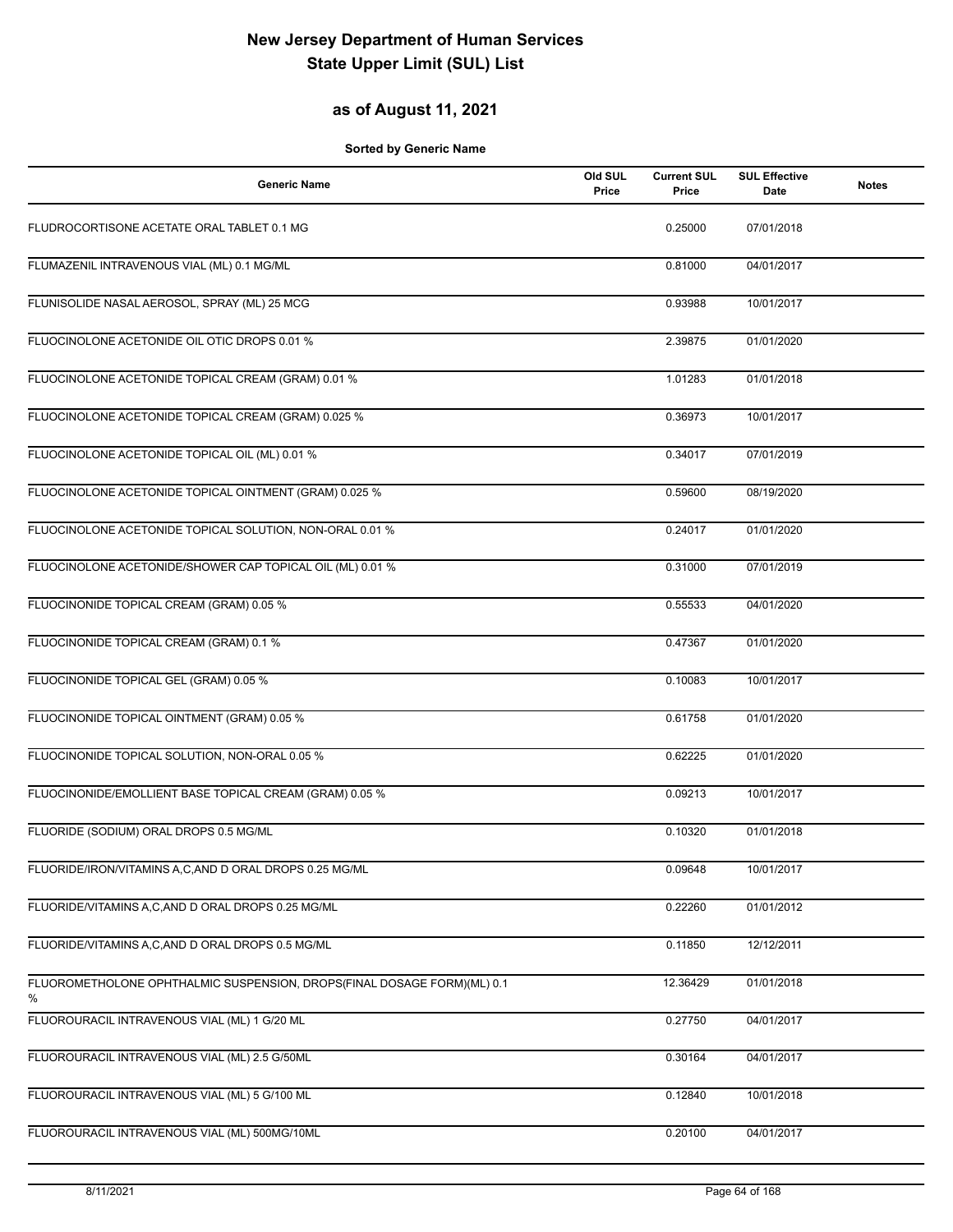### **as of August 11, 2021**

| <b>Generic Name</b>                                                          | Old SUL<br>Price | <b>Current SUL</b><br>Price | <b>SUL Effective</b><br>Date | <b>Notes</b> |
|------------------------------------------------------------------------------|------------------|-----------------------------|------------------------------|--------------|
| FLUDROCORTISONE ACETATE ORAL TABLET 0.1 MG                                   |                  | 0.25000                     | 07/01/2018                   |              |
| FLUMAZENIL INTRAVENOUS VIAL (ML) 0.1 MG/ML                                   |                  | 0.81000                     | 04/01/2017                   |              |
| FLUNISOLIDE NASAL AEROSOL, SPRAY (ML) 25 MCG                                 |                  | 0.93988                     | 10/01/2017                   |              |
| FLUOCINOLONE ACETONIDE OIL OTIC DROPS 0.01 %                                 |                  | 2.39875                     | 01/01/2020                   |              |
| FLUOCINOLONE ACETONIDE TOPICAL CREAM (GRAM) 0.01 %                           |                  | 1.01283                     | 01/01/2018                   |              |
| FLUOCINOLONE ACETONIDE TOPICAL CREAM (GRAM) 0.025 %                          |                  | 0.36973                     | 10/01/2017                   |              |
| FLUOCINOLONE ACETONIDE TOPICAL OIL (ML) 0.01 %                               |                  | 0.34017                     | 07/01/2019                   |              |
| FLUOCINOLONE ACETONIDE TOPICAL OINTMENT (GRAM) 0.025 %                       |                  | 0.59600                     | 08/19/2020                   |              |
| FLUOCINOLONE ACETONIDE TOPICAL SOLUTION, NON-ORAL 0.01 %                     |                  | 0.24017                     | 01/01/2020                   |              |
| FLUOCINOLONE ACETONIDE/SHOWER CAP TOPICAL OIL (ML) 0.01 %                    |                  | 0.31000                     | 07/01/2019                   |              |
| FLUOCINONIDE TOPICAL CREAM (GRAM) 0.05 %                                     |                  | 0.55533                     | 04/01/2020                   |              |
| FLUOCINONIDE TOPICAL CREAM (GRAM) 0.1 %                                      |                  | 0.47367                     | 01/01/2020                   |              |
| FLUOCINONIDE TOPICAL GEL (GRAM) 0.05 %                                       |                  | 0.10083                     | 10/01/2017                   |              |
| FLUOCINONIDE TOPICAL OINTMENT (GRAM) 0.05 %                                  |                  | 0.61758                     | 01/01/2020                   |              |
| FLUOCINONIDE TOPICAL SOLUTION, NON-ORAL 0.05 %                               |                  | 0.62225                     | 01/01/2020                   |              |
| FLUOCINONIDE/EMOLLIENT BASE TOPICAL CREAM (GRAM) 0.05 %                      |                  | 0.09213                     | 10/01/2017                   |              |
| FLUORIDE (SODIUM) ORAL DROPS 0.5 MG/ML                                       |                  | 0.10320                     | 01/01/2018                   |              |
| FLUORIDE/IRON/VITAMINS A,C,AND D ORAL DROPS 0.25 MG/ML                       |                  | 0.09648                     | 10/01/2017                   |              |
| FLUORIDE/VITAMINS A,C,AND D ORAL DROPS 0.25 MG/ML                            |                  | 0.22260                     | 01/01/2012                   |              |
| FLUORIDE/VITAMINS A,C,AND D ORAL DROPS 0.5 MG/ML                             |                  | 0.11850                     | 12/12/2011                   |              |
| FLUOROMETHOLONE OPHTHALMIC SUSPENSION, DROPS(FINAL DOSAGE FORM)(ML) 0.1<br>% |                  | 12.36429                    | 01/01/2018                   |              |
| FLUOROURACIL INTRAVENOUS VIAL (ML) 1 G/20 ML                                 |                  | 0.27750                     | 04/01/2017                   |              |
| FLUOROURACIL INTRAVENOUS VIAL (ML) 2.5 G/50ML                                |                  | 0.30164                     | 04/01/2017                   |              |
| FLUOROURACIL INTRAVENOUS VIAL (ML) 5 G/100 ML                                |                  | 0.12840                     | 10/01/2018                   |              |
| FLUOROURACIL INTRAVENOUS VIAL (ML) 500MG/10ML                                |                  | 0.20100                     | 04/01/2017                   |              |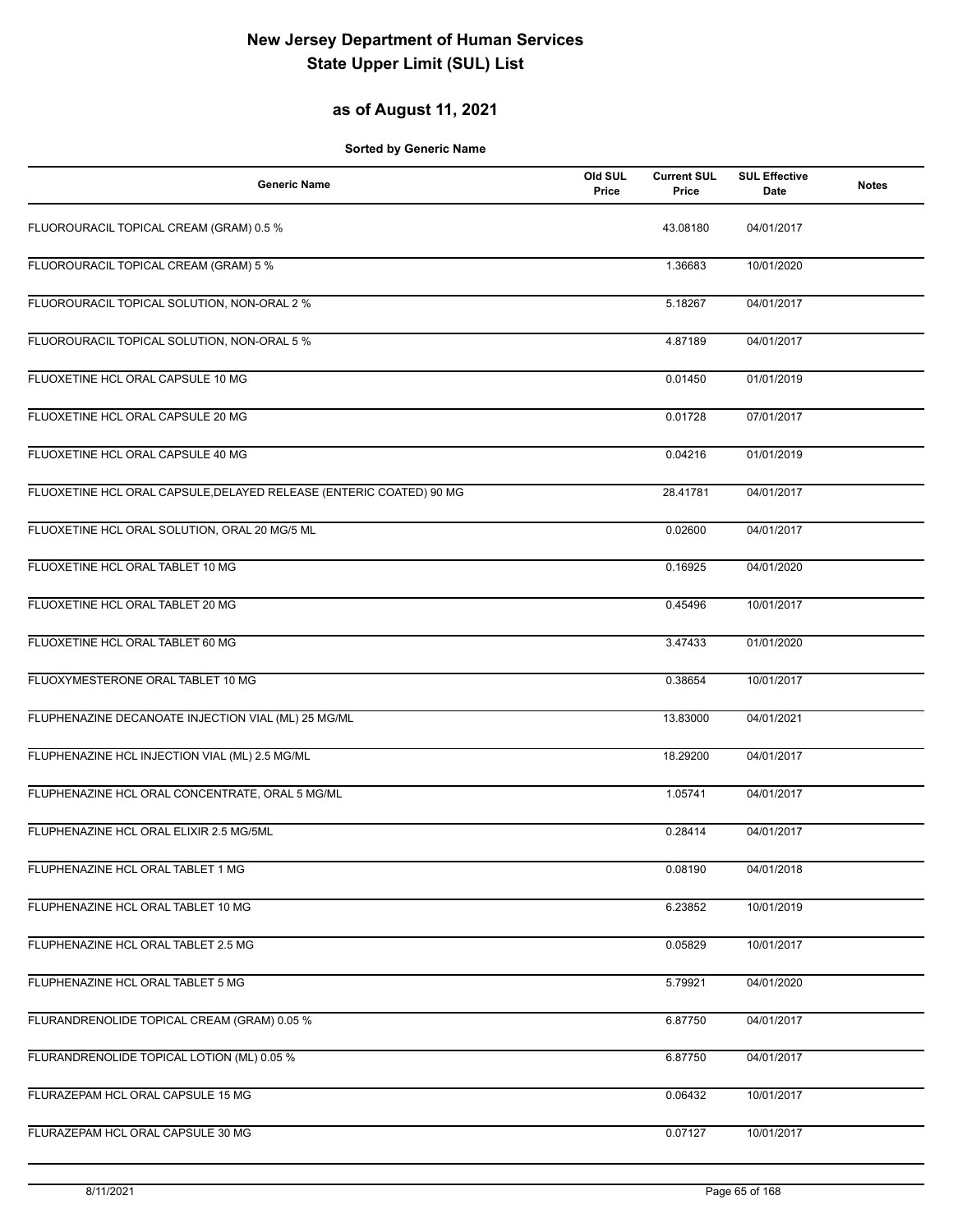### **as of August 11, 2021**

| <b>Generic Name</b>                                                 | Old SUL<br>Price | <b>Current SUL</b><br>Price | <b>SUL Effective</b><br>Date | <b>Notes</b> |
|---------------------------------------------------------------------|------------------|-----------------------------|------------------------------|--------------|
| FLUOROURACIL TOPICAL CREAM (GRAM) 0.5 %                             |                  | 43.08180                    | 04/01/2017                   |              |
| FLUOROURACIL TOPICAL CREAM (GRAM) 5 %                               |                  | 1.36683                     | 10/01/2020                   |              |
| FLUOROURACIL TOPICAL SOLUTION, NON-ORAL 2 %                         |                  | 5.18267                     | 04/01/2017                   |              |
| FLUOROURACIL TOPICAL SOLUTION, NON-ORAL 5 %                         |                  | 4.87189                     | 04/01/2017                   |              |
| FLUOXETINE HCL ORAL CAPSULE 10 MG                                   |                  | 0.01450                     | 01/01/2019                   |              |
| FLUOXETINE HCL ORAL CAPSULE 20 MG                                   |                  | 0.01728                     | 07/01/2017                   |              |
| FLUOXETINE HCL ORAL CAPSULE 40 MG                                   |                  | 0.04216                     | 01/01/2019                   |              |
| FLUOXETINE HCL ORAL CAPSULE, DELAYED RELEASE (ENTERIC COATED) 90 MG |                  | 28.41781                    | 04/01/2017                   |              |
| FLUOXETINE HCL ORAL SOLUTION, ORAL 20 MG/5 ML                       |                  | 0.02600                     | 04/01/2017                   |              |
| FLUOXETINE HCL ORAL TABLET 10 MG                                    |                  | 0.16925                     | 04/01/2020                   |              |
| FLUOXETINE HCL ORAL TABLET 20 MG                                    |                  | 0.45496                     | 10/01/2017                   |              |
| FLUOXETINE HCL ORAL TABLET 60 MG                                    |                  | 3.47433                     | 01/01/2020                   |              |
| FLUOXYMESTERONE ORAL TABLET 10 MG                                   |                  | 0.38654                     | 10/01/2017                   |              |
| FLUPHENAZINE DECANOATE INJECTION VIAL (ML) 25 MG/ML                 |                  | 13.83000                    | 04/01/2021                   |              |
| FLUPHENAZINE HCL INJECTION VIAL (ML) 2.5 MG/ML                      |                  | 18.29200                    | 04/01/2017                   |              |
| FLUPHENAZINE HCL ORAL CONCENTRATE, ORAL 5 MG/ML                     |                  | 1.05741                     | 04/01/2017                   |              |
| FLUPHENAZINE HCL ORAL ELIXIR 2.5 MG/5ML                             |                  | 0.28414                     | 04/01/2017                   |              |
| FLUPHENAZINE HCL ORAL TABLET 1 MG                                   |                  | 0.08190                     | 04/01/2018                   |              |
| FLUPHENAZINE HCL ORAL TABLET 10 MG                                  |                  | 6.23852                     | 10/01/2019                   |              |
| FLUPHENAZINE HCL ORAL TABLET 2.5 MG                                 |                  | 0.05829                     | 10/01/2017                   |              |
| FLUPHENAZINE HCL ORAL TABLET 5 MG                                   |                  | 5.79921                     | 04/01/2020                   |              |
| FLURANDRENOLIDE TOPICAL CREAM (GRAM) 0.05 %                         |                  | 6.87750                     | 04/01/2017                   |              |
| FLURANDRENOLIDE TOPICAL LOTION (ML) 0.05 %                          |                  | 6.87750                     | 04/01/2017                   |              |
| FLURAZEPAM HCL ORAL CAPSULE 15 MG                                   |                  | 0.06432                     | 10/01/2017                   |              |
| FLURAZEPAM HCL ORAL CAPSULE 30 MG                                   |                  | 0.07127                     | 10/01/2017                   |              |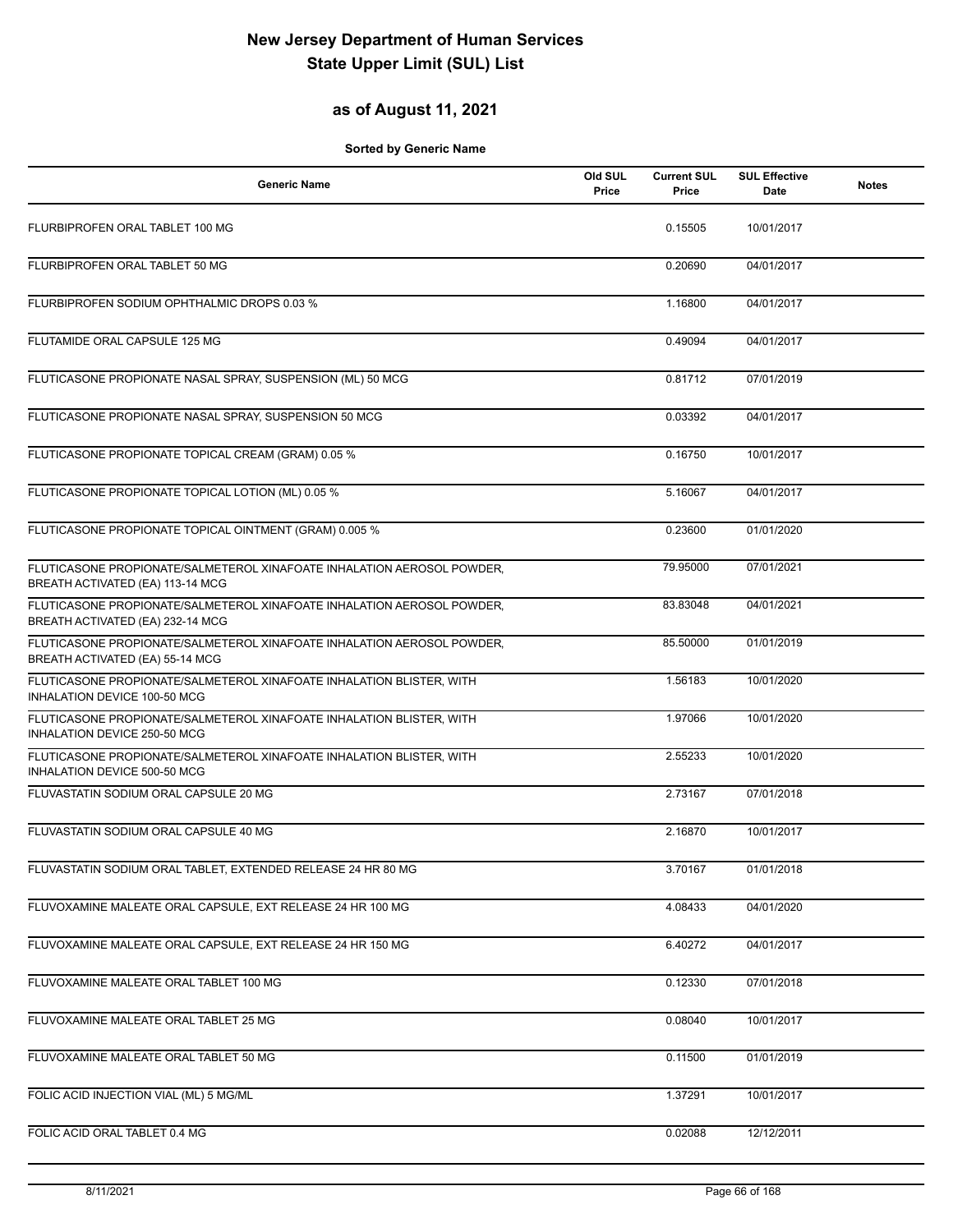### **as of August 11, 2021**

| <b>Generic Name</b>                                                                                        | Old SUL<br>Price | <b>Current SUL</b><br>Price | <b>SUL Effective</b><br>Date | <b>Notes</b> |
|------------------------------------------------------------------------------------------------------------|------------------|-----------------------------|------------------------------|--------------|
| FLURBIPROFEN ORAL TABLET 100 MG                                                                            |                  | 0.15505                     | 10/01/2017                   |              |
| FLURBIPROFEN ORAL TABLET 50 MG                                                                             |                  | 0.20690                     | 04/01/2017                   |              |
| FLURBIPROFEN SODIUM OPHTHALMIC DROPS 0.03 %                                                                |                  | 1.16800                     | 04/01/2017                   |              |
| FLUTAMIDE ORAL CAPSULE 125 MG                                                                              |                  | 0.49094                     | 04/01/2017                   |              |
| FLUTICASONE PROPIONATE NASAL SPRAY, SUSPENSION (ML) 50 MCG                                                 |                  | 0.81712                     | 07/01/2019                   |              |
| FLUTICASONE PROPIONATE NASAL SPRAY, SUSPENSION 50 MCG                                                      |                  | 0.03392                     | 04/01/2017                   |              |
| FLUTICASONE PROPIONATE TOPICAL CREAM (GRAM) 0.05 %                                                         |                  | 0.16750                     | 10/01/2017                   |              |
| FLUTICASONE PROPIONATE TOPICAL LOTION (ML) 0.05 %                                                          |                  | 5.16067                     | 04/01/2017                   |              |
| FLUTICASONE PROPIONATE TOPICAL OINTMENT (GRAM) 0.005 %                                                     |                  | 0.23600                     | 01/01/2020                   |              |
| FLUTICASONE PROPIONATE/SALMETEROL XINAFOATE INHALATION AEROSOL POWDER,<br>BREATH ACTIVATED (EA) 113-14 MCG |                  | 79.95000                    | 07/01/2021                   |              |
| FLUTICASONE PROPIONATE/SALMETEROL XINAFOATE INHALATION AEROSOL POWDER,<br>BREATH ACTIVATED (EA) 232-14 MCG |                  | 83.83048                    | 04/01/2021                   |              |
| FLUTICASONE PROPIONATE/SALMETEROL XINAFOATE INHALATION AEROSOL POWDER,<br>BREATH ACTIVATED (EA) 55-14 MCG  |                  | 85.50000                    | 01/01/2019                   |              |
| FLUTICASONE PROPIONATE/SALMETEROL XINAFOATE INHALATION BLISTER, WITH<br>INHALATION DEVICE 100-50 MCG       |                  | 1.56183                     | 10/01/2020                   |              |
| FLUTICASONE PROPIONATE/SALMETEROL XINAFOATE INHALATION BLISTER, WITH<br>INHALATION DEVICE 250-50 MCG       |                  | 1.97066                     | 10/01/2020                   |              |
| FLUTICASONE PROPIONATE/SALMETEROL XINAFOATE INHALATION BLISTER, WITH<br>INHALATION DEVICE 500-50 MCG       |                  | 2.55233                     | 10/01/2020                   |              |
| FLUVASTATIN SODIUM ORAL CAPSULE 20 MG                                                                      |                  | 2.73167                     | 07/01/2018                   |              |
| FLUVASTATIN SODIUM ORAL CAPSULE 40 MG                                                                      |                  | 2.16870                     | 10/01/2017                   |              |
| FLUVASTATIN SODIUM ORAL TABLET, EXTENDED RELEASE 24 HR 80 MG                                               |                  | 3.70167                     | 01/01/2018                   |              |
| FLUVOXAMINE MALEATE ORAL CAPSULE, EXT RELEASE 24 HR 100 MG                                                 |                  | 4.08433                     | 04/01/2020                   |              |
| FLUVOXAMINE MALEATE ORAL CAPSULE, EXT RELEASE 24 HR 150 MG                                                 |                  | 6.40272                     | 04/01/2017                   |              |
| FLUVOXAMINE MALEATE ORAL TABLET 100 MG                                                                     |                  | 0.12330                     | 07/01/2018                   |              |
| FLUVOXAMINE MALEATE ORAL TABLET 25 MG                                                                      |                  | 0.08040                     | 10/01/2017                   |              |
| FLUVOXAMINE MALEATE ORAL TABLET 50 MG                                                                      |                  | 0.11500                     | 01/01/2019                   |              |
| FOLIC ACID INJECTION VIAL (ML) 5 MG/ML                                                                     |                  | 1.37291                     | 10/01/2017                   |              |
| FOLIC ACID ORAL TABLET 0.4 MG                                                                              |                  | 0.02088                     | 12/12/2011                   |              |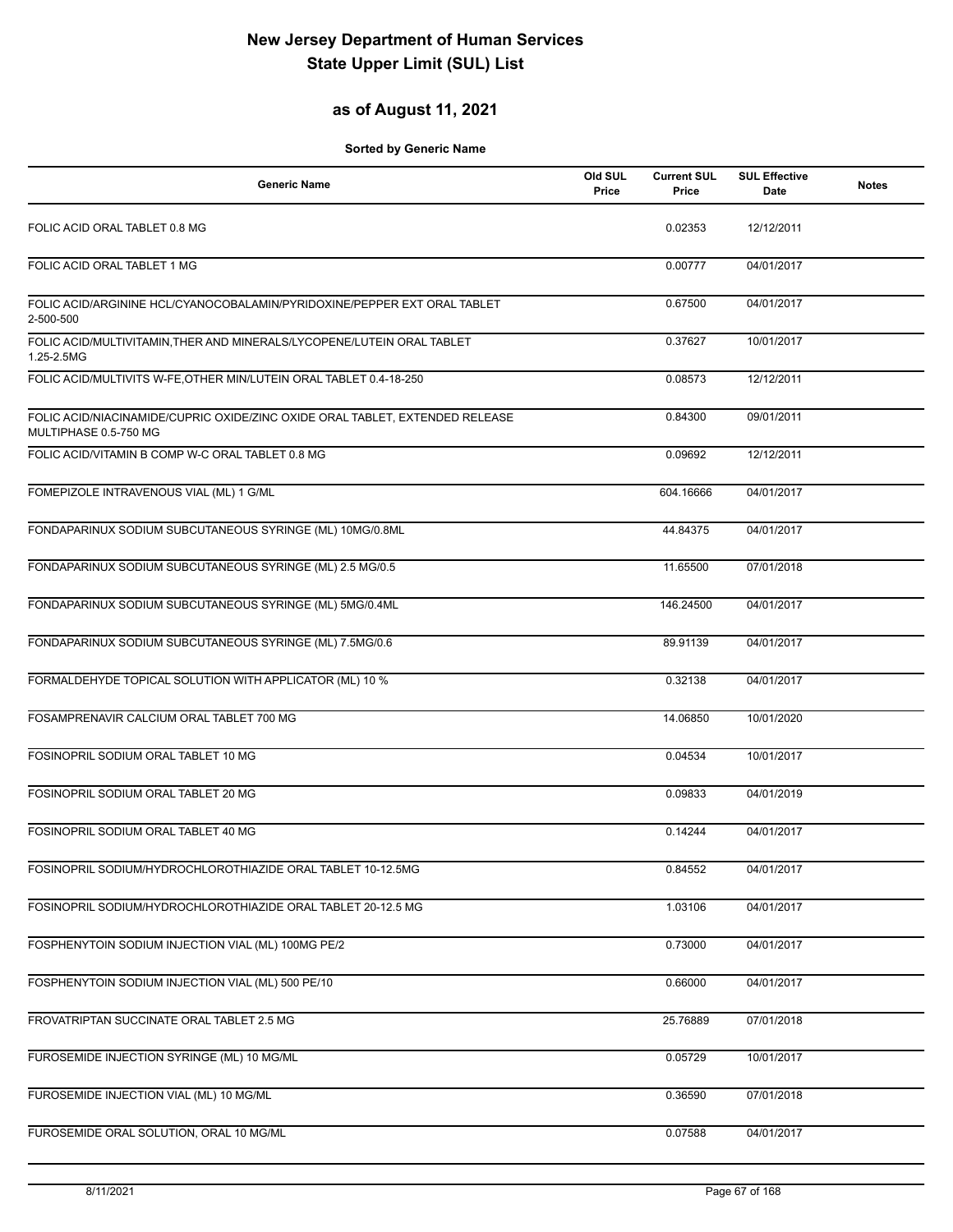### **as of August 11, 2021**

| <b>Generic Name</b>                                                                                   | Old SUL<br>Price | <b>Current SUL</b><br>Price | <b>SUL Effective</b><br>Date | <b>Notes</b> |
|-------------------------------------------------------------------------------------------------------|------------------|-----------------------------|------------------------------|--------------|
| FOLIC ACID ORAL TABLET 0.8 MG                                                                         |                  | 0.02353                     | 12/12/2011                   |              |
| FOLIC ACID ORAL TABLET 1 MG                                                                           |                  | 0.00777                     | 04/01/2017                   |              |
| FOLIC ACID/ARGININE HCL/CYANOCOBALAMIN/PYRIDOXINE/PEPPER EXT ORAL TABLET<br>2-500-500                 |                  | 0.67500                     | 04/01/2017                   |              |
| FOLIC ACID/MULTIVITAMIN, THER AND MINERALS/LYCOPENE/LUTEIN ORAL TABLET<br>1.25-2.5MG                  |                  | 0.37627                     | 10/01/2017                   |              |
| FOLIC ACID/MULTIVITS W-FE, OTHER MIN/LUTEIN ORAL TABLET 0.4-18-250                                    |                  | 0.08573                     | 12/12/2011                   |              |
| FOLIC ACID/NIACINAMIDE/CUPRIC OXIDE/ZINC OXIDE ORAL TABLET, EXTENDED RELEASE<br>MULTIPHASE 0.5-750 MG |                  | 0.84300                     | 09/01/2011                   |              |
| FOLIC ACID/VITAMIN B COMP W-C ORAL TABLET 0.8 MG                                                      |                  | 0.09692                     | 12/12/2011                   |              |
| FOMEPIZOLE INTRAVENOUS VIAL (ML) 1 G/ML                                                               |                  | 604.16666                   | 04/01/2017                   |              |
| FONDAPARINUX SODIUM SUBCUTANEOUS SYRINGE (ML) 10MG/0.8ML                                              |                  | 44.84375                    | 04/01/2017                   |              |
| FONDAPARINUX SODIUM SUBCUTANEOUS SYRINGE (ML) 2.5 MG/0.5                                              |                  | 11.65500                    | 07/01/2018                   |              |
| FONDAPARINUX SODIUM SUBCUTANEOUS SYRINGE (ML) 5MG/0.4ML                                               |                  | 146.24500                   | 04/01/2017                   |              |
| FONDAPARINUX SODIUM SUBCUTANEOUS SYRINGE (ML) 7.5MG/0.6                                               |                  | 89.91139                    | 04/01/2017                   |              |
| FORMALDEHYDE TOPICAL SOLUTION WITH APPLICATOR (ML) 10 %                                               |                  | 0.32138                     | 04/01/2017                   |              |
| FOSAMPRENAVIR CALCIUM ORAL TABLET 700 MG                                                              |                  | 14.06850                    | 10/01/2020                   |              |
| FOSINOPRIL SODIUM ORAL TABLET 10 MG                                                                   |                  | 0.04534                     | 10/01/2017                   |              |
| FOSINOPRIL SODIUM ORAL TABLET 20 MG                                                                   |                  | 0.09833                     | 04/01/2019                   |              |
| FOSINOPRIL SODIUM ORAL TABLET 40 MG                                                                   |                  | 0.14244                     | 04/01/2017                   |              |
| FOSINOPRIL SODIUM/HYDROCHLOROTHIAZIDE ORAL TABLET 10-12.5MG                                           |                  | 0.84552                     | 04/01/2017                   |              |
| FOSINOPRIL SODIUM/HYDROCHLOROTHIAZIDE ORAL TABLET 20-12.5 MG                                          |                  | 1.03106                     | 04/01/2017                   |              |
| FOSPHENYTOIN SODIUM INJECTION VIAL (ML) 100MG PE/2                                                    |                  | 0.73000                     | 04/01/2017                   |              |
| FOSPHENYTOIN SODIUM INJECTION VIAL (ML) 500 PE/10                                                     |                  | 0.66000                     | 04/01/2017                   |              |
| FROVATRIPTAN SUCCINATE ORAL TABLET 2.5 MG                                                             |                  | 25.76889                    | 07/01/2018                   |              |
| FUROSEMIDE INJECTION SYRINGE (ML) 10 MG/ML                                                            |                  | 0.05729                     | 10/01/2017                   |              |
| FUROSEMIDE INJECTION VIAL (ML) 10 MG/ML                                                               |                  | 0.36590                     | 07/01/2018                   |              |
| FUROSEMIDE ORAL SOLUTION, ORAL 10 MG/ML                                                               |                  | 0.07588                     | 04/01/2017                   |              |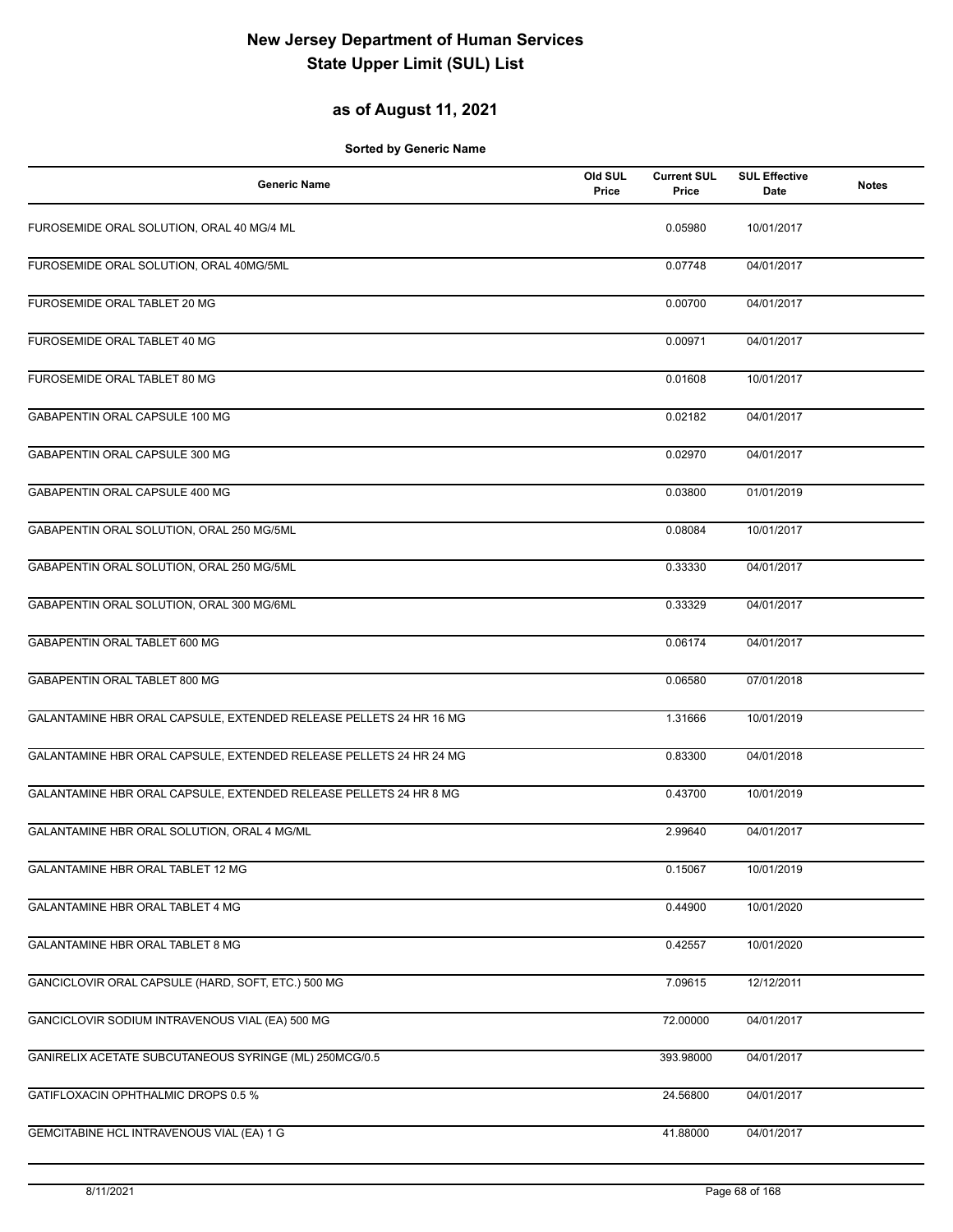### **as of August 11, 2021**

| <b>Generic Name</b>                                                | Old SUL<br>Price | <b>Current SUL</b><br>Price | <b>SUL Effective</b><br>Date | <b>Notes</b> |
|--------------------------------------------------------------------|------------------|-----------------------------|------------------------------|--------------|
| FUROSEMIDE ORAL SOLUTION, ORAL 40 MG/4 ML                          |                  | 0.05980                     | 10/01/2017                   |              |
| FUROSEMIDE ORAL SOLUTION, ORAL 40MG/5ML                            |                  | 0.07748                     | 04/01/2017                   |              |
| FUROSEMIDE ORAL TABLET 20 MG                                       |                  | 0.00700                     | 04/01/2017                   |              |
| FUROSEMIDE ORAL TABLET 40 MG                                       |                  | 0.00971                     | 04/01/2017                   |              |
| FUROSEMIDE ORAL TABLET 80 MG                                       |                  | 0.01608                     | 10/01/2017                   |              |
| GABAPENTIN ORAL CAPSULE 100 MG                                     |                  | 0.02182                     | 04/01/2017                   |              |
| GABAPENTIN ORAL CAPSULE 300 MG                                     |                  | 0.02970                     | 04/01/2017                   |              |
| GABAPENTIN ORAL CAPSULE 400 MG                                     |                  | 0.03800                     | 01/01/2019                   |              |
| GABAPENTIN ORAL SOLUTION, ORAL 250 MG/5ML                          |                  | 0.08084                     | 10/01/2017                   |              |
| GABAPENTIN ORAL SOLUTION, ORAL 250 MG/5ML                          |                  | 0.33330                     | 04/01/2017                   |              |
| GABAPENTIN ORAL SOLUTION, ORAL 300 MG/6ML                          |                  | 0.33329                     | 04/01/2017                   |              |
| GABAPENTIN ORAL TABLET 600 MG                                      |                  | 0.06174                     | 04/01/2017                   |              |
| GABAPENTIN ORAL TABLET 800 MG                                      |                  | 0.06580                     | 07/01/2018                   |              |
| GALANTAMINE HBR ORAL CAPSULE, EXTENDED RELEASE PELLETS 24 HR 16 MG |                  | 1.31666                     | 10/01/2019                   |              |
| GALANTAMINE HBR ORAL CAPSULE, EXTENDED RELEASE PELLETS 24 HR 24 MG |                  | 0.83300                     | 04/01/2018                   |              |
| GALANTAMINE HBR ORAL CAPSULE, EXTENDED RELEASE PELLETS 24 HR 8 MG  |                  | 0.43700                     | 10/01/2019                   |              |
| GALANTAMINE HBR ORAL SOLUTION, ORAL 4 MG/ML                        |                  | 2.99640                     | 04/01/2017                   |              |
| GALANTAMINE HBR ORAL TABLET 12 MG                                  |                  | 0.15067                     | 10/01/2019                   |              |
| GALANTAMINE HBR ORAL TABLET 4 MG                                   |                  | 0.44900                     | 10/01/2020                   |              |
| GALANTAMINE HBR ORAL TABLET 8 MG                                   |                  | 0.42557                     | 10/01/2020                   |              |
| GANCICLOVIR ORAL CAPSULE (HARD, SOFT, ETC.) 500 MG                 |                  | 7.09615                     | 12/12/2011                   |              |
| GANCICLOVIR SODIUM INTRAVENOUS VIAL (EA) 500 MG                    |                  | 72.00000                    | 04/01/2017                   |              |
| GANIRELIX ACETATE SUBCUTANEOUS SYRINGE (ML) 250MCG/0.5             |                  | 393.98000                   | 04/01/2017                   |              |
| GATIFLOXACIN OPHTHALMIC DROPS 0.5 %                                |                  | 24.56800                    | 04/01/2017                   |              |
| GEMCITABINE HCL INTRAVENOUS VIAL (EA) 1 G                          |                  | 41.88000                    | 04/01/2017                   |              |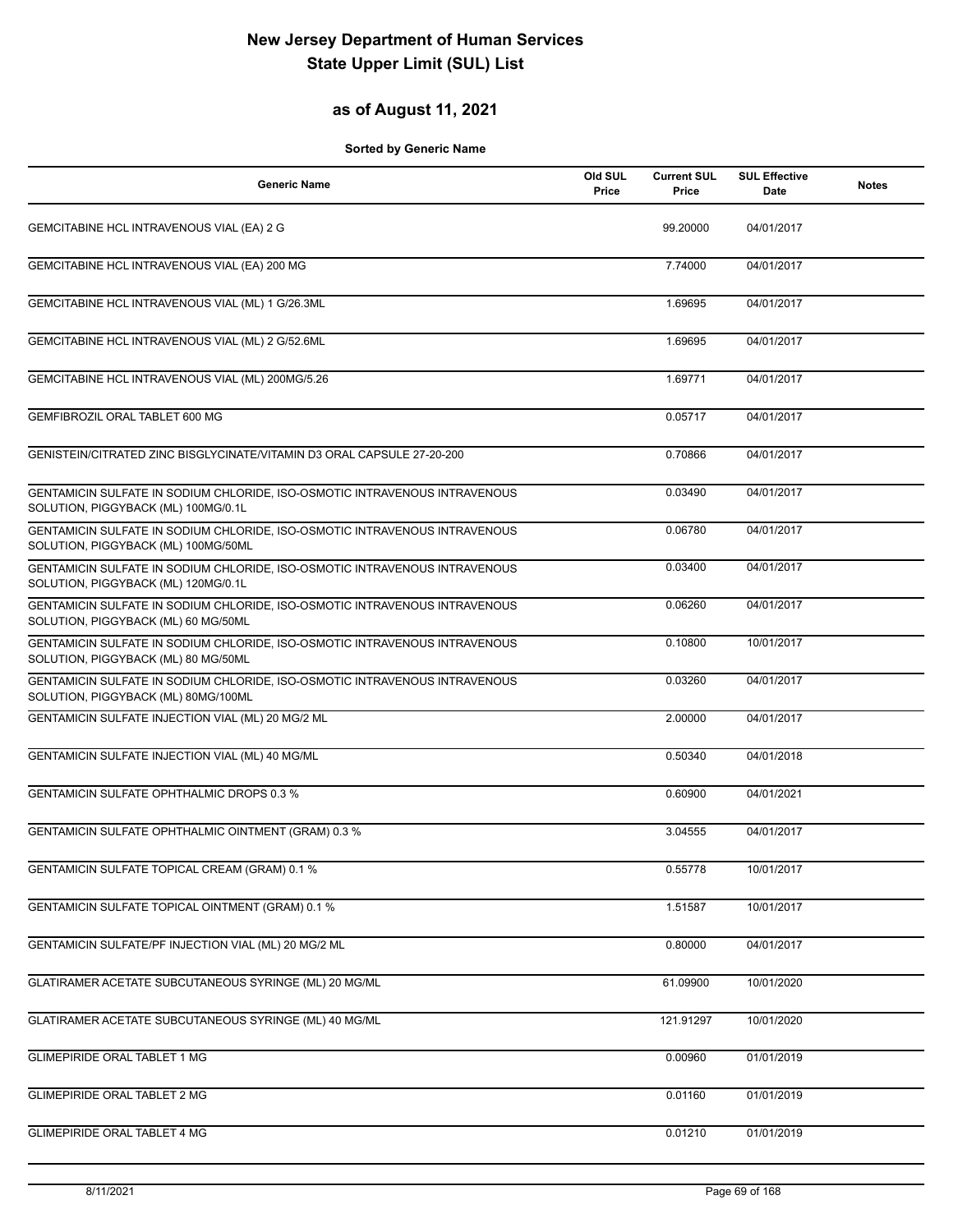#### **as of August 11, 2021**

| <b>Generic Name</b>                                                                                               | Old SUL<br>Price | <b>Current SUL</b><br>Price | <b>SUL Effective</b><br>Date | <b>Notes</b> |
|-------------------------------------------------------------------------------------------------------------------|------------------|-----------------------------|------------------------------|--------------|
| GEMCITABINE HCL INTRAVENOUS VIAL (EA) 2 G                                                                         |                  | 99.20000                    | 04/01/2017                   |              |
| GEMCITABINE HCL INTRAVENOUS VIAL (EA) 200 MG                                                                      |                  | 7.74000                     | 04/01/2017                   |              |
| GEMCITABINE HCL INTRAVENOUS VIAL (ML) 1 G/26.3ML                                                                  |                  | 1.69695                     | 04/01/2017                   |              |
| GEMCITABINE HCL INTRAVENOUS VIAL (ML) 2 G/52.6ML                                                                  |                  | 1.69695                     | 04/01/2017                   |              |
| GEMCITABINE HCL INTRAVENOUS VIAL (ML) 200MG/5.26                                                                  |                  | 1.69771                     | 04/01/2017                   |              |
| GEMFIBROZIL ORAL TABLET 600 MG                                                                                    |                  | 0.05717                     | 04/01/2017                   |              |
| GENISTEIN/CITRATED ZINC BISGLYCINATE/VITAMIN D3 ORAL CAPSULE 27-20-200                                            |                  | 0.70866                     | 04/01/2017                   |              |
| GENTAMICIN SULFATE IN SODIUM CHLORIDE, ISO-OSMOTIC INTRAVENOUS INTRAVENOUS<br>SOLUTION, PIGGYBACK (ML) 100MG/0.1L |                  | 0.03490                     | 04/01/2017                   |              |
| GENTAMICIN SULFATE IN SODIUM CHLORIDE, ISO-OSMOTIC INTRAVENOUS INTRAVENOUS<br>SOLUTION, PIGGYBACK (ML) 100MG/50ML |                  | 0.06780                     | 04/01/2017                   |              |
| GENTAMICIN SULFATE IN SODIUM CHLORIDE, ISO-OSMOTIC INTRAVENOUS INTRAVENOUS<br>SOLUTION, PIGGYBACK (ML) 120MG/0.1L |                  | 0.03400                     | 04/01/2017                   |              |
| GENTAMICIN SULFATE IN SODIUM CHLORIDE, ISO-OSMOTIC INTRAVENOUS INTRAVENOUS<br>SOLUTION, PIGGYBACK (ML) 60 MG/50ML |                  | 0.06260                     | 04/01/2017                   |              |
| GENTAMICIN SULFATE IN SODIUM CHLORIDE, ISO-OSMOTIC INTRAVENOUS INTRAVENOUS<br>SOLUTION, PIGGYBACK (ML) 80 MG/50ML |                  | 0.10800                     | 10/01/2017                   |              |
| GENTAMICIN SULFATE IN SODIUM CHLORIDE, ISO-OSMOTIC INTRAVENOUS INTRAVENOUS<br>SOLUTION, PIGGYBACK (ML) 80MG/100ML |                  | 0.03260                     | 04/01/2017                   |              |
| GENTAMICIN SULFATE INJECTION VIAL (ML) 20 MG/2 ML                                                                 |                  | 2.00000                     | 04/01/2017                   |              |
| GENTAMICIN SULFATE INJECTION VIAL (ML) 40 MG/ML                                                                   |                  | 0.50340                     | 04/01/2018                   |              |
| <b>GENTAMICIN SULFATE OPHTHALMIC DROPS 0.3 %</b>                                                                  |                  | 0.60900                     | 04/01/2021                   |              |
| GENTAMICIN SULFATE OPHTHALMIC OINTMENT (GRAM) 0.3 %                                                               |                  | 3.04555                     | 04/01/2017                   |              |
| GENTAMICIN SULFATE TOPICAL CREAM (GRAM) 0.1 %                                                                     |                  | 0.55778                     | 10/01/2017                   |              |
| <b>GENTAMICIN SULFATE TOPICAL OINTMENT (GRAM) 0.1 %</b>                                                           |                  | 1.51587                     | 10/01/2017                   |              |
| GENTAMICIN SULFATE/PF INJECTION VIAL (ML) 20 MG/2 ML                                                              |                  | 0.80000                     | 04/01/2017                   |              |
| GLATIRAMER ACETATE SUBCUTANEOUS SYRINGE (ML) 20 MG/ML                                                             |                  | 61.09900                    | 10/01/2020                   |              |
| GLATIRAMER ACETATE SUBCUTANEOUS SYRINGE (ML) 40 MG/ML                                                             |                  | 121.91297                   | 10/01/2020                   |              |
| <b>GLIMEPIRIDE ORAL TABLET 1 MG</b>                                                                               |                  | 0.00960                     | 01/01/2019                   |              |
| <b>GLIMEPIRIDE ORAL TABLET 2 MG</b>                                                                               |                  | 0.01160                     | 01/01/2019                   |              |
| <b>GLIMEPIRIDE ORAL TABLET 4 MG</b>                                                                               |                  | 0.01210                     | 01/01/2019                   |              |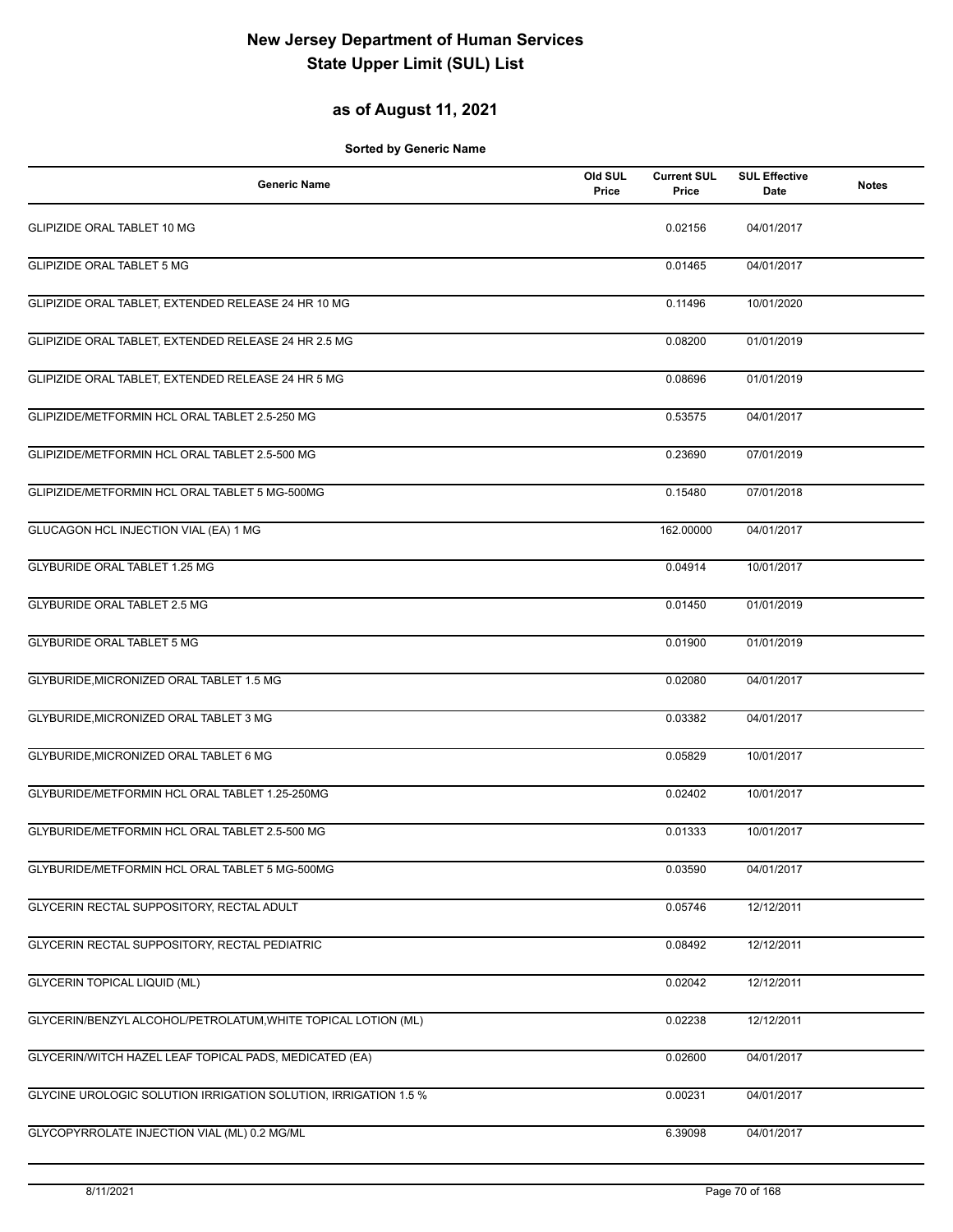### **as of August 11, 2021**

| <b>Generic Name</b>                                             | Old SUL<br>Price | <b>Current SUL</b><br>Price | <b>SUL Effective</b><br>Date | <b>Notes</b> |
|-----------------------------------------------------------------|------------------|-----------------------------|------------------------------|--------------|
| <b>GLIPIZIDE ORAL TABLET 10 MG</b>                              |                  | 0.02156                     | 04/01/2017                   |              |
| <b>GLIPIZIDE ORAL TABLET 5 MG</b>                               |                  | 0.01465                     | 04/01/2017                   |              |
| GLIPIZIDE ORAL TABLET, EXTENDED RELEASE 24 HR 10 MG             |                  | 0.11496                     | 10/01/2020                   |              |
| GLIPIZIDE ORAL TABLET, EXTENDED RELEASE 24 HR 2.5 MG            |                  | 0.08200                     | 01/01/2019                   |              |
| GLIPIZIDE ORAL TABLET, EXTENDED RELEASE 24 HR 5 MG              |                  | 0.08696                     | 01/01/2019                   |              |
| GLIPIZIDE/METFORMIN HCL ORAL TABLET 2.5-250 MG                  |                  | 0.53575                     | 04/01/2017                   |              |
| GLIPIZIDE/METFORMIN HCL ORAL TABLET 2.5-500 MG                  |                  | 0.23690                     | 07/01/2019                   |              |
| GLIPIZIDE/METFORMIN HCL ORAL TABLET 5 MG-500MG                  |                  | 0.15480                     | 07/01/2018                   |              |
| GLUCAGON HCL INJECTION VIAL (EA) 1 MG                           |                  | 162.00000                   | 04/01/2017                   |              |
| GLYBURIDE ORAL TABLET 1.25 MG                                   |                  | 0.04914                     | 10/01/2017                   |              |
| <b>GLYBURIDE ORAL TABLET 2.5 MG</b>                             |                  | 0.01450                     | 01/01/2019                   |              |
| <b>GLYBURIDE ORAL TABLET 5 MG</b>                               |                  | 0.01900                     | 01/01/2019                   |              |
| GLYBURIDE, MICRONIZED ORAL TABLET 1.5 MG                        |                  | 0.02080                     | 04/01/2017                   |              |
| GLYBURIDE, MICRONIZED ORAL TABLET 3 MG                          |                  | 0.03382                     | 04/01/2017                   |              |
| GLYBURIDE, MICRONIZED ORAL TABLET 6 MG                          |                  | 0.05829                     | 10/01/2017                   |              |
| GLYBURIDE/METFORMIN HCL ORAL TABLET 1.25-250MG                  |                  | 0.02402                     | 10/01/2017                   |              |
| GLYBURIDE/METFORMIN HCL ORAL TABLET 2.5-500 MG                  |                  | 0.01333                     | 10/01/2017                   |              |
| GLYBURIDE/METFORMIN HCL ORAL TABLET 5 MG-500MG                  |                  | 0.03590                     | 04/01/2017                   |              |
| GLYCERIN RECTAL SUPPOSITORY, RECTAL ADULT                       |                  | 0.05746                     | 12/12/2011                   |              |
| GLYCERIN RECTAL SUPPOSITORY, RECTAL PEDIATRIC                   |                  | 0.08492                     | 12/12/2011                   |              |
| <b>GLYCERIN TOPICAL LIQUID (ML)</b>                             |                  | 0.02042                     | 12/12/2011                   |              |
| GLYCERIN/BENZYL ALCOHOL/PETROLATUM, WHITE TOPICAL LOTION (ML)   |                  | 0.02238                     | 12/12/2011                   |              |
| GLYCERIN/WITCH HAZEL LEAF TOPICAL PADS, MEDICATED (EA)          |                  | 0.02600                     | 04/01/2017                   |              |
| GLYCINE UROLOGIC SOLUTION IRRIGATION SOLUTION, IRRIGATION 1.5 % |                  | 0.00231                     | 04/01/2017                   |              |
| GLYCOPYRROLATE INJECTION VIAL (ML) 0.2 MG/ML                    |                  | 6.39098                     | 04/01/2017                   |              |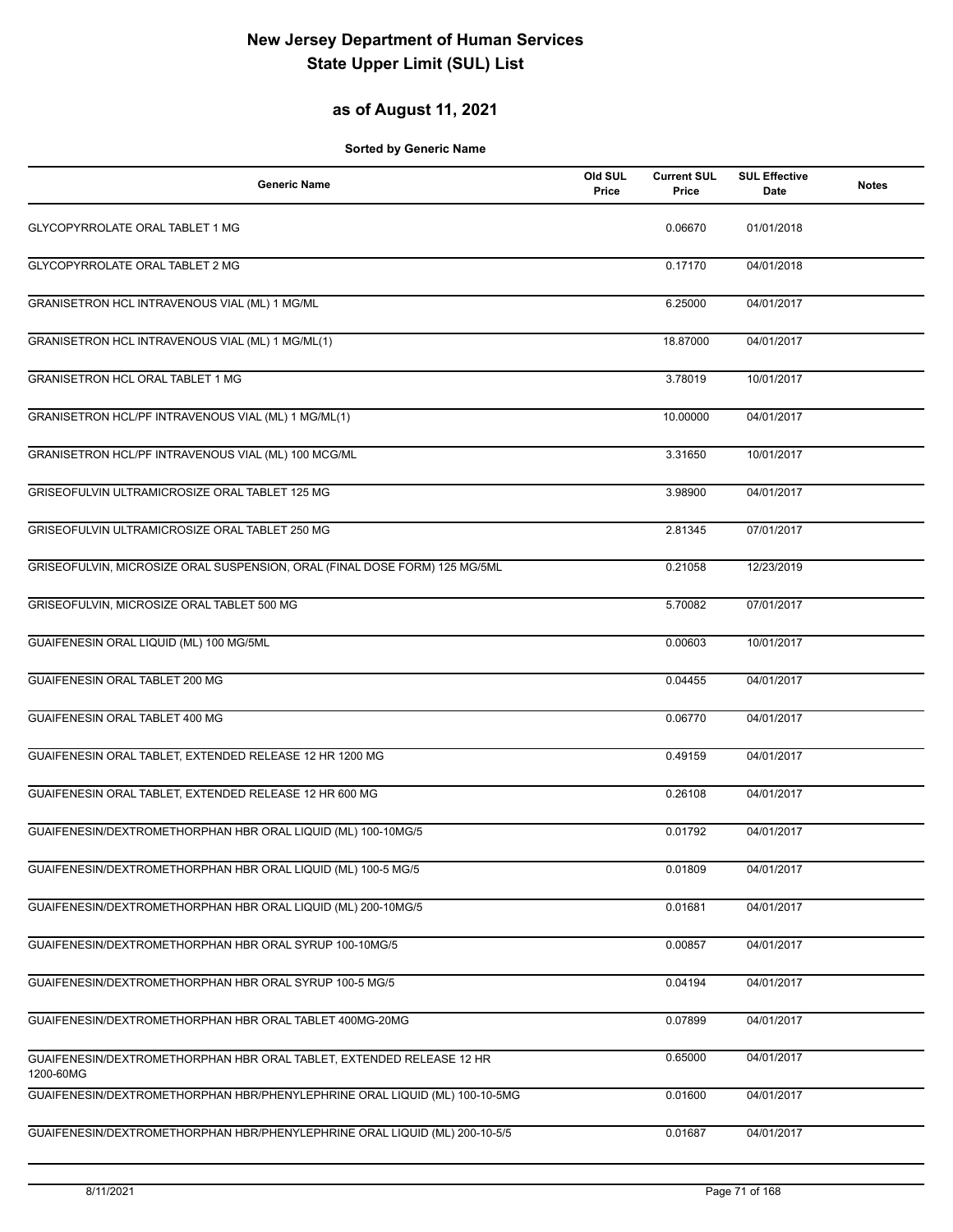### **as of August 11, 2021**

| <b>Generic Name</b>                                                               | Old SUL<br>Price | <b>Current SUL</b><br>Price | <b>SUL Effective</b><br><b>Date</b> | <b>Notes</b> |
|-----------------------------------------------------------------------------------|------------------|-----------------------------|-------------------------------------|--------------|
| GLYCOPYRROLATE ORAL TABLET 1 MG                                                   |                  | 0.06670                     | 01/01/2018                          |              |
| GLYCOPYRROLATE ORAL TABLET 2 MG                                                   |                  | 0.17170                     | 04/01/2018                          |              |
| GRANISETRON HCL INTRAVENOUS VIAL (ML) 1 MG/ML                                     |                  | 6.25000                     | 04/01/2017                          |              |
| GRANISETRON HCL INTRAVENOUS VIAL (ML) 1 MG/ML(1)                                  |                  | 18.87000                    | 04/01/2017                          |              |
| <b>GRANISETRON HCL ORAL TABLET 1 MG</b>                                           |                  | 3.78019                     | 10/01/2017                          |              |
| GRANISETRON HCL/PF INTRAVENOUS VIAL (ML) 1 MG/ML(1)                               |                  | 10.00000                    | 04/01/2017                          |              |
| GRANISETRON HCL/PF INTRAVENOUS VIAL (ML) 100 MCG/ML                               |                  | 3.31650                     | 10/01/2017                          |              |
| GRISEOFULVIN ULTRAMICROSIZE ORAL TABLET 125 MG                                    |                  | 3.98900                     | 04/01/2017                          |              |
| GRISEOFULVIN ULTRAMICROSIZE ORAL TABLET 250 MG                                    |                  | 2.81345                     | 07/01/2017                          |              |
| GRISEOFULVIN, MICROSIZE ORAL SUSPENSION, ORAL (FINAL DOSE FORM) 125 MG/5ML        |                  | 0.21058                     | 12/23/2019                          |              |
| GRISEOFULVIN, MICROSIZE ORAL TABLET 500 MG                                        |                  | 5.70082                     | 07/01/2017                          |              |
| GUAIFENESIN ORAL LIQUID (ML) 100 MG/5ML                                           |                  | 0.00603                     | 10/01/2017                          |              |
| GUAIFENESIN ORAL TABLET 200 MG                                                    |                  | 0.04455                     | 04/01/2017                          |              |
| GUAIFENESIN ORAL TABLET 400 MG                                                    |                  | 0.06770                     | 04/01/2017                          |              |
| GUAIFENESIN ORAL TABLET, EXTENDED RELEASE 12 HR 1200 MG                           |                  | 0.49159                     | 04/01/2017                          |              |
| GUAIFENESIN ORAL TABLET, EXTENDED RELEASE 12 HR 600 MG                            |                  | 0.26108                     | 04/01/2017                          |              |
| GUAIFENESIN/DEXTROMETHORPHAN HBR ORAL LIQUID (ML) 100-10MG/5                      |                  | 0.01792                     | 04/01/2017                          |              |
| GUAIFENESIN/DEXTROMETHORPHAN HBR ORAL LIQUID (ML) 100-5 MG/5                      |                  | 0.01809                     | 04/01/2017                          |              |
| GUAIFENESIN/DEXTROMETHORPHAN HBR ORAL LIQUID (ML) 200-10MG/5                      |                  | 0.01681                     | 04/01/2017                          |              |
| GUAIFENESIN/DEXTROMETHORPHAN HBR ORAL SYRUP 100-10MG/5                            |                  | 0.00857                     | 04/01/2017                          |              |
| GUAIFENESIN/DEXTROMETHORPHAN HBR ORAL SYRUP 100-5 MG/5                            |                  | 0.04194                     | 04/01/2017                          |              |
| GUAIFENESIN/DEXTROMETHORPHAN HBR ORAL TABLET 400MG-20MG                           |                  | 0.07899                     | 04/01/2017                          |              |
| GUAIFENESIN/DEXTROMETHORPHAN HBR ORAL TABLET, EXTENDED RELEASE 12 HR<br>1200-60MG |                  | 0.65000                     | 04/01/2017                          |              |
| GUAIFENESIN/DEXTROMETHORPHAN HBR/PHENYLEPHRINE ORAL LIQUID (ML) 100-10-5MG        |                  | 0.01600                     | 04/01/2017                          |              |
| GUAIFENESIN/DEXTROMETHORPHAN HBR/PHENYLEPHRINE ORAL LIQUID (ML) 200-10-5/5        |                  | 0.01687                     | 04/01/2017                          |              |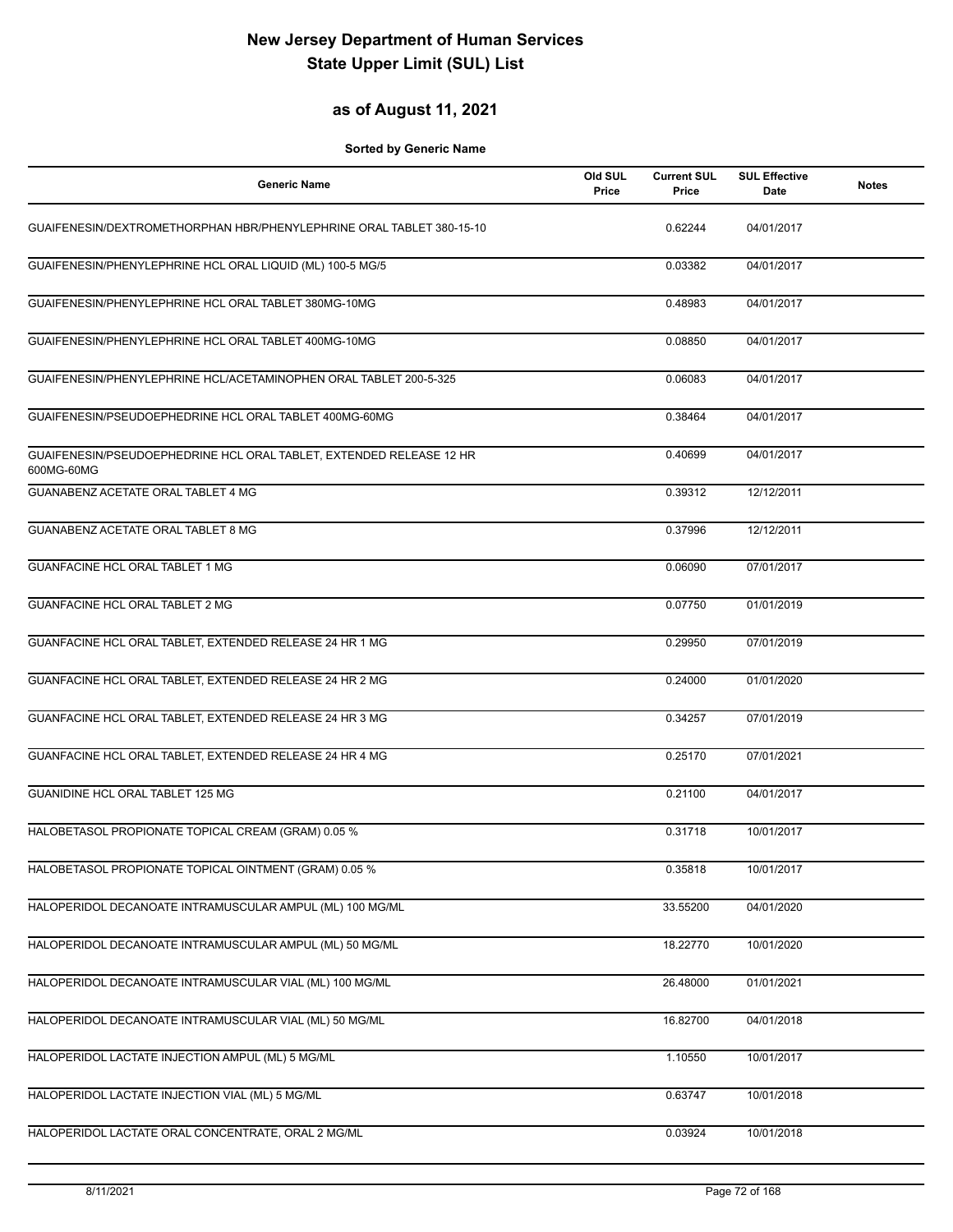#### **as of August 11, 2021**

| <b>Generic Name</b>                                                               | Old SUL<br>Price | <b>Current SUL</b><br>Price | <b>SUL Effective</b><br>Date | <b>Notes</b> |
|-----------------------------------------------------------------------------------|------------------|-----------------------------|------------------------------|--------------|
| GUAIFENESIN/DEXTROMETHORPHAN HBR/PHENYLEPHRINE ORAL TABLET 380-15-10              |                  | 0.62244                     | 04/01/2017                   |              |
| GUAIFENESIN/PHENYLEPHRINE HCL ORAL LIQUID (ML) 100-5 MG/5                         |                  | 0.03382                     | 04/01/2017                   |              |
| GUAIFENESIN/PHENYLEPHRINE HCL ORAL TABLET 380MG-10MG                              |                  | 0.48983                     | 04/01/2017                   |              |
| GUAIFENESIN/PHENYLEPHRINE HCL ORAL TABLET 400MG-10MG                              |                  | 0.08850                     | 04/01/2017                   |              |
| GUAIFENESIN/PHENYLEPHRINE HCL/ACETAMINOPHEN ORAL TABLET 200-5-325                 |                  | 0.06083                     | 04/01/2017                   |              |
| GUAIFENESIN/PSEUDOEPHEDRINE HCL ORAL TABLET 400MG-60MG                            |                  | 0.38464                     | 04/01/2017                   |              |
| GUAIFENESIN/PSEUDOEPHEDRINE HCL ORAL TABLET, EXTENDED RELEASE 12 HR<br>600MG-60MG |                  | 0.40699                     | 04/01/2017                   |              |
| GUANABENZ ACETATE ORAL TABLET 4 MG                                                |                  | 0.39312                     | 12/12/2011                   |              |
| GUANABENZ ACETATE ORAL TABLET 8 MG                                                |                  | 0.37996                     | 12/12/2011                   |              |
| <b>GUANFACINE HCL ORAL TABLET 1 MG</b>                                            |                  | 0.06090                     | 07/01/2017                   |              |
| <b>GUANFACINE HCL ORAL TABLET 2 MG</b>                                            |                  | 0.07750                     | 01/01/2019                   |              |
| GUANFACINE HCL ORAL TABLET, EXTENDED RELEASE 24 HR 1 MG                           |                  | 0.29950                     | 07/01/2019                   |              |
| GUANFACINE HCL ORAL TABLET, EXTENDED RELEASE 24 HR 2 MG                           |                  | 0.24000                     | 01/01/2020                   |              |
| GUANFACINE HCL ORAL TABLET, EXTENDED RELEASE 24 HR 3 MG                           |                  | 0.34257                     | 07/01/2019                   |              |
| GUANFACINE HCL ORAL TABLET, EXTENDED RELEASE 24 HR 4 MG                           |                  | 0.25170                     | 07/01/2021                   |              |
| GUANIDINE HCL ORAL TABLET 125 MG                                                  |                  | 0.21100                     | 04/01/2017                   |              |
| HALOBETASOL PROPIONATE TOPICAL CREAM (GRAM) 0.05 %                                |                  | 0.31718                     | 10/01/2017                   |              |
| HALOBETASOL PROPIONATE TOPICAL OINTMENT (GRAM) 0.05 %                             |                  | 0.35818                     | 10/01/2017                   |              |
| HALOPERIDOL DECANOATE INTRAMUSCULAR AMPUL (ML) 100 MG/ML                          |                  | 33.55200                    | 04/01/2020                   |              |
| HALOPERIDOL DECANOATE INTRAMUSCULAR AMPUL (ML) 50 MG/ML                           |                  | 18.22770                    | 10/01/2020                   |              |
| HALOPERIDOL DECANOATE INTRAMUSCULAR VIAL (ML) 100 MG/ML                           |                  | 26.48000                    | 01/01/2021                   |              |
| HALOPERIDOL DECANOATE INTRAMUSCULAR VIAL (ML) 50 MG/ML                            |                  | 16.82700                    | 04/01/2018                   |              |
| HALOPERIDOL LACTATE INJECTION AMPUL (ML) 5 MG/ML                                  |                  | 1.10550                     | 10/01/2017                   |              |
| HALOPERIDOL LACTATE INJECTION VIAL (ML) 5 MG/ML                                   |                  | 0.63747                     | 10/01/2018                   |              |
| HALOPERIDOL LACTATE ORAL CONCENTRATE, ORAL 2 MG/ML                                |                  | 0.03924                     | 10/01/2018                   |              |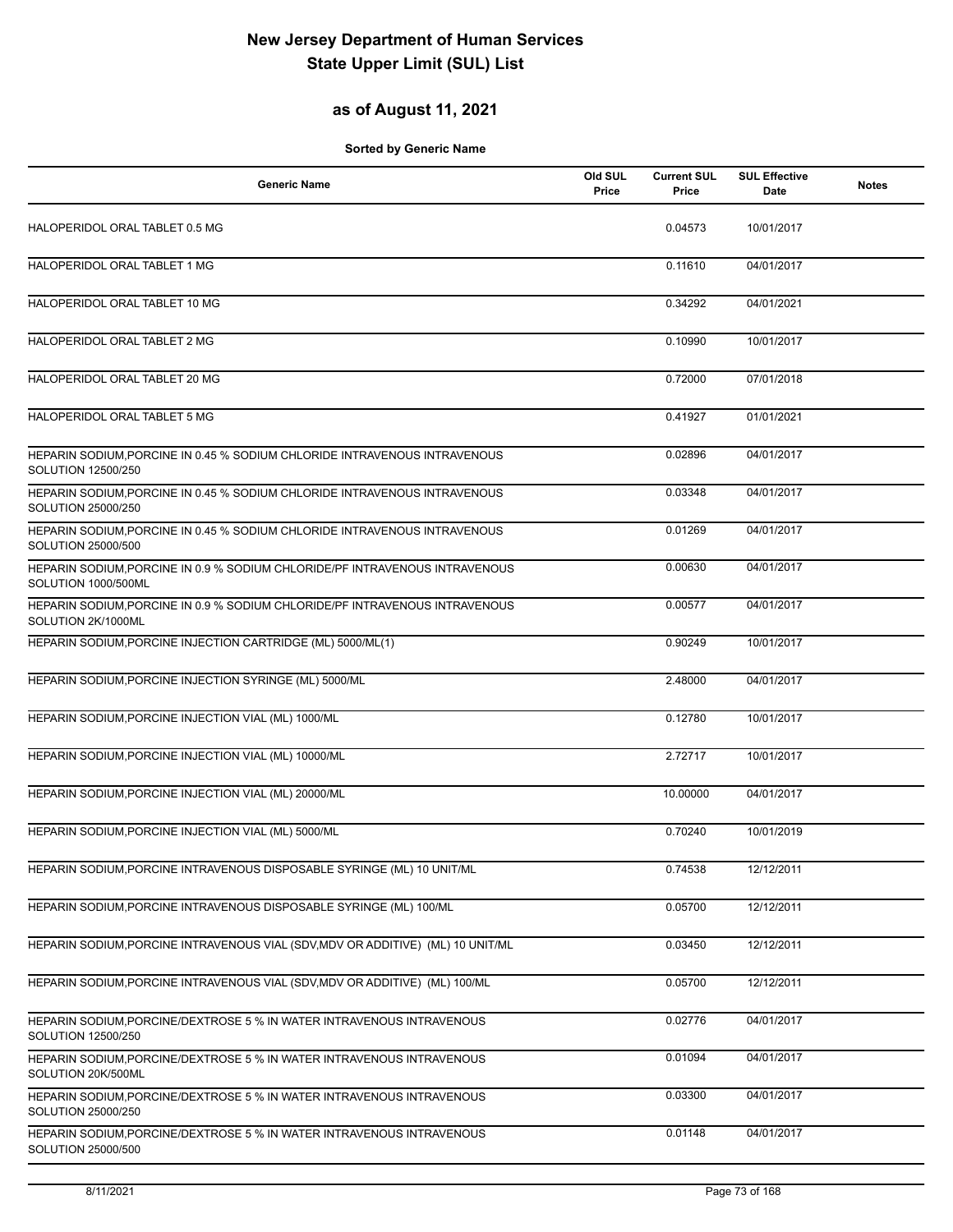#### **as of August 11, 2021**

| <b>Generic Name</b>                                                                                | Old SUL<br>Price | <b>Current SUL</b><br>Price | <b>SUL Effective</b><br>Date | <b>Notes</b> |
|----------------------------------------------------------------------------------------------------|------------------|-----------------------------|------------------------------|--------------|
| HALOPERIDOL ORAL TABLET 0.5 MG                                                                     |                  | 0.04573                     | 10/01/2017                   |              |
| HALOPERIDOL ORAL TABLET 1 MG                                                                       |                  | 0.11610                     | 04/01/2017                   |              |
| HALOPERIDOL ORAL TABLET 10 MG                                                                      |                  | 0.34292                     | 04/01/2021                   |              |
| HALOPERIDOL ORAL TABLET 2 MG                                                                       |                  | 0.10990                     | 10/01/2017                   |              |
| HALOPERIDOL ORAL TABLET 20 MG                                                                      |                  | 0.72000                     | 07/01/2018                   |              |
| HALOPERIDOL ORAL TABLET 5 MG                                                                       |                  | 0.41927                     | 01/01/2021                   |              |
| HEPARIN SODIUM, PORCINE IN 0.45 % SODIUM CHLORIDE INTRAVENOUS INTRAVENOUS<br>SOLUTION 12500/250    |                  | 0.02896                     | 04/01/2017                   |              |
| HEPARIN SODIUM, PORCINE IN 0.45 % SODIUM CHLORIDE INTRAVENOUS INTRAVENOUS<br>SOLUTION 25000/250    |                  | 0.03348                     | 04/01/2017                   |              |
| HEPARIN SODIUM PORCINE IN 0.45 % SODIUM CHLORIDE INTRAVENOUS INTRAVENOUS<br>SOLUTION 25000/500     |                  | 0.01269                     | 04/01/2017                   |              |
| HEPARIN SODIUM, PORCINE IN 0.9 % SODIUM CHLORIDE/PF INTRAVENOUS INTRAVENOUS<br>SOLUTION 1000/500ML |                  | 0.00630                     | 04/01/2017                   |              |
| HEPARIN SODIUM, PORCINE IN 0.9 % SODIUM CHLORIDE/PF INTRAVENOUS INTRAVENOUS<br>SOLUTION 2K/1000ML  |                  | 0.00577                     | 04/01/2017                   |              |
| HEPARIN SODIUM, PORCINE INJECTION CARTRIDGE (ML) 5000/ML(1)                                        |                  | 0.90249                     | 10/01/2017                   |              |
| HEPARIN SODIUM, PORCINE INJECTION SYRINGE (ML) 5000/ML                                             |                  | 2.48000                     | 04/01/2017                   |              |
| HEPARIN SODIUM, PORCINE INJECTION VIAL (ML) 1000/ML                                                |                  | 0.12780                     | 10/01/2017                   |              |
| HEPARIN SODIUM, PORCINE INJECTION VIAL (ML) 10000/ML                                               |                  | 2.72717                     | 10/01/2017                   |              |
| HEPARIN SODIUM, PORCINE INJECTION VIAL (ML) 20000/ML                                               |                  | 10.00000                    | 04/01/2017                   |              |
| HEPARIN SODIUM, PORCINE INJECTION VIAL (ML) 5000/ML                                                |                  | 0.70240                     | 10/01/2019                   |              |
| HEPARIN SODIUM, PORCINE INTRAVENOUS DISPOSABLE SYRINGE (ML) 10 UNIT/ML                             |                  | 0.74538                     | 12/12/2011                   |              |
| HEPARIN SODIUM, PORCINE INTRAVENOUS DISPOSABLE SYRINGE (ML) 100/ML                                 |                  | 0.05700                     | 12/12/2011                   |              |
| HEPARIN SODIUM, PORCINE INTRAVENOUS VIAL (SDV, MDV OR ADDITIVE) (ML) 10 UNIT/ML                    |                  | 0.03450                     | 12/12/2011                   |              |
| HEPARIN SODIUM, PORCINE INTRAVENOUS VIAL (SDV, MDV OR ADDITIVE) (ML) 100/ML                        |                  | 0.05700                     | 12/12/2011                   |              |
| HEPARIN SODIUM, PORCINE/DEXTROSE 5 % IN WATER INTRAVENOUS INTRAVENOUS<br>SOLUTION 12500/250        |                  | 0.02776                     | 04/01/2017                   |              |
| HEPARIN SODIUM, PORCINE/DEXTROSE 5 % IN WATER INTRAVENOUS INTRAVENOUS<br>SOLUTION 20K/500ML        |                  | 0.01094                     | 04/01/2017                   |              |
| HEPARIN SODIUM, PORCINE/DEXTROSE 5 % IN WATER INTRAVENOUS INTRAVENOUS<br>SOLUTION 25000/250        |                  | 0.03300                     | 04/01/2017                   |              |
| HEPARIN SODIUM, PORCINE/DEXTROSE 5 % IN WATER INTRAVENOUS INTRAVENOUS<br>SOLUTION 25000/500        |                  | 0.01148                     | 04/01/2017                   |              |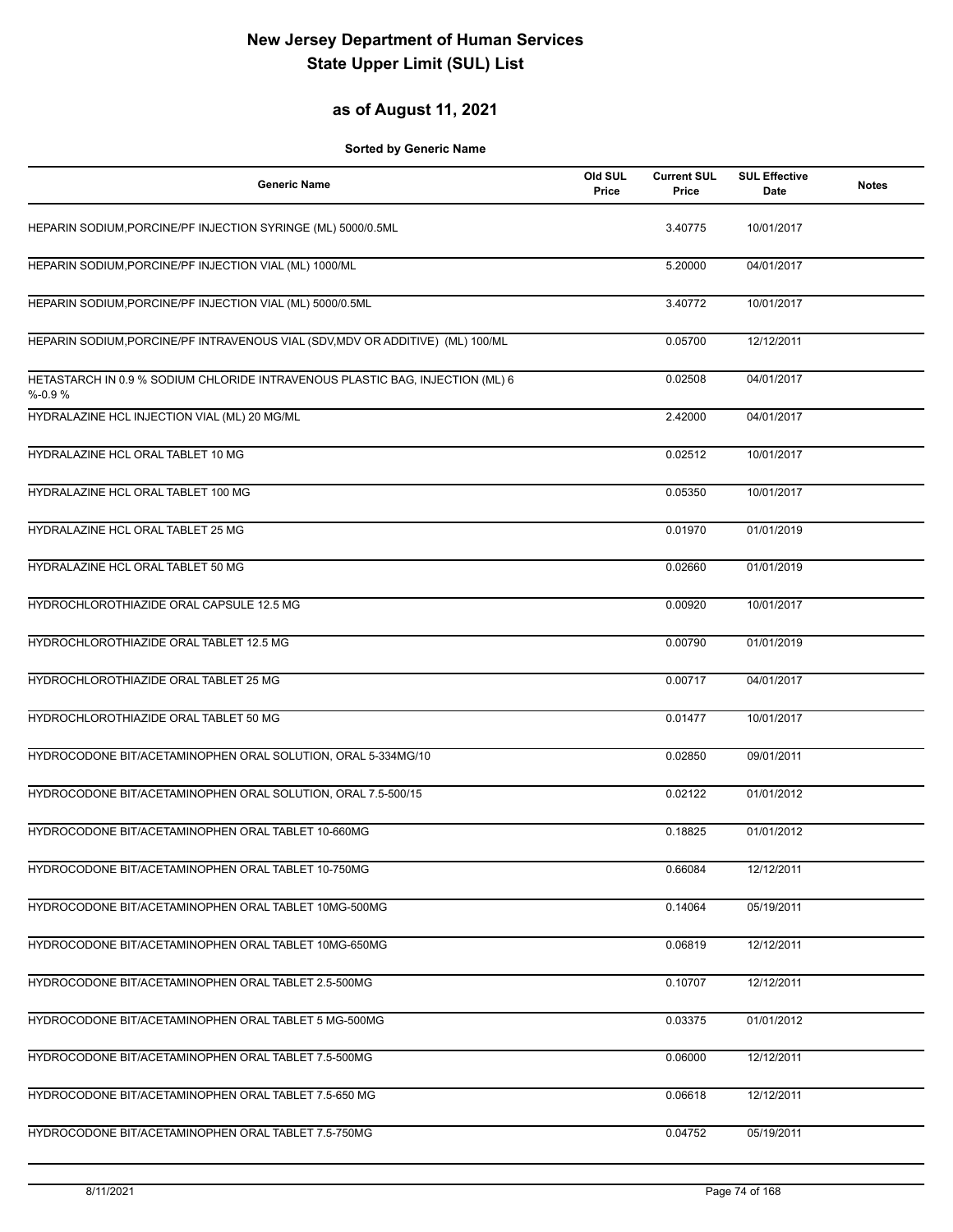### **as of August 11, 2021**

| <b>Generic Name</b>                                                                        | Old SUL<br>Price | <b>Current SUL</b><br>Price | <b>SUL Effective</b><br>Date | <b>Notes</b> |
|--------------------------------------------------------------------------------------------|------------------|-----------------------------|------------------------------|--------------|
| HEPARIN SODIUM, PORCINE/PF INJECTION SYRINGE (ML) 5000/0.5ML                               |                  | 3.40775                     | 10/01/2017                   |              |
| HEPARIN SODIUM, PORCINE/PF INJECTION VIAL (ML) 1000/ML                                     |                  | 5.20000                     | 04/01/2017                   |              |
| HEPARIN SODIUM, PORCINE/PF INJECTION VIAL (ML) 5000/0.5ML                                  |                  | 3.40772                     | 10/01/2017                   |              |
| HEPARIN SODIUM, PORCINE/PF INTRAVENOUS VIAL (SDV, MDV OR ADDITIVE) (ML) 100/ML             |                  | 0.05700                     | 12/12/2011                   |              |
| HETASTARCH IN 0.9 % SODIUM CHLORIDE INTRAVENOUS PLASTIC BAG, INJECTION (ML) 6<br>$% -0.9%$ |                  | 0.02508                     | 04/01/2017                   |              |
| HYDRALAZINE HCL INJECTION VIAL (ML) 20 MG/ML                                               |                  | 2.42000                     | 04/01/2017                   |              |
| HYDRALAZINE HCL ORAL TABLET 10 MG                                                          |                  | 0.02512                     | 10/01/2017                   |              |
| HYDRALAZINE HCL ORAL TABLET 100 MG                                                         |                  | 0.05350                     | 10/01/2017                   |              |
| HYDRALAZINE HCL ORAL TABLET 25 MG                                                          |                  | 0.01970                     | 01/01/2019                   |              |
| HYDRALAZINE HCL ORAL TABLET 50 MG                                                          |                  | 0.02660                     | 01/01/2019                   |              |
| HYDROCHLOROTHIAZIDE ORAL CAPSULE 12.5 MG                                                   |                  | 0.00920                     | 10/01/2017                   |              |
| HYDROCHLOROTHIAZIDE ORAL TABLET 12.5 MG                                                    |                  | 0.00790                     | 01/01/2019                   |              |
| HYDROCHLOROTHIAZIDE ORAL TABLET 25 MG                                                      |                  | 0.00717                     | 04/01/2017                   |              |
| HYDROCHLOROTHIAZIDE ORAL TABLET 50 MG                                                      |                  | 0.01477                     | 10/01/2017                   |              |
| HYDROCODONE BIT/ACETAMINOPHEN ORAL SOLUTION, ORAL 5-334MG/10                               |                  | 0.02850                     | 09/01/2011                   |              |
| HYDROCODONE BIT/ACETAMINOPHEN ORAL SOLUTION, ORAL 7.5-500/15                               |                  | 0.02122                     | 01/01/2012                   |              |
| HYDROCODONE BIT/ACETAMINOPHEN ORAL TABLET 10-660MG                                         |                  | 0.18825                     | 01/01/2012                   |              |
| HYDROCODONE BIT/ACETAMINOPHEN ORAL TABLET 10-750MG                                         |                  | 0.66084                     | 12/12/2011                   |              |
| HYDROCODONE BIT/ACETAMINOPHEN ORAL TABLET 10MG-500MG                                       |                  | 0.14064                     | 05/19/2011                   |              |
| HYDROCODONE BIT/ACETAMINOPHEN ORAL TABLET 10MG-650MG                                       |                  | 0.06819                     | 12/12/2011                   |              |
| HYDROCODONE BIT/ACETAMINOPHEN ORAL TABLET 2.5-500MG                                        |                  | 0.10707                     | 12/12/2011                   |              |
| HYDROCODONE BIT/ACETAMINOPHEN ORAL TABLET 5 MG-500MG                                       |                  | 0.03375                     | 01/01/2012                   |              |
| HYDROCODONE BIT/ACETAMINOPHEN ORAL TABLET 7.5-500MG                                        |                  | 0.06000                     | 12/12/2011                   |              |
| HYDROCODONE BIT/ACETAMINOPHEN ORAL TABLET 7.5-650 MG                                       |                  | 0.06618                     | 12/12/2011                   |              |
| HYDROCODONE BIT/ACETAMINOPHEN ORAL TABLET 7.5-750MG                                        |                  | 0.04752                     | 05/19/2011                   |              |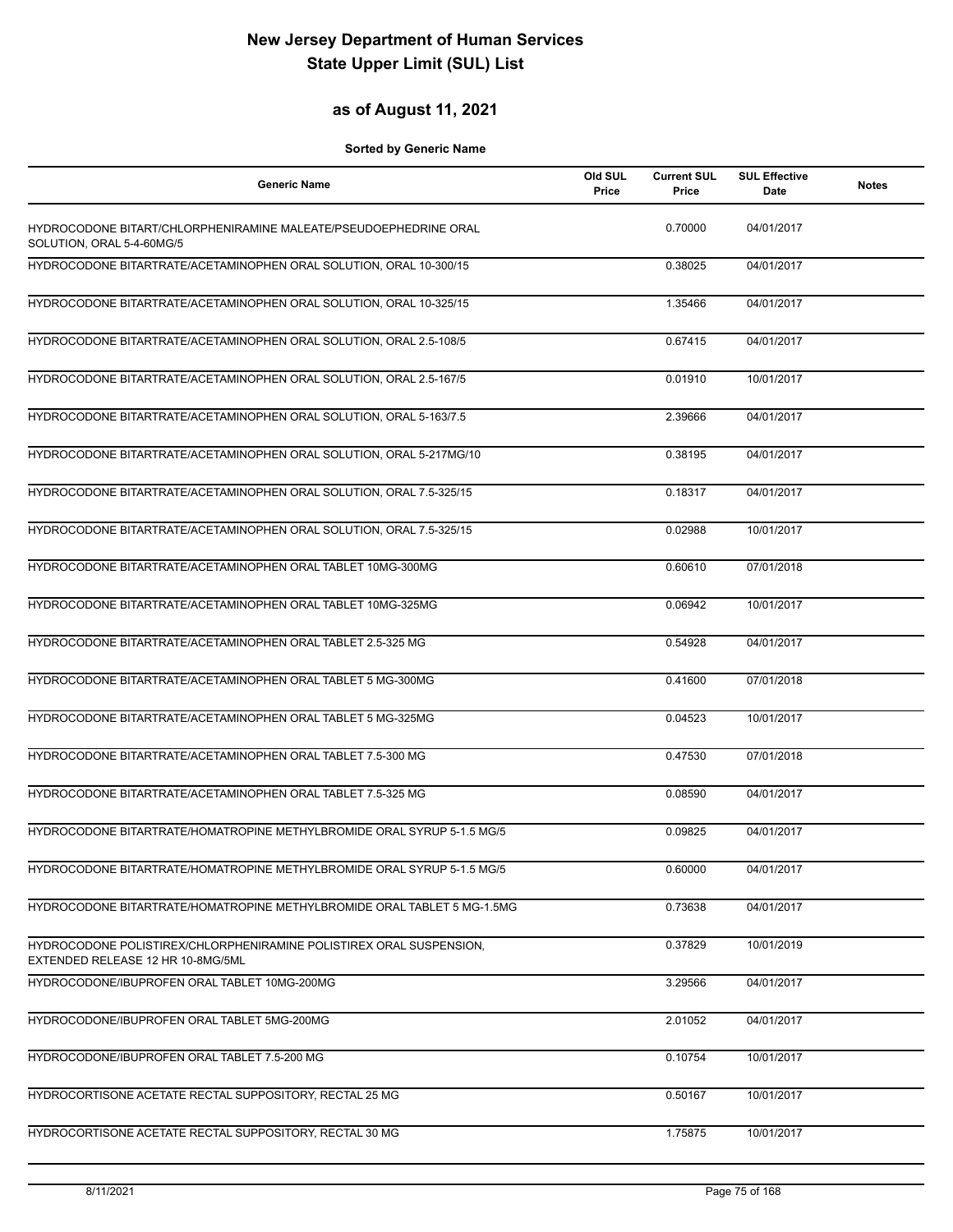### **as of August 11, 2021**

| <b>Generic Name</b>                                                                                      | Old SUL<br>Price | <b>Current SUL</b><br>Price | <b>SUL Effective</b><br>Date | <b>Notes</b> |
|----------------------------------------------------------------------------------------------------------|------------------|-----------------------------|------------------------------|--------------|
| HYDROCODONE BITART/CHLORPHENIRAMINE MALEATE/PSEUDOEPHEDRINE ORAL<br>SOLUTION, ORAL 5-4-60MG/5            |                  | 0.70000                     | 04/01/2017                   |              |
| HYDROCODONE BITARTRATE/ACETAMINOPHEN ORAL SOLUTION, ORAL 10-300/15                                       |                  | 0.38025                     | 04/01/2017                   |              |
| HYDROCODONE BITARTRATE/ACETAMINOPHEN ORAL SOLUTION, ORAL 10-325/15                                       |                  | 1.35466                     | 04/01/2017                   |              |
| HYDROCODONE BITARTRATE/ACETAMINOPHEN ORAL SOLUTION, ORAL 2.5-108/5                                       |                  | 0.67415                     | 04/01/2017                   |              |
| HYDROCODONE BITARTRATE/ACETAMINOPHEN ORAL SOLUTION, ORAL 2.5-167/5                                       |                  | 0.01910                     | 10/01/2017                   |              |
| HYDROCODONE BITARTRATE/ACETAMINOPHEN ORAL SOLUTION, ORAL 5-163/7.5                                       |                  | 2.39666                     | 04/01/2017                   |              |
| HYDROCODONE BITARTRATE/ACETAMINOPHEN ORAL SOLUTION, ORAL 5-217MG/10                                      |                  | 0.38195                     | 04/01/2017                   |              |
| HYDROCODONE BITARTRATE/ACETAMINOPHEN ORAL SOLUTION, ORAL 7.5-325/15                                      |                  | 0.18317                     | 04/01/2017                   |              |
| HYDROCODONE BITARTRATE/ACETAMINOPHEN ORAL SOLUTION, ORAL 7.5-325/15                                      |                  | 0.02988                     | 10/01/2017                   |              |
| HYDROCODONE BITARTRATE/ACETAMINOPHEN ORAL TABLET 10MG-300MG                                              |                  | 0.60610                     | 07/01/2018                   |              |
| HYDROCODONE BITARTRATE/ACETAMINOPHEN ORAL TABLET 10MG-325MG                                              |                  | 0.06942                     | 10/01/2017                   |              |
| HYDROCODONE BITARTRATE/ACETAMINOPHEN ORAL TABLET 2.5-325 MG                                              |                  | 0.54928                     | 04/01/2017                   |              |
| HYDROCODONE BITARTRATE/ACETAMINOPHEN ORAL TABLET 5 MG-300MG                                              |                  | 0.41600                     | 07/01/2018                   |              |
| HYDROCODONE BITARTRATE/ACETAMINOPHEN ORAL TABLET 5 MG-325MG                                              |                  | 0.04523                     | 10/01/2017                   |              |
| HYDROCODONE BITARTRATE/ACETAMINOPHEN ORAL TABLET 7.5-300 MG                                              |                  | 0.47530                     | 07/01/2018                   |              |
| HYDROCODONE BITARTRATE/ACETAMINOPHEN ORAL TABLET 7.5-325 MG                                              |                  | 0.08590                     | 04/01/2017                   |              |
| HYDROCODONE BITARTRATE/HOMATROPINE METHYLBROMIDE ORAL SYRUP 5-1.5 MG/5                                   |                  | 0.09825                     | 04/01/2017                   |              |
| HYDROCODONE BITARTRATE/HOMATROPINE METHYLBROMIDE ORAL SYRUP 5-1.5 MG/5                                   |                  | 0.60000                     | 04/01/2017                   |              |
| HYDROCODONE BITARTRATE/HOMATROPINE METHYLBROMIDE ORAL TABLET 5 MG-1.5MG                                  |                  | 0.73638                     | 04/01/2017                   |              |
| HYDROCODONE POLISTIREX/CHLORPHENIRAMINE POLISTIREX ORAL SUSPENSION,<br>EXTENDED RELEASE 12 HR 10-8MG/5ML |                  | 0.37829                     | 10/01/2019                   |              |
| HYDROCODONE/IBUPROFEN ORAL TABLET 10MG-200MG                                                             |                  | 3.29566                     | 04/01/2017                   |              |
| HYDROCODONE/IBUPROFEN ORAL TABLET 5MG-200MG                                                              |                  | 2.01052                     | 04/01/2017                   |              |
| HYDROCODONE/IBUPROFEN ORAL TABLET 7.5-200 MG                                                             |                  | 0.10754                     | 10/01/2017                   |              |
| HYDROCORTISONE ACETATE RECTAL SUPPOSITORY, RECTAL 25 MG                                                  |                  | 0.50167                     | 10/01/2017                   |              |
| HYDROCORTISONE ACETATE RECTAL SUPPOSITORY, RECTAL 30 MG                                                  |                  | 1.75875                     | 10/01/2017                   |              |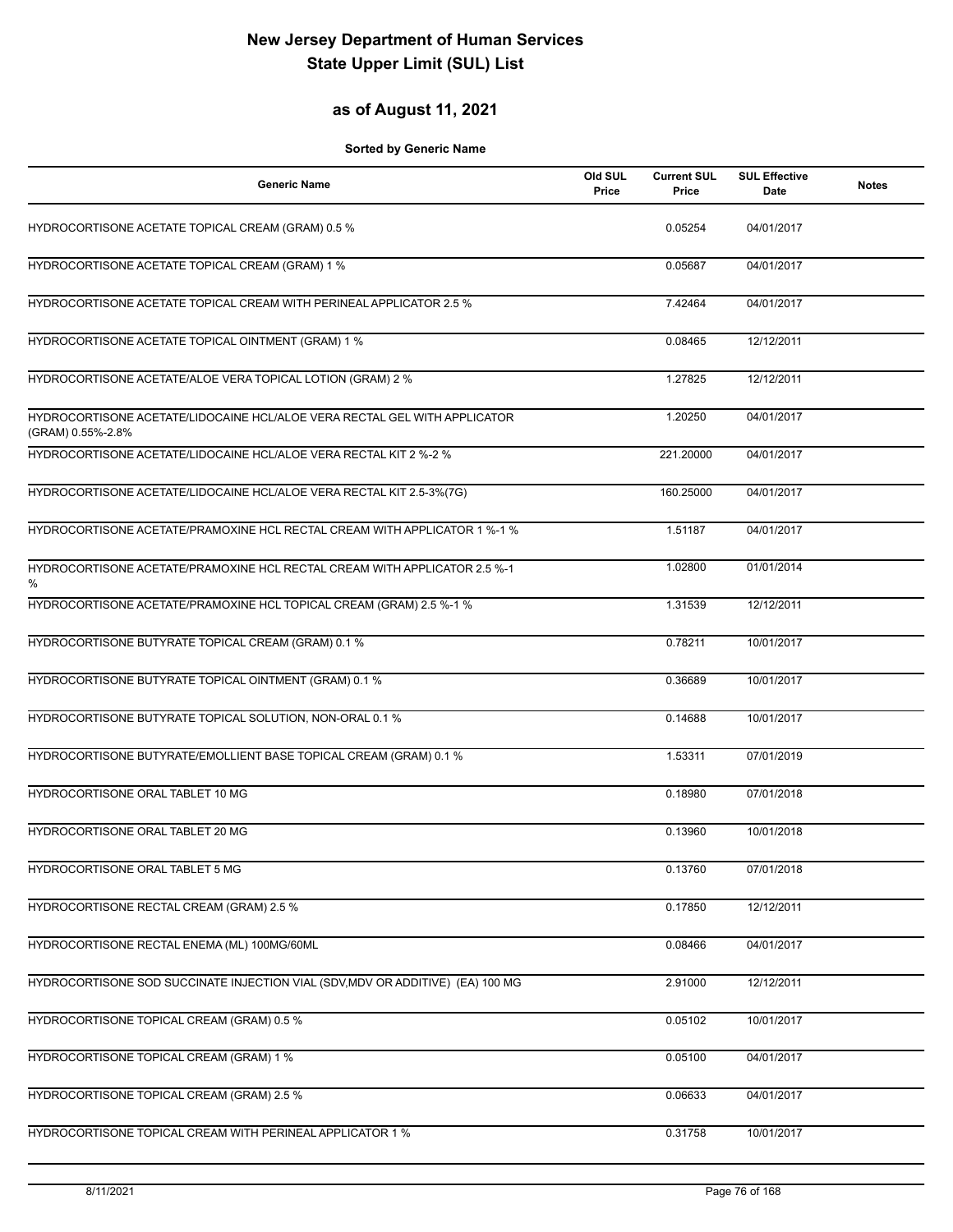#### **as of August 11, 2021**

| <b>Generic Name</b>                                                                            | Old SUL<br>Price | <b>Current SUL</b><br>Price | <b>SUL Effective</b><br><b>Date</b> | <b>Notes</b> |
|------------------------------------------------------------------------------------------------|------------------|-----------------------------|-------------------------------------|--------------|
| HYDROCORTISONE ACETATE TOPICAL CREAM (GRAM) 0.5 %                                              |                  | 0.05254                     | 04/01/2017                          |              |
| HYDROCORTISONE ACETATE TOPICAL CREAM (GRAM) 1 %                                                |                  | 0.05687                     | 04/01/2017                          |              |
| HYDROCORTISONE ACETATE TOPICAL CREAM WITH PERINEAL APPLICATOR 2.5 %                            |                  | 7.42464                     | 04/01/2017                          |              |
| HYDROCORTISONE ACETATE TOPICAL OINTMENT (GRAM) 1 %                                             |                  | 0.08465                     | 12/12/2011                          |              |
| HYDROCORTISONE ACETATE/ALOE VERA TOPICAL LOTION (GRAM) 2 %                                     |                  | 1.27825                     | 12/12/2011                          |              |
| HYDROCORTISONE ACETATE/LIDOCAINE HCL/ALOE VERA RECTAL GEL WITH APPLICATOR<br>(GRAM) 0.55%-2.8% |                  | 1.20250                     | 04/01/2017                          |              |
| HYDROCORTISONE ACETATE/LIDOCAINE HCL/ALOE VERA RECTAL KIT 2 %-2 %                              |                  | 221.20000                   | 04/01/2017                          |              |
| HYDROCORTISONE ACETATE/LIDOCAINE HCL/ALOE VERA RECTAL KIT 2.5-3%(7G)                           |                  | 160.25000                   | 04/01/2017                          |              |
| HYDROCORTISONE ACETATE/PRAMOXINE HCL RECTAL CREAM WITH APPLICATOR 1 %-1 %                      |                  | 1.51187                     | 04/01/2017                          |              |
| HYDROCORTISONE ACETATE/PRAMOXINE HCL RECTAL CREAM WITH APPLICATOR 2.5 %-1<br>%                 |                  | 1.02800                     | 01/01/2014                          |              |
| HYDROCORTISONE ACETATE/PRAMOXINE HCL TOPICAL CREAM (GRAM) 2.5 %-1 %                            |                  | 1.31539                     | 12/12/2011                          |              |
| HYDROCORTISONE BUTYRATE TOPICAL CREAM (GRAM) 0.1 %                                             |                  | 0.78211                     | 10/01/2017                          |              |
| HYDROCORTISONE BUTYRATE TOPICAL OINTMENT (GRAM) 0.1 %                                          |                  | 0.36689                     | 10/01/2017                          |              |
| HYDROCORTISONE BUTYRATE TOPICAL SOLUTION, NON-ORAL 0.1 %                                       |                  | 0.14688                     | 10/01/2017                          |              |
| HYDROCORTISONE BUTYRATE/EMOLLIENT BASE TOPICAL CREAM (GRAM) 0.1 %                              |                  | 1.53311                     | 07/01/2019                          |              |
| HYDROCORTISONE ORAL TABLET 10 MG                                                               |                  | 0.18980                     | 07/01/2018                          |              |
| HYDROCORTISONE ORAL TABLET 20 MG                                                               |                  | 0.13960                     | 10/01/2018                          |              |
| HYDROCORTISONE ORAL TABLET 5 MG                                                                |                  | 0.13760                     | 07/01/2018                          |              |
| HYDROCORTISONE RECTAL CREAM (GRAM) 2.5 %                                                       |                  | 0.17850                     | 12/12/2011                          |              |
| HYDROCORTISONE RECTAL ENEMA (ML) 100MG/60ML                                                    |                  | 0.08466                     | 04/01/2017                          |              |
| HYDROCORTISONE SOD SUCCINATE INJECTION VIAL (SDV, MDV OR ADDITIVE) (EA) 100 MG                 |                  | 2.91000                     | 12/12/2011                          |              |
| HYDROCORTISONE TOPICAL CREAM (GRAM) 0.5 %                                                      |                  | 0.05102                     | 10/01/2017                          |              |
| HYDROCORTISONE TOPICAL CREAM (GRAM) 1 %                                                        |                  | 0.05100                     | 04/01/2017                          |              |
| HYDROCORTISONE TOPICAL CREAM (GRAM) 2.5 %                                                      |                  | 0.06633                     | 04/01/2017                          |              |
| HYDROCORTISONE TOPICAL CREAM WITH PERINEAL APPLICATOR 1 %                                      |                  | 0.31758                     | 10/01/2017                          |              |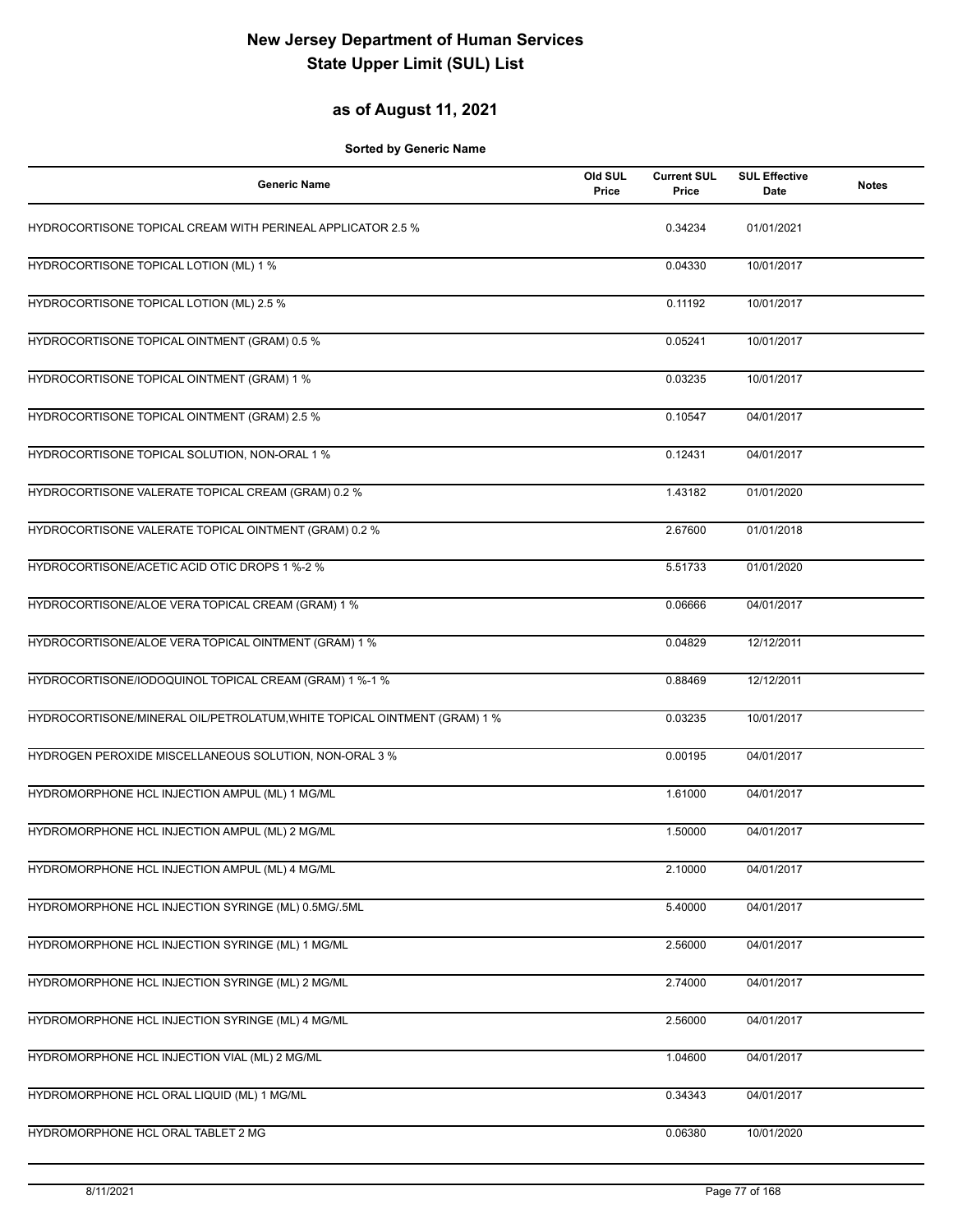### **as of August 11, 2021**

| <b>Generic Name</b>                                                      | Old SUL<br>Price | <b>Current SUL</b><br>Price | <b>SUL Effective</b><br>Date | <b>Notes</b> |
|--------------------------------------------------------------------------|------------------|-----------------------------|------------------------------|--------------|
| HYDROCORTISONE TOPICAL CREAM WITH PERINEAL APPLICATOR 2.5 %              |                  | 0.34234                     | 01/01/2021                   |              |
| HYDROCORTISONE TOPICAL LOTION (ML) 1 %                                   |                  | 0.04330                     | 10/01/2017                   |              |
| HYDROCORTISONE TOPICAL LOTION (ML) 2.5 %                                 |                  | 0.11192                     | 10/01/2017                   |              |
| HYDROCORTISONE TOPICAL OINTMENT (GRAM) 0.5 %                             |                  | 0.05241                     | 10/01/2017                   |              |
| HYDROCORTISONE TOPICAL OINTMENT (GRAM) 1 %                               |                  | 0.03235                     | 10/01/2017                   |              |
| HYDROCORTISONE TOPICAL OINTMENT (GRAM) 2.5 %                             |                  | 0.10547                     | 04/01/2017                   |              |
| HYDROCORTISONE TOPICAL SOLUTION, NON-ORAL 1 %                            |                  | 0.12431                     | 04/01/2017                   |              |
| HYDROCORTISONE VALERATE TOPICAL CREAM (GRAM) 0.2 %                       |                  | 1.43182                     | 01/01/2020                   |              |
| HYDROCORTISONE VALERATE TOPICAL OINTMENT (GRAM) 0.2 %                    |                  | 2.67600                     | 01/01/2018                   |              |
| HYDROCORTISONE/ACETIC ACID OTIC DROPS 1 %-2 %                            |                  | 5.51733                     | 01/01/2020                   |              |
| HYDROCORTISONE/ALOE VERA TOPICAL CREAM (GRAM) 1 %                        |                  | 0.06666                     | 04/01/2017                   |              |
| HYDROCORTISONE/ALOE VERA TOPICAL OINTMENT (GRAM) 1 %                     |                  | 0.04829                     | 12/12/2011                   |              |
| HYDROCORTISONE/IODOQUINOL TOPICAL CREAM (GRAM) 1 %-1 %                   |                  | 0.88469                     | 12/12/2011                   |              |
| HYDROCORTISONE/MINERAL OIL/PETROLATUM, WHITE TOPICAL OINTMENT (GRAM) 1 % |                  | 0.03235                     | 10/01/2017                   |              |
| HYDROGEN PEROXIDE MISCELLANEOUS SOLUTION, NON-ORAL 3 %                   |                  | 0.00195                     | 04/01/2017                   |              |
| HYDROMORPHONE HCL INJECTION AMPUL (ML) 1 MG/ML                           |                  | 1.61000                     | 04/01/2017                   |              |
| HYDROMORPHONE HCL INJECTION AMPUL (ML) 2 MG/ML                           |                  | 1.50000                     | 04/01/2017                   |              |
| HYDROMORPHONE HCL INJECTION AMPUL (ML) 4 MG/ML                           |                  | 2.10000                     | 04/01/2017                   |              |
| HYDROMORPHONE HCL INJECTION SYRINGE (ML) 0.5MG/.5ML                      |                  | 5.40000                     | 04/01/2017                   |              |
| HYDROMORPHONE HCL INJECTION SYRINGE (ML) 1 MG/ML                         |                  | 2.56000                     | 04/01/2017                   |              |
| HYDROMORPHONE HCL INJECTION SYRINGE (ML) 2 MG/ML                         |                  | 2.74000                     | 04/01/2017                   |              |
| HYDROMORPHONE HCL INJECTION SYRINGE (ML) 4 MG/ML                         |                  | 2.56000                     | 04/01/2017                   |              |
| HYDROMORPHONE HCL INJECTION VIAL (ML) 2 MG/ML                            |                  | 1.04600                     | 04/01/2017                   |              |
| HYDROMORPHONE HCL ORAL LIQUID (ML) 1 MG/ML                               |                  | 0.34343                     | 04/01/2017                   |              |
| HYDROMORPHONE HCL ORAL TABLET 2 MG                                       |                  | 0.06380                     | 10/01/2020                   |              |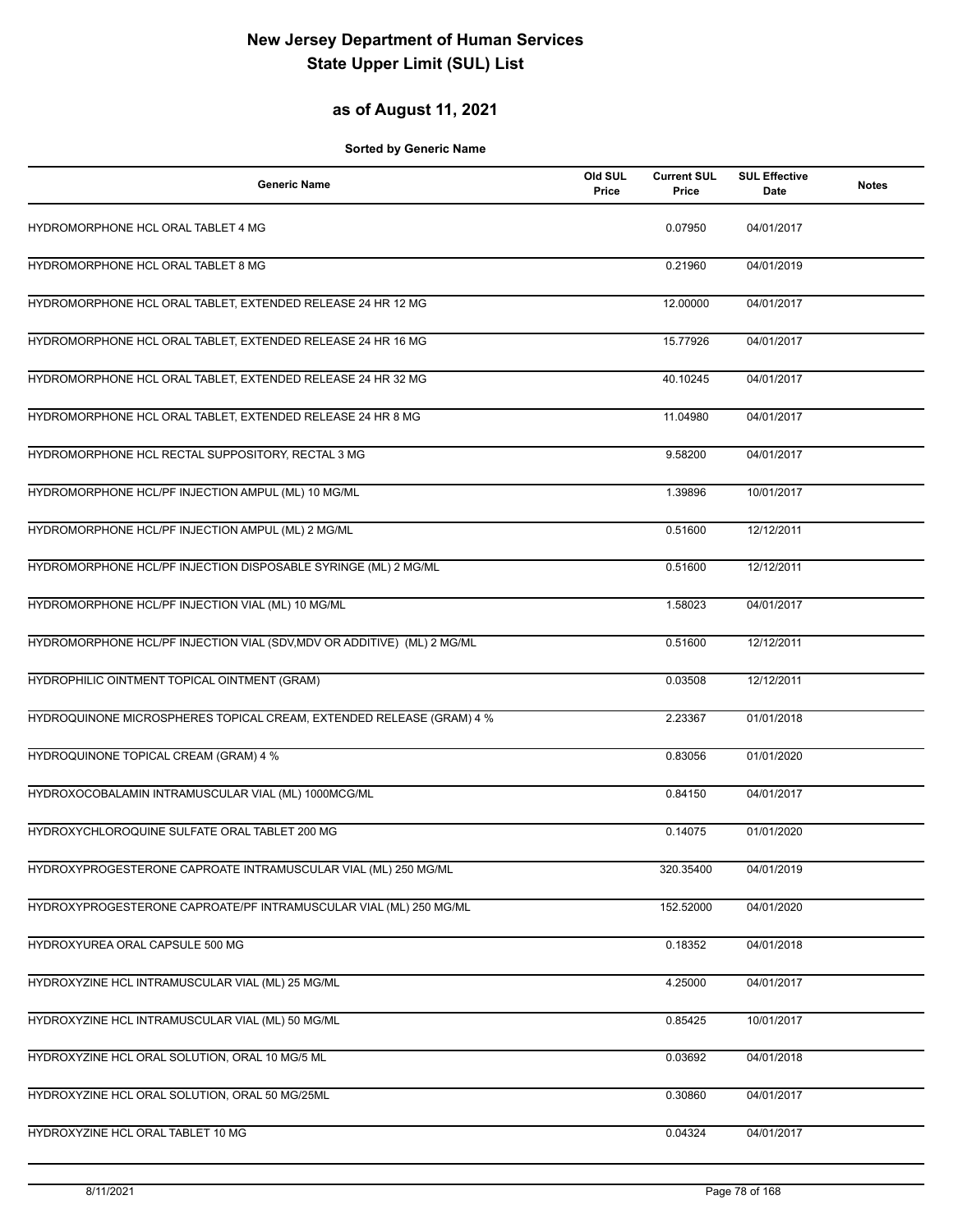### **as of August 11, 2021**

| <b>Generic Name</b>                                                     | Old SUL<br>Price | <b>Current SUL</b><br>Price | <b>SUL Effective</b><br>Date | <b>Notes</b> |
|-------------------------------------------------------------------------|------------------|-----------------------------|------------------------------|--------------|
| HYDROMORPHONE HCL ORAL TABLET 4 MG                                      |                  | 0.07950                     | 04/01/2017                   |              |
| HYDROMORPHONE HCL ORAL TABLET 8 MG                                      |                  | 0.21960                     | 04/01/2019                   |              |
| HYDROMORPHONE HCL ORAL TABLET, EXTENDED RELEASE 24 HR 12 MG             |                  | 12.00000                    | 04/01/2017                   |              |
| HYDROMORPHONE HCL ORAL TABLET, EXTENDED RELEASE 24 HR 16 MG             |                  | 15.77926                    | 04/01/2017                   |              |
| HYDROMORPHONE HCL ORAL TABLET, EXTENDED RELEASE 24 HR 32 MG             |                  | 40.10245                    | 04/01/2017                   |              |
| HYDROMORPHONE HCL ORAL TABLET, EXTENDED RELEASE 24 HR 8 MG              |                  | 11.04980                    | 04/01/2017                   |              |
| HYDROMORPHONE HCL RECTAL SUPPOSITORY, RECTAL 3 MG                       |                  | 9.58200                     | 04/01/2017                   |              |
| HYDROMORPHONE HCL/PF INJECTION AMPUL (ML) 10 MG/ML                      |                  | 1.39896                     | 10/01/2017                   |              |
| HYDROMORPHONE HCL/PF INJECTION AMPUL (ML) 2 MG/ML                       |                  | 0.51600                     | 12/12/2011                   |              |
| HYDROMORPHONE HCL/PF INJECTION DISPOSABLE SYRINGE (ML) 2 MG/ML          |                  | 0.51600                     | 12/12/2011                   |              |
| HYDROMORPHONE HCL/PF INJECTION VIAL (ML) 10 MG/ML                       |                  | 1.58023                     | 04/01/2017                   |              |
| HYDROMORPHONE HCL/PF INJECTION VIAL (SDV, MDV OR ADDITIVE) (ML) 2 MG/ML |                  | 0.51600                     | 12/12/2011                   |              |
| HYDROPHILIC OINTMENT TOPICAL OINTMENT (GRAM)                            |                  | 0.03508                     | 12/12/2011                   |              |
| HYDROQUINONE MICROSPHERES TOPICAL CREAM, EXTENDED RELEASE (GRAM) 4 %    |                  | 2.23367                     | 01/01/2018                   |              |
| HYDROQUINONE TOPICAL CREAM (GRAM) 4 %                                   |                  | 0.83056                     | 01/01/2020                   |              |
| HYDROXOCOBALAMIN INTRAMUSCULAR VIAL (ML) 1000MCG/ML                     |                  | 0.84150                     | 04/01/2017                   |              |
| HYDROXYCHLOROQUINE SULFATE ORAL TABLET 200 MG                           |                  | 0.14075                     | 01/01/2020                   |              |
| HYDROXYPROGESTERONE CAPROATE INTRAMUSCULAR VIAL (ML) 250 MG/ML          |                  | 320.35400                   | 04/01/2019                   |              |
| HYDROXYPROGESTERONE CAPROATE/PF INTRAMUSCULAR VIAL (ML) 250 MG/ML       |                  | 152.52000                   | 04/01/2020                   |              |
| HYDROXYUREA ORAL CAPSULE 500 MG                                         |                  | 0.18352                     | 04/01/2018                   |              |
| HYDROXYZINE HCL INTRAMUSCULAR VIAL (ML) 25 MG/ML                        |                  | 4.25000                     | 04/01/2017                   |              |
| HYDROXYZINE HCL INTRAMUSCULAR VIAL (ML) 50 MG/ML                        |                  | 0.85425                     | 10/01/2017                   |              |
| HYDROXYZINE HCL ORAL SOLUTION, ORAL 10 MG/5 ML                          |                  | 0.03692                     | 04/01/2018                   |              |
| HYDROXYZINE HCL ORAL SOLUTION, ORAL 50 MG/25ML                          |                  | 0.30860                     | 04/01/2017                   |              |
| HYDROXYZINE HCL ORAL TABLET 10 MG                                       |                  | 0.04324                     | 04/01/2017                   |              |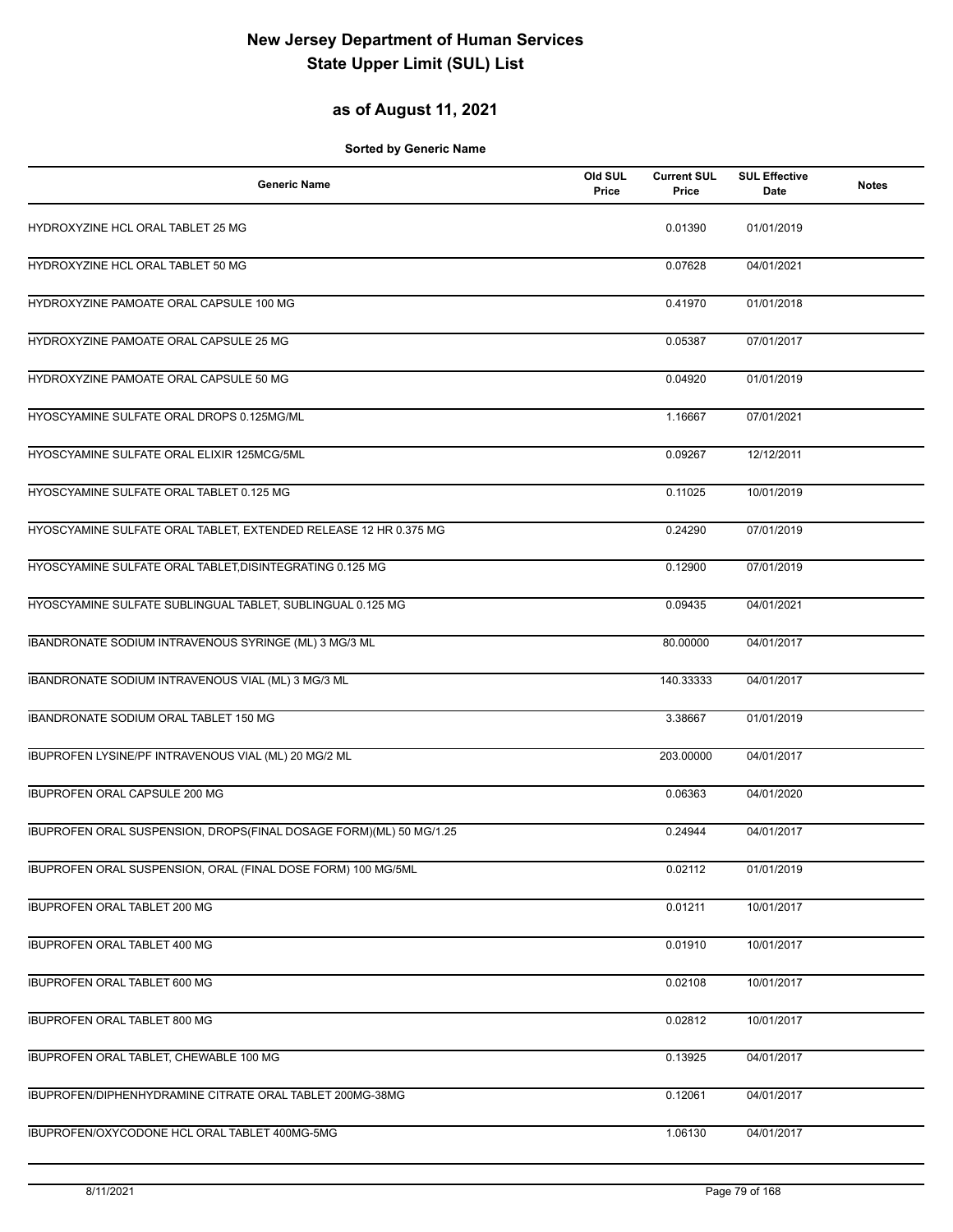### **as of August 11, 2021**

| <b>Generic Name</b>                                                | Old SUL<br>Price | <b>Current SUL</b><br>Price | <b>SUL Effective</b><br>Date | <b>Notes</b> |
|--------------------------------------------------------------------|------------------|-----------------------------|------------------------------|--------------|
| HYDROXYZINE HCL ORAL TABLET 25 MG                                  |                  | 0.01390                     | 01/01/2019                   |              |
| HYDROXYZINE HCL ORAL TABLET 50 MG                                  |                  | 0.07628                     | 04/01/2021                   |              |
| HYDROXYZINE PAMOATE ORAL CAPSULE 100 MG                            |                  | 0.41970                     | 01/01/2018                   |              |
| HYDROXYZINE PAMOATE ORAL CAPSULE 25 MG                             |                  | 0.05387                     | 07/01/2017                   |              |
| HYDROXYZINE PAMOATE ORAL CAPSULE 50 MG                             |                  | 0.04920                     | 01/01/2019                   |              |
| HYOSCYAMINE SULFATE ORAL DROPS 0.125MG/ML                          |                  | 1.16667                     | 07/01/2021                   |              |
| HYOSCYAMINE SULFATE ORAL ELIXIR 125MCG/5ML                         |                  | 0.09267                     | 12/12/2011                   |              |
| HYOSCYAMINE SULFATE ORAL TABLET 0.125 MG                           |                  | 0.11025                     | 10/01/2019                   |              |
| HYOSCYAMINE SULFATE ORAL TABLET, EXTENDED RELEASE 12 HR 0.375 MG   |                  | 0.24290                     | 07/01/2019                   |              |
| HYOSCYAMINE SULFATE ORAL TABLET, DISINTEGRATING 0.125 MG           |                  | 0.12900                     | 07/01/2019                   |              |
| HYOSCYAMINE SULFATE SUBLINGUAL TABLET, SUBLINGUAL 0.125 MG         |                  | 0.09435                     | 04/01/2021                   |              |
| IBANDRONATE SODIUM INTRAVENOUS SYRINGE (ML) 3 MG/3 ML              |                  | 80.00000                    | 04/01/2017                   |              |
| IBANDRONATE SODIUM INTRAVENOUS VIAL (ML) 3 MG/3 ML                 |                  | 140.33333                   | 04/01/2017                   |              |
| IBANDRONATE SODIUM ORAL TABLET 150 MG                              |                  | 3.38667                     | 01/01/2019                   |              |
| IBUPROFEN LYSINE/PF INTRAVENOUS VIAL (ML) 20 MG/2 ML               |                  | 203.00000                   | 04/01/2017                   |              |
| IBUPROFEN ORAL CAPSULE 200 MG                                      |                  | 0.06363                     | 04/01/2020                   |              |
| IBUPROFEN ORAL SUSPENSION, DROPS(FINAL DOSAGE FORM)(ML) 50 MG/1.25 |                  | 0.24944                     | 04/01/2017                   |              |
| IBUPROFEN ORAL SUSPENSION, ORAL (FINAL DOSE FORM) 100 MG/5ML       |                  | 0.02112                     | 01/01/2019                   |              |
| IBUPROFEN ORAL TABLET 200 MG                                       |                  | 0.01211                     | 10/01/2017                   |              |
| IBUPROFEN ORAL TABLET 400 MG                                       |                  | 0.01910                     | 10/01/2017                   |              |
| IBUPROFEN ORAL TABLET 600 MG                                       |                  | 0.02108                     | 10/01/2017                   |              |
| <b>IBUPROFEN ORAL TABLET 800 MG</b>                                |                  | 0.02812                     | 10/01/2017                   |              |
| IBUPROFEN ORAL TABLET, CHEWABLE 100 MG                             |                  | 0.13925                     | 04/01/2017                   |              |
| IBUPROFEN/DIPHENHYDRAMINE CITRATE ORAL TABLET 200MG-38MG           |                  | 0.12061                     | 04/01/2017                   |              |
| IBUPROFEN/OXYCODONE HCL ORAL TABLET 400MG-5MG                      |                  | 1.06130                     | 04/01/2017                   |              |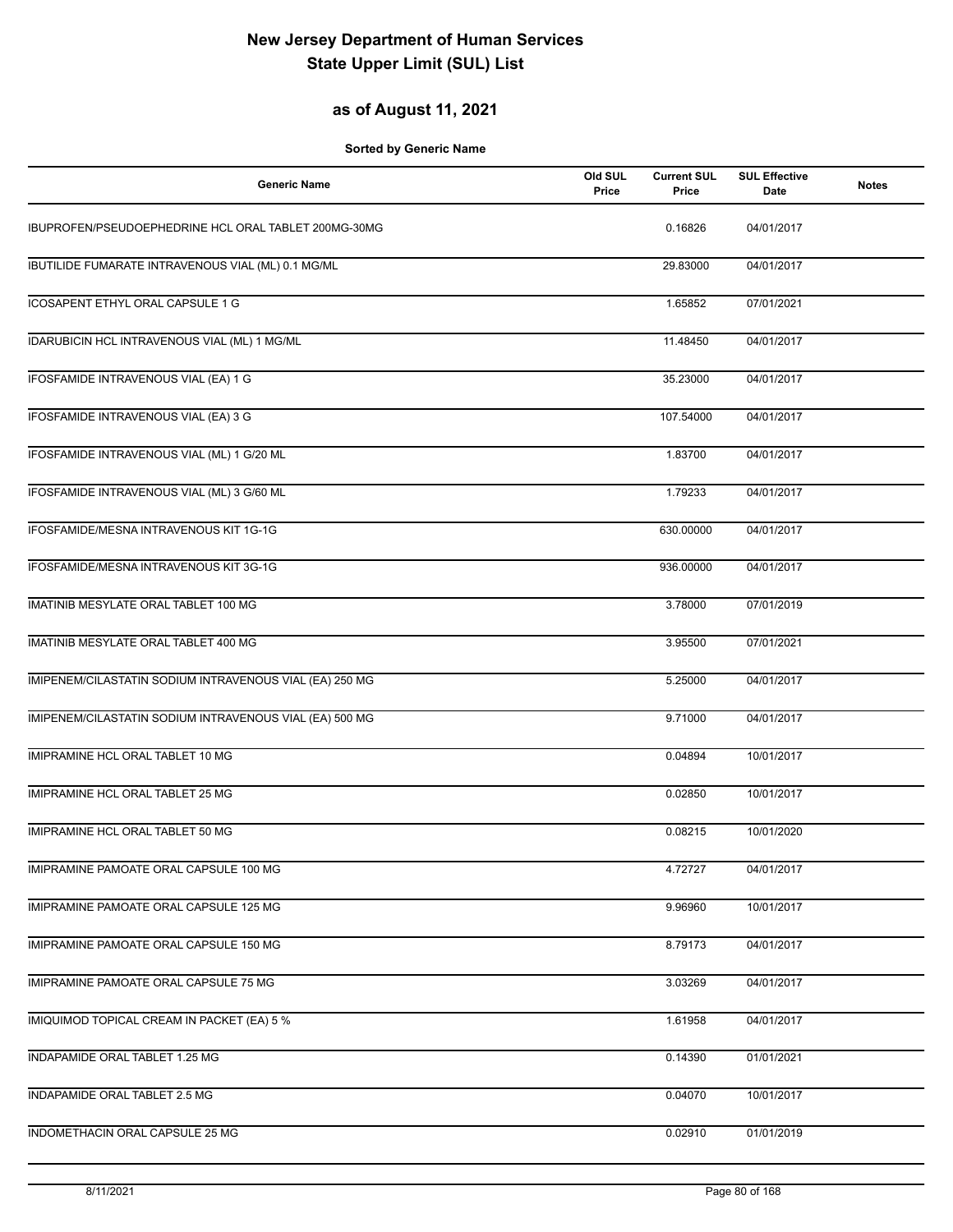### **as of August 11, 2021**

| <b>Generic Name</b>                                     | Old SUL<br>Price | <b>Current SUL</b><br>Price | <b>SUL Effective</b><br>Date | <b>Notes</b> |
|---------------------------------------------------------|------------------|-----------------------------|------------------------------|--------------|
| IBUPROFEN/PSEUDOEPHEDRINE HCL ORAL TABLET 200MG-30MG    |                  | 0.16826                     | 04/01/2017                   |              |
| IBUTILIDE FUMARATE INTRAVENOUS VIAL (ML) 0.1 MG/ML      |                  | 29.83000                    | 04/01/2017                   |              |
| <b>ICOSAPENT ETHYL ORAL CAPSULE 1 G</b>                 |                  | 1.65852                     | 07/01/2021                   |              |
| <b>IDARUBICIN HCL INTRAVENOUS VIAL (ML) 1 MG/ML</b>     |                  | 11.48450                    | 04/01/2017                   |              |
| IFOSFAMIDE INTRAVENOUS VIAL (EA) 1 G                    |                  | 35.23000                    | 04/01/2017                   |              |
| IFOSFAMIDE INTRAVENOUS VIAL (EA) 3 G                    |                  | 107.54000                   | 04/01/2017                   |              |
| IFOSFAMIDE INTRAVENOUS VIAL (ML) 1 G/20 ML              |                  | 1.83700                     | 04/01/2017                   |              |
| IFOSFAMIDE INTRAVENOUS VIAL (ML) 3 G/60 ML              |                  | 1.79233                     | 04/01/2017                   |              |
| IFOSFAMIDE/MESNA INTRAVENOUS KIT 1G-1G                  |                  | 630.00000                   | 04/01/2017                   |              |
| IFOSFAMIDE/MESNA INTRAVENOUS KIT 3G-1G                  |                  | 936.00000                   | 04/01/2017                   |              |
| IMATINIB MESYLATE ORAL TABLET 100 MG                    |                  | 3.78000                     | 07/01/2019                   |              |
| IMATINIB MESYLATE ORAL TABLET 400 MG                    |                  | 3.95500                     | 07/01/2021                   |              |
| IMIPENEM/CILASTATIN SODIUM INTRAVENOUS VIAL (EA) 250 MG |                  | 5.25000                     | 04/01/2017                   |              |
| IMIPENEM/CILASTATIN SODIUM INTRAVENOUS VIAL (EA) 500 MG |                  | 9.71000                     | 04/01/2017                   |              |
| IMIPRAMINE HCL ORAL TABLET 10 MG                        |                  | 0.04894                     | 10/01/2017                   |              |
| IMIPRAMINE HCL ORAL TABLET 25 MG                        |                  | 0.02850                     | 10/01/2017                   |              |
| IMIPRAMINE HCL ORAL TABLET 50 MG                        |                  | 0.08215                     | 10/01/2020                   |              |
| IMIPRAMINE PAMOATE ORAL CAPSULE 100 MG                  |                  | 4.72727                     | 04/01/2017                   |              |
| IMIPRAMINE PAMOATE ORAL CAPSULE 125 MG                  |                  | 9.96960                     | 10/01/2017                   |              |
| IMIPRAMINE PAMOATE ORAL CAPSULE 150 MG                  |                  | 8.79173                     | 04/01/2017                   |              |
| IMIPRAMINE PAMOATE ORAL CAPSULE 75 MG                   |                  | 3.03269                     | 04/01/2017                   |              |
| IMIQUIMOD TOPICAL CREAM IN PACKET (EA) 5 %              |                  | 1.61958                     | 04/01/2017                   |              |
| INDAPAMIDE ORAL TABLET 1.25 MG                          |                  | 0.14390                     | 01/01/2021                   |              |
| INDAPAMIDE ORAL TABLET 2.5 MG                           |                  | 0.04070                     | 10/01/2017                   |              |
| INDOMETHACIN ORAL CAPSULE 25 MG                         |                  | 0.02910                     | 01/01/2019                   |              |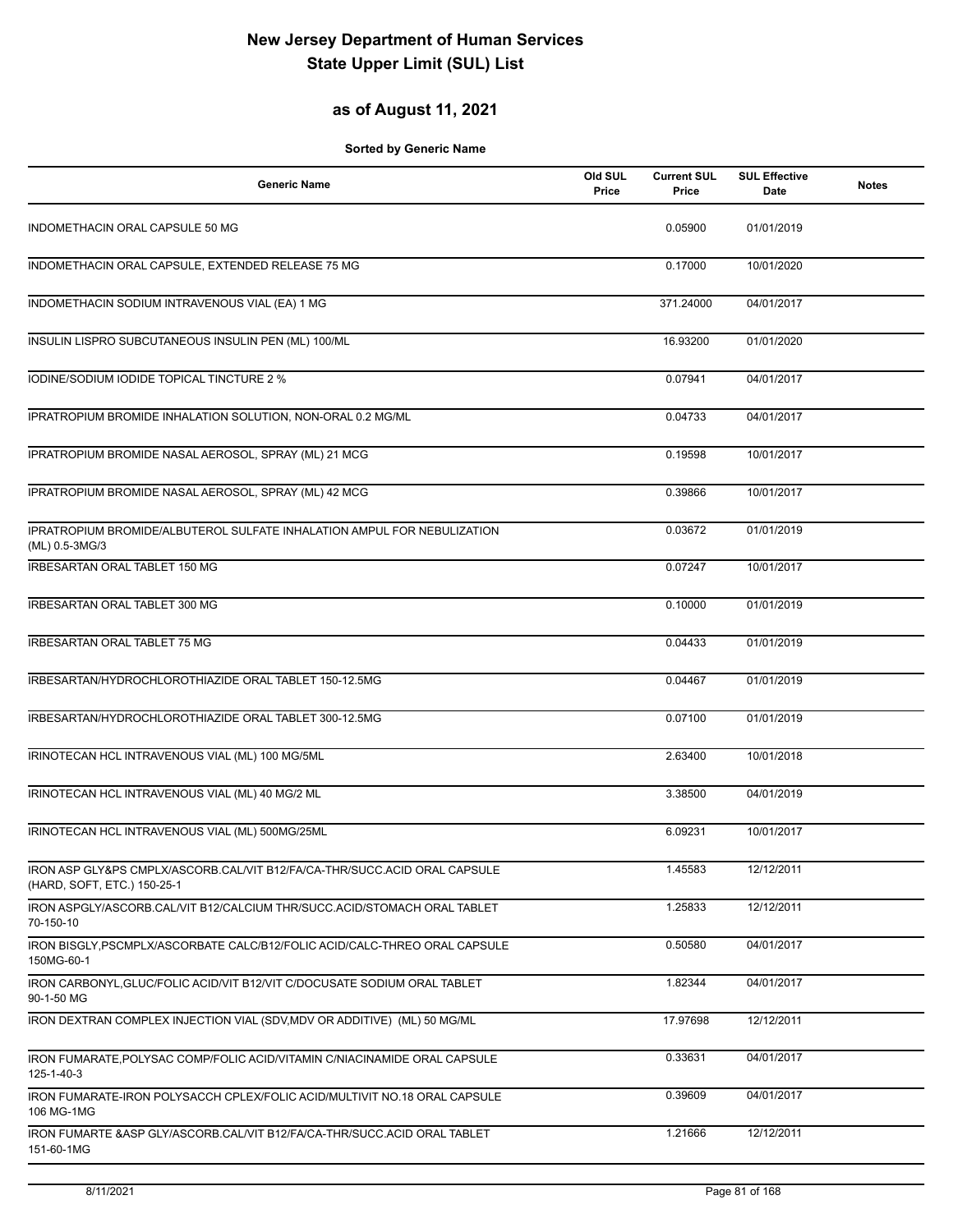### **as of August 11, 2021**

| <b>Generic Name</b>                                                                                      | Old SUL<br>Price | <b>Current SUL</b><br>Price | <b>SUL Effective</b><br>Date | <b>Notes</b> |
|----------------------------------------------------------------------------------------------------------|------------------|-----------------------------|------------------------------|--------------|
| INDOMETHACIN ORAL CAPSULE 50 MG                                                                          |                  | 0.05900                     | 01/01/2019                   |              |
| INDOMETHACIN ORAL CAPSULE, EXTENDED RELEASE 75 MG                                                        |                  | 0.17000                     | 10/01/2020                   |              |
| INDOMETHACIN SODIUM INTRAVENOUS VIAL (EA) 1 MG                                                           |                  | 371.24000                   | 04/01/2017                   |              |
| INSULIN LISPRO SUBCUTANEOUS INSULIN PEN (ML) 100/ML                                                      |                  | 16.93200                    | 01/01/2020                   |              |
| IODINE/SODIUM IODIDE TOPICAL TINCTURE 2 %                                                                |                  | 0.07941                     | 04/01/2017                   |              |
| IPRATROPIUM BROMIDE INHALATION SOLUTION, NON-ORAL 0.2 MG/ML                                              |                  | 0.04733                     | 04/01/2017                   |              |
| IPRATROPIUM BROMIDE NASAL AEROSOL, SPRAY (ML) 21 MCG                                                     |                  | 0.19598                     | 10/01/2017                   |              |
| IPRATROPIUM BROMIDE NASAL AEROSOL, SPRAY (ML) 42 MCG                                                     |                  | 0.39866                     | 10/01/2017                   |              |
| IPRATROPIUM BROMIDE/ALBUTEROL SULFATE INHALATION AMPUL FOR NEBULIZATION<br>(ML) 0.5-3MG/3                |                  | 0.03672                     | 01/01/2019                   |              |
| <b>IRBESARTAN ORAL TABLET 150 MG</b>                                                                     |                  | 0.07247                     | 10/01/2017                   |              |
| <b>IRBESARTAN ORAL TABLET 300 MG</b>                                                                     |                  | 0.10000                     | 01/01/2019                   |              |
| <b>IRBESARTAN ORAL TABLET 75 MG</b>                                                                      |                  | 0.04433                     | 01/01/2019                   |              |
| IRBESARTAN/HYDROCHLOROTHIAZIDE ORAL TABLET 150-12.5MG                                                    |                  | 0.04467                     | 01/01/2019                   |              |
| IRBESARTAN/HYDROCHLOROTHIAZIDE ORAL TABLET 300-12.5MG                                                    |                  | 0.07100                     | 01/01/2019                   |              |
| IRINOTECAN HCL INTRAVENOUS VIAL (ML) 100 MG/5ML                                                          |                  | 2.63400                     | 10/01/2018                   |              |
| IRINOTECAN HCL INTRAVENOUS VIAL (ML) 40 MG/2 ML                                                          |                  | 3.38500                     | 04/01/2019                   |              |
| IRINOTECAN HCL INTRAVENOUS VIAL (ML) 500MG/25ML                                                          |                  | 6.09231                     | 10/01/2017                   |              |
| IRON ASP GLY&PS CMPLX/ASCORB.CAL/VIT B12/FA/CA-THR/SUCC.ACID ORAL CAPSULE<br>(HARD, SOFT, ETC.) 150-25-1 |                  | 1.45583                     | 12/12/2011                   |              |
| IRON ASPGLY/ASCORB.CAL/VIT B12/CALCIUM THR/SUCC.ACID/STOMACH ORAL TABLET<br>70-150-10                    |                  | 1.25833                     | 12/12/2011                   |              |
| IRON BISGLY, PSCMPLX/ASCORBATE CALC/B12/FOLIC ACID/CALC-THREO ORAL CAPSULE<br>150MG-60-1                 |                  | 0.50580                     | 04/01/2017                   |              |
| IRON CARBONYL, GLUC/FOLIC ACID/VIT B12/VIT C/DOCUSATE SODIUM ORAL TABLET<br>90-1-50 MG                   |                  | 1.82344                     | 04/01/2017                   |              |
| IRON DEXTRAN COMPLEX INJECTION VIAL (SDV, MDV OR ADDITIVE) (ML) 50 MG/ML                                 |                  | 17.97698                    | 12/12/2011                   |              |
| IRON FUMARATE, POLYSAC COMP/FOLIC ACID/VITAMIN C/NIACINAMIDE ORAL CAPSULE<br>125-1-40-3                  |                  | 0.33631                     | 04/01/2017                   |              |
| IRON FUMARATE-IRON POLYSACCH CPLEX/FOLIC ACID/MULTIVIT NO.18 ORAL CAPSULE<br>106 MG-1MG                  |                  | 0.39609                     | 04/01/2017                   |              |
| IRON FUMARTE & ASP GLY/ASCORB.CAL/VIT B12/FA/CA-THR/SUCC.ACID ORAL TABLET<br>151-60-1MG                  |                  | 1.21666                     | 12/12/2011                   |              |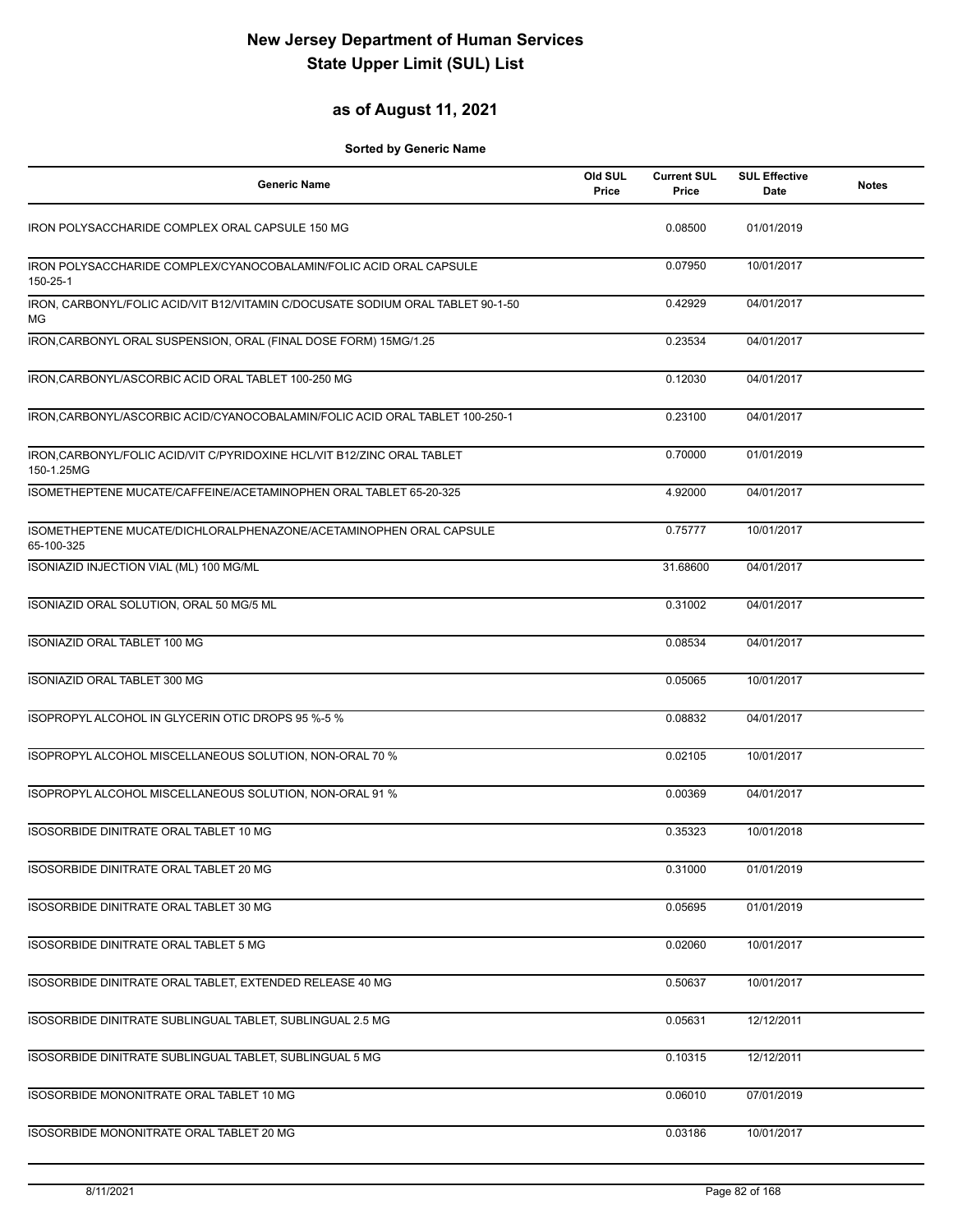#### **as of August 11, 2021**

| <b>Generic Name</b>                                                                   | Old SUL<br>Price | <b>Current SUL</b><br>Price | <b>SUL Effective</b><br>Date | <b>Notes</b> |
|---------------------------------------------------------------------------------------|------------------|-----------------------------|------------------------------|--------------|
| IRON POLYSACCHARIDE COMPLEX ORAL CAPSULE 150 MG                                       |                  | 0.08500                     | 01/01/2019                   |              |
| IRON POLYSACCHARIDE COMPLEX/CYANOCOBALAMIN/FOLIC ACID ORAL CAPSULE<br>150-25-1        |                  | 0.07950                     | 10/01/2017                   |              |
| IRON, CARBONYL/FOLIC ACID/VIT B12/VITAMIN C/DOCUSATE SODIUM ORAL TABLET 90-1-50<br>МG |                  | 0.42929                     | 04/01/2017                   |              |
| IRON, CARBONYL ORAL SUSPENSION, ORAL (FINAL DOSE FORM) 15MG/1.25                      |                  | 0.23534                     | 04/01/2017                   |              |
| IRON, CARBONYL/ASCORBIC ACID ORAL TABLET 100-250 MG                                   |                  | 0.12030                     | 04/01/2017                   |              |
| IRON, CARBONYL/ASCORBIC ACID/CYANOCOBALAMIN/FOLIC ACID ORAL TABLET 100-250-1          |                  | 0.23100                     | 04/01/2017                   |              |
| IRON, CARBONYL/FOLIC ACID/VIT C/PYRIDOXINE HCL/VIT B12/ZINC ORAL TABLET<br>150-1.25MG |                  | 0.70000                     | 01/01/2019                   |              |
| ISOMETHEPTENE MUCATE/CAFFEINE/ACETAMINOPHEN ORAL TABLET 65-20-325                     |                  | 4.92000                     | 04/01/2017                   |              |
| ISOMETHEPTENE MUCATE/DICHLORALPHENAZONE/ACETAMINOPHEN ORAL CAPSULE<br>65-100-325      |                  | 0.75777                     | 10/01/2017                   |              |
| ISONIAZID INJECTION VIAL (ML) 100 MG/ML                                               |                  | 31.68600                    | 04/01/2017                   |              |
| ISONIAZID ORAL SOLUTION, ORAL 50 MG/5 ML                                              |                  | 0.31002                     | 04/01/2017                   |              |
| ISONIAZID ORAL TABLET 100 MG                                                          |                  | 0.08534                     | 04/01/2017                   |              |
| ISONIAZID ORAL TABLET 300 MG                                                          |                  | 0.05065                     | 10/01/2017                   |              |
| ISOPROPYL ALCOHOL IN GLYCERIN OTIC DROPS 95 %-5 %                                     |                  | 0.08832                     | 04/01/2017                   |              |
| ISOPROPYL ALCOHOL MISCELLANEOUS SOLUTION, NON-ORAL 70 %                               |                  | 0.02105                     | 10/01/2017                   |              |
| ISOPROPYL ALCOHOL MISCELLANEOUS SOLUTION, NON-ORAL 91 %                               |                  | 0.00369                     | 04/01/2017                   |              |
| ISOSORBIDE DINITRATE ORAL TABLET 10 MG                                                |                  | 0.35323                     | 10/01/2018                   |              |
| ISOSORBIDE DINITRATE ORAL TABLET 20 MG                                                |                  | 0.31000                     | 01/01/2019                   |              |
| ISOSORBIDE DINITRATE ORAL TABLET 30 MG                                                |                  | 0.05695                     | 01/01/2019                   |              |
| ISOSORBIDE DINITRATE ORAL TABLET 5 MG                                                 |                  | 0.02060                     | 10/01/2017                   |              |
| ISOSORBIDE DINITRATE ORAL TABLET, EXTENDED RELEASE 40 MG                              |                  | 0.50637                     | 10/01/2017                   |              |
| ISOSORBIDE DINITRATE SUBLINGUAL TABLET, SUBLINGUAL 2.5 MG                             |                  | 0.05631                     | 12/12/2011                   |              |
| ISOSORBIDE DINITRATE SUBLINGUAL TABLET, SUBLINGUAL 5 MG                               |                  | 0.10315                     | 12/12/2011                   |              |
| ISOSORBIDE MONONITRATE ORAL TABLET 10 MG                                              |                  | 0.06010                     | 07/01/2019                   |              |
| ISOSORBIDE MONONITRATE ORAL TABLET 20 MG                                              |                  | 0.03186                     | 10/01/2017                   |              |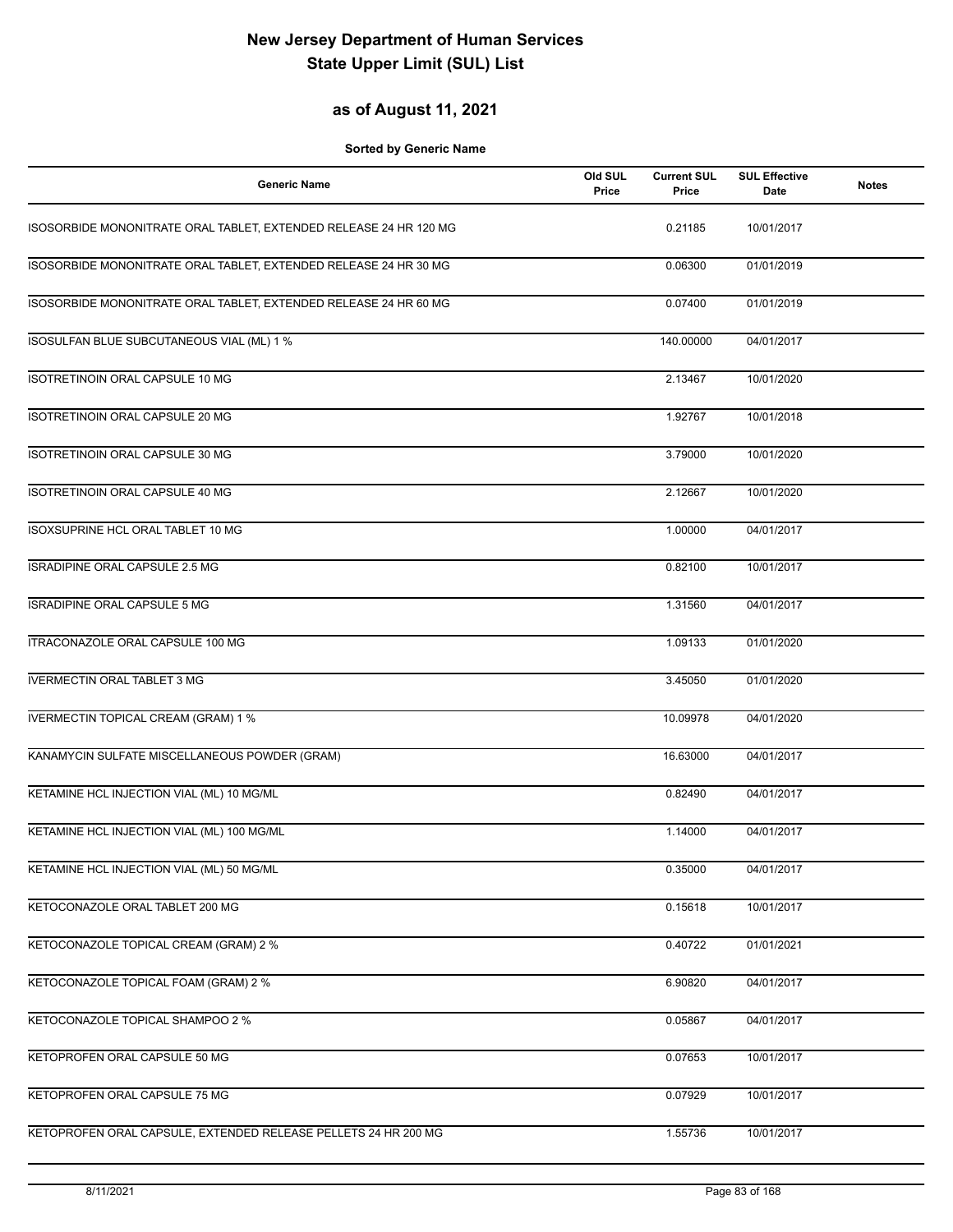#### **as of August 11, 2021**

| <b>Generic Name</b>                                               | Old SUL<br>Price | <b>Current SUL</b><br>Price | <b>SUL Effective</b><br>Date | <b>Notes</b> |
|-------------------------------------------------------------------|------------------|-----------------------------|------------------------------|--------------|
| ISOSORBIDE MONONITRATE ORAL TABLET, EXTENDED RELEASE 24 HR 120 MG |                  | 0.21185                     | 10/01/2017                   |              |
| ISOSORBIDE MONONITRATE ORAL TABLET, EXTENDED RELEASE 24 HR 30 MG  |                  | 0.06300                     | 01/01/2019                   |              |
| ISOSORBIDE MONONITRATE ORAL TABLET, EXTENDED RELEASE 24 HR 60 MG  |                  | 0.07400                     | 01/01/2019                   |              |
| ISOSULFAN BLUE SUBCUTANEOUS VIAL (ML) 1 %                         |                  | 140.00000                   | 04/01/2017                   |              |
| <b>ISOTRETINOIN ORAL CAPSULE 10 MG</b>                            |                  | 2.13467                     | 10/01/2020                   |              |
| ISOTRETINOIN ORAL CAPSULE 20 MG                                   |                  | 1.92767                     | 10/01/2018                   |              |
| ISOTRETINOIN ORAL CAPSULE 30 MG                                   |                  | 3.79000                     | 10/01/2020                   |              |
| ISOTRETINOIN ORAL CAPSULE 40 MG                                   |                  | 2.12667                     | 10/01/2020                   |              |
| ISOXSUPRINE HCL ORAL TABLET 10 MG                                 |                  | 1.00000                     | 04/01/2017                   |              |
| ISRADIPINE ORAL CAPSULE 2.5 MG                                    |                  | 0.82100                     | 10/01/2017                   |              |
| <b>ISRADIPINE ORAL CAPSULE 5 MG</b>                               |                  | 1.31560                     | 04/01/2017                   |              |
| ITRACONAZOLE ORAL CAPSULE 100 MG                                  |                  | 1.09133                     | 01/01/2020                   |              |
| <b>IVERMECTIN ORAL TABLET 3 MG</b>                                |                  | 3.45050                     | 01/01/2020                   |              |
| <b>IVERMECTIN TOPICAL CREAM (GRAM) 1 %</b>                        |                  | 10.09978                    | 04/01/2020                   |              |
| KANAMYCIN SULFATE MISCELLANEOUS POWDER (GRAM)                     |                  | 16.63000                    | 04/01/2017                   |              |
| KETAMINE HCL INJECTION VIAL (ML) 10 MG/ML                         |                  | 0.82490                     | 04/01/2017                   |              |
| KETAMINE HCL INJECTION VIAL (ML) 100 MG/ML                        |                  | 1.14000                     | 04/01/2017                   |              |
| KETAMINE HCL INJECTION VIAL (ML) 50 MG/ML                         |                  | 0.35000                     | 04/01/2017                   |              |
| KETOCONAZOLE ORAL TABLET 200 MG                                   |                  | 0.15618                     | 10/01/2017                   |              |
| KETOCONAZOLE TOPICAL CREAM (GRAM) 2 %                             |                  | 0.40722                     | 01/01/2021                   |              |
| KETOCONAZOLE TOPICAL FOAM (GRAM) 2 %                              |                  | 6.90820                     | 04/01/2017                   |              |
| KETOCONAZOLE TOPICAL SHAMPOO 2 %                                  |                  | 0.05867                     | 04/01/2017                   |              |
| KETOPROFEN ORAL CAPSULE 50 MG                                     |                  | 0.07653                     | 10/01/2017                   |              |
| KETOPROFEN ORAL CAPSULE 75 MG                                     |                  | 0.07929                     | 10/01/2017                   |              |
| KETOPROFEN ORAL CAPSULE, EXTENDED RELEASE PELLETS 24 HR 200 MG    |                  | 1.55736                     | 10/01/2017                   |              |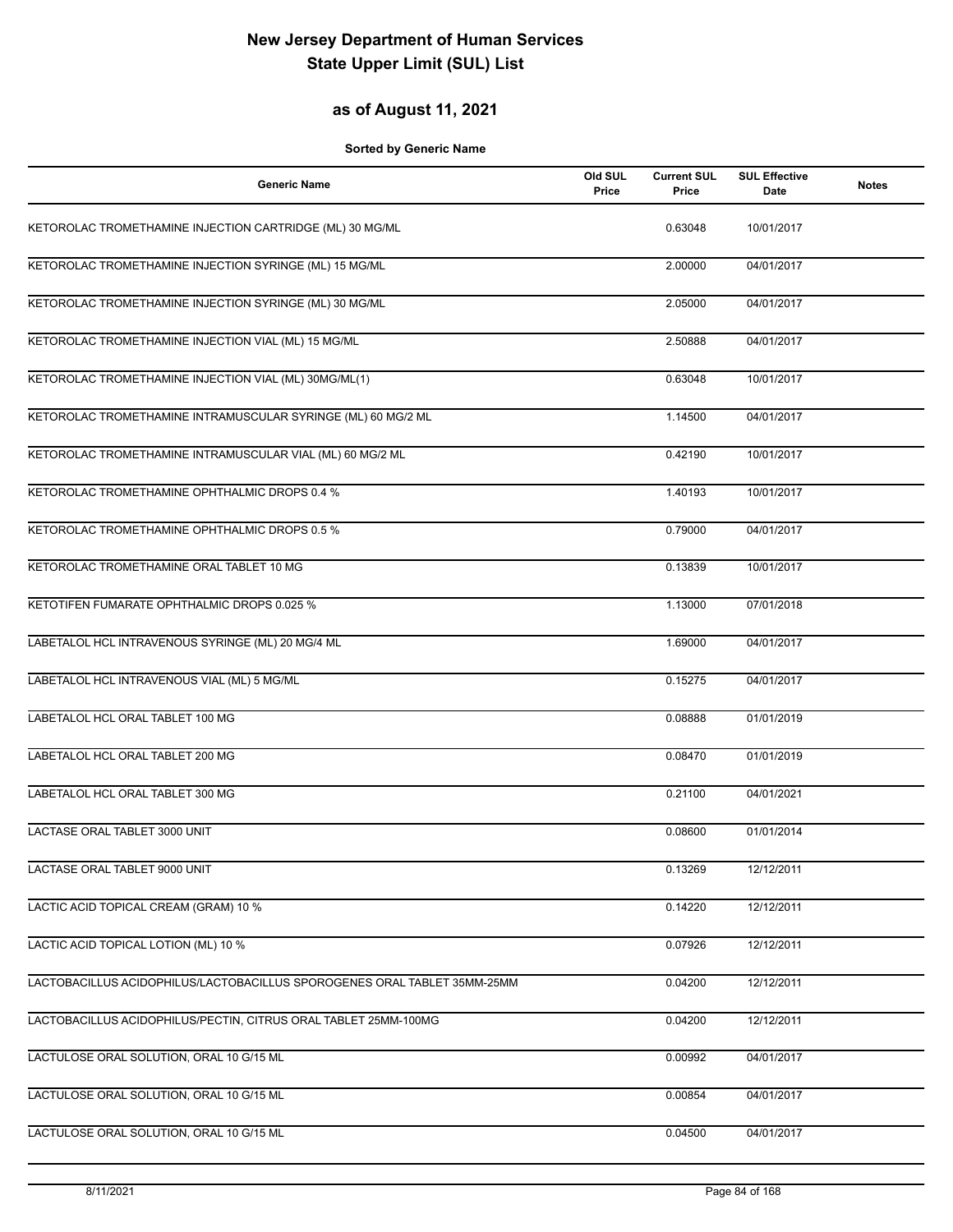### **as of August 11, 2021**

| <b>Generic Name</b>                                                      | Old SUL<br>Price | <b>Current SUL</b><br>Price | <b>SUL Effective</b><br>Date | <b>Notes</b> |
|--------------------------------------------------------------------------|------------------|-----------------------------|------------------------------|--------------|
| KETOROLAC TROMETHAMINE INJECTION CARTRIDGE (ML) 30 MG/ML                 |                  | 0.63048                     | 10/01/2017                   |              |
| KETOROLAC TROMETHAMINE INJECTION SYRINGE (ML) 15 MG/ML                   |                  | 2.00000                     | 04/01/2017                   |              |
| KETOROLAC TROMETHAMINE INJECTION SYRINGE (ML) 30 MG/ML                   |                  | 2.05000                     | 04/01/2017                   |              |
| KETOROLAC TROMETHAMINE INJECTION VIAL (ML) 15 MG/ML                      |                  | 2.50888                     | 04/01/2017                   |              |
| KETOROLAC TROMETHAMINE INJECTION VIAL (ML) 30MG/ML(1)                    |                  | 0.63048                     | 10/01/2017                   |              |
| KETOROLAC TROMETHAMINE INTRAMUSCULAR SYRINGE (ML) 60 MG/2 ML             |                  | 1.14500                     | 04/01/2017                   |              |
| KETOROLAC TROMETHAMINE INTRAMUSCULAR VIAL (ML) 60 MG/2 ML                |                  | 0.42190                     | 10/01/2017                   |              |
| KETOROLAC TROMETHAMINE OPHTHALMIC DROPS 0.4 %                            |                  | 1.40193                     | 10/01/2017                   |              |
| KETOROLAC TROMETHAMINE OPHTHALMIC DROPS 0.5 %                            |                  | 0.79000                     | 04/01/2017                   |              |
| KETOROLAC TROMETHAMINE ORAL TABLET 10 MG                                 |                  | 0.13839                     | 10/01/2017                   |              |
| KETOTIFEN FUMARATE OPHTHALMIC DROPS 0.025 %                              |                  | 1.13000                     | 07/01/2018                   |              |
| LABETALOL HCL INTRAVENOUS SYRINGE (ML) 20 MG/4 ML                        |                  | 1.69000                     | 04/01/2017                   |              |
| LABETALOL HCL INTRAVENOUS VIAL (ML) 5 MG/ML                              |                  | 0.15275                     | 04/01/2017                   |              |
| LABETALOL HCL ORAL TABLET 100 MG                                         |                  | 0.08888                     | 01/01/2019                   |              |
| LABETALOL HCL ORAL TABLET 200 MG                                         |                  | 0.08470                     | 01/01/2019                   |              |
| LABETALOL HCL ORAL TABLET 300 MG                                         |                  | 0.21100                     | 04/01/2021                   |              |
| LACTASE ORAL TABLET 3000 UNIT                                            |                  | 0.08600                     | 01/01/2014                   |              |
| LACTASE ORAL TABLET 9000 UNIT                                            |                  | 0.13269                     | 12/12/2011                   |              |
| LACTIC ACID TOPICAL CREAM (GRAM) 10 %                                    |                  | 0.14220                     | 12/12/2011                   |              |
| LACTIC ACID TOPICAL LOTION (ML) 10 %                                     |                  | 0.07926                     | 12/12/2011                   |              |
| LACTOBACILLUS ACIDOPHILUS/LACTOBACILLUS SPOROGENES ORAL TABLET 35MM-25MM |                  | 0.04200                     | 12/12/2011                   |              |
| LACTOBACILLUS ACIDOPHILUS/PECTIN, CITRUS ORAL TABLET 25MM-100MG          |                  | 0.04200                     | 12/12/2011                   |              |
| LACTULOSE ORAL SOLUTION, ORAL 10 G/15 ML                                 |                  | 0.00992                     | 04/01/2017                   |              |
| LACTULOSE ORAL SOLUTION, ORAL 10 G/15 ML                                 |                  | 0.00854                     | 04/01/2017                   |              |
| LACTULOSE ORAL SOLUTION, ORAL 10 G/15 ML                                 |                  | 0.04500                     | 04/01/2017                   |              |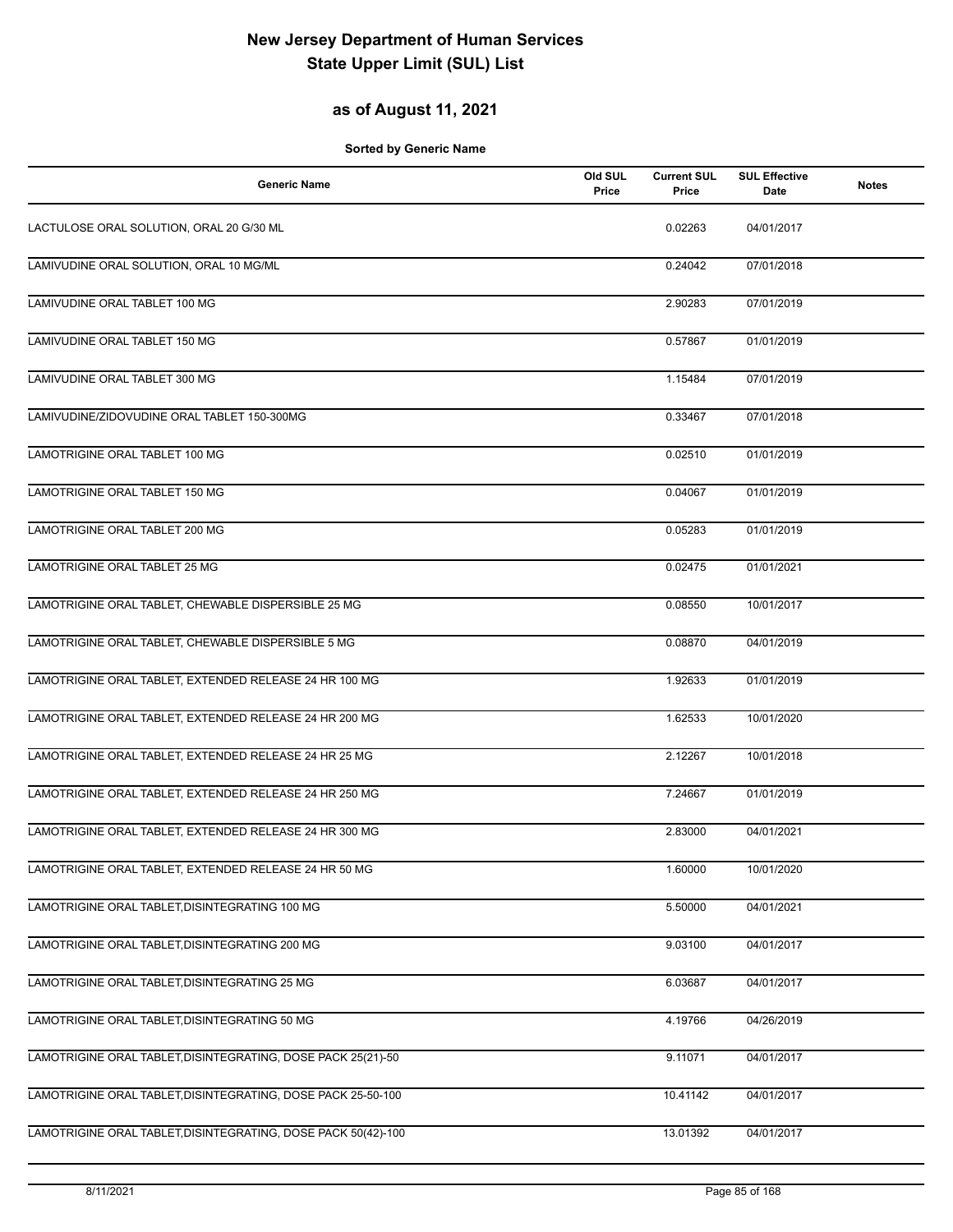### **as of August 11, 2021**

| <b>Generic Name</b>                                           | Old SUL<br>Price | <b>Current SUL</b><br>Price | <b>SUL Effective</b><br>Date | <b>Notes</b> |
|---------------------------------------------------------------|------------------|-----------------------------|------------------------------|--------------|
| LACTULOSE ORAL SOLUTION, ORAL 20 G/30 ML                      |                  | 0.02263                     | 04/01/2017                   |              |
| LAMIVUDINE ORAL SOLUTION, ORAL 10 MG/ML                       |                  | 0.24042                     | 07/01/2018                   |              |
| LAMIVUDINE ORAL TABLET 100 MG                                 |                  | 2.90283                     | 07/01/2019                   |              |
| LAMIVUDINE ORAL TABLET 150 MG                                 |                  | 0.57867                     | 01/01/2019                   |              |
| LAMIVUDINE ORAL TABLET 300 MG                                 |                  | 1.15484                     | 07/01/2019                   |              |
| LAMIVUDINE/ZIDOVUDINE ORAL TABLET 150-300MG                   |                  | 0.33467                     | 07/01/2018                   |              |
| LAMOTRIGINE ORAL TABLET 100 MG                                |                  | 0.02510                     | 01/01/2019                   |              |
| LAMOTRIGINE ORAL TABLET 150 MG                                |                  | 0.04067                     | 01/01/2019                   |              |
| LAMOTRIGINE ORAL TABLET 200 MG                                |                  | 0.05283                     | 01/01/2019                   |              |
| LAMOTRIGINE ORAL TABLET 25 MG                                 |                  | 0.02475                     | 01/01/2021                   |              |
| LAMOTRIGINE ORAL TABLET, CHEWABLE DISPERSIBLE 25 MG           |                  | 0.08550                     | 10/01/2017                   |              |
| LAMOTRIGINE ORAL TABLET, CHEWABLE DISPERSIBLE 5 MG            |                  | 0.08870                     | 04/01/2019                   |              |
| LAMOTRIGINE ORAL TABLET, EXTENDED RELEASE 24 HR 100 MG        |                  | 1.92633                     | 01/01/2019                   |              |
| LAMOTRIGINE ORAL TABLET, EXTENDED RELEASE 24 HR 200 MG        |                  | 1.62533                     | 10/01/2020                   |              |
| LAMOTRIGINE ORAL TABLET, EXTENDED RELEASE 24 HR 25 MG         |                  | 2.12267                     | 10/01/2018                   |              |
| LAMOTRIGINE ORAL TABLET, EXTENDED RELEASE 24 HR 250 MG        |                  | 7.24667                     | 01/01/2019                   |              |
| LAMOTRIGINE ORAL TABLET, EXTENDED RELEASE 24 HR 300 MG        |                  | 2.83000                     | 04/01/2021                   |              |
| LAMOTRIGINE ORAL TABLET, EXTENDED RELEASE 24 HR 50 MG         |                  | 1.60000                     | 10/01/2020                   |              |
| LAMOTRIGINE ORAL TABLET, DISINTEGRATING 100 MG                |                  | 5.50000                     | 04/01/2021                   |              |
| LAMOTRIGINE ORAL TABLET, DISINTEGRATING 200 MG                |                  | 9.03100                     | 04/01/2017                   |              |
| LAMOTRIGINE ORAL TABLET, DISINTEGRATING 25 MG                 |                  | 6.03687                     | 04/01/2017                   |              |
| LAMOTRIGINE ORAL TABLET, DISINTEGRATING 50 MG                 |                  | 4.19766                     | 04/26/2019                   |              |
| LAMOTRIGINE ORAL TABLET, DISINTEGRATING, DOSE PACK 25(21)-50  |                  | 9.11071                     | 04/01/2017                   |              |
| LAMOTRIGINE ORAL TABLET, DISINTEGRATING, DOSE PACK 25-50-100  |                  | 10.41142                    | 04/01/2017                   |              |
| LAMOTRIGINE ORAL TABLET, DISINTEGRATING, DOSE PACK 50(42)-100 |                  | 13.01392                    | 04/01/2017                   |              |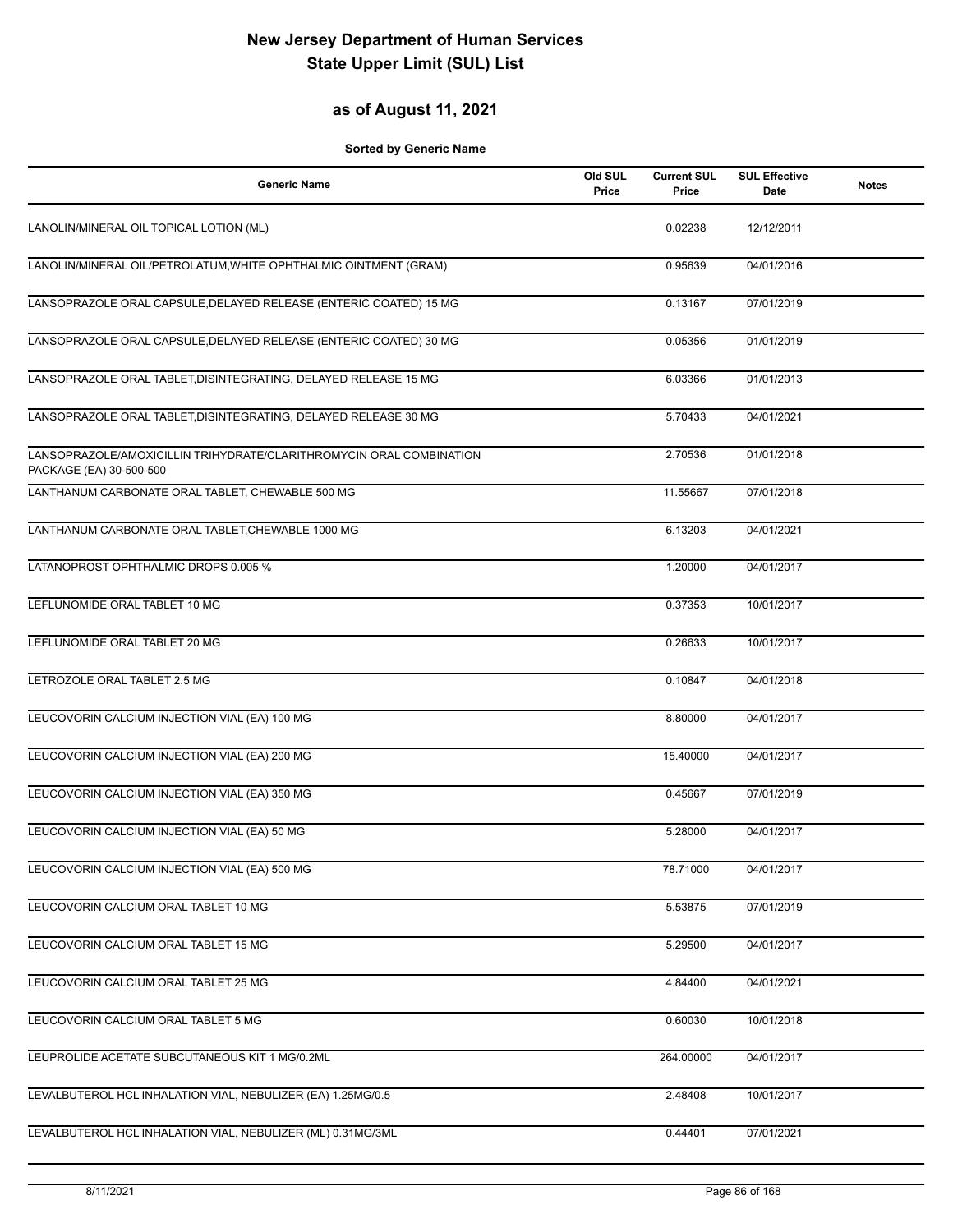### **as of August 11, 2021**

| <b>Generic Name</b>                                                                            | Old SUL<br>Price | <b>Current SUL</b><br>Price | <b>SUL Effective</b><br>Date | <b>Notes</b> |
|------------------------------------------------------------------------------------------------|------------------|-----------------------------|------------------------------|--------------|
| LANOLIN/MINERAL OIL TOPICAL LOTION (ML)                                                        |                  | 0.02238                     | 12/12/2011                   |              |
| LANOLIN/MINERAL OIL/PETROLATUM, WHITE OPHTHALMIC OINTMENT (GRAM)                               |                  | 0.95639                     | 04/01/2016                   |              |
| LANSOPRAZOLE ORAL CAPSULE, DELAYED RELEASE (ENTERIC COATED) 15 MG                              |                  | 0.13167                     | 07/01/2019                   |              |
| LANSOPRAZOLE ORAL CAPSULE, DELAYED RELEASE (ENTERIC COATED) 30 MG                              |                  | 0.05356                     | 01/01/2019                   |              |
| LANSOPRAZOLE ORAL TABLET, DISINTEGRATING, DELAYED RELEASE 15 MG                                |                  | 6.03366                     | 01/01/2013                   |              |
| LANSOPRAZOLE ORAL TABLET, DISINTEGRATING, DELAYED RELEASE 30 MG                                |                  | 5.70433                     | 04/01/2021                   |              |
| LANSOPRAZOLE/AMOXICILLIN TRIHYDRATE/CLARITHROMYCIN ORAL COMBINATION<br>PACKAGE (EA) 30-500-500 |                  | 2.70536                     | 01/01/2018                   |              |
| LANTHANUM CARBONATE ORAL TABLET, CHEWABLE 500 MG                                               |                  | 11.55667                    | 07/01/2018                   |              |
| LANTHANUM CARBONATE ORAL TABLET, CHEWABLE 1000 MG                                              |                  | 6.13203                     | 04/01/2021                   |              |
| LATANOPROST OPHTHALMIC DROPS 0.005 %                                                           |                  | 1.20000                     | 04/01/2017                   |              |
| LEFLUNOMIDE ORAL TABLET 10 MG                                                                  |                  | 0.37353                     | 10/01/2017                   |              |
| LEFLUNOMIDE ORAL TABLET 20 MG                                                                  |                  | 0.26633                     | 10/01/2017                   |              |
| LETROZOLE ORAL TABLET 2.5 MG                                                                   |                  | 0.10847                     | 04/01/2018                   |              |
| LEUCOVORIN CALCIUM INJECTION VIAL (EA) 100 MG                                                  |                  | 8.80000                     | 04/01/2017                   |              |
| LEUCOVORIN CALCIUM INJECTION VIAL (EA) 200 MG                                                  |                  | 15.40000                    | 04/01/2017                   |              |
| LEUCOVORIN CALCIUM INJECTION VIAL (EA) 350 MG                                                  |                  | 0.45667                     | 07/01/2019                   |              |
| LEUCOVORIN CALCIUM INJECTION VIAL (EA) 50 MG                                                   |                  | 5.28000                     | 04/01/2017                   |              |
| LEUCOVORIN CALCIUM INJECTION VIAL (EA) 500 MG                                                  |                  | 78.71000                    | 04/01/2017                   |              |
| LEUCOVORIN CALCIUM ORAL TABLET 10 MG                                                           |                  | 5.53875                     | 07/01/2019                   |              |
| LEUCOVORIN CALCIUM ORAL TABLET 15 MG                                                           |                  | 5.29500                     | 04/01/2017                   |              |
| LEUCOVORIN CALCIUM ORAL TABLET 25 MG                                                           |                  | 4.84400                     | 04/01/2021                   |              |
| LEUCOVORIN CALCIUM ORAL TABLET 5 MG                                                            |                  | 0.60030                     | 10/01/2018                   |              |
| LEUPROLIDE ACETATE SUBCUTANEOUS KIT 1 MG/0.2ML                                                 |                  | 264.00000                   | 04/01/2017                   |              |
| LEVALBUTEROL HCL INHALATION VIAL, NEBULIZER (EA) 1.25MG/0.5                                    |                  | 2.48408                     | 10/01/2017                   |              |
| LEVALBUTEROL HCL INHALATION VIAL, NEBULIZER (ML) 0.31MG/3ML                                    |                  | 0.44401                     | 07/01/2021                   |              |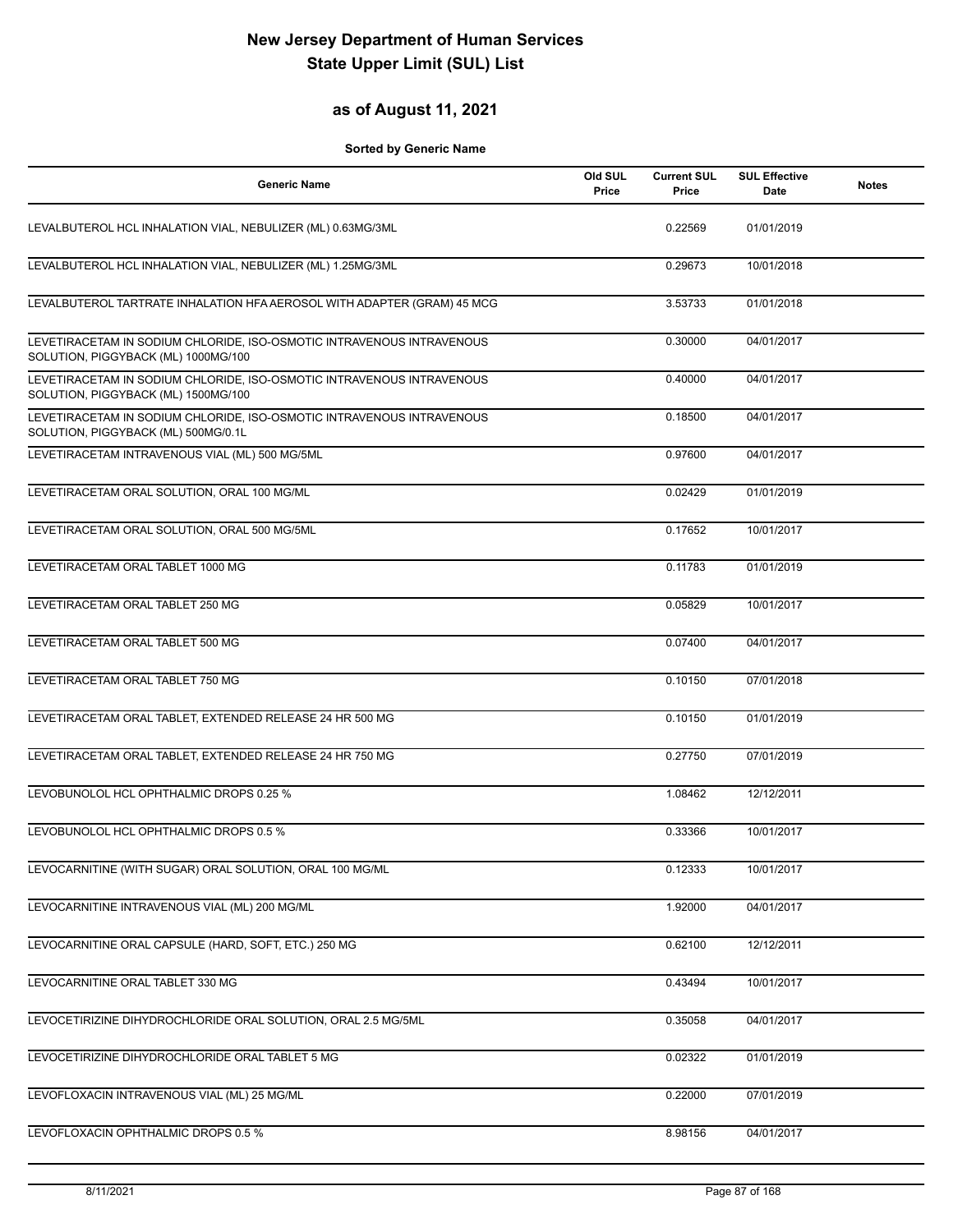### **as of August 11, 2021**

| <b>Generic Name</b>                                                                                          | Old SUL<br>Price | <b>Current SUL</b><br>Price | <b>SUL Effective</b><br><b>Date</b> | <b>Notes</b> |
|--------------------------------------------------------------------------------------------------------------|------------------|-----------------------------|-------------------------------------|--------------|
| LEVALBUTEROL HCL INHALATION VIAL, NEBULIZER (ML) 0.63MG/3ML                                                  |                  | 0.22569                     | 01/01/2019                          |              |
| LEVALBUTEROL HCL INHALATION VIAL, NEBULIZER (ML) 1.25MG/3ML                                                  |                  | 0.29673                     | 10/01/2018                          |              |
| LEVALBUTEROL TARTRATE INHALATION HFA AEROSOL WITH ADAPTER (GRAM) 45 MCG                                      |                  | 3.53733                     | 01/01/2018                          |              |
| LEVETIRACETAM IN SODIUM CHLORIDE, ISO-OSMOTIC INTRAVENOUS INTRAVENOUS<br>SOLUTION, PIGGYBACK (ML) 1000MG/100 |                  | 0.30000                     | 04/01/2017                          |              |
| LEVETIRACETAM IN SODIUM CHLORIDE, ISO-OSMOTIC INTRAVENOUS INTRAVENOUS<br>SOLUTION, PIGGYBACK (ML) 1500MG/100 |                  | 0.40000                     | 04/01/2017                          |              |
| LEVETIRACETAM IN SODIUM CHLORIDE, ISO-OSMOTIC INTRAVENOUS INTRAVENOUS<br>SOLUTION, PIGGYBACK (ML) 500MG/0.1L |                  | 0.18500                     | 04/01/2017                          |              |
| LEVETIRACETAM INTRAVENOUS VIAL (ML) 500 MG/5ML                                                               |                  | 0.97600                     | 04/01/2017                          |              |
| LEVETIRACETAM ORAL SOLUTION, ORAL 100 MG/ML                                                                  |                  | 0.02429                     | 01/01/2019                          |              |
| LEVETIRACETAM ORAL SOLUTION, ORAL 500 MG/5ML                                                                 |                  | 0.17652                     | 10/01/2017                          |              |
| LEVETIRACETAM ORAL TABLET 1000 MG                                                                            |                  | 0.11783                     | 01/01/2019                          |              |
| LEVETIRACETAM ORAL TABLET 250 MG                                                                             |                  | 0.05829                     | 10/01/2017                          |              |
| LEVETIRACETAM ORAL TABLET 500 MG                                                                             |                  | 0.07400                     | 04/01/2017                          |              |
| LEVETIRACETAM ORAL TABLET 750 MG                                                                             |                  | 0.10150                     | 07/01/2018                          |              |
| LEVETIRACETAM ORAL TABLET, EXTENDED RELEASE 24 HR 500 MG                                                     |                  | 0.10150                     | 01/01/2019                          |              |
| LEVETIRACETAM ORAL TABLET, EXTENDED RELEASE 24 HR 750 MG                                                     |                  | 0.27750                     | 07/01/2019                          |              |
| LEVOBUNOLOL HCL OPHTHALMIC DROPS 0.25 %                                                                      |                  | 1.08462                     | 12/12/2011                          |              |
| LEVOBUNOLOL HCL OPHTHALMIC DROPS 0.5 %                                                                       |                  | 0.33366                     | 10/01/2017                          |              |
| LEVOCARNITINE (WITH SUGAR) ORAL SOLUTION, ORAL 100 MG/ML                                                     |                  | 0.12333                     | 10/01/2017                          |              |
| LEVOCARNITINE INTRAVENOUS VIAL (ML) 200 MG/ML                                                                |                  | 1.92000                     | 04/01/2017                          |              |
| LEVOCARNITINE ORAL CAPSULE (HARD, SOFT, ETC.) 250 MG                                                         |                  | 0.62100                     | 12/12/2011                          |              |
| LEVOCARNITINE ORAL TABLET 330 MG                                                                             |                  | 0.43494                     | 10/01/2017                          |              |
| LEVOCETIRIZINE DIHYDROCHLORIDE ORAL SOLUTION, ORAL 2.5 MG/5ML                                                |                  | 0.35058                     | 04/01/2017                          |              |
| LEVOCETIRIZINE DIHYDROCHLORIDE ORAL TABLET 5 MG                                                              |                  | 0.02322                     | 01/01/2019                          |              |
| LEVOFLOXACIN INTRAVENOUS VIAL (ML) 25 MG/ML                                                                  |                  | 0.22000                     | 07/01/2019                          |              |
| LEVOFLOXACIN OPHTHALMIC DROPS 0.5 %                                                                          |                  | 8.98156                     | 04/01/2017                          |              |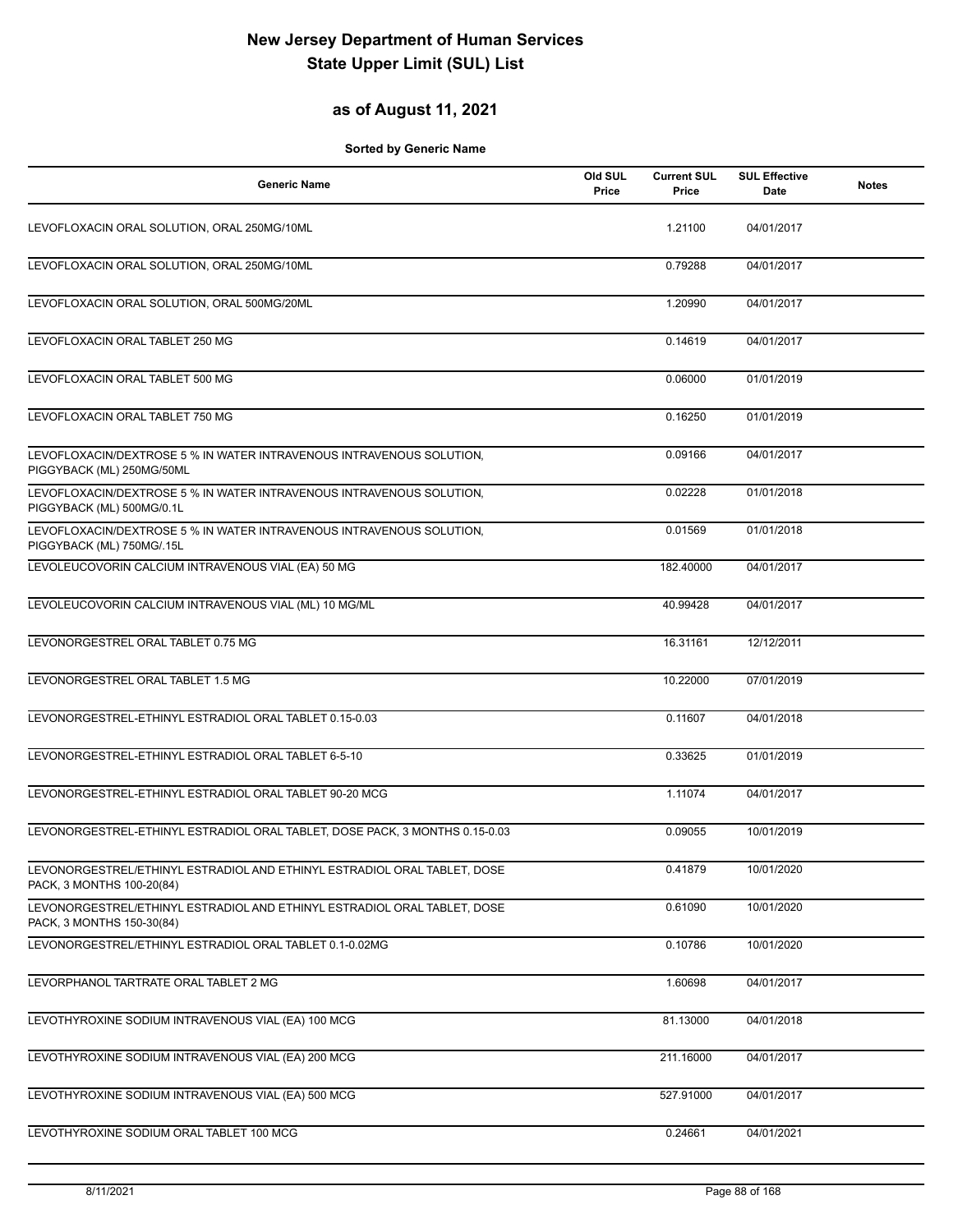### **as of August 11, 2021**

| <b>Generic Name</b>                                                                                   | Old SUL<br>Price | <b>Current SUL</b><br>Price | <b>SUL Effective</b><br>Date | <b>Notes</b> |
|-------------------------------------------------------------------------------------------------------|------------------|-----------------------------|------------------------------|--------------|
| LEVOFLOXACIN ORAL SOLUTION, ORAL 250MG/10ML                                                           |                  | 1.21100                     | 04/01/2017                   |              |
| LEVOFLOXACIN ORAL SOLUTION, ORAL 250MG/10ML                                                           |                  | 0.79288                     | 04/01/2017                   |              |
| LEVOFLOXACIN ORAL SOLUTION, ORAL 500MG/20ML                                                           |                  | 1.20990                     | 04/01/2017                   |              |
| LEVOFLOXACIN ORAL TABLET 250 MG                                                                       |                  | 0.14619                     | 04/01/2017                   |              |
| LEVOFLOXACIN ORAL TABLET 500 MG                                                                       |                  | 0.06000                     | 01/01/2019                   |              |
| LEVOFLOXACIN ORAL TABLET 750 MG                                                                       |                  | 0.16250                     | 01/01/2019                   |              |
| LEVOFLOXACIN/DEXTROSE 5 % IN WATER INTRAVENOUS INTRAVENOUS SOLUTION,<br>PIGGYBACK (ML) 250MG/50ML     |                  | 0.09166                     | 04/01/2017                   |              |
| LEVOFLOXACIN/DEXTROSE 5 % IN WATER INTRAVENOUS INTRAVENOUS SOLUTION,<br>PIGGYBACK (ML) 500MG/0.1L     |                  | 0.02228                     | 01/01/2018                   |              |
| LEVOFLOXACIN/DEXTROSE 5 % IN WATER INTRAVENOUS INTRAVENOUS SOLUTION,<br>PIGGYBACK (ML) 750MG/.15L     |                  | 0.01569                     | 01/01/2018                   |              |
| LEVOLEUCOVORIN CALCIUM INTRAVENOUS VIAL (EA) 50 MG                                                    |                  | 182.40000                   | 04/01/2017                   |              |
| LEVOLEUCOVORIN CALCIUM INTRAVENOUS VIAL (ML) 10 MG/ML                                                 |                  | 40.99428                    | 04/01/2017                   |              |
| LEVONORGESTREL ORAL TABLET 0.75 MG                                                                    |                  | 16.31161                    | 12/12/2011                   |              |
| LEVONORGESTREL ORAL TABLET 1.5 MG                                                                     |                  | 10.22000                    | 07/01/2019                   |              |
| LEVONORGESTREL-ETHINYL ESTRADIOL ORAL TABLET 0.15-0.03                                                |                  | 0.11607                     | 04/01/2018                   |              |
| LEVONORGESTREL-ETHINYL ESTRADIOL ORAL TABLET 6-5-10                                                   |                  | 0.33625                     | 01/01/2019                   |              |
| LEVONORGESTREL-ETHINYL ESTRADIOL ORAL TABLET 90-20 MCG                                                |                  | 1.11074                     | 04/01/2017                   |              |
| LEVONORGESTREL-ETHINYL ESTRADIOL ORAL TABLET, DOSE PACK, 3 MONTHS 0.15-0.03                           |                  | 0.09055                     | 10/01/2019                   |              |
| LEVONORGESTREL/ETHINYL ESTRADIOL AND ETHINYL ESTRADIOL ORAL TABLET, DOSE<br>PACK, 3 MONTHS 100-20(84) |                  | 0.41879                     | 10/01/2020                   |              |
| LEVONORGESTREL/ETHINYL ESTRADIOL AND ETHINYL ESTRADIOL ORAL TABLET, DOSE<br>PACK, 3 MONTHS 150-30(84) |                  | 0.61090                     | 10/01/2020                   |              |
| LEVONORGESTREL/ETHINYL ESTRADIOL ORAL TABLET 0.1-0.02MG                                               |                  | 0.10786                     | 10/01/2020                   |              |
| LEVORPHANOL TARTRATE ORAL TABLET 2 MG                                                                 |                  | 1.60698                     | 04/01/2017                   |              |
| LEVOTHYROXINE SODIUM INTRAVENOUS VIAL (EA) 100 MCG                                                    |                  | 81.13000                    | 04/01/2018                   |              |
| LEVOTHYROXINE SODIUM INTRAVENOUS VIAL (EA) 200 MCG                                                    |                  | 211.16000                   | 04/01/2017                   |              |
| LEVOTHYROXINE SODIUM INTRAVENOUS VIAL (EA) 500 MCG                                                    |                  | 527.91000                   | 04/01/2017                   |              |
| LEVOTHYROXINE SODIUM ORAL TABLET 100 MCG                                                              |                  | 0.24661                     | 04/01/2021                   |              |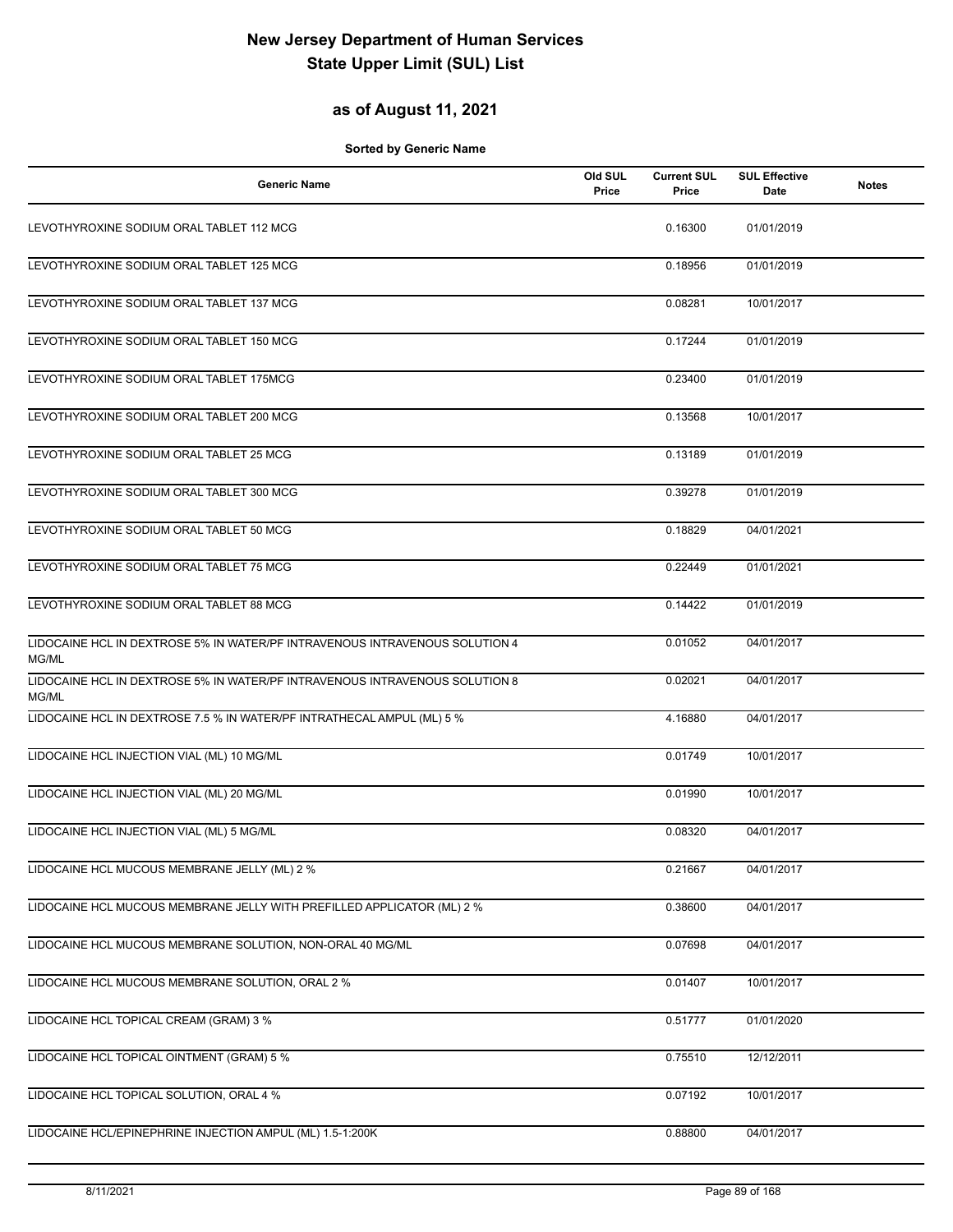### **as of August 11, 2021**

| <b>Generic Name</b>                                                                  | Old SUL<br>Price | <b>Current SUL</b><br>Price | <b>SUL Effective</b><br>Date | <b>Notes</b> |
|--------------------------------------------------------------------------------------|------------------|-----------------------------|------------------------------|--------------|
| LEVOTHYROXINE SODIUM ORAL TABLET 112 MCG                                             |                  | 0.16300                     | 01/01/2019                   |              |
| LEVOTHYROXINE SODIUM ORAL TABLET 125 MCG                                             |                  | 0.18956                     | 01/01/2019                   |              |
| LEVOTHYROXINE SODIUM ORAL TABLET 137 MCG                                             |                  | 0.08281                     | 10/01/2017                   |              |
| LEVOTHYROXINE SODIUM ORAL TABLET 150 MCG                                             |                  | 0.17244                     | 01/01/2019                   |              |
| LEVOTHYROXINE SODIUM ORAL TABLET 175MCG                                              |                  | 0.23400                     | 01/01/2019                   |              |
| LEVOTHYROXINE SODIUM ORAL TABLET 200 MCG                                             |                  | 0.13568                     | 10/01/2017                   |              |
| LEVOTHYROXINE SODIUM ORAL TABLET 25 MCG                                              |                  | 0.13189                     | 01/01/2019                   |              |
| LEVOTHYROXINE SODIUM ORAL TABLET 300 MCG                                             |                  | 0.39278                     | 01/01/2019                   |              |
| LEVOTHYROXINE SODIUM ORAL TABLET 50 MCG                                              |                  | 0.18829                     | 04/01/2021                   |              |
| LEVOTHYROXINE SODIUM ORAL TABLET 75 MCG                                              |                  | 0.22449                     | 01/01/2021                   |              |
| LEVOTHYROXINE SODIUM ORAL TABLET 88 MCG                                              |                  | 0.14422                     | 01/01/2019                   |              |
| LIDOCAINE HCL IN DEXTROSE 5% IN WATER/PF INTRAVENOUS INTRAVENOUS SOLUTION 4<br>MG/ML |                  | 0.01052                     | 04/01/2017                   |              |
| LIDOCAINE HCL IN DEXTROSE 5% IN WATER/PF INTRAVENOUS INTRAVENOUS SOLUTION 8<br>MG/ML |                  | 0.02021                     | 04/01/2017                   |              |
| LIDOCAINE HCL IN DEXTROSE 7.5 % IN WATER/PF INTRATHECAL AMPUL (ML) 5 %               |                  | 4.16880                     | 04/01/2017                   |              |
| LIDOCAINE HCL INJECTION VIAL (ML) 10 MG/ML                                           |                  | 0.01749                     | 10/01/2017                   |              |
| LIDOCAINE HCL INJECTION VIAL (ML) 20 MG/ML                                           |                  | 0.01990                     | 10/01/2017                   |              |
| LIDOCAINE HCL INJECTION VIAL (ML) 5 MG/ML                                            |                  | 0.08320                     | 04/01/2017                   |              |
| LIDOCAINE HCL MUCOUS MEMBRANE JELLY (ML) 2 %                                         |                  | 0.21667                     | 04/01/2017                   |              |
| LIDOCAINE HCL MUCOUS MEMBRANE JELLY WITH PREFILLED APPLICATOR (ML) 2 %               |                  | 0.38600                     | 04/01/2017                   |              |
| LIDOCAINE HCL MUCOUS MEMBRANE SOLUTION, NON-ORAL 40 MG/ML                            |                  | 0.07698                     | 04/01/2017                   |              |
| LIDOCAINE HCL MUCOUS MEMBRANE SOLUTION, ORAL 2 %                                     |                  | 0.01407                     | 10/01/2017                   |              |
| LIDOCAINE HCL TOPICAL CREAM (GRAM) 3 %                                               |                  | 0.51777                     | 01/01/2020                   |              |
| LIDOCAINE HCL TOPICAL OINTMENT (GRAM) 5 %                                            |                  | 0.75510                     | 12/12/2011                   |              |
| LIDOCAINE HCL TOPICAL SOLUTION, ORAL 4 %                                             |                  | 0.07192                     | 10/01/2017                   |              |
| LIDOCAINE HCL/EPINEPHRINE INJECTION AMPUL (ML) 1.5-1:200K                            |                  | 0.88800                     | 04/01/2017                   |              |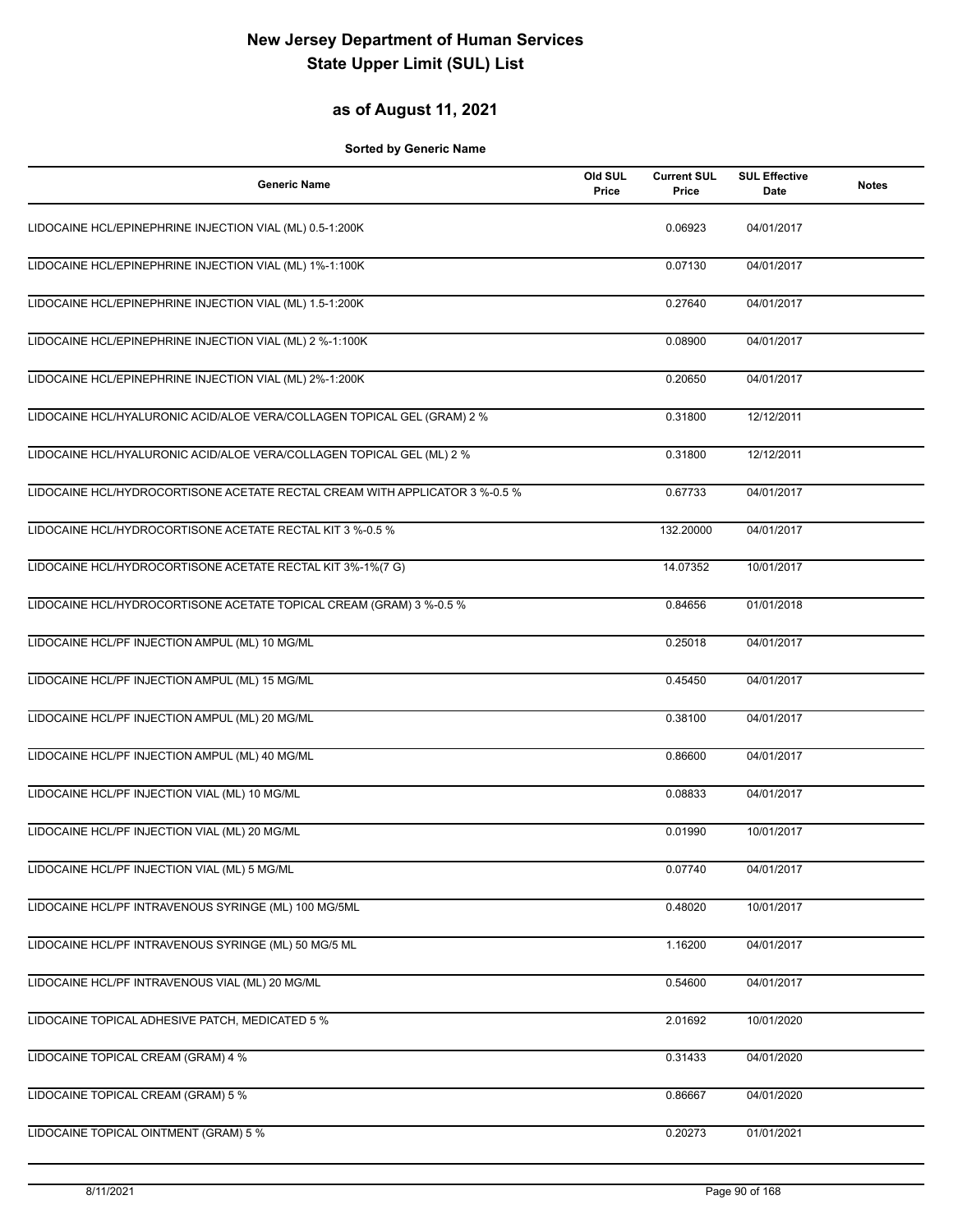#### **as of August 11, 2021**

| <b>Generic Name</b>                                                         | Old SUL<br>Price | <b>Current SUL</b><br>Price | <b>SUL Effective</b><br>Date | <b>Notes</b> |
|-----------------------------------------------------------------------------|------------------|-----------------------------|------------------------------|--------------|
| LIDOCAINE HCL/EPINEPHRINE INJECTION VIAL (ML) 0.5-1:200K                    |                  | 0.06923                     | 04/01/2017                   |              |
| LIDOCAINE HCL/EPINEPHRINE INJECTION VIAL (ML) 1%-1:100K                     |                  | 0.07130                     | 04/01/2017                   |              |
| LIDOCAINE HCL/EPINEPHRINE INJECTION VIAL (ML) 1.5-1:200K                    |                  | 0.27640                     | 04/01/2017                   |              |
| LIDOCAINE HCL/EPINEPHRINE INJECTION VIAL (ML) 2 %-1:100K                    |                  | 0.08900                     | 04/01/2017                   |              |
| LIDOCAINE HCL/EPINEPHRINE INJECTION VIAL (ML) 2%-1:200K                     |                  | 0.20650                     | 04/01/2017                   |              |
| LIDOCAINE HCL/HYALURONIC ACID/ALOE VERA/COLLAGEN TOPICAL GEL (GRAM) 2 %     |                  | 0.31800                     | 12/12/2011                   |              |
| LIDOCAINE HCL/HYALURONIC ACID/ALOE VERA/COLLAGEN TOPICAL GEL (ML) 2 %       |                  | 0.31800                     | 12/12/2011                   |              |
| LIDOCAINE HCL/HYDROCORTISONE ACETATE RECTAL CREAM WITH APPLICATOR 3 %-0.5 % |                  | 0.67733                     | 04/01/2017                   |              |
| LIDOCAINE HCL/HYDROCORTISONE ACETATE RECTAL KIT 3 %-0.5 %                   |                  | 132.20000                   | 04/01/2017                   |              |
| LIDOCAINE HCL/HYDROCORTISONE ACETATE RECTAL KIT 3%-1%(7 G)                  |                  | 14.07352                    | 10/01/2017                   |              |
| LIDOCAINE HCL/HYDROCORTISONE ACETATE TOPICAL CREAM (GRAM) 3 %-0.5 %         |                  | 0.84656                     | 01/01/2018                   |              |
| LIDOCAINE HCL/PF INJECTION AMPUL (ML) 10 MG/ML                              |                  | 0.25018                     | 04/01/2017                   |              |
| LIDOCAINE HCL/PF INJECTION AMPUL (ML) 15 MG/ML                              |                  | 0.45450                     | 04/01/2017                   |              |
| LIDOCAINE HCL/PF INJECTION AMPUL (ML) 20 MG/ML                              |                  | 0.38100                     | 04/01/2017                   |              |
| LIDOCAINE HCL/PF INJECTION AMPUL (ML) 40 MG/ML                              |                  | 0.86600                     | 04/01/2017                   |              |
| LIDOCAINE HCL/PF INJECTION VIAL (ML) 10 MG/ML                               |                  | 0.08833                     | 04/01/2017                   |              |
| LIDOCAINE HCL/PF INJECTION VIAL (ML) 20 MG/ML                               |                  | 0.01990                     | 10/01/2017                   |              |
| LIDOCAINE HCL/PF INJECTION VIAL (ML) 5 MG/ML                                |                  | 0.07740                     | 04/01/2017                   |              |
| LIDOCAINE HCL/PF INTRAVENOUS SYRINGE (ML) 100 MG/5ML                        |                  | 0.48020                     | 10/01/2017                   |              |
| LIDOCAINE HCL/PF INTRAVENOUS SYRINGE (ML) 50 MG/5 ML                        |                  | 1.16200                     | 04/01/2017                   |              |
| LIDOCAINE HCL/PF INTRAVENOUS VIAL (ML) 20 MG/ML                             |                  | 0.54600                     | 04/01/2017                   |              |
| LIDOCAINE TOPICAL ADHESIVE PATCH, MEDICATED 5 %                             |                  | 2.01692                     | 10/01/2020                   |              |
| LIDOCAINE TOPICAL CREAM (GRAM) 4 %                                          |                  | 0.31433                     | 04/01/2020                   |              |
| LIDOCAINE TOPICAL CREAM (GRAM) 5 %                                          |                  | 0.86667                     | 04/01/2020                   |              |
| LIDOCAINE TOPICAL OINTMENT (GRAM) 5 %                                       |                  | 0.20273                     | 01/01/2021                   |              |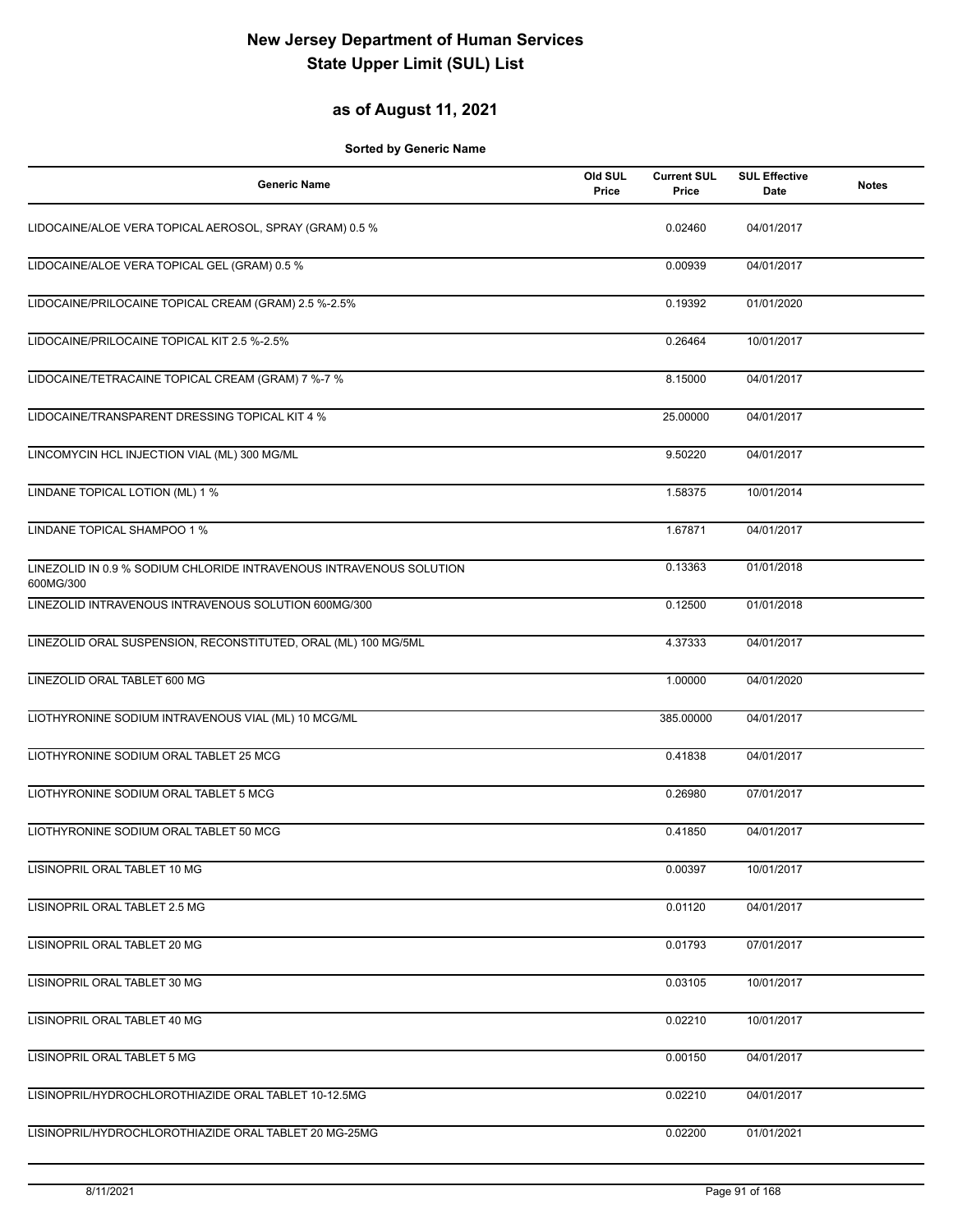#### **as of August 11, 2021**

| <b>Generic Name</b>                                                              | Old SUL<br>Price | <b>Current SUL</b><br>Price | <b>SUL Effective</b><br>Date | <b>Notes</b> |
|----------------------------------------------------------------------------------|------------------|-----------------------------|------------------------------|--------------|
| LIDOCAINE/ALOE VERA TOPICAL AEROSOL, SPRAY (GRAM) 0.5 %                          |                  | 0.02460                     | 04/01/2017                   |              |
| LIDOCAINE/ALOE VERA TOPICAL GEL (GRAM) 0.5 %                                     |                  | 0.00939                     | 04/01/2017                   |              |
| LIDOCAINE/PRILOCAINE TOPICAL CREAM (GRAM) 2.5 %-2.5%                             |                  | 0.19392                     | 01/01/2020                   |              |
| LIDOCAINE/PRILOCAINE TOPICAL KIT 2.5 %-2.5%                                      |                  | 0.26464                     | 10/01/2017                   |              |
| LIDOCAINE/TETRACAINE TOPICAL CREAM (GRAM) 7 %-7 %                                |                  | 8.15000                     | 04/01/2017                   |              |
| LIDOCAINE/TRANSPARENT DRESSING TOPICAL KIT 4 %                                   |                  | 25.00000                    | 04/01/2017                   |              |
| LINCOMYCIN HCL INJECTION VIAL (ML) 300 MG/ML                                     |                  | 9.50220                     | 04/01/2017                   |              |
| LINDANE TOPICAL LOTION (ML) 1 %                                                  |                  | 1.58375                     | 10/01/2014                   |              |
| LINDANE TOPICAL SHAMPOO 1 %                                                      |                  | 1.67871                     | 04/01/2017                   |              |
| LINEZOLID IN 0.9 % SODIUM CHLORIDE INTRAVENOUS INTRAVENOUS SOLUTION<br>600MG/300 |                  | 0.13363                     | 01/01/2018                   |              |
| LINEZOLID INTRAVENOUS INTRAVENOUS SOLUTION 600MG/300                             |                  | 0.12500                     | 01/01/2018                   |              |
| LINEZOLID ORAL SUSPENSION, RECONSTITUTED, ORAL (ML) 100 MG/5ML                   |                  | 4.37333                     | 04/01/2017                   |              |
| LINEZOLID ORAL TABLET 600 MG                                                     |                  | 1.00000                     | 04/01/2020                   |              |
| LIOTHYRONINE SODIUM INTRAVENOUS VIAL (ML) 10 MCG/ML                              |                  | 385.00000                   | 04/01/2017                   |              |
| LIOTHYRONINE SODIUM ORAL TABLET 25 MCG                                           |                  | 0.41838                     | 04/01/2017                   |              |
| LIOTHYRONINE SODIUM ORAL TABLET 5 MCG                                            |                  | 0.26980                     | 07/01/2017                   |              |
| LIOTHYRONINE SODIUM ORAL TABLET 50 MCG                                           |                  | 0.41850                     | 04/01/2017                   |              |
| LISINOPRIL ORAL TABLET 10 MG                                                     |                  | 0.00397                     | 10/01/2017                   |              |
| LISINOPRIL ORAL TABLET 2.5 MG                                                    |                  | 0.01120                     | 04/01/2017                   |              |
| LISINOPRIL ORAL TABLET 20 MG                                                     |                  | 0.01793                     | 07/01/2017                   |              |
| LISINOPRIL ORAL TABLET 30 MG                                                     |                  | 0.03105                     | 10/01/2017                   |              |
| LISINOPRIL ORAL TABLET 40 MG                                                     |                  | 0.02210                     | 10/01/2017                   |              |
| LISINOPRIL ORAL TABLET 5 MG                                                      |                  | 0.00150                     | 04/01/2017                   |              |
| LISINOPRIL/HYDROCHLOROTHIAZIDE ORAL TABLET 10-12.5MG                             |                  | 0.02210                     | 04/01/2017                   |              |
| LISINOPRIL/HYDROCHLOROTHIAZIDE ORAL TABLET 20 MG-25MG                            |                  | 0.02200                     | 01/01/2021                   |              |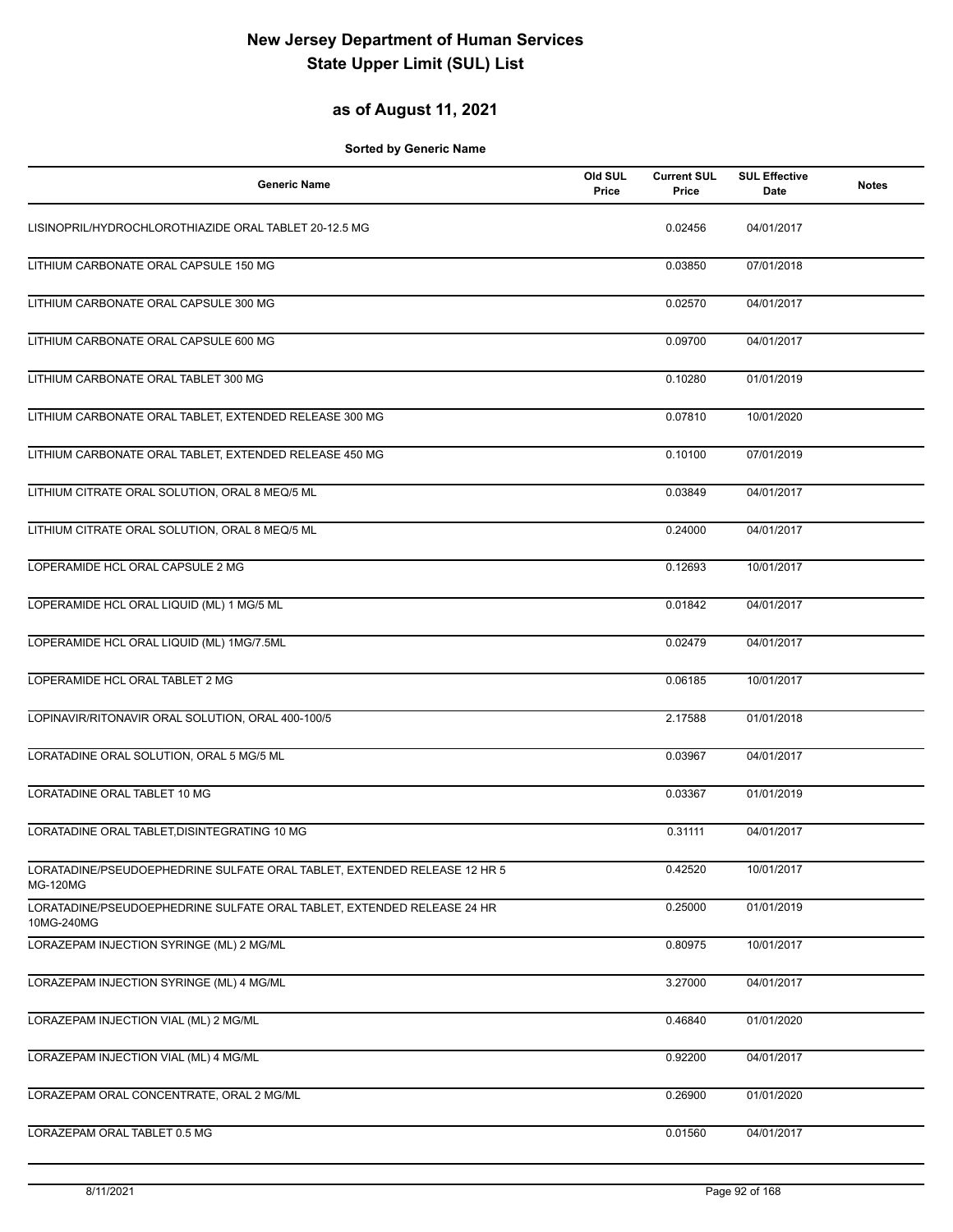### **as of August 11, 2021**

| <b>Generic Name</b>                                                                         | Old SUL<br>Price | <b>Current SUL</b><br>Price | <b>SUL Effective</b><br>Date | <b>Notes</b> |
|---------------------------------------------------------------------------------------------|------------------|-----------------------------|------------------------------|--------------|
| LISINOPRIL/HYDROCHLOROTHIAZIDE ORAL TABLET 20-12.5 MG                                       |                  | 0.02456                     | 04/01/2017                   |              |
| LITHIUM CARBONATE ORAL CAPSULE 150 MG                                                       |                  | 0.03850                     | 07/01/2018                   |              |
| LITHIUM CARBONATE ORAL CAPSULE 300 MG                                                       |                  | 0.02570                     | 04/01/2017                   |              |
| LITHIUM CARBONATE ORAL CAPSULE 600 MG                                                       |                  | 0.09700                     | 04/01/2017                   |              |
| LITHIUM CARBONATE ORAL TABLET 300 MG                                                        |                  | 0.10280                     | 01/01/2019                   |              |
| LITHIUM CARBONATE ORAL TABLET, EXTENDED RELEASE 300 MG                                      |                  | 0.07810                     | 10/01/2020                   |              |
| LITHIUM CARBONATE ORAL TABLET, EXTENDED RELEASE 450 MG                                      |                  | 0.10100                     | 07/01/2019                   |              |
| LITHIUM CITRATE ORAL SOLUTION, ORAL 8 MEQ/5 ML                                              |                  | 0.03849                     | 04/01/2017                   |              |
| LITHIUM CITRATE ORAL SOLUTION, ORAL 8 MEQ/5 ML                                              |                  | 0.24000                     | 04/01/2017                   |              |
| LOPERAMIDE HCL ORAL CAPSULE 2 MG                                                            |                  | 0.12693                     | 10/01/2017                   |              |
| LOPERAMIDE HCL ORAL LIQUID (ML) 1 MG/5 ML                                                   |                  | 0.01842                     | 04/01/2017                   |              |
| LOPERAMIDE HCL ORAL LIQUID (ML) 1MG/7.5ML                                                   |                  | 0.02479                     | 04/01/2017                   |              |
| LOPERAMIDE HCL ORAL TABLET 2 MG                                                             |                  | 0.06185                     | 10/01/2017                   |              |
| LOPINAVIR/RITONAVIR ORAL SOLUTION, ORAL 400-100/5                                           |                  | 2.17588                     | 01/01/2018                   |              |
| LORATADINE ORAL SOLUTION, ORAL 5 MG/5 ML                                                    |                  | 0.03967                     | 04/01/2017                   |              |
| LORATADINE ORAL TABLET 10 MG                                                                |                  | 0.03367                     | 01/01/2019                   |              |
| LORATADINE ORAL TABLET, DISINTEGRATING 10 MG                                                |                  | 0.31111                     | 04/01/2017                   |              |
| LORATADINE/PSEUDOEPHEDRINE SULFATE ORAL TABLET, EXTENDED RELEASE 12 HR 5<br><b>MG-120MG</b> |                  | 0.42520                     | 10/01/2017                   |              |
| LORATADINE/PSEUDOEPHEDRINE SULFATE ORAL TABLET, EXTENDED RELEASE 24 HR<br>10MG-240MG        |                  | 0.25000                     | 01/01/2019                   |              |
| LORAZEPAM INJECTION SYRINGE (ML) 2 MG/ML                                                    |                  | 0.80975                     | 10/01/2017                   |              |
| LORAZEPAM INJECTION SYRINGE (ML) 4 MG/ML                                                    |                  | 3.27000                     | 04/01/2017                   |              |
| LORAZEPAM INJECTION VIAL (ML) 2 MG/ML                                                       |                  | 0.46840                     | 01/01/2020                   |              |
| LORAZEPAM INJECTION VIAL (ML) 4 MG/ML                                                       |                  | 0.92200                     | 04/01/2017                   |              |
| LORAZEPAM ORAL CONCENTRATE, ORAL 2 MG/ML                                                    |                  | 0.26900                     | 01/01/2020                   |              |
| LORAZEPAM ORAL TABLET 0.5 MG                                                                |                  | 0.01560                     | 04/01/2017                   |              |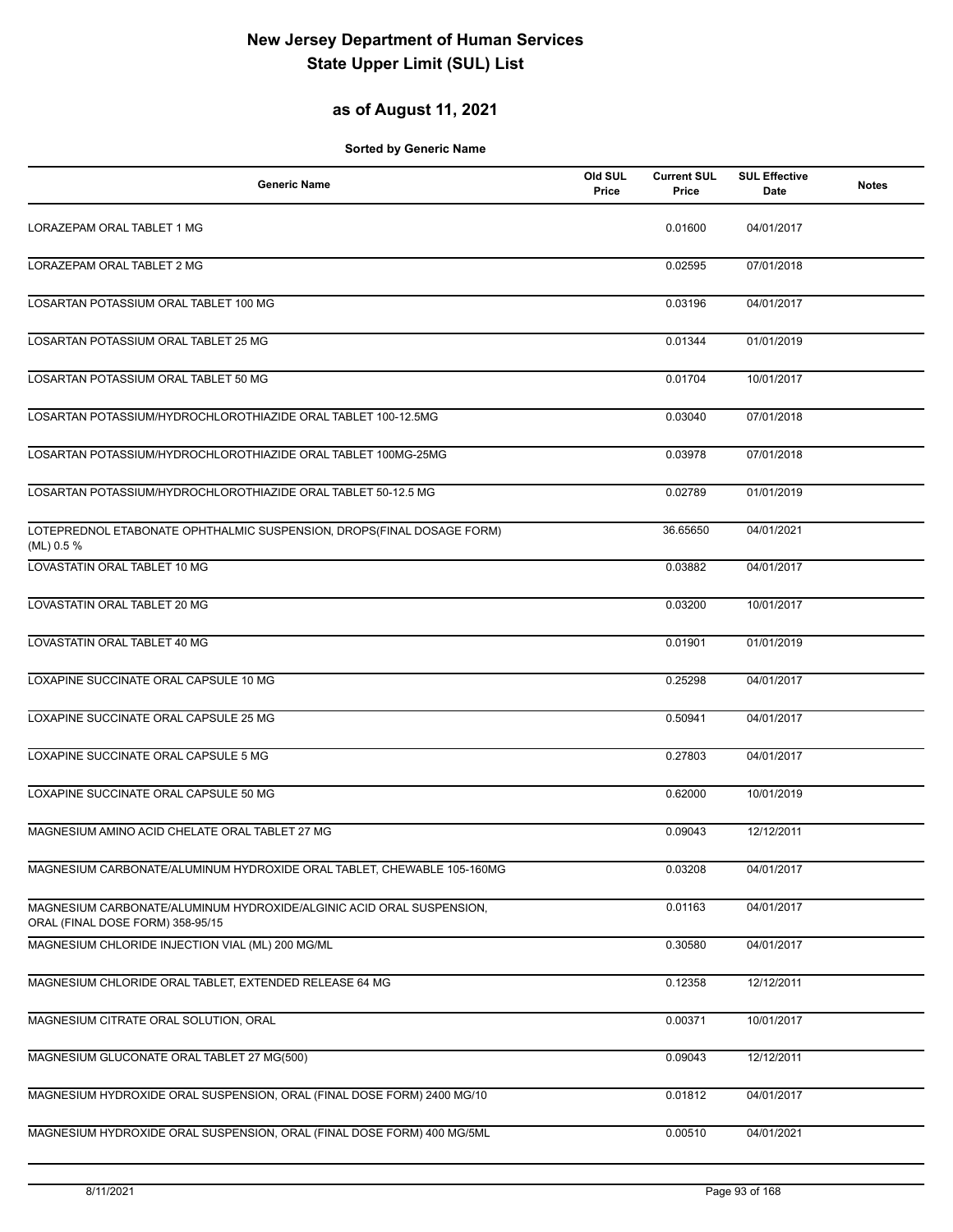### **as of August 11, 2021**

| <b>Generic Name</b>                                                                                      | Old SUL<br>Price | <b>Current SUL</b><br>Price | <b>SUL Effective</b><br>Date | <b>Notes</b> |
|----------------------------------------------------------------------------------------------------------|------------------|-----------------------------|------------------------------|--------------|
| LORAZEPAM ORAL TABLET 1 MG                                                                               |                  | 0.01600                     | 04/01/2017                   |              |
| LORAZEPAM ORAL TABLET 2 MG                                                                               |                  | 0.02595                     | 07/01/2018                   |              |
| LOSARTAN POTASSIUM ORAL TABLET 100 MG                                                                    |                  | 0.03196                     | 04/01/2017                   |              |
| LOSARTAN POTASSIUM ORAL TABLET 25 MG                                                                     |                  | 0.01344                     | 01/01/2019                   |              |
| LOSARTAN POTASSIUM ORAL TABLET 50 MG                                                                     |                  | 0.01704                     | 10/01/2017                   |              |
| LOSARTAN POTASSIUM/HYDROCHLOROTHIAZIDE ORAL TABLET 100-12.5MG                                            |                  | 0.03040                     | 07/01/2018                   |              |
| LOSARTAN POTASSIUM/HYDROCHLOROTHIAZIDE ORAL TABLET 100MG-25MG                                            |                  | 0.03978                     | 07/01/2018                   |              |
| LOSARTAN POTASSIUM/HYDROCHLOROTHIAZIDE ORAL TABLET 50-12.5 MG                                            |                  | 0.02789                     | 01/01/2019                   |              |
| LOTEPREDNOL ETABONATE OPHTHALMIC SUSPENSION, DROPS(FINAL DOSAGE FORM)<br>(ML) $0.5\%$                    |                  | 36.65650                    | 04/01/2021                   |              |
| LOVASTATIN ORAL TABLET 10 MG                                                                             |                  | 0.03882                     | 04/01/2017                   |              |
| LOVASTATIN ORAL TABLET 20 MG                                                                             |                  | 0.03200                     | 10/01/2017                   |              |
| LOVASTATIN ORAL TABLET 40 MG                                                                             |                  | 0.01901                     | 01/01/2019                   |              |
| LOXAPINE SUCCINATE ORAL CAPSULE 10 MG                                                                    |                  | 0.25298                     | 04/01/2017                   |              |
| LOXAPINE SUCCINATE ORAL CAPSULE 25 MG                                                                    |                  | 0.50941                     | 04/01/2017                   |              |
| LOXAPINE SUCCINATE ORAL CAPSULE 5 MG                                                                     |                  | 0.27803                     | 04/01/2017                   |              |
| LOXAPINE SUCCINATE ORAL CAPSULE 50 MG                                                                    |                  | 0.62000                     | 10/01/2019                   |              |
| MAGNESIUM AMINO ACID CHELATE ORAL TABLET 27 MG                                                           |                  | 0.09043                     | 12/12/2011                   |              |
| MAGNESIUM CARBONATE/ALUMINUM HYDROXIDE ORAL TABLET, CHEWABLE 105-160MG                                   |                  | 0.03208                     | 04/01/2017                   |              |
| MAGNESIUM CARBONATE/ALUMINUM HYDROXIDE/ALGINIC ACID ORAL SUSPENSION,<br>ORAL (FINAL DOSE FORM) 358-95/15 |                  | 0.01163                     | 04/01/2017                   |              |
| MAGNESIUM CHLORIDE INJECTION VIAL (ML) 200 MG/ML                                                         |                  | 0.30580                     | 04/01/2017                   |              |
| MAGNESIUM CHLORIDE ORAL TABLET, EXTENDED RELEASE 64 MG                                                   |                  | 0.12358                     | 12/12/2011                   |              |
| MAGNESIUM CITRATE ORAL SOLUTION, ORAL                                                                    |                  | 0.00371                     | 10/01/2017                   |              |
| MAGNESIUM GLUCONATE ORAL TABLET 27 MG(500)                                                               |                  | 0.09043                     | 12/12/2011                   |              |
| MAGNESIUM HYDROXIDE ORAL SUSPENSION, ORAL (FINAL DOSE FORM) 2400 MG/10                                   |                  | 0.01812                     | 04/01/2017                   |              |
| MAGNESIUM HYDROXIDE ORAL SUSPENSION, ORAL (FINAL DOSE FORM) 400 MG/5ML                                   |                  | 0.00510                     | 04/01/2021                   |              |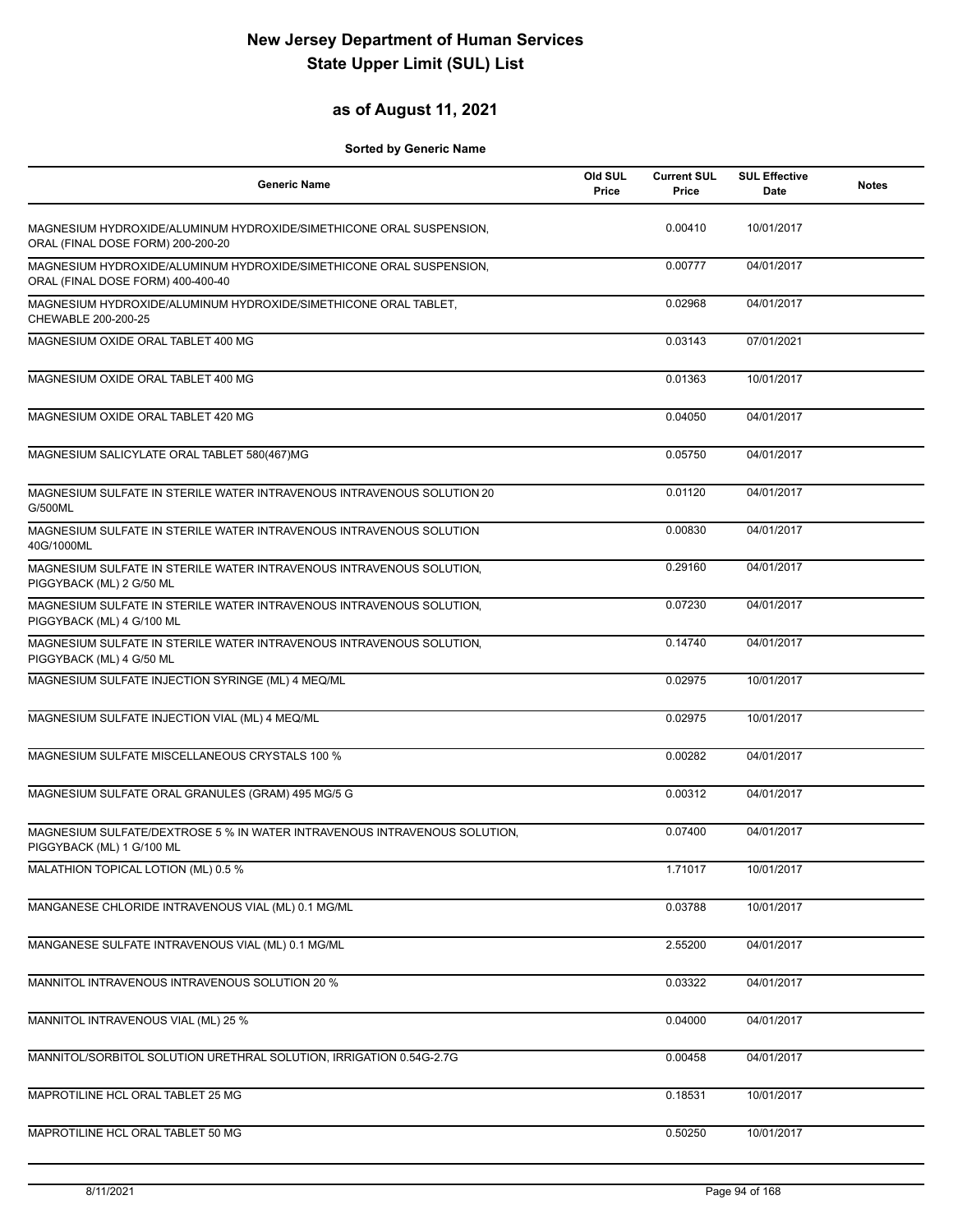#### **as of August 11, 2021**

| <b>Generic Name</b>                                                                                      | Old SUL<br>Price | <b>Current SUL</b><br>Price | <b>SUL Effective</b><br>Date | <b>Notes</b> |
|----------------------------------------------------------------------------------------------------------|------------------|-----------------------------|------------------------------|--------------|
| MAGNESIUM HYDROXIDE/ALUMINUM HYDROXIDE/SIMETHICONE ORAL SUSPENSION,<br>ORAL (FINAL DOSE FORM) 200-200-20 |                  | 0.00410                     | 10/01/2017                   |              |
| MAGNESIUM HYDROXIDE/ALUMINUM HYDROXIDE/SIMETHICONE ORAL SUSPENSION,<br>ORAL (FINAL DOSE FORM) 400-400-40 |                  | 0.00777                     | 04/01/2017                   |              |
| MAGNESIUM HYDROXIDE/ALUMINUM HYDROXIDE/SIMETHICONE ORAL TABLET,<br>CHEWABLE 200-200-25                   |                  | 0.02968                     | 04/01/2017                   |              |
| MAGNESIUM OXIDE ORAL TABLET 400 MG                                                                       |                  | 0.03143                     | 07/01/2021                   |              |
| MAGNESIUM OXIDE ORAL TABLET 400 MG                                                                       |                  | 0.01363                     | 10/01/2017                   |              |
| MAGNESIUM OXIDE ORAL TABLET 420 MG                                                                       |                  | 0.04050                     | 04/01/2017                   |              |
| MAGNESIUM SALICYLATE ORAL TABLET 580(467)MG                                                              |                  | 0.05750                     | 04/01/2017                   |              |
| MAGNESIUM SULFATE IN STERILE WATER INTRAVENOUS INTRAVENOUS SOLUTION 20<br>G/500ML                        |                  | 0.01120                     | 04/01/2017                   |              |
| MAGNESIUM SULFATE IN STERILE WATER INTRAVENOUS INTRAVENOUS SOLUTION<br>40G/1000ML                        |                  | 0.00830                     | 04/01/2017                   |              |
| MAGNESIUM SULFATE IN STERILE WATER INTRAVENOUS INTRAVENOUS SOLUTION,<br>PIGGYBACK (ML) 2 G/50 ML         |                  | 0.29160                     | 04/01/2017                   |              |
| MAGNESIUM SULFATE IN STERILE WATER INTRAVENOUS INTRAVENOUS SOLUTION,<br>PIGGYBACK (ML) 4 G/100 ML        |                  | 0.07230                     | 04/01/2017                   |              |
| MAGNESIUM SULFATE IN STERILE WATER INTRAVENOUS INTRAVENOUS SOLUTION,<br>PIGGYBACK (ML) 4 G/50 ML         |                  | 0.14740                     | 04/01/2017                   |              |
| MAGNESIUM SULFATE INJECTION SYRINGE (ML) 4 MEQ/ML                                                        |                  | 0.02975                     | 10/01/2017                   |              |
| MAGNESIUM SULFATE INJECTION VIAL (ML) 4 MEQ/ML                                                           |                  | 0.02975                     | 10/01/2017                   |              |
| MAGNESIUM SULFATE MISCELLANEOUS CRYSTALS 100 %                                                           |                  | 0.00282                     | 04/01/2017                   |              |
| MAGNESIUM SULFATE ORAL GRANULES (GRAM) 495 MG/5 G                                                        |                  | 0.00312                     | 04/01/2017                   |              |
| MAGNESIUM SULFATE/DEXTROSE 5 % IN WATER INTRAVENOUS INTRAVENOUS SOLUTION,<br>PIGGYBACK (ML) 1 G/100 ML   |                  | 0.07400                     | 04/01/2017                   |              |
| MALATHION TOPICAL LOTION (ML) 0.5 %                                                                      |                  | 1.71017                     | 10/01/2017                   |              |
| MANGANESE CHLORIDE INTRAVENOUS VIAL (ML) 0.1 MG/ML                                                       |                  | 0.03788                     | 10/01/2017                   |              |
| MANGANESE SULFATE INTRAVENOUS VIAL (ML) 0.1 MG/ML                                                        |                  | 2.55200                     | 04/01/2017                   |              |
| MANNITOL INTRAVENOUS INTRAVENOUS SOLUTION 20 %                                                           |                  | 0.03322                     | 04/01/2017                   |              |
| MANNITOL INTRAVENOUS VIAL (ML) 25 %                                                                      |                  | 0.04000                     | 04/01/2017                   |              |
| MANNITOL/SORBITOL SOLUTION URETHRAL SOLUTION, IRRIGATION 0.54G-2.7G                                      |                  | 0.00458                     | 04/01/2017                   |              |
| MAPROTILINE HCL ORAL TABLET 25 MG                                                                        |                  | 0.18531                     | 10/01/2017                   |              |
| MAPROTILINE HCL ORAL TABLET 50 MG                                                                        |                  | 0.50250                     | 10/01/2017                   |              |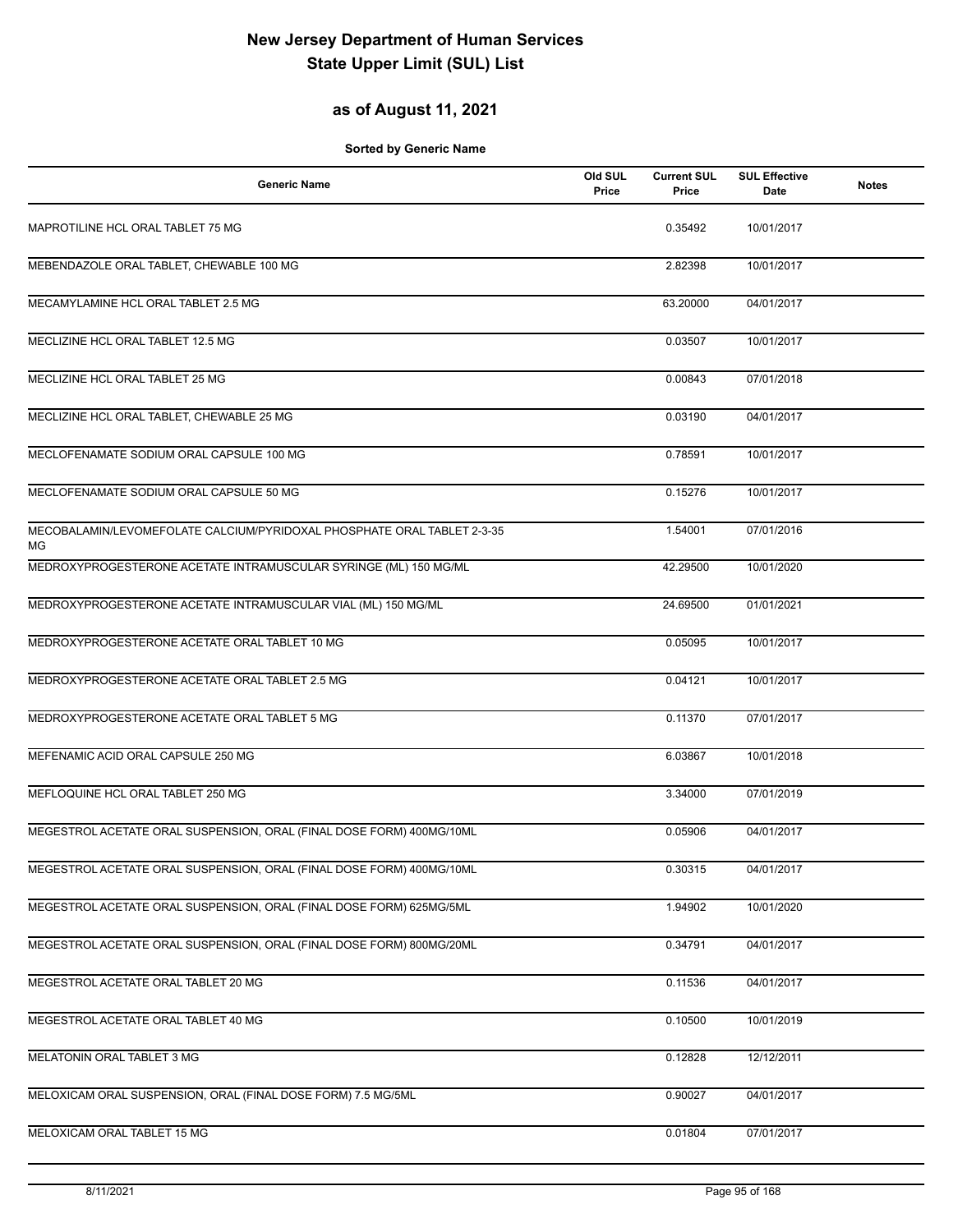#### **as of August 11, 2021**

| <b>Generic Name</b>                                                           | Old SUL<br>Price | <b>Current SUL</b><br>Price | <b>SUL Effective</b><br>Date | <b>Notes</b> |
|-------------------------------------------------------------------------------|------------------|-----------------------------|------------------------------|--------------|
| MAPROTILINE HCL ORAL TABLET 75 MG                                             |                  | 0.35492                     | 10/01/2017                   |              |
| MEBENDAZOLE ORAL TABLET, CHEWABLE 100 MG                                      |                  | 2.82398                     | 10/01/2017                   |              |
| MECAMYLAMINE HCL ORAL TABLET 2.5 MG                                           |                  | 63.20000                    | 04/01/2017                   |              |
| MECLIZINE HCL ORAL TABLET 12.5 MG                                             |                  | 0.03507                     | 10/01/2017                   |              |
| MECLIZINE HCL ORAL TABLET 25 MG                                               |                  | 0.00843                     | 07/01/2018                   |              |
| MECLIZINE HCL ORAL TABLET, CHEWABLE 25 MG                                     |                  | 0.03190                     | 04/01/2017                   |              |
| MECLOFENAMATE SODIUM ORAL CAPSULE 100 MG                                      |                  | 0.78591                     | 10/01/2017                   |              |
| MECLOFENAMATE SODIUM ORAL CAPSULE 50 MG                                       |                  | 0.15276                     | 10/01/2017                   |              |
| MECOBALAMIN/LEVOMEFOLATE CALCIUM/PYRIDOXAL PHOSPHATE ORAL TABLET 2-3-35<br>МG |                  | 1.54001                     | 07/01/2016                   |              |
| MEDROXYPROGESTERONE ACETATE INTRAMUSCULAR SYRINGE (ML) 150 MG/ML              |                  | 42.29500                    | 10/01/2020                   |              |
| MEDROXYPROGESTERONE ACETATE INTRAMUSCULAR VIAL (ML) 150 MG/ML                 |                  | 24.69500                    | 01/01/2021                   |              |
| MEDROXYPROGESTERONE ACETATE ORAL TABLET 10 MG                                 |                  | 0.05095                     | 10/01/2017                   |              |
| MEDROXYPROGESTERONE ACETATE ORAL TABLET 2.5 MG                                |                  | 0.04121                     | 10/01/2017                   |              |
| MEDROXYPROGESTERONE ACETATE ORAL TABLET 5 MG                                  |                  | 0.11370                     | 07/01/2017                   |              |
| MEFENAMIC ACID ORAL CAPSULE 250 MG                                            |                  | 6.03867                     | 10/01/2018                   |              |
| MEFLOQUINE HCL ORAL TABLET 250 MG                                             |                  | 3.34000                     | 07/01/2019                   |              |
| MEGESTROL ACETATE ORAL SUSPENSION, ORAL (FINAL DOSE FORM) 400MG/10ML          |                  | 0.05906                     | 04/01/2017                   |              |
| MEGESTROL ACETATE ORAL SUSPENSION, ORAL (FINAL DOSE FORM) 400MG/10ML          |                  | 0.30315                     | 04/01/2017                   |              |
| MEGESTROL ACETATE ORAL SUSPENSION, ORAL (FINAL DOSE FORM) 625MG/5ML           |                  | 1.94902                     | 10/01/2020                   |              |
| MEGESTROL ACETATE ORAL SUSPENSION, ORAL (FINAL DOSE FORM) 800MG/20ML          |                  | 0.34791                     | 04/01/2017                   |              |
| MEGESTROL ACETATE ORAL TABLET 20 MG                                           |                  | 0.11536                     | 04/01/2017                   |              |
| MEGESTROL ACETATE ORAL TABLET 40 MG                                           |                  | 0.10500                     | 10/01/2019                   |              |
| MELATONIN ORAL TABLET 3 MG                                                    |                  | 0.12828                     | 12/12/2011                   |              |
| MELOXICAM ORAL SUSPENSION, ORAL (FINAL DOSE FORM) 7.5 MG/5ML                  |                  | 0.90027                     | 04/01/2017                   |              |
| MELOXICAM ORAL TABLET 15 MG                                                   |                  | 0.01804                     | 07/01/2017                   |              |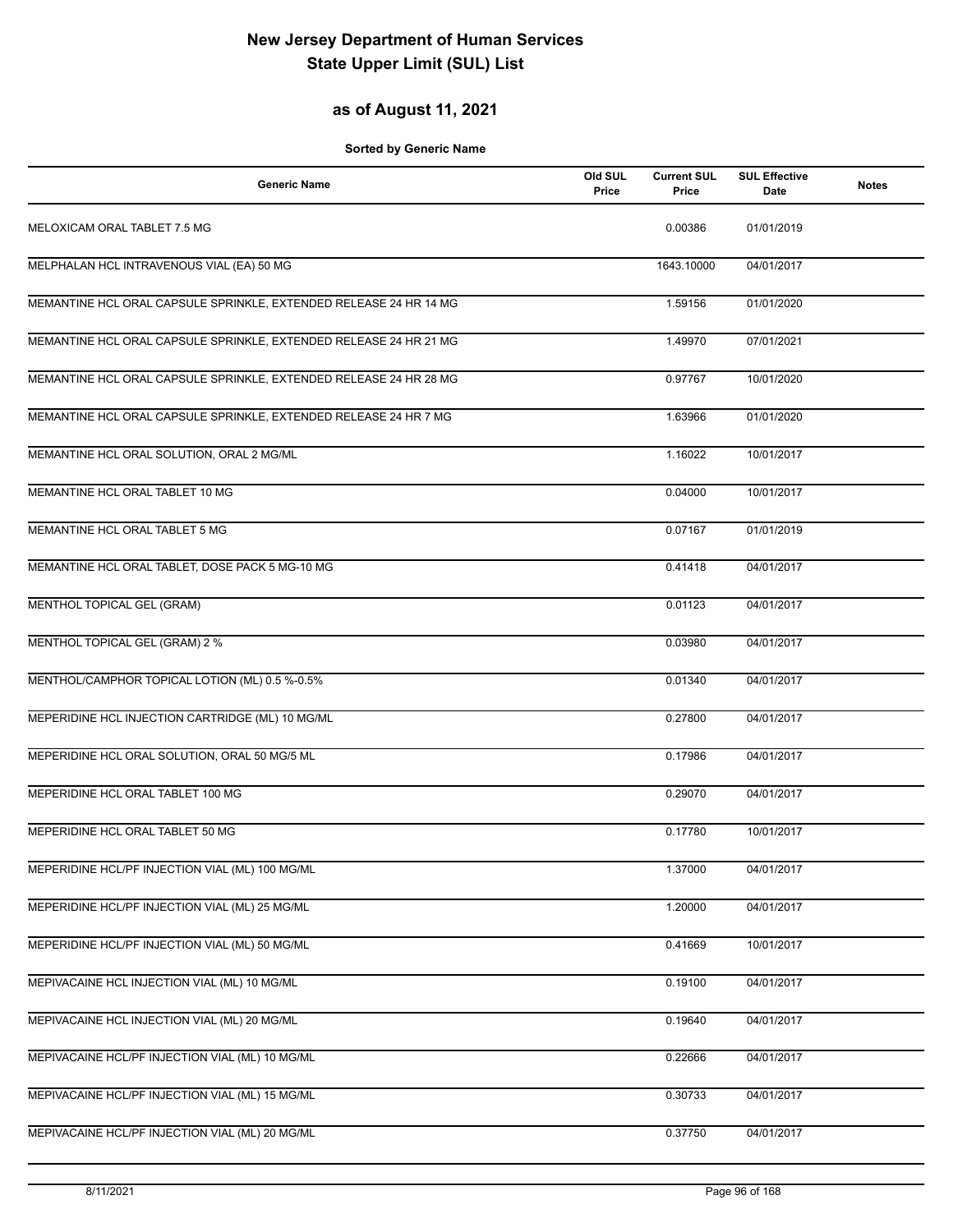### **as of August 11, 2021**

| <b>Generic Name</b>                                               | Old SUL<br>Price | <b>Current SUL</b><br>Price | <b>SUL Effective</b><br>Date | <b>Notes</b> |
|-------------------------------------------------------------------|------------------|-----------------------------|------------------------------|--------------|
| MELOXICAM ORAL TABLET 7.5 MG                                      |                  | 0.00386                     | 01/01/2019                   |              |
| MELPHALAN HCL INTRAVENOUS VIAL (EA) 50 MG                         |                  | 1643.10000                  | 04/01/2017                   |              |
| MEMANTINE HCL ORAL CAPSULE SPRINKLE, EXTENDED RELEASE 24 HR 14 MG |                  | 1.59156                     | 01/01/2020                   |              |
| MEMANTINE HCL ORAL CAPSULE SPRINKLE, EXTENDED RELEASE 24 HR 21 MG |                  | 1.49970                     | 07/01/2021                   |              |
| MEMANTINE HCL ORAL CAPSULE SPRINKLE, EXTENDED RELEASE 24 HR 28 MG |                  | 0.97767                     | 10/01/2020                   |              |
| MEMANTINE HCL ORAL CAPSULE SPRINKLE, EXTENDED RELEASE 24 HR 7 MG  |                  | 1.63966                     | 01/01/2020                   |              |
| MEMANTINE HCL ORAL SOLUTION, ORAL 2 MG/ML                         |                  | 1.16022                     | 10/01/2017                   |              |
| MEMANTINE HCL ORAL TABLET 10 MG                                   |                  | 0.04000                     | 10/01/2017                   |              |
| MEMANTINE HCL ORAL TABLET 5 MG                                    |                  | 0.07167                     | 01/01/2019                   |              |
| MEMANTINE HCL ORAL TABLET, DOSE PACK 5 MG-10 MG                   |                  | 0.41418                     | 04/01/2017                   |              |
| MENTHOL TOPICAL GEL (GRAM)                                        |                  | 0.01123                     | 04/01/2017                   |              |
| MENTHOL TOPICAL GEL (GRAM) 2 %                                    |                  | 0.03980                     | 04/01/2017                   |              |
| MENTHOL/CAMPHOR TOPICAL LOTION (ML) 0.5 %-0.5%                    |                  | 0.01340                     | 04/01/2017                   |              |
| MEPERIDINE HCL INJECTION CARTRIDGE (ML) 10 MG/ML                  |                  | 0.27800                     | 04/01/2017                   |              |
| MEPERIDINE HCL ORAL SOLUTION, ORAL 50 MG/5 ML                     |                  | 0.17986                     | 04/01/2017                   |              |
| MEPERIDINE HCL ORAL TABLET 100 MG                                 |                  | 0.29070                     | 04/01/2017                   |              |
| MEPERIDINE HCL ORAL TABLET 50 MG                                  |                  | 0.17780                     | 10/01/2017                   |              |
| MEPERIDINE HCL/PF INJECTION VIAL (ML) 100 MG/ML                   |                  | 1.37000                     | 04/01/2017                   |              |
| MEPERIDINE HCL/PF INJECTION VIAL (ML) 25 MG/ML                    |                  | 1.20000                     | 04/01/2017                   |              |
| MEPERIDINE HCL/PF INJECTION VIAL (ML) 50 MG/ML                    |                  | 0.41669                     | 10/01/2017                   |              |
| MEPIVACAINE HCL INJECTION VIAL (ML) 10 MG/ML                      |                  | 0.19100                     | 04/01/2017                   |              |
| MEPIVACAINE HCL INJECTION VIAL (ML) 20 MG/ML                      |                  | 0.19640                     | 04/01/2017                   |              |
| MEPIVACAINE HCL/PF INJECTION VIAL (ML) 10 MG/ML                   |                  | 0.22666                     | 04/01/2017                   |              |
| MEPIVACAINE HCL/PF INJECTION VIAL (ML) 15 MG/ML                   |                  | 0.30733                     | 04/01/2017                   |              |
| MEPIVACAINE HCL/PF INJECTION VIAL (ML) 20 MG/ML                   |                  | 0.37750                     | 04/01/2017                   |              |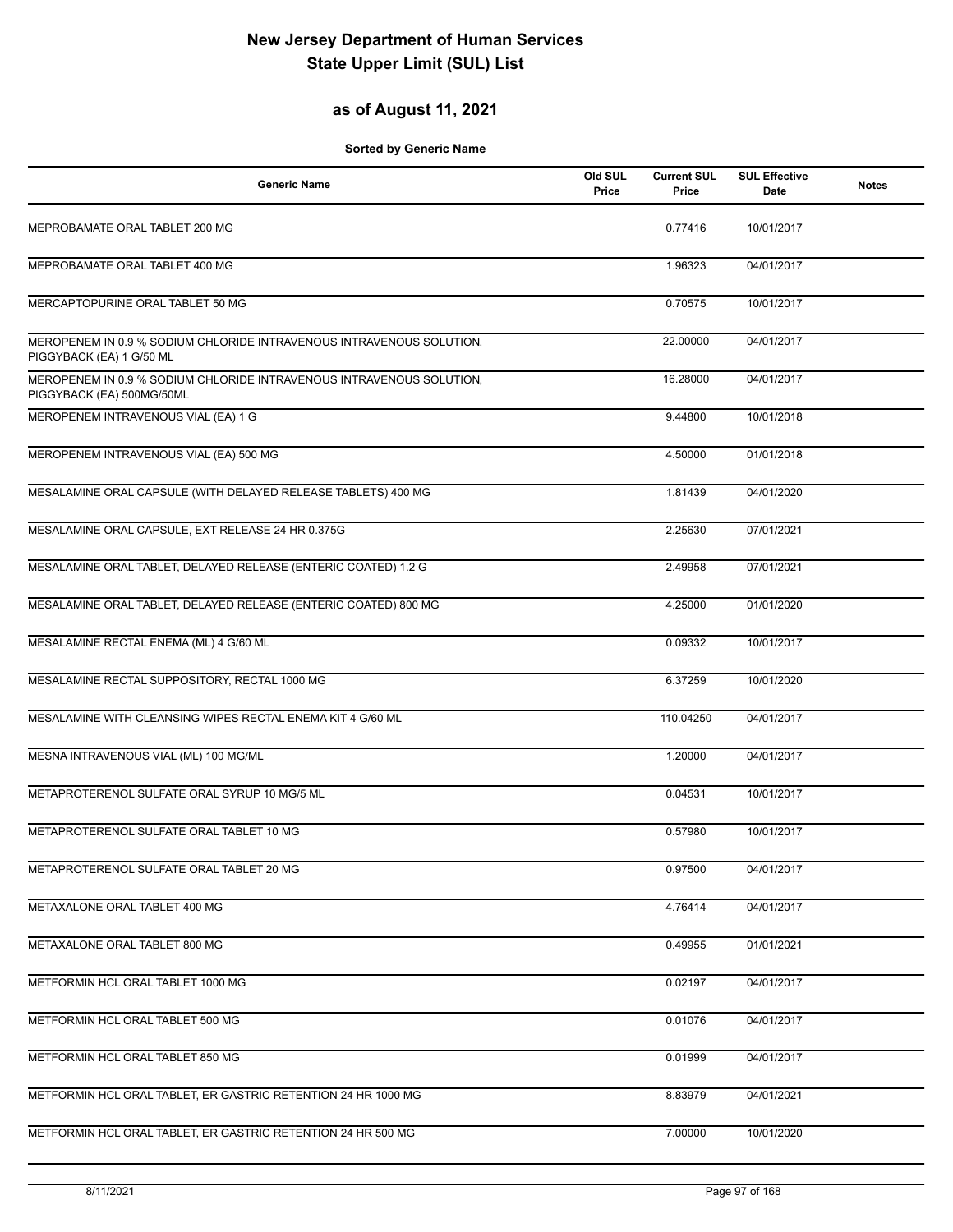### **as of August 11, 2021**

| <b>Generic Name</b>                                                                               | Old SUL<br>Price | <b>Current SUL</b><br>Price | <b>SUL Effective</b><br>Date | <b>Notes</b> |
|---------------------------------------------------------------------------------------------------|------------------|-----------------------------|------------------------------|--------------|
| MEPROBAMATE ORAL TABLET 200 MG                                                                    |                  | 0.77416                     | 10/01/2017                   |              |
| MEPROBAMATE ORAL TABLET 400 MG                                                                    |                  | 1.96323                     | 04/01/2017                   |              |
| MERCAPTOPURINE ORAL TABLET 50 MG                                                                  |                  | 0.70575                     | 10/01/2017                   |              |
| MEROPENEM IN 0.9 % SODIUM CHLORIDE INTRAVENOUS INTRAVENOUS SOLUTION,<br>PIGGYBACK (EA) 1 G/50 ML  |                  | 22.00000                    | 04/01/2017                   |              |
| MEROPENEM IN 0.9 % SODIUM CHLORIDE INTRAVENOUS INTRAVENOUS SOLUTION,<br>PIGGYBACK (EA) 500MG/50ML |                  | 16.28000                    | 04/01/2017                   |              |
| MEROPENEM INTRAVENOUS VIAL (EA) 1 G                                                               |                  | 9.44800                     | 10/01/2018                   |              |
| MEROPENEM INTRAVENOUS VIAL (EA) 500 MG                                                            |                  | 4.50000                     | 01/01/2018                   |              |
| MESALAMINE ORAL CAPSULE (WITH DELAYED RELEASE TABLETS) 400 MG                                     |                  | 1.81439                     | 04/01/2020                   |              |
| MESALAMINE ORAL CAPSULE, EXT RELEASE 24 HR 0.375G                                                 |                  | 2.25630                     | 07/01/2021                   |              |
| MESALAMINE ORAL TABLET, DELAYED RELEASE (ENTERIC COATED) 1.2 G                                    |                  | 2.49958                     | 07/01/2021                   |              |
| MESALAMINE ORAL TABLET, DELAYED RELEASE (ENTERIC COATED) 800 MG                                   |                  | 4.25000                     | 01/01/2020                   |              |
| MESALAMINE RECTAL ENEMA (ML) 4 G/60 ML                                                            |                  | 0.09332                     | 10/01/2017                   |              |
| MESALAMINE RECTAL SUPPOSITORY, RECTAL 1000 MG                                                     |                  | 6.37259                     | 10/01/2020                   |              |
| MESALAMINE WITH CLEANSING WIPES RECTAL ENEMA KIT 4 G/60 ML                                        |                  | 110.04250                   | 04/01/2017                   |              |
| MESNA INTRAVENOUS VIAL (ML) 100 MG/ML                                                             |                  | 1.20000                     | 04/01/2017                   |              |
| METAPROTERENOL SULFATE ORAL SYRUP 10 MG/5 ML                                                      |                  | 0.04531                     | 10/01/2017                   |              |
| METAPROTERENOL SULFATE ORAL TABLET 10 MG                                                          |                  | 0.57980                     | 10/01/2017                   |              |
| METAPROTERENOL SULFATE ORAL TABLET 20 MG                                                          |                  | 0.97500                     | 04/01/2017                   |              |
| METAXALONE ORAL TABLET 400 MG                                                                     |                  | 4.76414                     | 04/01/2017                   |              |
| METAXALONE ORAL TABLET 800 MG                                                                     |                  | 0.49955                     | 01/01/2021                   |              |
| METFORMIN HCL ORAL TABLET 1000 MG                                                                 |                  | 0.02197                     | 04/01/2017                   |              |
| METFORMIN HCL ORAL TABLET 500 MG                                                                  |                  | 0.01076                     | 04/01/2017                   |              |
| METFORMIN HCL ORAL TABLET 850 MG                                                                  |                  | 0.01999                     | 04/01/2017                   |              |
| METFORMIN HCL ORAL TABLET, ER GASTRIC RETENTION 24 HR 1000 MG                                     |                  | 8.83979                     | 04/01/2021                   |              |
| METFORMIN HCL ORAL TABLET, ER GASTRIC RETENTION 24 HR 500 MG                                      |                  | 7.00000                     | 10/01/2020                   |              |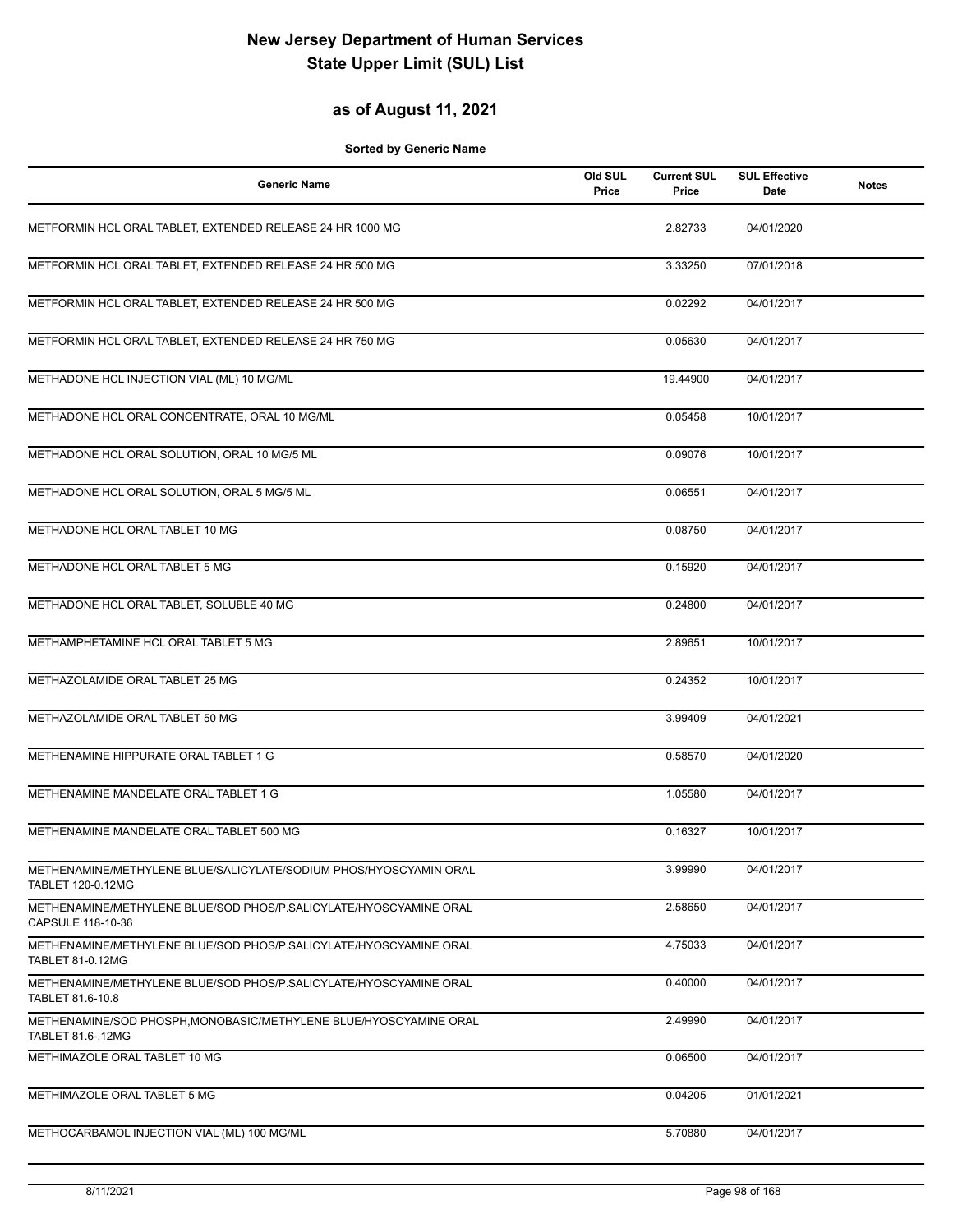#### **as of August 11, 2021**

| <b>Generic Name</b>                                                                           | Old SUL<br>Price | <b>Current SUL</b><br>Price | <b>SUL Effective</b><br>Date | <b>Notes</b> |
|-----------------------------------------------------------------------------------------------|------------------|-----------------------------|------------------------------|--------------|
| METFORMIN HCL ORAL TABLET, EXTENDED RELEASE 24 HR 1000 MG                                     |                  | 2.82733                     | 04/01/2020                   |              |
| METFORMIN HCL ORAL TABLET, EXTENDED RELEASE 24 HR 500 MG                                      |                  | 3.33250                     | 07/01/2018                   |              |
| METFORMIN HCL ORAL TABLET, EXTENDED RELEASE 24 HR 500 MG                                      |                  | 0.02292                     | 04/01/2017                   |              |
| METFORMIN HCL ORAL TABLET, EXTENDED RELEASE 24 HR 750 MG                                      |                  | 0.05630                     | 04/01/2017                   |              |
| METHADONE HCL INJECTION VIAL (ML) 10 MG/ML                                                    |                  | 19.44900                    | 04/01/2017                   |              |
| METHADONE HCL ORAL CONCENTRATE, ORAL 10 MG/ML                                                 |                  | 0.05458                     | 10/01/2017                   |              |
| METHADONE HCL ORAL SOLUTION, ORAL 10 MG/5 ML                                                  |                  | 0.09076                     | 10/01/2017                   |              |
| METHADONE HCL ORAL SOLUTION, ORAL 5 MG/5 ML                                                   |                  | 0.06551                     | 04/01/2017                   |              |
| METHADONE HCL ORAL TABLET 10 MG                                                               |                  | 0.08750                     | 04/01/2017                   |              |
| METHADONE HCL ORAL TABLET 5 MG                                                                |                  | 0.15920                     | 04/01/2017                   |              |
| METHADONE HCL ORAL TABLET, SOLUBLE 40 MG                                                      |                  | 0.24800                     | 04/01/2017                   |              |
| METHAMPHETAMINE HCL ORAL TABLET 5 MG                                                          |                  | 2.89651                     | 10/01/2017                   |              |
| METHAZOLAMIDE ORAL TABLET 25 MG                                                               |                  | 0.24352                     | 10/01/2017                   |              |
| METHAZOLAMIDE ORAL TABLET 50 MG                                                               |                  | 3.99409                     | 04/01/2021                   |              |
| METHENAMINE HIPPURATE ORAL TABLET 1 G                                                         |                  | 0.58570                     | 04/01/2020                   |              |
| METHENAMINE MANDELATE ORAL TABLET 1 G                                                         |                  | 1.05580                     | 04/01/2017                   |              |
| METHENAMINE MANDELATE ORAL TABLET 500 MG                                                      |                  | 0.16327                     | 10/01/2017                   |              |
| METHENAMINE/METHYLENE BLUE/SALICYLATE/SODIUM PHOS/HYOSCYAMIN ORAL<br><b>TABLET 120-0.12MG</b> |                  | 3.99990                     | 04/01/2017                   |              |
| METHENAMINE/METHYLENE BLUE/SOD PHOS/P.SALICYLATE/HYOSCYAMINE ORAL<br>CAPSULE 118-10-36        |                  | 2.58650                     | 04/01/2017                   |              |
| METHENAMINE/METHYLENE BLUE/SOD PHOS/P.SALICYLATE/HYOSCYAMINE ORAL<br>TABLET 81-0.12MG         |                  | 4.75033                     | 04/01/2017                   |              |
| METHENAMINE/METHYLENE BLUE/SOD PHOS/P.SALICYLATE/HYOSCYAMINE ORAL<br>TABLET 81.6-10.8         |                  | 0.40000                     | 04/01/2017                   |              |
| METHENAMINE/SOD PHOSPH, MONOBASIC/METHYLENE BLUE/HYOSCYAMINE ORAL<br>TABLET 81.6-.12MG        |                  | 2.49990                     | 04/01/2017                   |              |
| METHIMAZOLE ORAL TABLET 10 MG                                                                 |                  | 0.06500                     | 04/01/2017                   |              |
| METHIMAZOLE ORAL TABLET 5 MG                                                                  |                  | 0.04205                     | 01/01/2021                   |              |
| METHOCARBAMOL INJECTION VIAL (ML) 100 MG/ML                                                   |                  | 5.70880                     | 04/01/2017                   |              |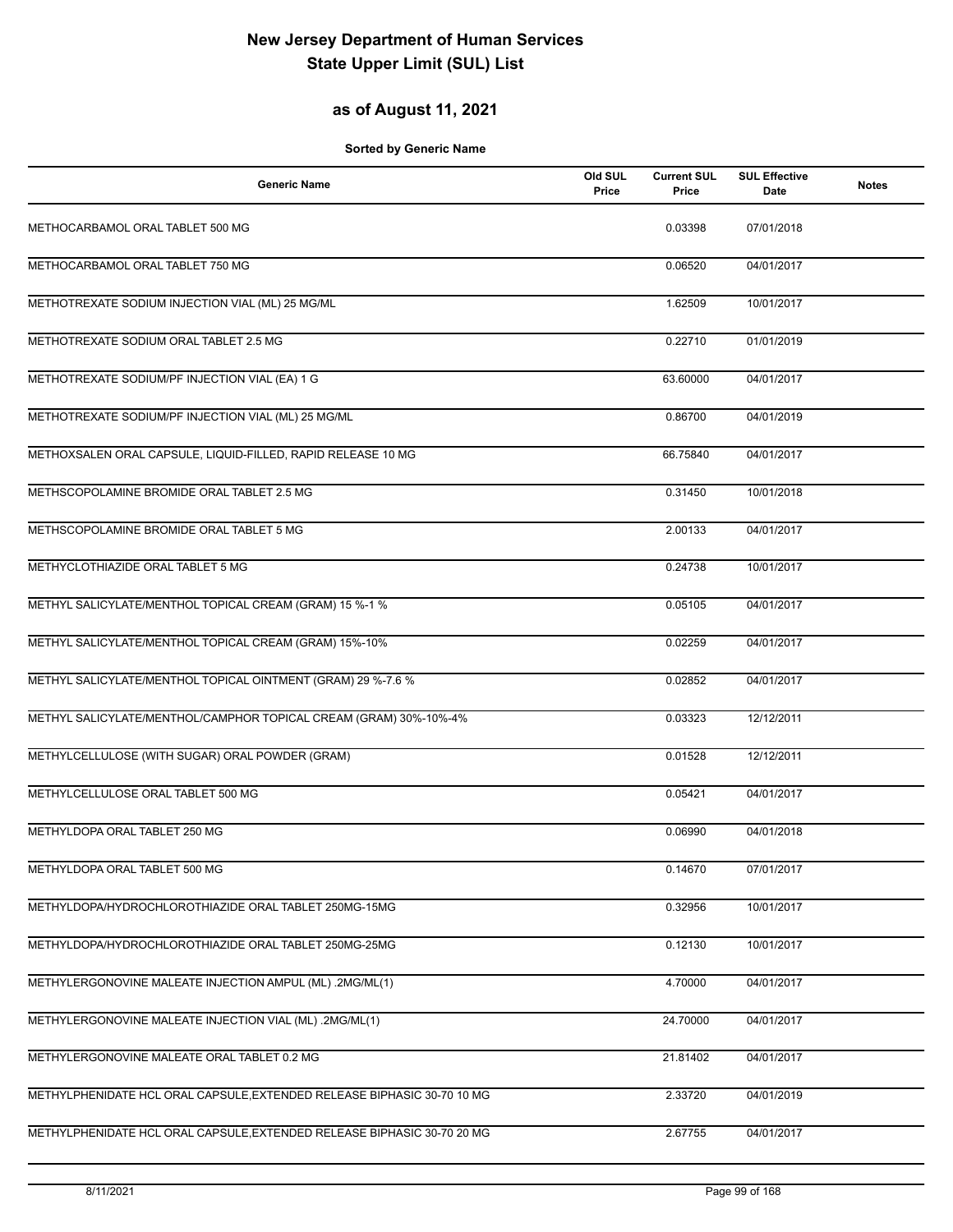#### **as of August 11, 2021**

| <b>Generic Name</b>                                                     | Old SUL<br>Price | <b>Current SUL</b><br>Price | <b>SUL Effective</b><br>Date | <b>Notes</b> |
|-------------------------------------------------------------------------|------------------|-----------------------------|------------------------------|--------------|
| METHOCARBAMOL ORAL TABLET 500 MG                                        |                  | 0.03398                     | 07/01/2018                   |              |
| METHOCARBAMOL ORAL TABLET 750 MG                                        |                  | 0.06520                     | 04/01/2017                   |              |
| METHOTREXATE SODIUM INJECTION VIAL (ML) 25 MG/ML                        |                  | 1.62509                     | 10/01/2017                   |              |
| METHOTREXATE SODIUM ORAL TABLET 2.5 MG                                  |                  | 0.22710                     | 01/01/2019                   |              |
| METHOTREXATE SODIUM/PF INJECTION VIAL (EA) 1 G                          |                  | 63.60000                    | 04/01/2017                   |              |
| METHOTREXATE SODIUM/PF INJECTION VIAL (ML) 25 MG/ML                     |                  | 0.86700                     | 04/01/2019                   |              |
| METHOXSALEN ORAL CAPSULE, LIQUID-FILLED, RAPID RELEASE 10 MG            |                  | 66.75840                    | 04/01/2017                   |              |
| METHSCOPOLAMINE BROMIDE ORAL TABLET 2.5 MG                              |                  | 0.31450                     | 10/01/2018                   |              |
| METHSCOPOLAMINE BROMIDE ORAL TABLET 5 MG                                |                  | 2.00133                     | 04/01/2017                   |              |
| METHYCLOTHIAZIDE ORAL TABLET 5 MG                                       |                  | 0.24738                     | 10/01/2017                   |              |
| METHYL SALICYLATE/MENTHOL TOPICAL CREAM (GRAM) 15 %-1 %                 |                  | 0.05105                     | 04/01/2017                   |              |
| METHYL SALICYLATE/MENTHOL TOPICAL CREAM (GRAM) 15%-10%                  |                  | 0.02259                     | 04/01/2017                   |              |
| METHYL SALICYLATE/MENTHOL TOPICAL OINTMENT (GRAM) 29 %-7.6 %            |                  | 0.02852                     | 04/01/2017                   |              |
| METHYL SALICYLATE/MENTHOL/CAMPHOR TOPICAL CREAM (GRAM) 30%-10%-4%       |                  | 0.03323                     | 12/12/2011                   |              |
| METHYLCELLULOSE (WITH SUGAR) ORAL POWDER (GRAM)                         |                  | 0.01528                     | 12/12/2011                   |              |
| METHYLCELLULOSE ORAL TABLET 500 MG                                      |                  | 0.05421                     | 04/01/2017                   |              |
| METHYLDOPA ORAL TABLET 250 MG                                           |                  | 0.06990                     | 04/01/2018                   |              |
| METHYLDOPA ORAL TABLET 500 MG                                           |                  | 0.14670                     | 07/01/2017                   |              |
| METHYLDOPA/HYDROCHLOROTHIAZIDE ORAL TABLET 250MG-15MG                   |                  | 0.32956                     | 10/01/2017                   |              |
| METHYLDOPA/HYDROCHLOROTHIAZIDE ORAL TABLET 250MG-25MG                   |                  | 0.12130                     | 10/01/2017                   |              |
| METHYLERGONOVINE MALEATE INJECTION AMPUL (ML) .2MG/ML(1)                |                  | 4.70000                     | 04/01/2017                   |              |
| METHYLERGONOVINE MALEATE INJECTION VIAL (ML) .2MG/ML(1)                 |                  | 24.70000                    | 04/01/2017                   |              |
| METHYLERGONOVINE MALEATE ORAL TABLET 0.2 MG                             |                  | 21.81402                    | 04/01/2017                   |              |
| METHYLPHENIDATE HCL ORAL CAPSULE, EXTENDED RELEASE BIPHASIC 30-70 10 MG |                  | 2.33720                     | 04/01/2019                   |              |
| METHYLPHENIDATE HCL ORAL CAPSULE, EXTENDED RELEASE BIPHASIC 30-70 20 MG |                  | 2.67755                     | 04/01/2017                   |              |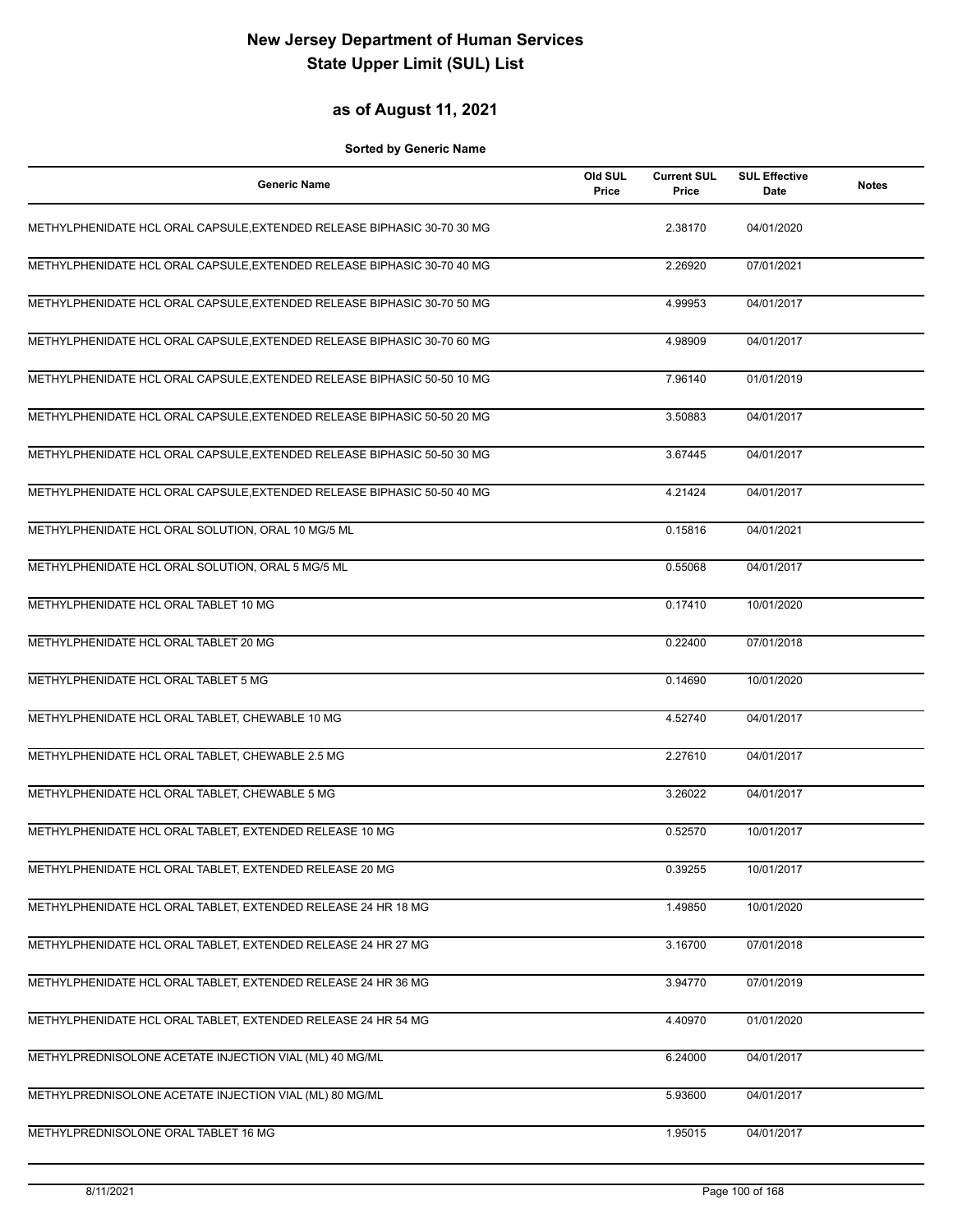### **as of August 11, 2021**

| <b>Generic Name</b>                                                     | Old SUL<br>Price | <b>Current SUL</b><br>Price | <b>SUL Effective</b><br>Date | Notes |
|-------------------------------------------------------------------------|------------------|-----------------------------|------------------------------|-------|
| METHYLPHENIDATE HCL ORAL CAPSULE, EXTENDED RELEASE BIPHASIC 30-70 30 MG |                  | 2.38170                     | 04/01/2020                   |       |
| METHYLPHENIDATE HCL ORAL CAPSULE, EXTENDED RELEASE BIPHASIC 30-70 40 MG |                  | 2.26920                     | 07/01/2021                   |       |
| METHYLPHENIDATE HCL ORAL CAPSULE, EXTENDED RELEASE BIPHASIC 30-70 50 MG |                  | 4.99953                     | 04/01/2017                   |       |
| METHYLPHENIDATE HCL ORAL CAPSULE, EXTENDED RELEASE BIPHASIC 30-70 60 MG |                  | 4.98909                     | 04/01/2017                   |       |
| METHYLPHENIDATE HCL ORAL CAPSULE, EXTENDED RELEASE BIPHASIC 50-50 10 MG |                  | 7.96140                     | 01/01/2019                   |       |
| METHYLPHENIDATE HCL ORAL CAPSULE, EXTENDED RELEASE BIPHASIC 50-50 20 MG |                  | 3.50883                     | 04/01/2017                   |       |
| METHYLPHENIDATE HCL ORAL CAPSULE, EXTENDED RELEASE BIPHASIC 50-50 30 MG |                  | 3.67445                     | 04/01/2017                   |       |
| METHYLPHENIDATE HCL ORAL CAPSULE, EXTENDED RELEASE BIPHASIC 50-50 40 MG |                  | 4.21424                     | 04/01/2017                   |       |
| METHYLPHENIDATE HCL ORAL SOLUTION, ORAL 10 MG/5 ML                      |                  | 0.15816                     | 04/01/2021                   |       |
| METHYLPHENIDATE HCL ORAL SOLUTION, ORAL 5 MG/5 ML                       |                  | 0.55068                     | 04/01/2017                   |       |
| METHYLPHENIDATE HCL ORAL TABLET 10 MG                                   |                  | 0.17410                     | 10/01/2020                   |       |
| METHYLPHENIDATE HCL ORAL TABLET 20 MG                                   |                  | 0.22400                     | 07/01/2018                   |       |
| METHYLPHENIDATE HCL ORAL TABLET 5 MG                                    |                  | 0.14690                     | 10/01/2020                   |       |
| METHYLPHENIDATE HCL ORAL TABLET, CHEWABLE 10 MG                         |                  | 4.52740                     | 04/01/2017                   |       |
| METHYLPHENIDATE HCL ORAL TABLET, CHEWABLE 2.5 MG                        |                  | 2.27610                     | 04/01/2017                   |       |
| METHYLPHENIDATE HCL ORAL TABLET, CHEWABLE 5 MG                          |                  | 3.26022                     | 04/01/2017                   |       |
| METHYLPHENIDATE HCL ORAL TABLET, EXTENDED RELEASE 10 MG                 |                  | 0.52570                     | 10/01/2017                   |       |
| METHYLPHENIDATE HCL ORAL TABLET, EXTENDED RELEASE 20 MG                 |                  | 0.39255                     | 10/01/2017                   |       |
| METHYLPHENIDATE HCL ORAL TABLET, EXTENDED RELEASE 24 HR 18 MG           |                  | 1.49850                     | 10/01/2020                   |       |
| METHYLPHENIDATE HCL ORAL TABLET, EXTENDED RELEASE 24 HR 27 MG           |                  | 3.16700                     | 07/01/2018                   |       |
| METHYLPHENIDATE HCL ORAL TABLET, EXTENDED RELEASE 24 HR 36 MG           |                  | 3.94770                     | 07/01/2019                   |       |
| METHYLPHENIDATE HCL ORAL TABLET, EXTENDED RELEASE 24 HR 54 MG           |                  | 4.40970                     | 01/01/2020                   |       |
| METHYLPREDNISOLONE ACETATE INJECTION VIAL (ML) 40 MG/ML                 |                  | 6.24000                     | 04/01/2017                   |       |
| METHYLPREDNISOLONE ACETATE INJECTION VIAL (ML) 80 MG/ML                 |                  | 5.93600                     | 04/01/2017                   |       |
| METHYLPREDNISOLONE ORAL TABLET 16 MG                                    |                  | 1.95015                     | 04/01/2017                   |       |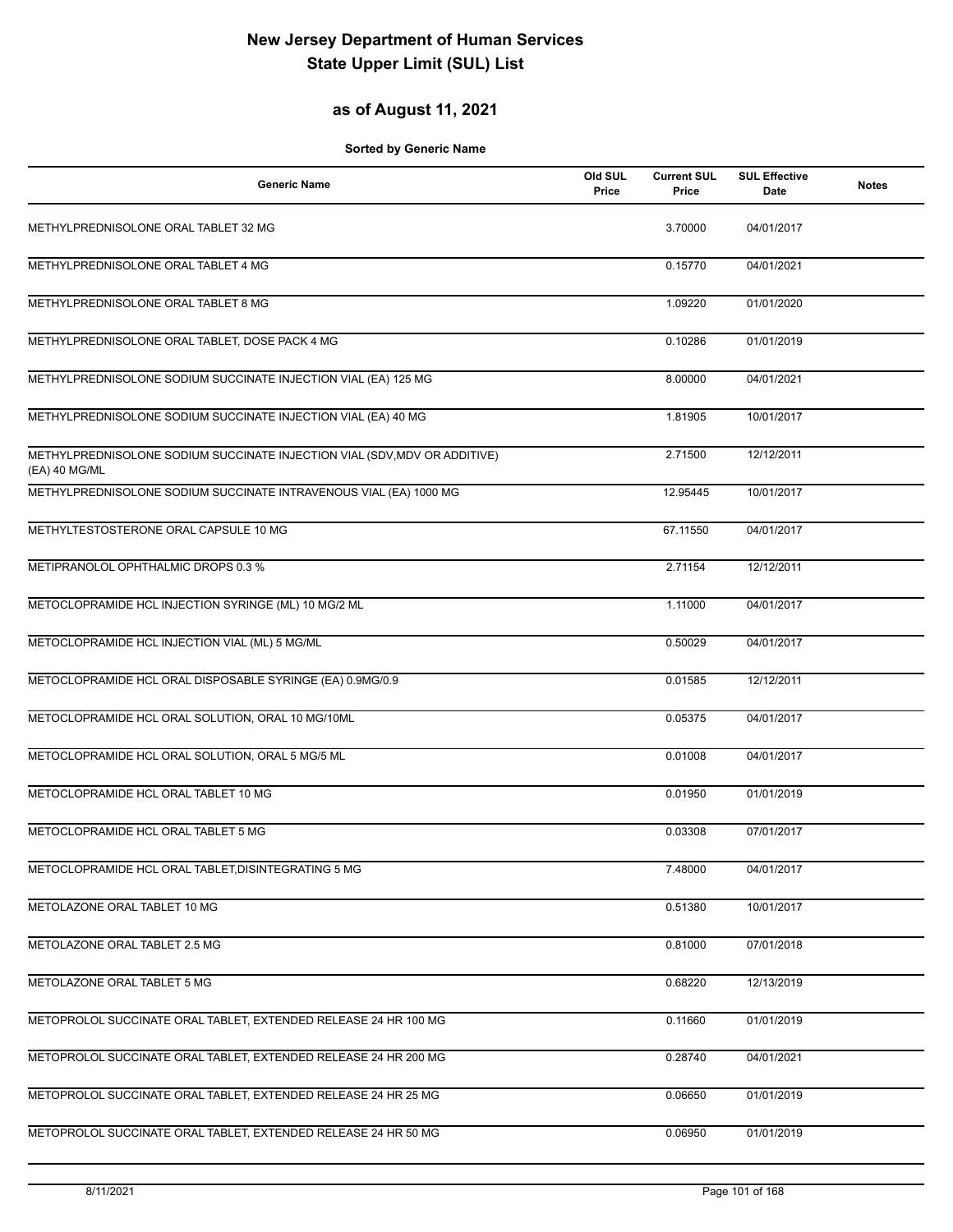#### **as of August 11, 2021**

| <b>Generic Name</b>                                                                        | Old SUL<br>Price | <b>Current SUL</b><br>Price | <b>SUL Effective</b><br><b>Date</b> | <b>Notes</b> |
|--------------------------------------------------------------------------------------------|------------------|-----------------------------|-------------------------------------|--------------|
| METHYLPREDNISOLONE ORAL TABLET 32 MG                                                       |                  | 3.70000                     | 04/01/2017                          |              |
| METHYLPREDNISOLONE ORAL TABLET 4 MG                                                        |                  | 0.15770                     | 04/01/2021                          |              |
| METHYLPREDNISOLONE ORAL TABLET 8 MG                                                        |                  | 1.09220                     | 01/01/2020                          |              |
| METHYLPREDNISOLONE ORAL TABLET, DOSE PACK 4 MG                                             |                  | 0.10286                     | 01/01/2019                          |              |
| METHYLPREDNISOLONE SODIUM SUCCINATE INJECTION VIAL (EA) 125 MG                             |                  | 8.00000                     | 04/01/2021                          |              |
| METHYLPREDNISOLONE SODIUM SUCCINATE INJECTION VIAL (EA) 40 MG                              |                  | 1.81905                     | 10/01/2017                          |              |
| METHYLPREDNISOLONE SODIUM SUCCINATE INJECTION VIAL (SDV, MDV OR ADDITIVE)<br>(EA) 40 MG/ML |                  | 2.71500                     | 12/12/2011                          |              |
| METHYLPREDNISOLONE SODIUM SUCCINATE INTRAVENOUS VIAL (EA) 1000 MG                          |                  | 12.95445                    | 10/01/2017                          |              |
| METHYLTESTOSTERONE ORAL CAPSULE 10 MG                                                      |                  | 67.11550                    | 04/01/2017                          |              |
| METIPRANOLOL OPHTHALMIC DROPS 0.3 %                                                        |                  | 2.71154                     | 12/12/2011                          |              |
| METOCLOPRAMIDE HCL INJECTION SYRINGE (ML) 10 MG/2 ML                                       |                  | 1.11000                     | 04/01/2017                          |              |
| METOCLOPRAMIDE HCL INJECTION VIAL (ML) 5 MG/ML                                             |                  | 0.50029                     | 04/01/2017                          |              |
| METOCLOPRAMIDE HCL ORAL DISPOSABLE SYRINGE (EA) 0.9MG/0.9                                  |                  | 0.01585                     | 12/12/2011                          |              |
| METOCLOPRAMIDE HCL ORAL SOLUTION, ORAL 10 MG/10ML                                          |                  | 0.05375                     | 04/01/2017                          |              |
| METOCLOPRAMIDE HCL ORAL SOLUTION, ORAL 5 MG/5 ML                                           |                  | 0.01008                     | 04/01/2017                          |              |
| METOCLOPRAMIDE HCL ORAL TABLET 10 MG                                                       |                  | 0.01950                     | 01/01/2019                          |              |
| METOCLOPRAMIDE HCL ORAL TABLET 5 MG                                                        |                  | 0.03308                     | 07/01/2017                          |              |
| METOCLOPRAMIDE HCL ORAL TABLET, DISINTEGRATING 5 MG                                        |                  | 7.48000                     | 04/01/2017                          |              |
| METOLAZONE ORAL TABLET 10 MG                                                               |                  | 0.51380                     | 10/01/2017                          |              |
| METOLAZONE ORAL TABLET 2.5 MG                                                              |                  | 0.81000                     | 07/01/2018                          |              |
| METOLAZONE ORAL TABLET 5 MG                                                                |                  | 0.68220                     | 12/13/2019                          |              |
| METOPROLOL SUCCINATE ORAL TABLET, EXTENDED RELEASE 24 HR 100 MG                            |                  | 0.11660                     | 01/01/2019                          |              |
| METOPROLOL SUCCINATE ORAL TABLET, EXTENDED RELEASE 24 HR 200 MG                            |                  | 0.28740                     | 04/01/2021                          |              |
| METOPROLOL SUCCINATE ORAL TABLET, EXTENDED RELEASE 24 HR 25 MG                             |                  | 0.06650                     | 01/01/2019                          |              |
| METOPROLOL SUCCINATE ORAL TABLET, EXTENDED RELEASE 24 HR 50 MG                             |                  | 0.06950                     | 01/01/2019                          |              |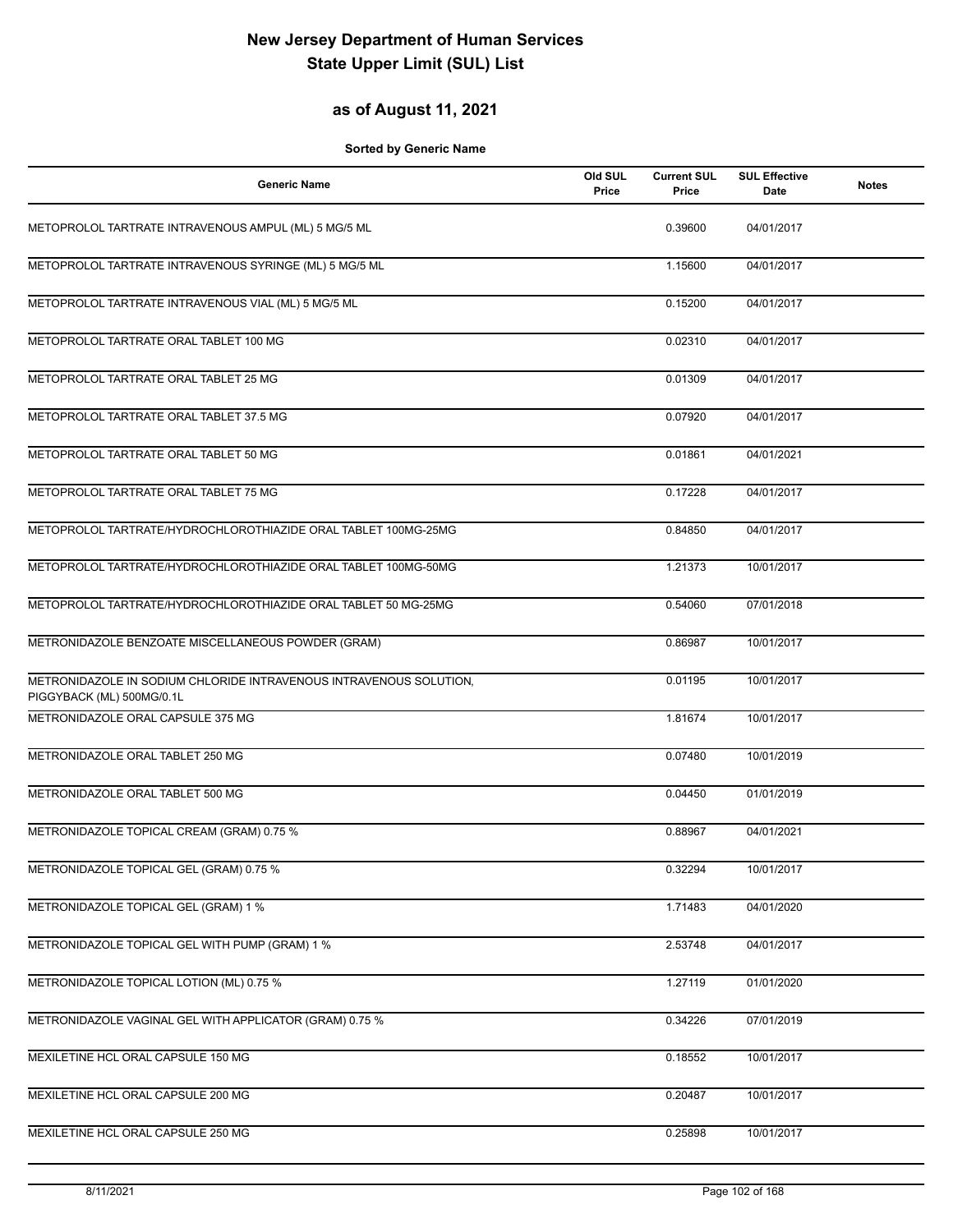#### **as of August 11, 2021**

| <b>Generic Name</b>                                                                             | Old SUL<br>Price | <b>Current SUL</b><br>Price | <b>SUL Effective</b><br>Date | <b>Notes</b> |
|-------------------------------------------------------------------------------------------------|------------------|-----------------------------|------------------------------|--------------|
| METOPROLOL TARTRATE INTRAVENOUS AMPUL (ML) 5 MG/5 ML                                            |                  | 0.39600                     | 04/01/2017                   |              |
| METOPROLOL TARTRATE INTRAVENOUS SYRINGE (ML) 5 MG/5 ML                                          |                  | 1.15600                     | 04/01/2017                   |              |
| METOPROLOL TARTRATE INTRAVENOUS VIAL (ML) 5 MG/5 ML                                             |                  | 0.15200                     | 04/01/2017                   |              |
| METOPROLOL TARTRATE ORAL TABLET 100 MG                                                          |                  | 0.02310                     | 04/01/2017                   |              |
| METOPROLOL TARTRATE ORAL TABLET 25 MG                                                           |                  | 0.01309                     | 04/01/2017                   |              |
| METOPROLOL TARTRATE ORAL TABLET 37.5 MG                                                         |                  | 0.07920                     | 04/01/2017                   |              |
| METOPROLOL TARTRATE ORAL TABLET 50 MG                                                           |                  | 0.01861                     | 04/01/2021                   |              |
| METOPROLOL TARTRATE ORAL TABLET 75 MG                                                           |                  | 0.17228                     | 04/01/2017                   |              |
| METOPROLOL TARTRATE/HYDROCHLOROTHIAZIDE ORAL TABLET 100MG-25MG                                  |                  | 0.84850                     | 04/01/2017                   |              |
| METOPROLOL TARTRATE/HYDROCHLOROTHIAZIDE ORAL TABLET 100MG-50MG                                  |                  | 1.21373                     | 10/01/2017                   |              |
| METOPROLOL TARTRATE/HYDROCHLOROTHIAZIDE ORAL TABLET 50 MG-25MG                                  |                  | 0.54060                     | 07/01/2018                   |              |
| METRONIDAZOLE BENZOATE MISCELLANEOUS POWDER (GRAM)                                              |                  | 0.86987                     | 10/01/2017                   |              |
| METRONIDAZOLE IN SODIUM CHLORIDE INTRAVENOUS INTRAVENOUS SOLUTION,<br>PIGGYBACK (ML) 500MG/0.1L |                  | 0.01195                     | 10/01/2017                   |              |
| METRONIDAZOLE ORAL CAPSULE 375 MG                                                               |                  | 1.81674                     | 10/01/2017                   |              |
| METRONIDAZOLE ORAL TABLET 250 MG                                                                |                  | 0.07480                     | 10/01/2019                   |              |
| METRONIDAZOLE ORAL TABLET 500 MG                                                                |                  | 0.04450                     | 01/01/2019                   |              |
| METRONIDAZOLE TOPICAL CREAM (GRAM) 0.75 %                                                       |                  | 0.88967                     | 04/01/2021                   |              |
| METRONIDAZOLE TOPICAL GEL (GRAM) 0.75 %                                                         |                  | 0.32294                     | 10/01/2017                   |              |
| METRONIDAZOLE TOPICAL GEL (GRAM) 1 %                                                            |                  | 1.71483                     | 04/01/2020                   |              |
| METRONIDAZOLE TOPICAL GEL WITH PUMP (GRAM) 1 %                                                  |                  | 2.53748                     | 04/01/2017                   |              |
| METRONIDAZOLE TOPICAL LOTION (ML) 0.75 %                                                        |                  | 1.27119                     | 01/01/2020                   |              |
| METRONIDAZOLE VAGINAL GEL WITH APPLICATOR (GRAM) 0.75 %                                         |                  | 0.34226                     | 07/01/2019                   |              |
| MEXILETINE HCL ORAL CAPSULE 150 MG                                                              |                  | 0.18552                     | 10/01/2017                   |              |
| MEXILETINE HCL ORAL CAPSULE 200 MG                                                              |                  | 0.20487                     | 10/01/2017                   |              |
| MEXILETINE HCL ORAL CAPSULE 250 MG                                                              |                  | 0.25898                     | 10/01/2017                   |              |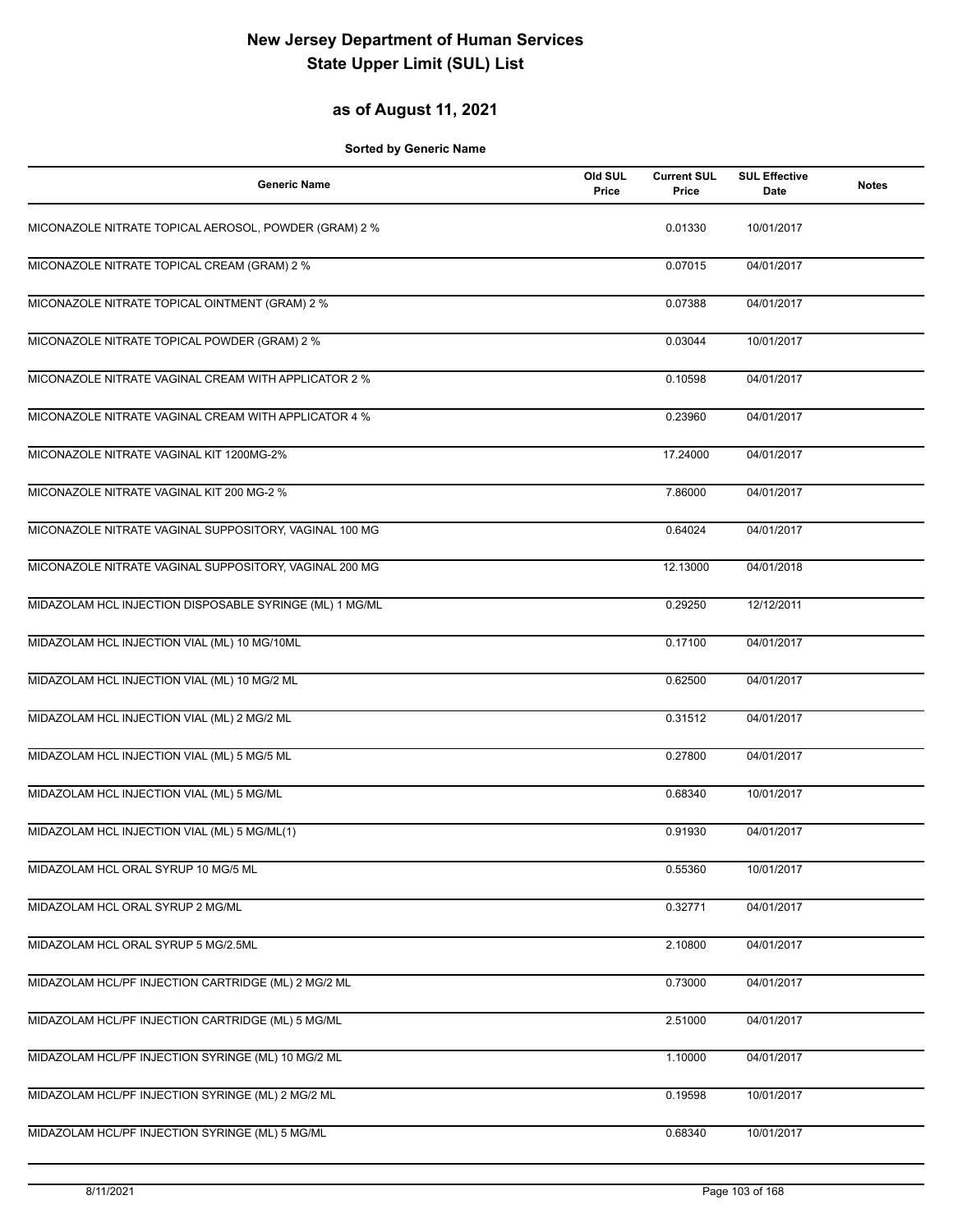### **as of August 11, 2021**

| <b>Generic Name</b>                                     | Old SUL<br>Price | <b>Current SUL</b><br>Price | <b>SUL Effective</b><br>Date | <b>Notes</b> |
|---------------------------------------------------------|------------------|-----------------------------|------------------------------|--------------|
| MICONAZOLE NITRATE TOPICAL AEROSOL, POWDER (GRAM) 2 %   |                  | 0.01330                     | 10/01/2017                   |              |
| MICONAZOLE NITRATE TOPICAL CREAM (GRAM) 2 %             |                  | 0.07015                     | 04/01/2017                   |              |
| MICONAZOLE NITRATE TOPICAL OINTMENT (GRAM) 2 %          |                  | 0.07388                     | 04/01/2017                   |              |
| MICONAZOLE NITRATE TOPICAL POWDER (GRAM) 2 %            |                  | 0.03044                     | 10/01/2017                   |              |
| MICONAZOLE NITRATE VAGINAL CREAM WITH APPLICATOR 2 %    |                  | 0.10598                     | 04/01/2017                   |              |
| MICONAZOLE NITRATE VAGINAL CREAM WITH APPLICATOR 4 %    |                  | 0.23960                     | 04/01/2017                   |              |
| MICONAZOLE NITRATE VAGINAL KIT 1200MG-2%                |                  | 17.24000                    | 04/01/2017                   |              |
| MICONAZOLE NITRATE VAGINAL KIT 200 MG-2 %               |                  | 7.86000                     | 04/01/2017                   |              |
| MICONAZOLE NITRATE VAGINAL SUPPOSITORY, VAGINAL 100 MG  |                  | 0.64024                     | 04/01/2017                   |              |
| MICONAZOLE NITRATE VAGINAL SUPPOSITORY, VAGINAL 200 MG  |                  | 12.13000                    | 04/01/2018                   |              |
| MIDAZOLAM HCL INJECTION DISPOSABLE SYRINGE (ML) 1 MG/ML |                  | 0.29250                     | 12/12/2011                   |              |
| MIDAZOLAM HCL INJECTION VIAL (ML) 10 MG/10ML            |                  | 0.17100                     | 04/01/2017                   |              |
| MIDAZOLAM HCL INJECTION VIAL (ML) 10 MG/2 ML            |                  | 0.62500                     | 04/01/2017                   |              |
| MIDAZOLAM HCL INJECTION VIAL (ML) 2 MG/2 ML             |                  | 0.31512                     | 04/01/2017                   |              |
| MIDAZOLAM HCL INJECTION VIAL (ML) 5 MG/5 ML             |                  | 0.27800                     | 04/01/2017                   |              |
| MIDAZOLAM HCL INJECTION VIAL (ML) 5 MG/ML               |                  | 0.68340                     | 10/01/2017                   |              |
| MIDAZOLAM HCL INJECTION VIAL (ML) 5 MG/ML(1)            |                  | 0.91930                     | 04/01/2017                   |              |
| MIDAZOLAM HCL ORAL SYRUP 10 MG/5 ML                     |                  | 0.55360                     | 10/01/2017                   |              |
| MIDAZOLAM HCL ORAL SYRUP 2 MG/ML                        |                  | 0.32771                     | 04/01/2017                   |              |
| MIDAZOLAM HCL ORAL SYRUP 5 MG/2.5ML                     |                  | 2.10800                     | 04/01/2017                   |              |
| MIDAZOLAM HCL/PF INJECTION CARTRIDGE (ML) 2 MG/2 ML     |                  | 0.73000                     | 04/01/2017                   |              |
| MIDAZOLAM HCL/PF INJECTION CARTRIDGE (ML) 5 MG/ML       |                  | 2.51000                     | 04/01/2017                   |              |
| MIDAZOLAM HCL/PF INJECTION SYRINGE (ML) 10 MG/2 ML      |                  | 1.10000                     | 04/01/2017                   |              |
| MIDAZOLAM HCL/PF INJECTION SYRINGE (ML) 2 MG/2 ML       |                  | 0.19598                     | 10/01/2017                   |              |
| MIDAZOLAM HCL/PF INJECTION SYRINGE (ML) 5 MG/ML         |                  | 0.68340                     | 10/01/2017                   |              |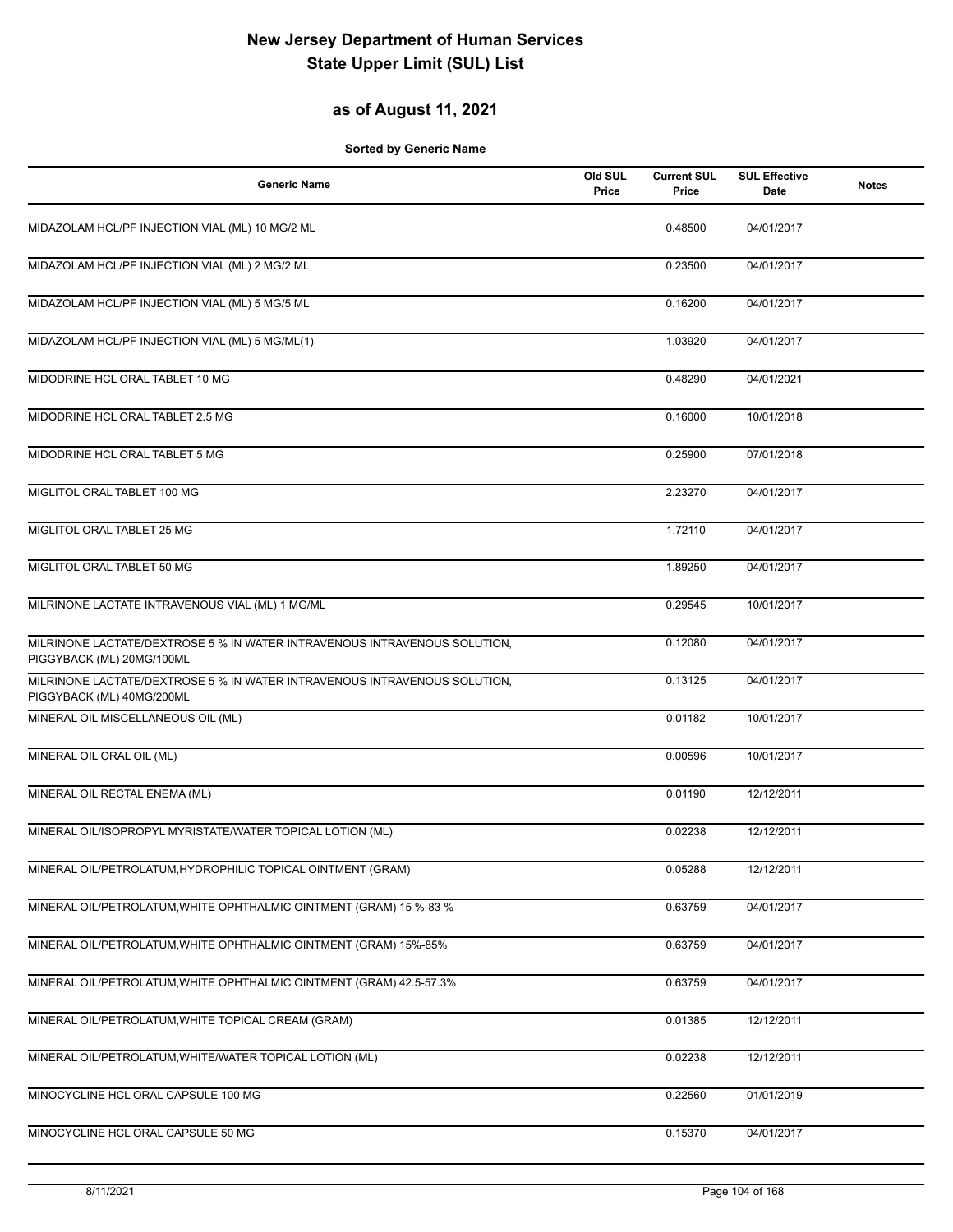### **as of August 11, 2021**

| <b>Generic Name</b>                                                                                    | Old SUL<br>Price | <b>Current SUL</b><br>Price | <b>SUL Effective</b><br>Date | <b>Notes</b> |
|--------------------------------------------------------------------------------------------------------|------------------|-----------------------------|------------------------------|--------------|
| MIDAZOLAM HCL/PF INJECTION VIAL (ML) 10 MG/2 ML                                                        |                  | 0.48500                     | 04/01/2017                   |              |
| MIDAZOLAM HCL/PF INJECTION VIAL (ML) 2 MG/2 ML                                                         |                  | 0.23500                     | 04/01/2017                   |              |
| MIDAZOLAM HCL/PF INJECTION VIAL (ML) 5 MG/5 ML                                                         |                  | 0.16200                     | 04/01/2017                   |              |
| MIDAZOLAM HCL/PF INJECTION VIAL (ML) 5 MG/ML(1)                                                        |                  | 1.03920                     | 04/01/2017                   |              |
| MIDODRINE HCL ORAL TABLET 10 MG                                                                        |                  | 0.48290                     | 04/01/2021                   |              |
| MIDODRINE HCL ORAL TABLET 2.5 MG                                                                       |                  | 0.16000                     | 10/01/2018                   |              |
| MIDODRINE HCL ORAL TABLET 5 MG                                                                         |                  | 0.25900                     | 07/01/2018                   |              |
| MIGLITOL ORAL TABLET 100 MG                                                                            |                  | 2.23270                     | 04/01/2017                   |              |
| MIGLITOL ORAL TABLET 25 MG                                                                             |                  | 1.72110                     | 04/01/2017                   |              |
| MIGLITOL ORAL TABLET 50 MG                                                                             |                  | 1.89250                     | 04/01/2017                   |              |
| MILRINONE LACTATE INTRAVENOUS VIAL (ML) 1 MG/ML                                                        |                  | 0.29545                     | 10/01/2017                   |              |
| MILRINONE LACTATE/DEXTROSE 5 % IN WATER INTRAVENOUS INTRAVENOUS SOLUTION,<br>PIGGYBACK (ML) 20MG/100ML |                  | 0.12080                     | 04/01/2017                   |              |
| MILRINONE LACTATE/DEXTROSE 5 % IN WATER INTRAVENOUS INTRAVENOUS SOLUTION,<br>PIGGYBACK (ML) 40MG/200ML |                  | 0.13125                     | 04/01/2017                   |              |
| MINERAL OIL MISCELLANEOUS OIL (ML)                                                                     |                  | 0.01182                     | 10/01/2017                   |              |
| MINERAL OIL ORAL OIL (ML)                                                                              |                  | 0.00596                     | 10/01/2017                   |              |
| MINERAL OIL RECTAL ENEMA (ML)                                                                          |                  | 0.01190                     | 12/12/2011                   |              |
| MINERAL OIL/ISOPROPYL MYRISTATE/WATER TOPICAL LOTION (ML)                                              |                  | 0.02238                     | 12/12/2011                   |              |
| MINERAL OIL/PETROLATUM, HYDROPHILIC TOPICAL OINTMENT (GRAM)                                            |                  | 0.05288                     | 12/12/2011                   |              |
| MINERAL OIL/PETROLATUM, WHITE OPHTHALMIC OINTMENT (GRAM) 15 %-83 %                                     |                  | 0.63759                     | 04/01/2017                   |              |
| MINERAL OIL/PETROLATUM, WHITE OPHTHALMIC OINTMENT (GRAM) 15%-85%                                       |                  | 0.63759                     | 04/01/2017                   |              |
| MINERAL OIL/PETROLATUM, WHITE OPHTHALMIC OINTMENT (GRAM) 42.5-57.3%                                    |                  | 0.63759                     | 04/01/2017                   |              |
| MINERAL OIL/PETROLATUM, WHITE TOPICAL CREAM (GRAM)                                                     |                  | 0.01385                     | 12/12/2011                   |              |
| MINERAL OIL/PETROLATUM, WHITE/WATER TOPICAL LOTION (ML)                                                |                  | 0.02238                     | 12/12/2011                   |              |
| MINOCYCLINE HCL ORAL CAPSULE 100 MG                                                                    |                  | 0.22560                     | 01/01/2019                   |              |
| MINOCYCLINE HCL ORAL CAPSULE 50 MG                                                                     |                  | 0.15370                     | 04/01/2017                   |              |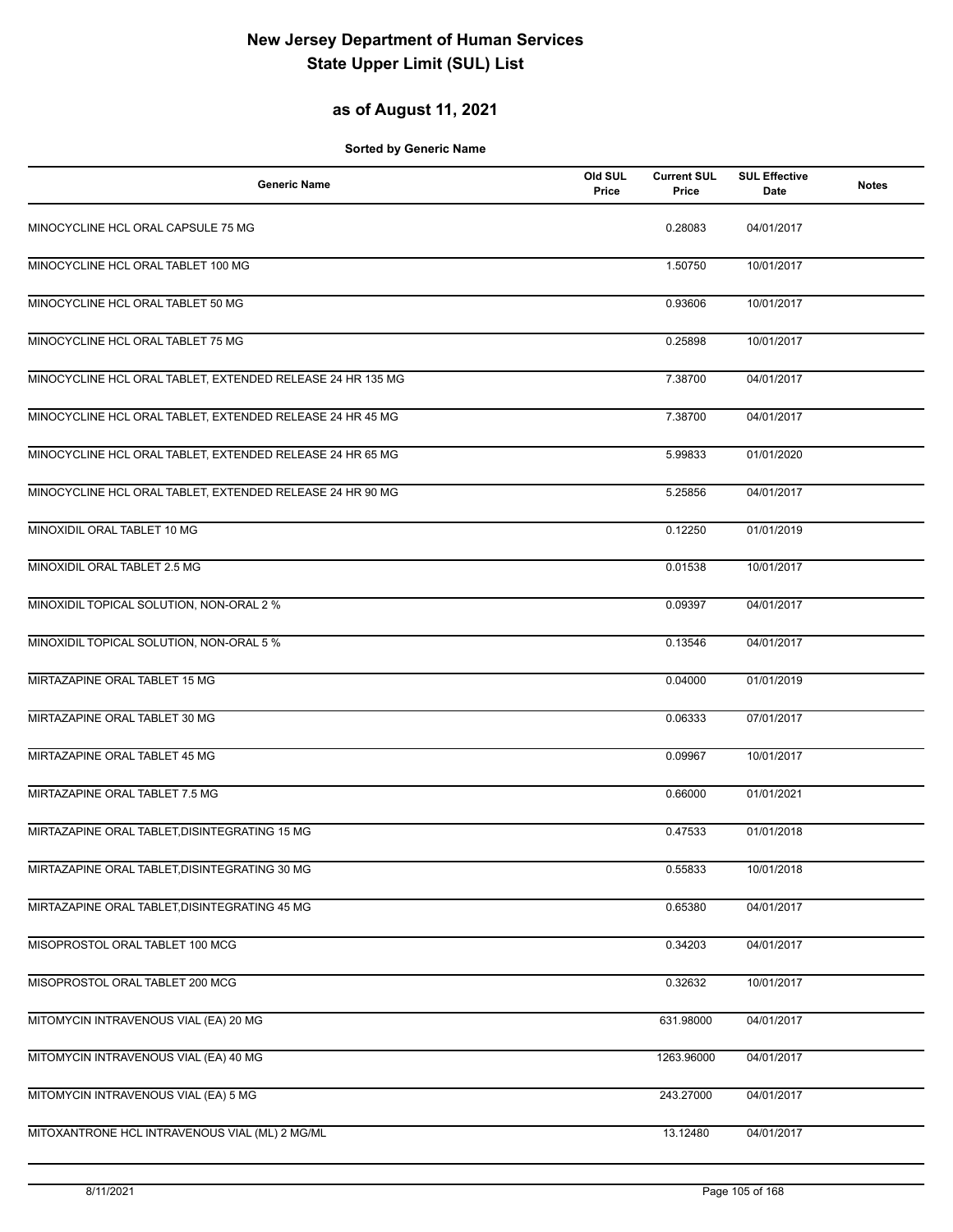### **as of August 11, 2021**

| <b>Generic Name</b>                                        | Old SUL<br>Price | <b>Current SUL</b><br>Price | <b>SUL Effective</b><br>Date | <b>Notes</b> |
|------------------------------------------------------------|------------------|-----------------------------|------------------------------|--------------|
| MINOCYCLINE HCL ORAL CAPSULE 75 MG                         |                  | 0.28083                     | 04/01/2017                   |              |
| MINOCYCLINE HCL ORAL TABLET 100 MG                         |                  | 1.50750                     | 10/01/2017                   |              |
| MINOCYCLINE HCL ORAL TABLET 50 MG                          |                  | 0.93606                     | 10/01/2017                   |              |
| MINOCYCLINE HCL ORAL TABLET 75 MG                          |                  | 0.25898                     | 10/01/2017                   |              |
| MINOCYCLINE HCL ORAL TABLET, EXTENDED RELEASE 24 HR 135 MG |                  | 7.38700                     | 04/01/2017                   |              |
| MINOCYCLINE HCL ORAL TABLET, EXTENDED RELEASE 24 HR 45 MG  |                  | 7.38700                     | 04/01/2017                   |              |
| MINOCYCLINE HCL ORAL TABLET, EXTENDED RELEASE 24 HR 65 MG  |                  | 5.99833                     | 01/01/2020                   |              |
| MINOCYCLINE HCL ORAL TABLET, EXTENDED RELEASE 24 HR 90 MG  |                  | 5.25856                     | 04/01/2017                   |              |
| MINOXIDIL ORAL TABLET 10 MG                                |                  | 0.12250                     | 01/01/2019                   |              |
| MINOXIDIL ORAL TABLET 2.5 MG                               |                  | 0.01538                     | 10/01/2017                   |              |
| MINOXIDIL TOPICAL SOLUTION, NON-ORAL 2 %                   |                  | 0.09397                     | 04/01/2017                   |              |
| MINOXIDIL TOPICAL SOLUTION, NON-ORAL 5 %                   |                  | 0.13546                     | 04/01/2017                   |              |
| MIRTAZAPINE ORAL TABLET 15 MG                              |                  | 0.04000                     | 01/01/2019                   |              |
| MIRTAZAPINE ORAL TABLET 30 MG                              |                  | 0.06333                     | 07/01/2017                   |              |
| MIRTAZAPINE ORAL TABLET 45 MG                              |                  | 0.09967                     | 10/01/2017                   |              |
| MIRTAZAPINE ORAL TABLET 7.5 MG                             |                  | 0.66000                     | 01/01/2021                   |              |
| MIRTAZAPINE ORAL TABLET, DISINTEGRATING 15 MG              |                  | 0.47533                     | 01/01/2018                   |              |
| MIRTAZAPINE ORAL TABLET, DISINTEGRATING 30 MG              |                  | 0.55833                     | 10/01/2018                   |              |
| MIRTAZAPINE ORAL TABLET, DISINTEGRATING 45 MG              |                  | 0.65380                     | 04/01/2017                   |              |
| MISOPROSTOL ORAL TABLET 100 MCG                            |                  | 0.34203                     | 04/01/2017                   |              |
| MISOPROSTOL ORAL TABLET 200 MCG                            |                  | 0.32632                     | 10/01/2017                   |              |
| MITOMYCIN INTRAVENOUS VIAL (EA) 20 MG                      |                  | 631.98000                   | 04/01/2017                   |              |
| MITOMYCIN INTRAVENOUS VIAL (EA) 40 MG                      |                  | 1263.96000                  | 04/01/2017                   |              |
| MITOMYCIN INTRAVENOUS VIAL (EA) 5 MG                       |                  | 243.27000                   | 04/01/2017                   |              |
| MITOXANTRONE HCL INTRAVENOUS VIAL (ML) 2 MG/ML             |                  | 13.12480                    | 04/01/2017                   |              |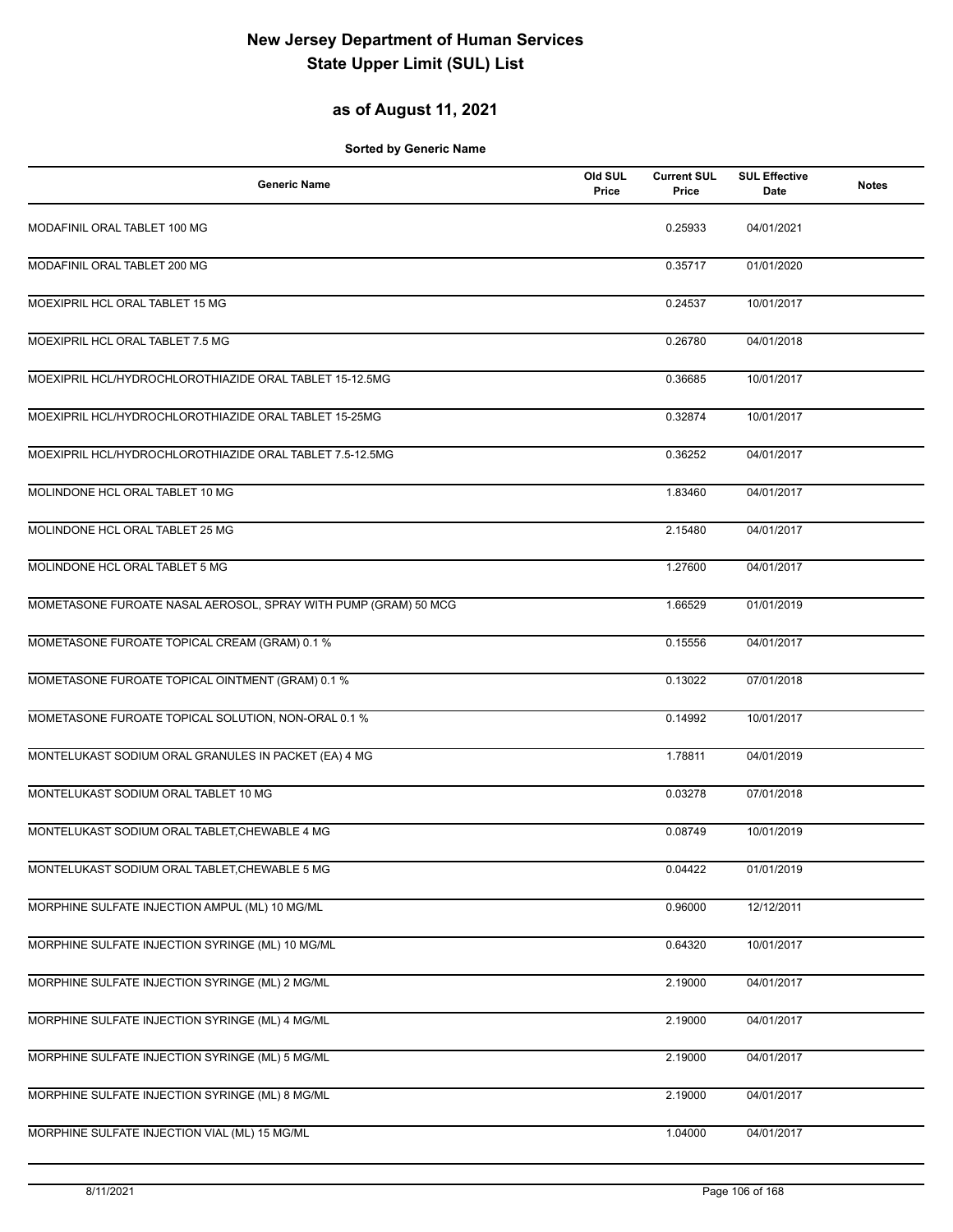### **as of August 11, 2021**

| <b>Generic Name</b>                                             | Old SUL<br>Price | <b>Current SUL</b><br>Price | <b>SUL Effective</b><br>Date | <b>Notes</b> |
|-----------------------------------------------------------------|------------------|-----------------------------|------------------------------|--------------|
| MODAFINIL ORAL TABLET 100 MG                                    |                  | 0.25933                     | 04/01/2021                   |              |
| MODAFINIL ORAL TABLET 200 MG                                    |                  | 0.35717                     | 01/01/2020                   |              |
| MOEXIPRIL HCL ORAL TABLET 15 MG                                 |                  | 0.24537                     | 10/01/2017                   |              |
| MOEXIPRIL HCL ORAL TABLET 7.5 MG                                |                  | 0.26780                     | 04/01/2018                   |              |
| MOEXIPRIL HCL/HYDROCHLOROTHIAZIDE ORAL TABLET 15-12.5MG         |                  | 0.36685                     | 10/01/2017                   |              |
| MOEXIPRIL HCL/HYDROCHLOROTHIAZIDE ORAL TABLET 15-25MG           |                  | 0.32874                     | 10/01/2017                   |              |
| MOEXIPRIL HCL/HYDROCHLOROTHIAZIDE ORAL TABLET 7.5-12.5MG        |                  | 0.36252                     | 04/01/2017                   |              |
| MOLINDONE HCL ORAL TABLET 10 MG                                 |                  | 1.83460                     | 04/01/2017                   |              |
| MOLINDONE HCL ORAL TABLET 25 MG                                 |                  | 2.15480                     | 04/01/2017                   |              |
| MOLINDONE HCL ORAL TABLET 5 MG                                  |                  | 1.27600                     | 04/01/2017                   |              |
| MOMETASONE FUROATE NASAL AEROSOL, SPRAY WITH PUMP (GRAM) 50 MCG |                  | 1.66529                     | 01/01/2019                   |              |
| MOMETASONE FUROATE TOPICAL CREAM (GRAM) 0.1 %                   |                  | 0.15556                     | 04/01/2017                   |              |
| MOMETASONE FUROATE TOPICAL OINTMENT (GRAM) 0.1 %                |                  | 0.13022                     | 07/01/2018                   |              |
| MOMETASONE FUROATE TOPICAL SOLUTION, NON-ORAL 0.1 %             |                  | 0.14992                     | 10/01/2017                   |              |
| MONTELUKAST SODIUM ORAL GRANULES IN PACKET (EA) 4 MG            |                  | 1.78811                     | 04/01/2019                   |              |
| MONTELUKAST SODIUM ORAL TABLET 10 MG                            |                  | 0.03278                     | 07/01/2018                   |              |
| MONTELUKAST SODIUM ORAL TABLET, CHEWABLE 4 MG                   |                  | 0.08749                     | 10/01/2019                   |              |
| MONTELUKAST SODIUM ORAL TABLET, CHEWABLE 5 MG                   |                  | 0.04422                     | 01/01/2019                   |              |
| MORPHINE SULFATE INJECTION AMPUL (ML) 10 MG/ML                  |                  | 0.96000                     | 12/12/2011                   |              |
| MORPHINE SULFATE INJECTION SYRINGE (ML) 10 MG/ML                |                  | 0.64320                     | 10/01/2017                   |              |
| MORPHINE SULFATE INJECTION SYRINGE (ML) 2 MG/ML                 |                  | 2.19000                     | 04/01/2017                   |              |
| MORPHINE SULFATE INJECTION SYRINGE (ML) 4 MG/ML                 |                  | 2.19000                     | 04/01/2017                   |              |
| MORPHINE SULFATE INJECTION SYRINGE (ML) 5 MG/ML                 |                  | 2.19000                     | 04/01/2017                   |              |
| MORPHINE SULFATE INJECTION SYRINGE (ML) 8 MG/ML                 |                  | 2.19000                     | 04/01/2017                   |              |
| MORPHINE SULFATE INJECTION VIAL (ML) 15 MG/ML                   |                  | 1.04000                     | 04/01/2017                   |              |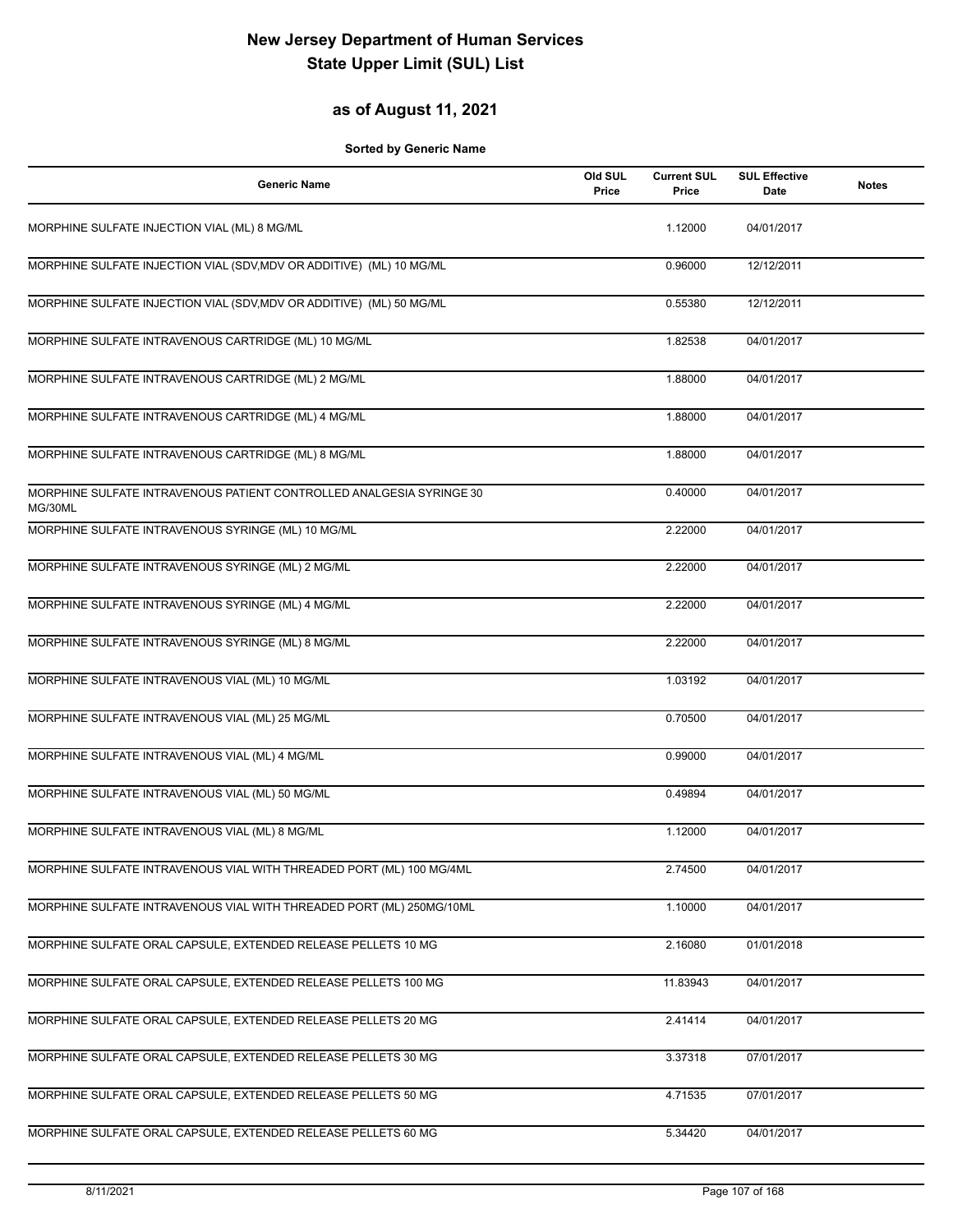#### **as of August 11, 2021**

| <b>Generic Name</b>                                                             | Old SUL<br>Price | <b>Current SUL</b><br>Price | <b>SUL Effective</b><br>Date | <b>Notes</b> |
|---------------------------------------------------------------------------------|------------------|-----------------------------|------------------------------|--------------|
| MORPHINE SULFATE INJECTION VIAL (ML) 8 MG/ML                                    |                  | 1.12000                     | 04/01/2017                   |              |
| MORPHINE SULFATE INJECTION VIAL (SDV, MDV OR ADDITIVE) (ML) 10 MG/ML            |                  | 0.96000                     | 12/12/2011                   |              |
| MORPHINE SULFATE INJECTION VIAL (SDV, MDV OR ADDITIVE) (ML) 50 MG/ML            |                  | 0.55380                     | 12/12/2011                   |              |
| MORPHINE SULFATE INTRAVENOUS CARTRIDGE (ML) 10 MG/ML                            |                  | 1.82538                     | 04/01/2017                   |              |
| MORPHINE SULFATE INTRAVENOUS CARTRIDGE (ML) 2 MG/ML                             |                  | 1.88000                     | 04/01/2017                   |              |
| MORPHINE SULFATE INTRAVENOUS CARTRIDGE (ML) 4 MG/ML                             |                  | 1.88000                     | 04/01/2017                   |              |
| MORPHINE SULFATE INTRAVENOUS CARTRIDGE (ML) 8 MG/ML                             |                  | 1.88000                     | 04/01/2017                   |              |
| MORPHINE SULFATE INTRAVENOUS PATIENT CONTROLLED ANALGESIA SYRINGE 30<br>MG/30ML |                  | 0.40000                     | 04/01/2017                   |              |
| MORPHINE SULFATE INTRAVENOUS SYRINGE (ML) 10 MG/ML                              |                  | 2.22000                     | 04/01/2017                   |              |
| MORPHINE SULFATE INTRAVENOUS SYRINGE (ML) 2 MG/ML                               |                  | 2.22000                     | 04/01/2017                   |              |
| MORPHINE SULFATE INTRAVENOUS SYRINGE (ML) 4 MG/ML                               |                  | 2.22000                     | 04/01/2017                   |              |
| MORPHINE SULFATE INTRAVENOUS SYRINGE (ML) 8 MG/ML                               |                  | 2.22000                     | 04/01/2017                   |              |
| MORPHINE SULFATE INTRAVENOUS VIAL (ML) 10 MG/ML                                 |                  | 1.03192                     | 04/01/2017                   |              |
| MORPHINE SULFATE INTRAVENOUS VIAL (ML) 25 MG/ML                                 |                  | 0.70500                     | 04/01/2017                   |              |
| MORPHINE SULFATE INTRAVENOUS VIAL (ML) 4 MG/ML                                  |                  | 0.99000                     | 04/01/2017                   |              |
| MORPHINE SULFATE INTRAVENOUS VIAL (ML) 50 MG/ML                                 |                  | 0.49894                     | 04/01/2017                   |              |
| MORPHINE SULFATE INTRAVENOUS VIAL (ML) 8 MG/ML                                  |                  | 1.12000                     | 04/01/2017                   |              |
| MORPHINE SULFATE INTRAVENOUS VIAL WITH THREADED PORT (ML) 100 MG/4ML            |                  | 2.74500                     | 04/01/2017                   |              |
| MORPHINE SULFATE INTRAVENOUS VIAL WITH THREADED PORT (ML) 250MG/10ML            |                  | 1.10000                     | 04/01/2017                   |              |
| MORPHINE SULFATE ORAL CAPSULE, EXTENDED RELEASE PELLETS 10 MG                   |                  | 2.16080                     | 01/01/2018                   |              |
| MORPHINE SULFATE ORAL CAPSULE, EXTENDED RELEASE PELLETS 100 MG                  |                  | 11.83943                    | 04/01/2017                   |              |
| MORPHINE SULFATE ORAL CAPSULE, EXTENDED RELEASE PELLETS 20 MG                   |                  | 2.41414                     | 04/01/2017                   |              |
| MORPHINE SULFATE ORAL CAPSULE, EXTENDED RELEASE PELLETS 30 MG                   |                  | 3.37318                     | 07/01/2017                   |              |
| MORPHINE SULFATE ORAL CAPSULE, EXTENDED RELEASE PELLETS 50 MG                   |                  | 4.71535                     | 07/01/2017                   |              |
| MORPHINE SULFATE ORAL CAPSULE, EXTENDED RELEASE PELLETS 60 MG                   |                  | 5.34420                     | 04/01/2017                   |              |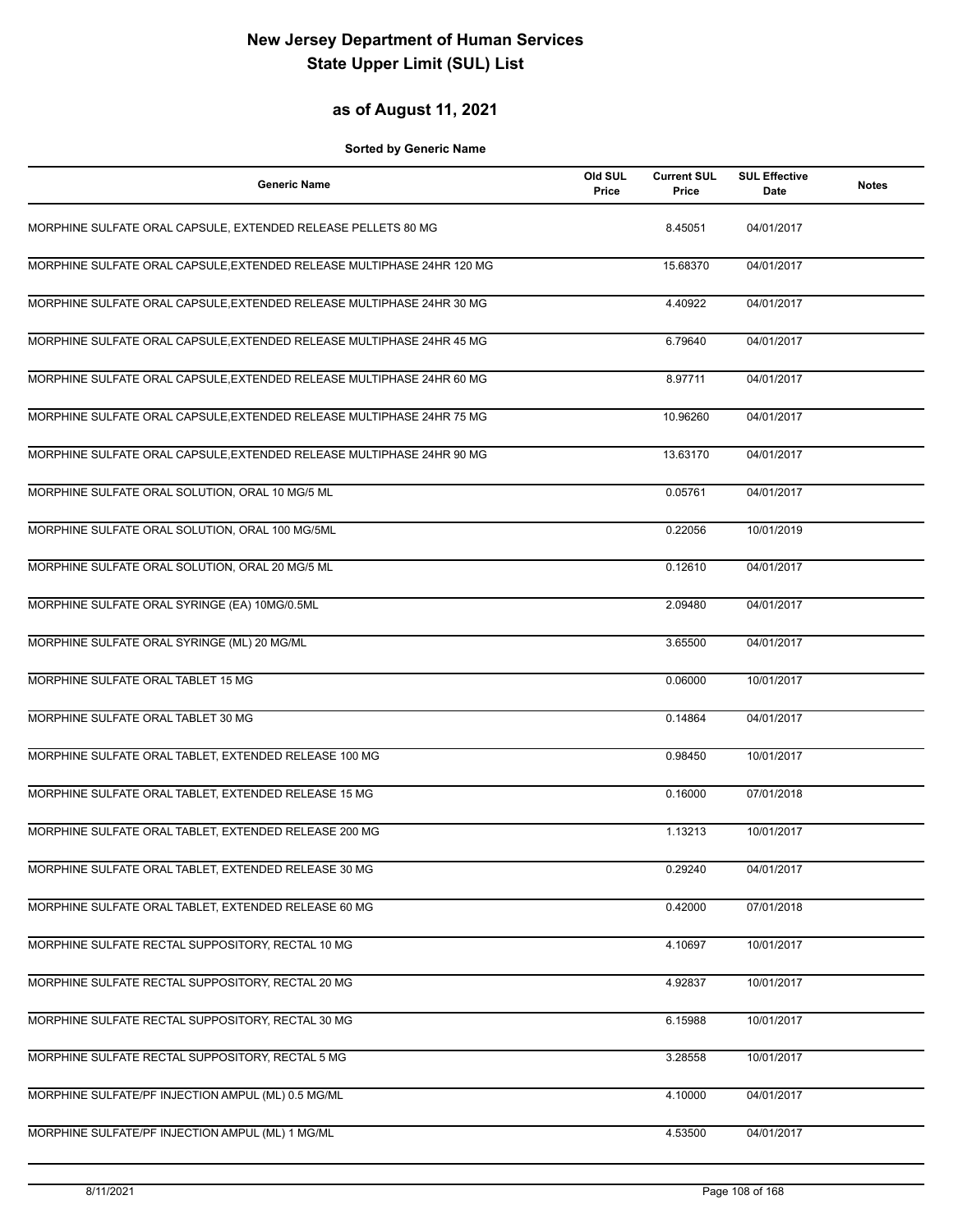### **as of August 11, 2021**

| <b>Generic Name</b>                                                    | Old SUL<br>Price | <b>Current SUL</b><br>Price | <b>SUL Effective</b><br>Date | <b>Notes</b> |
|------------------------------------------------------------------------|------------------|-----------------------------|------------------------------|--------------|
| MORPHINE SULFATE ORAL CAPSULE, EXTENDED RELEASE PELLETS 80 MG          |                  | 8.45051                     | 04/01/2017                   |              |
| MORPHINE SULFATE ORAL CAPSULE, EXTENDED RELEASE MULTIPHASE 24HR 120 MG |                  | 15.68370                    | 04/01/2017                   |              |
| MORPHINE SULFATE ORAL CAPSULE, EXTENDED RELEASE MULTIPHASE 24HR 30 MG  |                  | 4.40922                     | 04/01/2017                   |              |
| MORPHINE SULFATE ORAL CAPSULE, EXTENDED RELEASE MULTIPHASE 24HR 45 MG  |                  | 6.79640                     | 04/01/2017                   |              |
| MORPHINE SULFATE ORAL CAPSULE, EXTENDED RELEASE MULTIPHASE 24HR 60 MG  |                  | 8.97711                     | 04/01/2017                   |              |
| MORPHINE SULFATE ORAL CAPSULE, EXTENDED RELEASE MULTIPHASE 24HR 75 MG  |                  | 10.96260                    | 04/01/2017                   |              |
| MORPHINE SULFATE ORAL CAPSULE, EXTENDED RELEASE MULTIPHASE 24HR 90 MG  |                  | 13.63170                    | 04/01/2017                   |              |
| MORPHINE SULFATE ORAL SOLUTION, ORAL 10 MG/5 ML                        |                  | 0.05761                     | 04/01/2017                   |              |
| MORPHINE SULFATE ORAL SOLUTION, ORAL 100 MG/5ML                        |                  | 0.22056                     | 10/01/2019                   |              |
| MORPHINE SULFATE ORAL SOLUTION, ORAL 20 MG/5 ML                        |                  | 0.12610                     | 04/01/2017                   |              |
| MORPHINE SULFATE ORAL SYRINGE (EA) 10MG/0.5ML                          |                  | 2.09480                     | 04/01/2017                   |              |
| MORPHINE SULFATE ORAL SYRINGE (ML) 20 MG/ML                            |                  | 3.65500                     | 04/01/2017                   |              |
| MORPHINE SULFATE ORAL TABLET 15 MG                                     |                  | 0.06000                     | 10/01/2017                   |              |
| MORPHINE SULFATE ORAL TABLET 30 MG                                     |                  | 0.14864                     | 04/01/2017                   |              |
| MORPHINE SULFATE ORAL TABLET, EXTENDED RELEASE 100 MG                  |                  | 0.98450                     | 10/01/2017                   |              |
| MORPHINE SULFATE ORAL TABLET, EXTENDED RELEASE 15 MG                   |                  | 0.16000                     | 07/01/2018                   |              |
| MORPHINE SULFATE ORAL TABLET, EXTENDED RELEASE 200 MG                  |                  | 1.13213                     | 10/01/2017                   |              |
| MORPHINE SULFATE ORAL TABLET, EXTENDED RELEASE 30 MG                   |                  | 0.29240                     | 04/01/2017                   |              |
| MORPHINE SULFATE ORAL TABLET, EXTENDED RELEASE 60 MG                   |                  | 0.42000                     | 07/01/2018                   |              |
| MORPHINE SULFATE RECTAL SUPPOSITORY, RECTAL 10 MG                      |                  | 4.10697                     | 10/01/2017                   |              |
| MORPHINE SULFATE RECTAL SUPPOSITORY, RECTAL 20 MG                      |                  | 4.92837                     | 10/01/2017                   |              |
| MORPHINE SULFATE RECTAL SUPPOSITORY, RECTAL 30 MG                      |                  | 6.15988                     | 10/01/2017                   |              |
| MORPHINE SULFATE RECTAL SUPPOSITORY, RECTAL 5 MG                       |                  | 3.28558                     | 10/01/2017                   |              |
| MORPHINE SULFATE/PF INJECTION AMPUL (ML) 0.5 MG/ML                     |                  | 4.10000                     | 04/01/2017                   |              |
| MORPHINE SULFATE/PF INJECTION AMPUL (ML) 1 MG/ML                       |                  | 4.53500                     | 04/01/2017                   |              |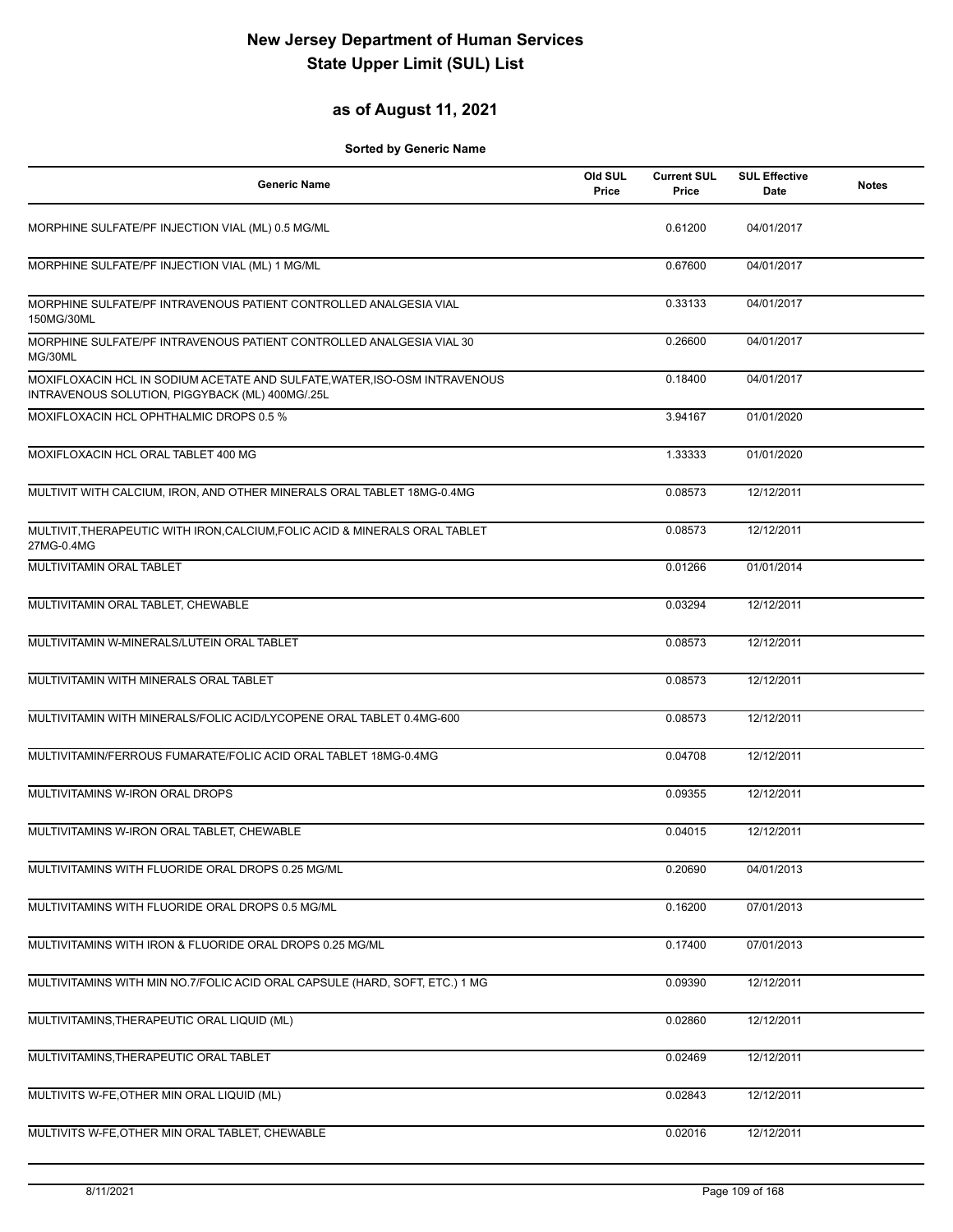## **as of August 11, 2021**

| <b>Generic Name</b>                                                                                                           | Old SUL<br>Price | <b>Current SUL</b><br>Price | <b>SUL Effective</b><br>Date | <b>Notes</b> |
|-------------------------------------------------------------------------------------------------------------------------------|------------------|-----------------------------|------------------------------|--------------|
| MORPHINE SULFATE/PF INJECTION VIAL (ML) 0.5 MG/ML                                                                             |                  | 0.61200                     | 04/01/2017                   |              |
| MORPHINE SULFATE/PF INJECTION VIAL (ML) 1 MG/ML                                                                               |                  | 0.67600                     | 04/01/2017                   |              |
| MORPHINE SULFATE/PF INTRAVENOUS PATIENT CONTROLLED ANALGESIA VIAL<br>150MG/30ML                                               |                  | 0.33133                     | 04/01/2017                   |              |
| MORPHINE SULFATE/PF INTRAVENOUS PATIENT CONTROLLED ANALGESIA VIAL 30<br>MG/30ML                                               |                  | 0.26600                     | 04/01/2017                   |              |
| MOXIFLOXACIN HCL IN SODIUM ACETATE AND SULFATE, WATER, ISO-OSM INTRAVENOUS<br>INTRAVENOUS SOLUTION, PIGGYBACK (ML) 400MG/.25L |                  | 0.18400                     | 04/01/2017                   |              |
| MOXIFLOXACIN HCL OPHTHALMIC DROPS 0.5 %                                                                                       |                  | 3.94167                     | 01/01/2020                   |              |
| MOXIFLOXACIN HCL ORAL TABLET 400 MG                                                                                           |                  | 1.33333                     | 01/01/2020                   |              |
| MULTIVIT WITH CALCIUM, IRON, AND OTHER MINERALS ORAL TABLET 18MG-0.4MG                                                        |                  | 0.08573                     | 12/12/2011                   |              |
| MULTIVIT, THERAPEUTIC WITH IRON, CALCIUM, FOLIC ACID & MINERALS ORAL TABLET<br>27MG-0.4MG                                     |                  | 0.08573                     | 12/12/2011                   |              |
| MULTIVITAMIN ORAL TABLET                                                                                                      |                  | 0.01266                     | 01/01/2014                   |              |
| MULTIVITAMIN ORAL TABLET, CHEWABLE                                                                                            |                  | 0.03294                     | 12/12/2011                   |              |
| MULTIVITAMIN W-MINERALS/LUTEIN ORAL TABLET                                                                                    |                  | 0.08573                     | 12/12/2011                   |              |
| MULTIVITAMIN WITH MINERALS ORAL TABLET                                                                                        |                  | 0.08573                     | 12/12/2011                   |              |
| MULTIVITAMIN WITH MINERALS/FOLIC ACID/LYCOPENE ORAL TABLET 0.4MG-600                                                          |                  | 0.08573                     | 12/12/2011                   |              |
| MULTIVITAMIN/FERROUS FUMARATE/FOLIC ACID ORAL TABLET 18MG-0.4MG                                                               |                  | 0.04708                     | 12/12/2011                   |              |
| MULTIVITAMINS W-IRON ORAL DROPS                                                                                               |                  | 0.09355                     | 12/12/2011                   |              |
| MULTIVITAMINS W-IRON ORAL TABLET, CHEWABLE                                                                                    |                  | 0.04015                     | 12/12/2011                   |              |
| MULTIVITAMINS WITH FLUORIDE ORAL DROPS 0.25 MG/ML                                                                             |                  | 0.20690                     | 04/01/2013                   |              |
| MULTIVITAMINS WITH FLUORIDE ORAL DROPS 0.5 MG/ML                                                                              |                  | 0.16200                     | 07/01/2013                   |              |
| MULTIVITAMINS WITH IRON & FLUORIDE ORAL DROPS 0.25 MG/ML                                                                      |                  | 0.17400                     | 07/01/2013                   |              |
| MULTIVITAMINS WITH MIN NO.7/FOLIC ACID ORAL CAPSULE (HARD, SOFT, ETC.) 1 MG                                                   |                  | 0.09390                     | 12/12/2011                   |              |
| MULTIVITAMINS, THERAPEUTIC ORAL LIQUID (ML)                                                                                   |                  | 0.02860                     | 12/12/2011                   |              |
| MULTIVITAMINS, THERAPEUTIC ORAL TABLET                                                                                        |                  | 0.02469                     | 12/12/2011                   |              |
| MULTIVITS W-FE, OTHER MIN ORAL LIQUID (ML)                                                                                    |                  | 0.02843                     | 12/12/2011                   |              |
| MULTIVITS W-FE, OTHER MIN ORAL TABLET, CHEWABLE                                                                               |                  | 0.02016                     | 12/12/2011                   |              |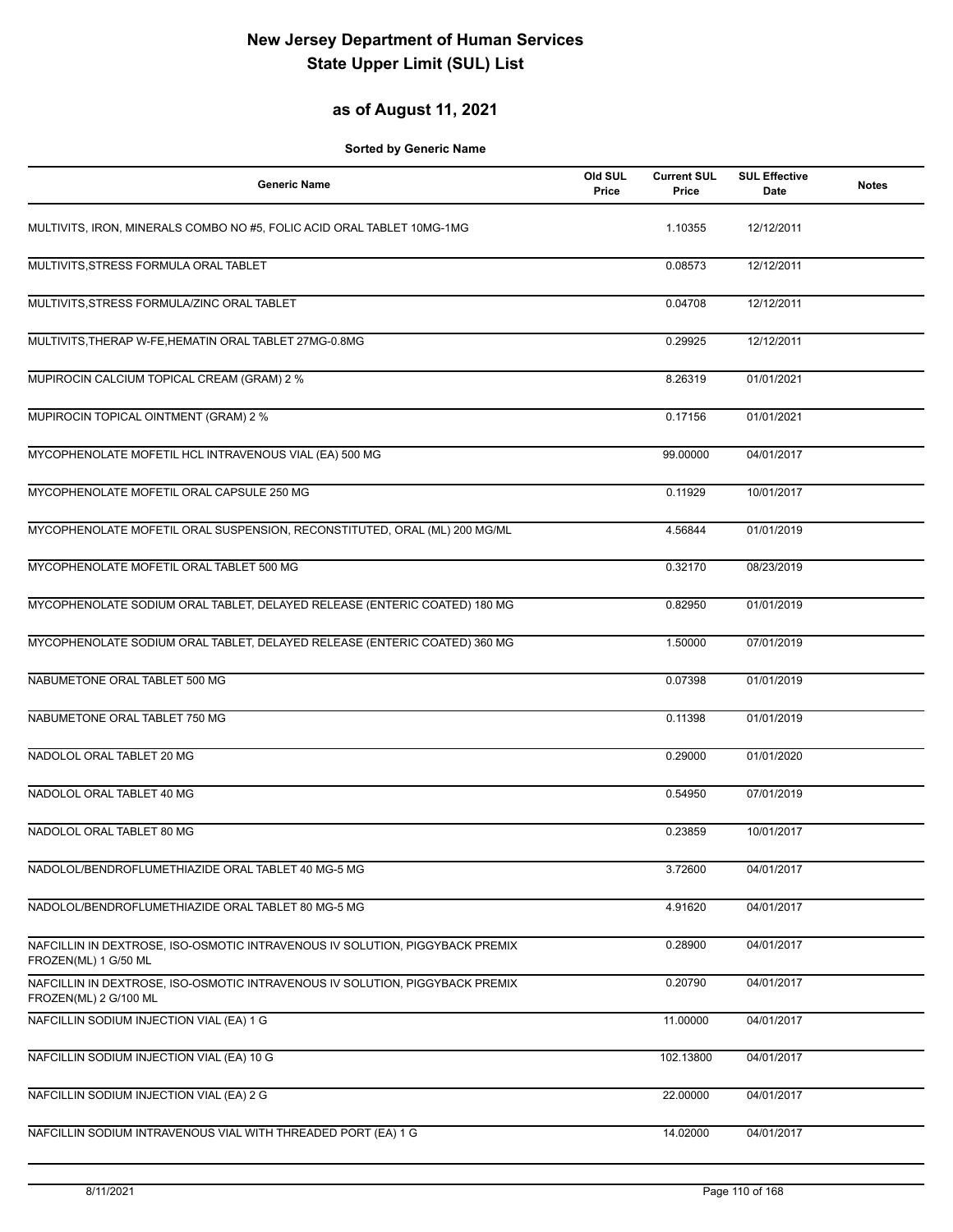## **as of August 11, 2021**

| <b>Generic Name</b>                                                                                   | Old SUL<br>Price | <b>Current SUL</b><br>Price | <b>SUL Effective</b><br>Date | <b>Notes</b> |
|-------------------------------------------------------------------------------------------------------|------------------|-----------------------------|------------------------------|--------------|
| MULTIVITS, IRON, MINERALS COMBO NO #5, FOLIC ACID ORAL TABLET 10MG-1MG                                |                  | 1.10355                     | 12/12/2011                   |              |
| MULTIVITS, STRESS FORMULA ORAL TABLET                                                                 |                  | 0.08573                     | 12/12/2011                   |              |
| MULTIVITS, STRESS FORMULA/ZINC ORAL TABLET                                                            |                  | 0.04708                     | 12/12/2011                   |              |
| MULTIVITS, THERAP W-FE, HEMATIN ORAL TABLET 27MG-0.8MG                                                |                  | 0.29925                     | 12/12/2011                   |              |
| MUPIROCIN CALCIUM TOPICAL CREAM (GRAM) 2 %                                                            |                  | 8.26319                     | 01/01/2021                   |              |
| MUPIROCIN TOPICAL OINTMENT (GRAM) 2 %                                                                 |                  | 0.17156                     | 01/01/2021                   |              |
| MYCOPHENOLATE MOFETIL HCL INTRAVENOUS VIAL (EA) 500 MG                                                |                  | 99.00000                    | 04/01/2017                   |              |
| MYCOPHENOLATE MOFETIL ORAL CAPSULE 250 MG                                                             |                  | 0.11929                     | 10/01/2017                   |              |
| MYCOPHENOLATE MOFETIL ORAL SUSPENSION, RECONSTITUTED, ORAL (ML) 200 MG/ML                             |                  | 4.56844                     | 01/01/2019                   |              |
| MYCOPHENOLATE MOFETIL ORAL TABLET 500 MG                                                              |                  | 0.32170                     | 08/23/2019                   |              |
| MYCOPHENOLATE SODIUM ORAL TABLET, DELAYED RELEASE (ENTERIC COATED) 180 MG                             |                  | 0.82950                     | 01/01/2019                   |              |
| MYCOPHENOLATE SODIUM ORAL TABLET, DELAYED RELEASE (ENTERIC COATED) 360 MG                             |                  | 1.50000                     | 07/01/2019                   |              |
| NABUMETONE ORAL TABLET 500 MG                                                                         |                  | 0.07398                     | 01/01/2019                   |              |
| NABUMETONE ORAL TABLET 750 MG                                                                         |                  | 0.11398                     | 01/01/2019                   |              |
| NADOLOL ORAL TABLET 20 MG                                                                             |                  | 0.29000                     | 01/01/2020                   |              |
| NADOLOL ORAL TABLET 40 MG                                                                             |                  | 0.54950                     | 07/01/2019                   |              |
| NADOLOL ORAL TABLET 80 MG                                                                             |                  | 0.23859                     | 10/01/2017                   |              |
| NADOLOL/BENDROFLUMETHIAZIDE ORAL TABLET 40 MG-5 MG                                                    |                  | 3.72600                     | 04/01/2017                   |              |
| NADOLOL/BENDROFLUMETHIAZIDE ORAL TABLET 80 MG-5 MG                                                    |                  | 4.91620                     | 04/01/2017                   |              |
| NAFCILLIN IN DEXTROSE, ISO-OSMOTIC INTRAVENOUS IV SOLUTION, PIGGYBACK PREMIX<br>FROZEN(ML) 1 G/50 ML  |                  | 0.28900                     | 04/01/2017                   |              |
| NAFCILLIN IN DEXTROSE, ISO-OSMOTIC INTRAVENOUS IV SOLUTION, PIGGYBACK PREMIX<br>FROZEN(ML) 2 G/100 ML |                  | 0.20790                     | 04/01/2017                   |              |
| NAFCILLIN SODIUM INJECTION VIAL (EA) 1 G                                                              |                  | 11.00000                    | 04/01/2017                   |              |
| NAFCILLIN SODIUM INJECTION VIAL (EA) 10 G                                                             |                  | 102.13800                   | 04/01/2017                   |              |
| NAFCILLIN SODIUM INJECTION VIAL (EA) 2 G                                                              |                  | 22.00000                    | 04/01/2017                   |              |
| NAFCILLIN SODIUM INTRAVENOUS VIAL WITH THREADED PORT (EA) 1 G                                         |                  | 14.02000                    | 04/01/2017                   |              |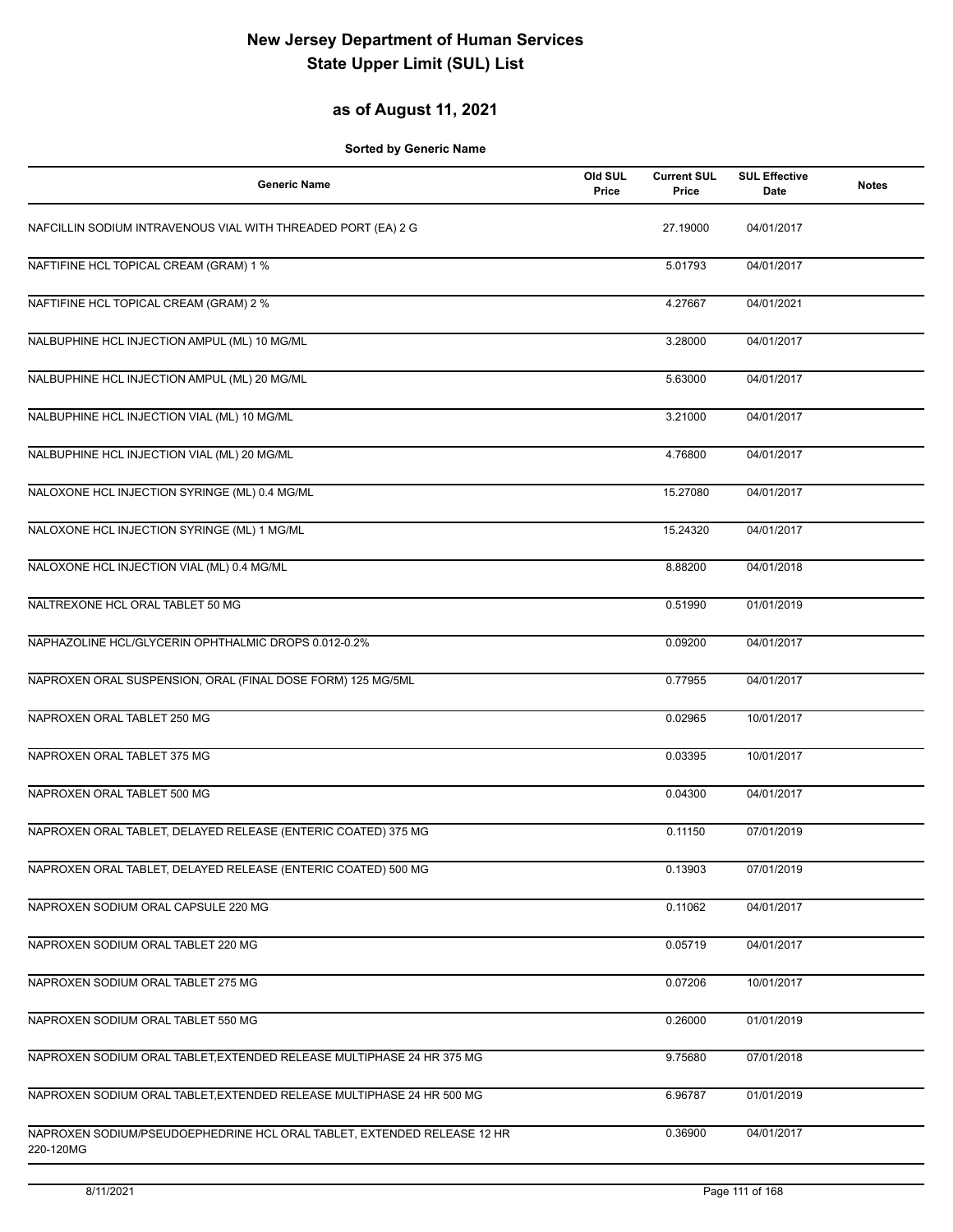## **as of August 11, 2021**

| <b>Generic Name</b>                                                                  | Old SUL<br>Price | <b>Current SUL</b><br>Price | <b>SUL Effective</b><br>Date | <b>Notes</b> |
|--------------------------------------------------------------------------------------|------------------|-----------------------------|------------------------------|--------------|
| NAFCILLIN SODIUM INTRAVENOUS VIAL WITH THREADED PORT (EA) 2 G                        |                  | 27.19000                    | 04/01/2017                   |              |
| NAFTIFINE HCL TOPICAL CREAM (GRAM) 1 %                                               |                  | 5.01793                     | 04/01/2017                   |              |
| NAFTIFINE HCL TOPICAL CREAM (GRAM) 2 %                                               |                  | 4.27667                     | 04/01/2021                   |              |
| NALBUPHINE HCL INJECTION AMPUL (ML) 10 MG/ML                                         |                  | 3.28000                     | 04/01/2017                   |              |
| NALBUPHINE HCL INJECTION AMPUL (ML) 20 MG/ML                                         |                  | 5.63000                     | 04/01/2017                   |              |
| NALBUPHINE HCL INJECTION VIAL (ML) 10 MG/ML                                          |                  | 3.21000                     | 04/01/2017                   |              |
| NALBUPHINE HCL INJECTION VIAL (ML) 20 MG/ML                                          |                  | 4.76800                     | 04/01/2017                   |              |
| NALOXONE HCL INJECTION SYRINGE (ML) 0.4 MG/ML                                        |                  | 15.27080                    | 04/01/2017                   |              |
| NALOXONE HCL INJECTION SYRINGE (ML) 1 MG/ML                                          |                  | 15.24320                    | 04/01/2017                   |              |
| NALOXONE HCL INJECTION VIAL (ML) 0.4 MG/ML                                           |                  | 8.88200                     | 04/01/2018                   |              |
| NALTREXONE HCL ORAL TABLET 50 MG                                                     |                  | 0.51990                     | 01/01/2019                   |              |
| NAPHAZOLINE HCL/GLYCERIN OPHTHALMIC DROPS 0.012-0.2%                                 |                  | 0.09200                     | 04/01/2017                   |              |
| NAPROXEN ORAL SUSPENSION, ORAL (FINAL DOSE FORM) 125 MG/5ML                          |                  | 0.77955                     | 04/01/2017                   |              |
| NAPROXEN ORAL TABLET 250 MG                                                          |                  | 0.02965                     | 10/01/2017                   |              |
| NAPROXEN ORAL TABLET 375 MG                                                          |                  | 0.03395                     | 10/01/2017                   |              |
| NAPROXEN ORAL TABLET 500 MG                                                          |                  | 0.04300                     | 04/01/2017                   |              |
| NAPROXEN ORAL TABLET, DELAYED RELEASE (ENTERIC COATED) 375 MG                        |                  | 0.11150                     | 07/01/2019                   |              |
| NAPROXEN ORAL TABLET, DELAYED RELEASE (ENTERIC COATED) 500 MG                        |                  | 0.13903                     | 07/01/2019                   |              |
| NAPROXEN SODIUM ORAL CAPSULE 220 MG                                                  |                  | 0.11062                     | 04/01/2017                   |              |
| NAPROXEN SODIUM ORAL TABLET 220 MG                                                   |                  | 0.05719                     | 04/01/2017                   |              |
| NAPROXEN SODIUM ORAL TABLET 275 MG                                                   |                  | 0.07206                     | 10/01/2017                   |              |
| NAPROXEN SODIUM ORAL TABLET 550 MG                                                   |                  | 0.26000                     | 01/01/2019                   |              |
| NAPROXEN SODIUM ORAL TABLET, EXTENDED RELEASE MULTIPHASE 24 HR 375 MG                |                  | 9.75680                     | 07/01/2018                   |              |
| NAPROXEN SODIUM ORAL TABLET, EXTENDED RELEASE MULTIPHASE 24 HR 500 MG                |                  | 6.96787                     | 01/01/2019                   |              |
| NAPROXEN SODIUM/PSEUDOEPHEDRINE HCL ORAL TABLET, EXTENDED RELEASE 12 HR<br>220-120MG |                  | 0.36900                     | 04/01/2017                   |              |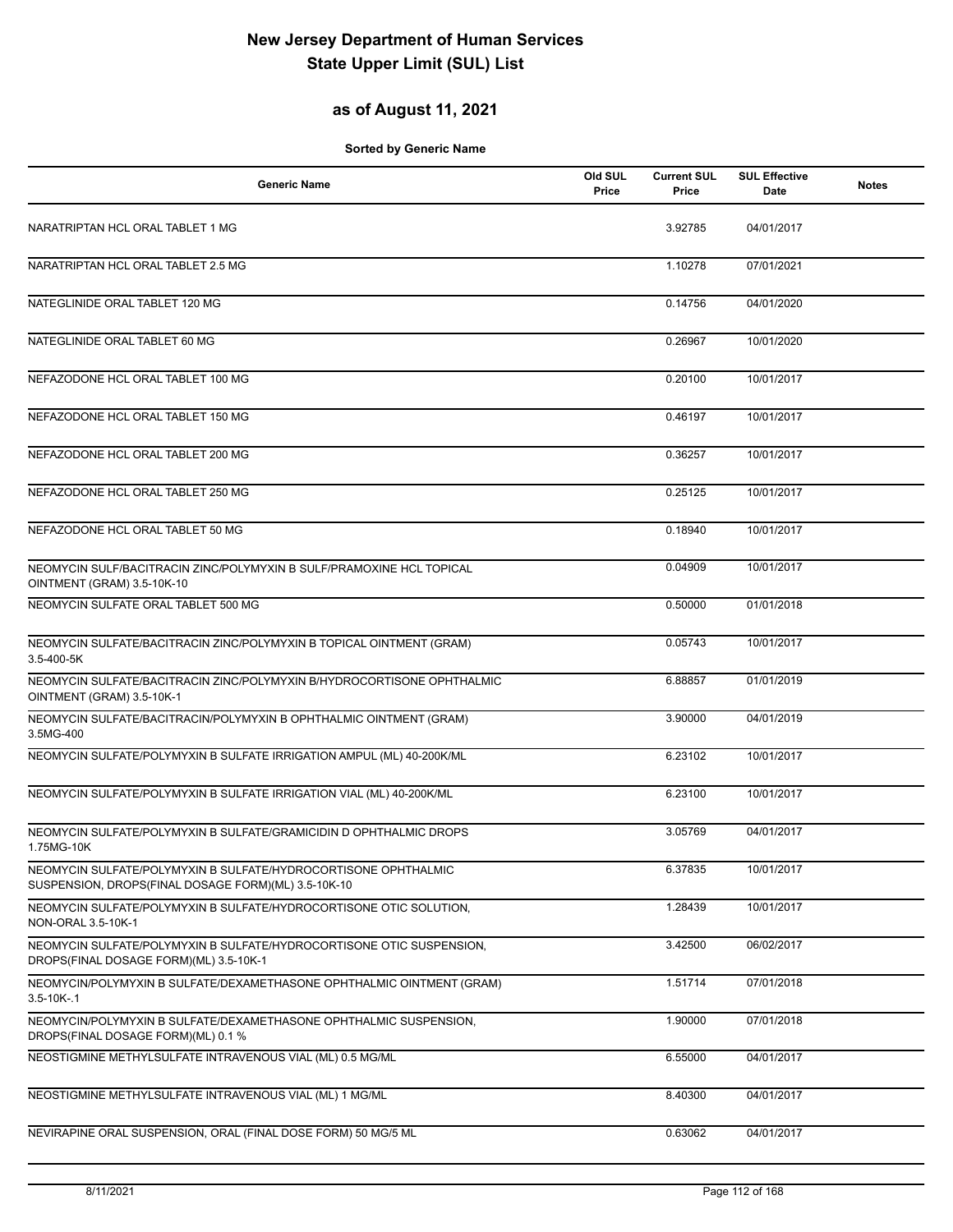## **as of August 11, 2021**

| <b>Generic Name</b>                                                                                                   | Old SUL<br>Price | <b>Current SUL</b><br>Price | <b>SUL Effective</b><br>Date | <b>Notes</b> |
|-----------------------------------------------------------------------------------------------------------------------|------------------|-----------------------------|------------------------------|--------------|
| NARATRIPTAN HCL ORAL TABLET 1 MG                                                                                      |                  | 3.92785                     | 04/01/2017                   |              |
| NARATRIPTAN HCL ORAL TABLET 2.5 MG                                                                                    |                  | 1.10278                     | 07/01/2021                   |              |
| NATEGLINIDE ORAL TABLET 120 MG                                                                                        |                  | 0.14756                     | 04/01/2020                   |              |
| NATEGLINIDE ORAL TABLET 60 MG                                                                                         |                  | 0.26967                     | 10/01/2020                   |              |
| NEFAZODONE HCL ORAL TABLET 100 MG                                                                                     |                  | 0.20100                     | 10/01/2017                   |              |
| NEFAZODONE HCL ORAL TABLET 150 MG                                                                                     |                  | 0.46197                     | 10/01/2017                   |              |
| NEFAZODONE HCL ORAL TABLET 200 MG                                                                                     |                  | 0.36257                     | 10/01/2017                   |              |
| NEFAZODONE HCL ORAL TABLET 250 MG                                                                                     |                  | 0.25125                     | 10/01/2017                   |              |
| NEFAZODONE HCL ORAL TABLET 50 MG                                                                                      |                  | 0.18940                     | 10/01/2017                   |              |
| NEOMYCIN SULF/BACITRACIN ZINC/POLYMYXIN B SULF/PRAMOXINE HCL TOPICAL<br>OINTMENT (GRAM) 3.5-10K-10                    |                  | 0.04909                     | 10/01/2017                   |              |
| NEOMYCIN SULFATE ORAL TABLET 500 MG                                                                                   |                  | 0.50000                     | 01/01/2018                   |              |
| NEOMYCIN SULFATE/BACITRACIN ZINC/POLYMYXIN B TOPICAL OINTMENT (GRAM)<br>3.5-400-5K                                    |                  | 0.05743                     | 10/01/2017                   |              |
| NEOMYCIN SULFATE/BACITRACIN ZINC/POLYMYXIN B/HYDROCORTISONE OPHTHALMIC<br>OINTMENT (GRAM) 3.5-10K-1                   |                  | 6.88857                     | 01/01/2019                   |              |
| NEOMYCIN SULFATE/BACITRACIN/POLYMYXIN B OPHTHALMIC OINTMENT (GRAM)<br>3.5MG-400                                       |                  | 3.90000                     | 04/01/2019                   |              |
| NEOMYCIN SULFATE/POLYMYXIN B SULFATE IRRIGATION AMPUL (ML) 40-200K/ML                                                 |                  | 6.23102                     | 10/01/2017                   |              |
| NEOMYCIN SULFATE/POLYMYXIN B SULFATE IRRIGATION VIAL (ML) 40-200K/ML                                                  |                  | 6.23100                     | 10/01/2017                   |              |
| NEOMYCIN SULFATE/POLYMYXIN B SULFATE/GRAMICIDIN D OPHTHALMIC DROPS<br>1.75MG-10K                                      |                  | 3.05769                     | 04/01/2017                   |              |
| NEOMYCIN SULFATE/POLYMYXIN B SULFATE/HYDROCORTISONE OPHTHALMIC<br>SUSPENSION, DROPS(FINAL DOSAGE FORM)(ML) 3.5-10K-10 |                  | 6.37835                     | 10/01/2017                   |              |
| NEOMYCIN SULFATE/POLYMYXIN B SULFATE/HYDROCORTISONE OTIC SOLUTION,<br>NON-ORAL 3.5-10K-1                              |                  | 1.28439                     | 10/01/2017                   |              |
| NEOMYCIN SULFATE/POLYMYXIN B SULFATE/HYDROCORTISONE OTIC SUSPENSION,<br>DROPS(FINAL DOSAGE FORM)(ML) 3.5-10K-1        |                  | 3.42500                     | 06/02/2017                   |              |
| NEOMYCIN/POLYMYXIN B SULFATE/DEXAMETHASONE OPHTHALMIC OINTMENT (GRAM)<br>$3.5 - 10K - 1$                              |                  | 1.51714                     | 07/01/2018                   |              |
| NEOMYCIN/POLYMYXIN B SULFATE/DEXAMETHASONE OPHTHALMIC SUSPENSION,<br>DROPS(FINAL DOSAGE FORM)(ML) 0.1 %               |                  | 1.90000                     | 07/01/2018                   |              |
| NEOSTIGMINE METHYLSULFATE INTRAVENOUS VIAL (ML) 0.5 MG/ML                                                             |                  | 6.55000                     | 04/01/2017                   |              |
| NEOSTIGMINE METHYLSULFATE INTRAVENOUS VIAL (ML) 1 MG/ML                                                               |                  | 8.40300                     | 04/01/2017                   |              |
| NEVIRAPINE ORAL SUSPENSION, ORAL (FINAL DOSE FORM) 50 MG/5 ML                                                         |                  | 0.63062                     | 04/01/2017                   |              |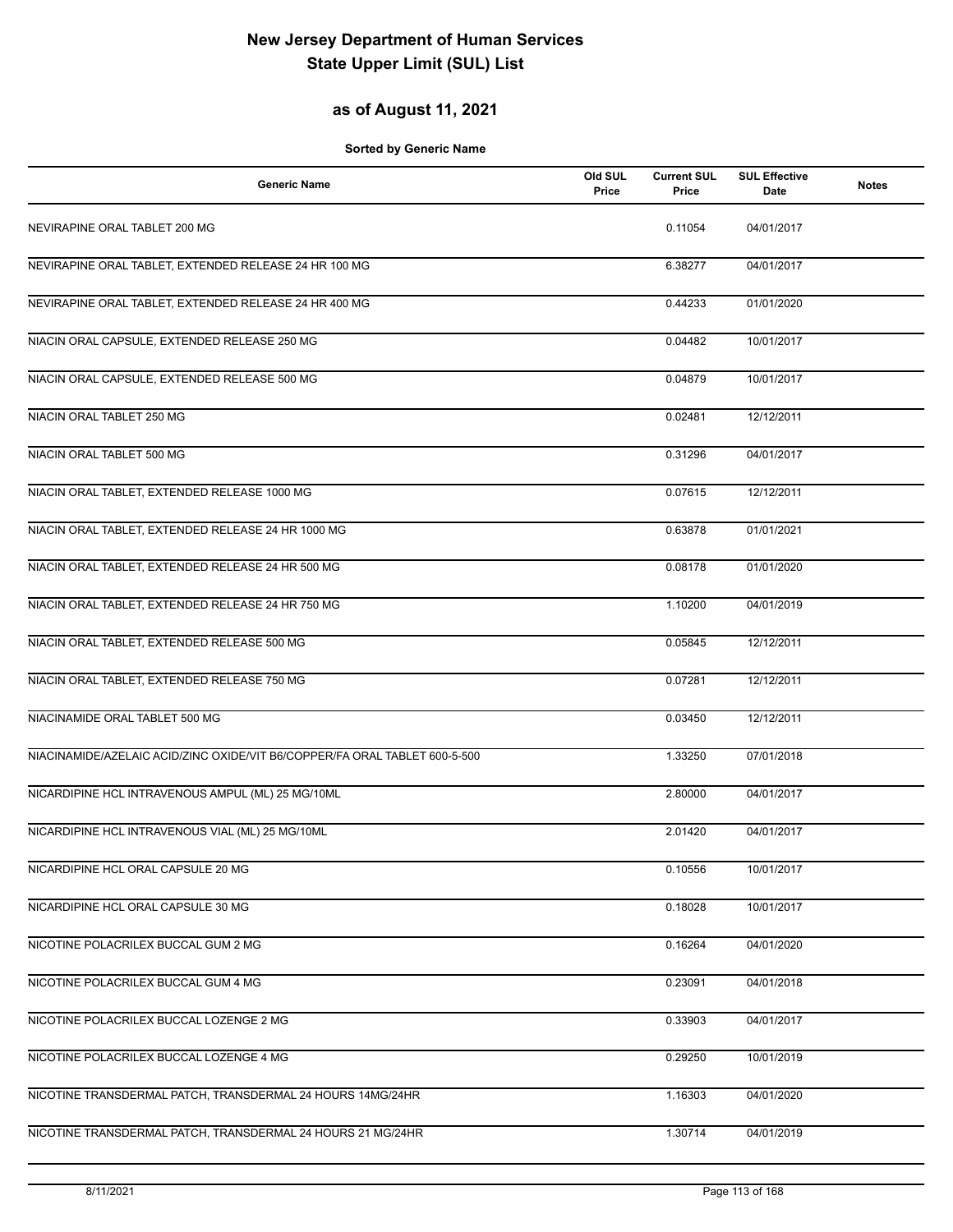## **as of August 11, 2021**

| <b>Generic Name</b>                                                        | Old SUL<br>Price | <b>Current SUL</b><br>Price | <b>SUL Effective</b><br>Date | <b>Notes</b> |
|----------------------------------------------------------------------------|------------------|-----------------------------|------------------------------|--------------|
| NEVIRAPINE ORAL TABLET 200 MG                                              |                  | 0.11054                     | 04/01/2017                   |              |
| NEVIRAPINE ORAL TABLET, EXTENDED RELEASE 24 HR 100 MG                      |                  | 6.38277                     | 04/01/2017                   |              |
| NEVIRAPINE ORAL TABLET, EXTENDED RELEASE 24 HR 400 MG                      |                  | 0.44233                     | 01/01/2020                   |              |
| NIACIN ORAL CAPSULE, EXTENDED RELEASE 250 MG                               |                  | 0.04482                     | 10/01/2017                   |              |
| NIACIN ORAL CAPSULE, EXTENDED RELEASE 500 MG                               |                  | 0.04879                     | 10/01/2017                   |              |
| NIACIN ORAL TABLET 250 MG                                                  |                  | 0.02481                     | 12/12/2011                   |              |
| NIACIN ORAL TABLET 500 MG                                                  |                  | 0.31296                     | 04/01/2017                   |              |
| NIACIN ORAL TABLET, EXTENDED RELEASE 1000 MG                               |                  | 0.07615                     | 12/12/2011                   |              |
| NIACIN ORAL TABLET, EXTENDED RELEASE 24 HR 1000 MG                         |                  | 0.63878                     | 01/01/2021                   |              |
| NIACIN ORAL TABLET, EXTENDED RELEASE 24 HR 500 MG                          |                  | 0.08178                     | 01/01/2020                   |              |
| NIACIN ORAL TABLET, EXTENDED RELEASE 24 HR 750 MG                          |                  | 1.10200                     | 04/01/2019                   |              |
| NIACIN ORAL TABLET, EXTENDED RELEASE 500 MG                                |                  | 0.05845                     | 12/12/2011                   |              |
| NIACIN ORAL TABLET, EXTENDED RELEASE 750 MG                                |                  | 0.07281                     | 12/12/2011                   |              |
| NIACINAMIDE ORAL TABLET 500 MG                                             |                  | 0.03450                     | 12/12/2011                   |              |
| NIACINAMIDE/AZELAIC ACID/ZINC OXIDE/VIT B6/COPPER/FA ORAL TABLET 600-5-500 |                  | 1.33250                     | 07/01/2018                   |              |
| NICARDIPINE HCL INTRAVENOUS AMPUL (ML) 25 MG/10ML                          |                  | 2.80000                     | 04/01/2017                   |              |
| NICARDIPINE HCL INTRAVENOUS VIAL (ML) 25 MG/10ML                           |                  | 2.01420                     | 04/01/2017                   |              |
| NICARDIPINE HCL ORAL CAPSULE 20 MG                                         |                  | 0.10556                     | 10/01/2017                   |              |
| NICARDIPINE HCL ORAL CAPSULE 30 MG                                         |                  | 0.18028                     | 10/01/2017                   |              |
| NICOTINE POLACRILEX BUCCAL GUM 2 MG                                        |                  | 0.16264                     | 04/01/2020                   |              |
| NICOTINE POLACRILEX BUCCAL GUM 4 MG                                        |                  | 0.23091                     | 04/01/2018                   |              |
| NICOTINE POLACRILEX BUCCAL LOZENGE 2 MG                                    |                  | 0.33903                     | 04/01/2017                   |              |
| NICOTINE POLACRILEX BUCCAL LOZENGE 4 MG                                    |                  | 0.29250                     | 10/01/2019                   |              |
| NICOTINE TRANSDERMAL PATCH, TRANSDERMAL 24 HOURS 14MG/24HR                 |                  | 1.16303                     | 04/01/2020                   |              |
| NICOTINE TRANSDERMAL PATCH, TRANSDERMAL 24 HOURS 21 MG/24HR                |                  | 1.30714                     | 04/01/2019                   |              |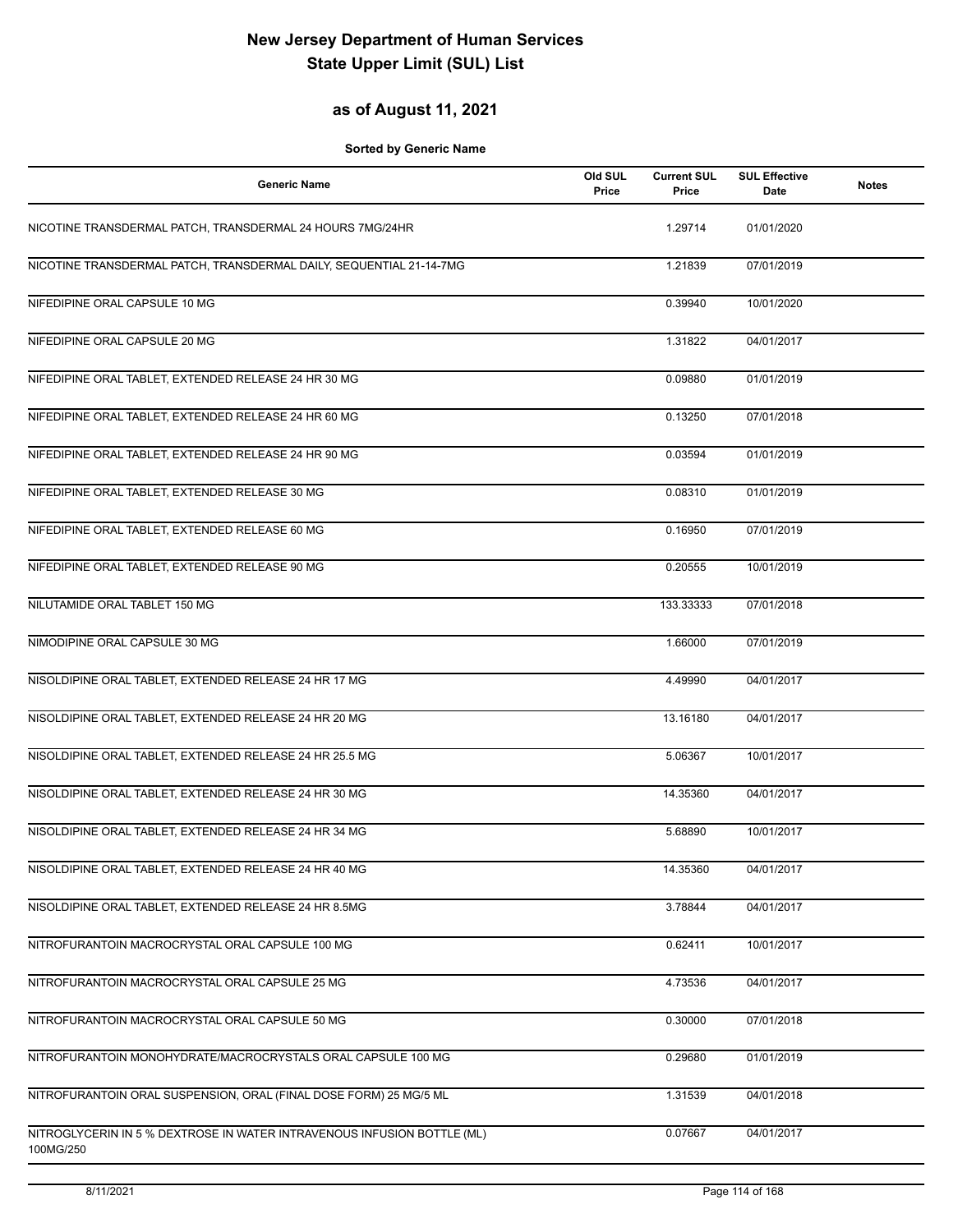## **as of August 11, 2021**

| <b>Generic Name</b>                                                                  | Old SUL<br>Price | <b>Current SUL</b><br>Price | <b>SUL Effective</b><br>Date | <b>Notes</b> |
|--------------------------------------------------------------------------------------|------------------|-----------------------------|------------------------------|--------------|
| NICOTINE TRANSDERMAL PATCH, TRANSDERMAL 24 HOURS 7MG/24HR                            |                  | 1.29714                     | 01/01/2020                   |              |
| NICOTINE TRANSDERMAL PATCH, TRANSDERMAL DAILY, SEQUENTIAL 21-14-7MG                  |                  | 1.21839                     | 07/01/2019                   |              |
| NIFEDIPINE ORAL CAPSULE 10 MG                                                        |                  | 0.39940                     | 10/01/2020                   |              |
| NIFEDIPINE ORAL CAPSULE 20 MG                                                        |                  | 1.31822                     | 04/01/2017                   |              |
| NIFEDIPINE ORAL TABLET, EXTENDED RELEASE 24 HR 30 MG                                 |                  | 0.09880                     | 01/01/2019                   |              |
| NIFEDIPINE ORAL TABLET, EXTENDED RELEASE 24 HR 60 MG                                 |                  | 0.13250                     | 07/01/2018                   |              |
| NIFEDIPINE ORAL TABLET, EXTENDED RELEASE 24 HR 90 MG                                 |                  | 0.03594                     | 01/01/2019                   |              |
| NIFEDIPINE ORAL TABLET, EXTENDED RELEASE 30 MG                                       |                  | 0.08310                     | 01/01/2019                   |              |
| NIFEDIPINE ORAL TABLET, EXTENDED RELEASE 60 MG                                       |                  | 0.16950                     | 07/01/2019                   |              |
| NIFEDIPINE ORAL TABLET, EXTENDED RELEASE 90 MG                                       |                  | 0.20555                     | 10/01/2019                   |              |
| NILUTAMIDE ORAL TABLET 150 MG                                                        |                  | 133.33333                   | 07/01/2018                   |              |
| NIMODIPINE ORAL CAPSULE 30 MG                                                        |                  | 1.66000                     | 07/01/2019                   |              |
| NISOLDIPINE ORAL TABLET, EXTENDED RELEASE 24 HR 17 MG                                |                  | 4.49990                     | 04/01/2017                   |              |
| NISOLDIPINE ORAL TABLET, EXTENDED RELEASE 24 HR 20 MG                                |                  | 13.16180                    | 04/01/2017                   |              |
| NISOLDIPINE ORAL TABLET, EXTENDED RELEASE 24 HR 25.5 MG                              |                  | 5.06367                     | 10/01/2017                   |              |
| NISOLDIPINE ORAL TABLET, EXTENDED RELEASE 24 HR 30 MG                                |                  | 14.35360                    | 04/01/2017                   |              |
| NISOLDIPINE ORAL TABLET, EXTENDED RELEASE 24 HR 34 MG                                |                  | 5.68890                     | 10/01/2017                   |              |
| NISOLDIPINE ORAL TABLET, EXTENDED RELEASE 24 HR 40 MG                                |                  | 14.35360                    | 04/01/2017                   |              |
| NISOLDIPINE ORAL TABLET, EXTENDED RELEASE 24 HR 8.5MG                                |                  | 3.78844                     | 04/01/2017                   |              |
| NITROFURANTOIN MACROCRYSTAL ORAL CAPSULE 100 MG                                      |                  | 0.62411                     | 10/01/2017                   |              |
| NITROFURANTOIN MACROCRYSTAL ORAL CAPSULE 25 MG                                       |                  | 4.73536                     | 04/01/2017                   |              |
| NITROFURANTOIN MACROCRYSTAL ORAL CAPSULE 50 MG                                       |                  | 0.30000                     | 07/01/2018                   |              |
| NITROFURANTOIN MONOHYDRATE/MACROCRYSTALS ORAL CAPSULE 100 MG                         |                  | 0.29680                     | 01/01/2019                   |              |
| NITROFURANTOIN ORAL SUSPENSION, ORAL (FINAL DOSE FORM) 25 MG/5 ML                    |                  | 1.31539                     | 04/01/2018                   |              |
| NITROGLYCERIN IN 5 % DEXTROSE IN WATER INTRAVENOUS INFUSION BOTTLE (ML)<br>100MG/250 |                  | 0.07667                     | 04/01/2017                   |              |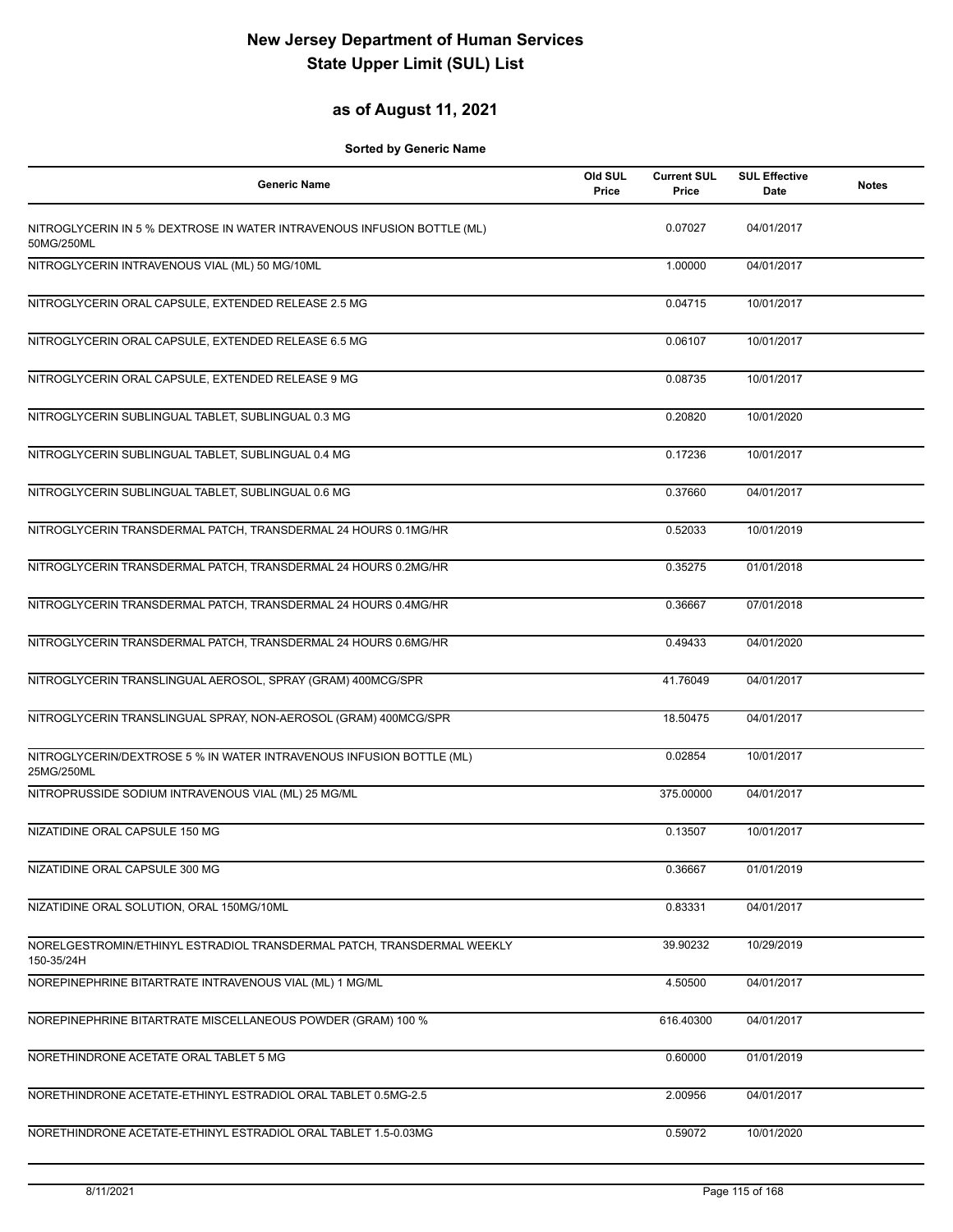## **as of August 11, 2021**

| <b>Generic Name</b>                                                                   | Old SUL<br>Price | <b>Current SUL</b><br>Price | <b>SUL Effective</b><br><b>Date</b> | <b>Notes</b> |
|---------------------------------------------------------------------------------------|------------------|-----------------------------|-------------------------------------|--------------|
| NITROGLYCERIN IN 5 % DEXTROSE IN WATER INTRAVENOUS INFUSION BOTTLE (ML)<br>50MG/250ML |                  | 0.07027                     | 04/01/2017                          |              |
| NITROGLYCERIN INTRAVENOUS VIAL (ML) 50 MG/10ML                                        |                  | 1.00000                     | 04/01/2017                          |              |
| NITROGLYCERIN ORAL CAPSULE, EXTENDED RELEASE 2.5 MG                                   |                  | 0.04715                     | 10/01/2017                          |              |
| NITROGLYCERIN ORAL CAPSULE, EXTENDED RELEASE 6.5 MG                                   |                  | 0.06107                     | 10/01/2017                          |              |
| NITROGLYCERIN ORAL CAPSULE, EXTENDED RELEASE 9 MG                                     |                  | 0.08735                     | 10/01/2017                          |              |
| NITROGLYCERIN SUBLINGUAL TABLET, SUBLINGUAL 0.3 MG                                    |                  | 0.20820                     | 10/01/2020                          |              |
| NITROGLYCERIN SUBLINGUAL TABLET, SUBLINGUAL 0.4 MG                                    |                  | 0.17236                     | 10/01/2017                          |              |
| NITROGLYCERIN SUBLINGUAL TABLET, SUBLINGUAL 0.6 MG                                    |                  | 0.37660                     | 04/01/2017                          |              |
| NITROGLYCERIN TRANSDERMAL PATCH, TRANSDERMAL 24 HOURS 0.1MG/HR                        |                  | 0.52033                     | 10/01/2019                          |              |
| NITROGLYCERIN TRANSDERMAL PATCH, TRANSDERMAL 24 HOURS 0.2MG/HR                        |                  | 0.35275                     | 01/01/2018                          |              |
| NITROGLYCERIN TRANSDERMAL PATCH, TRANSDERMAL 24 HOURS 0.4MG/HR                        |                  | 0.36667                     | 07/01/2018                          |              |
| NITROGLYCERIN TRANSDERMAL PATCH, TRANSDERMAL 24 HOURS 0.6MG/HR                        |                  | 0.49433                     | 04/01/2020                          |              |
| NITROGLYCERIN TRANSLINGUAL AEROSOL, SPRAY (GRAM) 400MCG/SPR                           |                  | 41.76049                    | 04/01/2017                          |              |
| NITROGLYCERIN TRANSLINGUAL SPRAY, NON-AEROSOL (GRAM) 400MCG/SPR                       |                  | 18.50475                    | 04/01/2017                          |              |
| NITROGLYCERIN/DEXTROSE 5 % IN WATER INTRAVENOUS INFUSION BOTTLE (ML)<br>25MG/250ML    |                  | 0.02854                     | 10/01/2017                          |              |
| NITROPRUSSIDE SODIUM INTRAVENOUS VIAL (ML) 25 MG/ML                                   |                  | 375.00000                   | 04/01/2017                          |              |
| NIZATIDINE ORAL CAPSULE 150 MG                                                        |                  | 0.13507                     | 10/01/2017                          |              |
| NIZATIDINE ORAL CAPSULE 300 MG                                                        |                  | 0.36667                     | 01/01/2019                          |              |
| NIZATIDINE ORAL SOLUTION, ORAL 150MG/10ML                                             |                  | 0.83331                     | 04/01/2017                          |              |
| NORELGESTROMIN/ETHINYL ESTRADIOL TRANSDERMAL PATCH, TRANSDERMAL WEEKLY<br>150-35/24H  |                  | 39.90232                    | 10/29/2019                          |              |
| NOREPINEPHRINE BITARTRATE INTRAVENOUS VIAL (ML) 1 MG/ML                               |                  | 4.50500                     | 04/01/2017                          |              |
| NOREPINEPHRINE BITARTRATE MISCELLANEOUS POWDER (GRAM) 100 %                           |                  | 616.40300                   | 04/01/2017                          |              |
| NORETHINDRONE ACETATE ORAL TABLET 5 MG                                                |                  | 0.60000                     | 01/01/2019                          |              |
| NORETHINDRONE ACETATE-ETHINYL ESTRADIOL ORAL TABLET 0.5MG-2.5                         |                  | 2.00956                     | 04/01/2017                          |              |
| NORETHINDRONE ACETATE-ETHINYL ESTRADIOL ORAL TABLET 1.5-0.03MG                        |                  | 0.59072                     | 10/01/2020                          |              |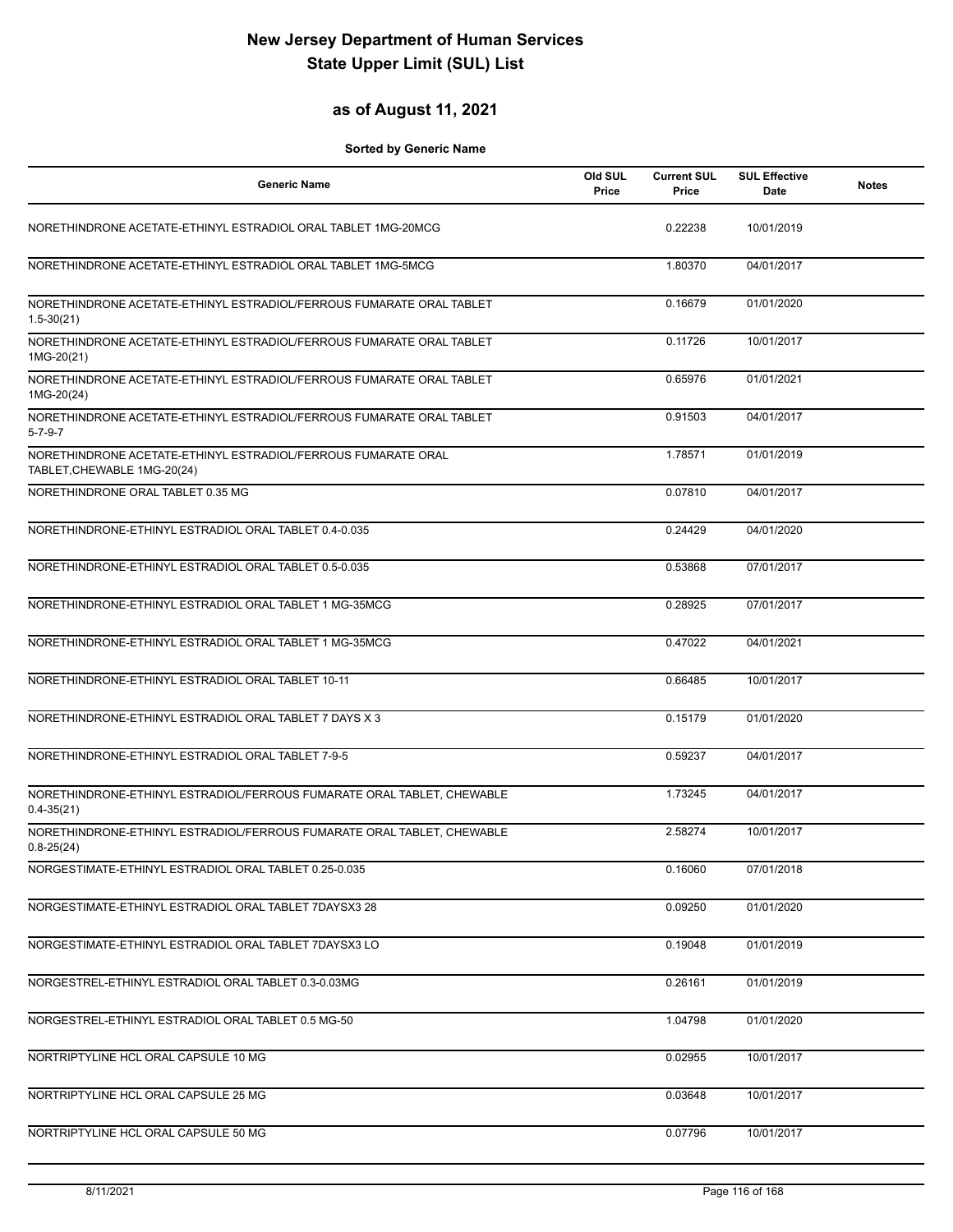## **as of August 11, 2021**

| <b>Generic Name</b>                                                                          | Old SUL<br>Price | <b>Current SUL</b><br>Price | <b>SUL Effective</b><br>Date | <b>Notes</b> |
|----------------------------------------------------------------------------------------------|------------------|-----------------------------|------------------------------|--------------|
| NORETHINDRONE ACETATE-ETHINYL ESTRADIOL ORAL TABLET 1MG-20MCG                                |                  | 0.22238                     | 10/01/2019                   |              |
| NORETHINDRONE ACETATE-ETHINYL ESTRADIOL ORAL TABLET 1MG-5MCG                                 |                  | 1.80370                     | 04/01/2017                   |              |
| NORETHINDRONE ACETATE-ETHINYL ESTRADIOL/FERROUS FUMARATE ORAL TABLET<br>$1.5 - 30(21)$       |                  | 0.16679                     | 01/01/2020                   |              |
| NORETHINDRONE ACETATE-ETHINYL ESTRADIOL/FERROUS FUMARATE ORAL TABLET<br>1MG-20(21)           |                  | 0.11726                     | 10/01/2017                   |              |
| NORETHINDRONE ACETATE-ETHINYL ESTRADIOL/FERROUS FUMARATE ORAL TABLET<br>1MG-20(24)           |                  | 0.65976                     | 01/01/2021                   |              |
| NORETHINDRONE ACETATE-ETHINYL ESTRADIOL/FERROUS FUMARATE ORAL TABLET<br>$5 - 7 - 9 - 7$      |                  | 0.91503                     | 04/01/2017                   |              |
| NORETHINDRONE ACETATE-ETHINYL ESTRADIOL/FERROUS FUMARATE ORAL<br>TABLET, CHEWABLE 1MG-20(24) |                  | 1.78571                     | 01/01/2019                   |              |
| NORETHINDRONE ORAL TABLET 0.35 MG                                                            |                  | 0.07810                     | 04/01/2017                   |              |
| NORETHINDRONE-ETHINYL ESTRADIOL ORAL TABLET 0.4-0.035                                        |                  | 0.24429                     | 04/01/2020                   |              |
| NORETHINDRONE-ETHINYL ESTRADIOL ORAL TABLET 0.5-0.035                                        |                  | 0.53868                     | 07/01/2017                   |              |
| NORETHINDRONE-ETHINYL ESTRADIOL ORAL TABLET 1 MG-35MCG                                       |                  | 0.28925                     | 07/01/2017                   |              |
| NORETHINDRONE-ETHINYL ESTRADIOL ORAL TABLET 1 MG-35MCG                                       |                  | 0.47022                     | 04/01/2021                   |              |
| NORETHINDRONE-ETHINYL ESTRADIOL ORAL TABLET 10-11                                            |                  | 0.66485                     | 10/01/2017                   |              |
| NORETHINDRONE-ETHINYL ESTRADIOL ORAL TABLET 7 DAYS X 3                                       |                  | 0.15179                     | 01/01/2020                   |              |
| NORETHINDRONE-ETHINYL ESTRADIOL ORAL TABLET 7-9-5                                            |                  | 0.59237                     | 04/01/2017                   |              |
| NORETHINDRONE-ETHINYL ESTRADIOL/FERROUS FUMARATE ORAL TABLET, CHEWABLE<br>$0.4 - 35(21)$     |                  | 1.73245                     | 04/01/2017                   |              |
| NORETHINDRONE-ETHINYL ESTRADIOL/FERROUS FUMARATE ORAL TABLET, CHEWABLE<br>$0.8 - 25(24)$     |                  | 2.58274                     | 10/01/2017                   |              |
| NORGESTIMATE-ETHINYL ESTRADIOL ORAL TABLET 0.25-0.035                                        |                  | 0.16060                     | 07/01/2018                   |              |
| NORGESTIMATE-ETHINYL ESTRADIOL ORAL TABLET 7DAYSX3 28                                        |                  | 0.09250                     | 01/01/2020                   |              |
| NORGESTIMATE-ETHINYL ESTRADIOL ORAL TABLET 7DAYSX3 LO                                        |                  | 0.19048                     | 01/01/2019                   |              |
| NORGESTREL-ETHINYL ESTRADIOL ORAL TABLET 0.3-0.03MG                                          |                  | 0.26161                     | 01/01/2019                   |              |
| NORGESTREL-ETHINYL ESTRADIOL ORAL TABLET 0.5 MG-50                                           |                  | 1.04798                     | 01/01/2020                   |              |
| NORTRIPTYLINE HCL ORAL CAPSULE 10 MG                                                         |                  | 0.02955                     | 10/01/2017                   |              |
| NORTRIPTYLINE HCL ORAL CAPSULE 25 MG                                                         |                  | 0.03648                     | 10/01/2017                   |              |
| NORTRIPTYLINE HCL ORAL CAPSULE 50 MG                                                         |                  | 0.07796                     | 10/01/2017                   |              |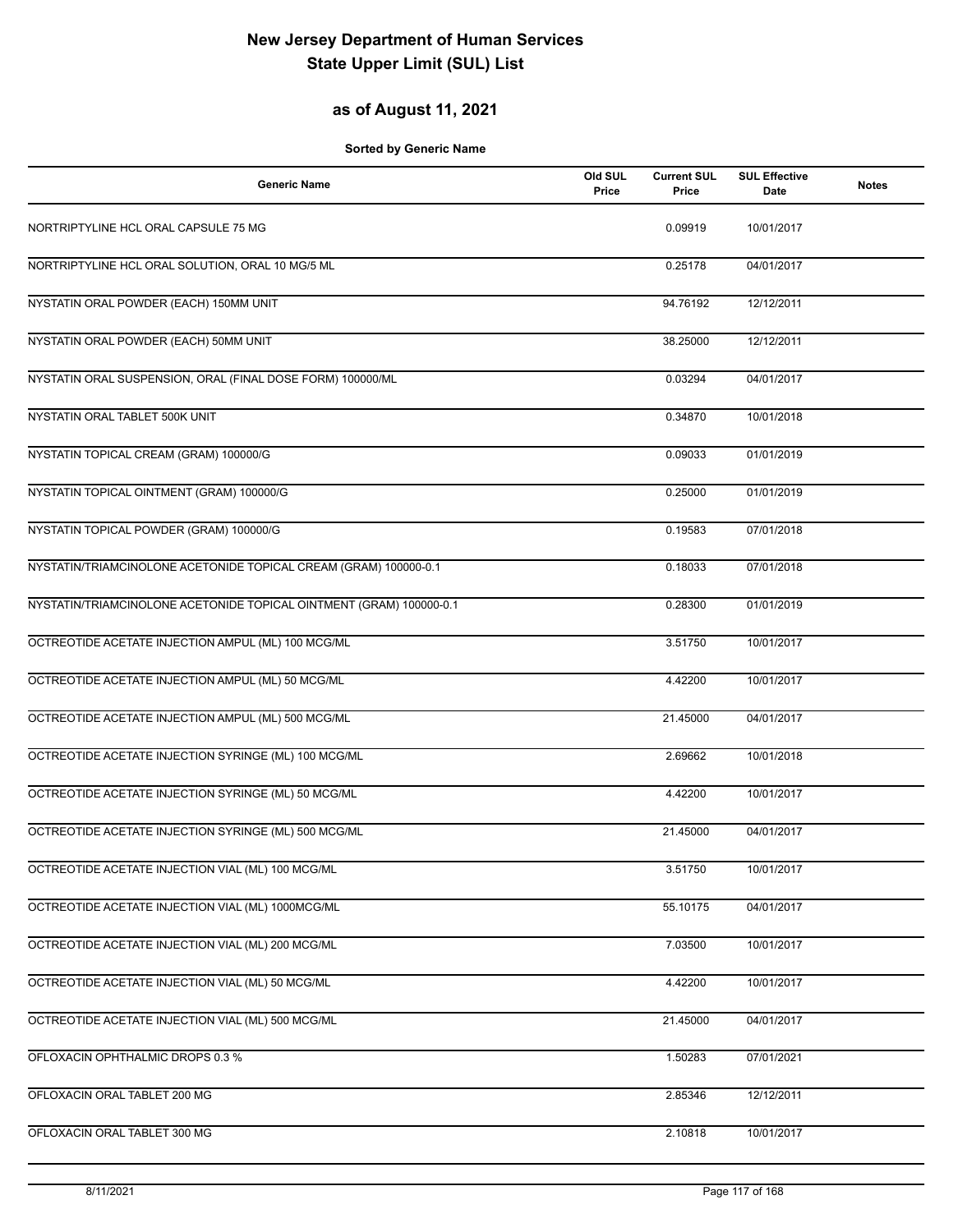## **as of August 11, 2021**

| <b>Generic Name</b>                                                 | Old SUL<br>Price | <b>Current SUL</b><br>Price | <b>SUL Effective</b><br>Date | <b>Notes</b> |
|---------------------------------------------------------------------|------------------|-----------------------------|------------------------------|--------------|
| NORTRIPTYLINE HCL ORAL CAPSULE 75 MG                                |                  | 0.09919                     | 10/01/2017                   |              |
| NORTRIPTYLINE HCL ORAL SOLUTION, ORAL 10 MG/5 ML                    |                  | 0.25178                     | 04/01/2017                   |              |
| NYSTATIN ORAL POWDER (EACH) 150MM UNIT                              |                  | 94.76192                    | 12/12/2011                   |              |
| NYSTATIN ORAL POWDER (EACH) 50MM UNIT                               |                  | 38.25000                    | 12/12/2011                   |              |
| NYSTATIN ORAL SUSPENSION, ORAL (FINAL DOSE FORM) 100000/ML          |                  | 0.03294                     | 04/01/2017                   |              |
| NYSTATIN ORAL TABLET 500K UNIT                                      |                  | 0.34870                     | 10/01/2018                   |              |
| NYSTATIN TOPICAL CREAM (GRAM) 100000/G                              |                  | 0.09033                     | 01/01/2019                   |              |
| NYSTATIN TOPICAL OINTMENT (GRAM) 100000/G                           |                  | 0.25000                     | 01/01/2019                   |              |
| NYSTATIN TOPICAL POWDER (GRAM) 100000/G                             |                  | 0.19583                     | 07/01/2018                   |              |
| NYSTATIN/TRIAMCINOLONE ACETONIDE TOPICAL CREAM (GRAM) 100000-0.1    |                  | 0.18033                     | 07/01/2018                   |              |
| NYSTATIN/TRIAMCINOLONE ACETONIDE TOPICAL OINTMENT (GRAM) 100000-0.1 |                  | 0.28300                     | 01/01/2019                   |              |
| OCTREOTIDE ACETATE INJECTION AMPUL (ML) 100 MCG/ML                  |                  | 3.51750                     | 10/01/2017                   |              |
| OCTREOTIDE ACETATE INJECTION AMPUL (ML) 50 MCG/ML                   |                  | 4.42200                     | 10/01/2017                   |              |
| OCTREOTIDE ACETATE INJECTION AMPUL (ML) 500 MCG/ML                  |                  | 21.45000                    | 04/01/2017                   |              |
| OCTREOTIDE ACETATE INJECTION SYRINGE (ML) 100 MCG/ML                |                  | 2.69662                     | 10/01/2018                   |              |
| OCTREOTIDE ACETATE INJECTION SYRINGE (ML) 50 MCG/ML                 |                  | 4.42200                     | 10/01/2017                   |              |
| OCTREOTIDE ACETATE INJECTION SYRINGE (ML) 500 MCG/ML                |                  | 21.45000                    | 04/01/2017                   |              |
| OCTREOTIDE ACETATE INJECTION VIAL (ML) 100 MCG/ML                   |                  | 3.51750                     | 10/01/2017                   |              |
| OCTREOTIDE ACETATE INJECTION VIAL (ML) 1000MCG/ML                   |                  | 55.10175                    | 04/01/2017                   |              |
| OCTREOTIDE ACETATE INJECTION VIAL (ML) 200 MCG/ML                   |                  | 7.03500                     | 10/01/2017                   |              |
| OCTREOTIDE ACETATE INJECTION VIAL (ML) 50 MCG/ML                    |                  | 4.42200                     | 10/01/2017                   |              |
| OCTREOTIDE ACETATE INJECTION VIAL (ML) 500 MCG/ML                   |                  | 21.45000                    | 04/01/2017                   |              |
| OFLOXACIN OPHTHALMIC DROPS 0.3 %                                    |                  | 1.50283                     | 07/01/2021                   |              |
| OFLOXACIN ORAL TABLET 200 MG                                        |                  | 2.85346                     | 12/12/2011                   |              |
| OFLOXACIN ORAL TABLET 300 MG                                        |                  | 2.10818                     | 10/01/2017                   |              |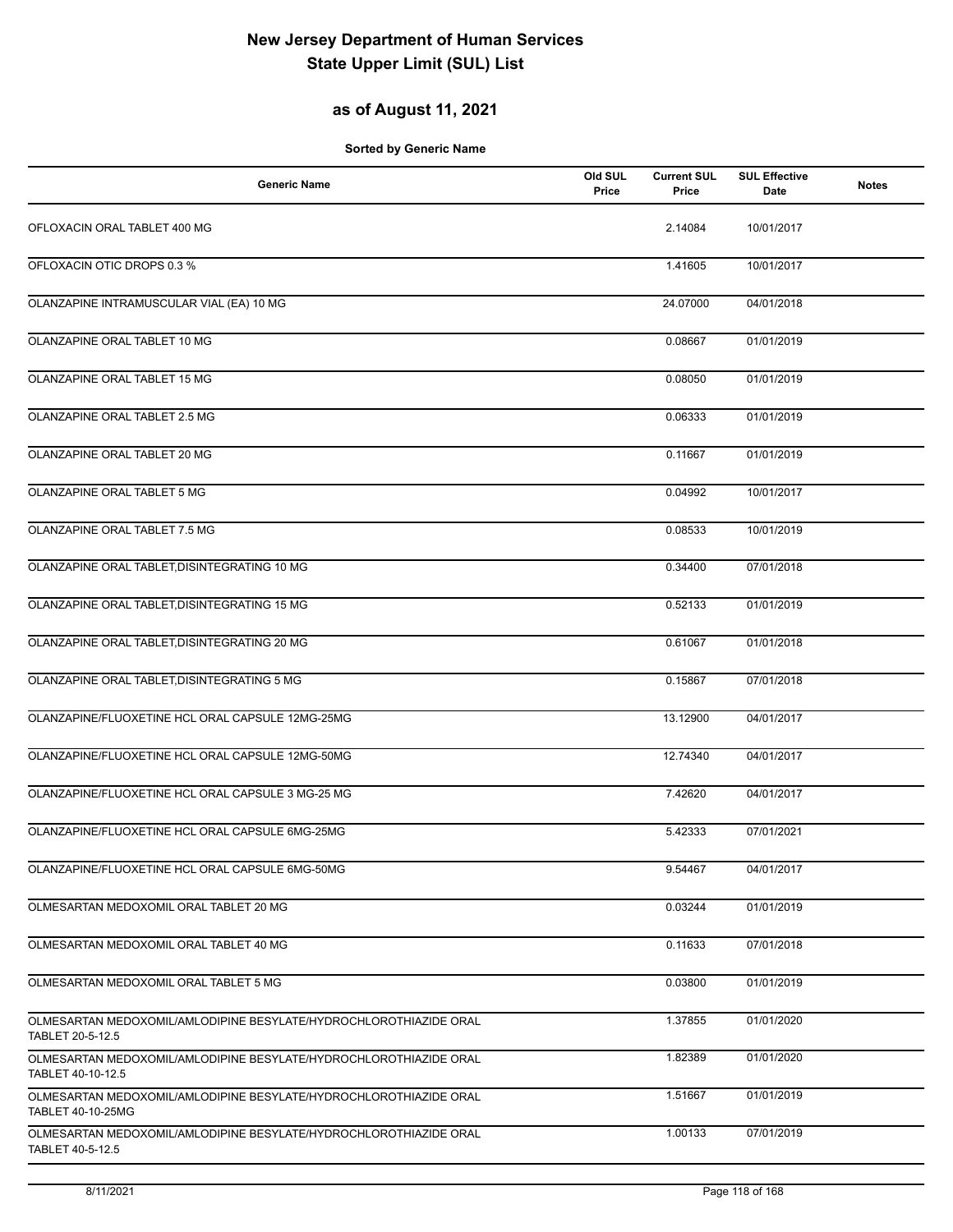## **as of August 11, 2021**

| <b>Generic Name</b>                                                                                        | Old SUL<br>Price | <b>Current SUL</b><br>Price | <b>SUL Effective</b><br>Date | <b>Notes</b> |
|------------------------------------------------------------------------------------------------------------|------------------|-----------------------------|------------------------------|--------------|
| OFLOXACIN ORAL TABLET 400 MG                                                                               |                  | 2.14084                     | 10/01/2017                   |              |
| OFLOXACIN OTIC DROPS 0.3 %                                                                                 |                  | 1.41605                     | 10/01/2017                   |              |
| OLANZAPINE INTRAMUSCULAR VIAL (EA) 10 MG                                                                   |                  | 24.07000                    | 04/01/2018                   |              |
| OLANZAPINE ORAL TABLET 10 MG                                                                               |                  | 0.08667                     | 01/01/2019                   |              |
| OLANZAPINE ORAL TABLET 15 MG                                                                               |                  | 0.08050                     | 01/01/2019                   |              |
| OLANZAPINE ORAL TABLET 2.5 MG                                                                              |                  | 0.06333                     | 01/01/2019                   |              |
| OLANZAPINE ORAL TABLET 20 MG                                                                               |                  | 0.11667                     | 01/01/2019                   |              |
| OLANZAPINE ORAL TABLET 5 MG                                                                                |                  | 0.04992                     | 10/01/2017                   |              |
| OLANZAPINE ORAL TABLET 7.5 MG                                                                              |                  | 0.08533                     | 10/01/2019                   |              |
| OLANZAPINE ORAL TABLET, DISINTEGRATING 10 MG                                                               |                  | 0.34400                     | 07/01/2018                   |              |
| OLANZAPINE ORAL TABLET, DISINTEGRATING 15 MG                                                               |                  | 0.52133                     | 01/01/2019                   |              |
| OLANZAPINE ORAL TABLET, DISINTEGRATING 20 MG                                                               |                  | 0.61067                     | 01/01/2018                   |              |
| OLANZAPINE ORAL TABLET, DISINTEGRATING 5 MG                                                                |                  | 0.15867                     | 07/01/2018                   |              |
| OLANZAPINE/FLUOXETINE HCL ORAL CAPSULE 12MG-25MG                                                           |                  | 13.12900                    | 04/01/2017                   |              |
| OLANZAPINE/FLUOXETINE HCL ORAL CAPSULE 12MG-50MG                                                           |                  | 12.74340                    | 04/01/2017                   |              |
| OLANZAPINE/FLUOXETINE HCL ORAL CAPSULE 3 MG-25 MG                                                          |                  | 7.42620                     | 04/01/2017                   |              |
| OLANZAPINE/FLUOXETINE HCL ORAL CAPSULE 6MG-25MG                                                            |                  | 5.42333                     | 07/01/2021                   |              |
| OLANZAPINE/FLUOXETINE HCL ORAL CAPSULE 6MG-50MG                                                            |                  | 9.54467                     | 04/01/2017                   |              |
| OLMESARTAN MEDOXOMIL ORAL TABLET 20 MG                                                                     |                  | 0.03244                     | 01/01/2019                   |              |
| OLMESARTAN MEDOXOMIL ORAL TABLET 40 MG                                                                     |                  | 0.11633                     | 07/01/2018                   |              |
| OLMESARTAN MEDOXOMIL ORAL TABLET 5 MG                                                                      |                  | 0.03800                     | 01/01/2019                   |              |
| OLMESARTAN MEDOXOMIL/AMLODIPINE BESYLATE/HYDROCHLOROTHIAZIDE ORAL                                          |                  | 1.37855                     | 01/01/2020                   |              |
| TABLET 20-5-12.5<br>OLMESARTAN MEDOXOMIL/AMLODIPINE BESYLATE/HYDROCHLOROTHIAZIDE ORAL                      |                  | 1.82389                     | 01/01/2020                   |              |
| TABLET 40-10-12.5<br>OLMESARTAN MEDOXOMIL/AMLODIPINE BESYLATE/HYDROCHLOROTHIAZIDE ORAL                     |                  | 1.51667                     | 01/01/2019                   |              |
| TABLET 40-10-25MG<br>OLMESARTAN MEDOXOMIL/AMLODIPINE BESYLATE/HYDROCHLOROTHIAZIDE ORAL<br>TABLET 40-5-12.5 |                  | 1.00133                     | 07/01/2019                   |              |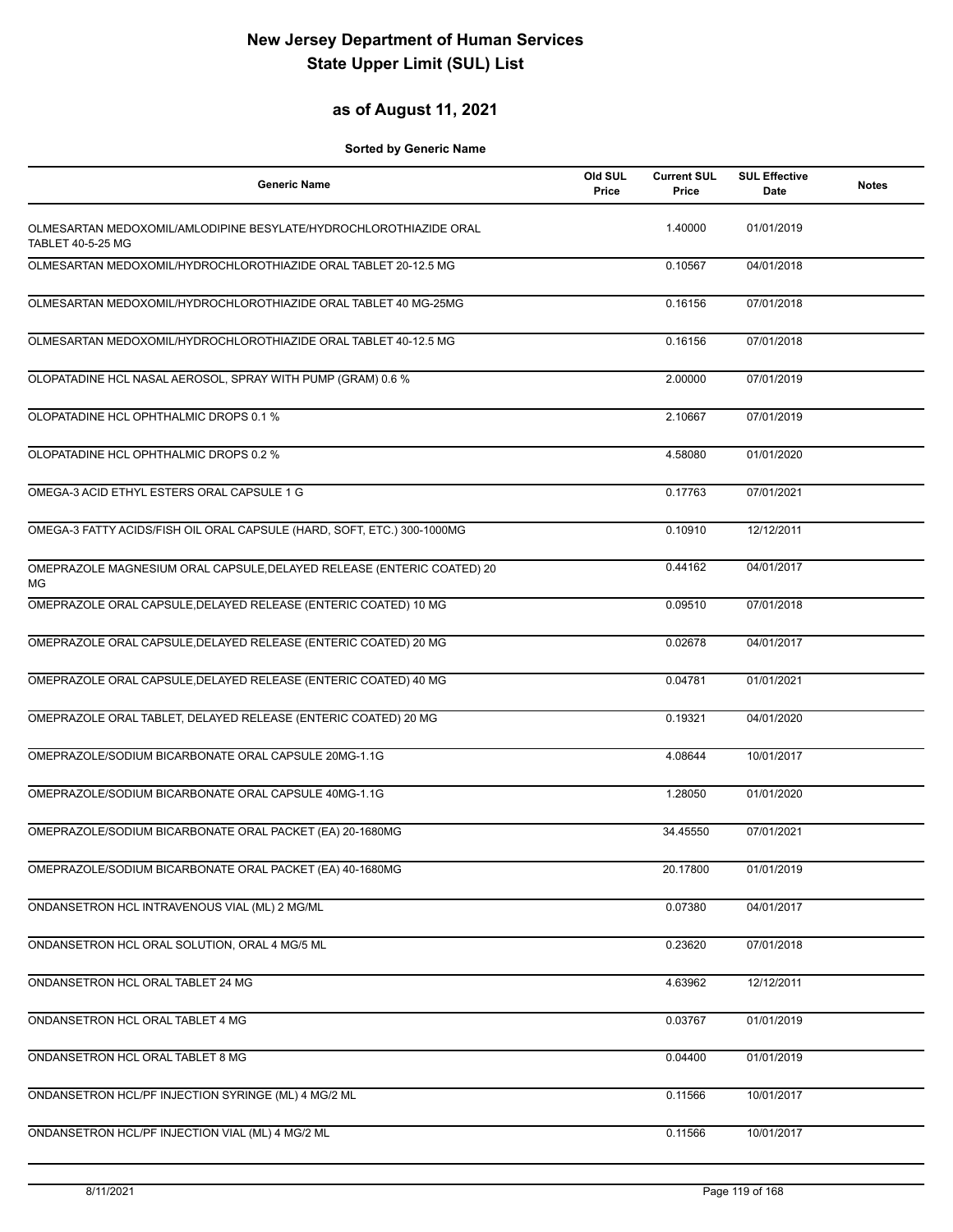## **as of August 11, 2021**

| <b>Generic Name</b>                                                                           | Old SUL<br>Price | <b>Current SUL</b><br>Price | <b>SUL Effective</b><br>Date | <b>Notes</b> |
|-----------------------------------------------------------------------------------------------|------------------|-----------------------------|------------------------------|--------------|
| OLMESARTAN MEDOXOMIL/AMLODIPINE BESYLATE/HYDROCHLOROTHIAZIDE ORAL<br><b>TABLET 40-5-25 MG</b> |                  | 1.40000                     | 01/01/2019                   |              |
| OLMESARTAN MEDOXOMIL/HYDROCHLOROTHIAZIDE ORAL TABLET 20-12.5 MG                               |                  | 0.10567                     | 04/01/2018                   |              |
| OLMESARTAN MEDOXOMIL/HYDROCHLOROTHIAZIDE ORAL TABLET 40 MG-25MG                               |                  | 0.16156                     | 07/01/2018                   |              |
| OLMESARTAN MEDOXOMIL/HYDROCHLOROTHIAZIDE ORAL TABLET 40-12.5 MG                               |                  | 0.16156                     | 07/01/2018                   |              |
| OLOPATADINE HCL NASAL AEROSOL, SPRAY WITH PUMP (GRAM) 0.6 %                                   |                  | 2.00000                     | 07/01/2019                   |              |
| OLOPATADINE HCL OPHTHALMIC DROPS 0.1 %                                                        |                  | 2.10667                     | 07/01/2019                   |              |
| OLOPATADINE HCL OPHTHALMIC DROPS 0.2 %                                                        |                  | 4.58080                     | 01/01/2020                   |              |
| OMEGA-3 ACID ETHYL ESTERS ORAL CAPSULE 1 G                                                    |                  | 0.17763                     | 07/01/2021                   |              |
| OMEGA-3 FATTY ACIDS/FISH OIL ORAL CAPSULE (HARD, SOFT, ETC.) 300-1000MG                       |                  | 0.10910                     | 12/12/2011                   |              |
| OMEPRAZOLE MAGNESIUM ORAL CAPSULE, DELAYED RELEASE (ENTERIC COATED) 20<br>MG                  |                  | 0.44162                     | 04/01/2017                   |              |
| OMEPRAZOLE ORAL CAPSULE, DELAYED RELEASE (ENTERIC COATED) 10 MG                               |                  | 0.09510                     | 07/01/2018                   |              |
| OMEPRAZOLE ORAL CAPSULE, DELAYED RELEASE (ENTERIC COATED) 20 MG                               |                  | 0.02678                     | 04/01/2017                   |              |
| OMEPRAZOLE ORAL CAPSULE, DELAYED RELEASE (ENTERIC COATED) 40 MG                               |                  | 0.04781                     | 01/01/2021                   |              |
| OMEPRAZOLE ORAL TABLET, DELAYED RELEASE (ENTERIC COATED) 20 MG                                |                  | 0.19321                     | 04/01/2020                   |              |
| OMEPRAZOLE/SODIUM BICARBONATE ORAL CAPSULE 20MG-1.1G                                          |                  | 4.08644                     | 10/01/2017                   |              |
| OMEPRAZOLE/SODIUM BICARBONATE ORAL CAPSULE 40MG-1.1G                                          |                  | 1.28050                     | 01/01/2020                   |              |
| OMEPRAZOLE/SODIUM BICARBONATE ORAL PACKET (EA) 20-1680MG                                      |                  | 34.45550                    | 07/01/2021                   |              |
| OMEPRAZOLE/SODIUM BICARBONATE ORAL PACKET (EA) 40-1680MG                                      |                  | 20.17800                    | 01/01/2019                   |              |
| ONDANSETRON HCL INTRAVENOUS VIAL (ML) 2 MG/ML                                                 |                  | 0.07380                     | 04/01/2017                   |              |
| ONDANSETRON HCL ORAL SOLUTION, ORAL 4 MG/5 ML                                                 |                  | 0.23620                     | 07/01/2018                   |              |
| ONDANSETRON HCL ORAL TABLET 24 MG                                                             |                  | 4.63962                     | 12/12/2011                   |              |
| ONDANSETRON HCL ORAL TABLET 4 MG                                                              |                  | 0.03767                     | 01/01/2019                   |              |
| ONDANSETRON HCL ORAL TABLET 8 MG                                                              |                  | 0.04400                     | 01/01/2019                   |              |
| ONDANSETRON HCL/PF INJECTION SYRINGE (ML) 4 MG/2 ML                                           |                  | 0.11566                     | 10/01/2017                   |              |
| ONDANSETRON HCL/PF INJECTION VIAL (ML) 4 MG/2 ML                                              |                  | 0.11566                     | 10/01/2017                   |              |
|                                                                                               |                  |                             |                              |              |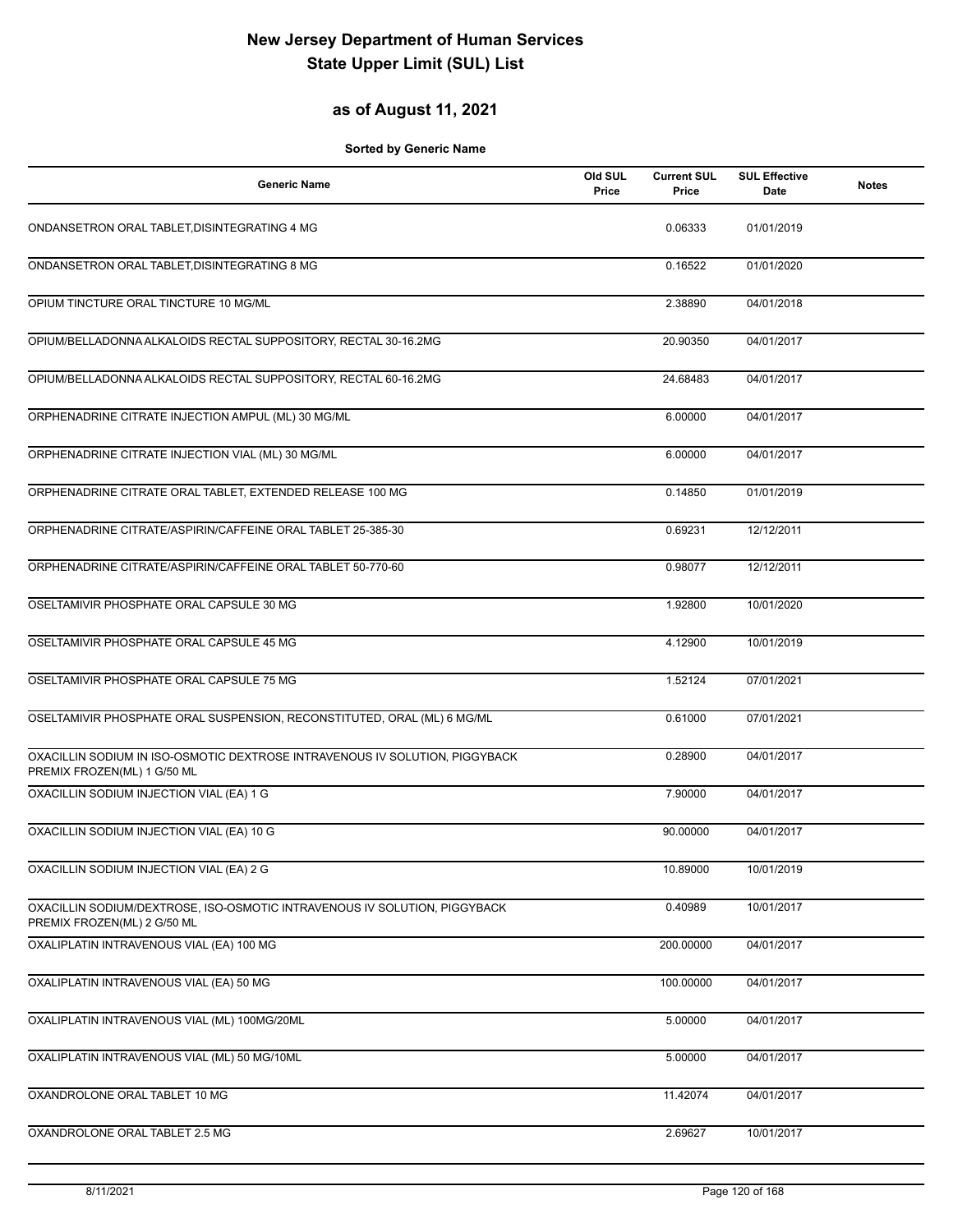## **as of August 11, 2021**

| Generic Name                                                                                               | Old SUL<br>Price | <b>Current SUL</b><br>Price | <b>SUL Effective</b><br>Date | <b>Notes</b> |
|------------------------------------------------------------------------------------------------------------|------------------|-----------------------------|------------------------------|--------------|
| ONDANSETRON ORAL TABLET, DISINTEGRATING 4 MG                                                               |                  | 0.06333                     | 01/01/2019                   |              |
| ONDANSETRON ORAL TABLET, DISINTEGRATING 8 MG                                                               |                  | 0.16522                     | 01/01/2020                   |              |
| OPIUM TINCTURE ORAL TINCTURE 10 MG/ML                                                                      |                  | 2.38890                     | 04/01/2018                   |              |
| OPIUM/BELLADONNA ALKALOIDS RECTAL SUPPOSITORY, RECTAL 30-16.2MG                                            |                  | 20.90350                    | 04/01/2017                   |              |
| OPIUM/BELLADONNA ALKALOIDS RECTAL SUPPOSITORY, RECTAL 60-16.2MG                                            |                  | 24.68483                    | 04/01/2017                   |              |
| ORPHENADRINE CITRATE INJECTION AMPUL (ML) 30 MG/ML                                                         |                  | 6.00000                     | 04/01/2017                   |              |
| ORPHENADRINE CITRATE INJECTION VIAL (ML) 30 MG/ML                                                          |                  | 6.00000                     | 04/01/2017                   |              |
| ORPHENADRINE CITRATE ORAL TABLET, EXTENDED RELEASE 100 MG                                                  |                  | 0.14850                     | 01/01/2019                   |              |
| ORPHENADRINE CITRATE/ASPIRIN/CAFFEINE ORAL TABLET 25-385-30                                                |                  | 0.69231                     | 12/12/2011                   |              |
| ORPHENADRINE CITRATE/ASPIRIN/CAFFEINE ORAL TABLET 50-770-60                                                |                  | 0.98077                     | 12/12/2011                   |              |
| OSELTAMIVIR PHOSPHATE ORAL CAPSULE 30 MG                                                                   |                  | 1.92800                     | 10/01/2020                   |              |
| OSELTAMIVIR PHOSPHATE ORAL CAPSULE 45 MG                                                                   |                  | 4.12900                     | 10/01/2019                   |              |
| OSELTAMIVIR PHOSPHATE ORAL CAPSULE 75 MG                                                                   |                  | 1.52124                     | 07/01/2021                   |              |
| OSELTAMIVIR PHOSPHATE ORAL SUSPENSION, RECONSTITUTED, ORAL (ML) 6 MG/ML                                    |                  | 0.61000                     | 07/01/2021                   |              |
| OXACILLIN SODIUM IN ISO-OSMOTIC DEXTROSE INTRAVENOUS IV SOLUTION, PIGGYBACK<br>PREMIX FROZEN(ML) 1 G/50 ML |                  | 0.28900                     | 04/01/2017                   |              |
| OXACILLIN SODIUM INJECTION VIAL (EA) 1 G                                                                   |                  | 7.90000                     | 04/01/2017                   |              |
| OXACILLIN SODIUM INJECTION VIAL (EA) 10 G                                                                  |                  | 90.00000                    | 04/01/2017                   |              |
| OXACILLIN SODIUM INJECTION VIAL (EA) 2 G                                                                   |                  | 10.89000                    | 10/01/2019                   |              |
| OXACILLIN SODIUM/DEXTROSE, ISO-OSMOTIC INTRAVENOUS IV SOLUTION, PIGGYBACK<br>PREMIX FROZEN(ML) 2 G/50 ML   |                  | 0.40989                     | 10/01/2017                   |              |
| OXALIPLATIN INTRAVENOUS VIAL (EA) 100 MG                                                                   |                  | 200.00000                   | 04/01/2017                   |              |
| OXALIPLATIN INTRAVENOUS VIAL (EA) 50 MG                                                                    |                  | 100.00000                   | 04/01/2017                   |              |
| OXALIPLATIN INTRAVENOUS VIAL (ML) 100MG/20ML                                                               |                  | 5.00000                     | 04/01/2017                   |              |
| OXALIPLATIN INTRAVENOUS VIAL (ML) 50 MG/10ML                                                               |                  | 5.00000                     | 04/01/2017                   |              |
| OXANDROLONE ORAL TABLET 10 MG                                                                              |                  | 11.42074                    | 04/01/2017                   |              |
| OXANDROLONE ORAL TABLET 2.5 MG                                                                             |                  | 2.69627                     | 10/01/2017                   |              |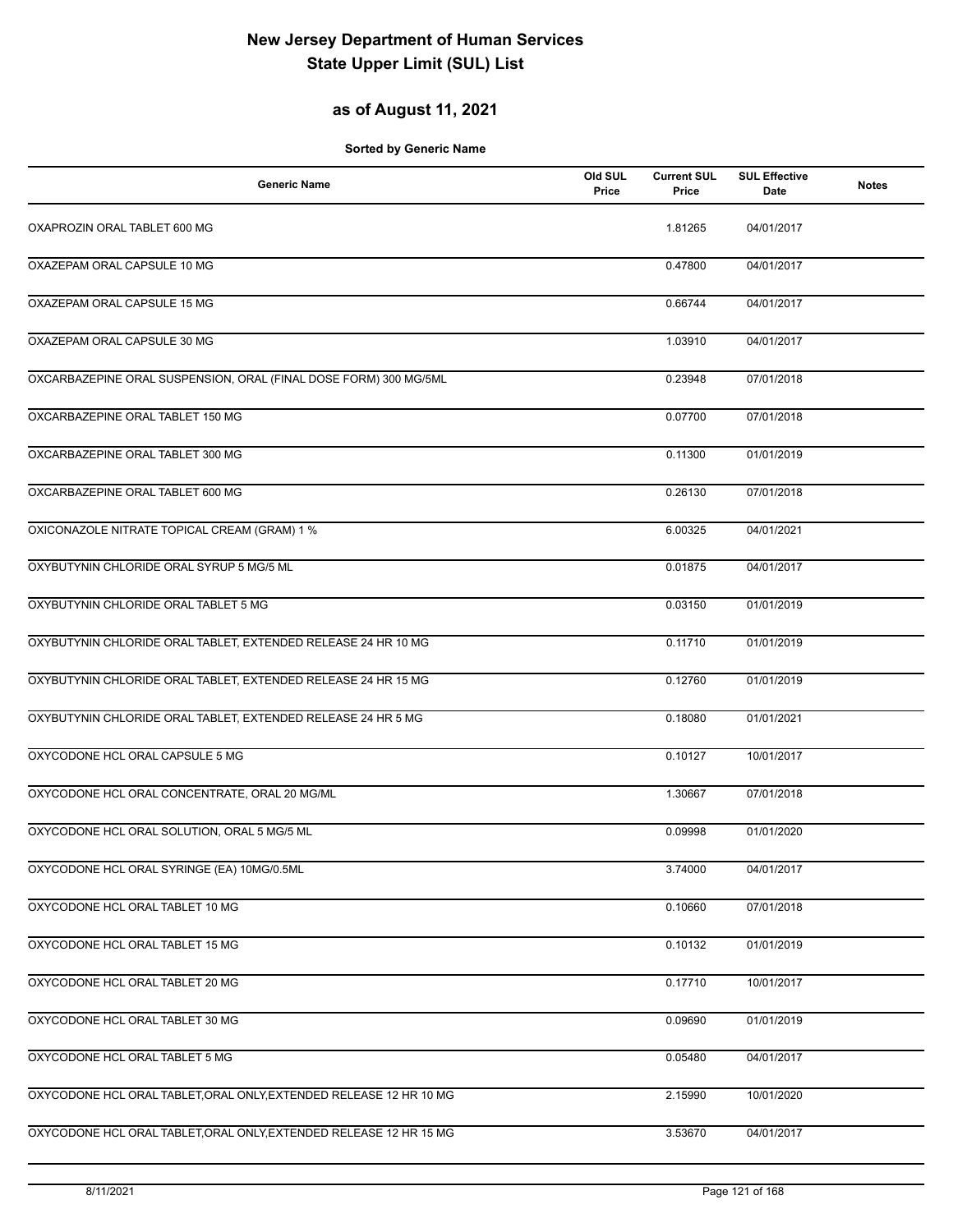## **as of August 11, 2021**

| <b>Generic Name</b>                                                | Old SUL<br>Price | <b>Current SUL</b><br>Price | <b>SUL Effective</b><br>Date | <b>Notes</b> |
|--------------------------------------------------------------------|------------------|-----------------------------|------------------------------|--------------|
| OXAPROZIN ORAL TABLET 600 MG                                       |                  | 1.81265                     | 04/01/2017                   |              |
| OXAZEPAM ORAL CAPSULE 10 MG                                        |                  | 0.47800                     | 04/01/2017                   |              |
| OXAZEPAM ORAL CAPSULE 15 MG                                        |                  | 0.66744                     | 04/01/2017                   |              |
| OXAZEPAM ORAL CAPSULE 30 MG                                        |                  | 1.03910                     | 04/01/2017                   |              |
| OXCARBAZEPINE ORAL SUSPENSION, ORAL (FINAL DOSE FORM) 300 MG/5ML   |                  | 0.23948                     | 07/01/2018                   |              |
| OXCARBAZEPINE ORAL TABLET 150 MG                                   |                  | 0.07700                     | 07/01/2018                   |              |
| OXCARBAZEPINE ORAL TABLET 300 MG                                   |                  | 0.11300                     | 01/01/2019                   |              |
| OXCARBAZEPINE ORAL TABLET 600 MG                                   |                  | 0.26130                     | 07/01/2018                   |              |
| OXICONAZOLE NITRATE TOPICAL CREAM (GRAM) 1 %                       |                  | 6.00325                     | 04/01/2021                   |              |
| OXYBUTYNIN CHLORIDE ORAL SYRUP 5 MG/5 ML                           |                  | 0.01875                     | 04/01/2017                   |              |
| OXYBUTYNIN CHLORIDE ORAL TABLET 5 MG                               |                  | 0.03150                     | 01/01/2019                   |              |
| OXYBUTYNIN CHLORIDE ORAL TABLET, EXTENDED RELEASE 24 HR 10 MG      |                  | 0.11710                     | 01/01/2019                   |              |
| OXYBUTYNIN CHLORIDE ORAL TABLET, EXTENDED RELEASE 24 HR 15 MG      |                  | 0.12760                     | 01/01/2019                   |              |
| OXYBUTYNIN CHLORIDE ORAL TABLET, EXTENDED RELEASE 24 HR 5 MG       |                  | 0.18080                     | 01/01/2021                   |              |
| OXYCODONE HCL ORAL CAPSULE 5 MG                                    |                  | 0.10127                     | 10/01/2017                   |              |
| OXYCODONE HCL ORAL CONCENTRATE, ORAL 20 MG/ML                      |                  | 1.30667                     | 07/01/2018                   |              |
| OXYCODONE HCL ORAL SOLUTION, ORAL 5 MG/5 ML                        |                  | 0.09998                     | 01/01/2020                   |              |
| OXYCODONE HCL ORAL SYRINGE (EA) 10MG/0.5ML                         |                  | 3.74000                     | 04/01/2017                   |              |
| OXYCODONE HCL ORAL TABLET 10 MG                                    |                  | 0.10660                     | 07/01/2018                   |              |
| OXYCODONE HCL ORAL TABLET 15 MG                                    |                  | 0.10132                     | 01/01/2019                   |              |
| OXYCODONE HCL ORAL TABLET 20 MG                                    |                  | 0.17710                     | 10/01/2017                   |              |
| OXYCODONE HCL ORAL TABLET 30 MG                                    |                  | 0.09690                     | 01/01/2019                   |              |
| OXYCODONE HCL ORAL TABLET 5 MG                                     |                  | 0.05480                     | 04/01/2017                   |              |
| OXYCODONE HCL ORAL TABLET, ORAL ONLY, EXTENDED RELEASE 12 HR 10 MG |                  | 2.15990                     | 10/01/2020                   |              |
| OXYCODONE HCL ORAL TABLET, ORAL ONLY, EXTENDED RELEASE 12 HR 15 MG |                  | 3.53670                     | 04/01/2017                   |              |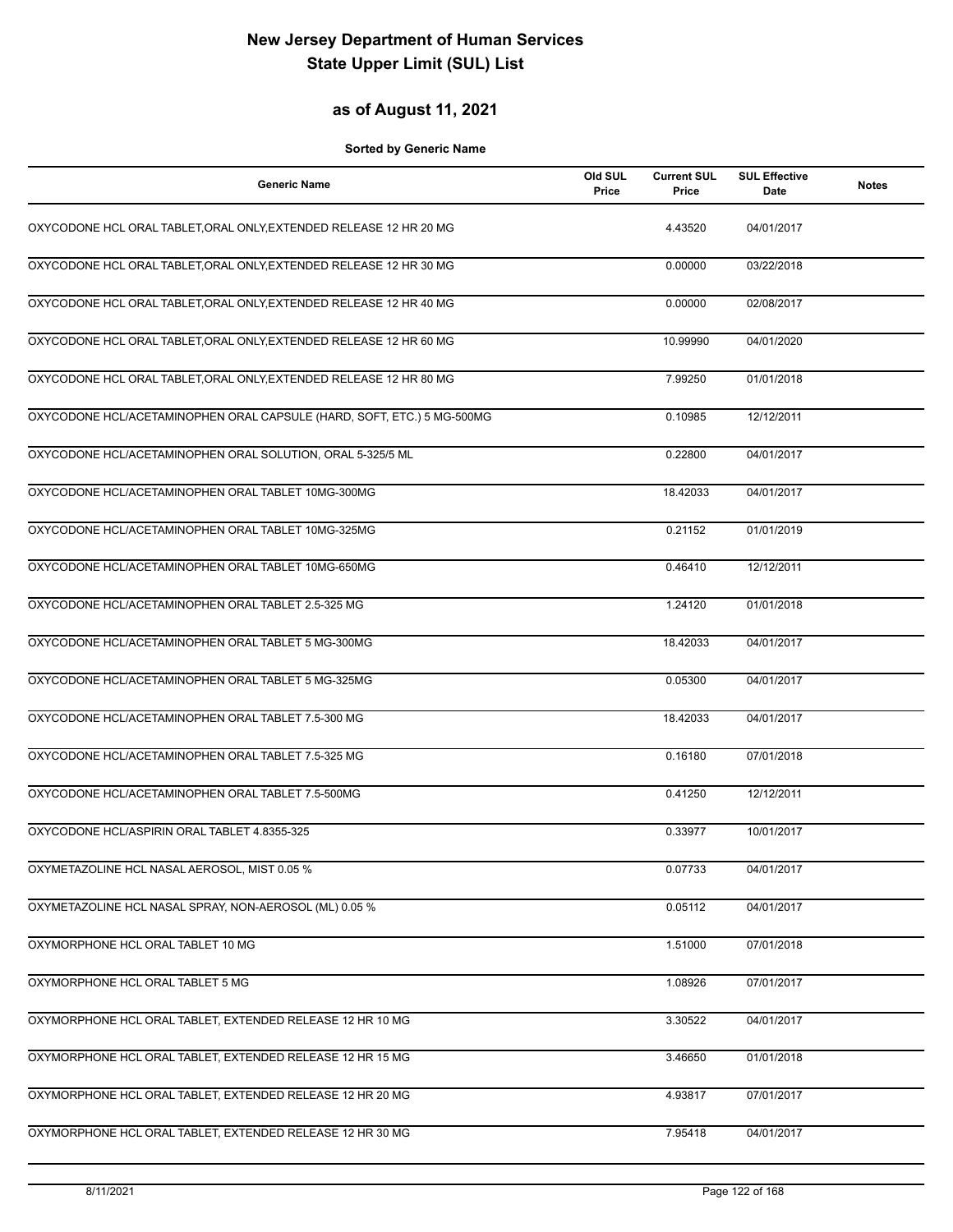### **as of August 11, 2021**

| <b>Generic Name</b>                                                    | Old SUL<br>Price | <b>Current SUL</b><br>Price | <b>SUL Effective</b><br>Date | <b>Notes</b> |
|------------------------------------------------------------------------|------------------|-----------------------------|------------------------------|--------------|
| OXYCODONE HCL ORAL TABLET, ORAL ONLY, EXTENDED RELEASE 12 HR 20 MG     |                  | 4.43520                     | 04/01/2017                   |              |
| OXYCODONE HCL ORAL TABLET, ORAL ONLY, EXTENDED RELEASE 12 HR 30 MG     |                  | 0.00000                     | 03/22/2018                   |              |
| OXYCODONE HCL ORAL TABLET, ORAL ONLY, EXTENDED RELEASE 12 HR 40 MG     |                  | 0.00000                     | 02/08/2017                   |              |
| OXYCODONE HCL ORAL TABLET, ORAL ONLY, EXTENDED RELEASE 12 HR 60 MG     |                  | 10.99990                    | 04/01/2020                   |              |
| OXYCODONE HCL ORAL TABLET, ORAL ONLY, EXTENDED RELEASE 12 HR 80 MG     |                  | 7.99250                     | 01/01/2018                   |              |
| OXYCODONE HCL/ACETAMINOPHEN ORAL CAPSULE (HARD, SOFT, ETC.) 5 MG-500MG |                  | 0.10985                     | 12/12/2011                   |              |
| OXYCODONE HCL/ACETAMINOPHEN ORAL SOLUTION, ORAL 5-325/5 ML             |                  | 0.22800                     | 04/01/2017                   |              |
| OXYCODONE HCL/ACETAMINOPHEN ORAL TABLET 10MG-300MG                     |                  | 18.42033                    | 04/01/2017                   |              |
| OXYCODONE HCL/ACETAMINOPHEN ORAL TABLET 10MG-325MG                     |                  | 0.21152                     | 01/01/2019                   |              |
| OXYCODONE HCL/ACETAMINOPHEN ORAL TABLET 10MG-650MG                     |                  | 0.46410                     | 12/12/2011                   |              |
| OXYCODONE HCL/ACETAMINOPHEN ORAL TABLET 2.5-325 MG                     |                  | 1.24120                     | 01/01/2018                   |              |
| OXYCODONE HCL/ACETAMINOPHEN ORAL TABLET 5 MG-300MG                     |                  | 18.42033                    | 04/01/2017                   |              |
| OXYCODONE HCL/ACETAMINOPHEN ORAL TABLET 5 MG-325MG                     |                  | 0.05300                     | 04/01/2017                   |              |
| OXYCODONE HCL/ACETAMINOPHEN ORAL TABLET 7.5-300 MG                     |                  | 18.42033                    | 04/01/2017                   |              |
| OXYCODONE HCL/ACETAMINOPHEN ORAL TABLET 7.5-325 MG                     |                  | 0.16180                     | 07/01/2018                   |              |
| OXYCODONE HCL/ACETAMINOPHEN ORAL TABLET 7.5-500MG                      |                  | 0.41250                     | 12/12/2011                   |              |
| OXYCODONE HCL/ASPIRIN ORAL TABLET 4.8355-325                           |                  | 0.33977                     | 10/01/2017                   |              |
| OXYMETAZOLINE HCL NASAL AEROSOL, MIST 0.05 %                           |                  | 0.07733                     | 04/01/2017                   |              |
| OXYMETAZOLINE HCL NASAL SPRAY, NON-AEROSOL (ML) 0.05 %                 |                  | 0.05112                     | 04/01/2017                   |              |
| OXYMORPHONE HCL ORAL TABLET 10 MG                                      |                  | 1.51000                     | 07/01/2018                   |              |
| OXYMORPHONE HCL ORAL TABLET 5 MG                                       |                  | 1.08926                     | 07/01/2017                   |              |
| OXYMORPHONE HCL ORAL TABLET, EXTENDED RELEASE 12 HR 10 MG              |                  | 3.30522                     | 04/01/2017                   |              |
| OXYMORPHONE HCL ORAL TABLET, EXTENDED RELEASE 12 HR 15 MG              |                  | 3.46650                     | 01/01/2018                   |              |
| OXYMORPHONE HCL ORAL TABLET, EXTENDED RELEASE 12 HR 20 MG              |                  | 4.93817                     | 07/01/2017                   |              |
| OXYMORPHONE HCL ORAL TABLET, EXTENDED RELEASE 12 HR 30 MG              |                  | 7.95418                     | 04/01/2017                   |              |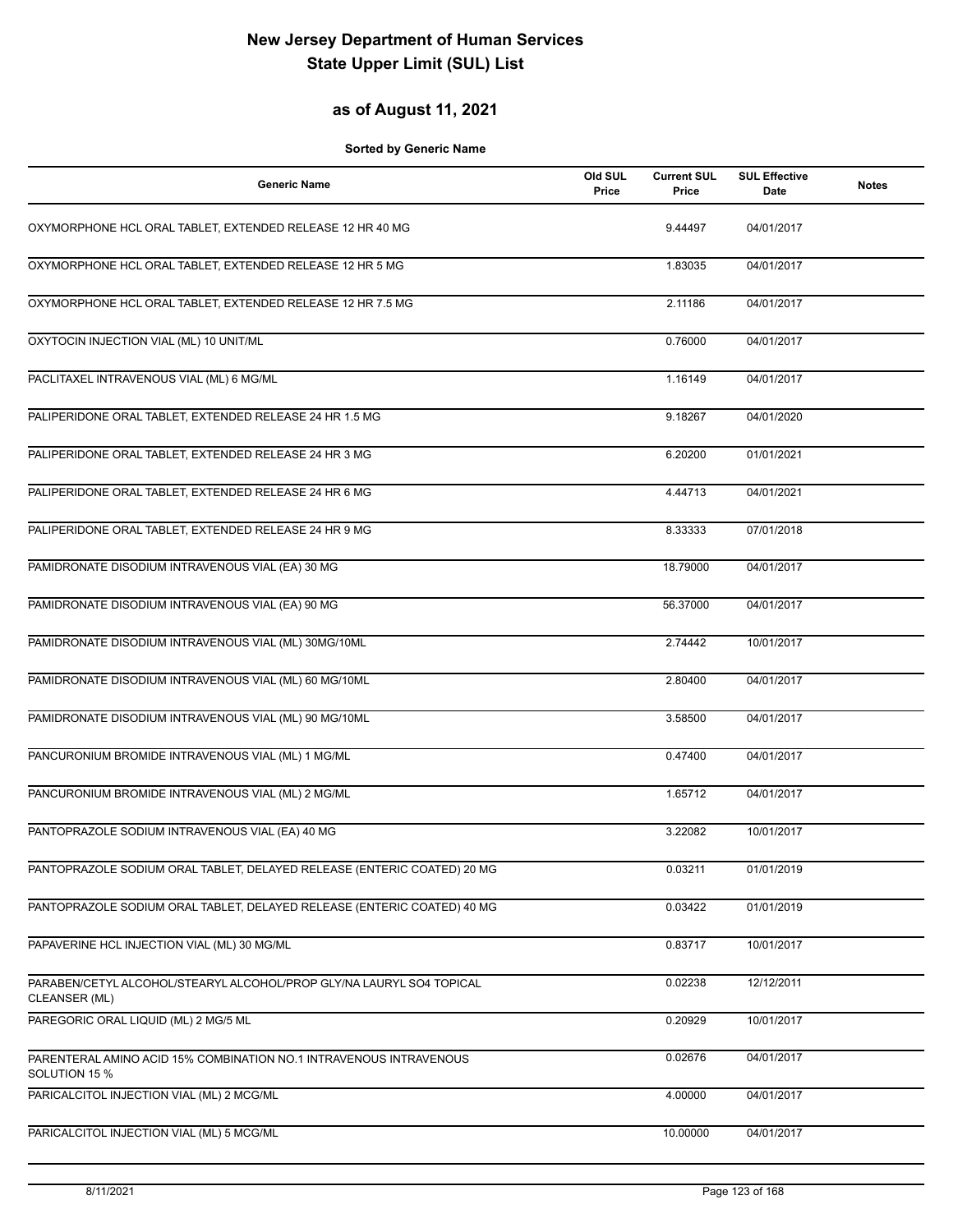### **as of August 11, 2021**

| <b>Generic Name</b>                                                                   | Old SUL<br>Price | <b>Current SUL</b><br>Price | <b>SUL Effective</b><br><b>Date</b> | <b>Notes</b> |
|---------------------------------------------------------------------------------------|------------------|-----------------------------|-------------------------------------|--------------|
| OXYMORPHONE HCL ORAL TABLET, EXTENDED RELEASE 12 HR 40 MG                             |                  | 9.44497                     | 04/01/2017                          |              |
| OXYMORPHONE HCL ORAL TABLET, EXTENDED RELEASE 12 HR 5 MG                              |                  | 1.83035                     | 04/01/2017                          |              |
| OXYMORPHONE HCL ORAL TABLET, EXTENDED RELEASE 12 HR 7.5 MG                            |                  | 2.11186                     | 04/01/2017                          |              |
| OXYTOCIN INJECTION VIAL (ML) 10 UNIT/ML                                               |                  | 0.76000                     | 04/01/2017                          |              |
| PACLITAXEL INTRAVENOUS VIAL (ML) 6 MG/ML                                              |                  | 1.16149                     | 04/01/2017                          |              |
| PALIPERIDONE ORAL TABLET, EXTENDED RELEASE 24 HR 1.5 MG                               |                  | 9.18267                     | 04/01/2020                          |              |
| PALIPERIDONE ORAL TABLET, EXTENDED RELEASE 24 HR 3 MG                                 |                  | 6.20200                     | 01/01/2021                          |              |
| PALIPERIDONE ORAL TABLET, EXTENDED RELEASE 24 HR 6 MG                                 |                  | 4.44713                     | 04/01/2021                          |              |
| PALIPERIDONE ORAL TABLET, EXTENDED RELEASE 24 HR 9 MG                                 |                  | 8.33333                     | 07/01/2018                          |              |
| PAMIDRONATE DISODIUM INTRAVENOUS VIAL (EA) 30 MG                                      |                  | 18.79000                    | 04/01/2017                          |              |
| PAMIDRONATE DISODIUM INTRAVENOUS VIAL (EA) 90 MG                                      |                  | 56.37000                    | 04/01/2017                          |              |
| PAMIDRONATE DISODIUM INTRAVENOUS VIAL (ML) 30MG/10ML                                  |                  | 2.74442                     | 10/01/2017                          |              |
| PAMIDRONATE DISODIUM INTRAVENOUS VIAL (ML) 60 MG/10ML                                 |                  | 2.80400                     | 04/01/2017                          |              |
| PAMIDRONATE DISODIUM INTRAVENOUS VIAL (ML) 90 MG/10ML                                 |                  | 3.58500                     | 04/01/2017                          |              |
| PANCURONIUM BROMIDE INTRAVENOUS VIAL (ML) 1 MG/ML                                     |                  | 0.47400                     | 04/01/2017                          |              |
| PANCURONIUM BROMIDE INTRAVENOUS VIAL (ML) 2 MG/ML                                     |                  | 1.65712                     | 04/01/2017                          |              |
| PANTOPRAZOLE SODIUM INTRAVENOUS VIAL (EA) 40 MG                                       |                  | 3.22082                     | 10/01/2017                          |              |
| PANTOPRAZOLE SODIUM ORAL TABLET, DELAYED RELEASE (ENTERIC COATED) 20 MG               |                  | 0.03211                     | 01/01/2019                          |              |
| PANTOPRAZOLE SODIUM ORAL TABLET, DELAYED RELEASE (ENTERIC COATED) 40 MG               |                  | 0.03422                     | 01/01/2019                          |              |
| PAPAVERINE HCL INJECTION VIAL (ML) 30 MG/ML                                           |                  | 0.83717                     | 10/01/2017                          |              |
| PARABEN/CETYL ALCOHOL/STEARYL ALCOHOL/PROP GLY/NA LAURYL SO4 TOPICAL<br>CLEANSER (ML) |                  | 0.02238                     | 12/12/2011                          |              |
| PAREGORIC ORAL LIQUID (ML) 2 MG/5 ML                                                  |                  | 0.20929                     | 10/01/2017                          |              |
| PARENTERAL AMINO ACID 15% COMBINATION NO.1 INTRAVENOUS INTRAVENOUS<br>SOLUTION 15 %   |                  | 0.02676                     | 04/01/2017                          |              |
| PARICALCITOL INJECTION VIAL (ML) 2 MCG/ML                                             |                  | 4.00000                     | 04/01/2017                          |              |
| PARICALCITOL INJECTION VIAL (ML) 5 MCG/ML                                             |                  | 10.00000                    | 04/01/2017                          |              |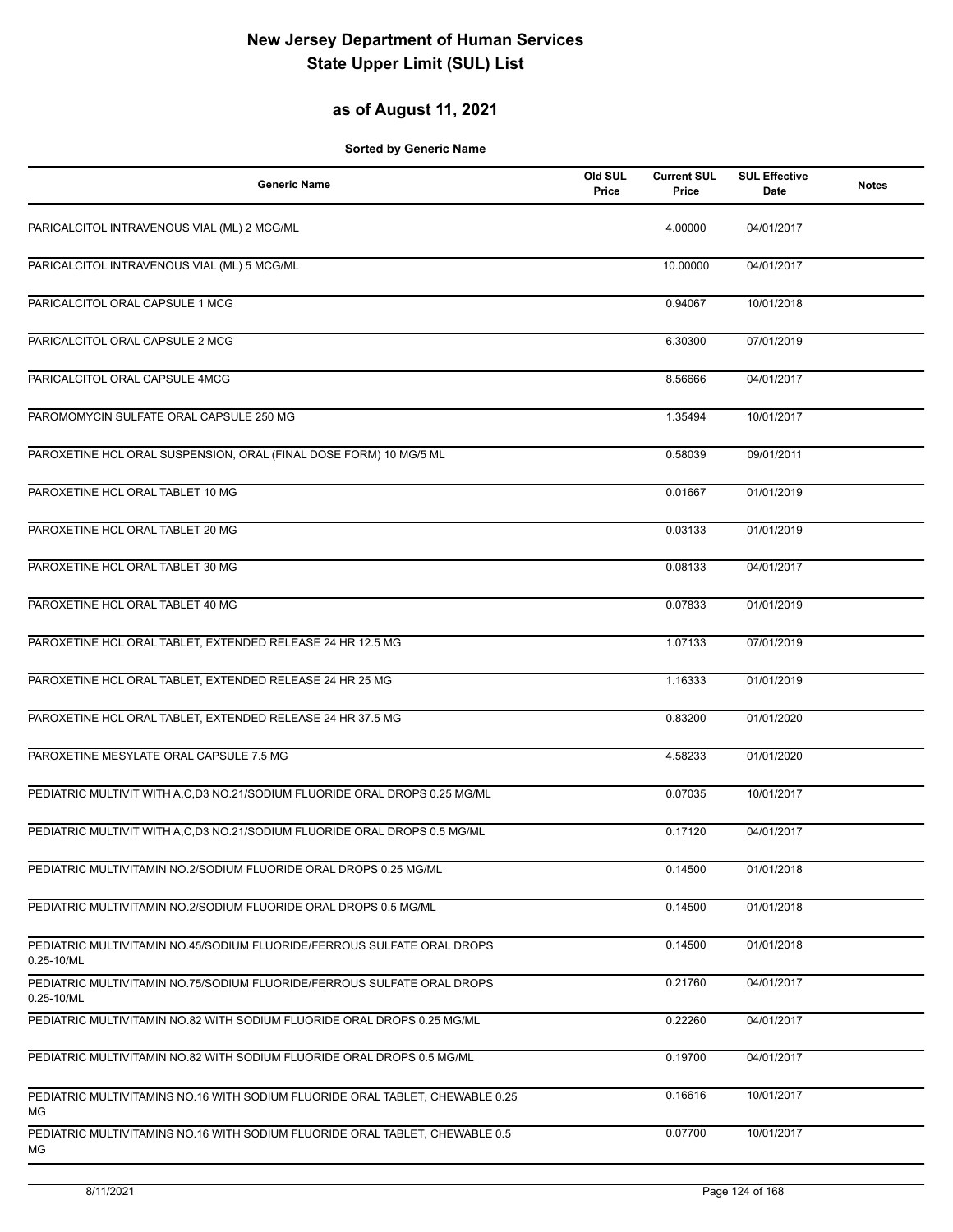## **as of August 11, 2021**

| <b>Generic Name</b>                                                                   | Old SUL<br>Price | <b>Current SUL</b><br>Price | <b>SUL Effective</b><br>Date | <b>Notes</b> |
|---------------------------------------------------------------------------------------|------------------|-----------------------------|------------------------------|--------------|
| PARICALCITOL INTRAVENOUS VIAL (ML) 2 MCG/ML                                           |                  | 4.00000                     | 04/01/2017                   |              |
| PARICALCITOL INTRAVENOUS VIAL (ML) 5 MCG/ML                                           |                  | 10.00000                    | 04/01/2017                   |              |
| PARICALCITOL ORAL CAPSULE 1 MCG                                                       |                  | 0.94067                     | 10/01/2018                   |              |
| PARICALCITOL ORAL CAPSULE 2 MCG                                                       |                  | 6.30300                     | 07/01/2019                   |              |
| PARICALCITOL ORAL CAPSULE 4MCG                                                        |                  | 8.56666                     | 04/01/2017                   |              |
| PAROMOMYCIN SULFATE ORAL CAPSULE 250 MG                                               |                  | 1.35494                     | 10/01/2017                   |              |
| PAROXETINE HCL ORAL SUSPENSION, ORAL (FINAL DOSE FORM) 10 MG/5 ML                     |                  | 0.58039                     | 09/01/2011                   |              |
| PAROXETINE HCL ORAL TABLET 10 MG                                                      |                  | 0.01667                     | 01/01/2019                   |              |
| PAROXETINE HCL ORAL TABLET 20 MG                                                      |                  | 0.03133                     | 01/01/2019                   |              |
| PAROXETINE HCL ORAL TABLET 30 MG                                                      |                  | 0.08133                     | 04/01/2017                   |              |
| PAROXETINE HCL ORAL TABLET 40 MG                                                      |                  | 0.07833                     | 01/01/2019                   |              |
| PAROXETINE HCL ORAL TABLET, EXTENDED RELEASE 24 HR 12.5 MG                            |                  | 1.07133                     | 07/01/2019                   |              |
| PAROXETINE HCL ORAL TABLET, EXTENDED RELEASE 24 HR 25 MG                              |                  | 1.16333                     | 01/01/2019                   |              |
| PAROXETINE HCL ORAL TABLET, EXTENDED RELEASE 24 HR 37.5 MG                            |                  | 0.83200                     | 01/01/2020                   |              |
| PAROXETINE MESYLATE ORAL CAPSULE 7.5 MG                                               |                  | 4.58233                     | 01/01/2020                   |              |
| PEDIATRIC MULTIVIT WITH A, C, D3 NO. 21/SODIUM FLUORIDE ORAL DROPS 0.25 MG/ML         |                  | 0.07035                     | 10/01/2017                   |              |
| PEDIATRIC MULTIVIT WITH A,C,D3 NO.21/SODIUM FLUORIDE ORAL DROPS 0.5 MG/ML             |                  | 0.17120                     | 04/01/2017                   |              |
| PEDIATRIC MULTIVITAMIN NO.2/SODIUM FLUORIDE ORAL DROPS 0.25 MG/ML                     |                  | 0.14500                     | 01/01/2018                   |              |
| PEDIATRIC MULTIVITAMIN NO.2/SODIUM FLUORIDE ORAL DROPS 0.5 MG/ML                      |                  | 0.14500                     | 01/01/2018                   |              |
| PEDIATRIC MULTIVITAMIN NO.45/SODIUM FLUORIDE/FERROUS SULFATE ORAL DROPS<br>0.25-10/ML |                  | 0.14500                     | 01/01/2018                   |              |
| PEDIATRIC MULTIVITAMIN NO.75/SODIUM FLUORIDE/FERROUS SULFATE ORAL DROPS<br>0.25-10/ML |                  | 0.21760                     | 04/01/2017                   |              |
| PEDIATRIC MULTIVITAMIN NO.82 WITH SODIUM FLUORIDE ORAL DROPS 0.25 MG/ML               |                  | 0.22260                     | 04/01/2017                   |              |
| PEDIATRIC MULTIVITAMIN NO.82 WITH SODIUM FLUORIDE ORAL DROPS 0.5 MG/ML                |                  | 0.19700                     | 04/01/2017                   |              |
| PEDIATRIC MULTIVITAMINS NO.16 WITH SODIUM FLUORIDE ORAL TABLET, CHEWABLE 0.25<br>МG   |                  | 0.16616                     | 10/01/2017                   |              |
| PEDIATRIC MULTIVITAMINS NO.16 WITH SODIUM FLUORIDE ORAL TABLET, CHEWABLE 0.5<br>МG    |                  | 0.07700                     | 10/01/2017                   |              |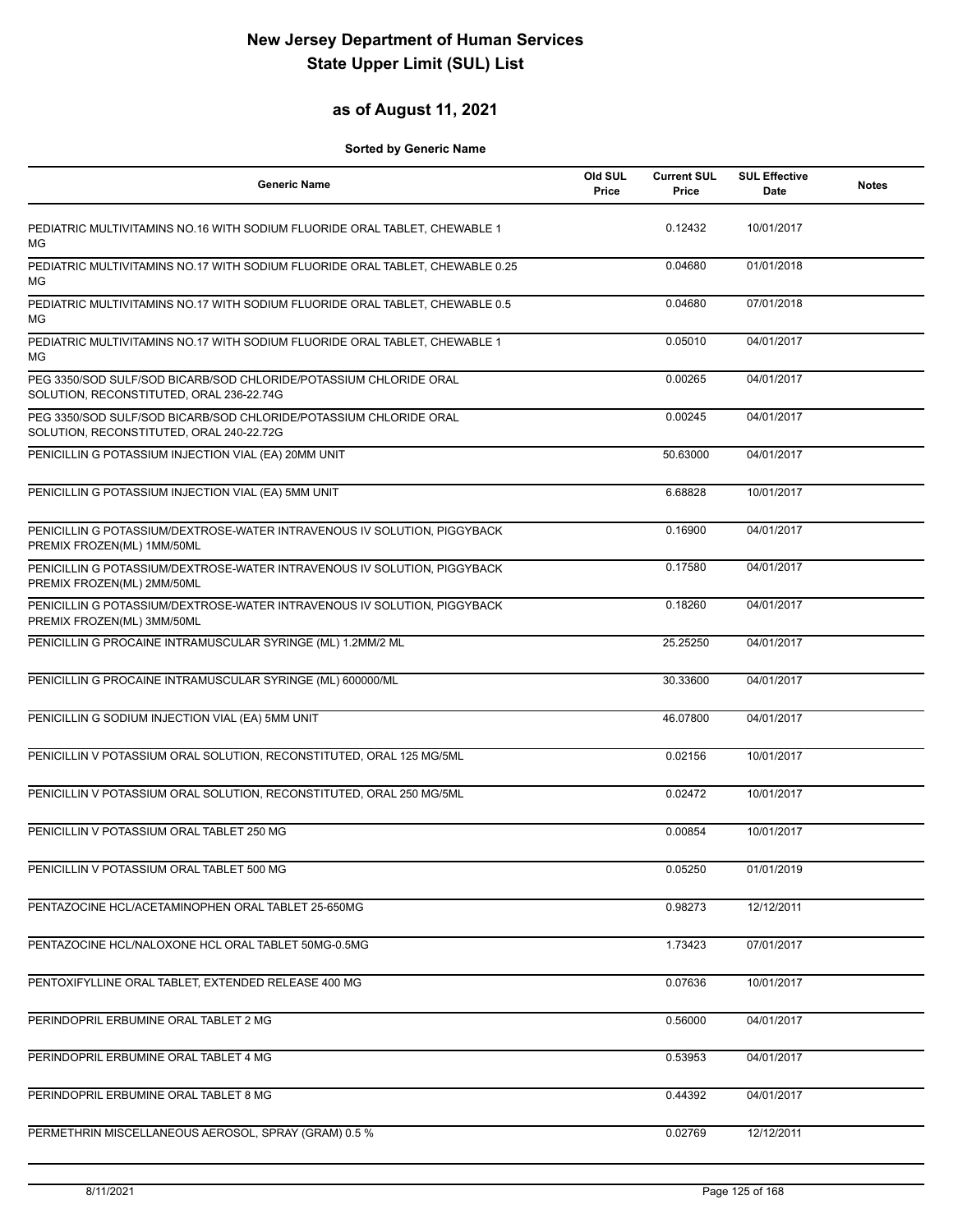## **as of August 11, 2021**

| <b>Generic Name</b>                                                                                           | Old SUL<br>Price | <b>Current SUL</b><br>Price | <b>SUL Effective</b><br><b>Date</b> | <b>Notes</b> |
|---------------------------------------------------------------------------------------------------------------|------------------|-----------------------------|-------------------------------------|--------------|
| PEDIATRIC MULTIVITAMINS NO.16 WITH SODIUM FLUORIDE ORAL TABLET, CHEWABLE 1<br>MG                              |                  | 0.12432                     | 10/01/2017                          |              |
| PEDIATRIC MULTIVITAMINS NO.17 WITH SODIUM FLUORIDE ORAL TABLET, CHEWABLE 0.25<br>МG                           |                  | 0.04680                     | 01/01/2018                          |              |
| PEDIATRIC MULTIVITAMINS NO.17 WITH SODIUM FLUORIDE ORAL TABLET, CHEWABLE 0.5<br>МG                            |                  | 0.04680                     | 07/01/2018                          |              |
| PEDIATRIC MULTIVITAMINS NO.17 WITH SODIUM FLUORIDE ORAL TABLET, CHEWABLE 1<br>МG                              |                  | 0.05010                     | 04/01/2017                          |              |
| PEG 3350/SOD SULF/SOD BICARB/SOD CHLORIDE/POTASSIUM CHLORIDE ORAL<br>SOLUTION, RECONSTITUTED, ORAL 236-22.74G |                  | 0.00265                     | 04/01/2017                          |              |
| PEG 3350/SOD SULF/SOD BICARB/SOD CHLORIDE/POTASSIUM CHLORIDE ORAL<br>SOLUTION, RECONSTITUTED, ORAL 240-22.72G |                  | 0.00245                     | 04/01/2017                          |              |
| PENICILLIN G POTASSIUM INJECTION VIAL (EA) 20MM UNIT                                                          |                  | 50.63000                    | 04/01/2017                          |              |
| PENICILLIN G POTASSIUM INJECTION VIAL (EA) 5MM UNIT                                                           |                  | 6.68828                     | 10/01/2017                          |              |
| PENICILLIN G POTASSIUM/DEXTROSE-WATER INTRAVENOUS IV SOLUTION, PIGGYBACK<br>PREMIX FROZEN(ML) 1MM/50ML        |                  | 0.16900                     | 04/01/2017                          |              |
| PENICILLIN G POTASSIUM/DEXTROSE-WATER INTRAVENOUS IV SOLUTION, PIGGYBACK<br>PREMIX FROZEN(ML) 2MM/50ML        |                  | 0.17580                     | 04/01/2017                          |              |
| PENICILLIN G POTASSIUM/DEXTROSE-WATER INTRAVENOUS IV SOLUTION, PIGGYBACK<br>PREMIX FROZEN(ML) 3MM/50ML        |                  | 0.18260                     | 04/01/2017                          |              |
| PENICILLIN G PROCAINE INTRAMUSCULAR SYRINGE (ML) 1.2MM/2 ML                                                   |                  | 25.25250                    | 04/01/2017                          |              |
| PENICILLIN G PROCAINE INTRAMUSCULAR SYRINGE (ML) 600000/ML                                                    |                  | 30.33600                    | 04/01/2017                          |              |
| PENICILLIN G SODIUM INJECTION VIAL (EA) 5MM UNIT                                                              |                  | 46.07800                    | 04/01/2017                          |              |
| PENICILLIN V POTASSIUM ORAL SOLUTION, RECONSTITUTED, ORAL 125 MG/5ML                                          |                  | 0.02156                     | 10/01/2017                          |              |
| PENICILLIN V POTASSIUM ORAL SOLUTION, RECONSTITUTED, ORAL 250 MG/5ML                                          |                  | 0.02472                     | 10/01/2017                          |              |
| PENICILLIN V POTASSIUM ORAL TABLET 250 MG                                                                     |                  | 0.00854                     | 10/01/2017                          |              |
| PENICILLIN V POTASSIUM ORAL TABLET 500 MG                                                                     |                  | 0.05250                     | 01/01/2019                          |              |
| PENTAZOCINE HCL/ACETAMINOPHEN ORAL TABLET 25-650MG                                                            |                  | 0.98273                     | 12/12/2011                          |              |
| PENTAZOCINE HCL/NALOXONE HCL ORAL TABLET 50MG-0.5MG                                                           |                  | 1.73423                     | 07/01/2017                          |              |
| PENTOXIFYLLINE ORAL TABLET, EXTENDED RELEASE 400 MG                                                           |                  | 0.07636                     | 10/01/2017                          |              |
| PERINDOPRIL ERBUMINE ORAL TABLET 2 MG                                                                         |                  | 0.56000                     | 04/01/2017                          |              |
| PERINDOPRIL ERBUMINE ORAL TABLET 4 MG                                                                         |                  | 0.53953                     | 04/01/2017                          |              |
| PERINDOPRIL ERBUMINE ORAL TABLET 8 MG                                                                         |                  | 0.44392                     | 04/01/2017                          |              |
| PERMETHRIN MISCELLANEOUS AEROSOL, SPRAY (GRAM) 0.5 %                                                          |                  | 0.02769                     | 12/12/2011                          |              |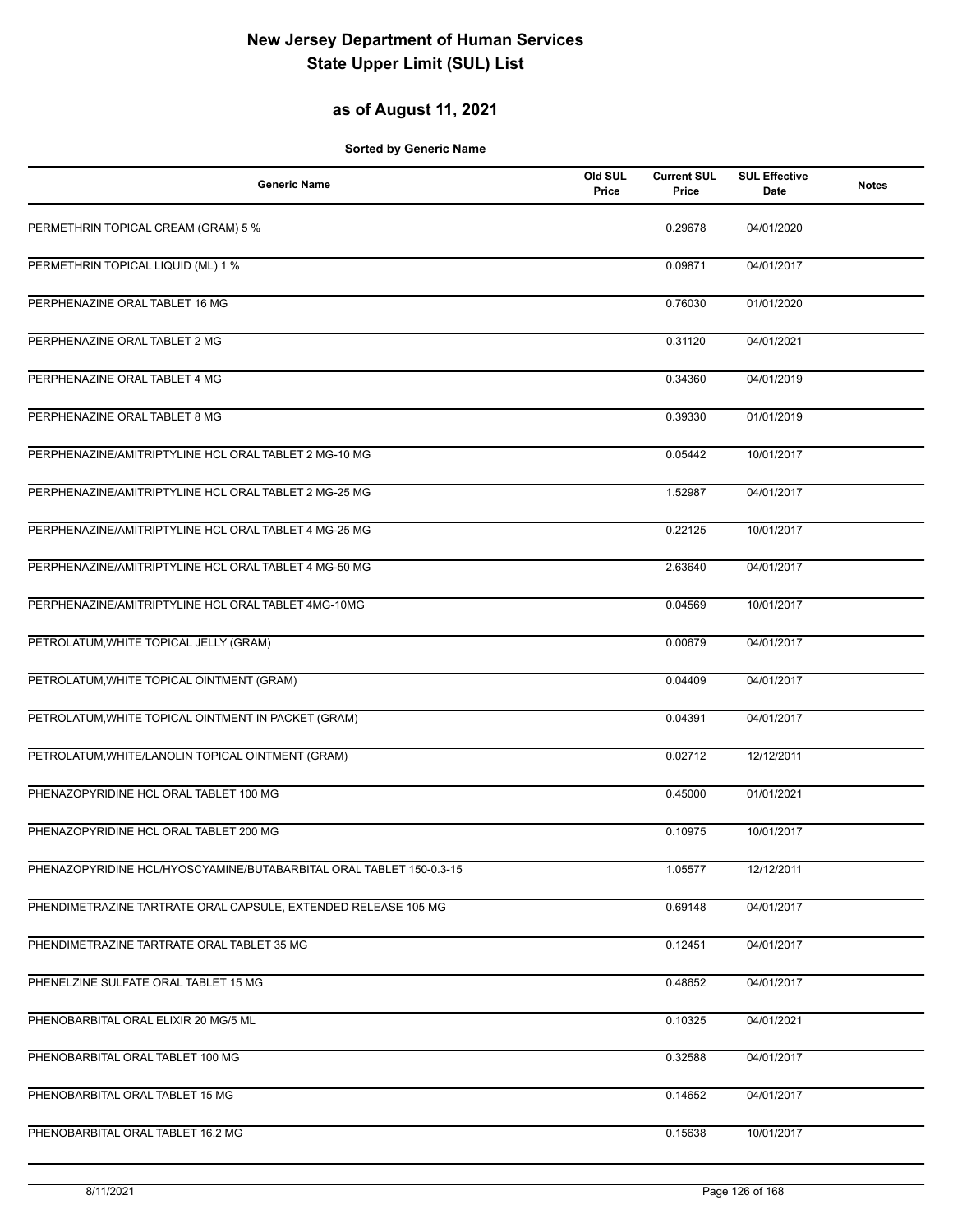## **as of August 11, 2021**

| <b>Generic Name</b>                                                 | Old SUL<br>Price | <b>Current SUL</b><br>Price | <b>SUL Effective</b><br><b>Date</b> | <b>Notes</b> |
|---------------------------------------------------------------------|------------------|-----------------------------|-------------------------------------|--------------|
| PERMETHRIN TOPICAL CREAM (GRAM) 5 %                                 |                  | 0.29678                     | 04/01/2020                          |              |
| PERMETHRIN TOPICAL LIQUID (ML) 1 %                                  |                  | 0.09871                     | 04/01/2017                          |              |
| PERPHENAZINE ORAL TABLET 16 MG                                      |                  | 0.76030                     | 01/01/2020                          |              |
| PERPHENAZINE ORAL TABLET 2 MG                                       |                  | 0.31120                     | 04/01/2021                          |              |
| PERPHENAZINE ORAL TABLET 4 MG                                       |                  | 0.34360                     | 04/01/2019                          |              |
| PERPHENAZINE ORAL TABLET 8 MG                                       |                  | 0.39330                     | 01/01/2019                          |              |
| PERPHENAZINE/AMITRIPTYLINE HCL ORAL TABLET 2 MG-10 MG               |                  | 0.05442                     | 10/01/2017                          |              |
| PERPHENAZINE/AMITRIPTYLINE HCL ORAL TABLET 2 MG-25 MG               |                  | 1.52987                     | 04/01/2017                          |              |
| PERPHENAZINE/AMITRIPTYLINE HCL ORAL TABLET 4 MG-25 MG               |                  | 0.22125                     | 10/01/2017                          |              |
| PERPHENAZINE/AMITRIPTYLINE HCL ORAL TABLET 4 MG-50 MG               |                  | 2.63640                     | 04/01/2017                          |              |
| PERPHENAZINE/AMITRIPTYLINE HCL ORAL TABLET 4MG-10MG                 |                  | 0.04569                     | 10/01/2017                          |              |
| PETROLATUM, WHITE TOPICAL JELLY (GRAM)                              |                  | 0.00679                     | 04/01/2017                          |              |
| PETROLATUM, WHITE TOPICAL OINTMENT (GRAM)                           |                  | 0.04409                     | 04/01/2017                          |              |
| PETROLATUM, WHITE TOPICAL OINTMENT IN PACKET (GRAM)                 |                  | 0.04391                     | 04/01/2017                          |              |
| PETROLATUM, WHITE/LANOLIN TOPICAL OINTMENT (GRAM)                   |                  | 0.02712                     | 12/12/2011                          |              |
| PHENAZOPYRIDINE HCL ORAL TABLET 100 MG                              |                  | 0.45000                     | 01/01/2021                          |              |
| PHENAZOPYRIDINE HCL ORAL TABLET 200 MG                              |                  | 0.10975                     | 10/01/2017                          |              |
| PHENAZOPYRIDINE HCL/HYOSCYAMINE/BUTABARBITAL ORAL TABLET 150-0.3-15 |                  | 1.05577                     | 12/12/2011                          |              |
| PHENDIMETRAZINE TARTRATE ORAL CAPSULE, EXTENDED RELEASE 105 MG      |                  | 0.69148                     | 04/01/2017                          |              |
| PHENDIMETRAZINE TARTRATE ORAL TABLET 35 MG                          |                  | 0.12451                     | 04/01/2017                          |              |
| PHENELZINE SULFATE ORAL TABLET 15 MG                                |                  | 0.48652                     | 04/01/2017                          |              |
| PHENOBARBITAL ORAL ELIXIR 20 MG/5 ML                                |                  | 0.10325                     | 04/01/2021                          |              |
| PHENOBARBITAL ORAL TABLET 100 MG                                    |                  | 0.32588                     | 04/01/2017                          |              |
| PHENOBARBITAL ORAL TABLET 15 MG                                     |                  | 0.14652                     | 04/01/2017                          |              |
| PHENOBARBITAL ORAL TABLET 16.2 MG                                   |                  | 0.15638                     | 10/01/2017                          |              |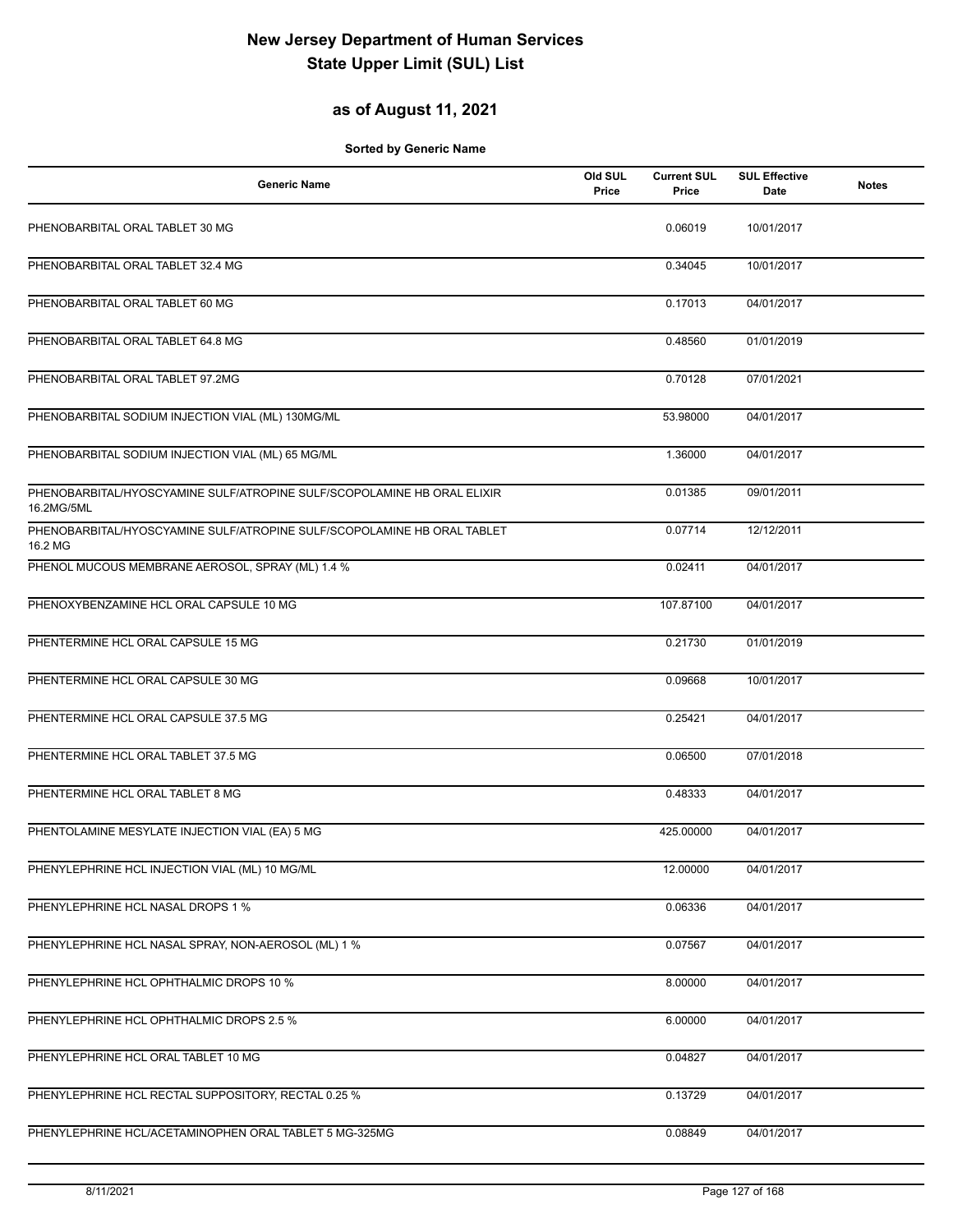## **as of August 11, 2021**

| <b>Generic Name</b>                                                                   | Old SUL<br>Price | <b>Current SUL</b><br>Price | <b>SUL Effective</b><br>Date | <b>Notes</b> |
|---------------------------------------------------------------------------------------|------------------|-----------------------------|------------------------------|--------------|
| PHENOBARBITAL ORAL TABLET 30 MG                                                       |                  | 0.06019                     | 10/01/2017                   |              |
| PHENOBARBITAL ORAL TABLET 32.4 MG                                                     |                  | 0.34045                     | 10/01/2017                   |              |
| PHENOBARBITAL ORAL TABLET 60 MG                                                       |                  | 0.17013                     | 04/01/2017                   |              |
| PHENOBARBITAL ORAL TABLET 64.8 MG                                                     |                  | 0.48560                     | 01/01/2019                   |              |
| PHENOBARBITAL ORAL TABLET 97.2MG                                                      |                  | 0.70128                     | 07/01/2021                   |              |
| PHENOBARBITAL SODIUM INJECTION VIAL (ML) 130MG/ML                                     |                  | 53.98000                    | 04/01/2017                   |              |
| PHENOBARBITAL SODIUM INJECTION VIAL (ML) 65 MG/ML                                     |                  | 1.36000                     | 04/01/2017                   |              |
| PHENOBARBITAL/HYOSCYAMINE SULF/ATROPINE SULF/SCOPOLAMINE HB ORAL ELIXIR<br>16.2MG/5ML |                  | 0.01385                     | 09/01/2011                   |              |
| PHENOBARBITAL/HYOSCYAMINE SULF/ATROPINE SULF/SCOPOLAMINE HB ORAL TABLET<br>16.2 MG    |                  | 0.07714                     | 12/12/2011                   |              |
| PHENOL MUCOUS MEMBRANE AEROSOL, SPRAY (ML) 1.4 %                                      |                  | 0.02411                     | 04/01/2017                   |              |
| PHENOXYBENZAMINE HCL ORAL CAPSULE 10 MG                                               |                  | 107.87100                   | 04/01/2017                   |              |
| PHENTERMINE HCL ORAL CAPSULE 15 MG                                                    |                  | 0.21730                     | 01/01/2019                   |              |
| PHENTERMINE HCL ORAL CAPSULE 30 MG                                                    |                  | 0.09668                     | 10/01/2017                   |              |
| PHENTERMINE HCL ORAL CAPSULE 37.5 MG                                                  |                  | 0.25421                     | 04/01/2017                   |              |
| PHENTERMINE HCL ORAL TABLET 37.5 MG                                                   |                  | 0.06500                     | 07/01/2018                   |              |
| PHENTERMINE HCL ORAL TABLET 8 MG                                                      |                  | 0.48333                     | 04/01/2017                   |              |
| PHENTOLAMINE MESYLATE INJECTION VIAL (EA) 5 MG                                        |                  | 425.00000                   | 04/01/2017                   |              |
| PHENYLEPHRINE HCL INJECTION VIAL (ML) 10 MG/ML                                        |                  | 12.00000                    | 04/01/2017                   |              |
| PHENYLEPHRINE HCL NASAL DROPS 1 %                                                     |                  | 0.06336                     | 04/01/2017                   |              |
| PHENYLEPHRINE HCL NASAL SPRAY, NON-AEROSOL (ML) 1 %                                   |                  | 0.07567                     | 04/01/2017                   |              |
| PHENYLEPHRINE HCL OPHTHALMIC DROPS 10 %                                               |                  | 8.00000                     | 04/01/2017                   |              |
| PHENYLEPHRINE HCL OPHTHALMIC DROPS 2.5 %                                              |                  | 6.00000                     | 04/01/2017                   |              |
| PHENYLEPHRINE HCL ORAL TABLET 10 MG                                                   |                  | 0.04827                     | 04/01/2017                   |              |
| PHENYLEPHRINE HCL RECTAL SUPPOSITORY, RECTAL 0.25 %                                   |                  | 0.13729                     | 04/01/2017                   |              |
| PHENYLEPHRINE HCL/ACETAMINOPHEN ORAL TABLET 5 MG-325MG                                |                  | 0.08849                     | 04/01/2017                   |              |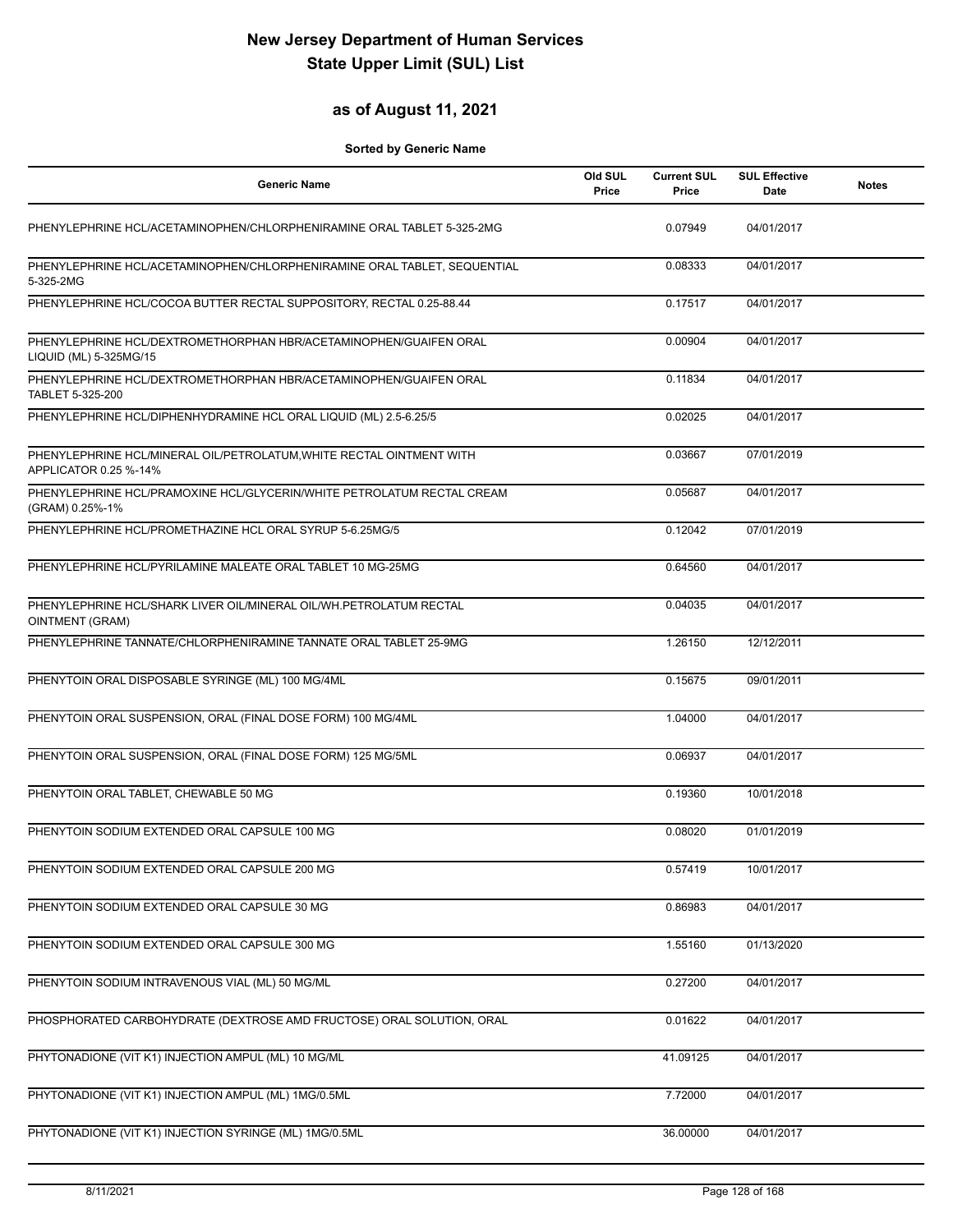## **as of August 11, 2021**

| <b>Generic Name</b>                                                                           | Old SUL<br>Price | <b>Current SUL</b><br>Price | <b>SUL Effective</b><br>Date | <b>Notes</b> |
|-----------------------------------------------------------------------------------------------|------------------|-----------------------------|------------------------------|--------------|
| PHENYLEPHRINE HCL/ACETAMINOPHEN/CHLORPHENIRAMINE ORAL TABLET 5-325-2MG                        |                  | 0.07949                     | 04/01/2017                   |              |
| PHENYLEPHRINE HCL/ACETAMINOPHEN/CHLORPHENIRAMINE ORAL TABLET, SEQUENTIAL<br>5-325-2MG         |                  | 0.08333                     | 04/01/2017                   |              |
| PHENYLEPHRINE HCL/COCOA BUTTER RECTAL SUPPOSITORY, RECTAL 0.25-88.44                          |                  | 0.17517                     | 04/01/2017                   |              |
| PHENYLEPHRINE HCL/DEXTROMETHORPHAN HBR/ACETAMINOPHEN/GUAIFEN ORAL<br>LIQUID (ML) 5-325MG/15   |                  | 0.00904                     | 04/01/2017                   |              |
| PHENYLEPHRINE HCL/DEXTROMETHORPHAN HBR/ACETAMINOPHEN/GUAIFEN ORAL<br>TABLET 5-325-200         |                  | 0.11834                     | 04/01/2017                   |              |
| PHENYLEPHRINE HCL/DIPHENHYDRAMINE HCL ORAL LIQUID (ML) 2.5-6.25/5                             |                  | 0.02025                     | 04/01/2017                   |              |
| PHENYLEPHRINE HCL/MINERAL OIL/PETROLATUM, WHITE RECTAL OINTMENT WITH<br>APPLICATOR 0.25 %-14% |                  | 0.03667                     | 07/01/2019                   |              |
| PHENYLEPHRINE HCL/PRAMOXINE HCL/GLYCERIN/WHITE PETROLATUM RECTAL CREAM<br>(GRAM) 0.25%-1%     |                  | 0.05687                     | 04/01/2017                   |              |
| PHENYLEPHRINE HCL/PROMETHAZINE HCL ORAL SYRUP 5-6.25MG/5                                      |                  | 0.12042                     | 07/01/2019                   |              |
| PHENYLEPHRINE HCL/PYRILAMINE MALEATE ORAL TABLET 10 MG-25MG                                   |                  | 0.64560                     | 04/01/2017                   |              |
| PHENYLEPHRINE HCL/SHARK LIVER OIL/MINERAL OIL/WH.PETROLATUM RECTAL<br>OINTMENT (GRAM)         |                  | 0.04035                     | 04/01/2017                   |              |
| PHENYLEPHRINE TANNATE/CHLORPHENIRAMINE TANNATE ORAL TABLET 25-9MG                             |                  | 1.26150                     | 12/12/2011                   |              |
| PHENYTOIN ORAL DISPOSABLE SYRINGE (ML) 100 MG/4ML                                             |                  | 0.15675                     | 09/01/2011                   |              |
| PHENYTOIN ORAL SUSPENSION, ORAL (FINAL DOSE FORM) 100 MG/4ML                                  |                  | 1.04000                     | 04/01/2017                   |              |
| PHENYTOIN ORAL SUSPENSION, ORAL (FINAL DOSE FORM) 125 MG/5ML                                  |                  | 0.06937                     | 04/01/2017                   |              |
| PHENYTOIN ORAL TABLET, CHEWABLE 50 MG                                                         |                  | 0.19360                     | 10/01/2018                   |              |
| PHENYTOIN SODIUM EXTENDED ORAL CAPSULE 100 MG                                                 |                  | 0.08020                     | 01/01/2019                   |              |
| PHENYTOIN SODIUM EXTENDED ORAL CAPSULE 200 MG                                                 |                  | 0.57419                     | 10/01/2017                   |              |
| PHENYTOIN SODIUM EXTENDED ORAL CAPSULE 30 MG                                                  |                  | 0.86983                     | 04/01/2017                   |              |
| PHENYTOIN SODIUM EXTENDED ORAL CAPSULE 300 MG                                                 |                  | 1.55160                     | 01/13/2020                   |              |
| PHENYTOIN SODIUM INTRAVENOUS VIAL (ML) 50 MG/ML                                               |                  | 0.27200                     | 04/01/2017                   |              |
| PHOSPHORATED CARBOHYDRATE (DEXTROSE AMD FRUCTOSE) ORAL SOLUTION, ORAL                         |                  | 0.01622                     | 04/01/2017                   |              |
| PHYTONADIONE (VIT K1) INJECTION AMPUL (ML) 10 MG/ML                                           |                  | 41.09125                    | 04/01/2017                   |              |
| PHYTONADIONE (VIT K1) INJECTION AMPUL (ML) 1MG/0.5ML                                          |                  | 7.72000                     | 04/01/2017                   |              |
| PHYTONADIONE (VIT K1) INJECTION SYRINGE (ML) 1MG/0.5ML                                        |                  | 36.00000                    | 04/01/2017                   |              |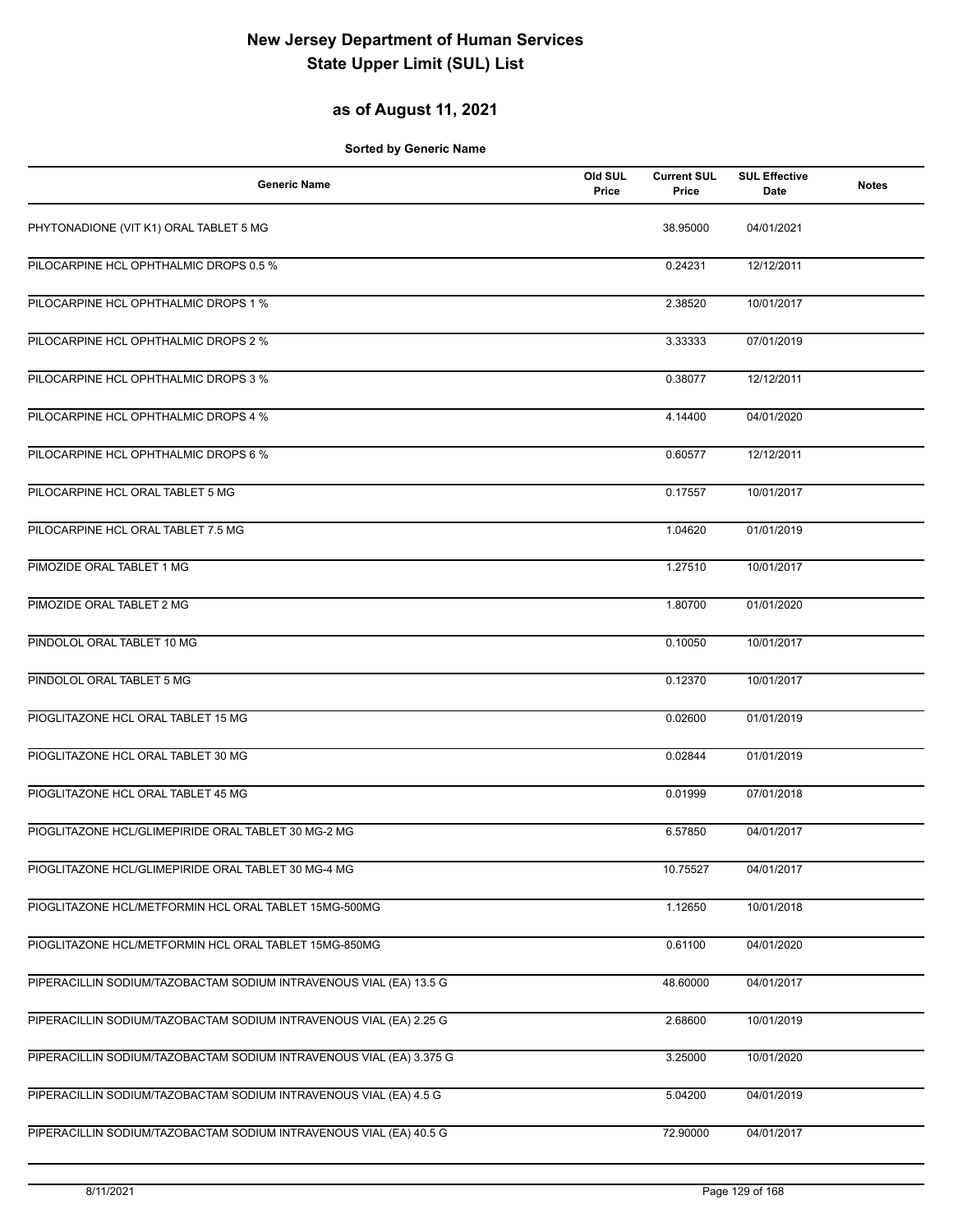## **as of August 11, 2021**

| <b>Generic Name</b>                                                 | Old SUL<br>Price | <b>Current SUL</b><br>Price | <b>SUL Effective</b><br>Date | <b>Notes</b> |
|---------------------------------------------------------------------|------------------|-----------------------------|------------------------------|--------------|
| PHYTONADIONE (VIT K1) ORAL TABLET 5 MG                              |                  | 38.95000                    | 04/01/2021                   |              |
| PILOCARPINE HCL OPHTHALMIC DROPS 0.5 %                              |                  | 0.24231                     | 12/12/2011                   |              |
| PILOCARPINE HCL OPHTHALMIC DROPS 1 %                                |                  | 2.38520                     | 10/01/2017                   |              |
| PILOCARPINE HCL OPHTHALMIC DROPS 2 %                                |                  | 3.33333                     | 07/01/2019                   |              |
| PILOCARPINE HCL OPHTHALMIC DROPS 3 %                                |                  | 0.38077                     | 12/12/2011                   |              |
| PILOCARPINE HCL OPHTHALMIC DROPS 4 %                                |                  | 4.14400                     | 04/01/2020                   |              |
| PILOCARPINE HCL OPHTHALMIC DROPS 6 %                                |                  | 0.60577                     | 12/12/2011                   |              |
| PILOCARPINE HCL ORAL TABLET 5 MG                                    |                  | 0.17557                     | 10/01/2017                   |              |
| PILOCARPINE HCL ORAL TABLET 7.5 MG                                  |                  | 1.04620                     | 01/01/2019                   |              |
| PIMOZIDE ORAL TABLET 1 MG                                           |                  | 1.27510                     | 10/01/2017                   |              |
| PIMOZIDE ORAL TABLET 2 MG                                           |                  | 1.80700                     | 01/01/2020                   |              |
| PINDOLOL ORAL TABLET 10 MG                                          |                  | 0.10050                     | 10/01/2017                   |              |
| PINDOLOL ORAL TABLET 5 MG                                           |                  | 0.12370                     | 10/01/2017                   |              |
| PIOGLITAZONE HCL ORAL TABLET 15 MG                                  |                  | 0.02600                     | 01/01/2019                   |              |
| PIOGLITAZONE HCL ORAL TABLET 30 MG                                  |                  | 0.02844                     | 01/01/2019                   |              |
| PIOGLITAZONE HCL ORAL TABLET 45 MG                                  |                  | 0.01999                     | 07/01/2018                   |              |
| PIOGLITAZONE HCL/GLIMEPIRIDE ORAL TABLET 30 MG-2 MG                 |                  | 6.57850                     | 04/01/2017                   |              |
| PIOGLITAZONE HCL/GLIMEPIRIDE ORAL TABLET 30 MG-4 MG                 |                  | 10.75527                    | 04/01/2017                   |              |
| PIOGLITAZONE HCL/METFORMIN HCL ORAL TABLET 15MG-500MG               |                  | 1.12650                     | 10/01/2018                   |              |
| PIOGLITAZONE HCL/METFORMIN HCL ORAL TABLET 15MG-850MG               |                  | 0.61100                     | 04/01/2020                   |              |
| PIPERACILLIN SODIUM/TAZOBACTAM SODIUM INTRAVENOUS VIAL (EA) 13.5 G  |                  | 48.60000                    | 04/01/2017                   |              |
| PIPERACILLIN SODIUM/TAZOBACTAM SODIUM INTRAVENOUS VIAL (EA) 2.25 G  |                  | 2.68600                     | 10/01/2019                   |              |
| PIPERACILLIN SODIUM/TAZOBACTAM SODIUM INTRAVENOUS VIAL (EA) 3.375 G |                  | 3.25000                     | 10/01/2020                   |              |
| PIPERACILLIN SODIUM/TAZOBACTAM SODIUM INTRAVENOUS VIAL (EA) 4.5 G   |                  | 5.04200                     | 04/01/2019                   |              |
| PIPERACILLIN SODIUM/TAZOBACTAM SODIUM INTRAVENOUS VIAL (EA) 40.5 G  |                  | 72.90000                    | 04/01/2017                   |              |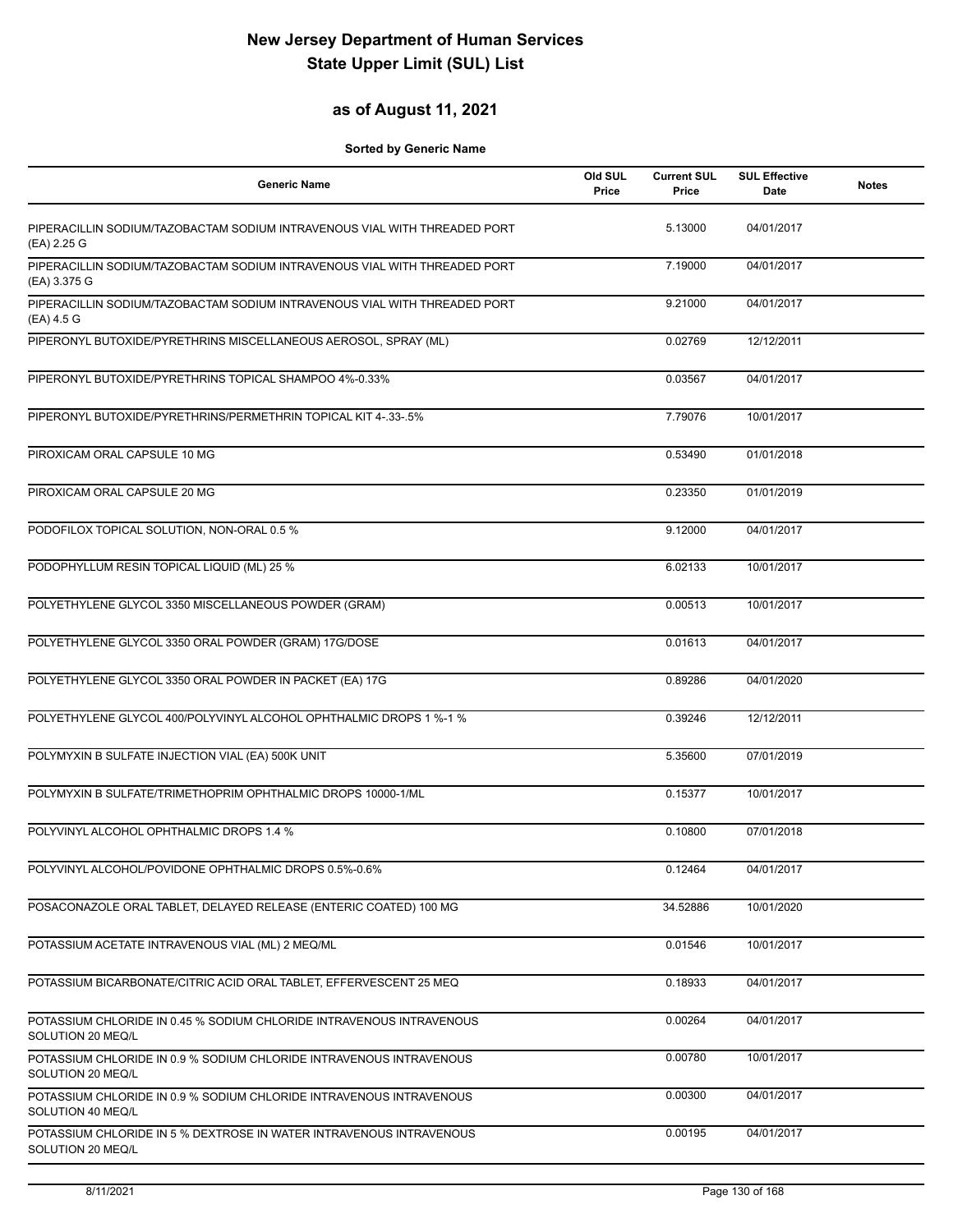### **as of August 11, 2021**

| <b>Generic Name</b>                                                                       | Old SUL<br>Price | <b>Current SUL</b><br>Price | <b>SUL Effective</b><br>Date | <b>Notes</b> |
|-------------------------------------------------------------------------------------------|------------------|-----------------------------|------------------------------|--------------|
| PIPERACILLIN SODIUM/TAZOBACTAM SODIUM INTRAVENOUS VIAL WITH THREADED PORT<br>(EA) 2.25 G  |                  | 5.13000                     | 04/01/2017                   |              |
| PIPERACILLIN SODIUM/TAZOBACTAM SODIUM INTRAVENOUS VIAL WITH THREADED PORT<br>(EA) 3.375 G |                  | 7.19000                     | 04/01/2017                   |              |
| PIPERACILLIN SODIUM/TAZOBACTAM SODIUM INTRAVENOUS VIAL WITH THREADED PORT<br>(EA) 4.5 G   |                  | 9.21000                     | 04/01/2017                   |              |
| PIPERONYL BUTOXIDE/PYRETHRINS MISCELLANEOUS AEROSOL, SPRAY (ML)                           |                  | 0.02769                     | 12/12/2011                   |              |
| PIPERONYL BUTOXIDE/PYRETHRINS TOPICAL SHAMPOO 4%-0.33%                                    |                  | 0.03567                     | 04/01/2017                   |              |
| PIPERONYL BUTOXIDE/PYRETHRINS/PERMETHRIN TOPICAL KIT 4-.33-.5%                            |                  | 7.79076                     | 10/01/2017                   |              |
| PIROXICAM ORAL CAPSULE 10 MG                                                              |                  | 0.53490                     | 01/01/2018                   |              |
| PIROXICAM ORAL CAPSULE 20 MG                                                              |                  | 0.23350                     | 01/01/2019                   |              |
| PODOFILOX TOPICAL SOLUTION, NON-ORAL 0.5 %                                                |                  | 9.12000                     | 04/01/2017                   |              |
| PODOPHYLLUM RESIN TOPICAL LIQUID (ML) 25 %                                                |                  | 6.02133                     | 10/01/2017                   |              |
| POLYETHYLENE GLYCOL 3350 MISCELLANEOUS POWDER (GRAM)                                      |                  | 0.00513                     | 10/01/2017                   |              |
| POLYETHYLENE GLYCOL 3350 ORAL POWDER (GRAM) 17G/DOSE                                      |                  | 0.01613                     | 04/01/2017                   |              |
| POLYETHYLENE GLYCOL 3350 ORAL POWDER IN PACKET (EA) 17G                                   |                  | 0.89286                     | 04/01/2020                   |              |
| POLYETHYLENE GLYCOL 400/POLYVINYL ALCOHOL OPHTHALMIC DROPS 1 %-1 %                        |                  | 0.39246                     | 12/12/2011                   |              |
| POLYMYXIN B SULFATE INJECTION VIAL (EA) 500K UNIT                                         |                  | 5.35600                     | 07/01/2019                   |              |
| POLYMYXIN B SULFATE/TRIMETHOPRIM OPHTHALMIC DROPS 10000-1/ML                              |                  | 0.15377                     | 10/01/2017                   |              |
| POLYVINYL ALCOHOL OPHTHALMIC DROPS 1.4 %                                                  |                  | 0.10800                     | 07/01/2018                   |              |
| POLYVINYL ALCOHOL/POVIDONE OPHTHALMIC DROPS 0.5%-0.6%                                     |                  | 0.12464                     | 04/01/2017                   |              |
| POSACONAZOLE ORAL TABLET, DELAYED RELEASE (ENTERIC COATED) 100 MG                         |                  | 34.52886                    | 10/01/2020                   |              |
| POTASSIUM ACETATE INTRAVENOUS VIAL (ML) 2 MEQ/ML                                          |                  | 0.01546                     | 10/01/2017                   |              |
| POTASSIUM BICARBONATE/CITRIC ACID ORAL TABLET, EFFERVESCENT 25 MEQ                        |                  | 0.18933                     | 04/01/2017                   |              |
| POTASSIUM CHLORIDE IN 0.45 % SODIUM CHLORIDE INTRAVENOUS INTRAVENOUS<br>SOLUTION 20 MEQ/L |                  | 0.00264                     | 04/01/2017                   |              |
| POTASSIUM CHLORIDE IN 0.9 % SODIUM CHLORIDE INTRAVENOUS INTRAVENOUS<br>SOLUTION 20 MEQ/L  |                  | 0.00780                     | 10/01/2017                   |              |
| POTASSIUM CHLORIDE IN 0.9 % SODIUM CHLORIDE INTRAVENOUS INTRAVENOUS<br>SOLUTION 40 MEQ/L  |                  | 0.00300                     | 04/01/2017                   |              |
| POTASSIUM CHLORIDE IN 5 % DEXTROSE IN WATER INTRAVENOUS INTRAVENOUS<br>SOLUTION 20 MEQ/L  |                  | 0.00195                     | 04/01/2017                   |              |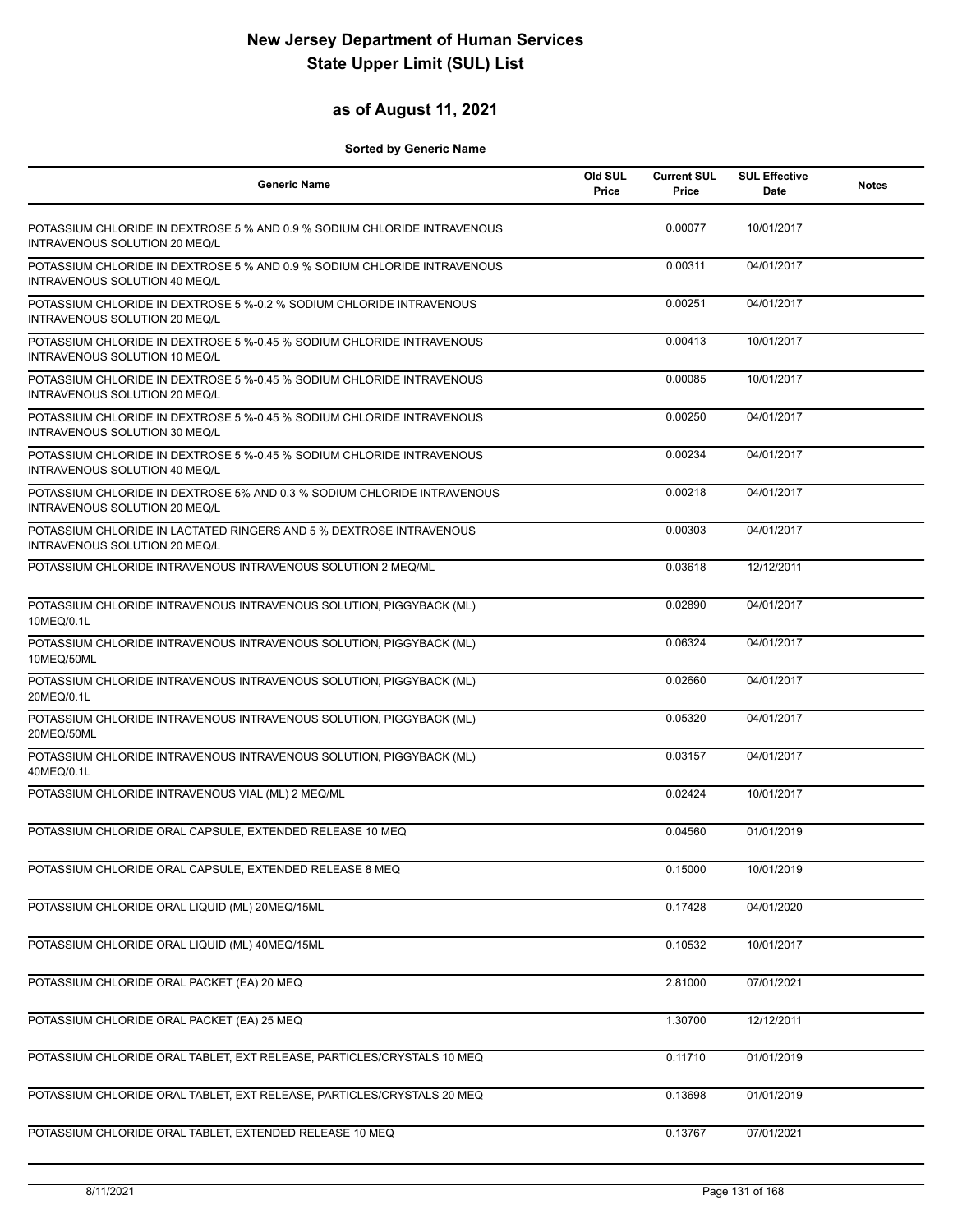## **as of August 11, 2021**

| <b>Generic Name</b>                                                                                       | Old SUL<br>Price | <b>Current SUL</b><br>Price | <b>SUL Effective</b><br>Date | <b>Notes</b> |
|-----------------------------------------------------------------------------------------------------------|------------------|-----------------------------|------------------------------|--------------|
| POTASSIUM CHLORIDE IN DEXTROSE 5 % AND 0.9 % SODIUM CHLORIDE INTRAVENOUS<br>INTRAVENOUS SOLUTION 20 MEQ/L |                  | 0.00077                     | 10/01/2017                   |              |
| POTASSIUM CHLORIDE IN DEXTROSE 5 % AND 0.9 % SODIUM CHLORIDE INTRAVENOUS<br>INTRAVENOUS SOLUTION 40 MEQ/L |                  | 0.00311                     | 04/01/2017                   |              |
| POTASSIUM CHLORIDE IN DEXTROSE 5 %-0.2 % SODIUM CHLORIDE INTRAVENOUS<br>INTRAVENOUS SOLUTION 20 MEQ/L     |                  | 0.00251                     | 04/01/2017                   |              |
| POTASSIUM CHLORIDE IN DEXTROSE 5 %-0.45 % SODIUM CHLORIDE INTRAVENOUS<br>INTRAVENOUS SOLUTION 10 MEQ/L    |                  | 0.00413                     | 10/01/2017                   |              |
| POTASSIUM CHLORIDE IN DEXTROSE 5 %-0.45 % SODIUM CHLORIDE INTRAVENOUS<br>INTRAVENOUS SOLUTION 20 MEQ/L    |                  | 0.00085                     | 10/01/2017                   |              |
| POTASSIUM CHLORIDE IN DEXTROSE 5 %-0.45 % SODIUM CHLORIDE INTRAVENOUS<br>INTRAVENOUS SOLUTION 30 MEQ/L    |                  | 0.00250                     | 04/01/2017                   |              |
| POTASSIUM CHLORIDE IN DEXTROSE 5 %-0.45 % SODIUM CHLORIDE INTRAVENOUS<br>INTRAVENOUS SOLUTION 40 MEQ/L    |                  | 0.00234                     | 04/01/2017                   |              |
| POTASSIUM CHLORIDE IN DEXTROSE 5% AND 0.3 % SODIUM CHLORIDE INTRAVENOUS<br>INTRAVENOUS SOLUTION 20 MEQ/L  |                  | 0.00218                     | 04/01/2017                   |              |
| POTASSIUM CHLORIDE IN LACTATED RINGERS AND 5 % DEXTROSE INTRAVENOUS<br>INTRAVENOUS SOLUTION 20 MEQ/L      |                  | 0.00303                     | 04/01/2017                   |              |
| POTASSIUM CHLORIDE INTRAVENOUS INTRAVENOUS SOLUTION 2 MEQ/ML                                              |                  | 0.03618                     | 12/12/2011                   |              |
| POTASSIUM CHLORIDE INTRAVENOUS INTRAVENOUS SOLUTION, PIGGYBACK (ML)<br>10MEQ/0.1L                         |                  | 0.02890                     | 04/01/2017                   |              |
| POTASSIUM CHLORIDE INTRAVENOUS INTRAVENOUS SOLUTION, PIGGYBACK (ML)<br>10MEQ/50ML                         |                  | 0.06324                     | 04/01/2017                   |              |
| POTASSIUM CHLORIDE INTRAVENOUS INTRAVENOUS SOLUTION, PIGGYBACK (ML)<br>20MEQ/0.1L                         |                  | 0.02660                     | 04/01/2017                   |              |
| POTASSIUM CHLORIDE INTRAVENOUS INTRAVENOUS SOLUTION, PIGGYBACK (ML)<br>20MEQ/50ML                         |                  | 0.05320                     | 04/01/2017                   |              |
| POTASSIUM CHLORIDE INTRAVENOUS INTRAVENOUS SOLUTION, PIGGYBACK (ML)<br>40MEQ/0.1L                         |                  | 0.03157                     | 04/01/2017                   |              |
| POTASSIUM CHLORIDE INTRAVENOUS VIAL (ML) 2 MEQ/ML                                                         |                  | 0.02424                     | 10/01/2017                   |              |
| POTASSIUM CHLORIDE ORAL CAPSULE, EXTENDED RELEASE 10 MEQ                                                  |                  | 0.04560                     | 01/01/2019                   |              |
| POTASSIUM CHLORIDE ORAL CAPSULE, EXTENDED RELEASE 8 MEQ                                                   |                  | 0.15000                     | 10/01/2019                   |              |
| POTASSIUM CHLORIDE ORAL LIQUID (ML) 20MEQ/15ML                                                            |                  | 0.17428                     | 04/01/2020                   |              |
| POTASSIUM CHLORIDE ORAL LIQUID (ML) 40MEQ/15ML                                                            |                  | 0.10532                     | 10/01/2017                   |              |
| POTASSIUM CHLORIDE ORAL PACKET (EA) 20 MEQ                                                                |                  | 2.81000                     | 07/01/2021                   |              |
| POTASSIUM CHLORIDE ORAL PACKET (EA) 25 MEQ                                                                |                  | 1.30700                     | 12/12/2011                   |              |
| POTASSIUM CHLORIDE ORAL TABLET, EXT RELEASE, PARTICLES/CRYSTALS 10 MEQ                                    |                  | 0.11710                     | 01/01/2019                   |              |
| POTASSIUM CHLORIDE ORAL TABLET, EXT RELEASE, PARTICLES/CRYSTALS 20 MEQ                                    |                  | 0.13698                     | 01/01/2019                   |              |
| POTASSIUM CHLORIDE ORAL TABLET, EXTENDED RELEASE 10 MEQ                                                   |                  | 0.13767                     | 07/01/2021                   |              |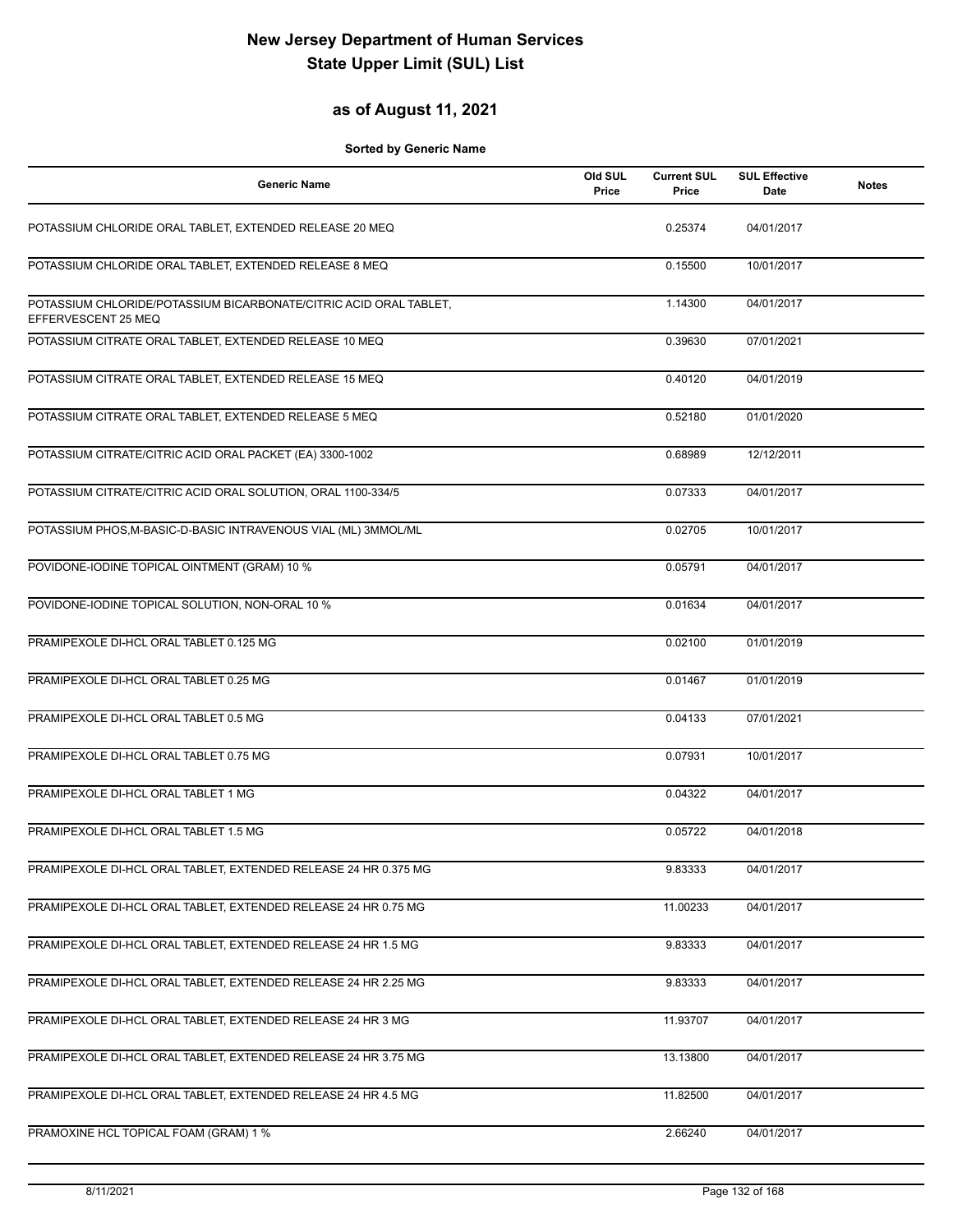## **as of August 11, 2021**

| <b>Generic Name</b>                                                                      | Old SUL<br>Price | <b>Current SUL</b><br>Price | <b>SUL Effective</b><br>Date | <b>Notes</b> |
|------------------------------------------------------------------------------------------|------------------|-----------------------------|------------------------------|--------------|
| POTASSIUM CHLORIDE ORAL TABLET, EXTENDED RELEASE 20 MEQ                                  |                  | 0.25374                     | 04/01/2017                   |              |
| POTASSIUM CHLORIDE ORAL TABLET, EXTENDED RELEASE 8 MEQ                                   |                  | 0.15500                     | 10/01/2017                   |              |
| POTASSIUM CHLORIDE/POTASSIUM BICARBONATE/CITRIC ACID ORAL TABLET,<br>EFFERVESCENT 25 MEQ |                  | 1.14300                     | 04/01/2017                   |              |
| POTASSIUM CITRATE ORAL TABLET, EXTENDED RELEASE 10 MEQ                                   |                  | 0.39630                     | 07/01/2021                   |              |
| POTASSIUM CITRATE ORAL TABLET, EXTENDED RELEASE 15 MEQ                                   |                  | 0.40120                     | 04/01/2019                   |              |
| POTASSIUM CITRATE ORAL TABLET, EXTENDED RELEASE 5 MEQ                                    |                  | 0.52180                     | 01/01/2020                   |              |
| POTASSIUM CITRATE/CITRIC ACID ORAL PACKET (EA) 3300-1002                                 |                  | 0.68989                     | 12/12/2011                   |              |
| POTASSIUM CITRATE/CITRIC ACID ORAL SOLUTION, ORAL 1100-334/5                             |                  | 0.07333                     | 04/01/2017                   |              |
| POTASSIUM PHOS, M-BASIC-D-BASIC INTRAVENOUS VIAL (ML) 3MMOL/ML                           |                  | 0.02705                     | 10/01/2017                   |              |
| POVIDONE-IODINE TOPICAL OINTMENT (GRAM) 10 %                                             |                  | 0.05791                     | 04/01/2017                   |              |
| POVIDONE-IODINE TOPICAL SOLUTION, NON-ORAL 10 %                                          |                  | 0.01634                     | 04/01/2017                   |              |
| PRAMIPEXOLE DI-HCL ORAL TABLET 0.125 MG                                                  |                  | 0.02100                     | 01/01/2019                   |              |
| PRAMIPEXOLE DI-HCL ORAL TABLET 0.25 MG                                                   |                  | 0.01467                     | 01/01/2019                   |              |
| PRAMIPEXOLE DI-HCL ORAL TABLET 0.5 MG                                                    |                  | 0.04133                     | 07/01/2021                   |              |
| PRAMIPEXOLE DI-HCL ORAL TABLET 0.75 MG                                                   |                  | 0.07931                     | 10/01/2017                   |              |
| PRAMIPEXOLE DI-HCL ORAL TABLET 1 MG                                                      |                  | 0.04322                     | 04/01/2017                   |              |
| PRAMIPEXOLE DI-HCL ORAL TABLET 1.5 MG                                                    |                  | 0.05722                     | 04/01/2018                   |              |
| PRAMIPEXOLE DI-HCL ORAL TABLET, EXTENDED RELEASE 24 HR 0.375 MG                          |                  | 9.83333                     | 04/01/2017                   |              |
| PRAMIPEXOLE DI-HCL ORAL TABLET, EXTENDED RELEASE 24 HR 0.75 MG                           |                  | 11.00233                    | 04/01/2017                   |              |
| PRAMIPEXOLE DI-HCL ORAL TABLET, EXTENDED RELEASE 24 HR 1.5 MG                            |                  | 9.83333                     | 04/01/2017                   |              |
| PRAMIPEXOLE DI-HCL ORAL TABLET, EXTENDED RELEASE 24 HR 2.25 MG                           |                  | 9.83333                     | 04/01/2017                   |              |
| PRAMIPEXOLE DI-HCL ORAL TABLET, EXTENDED RELEASE 24 HR 3 MG                              |                  | 11.93707                    | 04/01/2017                   |              |
| PRAMIPEXOLE DI-HCL ORAL TABLET, EXTENDED RELEASE 24 HR 3.75 MG                           |                  | 13.13800                    | 04/01/2017                   |              |
| PRAMIPEXOLE DI-HCL ORAL TABLET, EXTENDED RELEASE 24 HR 4.5 MG                            |                  | 11.82500                    | 04/01/2017                   |              |
| PRAMOXINE HCL TOPICAL FOAM (GRAM) 1 %                                                    |                  | 2.66240                     | 04/01/2017                   |              |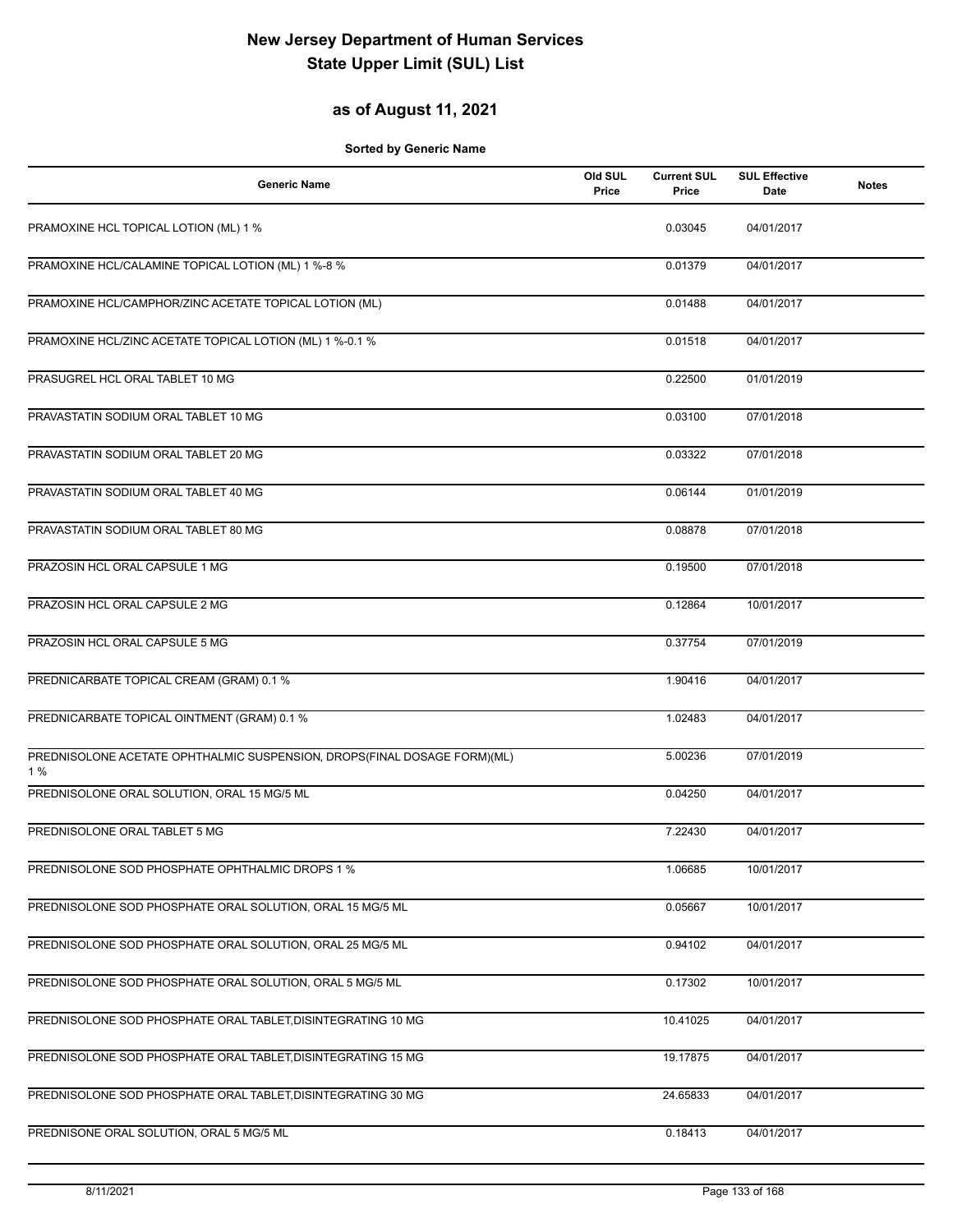## **as of August 11, 2021**

| <b>Generic Name</b>                                                            | Old SUL<br>Price | <b>Current SUL</b><br>Price | <b>SUL Effective</b><br>Date | <b>Notes</b> |
|--------------------------------------------------------------------------------|------------------|-----------------------------|------------------------------|--------------|
| PRAMOXINE HCL TOPICAL LOTION (ML) 1 %                                          |                  | 0.03045                     | 04/01/2017                   |              |
| PRAMOXINE HCL/CALAMINE TOPICAL LOTION (ML) 1 %-8 %                             |                  | 0.01379                     | 04/01/2017                   |              |
| PRAMOXINE HCL/CAMPHOR/ZINC ACETATE TOPICAL LOTION (ML)                         |                  | 0.01488                     | 04/01/2017                   |              |
| PRAMOXINE HCL/ZINC ACETATE TOPICAL LOTION (ML) 1 %-0.1 %                       |                  | 0.01518                     | 04/01/2017                   |              |
| PRASUGREL HCL ORAL TABLET 10 MG                                                |                  | 0.22500                     | 01/01/2019                   |              |
| PRAVASTATIN SODIUM ORAL TABLET 10 MG                                           |                  | 0.03100                     | 07/01/2018                   |              |
| PRAVASTATIN SODIUM ORAL TABLET 20 MG                                           |                  | 0.03322                     | 07/01/2018                   |              |
| PRAVASTATIN SODIUM ORAL TABLET 40 MG                                           |                  | 0.06144                     | 01/01/2019                   |              |
| PRAVASTATIN SODIUM ORAL TABLET 80 MG                                           |                  | 0.08878                     | 07/01/2018                   |              |
| PRAZOSIN HCL ORAL CAPSULE 1 MG                                                 |                  | 0.19500                     | 07/01/2018                   |              |
| PRAZOSIN HCL ORAL CAPSULE 2 MG                                                 |                  | 0.12864                     | 10/01/2017                   |              |
| PRAZOSIN HCL ORAL CAPSULE 5 MG                                                 |                  | 0.37754                     | 07/01/2019                   |              |
| PREDNICARBATE TOPICAL CREAM (GRAM) 0.1 %                                       |                  | 1.90416                     | 04/01/2017                   |              |
| PREDNICARBATE TOPICAL OINTMENT (GRAM) 0.1 %                                    |                  | 1.02483                     | 04/01/2017                   |              |
| PREDNISOLONE ACETATE OPHTHALMIC SUSPENSION, DROPS(FINAL DOSAGE FORM)(ML)<br>1% |                  | 5.00236                     | 07/01/2019                   |              |
| PREDNISOLONE ORAL SOLUTION, ORAL 15 MG/5 ML                                    |                  | 0.04250                     | 04/01/2017                   |              |
| PREDNISOLONE ORAL TABLET 5 MG                                                  |                  | 7.22430                     | 04/01/2017                   |              |
| PREDNISOLONE SOD PHOSPHATE OPHTHALMIC DROPS 1 %                                |                  | 1.06685                     | 10/01/2017                   |              |
| PREDNISOLONE SOD PHOSPHATE ORAL SOLUTION, ORAL 15 MG/5 ML                      |                  | 0.05667                     | 10/01/2017                   |              |
| PREDNISOLONE SOD PHOSPHATE ORAL SOLUTION, ORAL 25 MG/5 ML                      |                  | 0.94102                     | 04/01/2017                   |              |
| PREDNISOLONE SOD PHOSPHATE ORAL SOLUTION, ORAL 5 MG/5 ML                       |                  | 0.17302                     | 10/01/2017                   |              |
| PREDNISOLONE SOD PHOSPHATE ORAL TABLET, DISINTEGRATING 10 MG                   |                  | 10.41025                    | 04/01/2017                   |              |
| PREDNISOLONE SOD PHOSPHATE ORAL TABLET, DISINTEGRATING 15 MG                   |                  | 19.17875                    | 04/01/2017                   |              |
| PREDNISOLONE SOD PHOSPHATE ORAL TABLET, DISINTEGRATING 30 MG                   |                  | 24.65833                    | 04/01/2017                   |              |
| PREDNISONE ORAL SOLUTION, ORAL 5 MG/5 ML                                       |                  | 0.18413                     | 04/01/2017                   |              |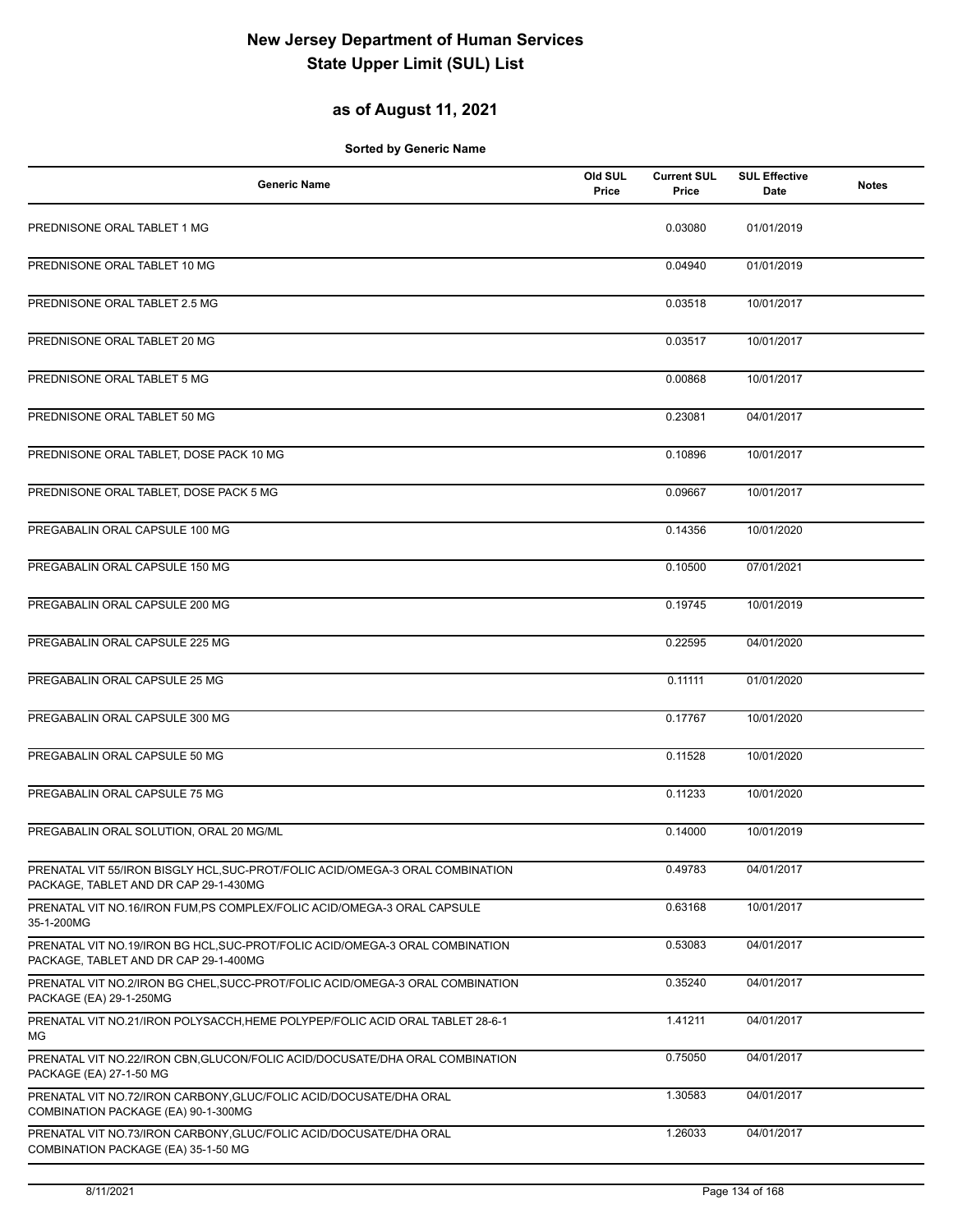## **as of August 11, 2021**

| <b>Generic Name</b>                                                                                                    | Old SUL<br>Price | <b>Current SUL</b><br>Price | <b>SUL Effective</b><br>Date | <b>Notes</b> |
|------------------------------------------------------------------------------------------------------------------------|------------------|-----------------------------|------------------------------|--------------|
| PREDNISONE ORAL TABLET 1 MG                                                                                            |                  | 0.03080                     | 01/01/2019                   |              |
| PREDNISONE ORAL TABLET 10 MG                                                                                           |                  | 0.04940                     | 01/01/2019                   |              |
| PREDNISONE ORAL TABLET 2.5 MG                                                                                          |                  | 0.03518                     | 10/01/2017                   |              |
| PREDNISONE ORAL TABLET 20 MG                                                                                           |                  | 0.03517                     | 10/01/2017                   |              |
| PREDNISONE ORAL TABLET 5 MG                                                                                            |                  | 0.00868                     | 10/01/2017                   |              |
| PREDNISONE ORAL TABLET 50 MG                                                                                           |                  | 0.23081                     | 04/01/2017                   |              |
| PREDNISONE ORAL TABLET, DOSE PACK 10 MG                                                                                |                  | 0.10896                     | 10/01/2017                   |              |
| PREDNISONE ORAL TABLET, DOSE PACK 5 MG                                                                                 |                  | 0.09667                     | 10/01/2017                   |              |
| PREGABALIN ORAL CAPSULE 100 MG                                                                                         |                  | 0.14356                     | 10/01/2020                   |              |
| PREGABALIN ORAL CAPSULE 150 MG                                                                                         |                  | 0.10500                     | 07/01/2021                   |              |
| PREGABALIN ORAL CAPSULE 200 MG                                                                                         |                  | 0.19745                     | 10/01/2019                   |              |
| PREGABALIN ORAL CAPSULE 225 MG                                                                                         |                  | 0.22595                     | 04/01/2020                   |              |
| PREGABALIN ORAL CAPSULE 25 MG                                                                                          |                  | 0.11111                     | 01/01/2020                   |              |
| PREGABALIN ORAL CAPSULE 300 MG                                                                                         |                  | 0.17767                     | 10/01/2020                   |              |
| PREGABALIN ORAL CAPSULE 50 MG                                                                                          |                  | 0.11528                     | 10/01/2020                   |              |
| PREGABALIN ORAL CAPSULE 75 MG                                                                                          |                  | 0.11233                     | 10/01/2020                   |              |
| PREGABALIN ORAL SOLUTION, ORAL 20 MG/ML                                                                                |                  | 0.14000                     | 10/01/2019                   |              |
| PRENATAL VIT 55/IRON BISGLY HCL, SUC-PROT/FOLIC ACID/OMEGA-3 ORAL COMBINATION<br>PACKAGE, TABLET AND DR CAP 29-1-430MG |                  | 0.49783                     | 04/01/2017                   |              |
| PRENATAL VIT NO.16/IRON FUM, PS COMPLEX/FOLIC ACID/OMEGA-3 ORAL CAPSULE<br>35-1-200MG                                  |                  | 0.63168                     | 10/01/2017                   |              |
| PRENATAL VIT NO.19/IRON BG HCL, SUC-PROT/FOLIC ACID/OMEGA-3 ORAL COMBINATION<br>PACKAGE, TABLET AND DR CAP 29-1-400MG  |                  | 0.53083                     | 04/01/2017                   |              |
| PRENATAL VIT NO.2/IRON BG CHEL, SUCC-PROT/FOLIC ACID/OMEGA-3 ORAL COMBINATION<br>PACKAGE (EA) 29-1-250MG               |                  | 0.35240                     | 04/01/2017                   |              |
| PRENATAL VIT NO.21/IRON POLYSACCH, HEME POLYPEP/FOLIC ACID ORAL TABLET 28-6-1<br>МG                                    |                  | 1.41211                     | 04/01/2017                   |              |
| PRENATAL VIT NO.22/IRON CBN, GLUCON/FOLIC ACID/DOCUSATE/DHA ORAL COMBINATION<br>PACKAGE (EA) 27-1-50 MG                |                  | 0.75050                     | 04/01/2017                   |              |
| PRENATAL VIT NO.72/IRON CARBONY, GLUC/FOLIC ACID/DOCUSATE/DHA ORAL<br>COMBINATION PACKAGE (EA) 90-1-300MG              |                  | 1.30583                     | 04/01/2017                   |              |
| PRENATAL VIT NO.73/IRON CARBONY, GLUC/FOLIC ACID/DOCUSATE/DHA ORAL<br>COMBINATION PACKAGE (EA) 35-1-50 MG              |                  | 1.26033                     | 04/01/2017                   |              |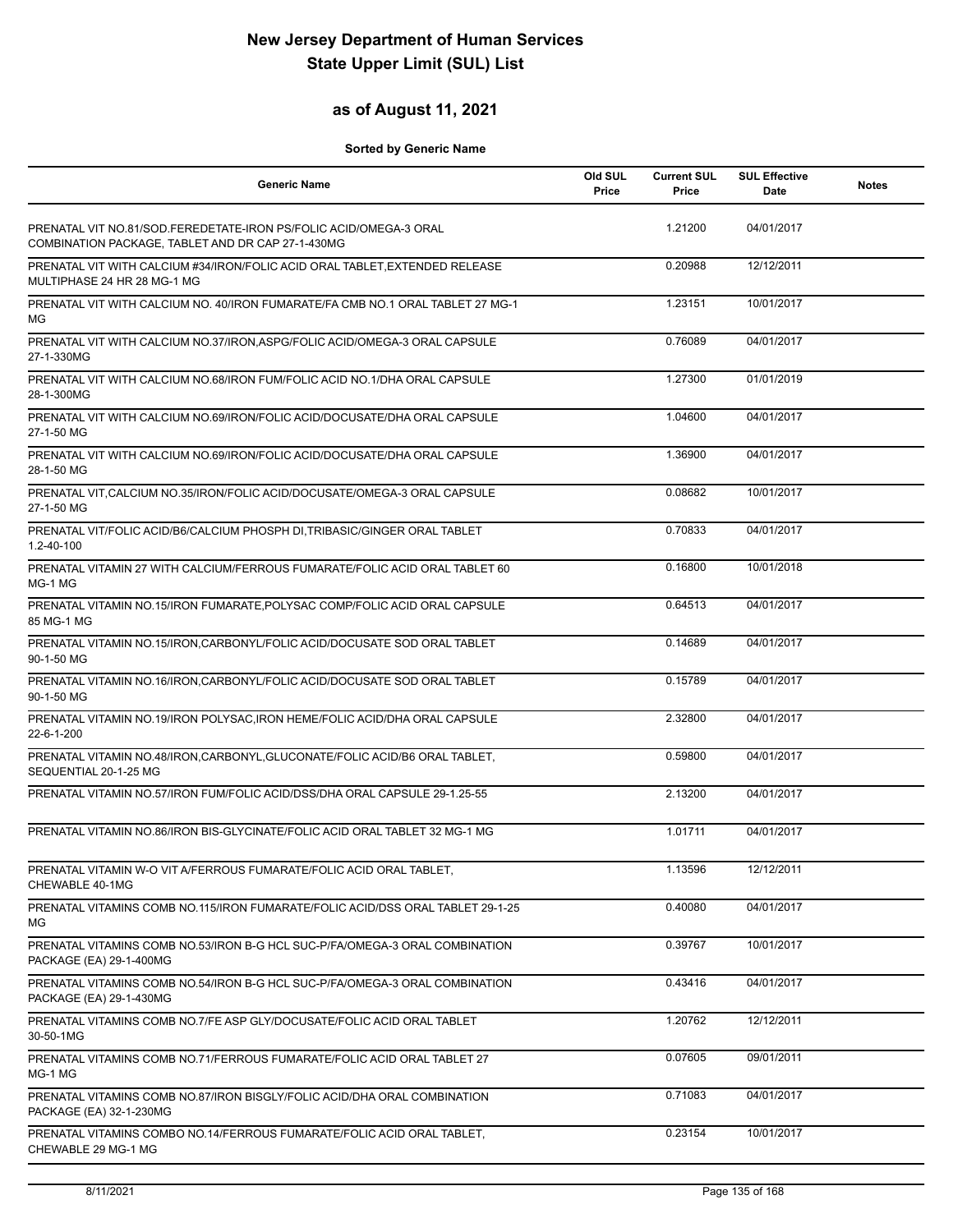## **as of August 11, 2021**

| <b>Generic Name</b>                                                                                                    | Old SUL<br>Price | <b>Current SUL</b><br>Price | <b>SUL Effective</b><br>Date | <b>Notes</b> |
|------------------------------------------------------------------------------------------------------------------------|------------------|-----------------------------|------------------------------|--------------|
| PRENATAL VIT NO.81/SOD.FEREDETATE-IRON PS/FOLIC ACID/OMEGA-3 ORAL<br>COMBINATION PACKAGE, TABLET AND DR CAP 27-1-430MG |                  | 1.21200                     | 04/01/2017                   |              |
| PRENATAL VIT WITH CALCIUM #34/IRON/FOLIC ACID ORAL TABLET, EXTENDED RELEASE<br>MULTIPHASE 24 HR 28 MG-1 MG             |                  | 0.20988                     | 12/12/2011                   |              |
| PRENATAL VIT WITH CALCIUM NO. 40/IRON FUMARATE/FA CMB NO.1 ORAL TABLET 27 MG-1<br>МG                                   |                  | 1.23151                     | 10/01/2017                   |              |
| PRENATAL VIT WITH CALCIUM NO.37/IRON, ASPG/FOLIC ACID/OMEGA-3 ORAL CAPSULE<br>27-1-330MG                               |                  | 0.76089                     | 04/01/2017                   |              |
| PRENATAL VIT WITH CALCIUM NO.68/IRON FUM/FOLIC ACID NO.1/DHA ORAL CAPSULE<br>28-1-300MG                                |                  | 1.27300                     | 01/01/2019                   |              |
| PRENATAL VIT WITH CALCIUM NO.69/IRON/FOLIC ACID/DOCUSATE/DHA ORAL CAPSULE<br>27-1-50 MG                                |                  | 1.04600                     | 04/01/2017                   |              |
| PRENATAL VIT WITH CALCIUM NO.69/IRON/FOLIC ACID/DOCUSATE/DHA ORAL CAPSULE<br>28-1-50 MG                                |                  | 1.36900                     | 04/01/2017                   |              |
| PRENATAL VIT, CALCIUM NO.35/IRON/FOLIC ACID/DOCUSATE/OMEGA-3 ORAL CAPSULE<br>27-1-50 MG                                |                  | 0.08682                     | 10/01/2017                   |              |
| PRENATAL VIT/FOLIC ACID/B6/CALCIUM PHOSPH DI, TRIBASIC/GINGER ORAL TABLET<br>1.2-40-100                                |                  | 0.70833                     | 04/01/2017                   |              |
| PRENATAL VITAMIN 27 WITH CALCIUM/FERROUS FUMARATE/FOLIC ACID ORAL TABLET 60<br>MG-1 MG                                 |                  | 0.16800                     | 10/01/2018                   |              |
| PRENATAL VITAMIN NO.15/IRON FUMARATE, POLYSAC COMP/FOLIC ACID ORAL CAPSULE<br>85 MG-1 MG                               |                  | 0.64513                     | 04/01/2017                   |              |
| PRENATAL VITAMIN NO.15/IRON, CARBONYL/FOLIC ACID/DOCUSATE SOD ORAL TABLET<br>90-1-50 MG                                |                  | 0.14689                     | 04/01/2017                   |              |
| PRENATAL VITAMIN NO.16/IRON, CARBONYL/FOLIC ACID/DOCUSATE SOD ORAL TABLET<br>90-1-50 MG                                |                  | 0.15789                     | 04/01/2017                   |              |
| PRENATAL VITAMIN NO.19/IRON POLYSAC, IRON HEME/FOLIC ACID/DHA ORAL CAPSULE<br>22-6-1-200                               |                  | 2.32800                     | 04/01/2017                   |              |
| PRENATAL VITAMIN NO.48/IRON, CARBONYL, GLUCONATE/FOLIC ACID/B6 ORAL TABLET,<br>SEQUENTIAL 20-1-25 MG                   |                  | 0.59800                     | 04/01/2017                   |              |
| PRENATAL VITAMIN NO.57/IRON FUM/FOLIC ACID/DSS/DHA ORAL CAPSULE 29-1.25-55                                             |                  | 2.13200                     | 04/01/2017                   |              |
| PRENATAL VITAMIN NO.86/IRON BIS-GLYCINATE/FOLIC ACID ORAL TABLET 32 MG-1 MG                                            |                  | 1.01711                     | 04/01/2017                   |              |
| PRENATAL VITAMIN W-O VIT A/FERROUS FUMARATE/FOLIC ACID ORAL TABLET,<br>CHEWABLE 40-1MG                                 |                  | 1.13596                     | 12/12/2011                   |              |
| PRENATAL VITAMINS COMB NO.115/IRON FUMARATE/FOLIC ACID/DSS ORAL TABLET 29-1-25<br>ΜG                                   |                  | 0.40080                     | 04/01/2017                   |              |
| PRENATAL VITAMINS COMB NO.53/IRON B-G HCL SUC-P/FA/OMEGA-3 ORAL COMBINATION<br>PACKAGE (EA) 29-1-400MG                 |                  | 0.39767                     | 10/01/2017                   |              |
| PRENATAL VITAMINS COMB NO.54/IRON B-G HCL SUC-P/FA/OMEGA-3 ORAL COMBINATION<br>PACKAGE (EA) 29-1-430MG                 |                  | 0.43416                     | 04/01/2017                   |              |
| PRENATAL VITAMINS COMB NO.7/FE ASP GLY/DOCUSATE/FOLIC ACID ORAL TABLET<br>30-50-1MG                                    |                  | 1.20762                     | 12/12/2011                   |              |
| PRENATAL VITAMINS COMB NO.71/FERROUS FUMARATE/FOLIC ACID ORAL TABLET 27<br>MG-1 MG                                     |                  | 0.07605                     | 09/01/2011                   |              |
| PRENATAL VITAMINS COMB NO.87/IRON BISGLY/FOLIC ACID/DHA ORAL COMBINATION<br>PACKAGE (EA) 32-1-230MG                    |                  | 0.71083                     | 04/01/2017                   |              |
| PRENATAL VITAMINS COMBO NO.14/FERROUS FUMARATE/FOLIC ACID ORAL TABLET,<br>CHEWABLE 29 MG-1 MG                          |                  | 0.23154                     | 10/01/2017                   |              |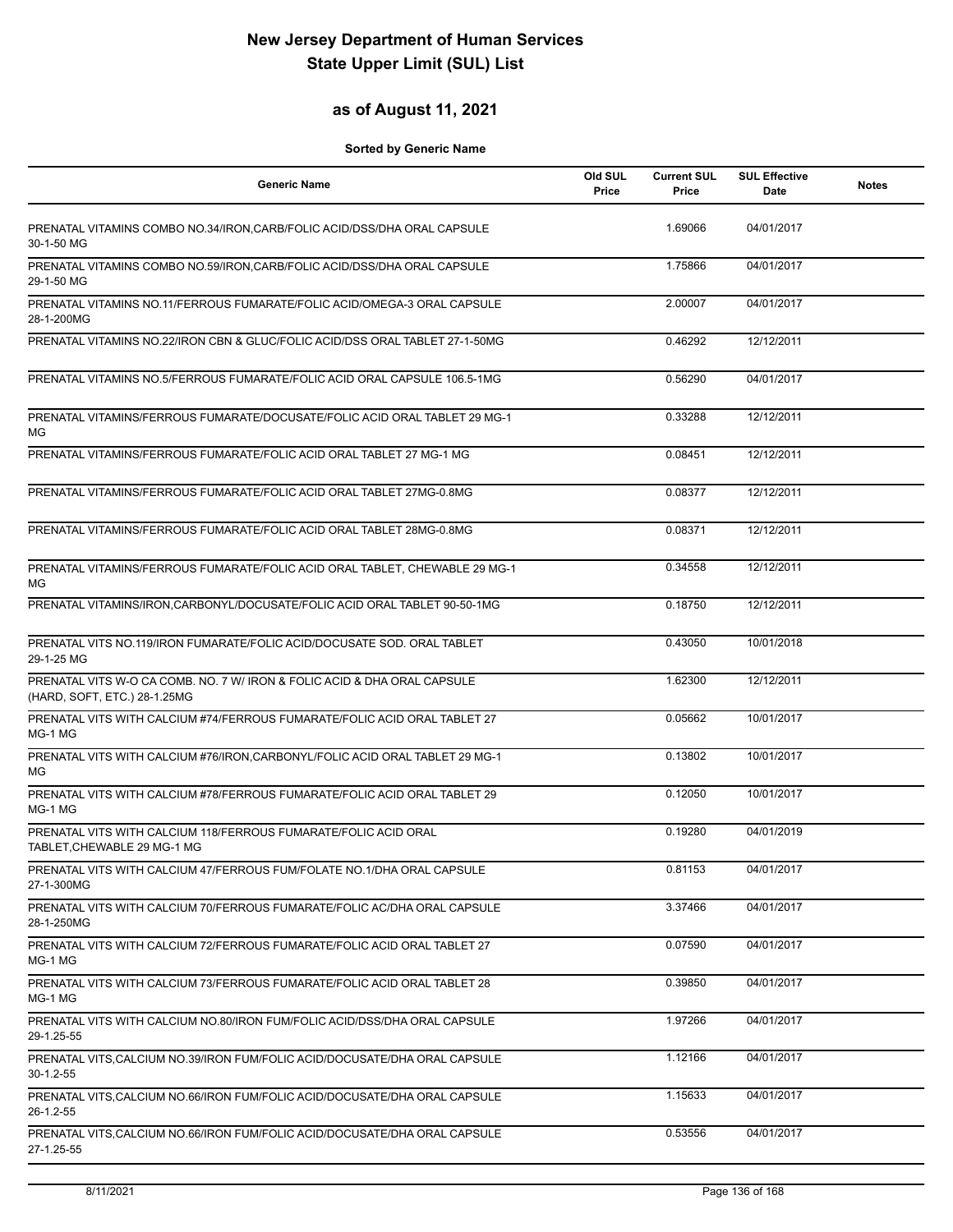## **as of August 11, 2021**

| <b>Generic Name</b>                                                                                      | Old SUL<br>Price | <b>Current SUL</b><br>Price | <b>SUL Effective</b><br>Date | <b>Notes</b> |
|----------------------------------------------------------------------------------------------------------|------------------|-----------------------------|------------------------------|--------------|
| PRENATAL VITAMINS COMBO NO.34/IRON, CARB/FOLIC ACID/DSS/DHA ORAL CAPSULE<br>30-1-50 MG                   |                  | 1.69066                     | 04/01/2017                   |              |
| PRENATAL VITAMINS COMBO NO.59/IRON, CARB/FOLIC ACID/DSS/DHA ORAL CAPSULE<br>29-1-50 MG                   |                  | 1.75866                     | 04/01/2017                   |              |
| PRENATAL VITAMINS NO.11/FERROUS FUMARATE/FOLIC ACID/OMEGA-3 ORAL CAPSULE<br>28-1-200MG                   |                  | 2.00007                     | 04/01/2017                   |              |
| PRENATAL VITAMINS NO.22/IRON CBN & GLUC/FOLIC ACID/DSS ORAL TABLET 27-1-50MG                             |                  | 0.46292                     | 12/12/2011                   |              |
| PRENATAL VITAMINS NO.5/FERROUS FUMARATE/FOLIC ACID ORAL CAPSULE 106.5-1MG                                |                  | 0.56290                     | 04/01/2017                   |              |
| PRENATAL VITAMINS/FERROUS FUMARATE/DOCUSATE/FOLIC ACID ORAL TABLET 29 MG-1<br>МG                         |                  | 0.33288                     | 12/12/2011                   |              |
| PRENATAL VITAMINS/FERROUS FUMARATE/FOLIC ACID ORAL TABLET 27 MG-1 MG                                     |                  | 0.08451                     | 12/12/2011                   |              |
| PRENATAL VITAMINS/FERROUS FUMARATE/FOLIC ACID ORAL TABLET 27MG-0.8MG                                     |                  | 0.08377                     | 12/12/2011                   |              |
| PRENATAL VITAMINS/FERROUS FUMARATE/FOLIC ACID ORAL TABLET 28MG-0.8MG                                     |                  | 0.08371                     | 12/12/2011                   |              |
| PRENATAL VITAMINS/FERROUS FUMARATE/FOLIC ACID ORAL TABLET, CHEWABLE 29 MG-1<br>МG                        |                  | 0.34558                     | 12/12/2011                   |              |
| PRENATAL VITAMINS/IRON.CARBONYL/DOCUSATE/FOLIC ACID ORAL TABLET 90-50-1MG                                |                  | 0.18750                     | 12/12/2011                   |              |
| PRENATAL VITS NO.119/IRON FUMARATE/FOLIC ACID/DOCUSATE SOD. ORAL TABLET<br>29-1-25 MG                    |                  | 0.43050                     | 10/01/2018                   |              |
| PRENATAL VITS W-O CA COMB. NO. 7 W/ IRON & FOLIC ACID & DHA ORAL CAPSULE<br>(HARD, SOFT, ETC.) 28-1.25MG |                  | 1.62300                     | 12/12/2011                   |              |
| PRENATAL VITS WITH CALCIUM #74/FERROUS FUMARATE/FOLIC ACID ORAL TABLET 27<br>MG-1 MG                     |                  | 0.05662                     | 10/01/2017                   |              |
| PRENATAL VITS WITH CALCIUM #76/IRON, CARBONYL/FOLIC ACID ORAL TABLET 29 MG-1<br>MG                       |                  | 0.13802                     | 10/01/2017                   |              |
| PRENATAL VITS WITH CALCIUM #78/FERROUS FUMARATE/FOLIC ACID ORAL TABLET 29<br>MG-1 MG                     |                  | 0.12050                     | 10/01/2017                   |              |
| PRENATAL VITS WITH CALCIUM 118/FERROUS FUMARATE/FOLIC ACID ORAL<br>TABLET, CHEWABLE 29 MG-1 MG           |                  | 0.19280                     | 04/01/2019                   |              |
| PRENATAL VITS WITH CALCIUM 47/FERROUS FUM/FOLATE NO.1/DHA ORAL CAPSULE<br>27-1-300MG                     |                  | 0.81153                     | 04/01/2017                   |              |
| PRENATAL VITS WITH CALCIUM 70/FERROUS FUMARATE/FOLIC AC/DHA ORAL CAPSULE<br>28-1-250MG                   |                  | 3.37466                     | 04/01/2017                   |              |
| PRENATAL VITS WITH CALCIUM 72/FERROUS FUMARATE/FOLIC ACID ORAL TABLET 27<br>MG-1 MG                      |                  | 0.07590                     | 04/01/2017                   |              |
| PRENATAL VITS WITH CALCIUM 73/FERROUS FUMARATE/FOLIC ACID ORAL TABLET 28<br>MG-1 MG                      |                  | 0.39850                     | 04/01/2017                   |              |
| PRENATAL VITS WITH CALCIUM NO.80/IRON FUM/FOLIC ACID/DSS/DHA ORAL CAPSULE<br>29-1.25-55                  |                  | 1.97266                     | 04/01/2017                   |              |
| PRENATAL VITS, CALCIUM NO.39/IRON FUM/FOLIC ACID/DOCUSATE/DHA ORAL CAPSULE<br>30-1.2-55                  |                  | 1.12166                     | 04/01/2017                   |              |
| PRENATAL VITS, CALCIUM NO.66/IRON FUM/FOLIC ACID/DOCUSATE/DHA ORAL CAPSULE<br>26-1.2-55                  |                  | 1.15633                     | 04/01/2017                   |              |
| PRENATAL VITS, CALCIUM NO.66/IRON FUM/FOLIC ACID/DOCUSATE/DHA ORAL CAPSULE<br>27-1.25-55                 |                  | 0.53556                     | 04/01/2017                   |              |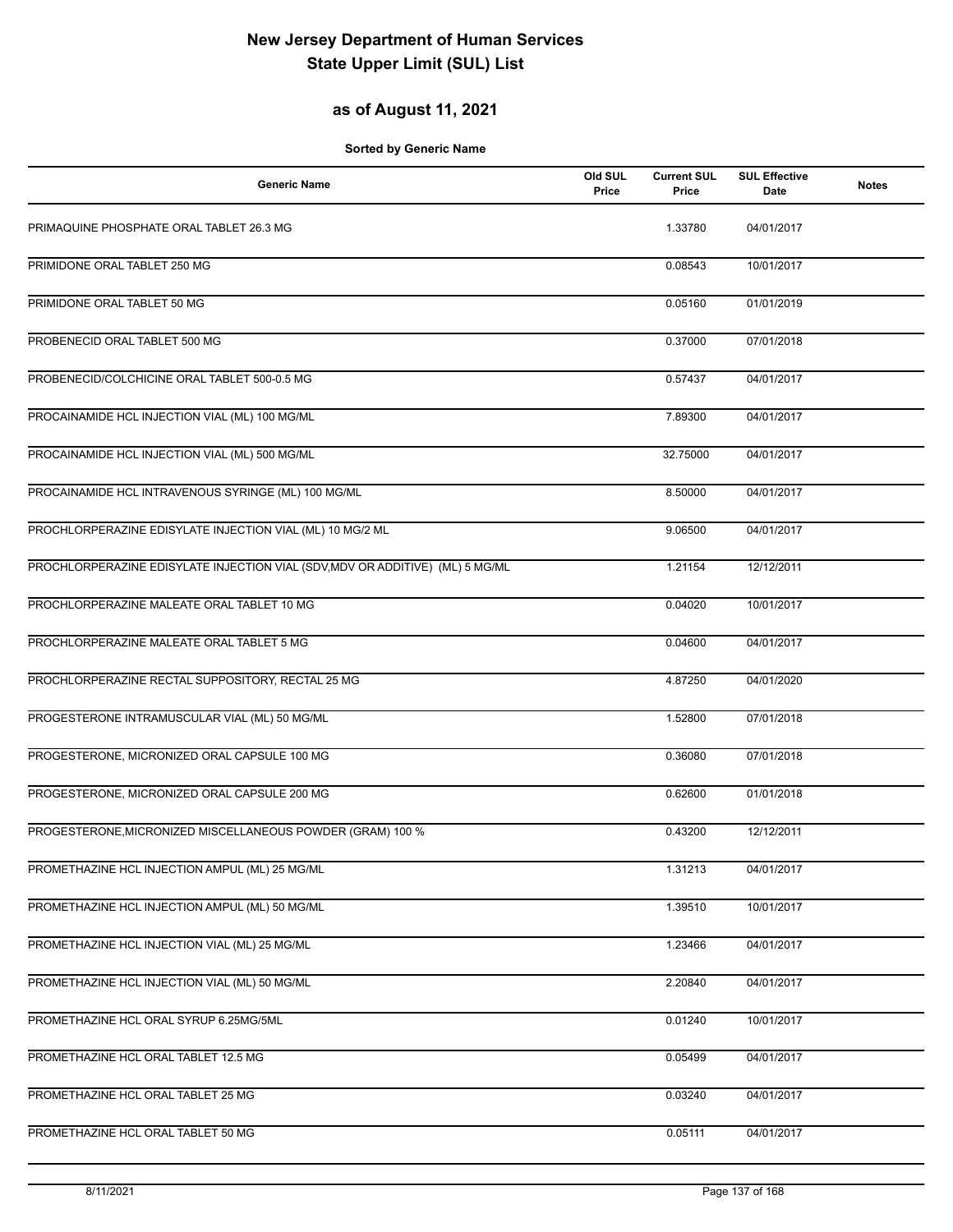## **as of August 11, 2021**

| <b>Generic Name</b>                                                           | Old SUL<br>Price | <b>Current SUL</b><br>Price | <b>SUL Effective</b><br>Date | <b>Notes</b> |
|-------------------------------------------------------------------------------|------------------|-----------------------------|------------------------------|--------------|
| PRIMAQUINE PHOSPHATE ORAL TABLET 26.3 MG                                      |                  | 1.33780                     | 04/01/2017                   |              |
| PRIMIDONE ORAL TABLET 250 MG                                                  |                  | 0.08543                     | 10/01/2017                   |              |
| PRIMIDONE ORAL TABLET 50 MG                                                   |                  | 0.05160                     | 01/01/2019                   |              |
| PROBENECID ORAL TABLET 500 MG                                                 |                  | 0.37000                     | 07/01/2018                   |              |
| PROBENECID/COLCHICINE ORAL TABLET 500-0.5 MG                                  |                  | 0.57437                     | 04/01/2017                   |              |
| PROCAINAMIDE HCL INJECTION VIAL (ML) 100 MG/ML                                |                  | 7.89300                     | 04/01/2017                   |              |
| PROCAINAMIDE HCL INJECTION VIAL (ML) 500 MG/ML                                |                  | 32.75000                    | 04/01/2017                   |              |
| PROCAINAMIDE HCL INTRAVENOUS SYRINGE (ML) 100 MG/ML                           |                  | 8.50000                     | 04/01/2017                   |              |
| PROCHLORPERAZINE EDISYLATE INJECTION VIAL (ML) 10 MG/2 ML                     |                  | 9.06500                     | 04/01/2017                   |              |
| PROCHLORPERAZINE EDISYLATE INJECTION VIAL (SDV, MDV OR ADDITIVE) (ML) 5 MG/ML |                  | 1.21154                     | 12/12/2011                   |              |
| PROCHLORPERAZINE MALEATE ORAL TABLET 10 MG                                    |                  | 0.04020                     | 10/01/2017                   |              |
| PROCHLORPERAZINE MALEATE ORAL TABLET 5 MG                                     |                  | 0.04600                     | 04/01/2017                   |              |
| PROCHLORPERAZINE RECTAL SUPPOSITORY, RECTAL 25 MG                             |                  | 4.87250                     | 04/01/2020                   |              |
| PROGESTERONE INTRAMUSCULAR VIAL (ML) 50 MG/ML                                 |                  | 1.52800                     | 07/01/2018                   |              |
| PROGESTERONE, MICRONIZED ORAL CAPSULE 100 MG                                  |                  | 0.36080                     | 07/01/2018                   |              |
| PROGESTERONE, MICRONIZED ORAL CAPSULE 200 MG                                  |                  | 0.62600                     | 01/01/2018                   |              |
| PROGESTERONE, MICRONIZED MISCELLANEOUS POWDER (GRAM) 100 %                    |                  | 0.43200                     | 12/12/2011                   |              |
| PROMETHAZINE HCL INJECTION AMPUL (ML) 25 MG/ML                                |                  | 1.31213                     | 04/01/2017                   |              |
| PROMETHAZINE HCL INJECTION AMPUL (ML) 50 MG/ML                                |                  | 1.39510                     | 10/01/2017                   |              |
| PROMETHAZINE HCL INJECTION VIAL (ML) 25 MG/ML                                 |                  | 1.23466                     | 04/01/2017                   |              |
| PROMETHAZINE HCL INJECTION VIAL (ML) 50 MG/ML                                 |                  | 2.20840                     | 04/01/2017                   |              |
| PROMETHAZINE HCL ORAL SYRUP 6.25MG/5ML                                        |                  | 0.01240                     | 10/01/2017                   |              |
| PROMETHAZINE HCL ORAL TABLET 12.5 MG                                          |                  | 0.05499                     | 04/01/2017                   |              |
| PROMETHAZINE HCL ORAL TABLET 25 MG                                            |                  | 0.03240                     | 04/01/2017                   |              |
| PROMETHAZINE HCL ORAL TABLET 50 MG                                            |                  | 0.05111                     | 04/01/2017                   |              |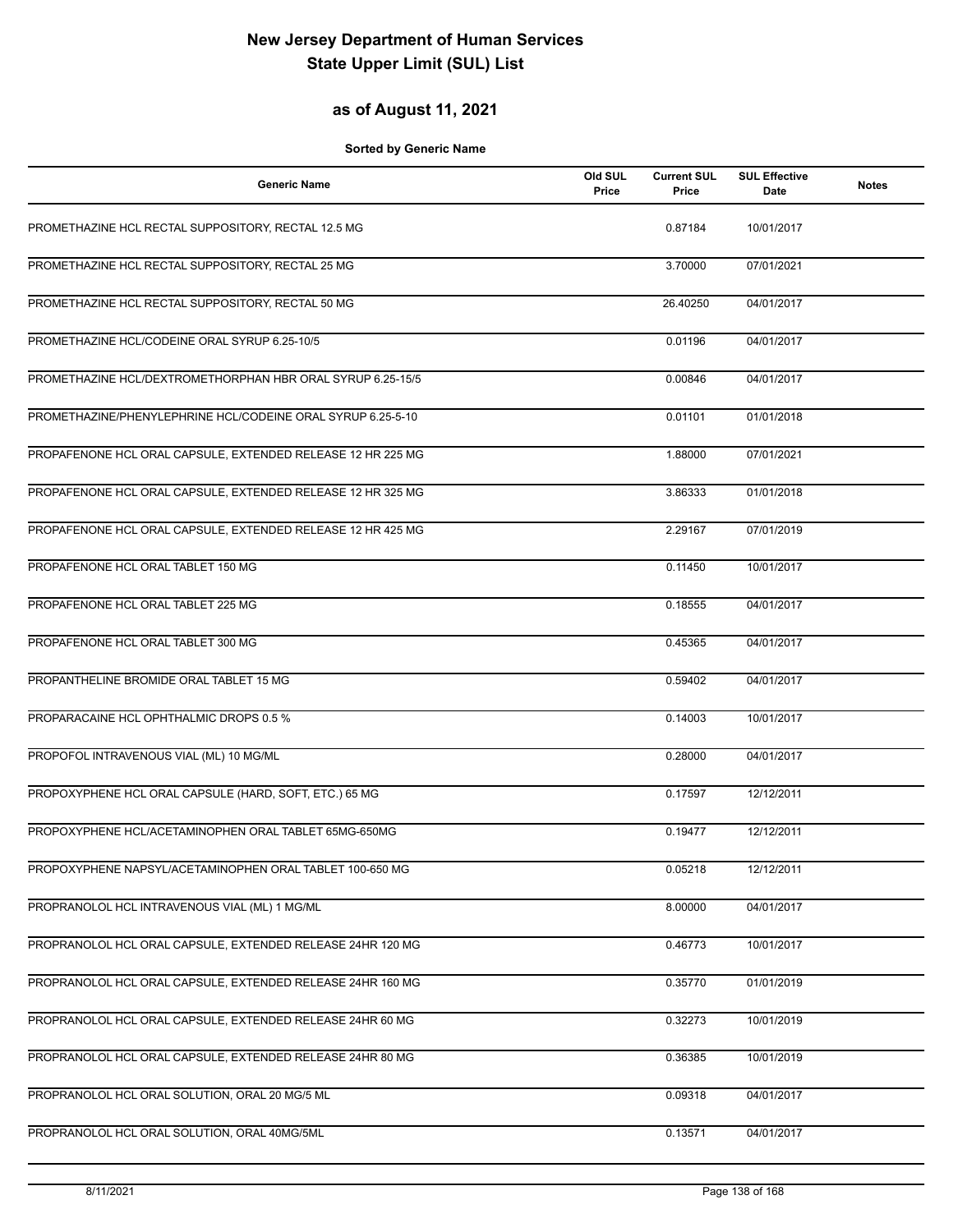## **as of August 11, 2021**

| <b>Generic Name</b>                                         | Old SUL<br>Price | <b>Current SUL</b><br>Price | <b>SUL Effective</b><br>Date | <b>Notes</b> |
|-------------------------------------------------------------|------------------|-----------------------------|------------------------------|--------------|
| PROMETHAZINE HCL RECTAL SUPPOSITORY, RECTAL 12.5 MG         |                  | 0.87184                     | 10/01/2017                   |              |
| PROMETHAZINE HCL RECTAL SUPPOSITORY, RECTAL 25 MG           |                  | 3.70000                     | 07/01/2021                   |              |
| PROMETHAZINE HCL RECTAL SUPPOSITORY, RECTAL 50 MG           |                  | 26.40250                    | 04/01/2017                   |              |
| PROMETHAZINE HCL/CODEINE ORAL SYRUP 6.25-10/5               |                  | 0.01196                     | 04/01/2017                   |              |
| PROMETHAZINE HCL/DEXTROMETHORPHAN HBR ORAL SYRUP 6.25-15/5  |                  | 0.00846                     | 04/01/2017                   |              |
| PROMETHAZINE/PHENYLEPHRINE HCL/CODEINE ORAL SYRUP 6.25-5-10 |                  | 0.01101                     | 01/01/2018                   |              |
| PROPAFENONE HCL ORAL CAPSULE, EXTENDED RELEASE 12 HR 225 MG |                  | 1.88000                     | 07/01/2021                   |              |
| PROPAFENONE HCL ORAL CAPSULE, EXTENDED RELEASE 12 HR 325 MG |                  | 3.86333                     | 01/01/2018                   |              |
| PROPAFENONE HCL ORAL CAPSULE, EXTENDED RELEASE 12 HR 425 MG |                  | 2.29167                     | 07/01/2019                   |              |
| PROPAFENONE HCL ORAL TABLET 150 MG                          |                  | 0.11450                     | 10/01/2017                   |              |
| PROPAFENONE HCL ORAL TABLET 225 MG                          |                  | 0.18555                     | 04/01/2017                   |              |
| PROPAFENONE HCL ORAL TABLET 300 MG                          |                  | 0.45365                     | 04/01/2017                   |              |
| PROPANTHELINE BROMIDE ORAL TABLET 15 MG                     |                  | 0.59402                     | 04/01/2017                   |              |
| PROPARACAINE HCL OPHTHALMIC DROPS 0.5 %                     |                  | 0.14003                     | 10/01/2017                   |              |
| PROPOFOL INTRAVENOUS VIAL (ML) 10 MG/ML                     |                  | 0.28000                     | 04/01/2017                   |              |
| PROPOXYPHENE HCL ORAL CAPSULE (HARD, SOFT, ETC.) 65 MG      |                  | 0.17597                     | 12/12/2011                   |              |
| PROPOXYPHENE HCL/ACETAMINOPHEN ORAL TABLET 65MG-650MG       |                  | 0.19477                     | 12/12/2011                   |              |
| PROPOXYPHENE NAPSYL/ACETAMINOPHEN ORAL TABLET 100-650 MG    |                  | 0.05218                     | 12/12/2011                   |              |
| PROPRANOLOL HCL INTRAVENOUS VIAL (ML) 1 MG/ML               |                  | 8.00000                     | 04/01/2017                   |              |
| PROPRANOLOL HCL ORAL CAPSULE, EXTENDED RELEASE 24HR 120 MG  |                  | 0.46773                     | 10/01/2017                   |              |
| PROPRANOLOL HCL ORAL CAPSULE, EXTENDED RELEASE 24HR 160 MG  |                  | 0.35770                     | 01/01/2019                   |              |
| PROPRANOLOL HCL ORAL CAPSULE, EXTENDED RELEASE 24HR 60 MG   |                  | 0.32273                     | 10/01/2019                   |              |
| PROPRANOLOL HCL ORAL CAPSULE, EXTENDED RELEASE 24HR 80 MG   |                  | 0.36385                     | 10/01/2019                   |              |
| PROPRANOLOL HCL ORAL SOLUTION, ORAL 20 MG/5 ML              |                  | 0.09318                     | 04/01/2017                   |              |
| PROPRANOLOL HCL ORAL SOLUTION, ORAL 40MG/5ML                |                  | 0.13571                     | 04/01/2017                   |              |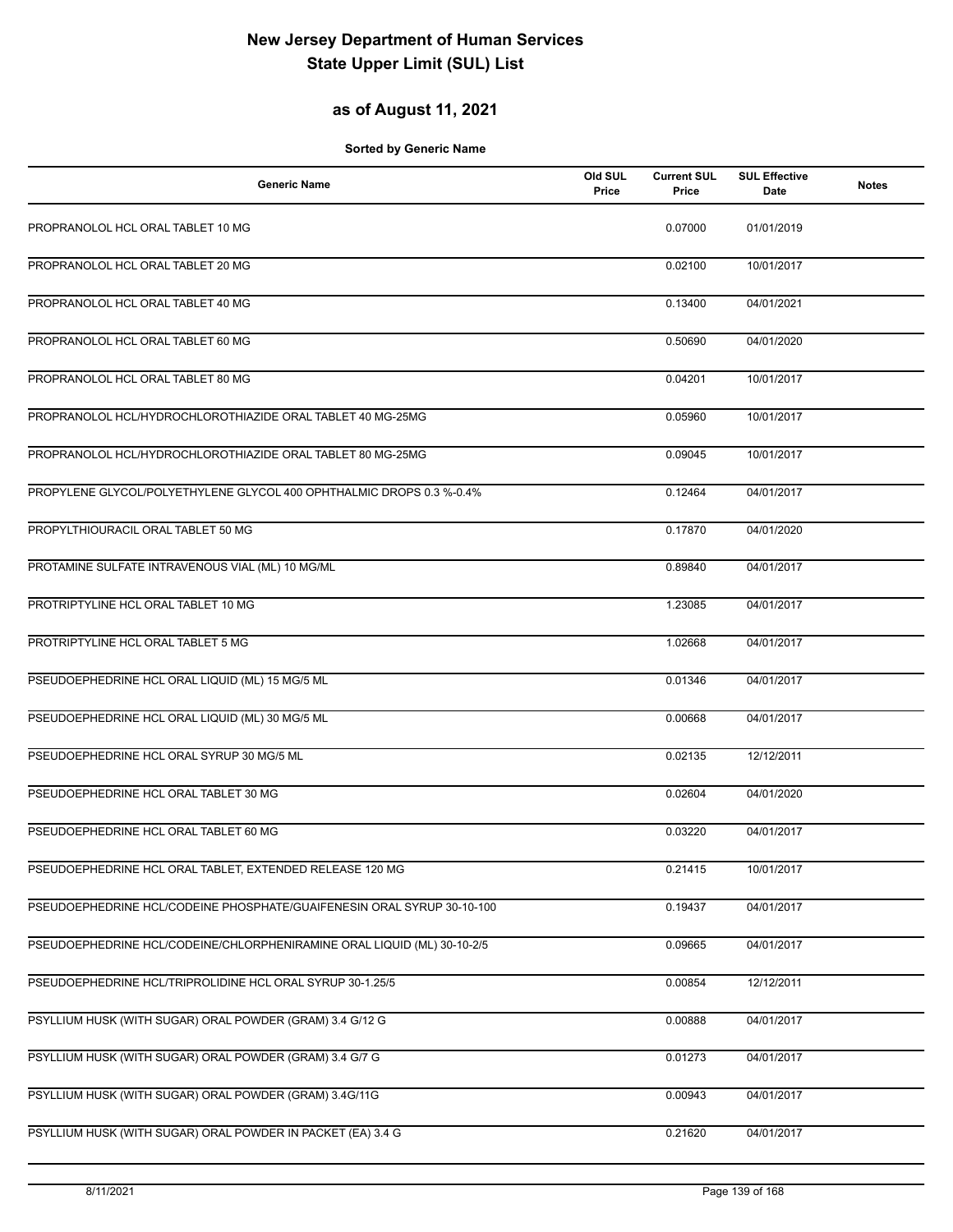## **as of August 11, 2021**

| <b>Generic Name</b>                                                     | Old SUL<br>Price | <b>Current SUL</b><br>Price | <b>SUL Effective</b><br>Date | <b>Notes</b> |
|-------------------------------------------------------------------------|------------------|-----------------------------|------------------------------|--------------|
| PROPRANOLOL HCL ORAL TABLET 10 MG                                       |                  | 0.07000                     | 01/01/2019                   |              |
| PROPRANOLOL HCL ORAL TABLET 20 MG                                       |                  | 0.02100                     | 10/01/2017                   |              |
| PROPRANOLOL HCL ORAL TABLET 40 MG                                       |                  | 0.13400                     | 04/01/2021                   |              |
| PROPRANOLOL HCL ORAL TABLET 60 MG                                       |                  | 0.50690                     | 04/01/2020                   |              |
| PROPRANOLOL HCL ORAL TABLET 80 MG                                       |                  | 0.04201                     | 10/01/2017                   |              |
| PROPRANOLOL HCL/HYDROCHLOROTHIAZIDE ORAL TABLET 40 MG-25MG              |                  | 0.05960                     | 10/01/2017                   |              |
| PROPRANOLOL HCL/HYDROCHLOROTHIAZIDE ORAL TABLET 80 MG-25MG              |                  | 0.09045                     | 10/01/2017                   |              |
| PROPYLENE GLYCOL/POLYETHYLENE GLYCOL 400 OPHTHALMIC DROPS 0.3 %-0.4%    |                  | 0.12464                     | 04/01/2017                   |              |
| PROPYLTHIOURACIL ORAL TABLET 50 MG                                      |                  | 0.17870                     | 04/01/2020                   |              |
| PROTAMINE SULFATE INTRAVENOUS VIAL (ML) 10 MG/ML                        |                  | 0.89840                     | 04/01/2017                   |              |
| PROTRIPTYLINE HCL ORAL TABLET 10 MG                                     |                  | 1.23085                     | 04/01/2017                   |              |
| PROTRIPTYLINE HCL ORAL TABLET 5 MG                                      |                  | 1.02668                     | 04/01/2017                   |              |
| PSEUDOEPHEDRINE HCL ORAL LIQUID (ML) 15 MG/5 ML                         |                  | 0.01346                     | 04/01/2017                   |              |
| PSEUDOEPHEDRINE HCL ORAL LIQUID (ML) 30 MG/5 ML                         |                  | 0.00668                     | 04/01/2017                   |              |
| PSEUDOEPHEDRINE HCL ORAL SYRUP 30 MG/5 ML                               |                  | 0.02135                     | 12/12/2011                   |              |
| PSEUDOEPHEDRINE HCL ORAL TABLET 30 MG                                   |                  | 0.02604                     | 04/01/2020                   |              |
| PSEUDOEPHEDRINE HCL ORAL TABLET 60 MG                                   |                  | 0.03220                     | 04/01/2017                   |              |
| PSEUDOEPHEDRINE HCL ORAL TABLET, EXTENDED RELEASE 120 MG                |                  | 0.21415                     | 10/01/2017                   |              |
| PSEUDOEPHEDRINE HCL/CODEINE PHOSPHATE/GUAIFENESIN ORAL SYRUP 30-10-100  |                  | 0.19437                     | 04/01/2017                   |              |
| PSEUDOEPHEDRINE HCL/CODEINE/CHLORPHENIRAMINE ORAL LIQUID (ML) 30-10-2/5 |                  | 0.09665                     | 04/01/2017                   |              |
| PSEUDOEPHEDRINE HCL/TRIPROLIDINE HCL ORAL SYRUP 30-1.25/5               |                  | 0.00854                     | 12/12/2011                   |              |
| PSYLLIUM HUSK (WITH SUGAR) ORAL POWDER (GRAM) 3.4 G/12 G                |                  | 0.00888                     | 04/01/2017                   |              |
| PSYLLIUM HUSK (WITH SUGAR) ORAL POWDER (GRAM) 3.4 G/7 G                 |                  | 0.01273                     | 04/01/2017                   |              |
| PSYLLIUM HUSK (WITH SUGAR) ORAL POWDER (GRAM) 3.4G/11G                  |                  | 0.00943                     | 04/01/2017                   |              |
| PSYLLIUM HUSK (WITH SUGAR) ORAL POWDER IN PACKET (EA) 3.4 G             |                  | 0.21620                     | 04/01/2017                   |              |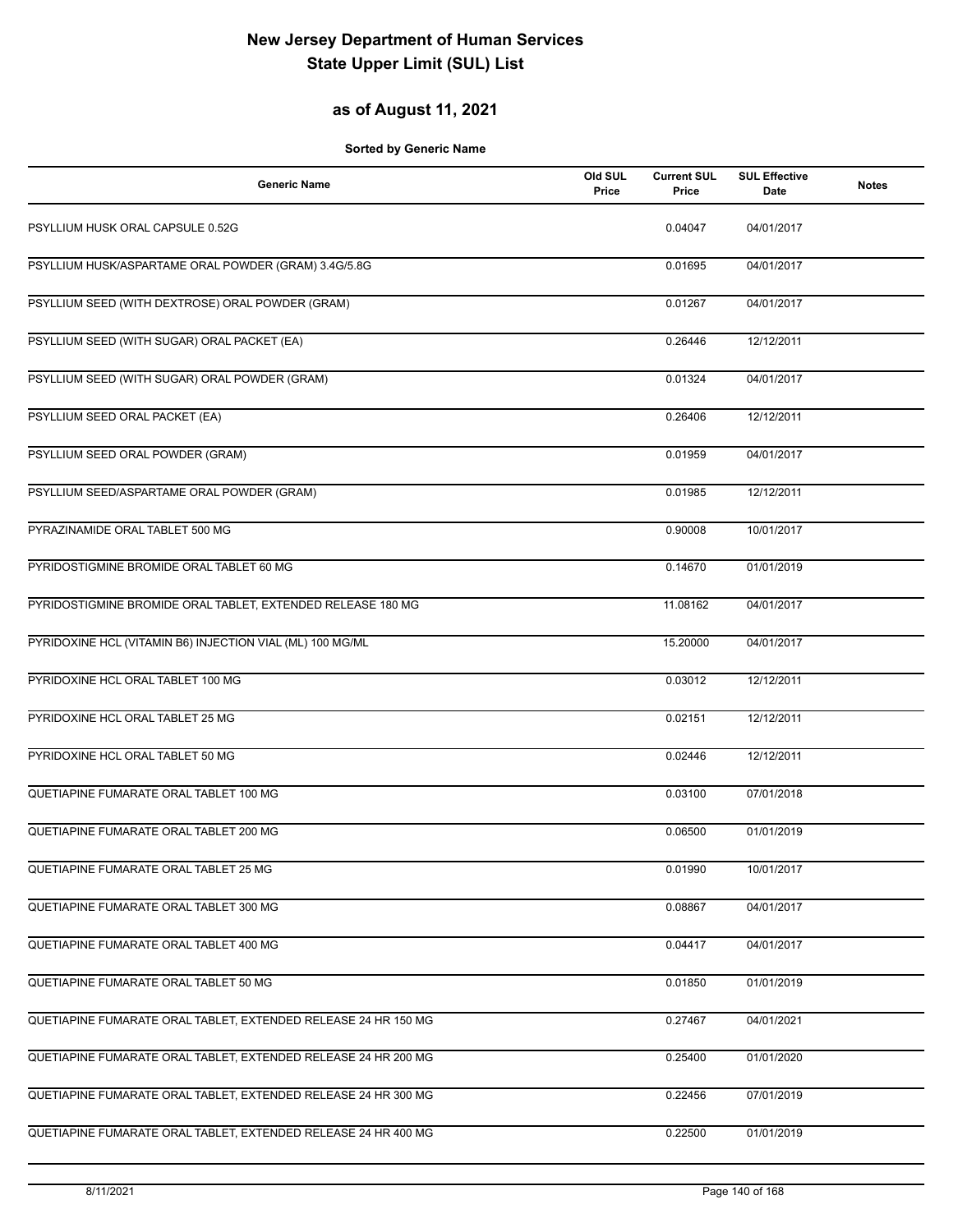## **as of August 11, 2021**

| <b>Generic Name</b>                                            | Old SUL<br>Price | <b>Current SUL</b><br>Price | <b>SUL Effective</b><br><b>Date</b> | <b>Notes</b> |
|----------------------------------------------------------------|------------------|-----------------------------|-------------------------------------|--------------|
| PSYLLIUM HUSK ORAL CAPSULE 0.52G                               |                  | 0.04047                     | 04/01/2017                          |              |
| PSYLLIUM HUSK/ASPARTAME ORAL POWDER (GRAM) 3.4G/5.8G           |                  | 0.01695                     | 04/01/2017                          |              |
| PSYLLIUM SEED (WITH DEXTROSE) ORAL POWDER (GRAM)               |                  | 0.01267                     | 04/01/2017                          |              |
| PSYLLIUM SEED (WITH SUGAR) ORAL PACKET (EA)                    |                  | 0.26446                     | 12/12/2011                          |              |
| PSYLLIUM SEED (WITH SUGAR) ORAL POWDER (GRAM)                  |                  | 0.01324                     | 04/01/2017                          |              |
| PSYLLIUM SEED ORAL PACKET (EA)                                 |                  | 0.26406                     | 12/12/2011                          |              |
| PSYLLIUM SEED ORAL POWDER (GRAM)                               |                  | 0.01959                     | 04/01/2017                          |              |
| PSYLLIUM SEED/ASPARTAME ORAL POWDER (GRAM)                     |                  | 0.01985                     | 12/12/2011                          |              |
| PYRAZINAMIDE ORAL TABLET 500 MG                                |                  | 0.90008                     | 10/01/2017                          |              |
| PYRIDOSTIGMINE BROMIDE ORAL TABLET 60 MG                       |                  | 0.14670                     | 01/01/2019                          |              |
| PYRIDOSTIGMINE BROMIDE ORAL TABLET, EXTENDED RELEASE 180 MG    |                  | 11.08162                    | 04/01/2017                          |              |
| PYRIDOXINE HCL (VITAMIN B6) INJECTION VIAL (ML) 100 MG/ML      |                  | 15.20000                    | 04/01/2017                          |              |
| PYRIDOXINE HCL ORAL TABLET 100 MG                              |                  | 0.03012                     | 12/12/2011                          |              |
| PYRIDOXINE HCL ORAL TABLET 25 MG                               |                  | 0.02151                     | 12/12/2011                          |              |
| PYRIDOXINE HCL ORAL TABLET 50 MG                               |                  | 0.02446                     | 12/12/2011                          |              |
| QUETIAPINE FUMARATE ORAL TABLET 100 MG                         |                  | 0.03100                     | 07/01/2018                          |              |
| QUETIAPINE FUMARATE ORAL TABLET 200 MG                         |                  | 0.06500                     | 01/01/2019                          |              |
| QUETIAPINE FUMARATE ORAL TABLET 25 MG                          |                  | 0.01990                     | 10/01/2017                          |              |
| QUETIAPINE FUMARATE ORAL TABLET 300 MG                         |                  | 0.08867                     | 04/01/2017                          |              |
| QUETIAPINE FUMARATE ORAL TABLET 400 MG                         |                  | 0.04417                     | 04/01/2017                          |              |
| QUETIAPINE FUMARATE ORAL TABLET 50 MG                          |                  | 0.01850                     | 01/01/2019                          |              |
| QUETIAPINE FUMARATE ORAL TABLET, EXTENDED RELEASE 24 HR 150 MG |                  | 0.27467                     | 04/01/2021                          |              |
| QUETIAPINE FUMARATE ORAL TABLET, EXTENDED RELEASE 24 HR 200 MG |                  | 0.25400                     | 01/01/2020                          |              |
| QUETIAPINE FUMARATE ORAL TABLET, EXTENDED RELEASE 24 HR 300 MG |                  | 0.22456                     | 07/01/2019                          |              |
| QUETIAPINE FUMARATE ORAL TABLET, EXTENDED RELEASE 24 HR 400 MG |                  | 0.22500                     | 01/01/2019                          |              |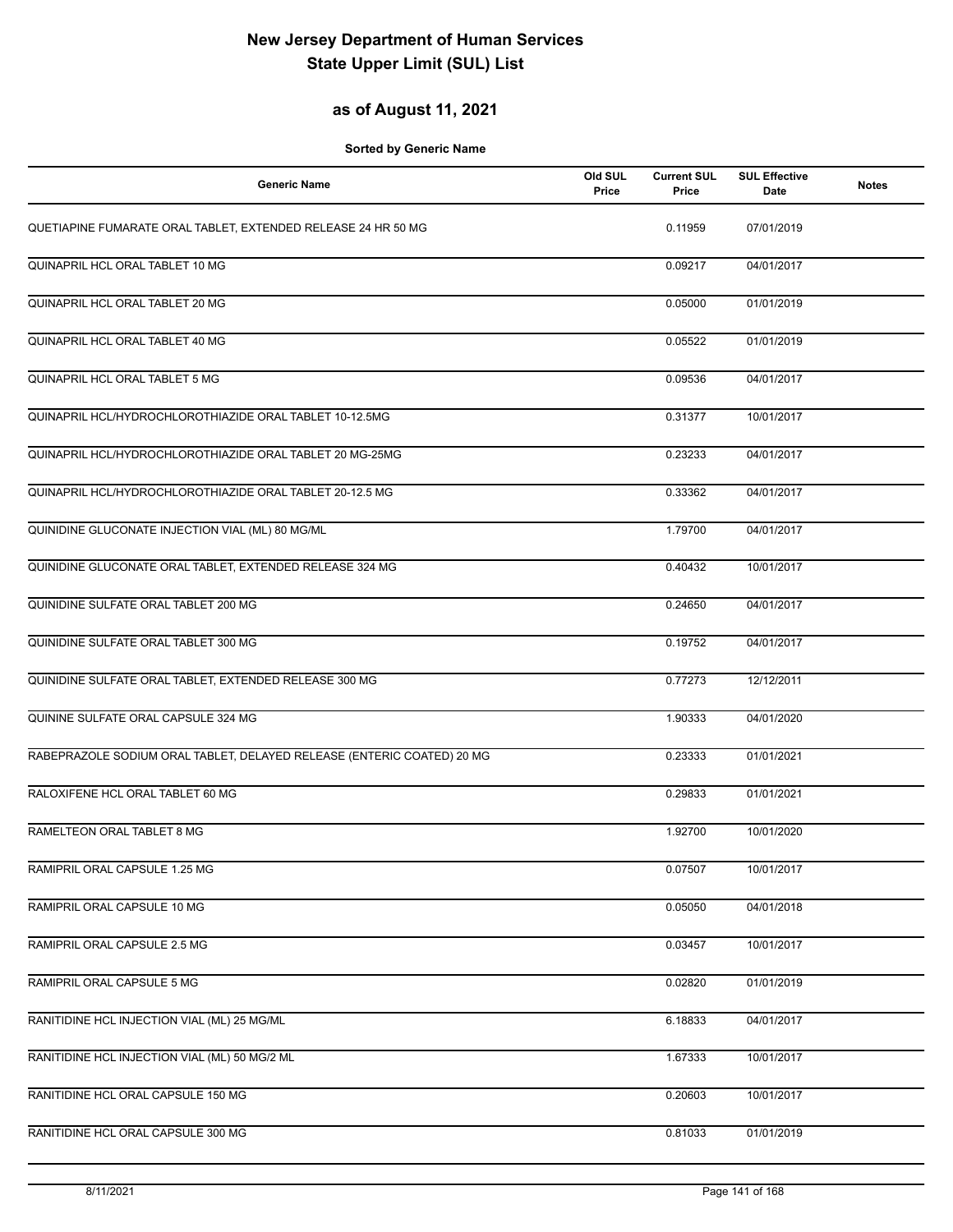## **as of August 11, 2021**

| <b>Generic Name</b>                                                    | Old SUL<br>Price | <b>Current SUL</b><br>Price | <b>SUL Effective</b><br>Date | <b>Notes</b> |
|------------------------------------------------------------------------|------------------|-----------------------------|------------------------------|--------------|
| QUETIAPINE FUMARATE ORAL TABLET, EXTENDED RELEASE 24 HR 50 MG          |                  | 0.11959                     | 07/01/2019                   |              |
| QUINAPRIL HCL ORAL TABLET 10 MG                                        |                  | 0.09217                     | 04/01/2017                   |              |
| QUINAPRIL HCL ORAL TABLET 20 MG                                        |                  | 0.05000                     | 01/01/2019                   |              |
| QUINAPRIL HCL ORAL TABLET 40 MG                                        |                  | 0.05522                     | 01/01/2019                   |              |
| QUINAPRIL HCL ORAL TABLET 5 MG                                         |                  | 0.09536                     | 04/01/2017                   |              |
| QUINAPRIL HCL/HYDROCHLOROTHIAZIDE ORAL TABLET 10-12.5MG                |                  | 0.31377                     | 10/01/2017                   |              |
| QUINAPRIL HCL/HYDROCHLOROTHIAZIDE ORAL TABLET 20 MG-25MG               |                  | 0.23233                     | 04/01/2017                   |              |
| QUINAPRIL HCL/HYDROCHLOROTHIAZIDE ORAL TABLET 20-12.5 MG               |                  | 0.33362                     | 04/01/2017                   |              |
| QUINIDINE GLUCONATE INJECTION VIAL (ML) 80 MG/ML                       |                  | 1.79700                     | 04/01/2017                   |              |
| QUINIDINE GLUCONATE ORAL TABLET, EXTENDED RELEASE 324 MG               |                  | 0.40432                     | 10/01/2017                   |              |
| QUINIDINE SULFATE ORAL TABLET 200 MG                                   |                  | 0.24650                     | 04/01/2017                   |              |
| QUINIDINE SULFATE ORAL TABLET 300 MG                                   |                  | 0.19752                     | 04/01/2017                   |              |
| QUINIDINE SULFATE ORAL TABLET, EXTENDED RELEASE 300 MG                 |                  | 0.77273                     | 12/12/2011                   |              |
| QUININE SULFATE ORAL CAPSULE 324 MG                                    |                  | 1.90333                     | 04/01/2020                   |              |
| RABEPRAZOLE SODIUM ORAL TABLET, DELAYED RELEASE (ENTERIC COATED) 20 MG |                  | 0.23333                     | 01/01/2021                   |              |
| RALOXIFENE HCL ORAL TABLET 60 MG                                       |                  | 0.29833                     | 01/01/2021                   |              |
| RAMELTEON ORAL TABLET 8 MG                                             |                  | 1.92700                     | 10/01/2020                   |              |
| RAMIPRIL ORAL CAPSULE 1.25 MG                                          |                  | 0.07507                     | 10/01/2017                   |              |
| RAMIPRIL ORAL CAPSULE 10 MG                                            |                  | 0.05050                     | 04/01/2018                   |              |
| RAMIPRIL ORAL CAPSULE 2.5 MG                                           |                  | 0.03457                     | 10/01/2017                   |              |
| RAMIPRIL ORAL CAPSULE 5 MG                                             |                  | 0.02820                     | 01/01/2019                   |              |
| RANITIDINE HCL INJECTION VIAL (ML) 25 MG/ML                            |                  | 6.18833                     | 04/01/2017                   |              |
| RANITIDINE HCL INJECTION VIAL (ML) 50 MG/2 ML                          |                  | 1.67333                     | 10/01/2017                   |              |
| RANITIDINE HCL ORAL CAPSULE 150 MG                                     |                  | 0.20603                     | 10/01/2017                   |              |
| RANITIDINE HCL ORAL CAPSULE 300 MG                                     |                  | 0.81033                     | 01/01/2019                   |              |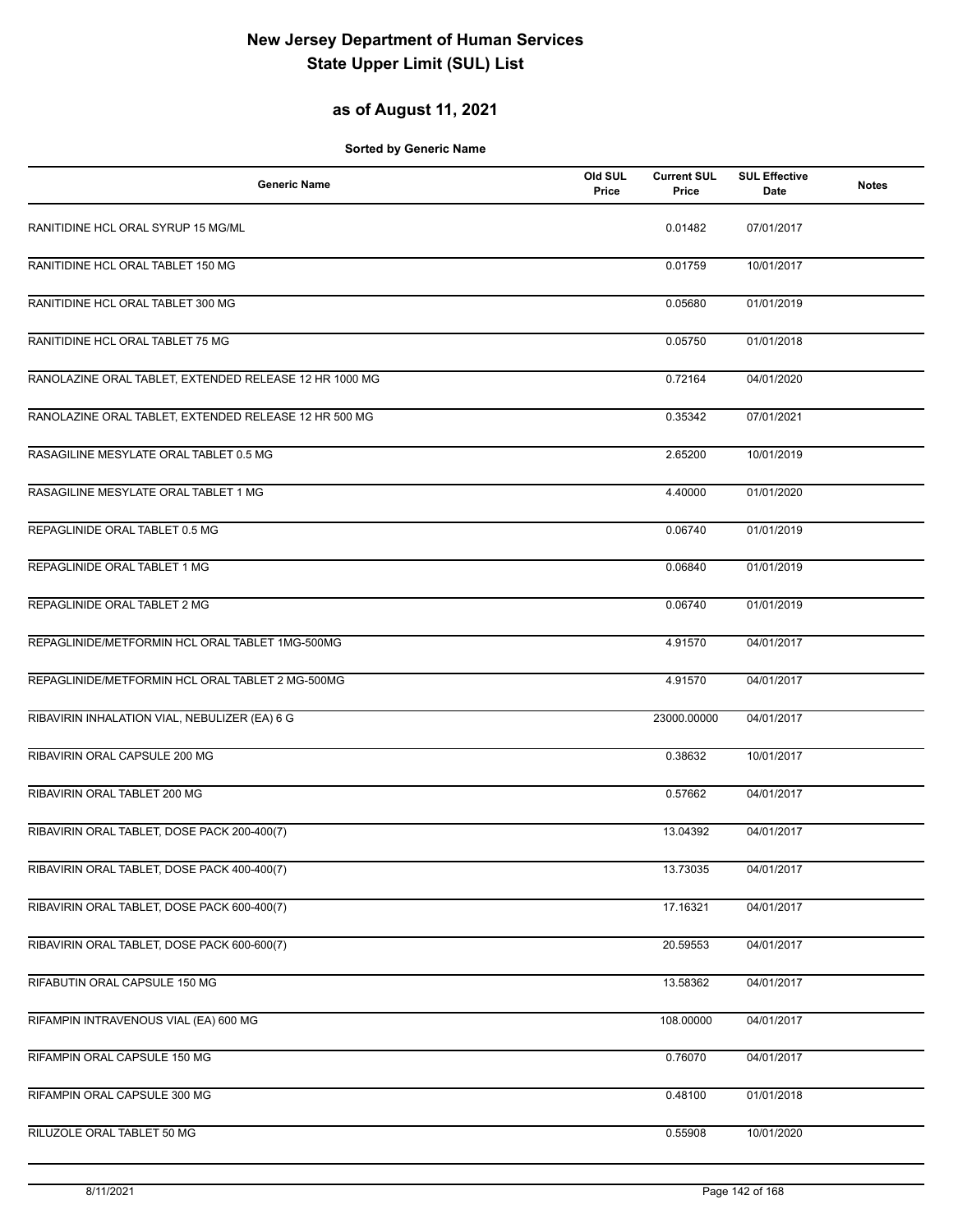## **as of August 11, 2021**

| <b>Generic Name</b>                                    | Old SUL<br>Price | <b>Current SUL</b><br>Price | <b>SUL Effective</b><br>Date | <b>Notes</b> |
|--------------------------------------------------------|------------------|-----------------------------|------------------------------|--------------|
| RANITIDINE HCL ORAL SYRUP 15 MG/ML                     |                  | 0.01482                     | 07/01/2017                   |              |
| RANITIDINE HCL ORAL TABLET 150 MG                      |                  | 0.01759                     | 10/01/2017                   |              |
| RANITIDINE HCL ORAL TABLET 300 MG                      |                  | 0.05680                     | 01/01/2019                   |              |
| RANITIDINE HCL ORAL TABLET 75 MG                       |                  | 0.05750                     | 01/01/2018                   |              |
| RANOLAZINE ORAL TABLET, EXTENDED RELEASE 12 HR 1000 MG |                  | 0.72164                     | 04/01/2020                   |              |
| RANOLAZINE ORAL TABLET, EXTENDED RELEASE 12 HR 500 MG  |                  | 0.35342                     | 07/01/2021                   |              |
| RASAGILINE MESYLATE ORAL TABLET 0.5 MG                 |                  | 2.65200                     | 10/01/2019                   |              |
| RASAGILINE MESYLATE ORAL TABLET 1 MG                   |                  | 4.40000                     | 01/01/2020                   |              |
| REPAGLINIDE ORAL TABLET 0.5 MG                         |                  | 0.06740                     | 01/01/2019                   |              |
| REPAGLINIDE ORAL TABLET 1 MG                           |                  | 0.06840                     | 01/01/2019                   |              |
| REPAGLINIDE ORAL TABLET 2 MG                           |                  | 0.06740                     | 01/01/2019                   |              |
| REPAGLINIDE/METFORMIN HCL ORAL TABLET 1MG-500MG        |                  | 4.91570                     | 04/01/2017                   |              |
| REPAGLINIDE/METFORMIN HCL ORAL TABLET 2 MG-500MG       |                  | 4.91570                     | 04/01/2017                   |              |
| RIBAVIRIN INHALATION VIAL, NEBULIZER (EA) 6 G          |                  | 23000.00000                 | 04/01/2017                   |              |
| RIBAVIRIN ORAL CAPSULE 200 MG                          |                  | 0.38632                     | 10/01/2017                   |              |
| RIBAVIRIN ORAL TABLET 200 MG                           |                  | 0.57662                     | 04/01/2017                   |              |
| RIBAVIRIN ORAL TABLET, DOSE PACK 200-400(7)            |                  | 13.04392                    | 04/01/2017                   |              |
| RIBAVIRIN ORAL TABLET, DOSE PACK 400-400(7)            |                  | 13.73035                    | 04/01/2017                   |              |
| RIBAVIRIN ORAL TABLET, DOSE PACK 600-400(7)            |                  | 17.16321                    | 04/01/2017                   |              |
| RIBAVIRIN ORAL TABLET, DOSE PACK 600-600(7)            |                  | 20.59553                    | 04/01/2017                   |              |
| RIFABUTIN ORAL CAPSULE 150 MG                          |                  | 13.58362                    | 04/01/2017                   |              |
| RIFAMPIN INTRAVENOUS VIAL (EA) 600 MG                  |                  | 108.00000                   | 04/01/2017                   |              |
| RIFAMPIN ORAL CAPSULE 150 MG                           |                  | 0.76070                     | 04/01/2017                   |              |
| RIFAMPIN ORAL CAPSULE 300 MG                           |                  | 0.48100                     | 01/01/2018                   |              |
| RILUZOLE ORAL TABLET 50 MG                             |                  | 0.55908                     | 10/01/2020                   |              |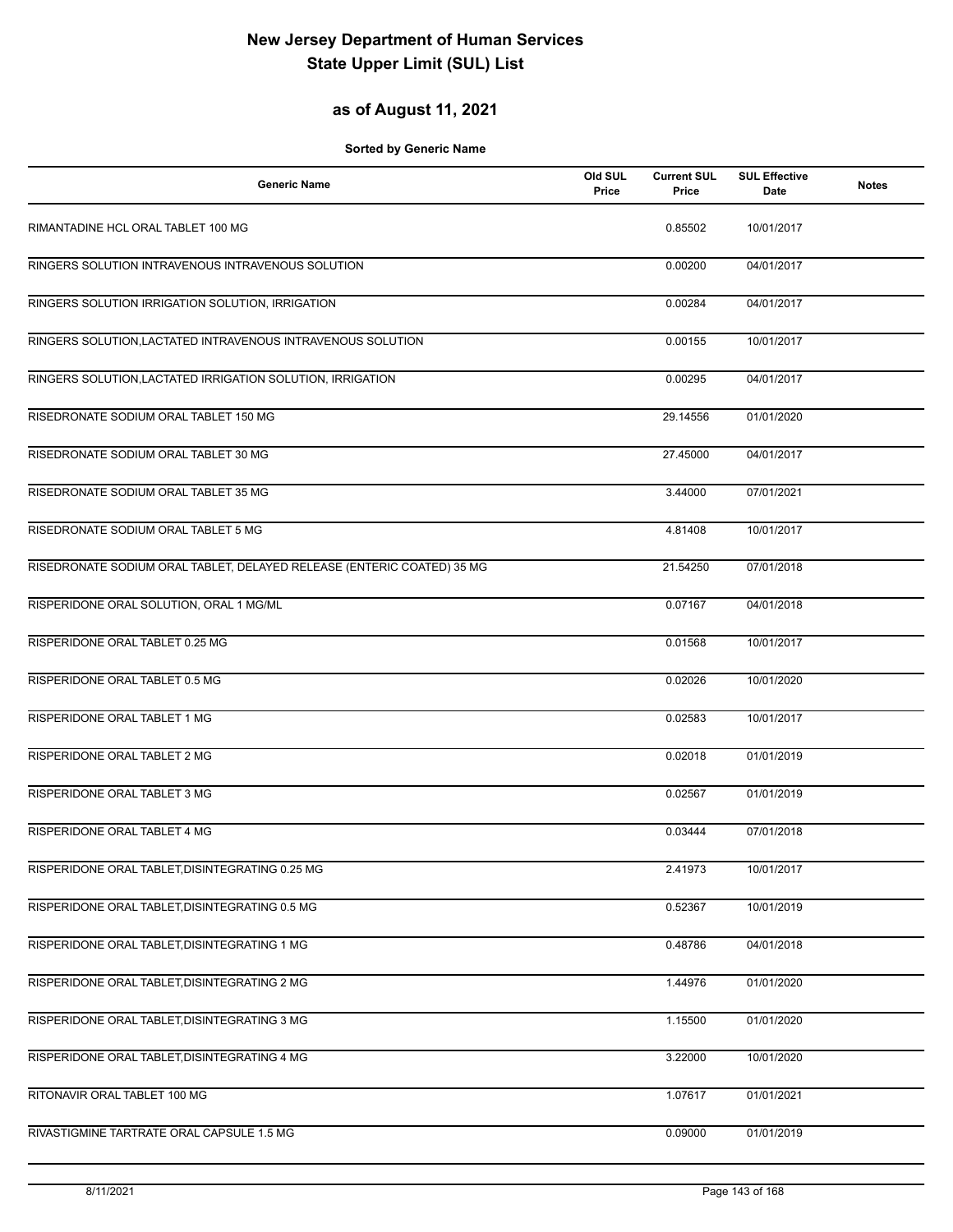## **as of August 11, 2021**

| <b>Generic Name</b>                                                    | Old SUL<br>Price | <b>Current SUL</b><br>Price | <b>SUL Effective</b><br>Date | <b>Notes</b> |
|------------------------------------------------------------------------|------------------|-----------------------------|------------------------------|--------------|
| RIMANTADINE HCL ORAL TABLET 100 MG                                     |                  | 0.85502                     | 10/01/2017                   |              |
| RINGERS SOLUTION INTRAVENOUS INTRAVENOUS SOLUTION                      |                  | 0.00200                     | 04/01/2017                   |              |
| RINGERS SOLUTION IRRIGATION SOLUTION, IRRIGATION                       |                  | 0.00284                     | 04/01/2017                   |              |
| RINGERS SOLUTION, LACTATED INTRAVENOUS INTRAVENOUS SOLUTION            |                  | 0.00155                     | 10/01/2017                   |              |
| RINGERS SOLUTION, LACTATED IRRIGATION SOLUTION, IRRIGATION             |                  | 0.00295                     | 04/01/2017                   |              |
| RISEDRONATE SODIUM ORAL TABLET 150 MG                                  |                  | 29.14556                    | 01/01/2020                   |              |
| RISEDRONATE SODIUM ORAL TABLET 30 MG                                   |                  | 27.45000                    | 04/01/2017                   |              |
| RISEDRONATE SODIUM ORAL TABLET 35 MG                                   |                  | 3.44000                     | 07/01/2021                   |              |
| RISEDRONATE SODIUM ORAL TABLET 5 MG                                    |                  | 4.81408                     | 10/01/2017                   |              |
| RISEDRONATE SODIUM ORAL TABLET, DELAYED RELEASE (ENTERIC COATED) 35 MG |                  | 21.54250                    | 07/01/2018                   |              |
| RISPERIDONE ORAL SOLUTION, ORAL 1 MG/ML                                |                  | 0.07167                     | 04/01/2018                   |              |
| RISPERIDONE ORAL TABLET 0.25 MG                                        |                  | 0.01568                     | 10/01/2017                   |              |
| RISPERIDONE ORAL TABLET 0.5 MG                                         |                  | 0.02026                     | 10/01/2020                   |              |
| RISPERIDONE ORAL TABLET 1 MG                                           |                  | 0.02583                     | 10/01/2017                   |              |
| RISPERIDONE ORAL TABLET 2 MG                                           |                  | 0.02018                     | 01/01/2019                   |              |
| RISPERIDONE ORAL TABLET 3 MG                                           |                  | 0.02567                     | 01/01/2019                   |              |
| RISPERIDONE ORAL TABLET 4 MG                                           |                  | 0.03444                     | 07/01/2018                   |              |
| RISPERIDONE ORAL TABLET, DISINTEGRATING 0.25 MG                        |                  | 2.41973                     | 10/01/2017                   |              |
| RISPERIDONE ORAL TABLET, DISINTEGRATING 0.5 MG                         |                  | 0.52367                     | 10/01/2019                   |              |
| RISPERIDONE ORAL TABLET, DISINTEGRATING 1 MG                           |                  | 0.48786                     | 04/01/2018                   |              |
| RISPERIDONE ORAL TABLET, DISINTEGRATING 2 MG                           |                  | 1.44976                     | 01/01/2020                   |              |
| RISPERIDONE ORAL TABLET, DISINTEGRATING 3 MG                           |                  | 1.15500                     | 01/01/2020                   |              |
| RISPERIDONE ORAL TABLET, DISINTEGRATING 4 MG                           |                  | 3.22000                     | 10/01/2020                   |              |
| RITONAVIR ORAL TABLET 100 MG                                           |                  | 1.07617                     | 01/01/2021                   |              |
| RIVASTIGMINE TARTRATE ORAL CAPSULE 1.5 MG                              |                  | 0.09000                     | 01/01/2019                   |              |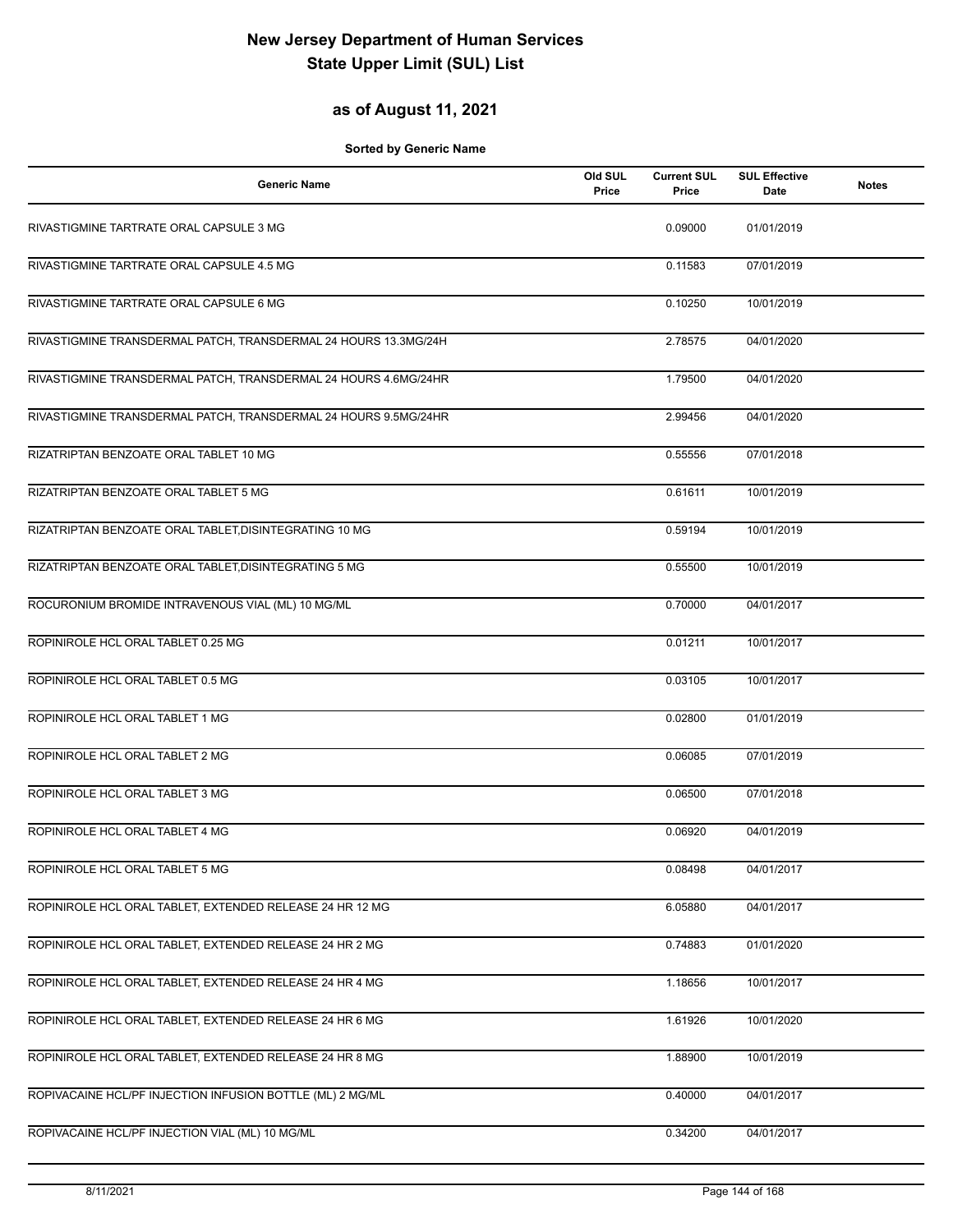## **as of August 11, 2021**

| <b>Generic Name</b>                                             | Old SUL<br>Price | <b>Current SUL</b><br>Price | <b>SUL Effective</b><br>Date | <b>Notes</b> |
|-----------------------------------------------------------------|------------------|-----------------------------|------------------------------|--------------|
| RIVASTIGMINE TARTRATE ORAL CAPSULE 3 MG                         |                  | 0.09000                     | 01/01/2019                   |              |
| RIVASTIGMINE TARTRATE ORAL CAPSULE 4.5 MG                       |                  | 0.11583                     | 07/01/2019                   |              |
| RIVASTIGMINE TARTRATE ORAL CAPSULE 6 MG                         |                  | 0.10250                     | 10/01/2019                   |              |
| RIVASTIGMINE TRANSDERMAL PATCH, TRANSDERMAL 24 HOURS 13.3MG/24H |                  | 2.78575                     | 04/01/2020                   |              |
| RIVASTIGMINE TRANSDERMAL PATCH, TRANSDERMAL 24 HOURS 4.6MG/24HR |                  | 1.79500                     | 04/01/2020                   |              |
| RIVASTIGMINE TRANSDERMAL PATCH, TRANSDERMAL 24 HOURS 9.5MG/24HR |                  | 2.99456                     | 04/01/2020                   |              |
| RIZATRIPTAN BENZOATE ORAL TABLET 10 MG                          |                  | 0.55556                     | 07/01/2018                   |              |
| RIZATRIPTAN BENZOATE ORAL TABLET 5 MG                           |                  | 0.61611                     | 10/01/2019                   |              |
| RIZATRIPTAN BENZOATE ORAL TABLET, DISINTEGRATING 10 MG          |                  | 0.59194                     | 10/01/2019                   |              |
| RIZATRIPTAN BENZOATE ORAL TABLET, DISINTEGRATING 5 MG           |                  | 0.55500                     | 10/01/2019                   |              |
| ROCURONIUM BROMIDE INTRAVENOUS VIAL (ML) 10 MG/ML               |                  | 0.70000                     | 04/01/2017                   |              |
| ROPINIROLE HCL ORAL TABLET 0.25 MG                              |                  | 0.01211                     | 10/01/2017                   |              |
| ROPINIROLE HCL ORAL TABLET 0.5 MG                               |                  | 0.03105                     | 10/01/2017                   |              |
| ROPINIROLE HCL ORAL TABLET 1 MG                                 |                  | 0.02800                     | 01/01/2019                   |              |
| ROPINIROLE HCL ORAL TABLET 2 MG                                 |                  | 0.06085                     | 07/01/2019                   |              |
| ROPINIROLE HCL ORAL TABLET 3 MG                                 |                  | 0.06500                     | 07/01/2018                   |              |
| ROPINIROLE HCL ORAL TABLET 4 MG                                 |                  | 0.06920                     | 04/01/2019                   |              |
| ROPINIROLE HCL ORAL TABLET 5 MG                                 |                  | 0.08498                     | 04/01/2017                   |              |
| ROPINIROLE HCL ORAL TABLET, EXTENDED RELEASE 24 HR 12 MG        |                  | 6.05880                     | 04/01/2017                   |              |
| ROPINIROLE HCL ORAL TABLET, EXTENDED RELEASE 24 HR 2 MG         |                  | 0.74883                     | 01/01/2020                   |              |
| ROPINIROLE HCL ORAL TABLET, EXTENDED RELEASE 24 HR 4 MG         |                  | 1.18656                     | 10/01/2017                   |              |
| ROPINIROLE HCL ORAL TABLET, EXTENDED RELEASE 24 HR 6 MG         |                  | 1.61926                     | 10/01/2020                   |              |
| ROPINIROLE HCL ORAL TABLET, EXTENDED RELEASE 24 HR 8 MG         |                  | 1.88900                     | 10/01/2019                   |              |
| ROPIVACAINE HCL/PF INJECTION INFUSION BOTTLE (ML) 2 MG/ML       |                  | 0.40000                     | 04/01/2017                   |              |
| ROPIVACAINE HCL/PF INJECTION VIAL (ML) 10 MG/ML                 |                  | 0.34200                     | 04/01/2017                   |              |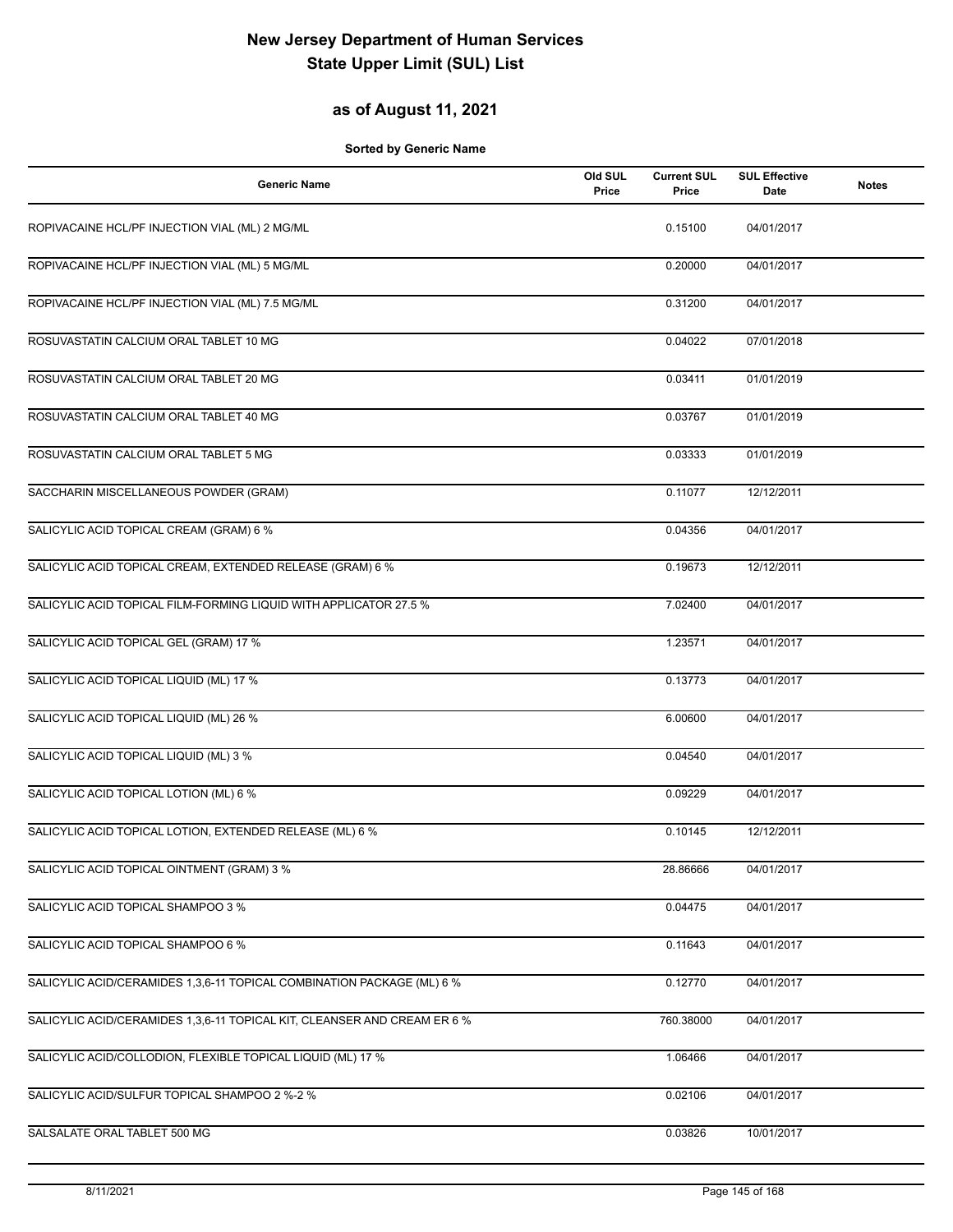### **as of August 11, 2021**

| <b>Generic Name</b>                                                      | Old SUL<br>Price | <b>Current SUL</b><br>Price | <b>SUL Effective</b><br>Date | <b>Notes</b> |
|--------------------------------------------------------------------------|------------------|-----------------------------|------------------------------|--------------|
| ROPIVACAINE HCL/PF INJECTION VIAL (ML) 2 MG/ML                           |                  | 0.15100                     | 04/01/2017                   |              |
| ROPIVACAINE HCL/PF INJECTION VIAL (ML) 5 MG/ML                           |                  | 0.20000                     | 04/01/2017                   |              |
| ROPIVACAINE HCL/PF INJECTION VIAL (ML) 7.5 MG/ML                         |                  | 0.31200                     | 04/01/2017                   |              |
| ROSUVASTATIN CALCIUM ORAL TABLET 10 MG                                   |                  | 0.04022                     | 07/01/2018                   |              |
| ROSUVASTATIN CALCIUM ORAL TABLET 20 MG                                   |                  | 0.03411                     | 01/01/2019                   |              |
| ROSUVASTATIN CALCIUM ORAL TABLET 40 MG                                   |                  | 0.03767                     | 01/01/2019                   |              |
| ROSUVASTATIN CALCIUM ORAL TABLET 5 MG                                    |                  | 0.03333                     | 01/01/2019                   |              |
| SACCHARIN MISCELLANEOUS POWDER (GRAM)                                    |                  | 0.11077                     | 12/12/2011                   |              |
| SALICYLIC ACID TOPICAL CREAM (GRAM) 6 %                                  |                  | 0.04356                     | 04/01/2017                   |              |
| SALICYLIC ACID TOPICAL CREAM, EXTENDED RELEASE (GRAM) 6 %                |                  | 0.19673                     | 12/12/2011                   |              |
| SALICYLIC ACID TOPICAL FILM-FORMING LIQUID WITH APPLICATOR 27.5 %        |                  | 7.02400                     | 04/01/2017                   |              |
| SALICYLIC ACID TOPICAL GEL (GRAM) 17 %                                   |                  | 1.23571                     | 04/01/2017                   |              |
| SALICYLIC ACID TOPICAL LIQUID (ML) 17 %                                  |                  | 0.13773                     | 04/01/2017                   |              |
| SALICYLIC ACID TOPICAL LIQUID (ML) 26 %                                  |                  | 6.00600                     | 04/01/2017                   |              |
| SALICYLIC ACID TOPICAL LIQUID (ML) 3 %                                   |                  | 0.04540                     | 04/01/2017                   |              |
| SALICYLIC ACID TOPICAL LOTION (ML) 6 %                                   |                  | 0.09229                     | 04/01/2017                   |              |
| SALICYLIC ACID TOPICAL LOTION, EXTENDED RELEASE (ML) 6 %                 |                  | 0.10145                     | 12/12/2011                   |              |
| SALICYLIC ACID TOPICAL OINTMENT (GRAM) 3 %                               |                  | 28.86666                    | 04/01/2017                   |              |
| SALICYLIC ACID TOPICAL SHAMPOO 3 %                                       |                  | 0.04475                     | 04/01/2017                   |              |
| SALICYLIC ACID TOPICAL SHAMPOO 6 %                                       |                  | 0.11643                     | 04/01/2017                   |              |
| SALICYLIC ACID/CERAMIDES 1,3,6-11 TOPICAL COMBINATION PACKAGE (ML) 6 %   |                  | 0.12770                     | 04/01/2017                   |              |
| SALICYLIC ACID/CERAMIDES 1,3,6-11 TOPICAL KIT, CLEANSER AND CREAM ER 6 % |                  | 760.38000                   | 04/01/2017                   |              |
| SALICYLIC ACID/COLLODION, FLEXIBLE TOPICAL LIQUID (ML) 17 %              |                  | 1.06466                     | 04/01/2017                   |              |
| SALICYLIC ACID/SULFUR TOPICAL SHAMPOO 2 %-2 %                            |                  | 0.02106                     | 04/01/2017                   |              |
| SALSALATE ORAL TABLET 500 MG                                             |                  | 0.03826                     | 10/01/2017                   |              |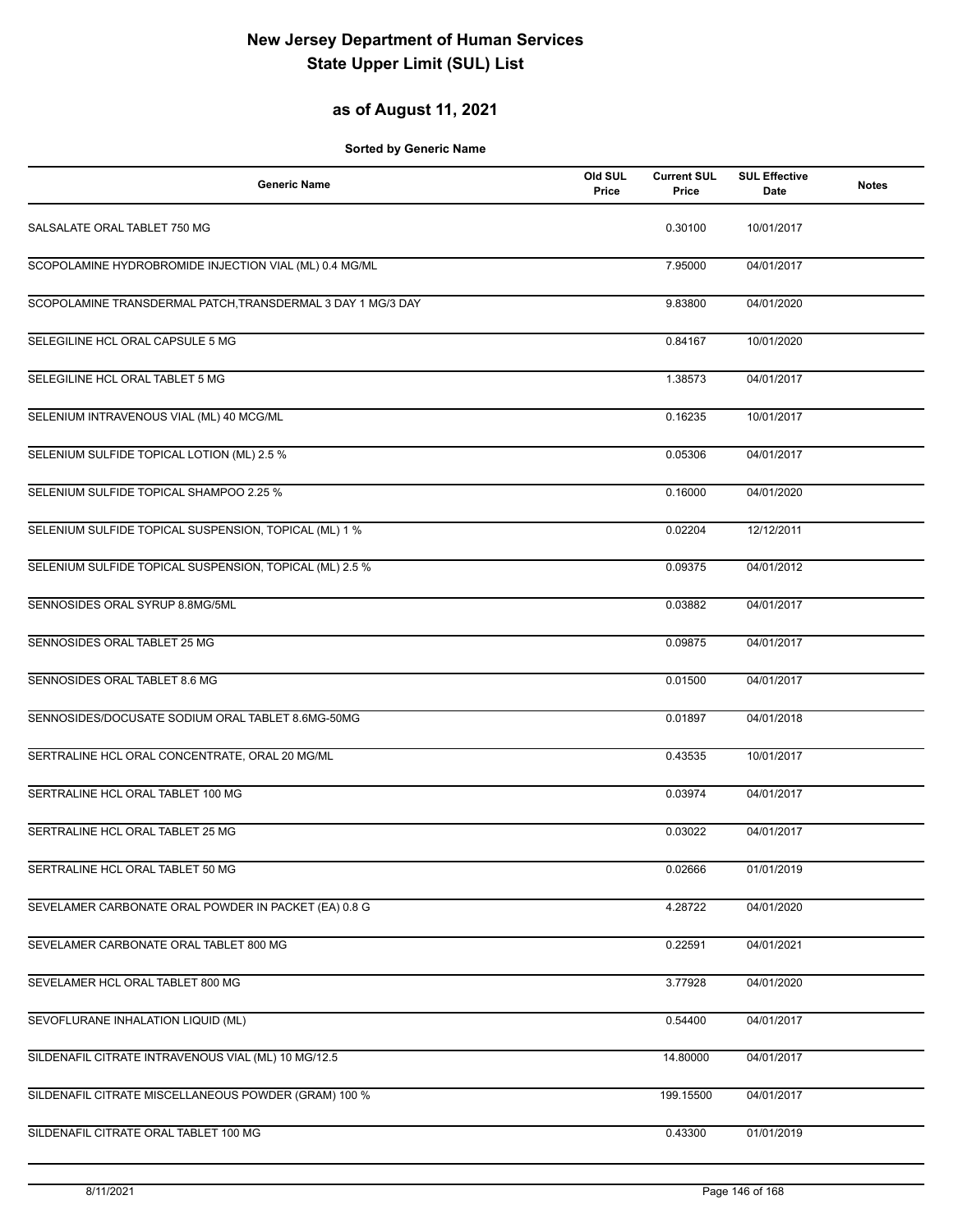### **as of August 11, 2021**

| <b>Generic Name</b>                                         | Old SUL<br>Price | <b>Current SUL</b><br>Price | <b>SUL Effective</b><br>Date | <b>Notes</b> |
|-------------------------------------------------------------|------------------|-----------------------------|------------------------------|--------------|
| SALSALATE ORAL TABLET 750 MG                                |                  | 0.30100                     | 10/01/2017                   |              |
| SCOPOLAMINE HYDROBROMIDE INJECTION VIAL (ML) 0.4 MG/ML      |                  | 7.95000                     | 04/01/2017                   |              |
| SCOPOLAMINE TRANSDERMAL PATCH, TRANSDERMAL 3 DAY 1 MG/3 DAY |                  | 9.83800                     | 04/01/2020                   |              |
| SELEGILINE HCL ORAL CAPSULE 5 MG                            |                  | 0.84167                     | 10/01/2020                   |              |
| SELEGILINE HCL ORAL TABLET 5 MG                             |                  | 1.38573                     | 04/01/2017                   |              |
| SELENIUM INTRAVENOUS VIAL (ML) 40 MCG/ML                    |                  | 0.16235                     | 10/01/2017                   |              |
| SELENIUM SULFIDE TOPICAL LOTION (ML) 2.5 %                  |                  | 0.05306                     | 04/01/2017                   |              |
| SELENIUM SULFIDE TOPICAL SHAMPOO 2.25 %                     |                  | 0.16000                     | 04/01/2020                   |              |
| SELENIUM SULFIDE TOPICAL SUSPENSION, TOPICAL (ML) 1 %       |                  | 0.02204                     | 12/12/2011                   |              |
| SELENIUM SULFIDE TOPICAL SUSPENSION, TOPICAL (ML) 2.5 %     |                  | 0.09375                     | 04/01/2012                   |              |
| SENNOSIDES ORAL SYRUP 8.8MG/5ML                             |                  | 0.03882                     | 04/01/2017                   |              |
| SENNOSIDES ORAL TABLET 25 MG                                |                  | 0.09875                     | 04/01/2017                   |              |
| SENNOSIDES ORAL TABLET 8.6 MG                               |                  | 0.01500                     | 04/01/2017                   |              |
| SENNOSIDES/DOCUSATE SODIUM ORAL TABLET 8.6MG-50MG           |                  | 0.01897                     | 04/01/2018                   |              |
| SERTRALINE HCL ORAL CONCENTRATE, ORAL 20 MG/ML              |                  | 0.43535                     | 10/01/2017                   |              |
| SERTRALINE HCL ORAL TABLET 100 MG                           |                  | 0.03974                     | 04/01/2017                   |              |
| SERTRALINE HCL ORAL TABLET 25 MG                            |                  | 0.03022                     | 04/01/2017                   |              |
| SERTRALINE HCL ORAL TABLET 50 MG                            |                  | 0.02666                     | 01/01/2019                   |              |
| SEVELAMER CARBONATE ORAL POWDER IN PACKET (EA) 0.8 G        |                  | 4.28722                     | 04/01/2020                   |              |
| SEVELAMER CARBONATE ORAL TABLET 800 MG                      |                  | 0.22591                     | 04/01/2021                   |              |
| SEVELAMER HCL ORAL TABLET 800 MG                            |                  | 3.77928                     | 04/01/2020                   |              |
| SEVOFLURANE INHALATION LIQUID (ML)                          |                  | 0.54400                     | 04/01/2017                   |              |
| SILDENAFIL CITRATE INTRAVENOUS VIAL (ML) 10 MG/12.5         |                  | 14.80000                    | 04/01/2017                   |              |
| SILDENAFIL CITRATE MISCELLANEOUS POWDER (GRAM) 100 %        |                  | 199.15500                   | 04/01/2017                   |              |
| SILDENAFIL CITRATE ORAL TABLET 100 MG                       |                  | 0.43300                     | 01/01/2019                   |              |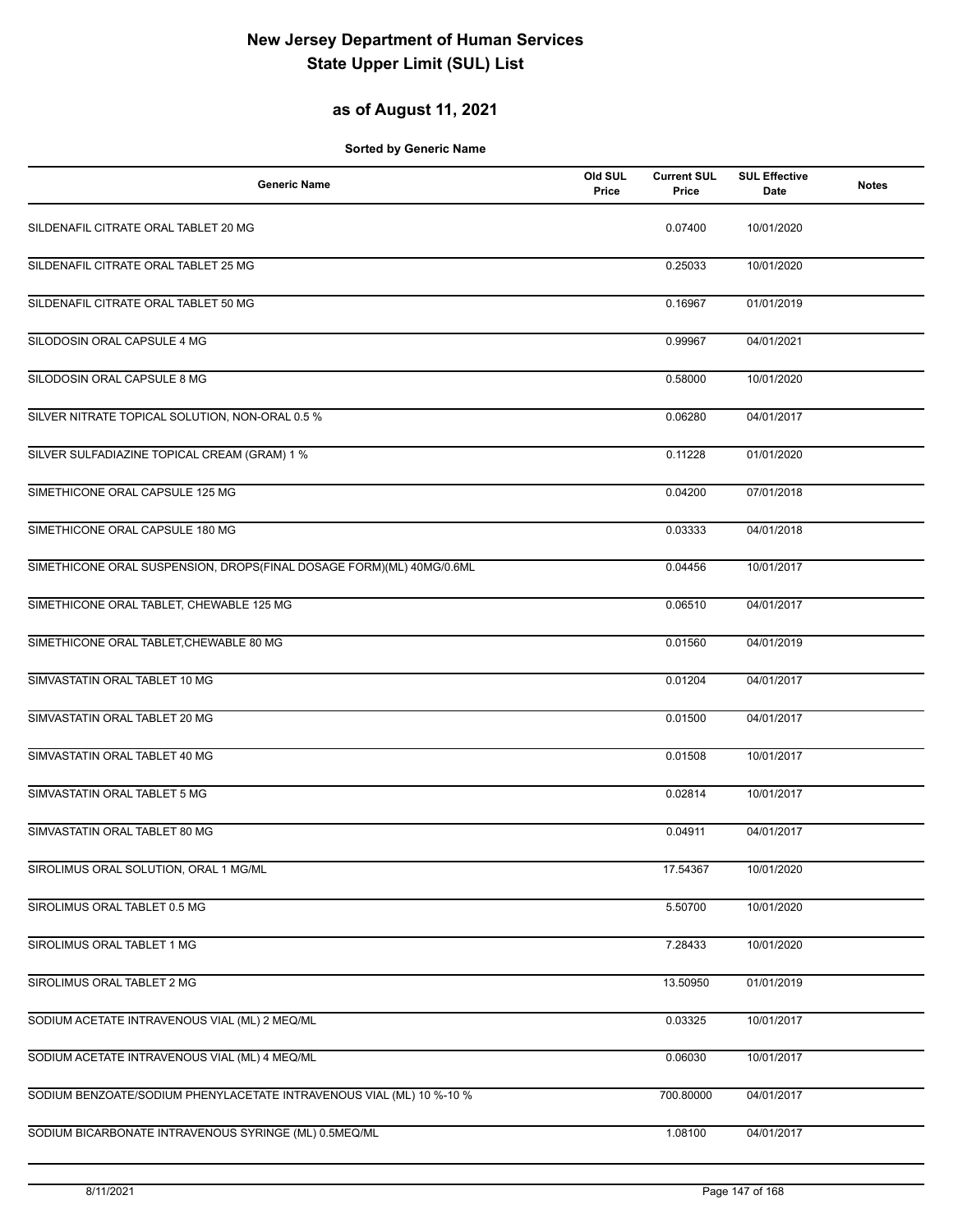### **as of August 11, 2021**

| <b>Generic Name</b>                                                  | Old SUL<br>Price | <b>Current SUL</b><br>Price | <b>SUL Effective</b><br>Date | <b>Notes</b> |
|----------------------------------------------------------------------|------------------|-----------------------------|------------------------------|--------------|
| SILDENAFIL CITRATE ORAL TABLET 20 MG                                 |                  | 0.07400                     | 10/01/2020                   |              |
| SILDENAFIL CITRATE ORAL TABLET 25 MG                                 |                  | 0.25033                     | 10/01/2020                   |              |
| SILDENAFIL CITRATE ORAL TABLET 50 MG                                 |                  | 0.16967                     | 01/01/2019                   |              |
| SILODOSIN ORAL CAPSULE 4 MG                                          |                  | 0.99967                     | 04/01/2021                   |              |
| SILODOSIN ORAL CAPSULE 8 MG                                          |                  | 0.58000                     | 10/01/2020                   |              |
| SILVER NITRATE TOPICAL SOLUTION, NON-ORAL 0.5 %                      |                  | 0.06280                     | 04/01/2017                   |              |
| SILVER SULFADIAZINE TOPICAL CREAM (GRAM) 1 %                         |                  | 0.11228                     | 01/01/2020                   |              |
| SIMETHICONE ORAL CAPSULE 125 MG                                      |                  | 0.04200                     | 07/01/2018                   |              |
| SIMETHICONE ORAL CAPSULE 180 MG                                      |                  | 0.03333                     | 04/01/2018                   |              |
| SIMETHICONE ORAL SUSPENSION, DROPS(FINAL DOSAGE FORM)(ML) 40MG/0.6ML |                  | 0.04456                     | 10/01/2017                   |              |
| SIMETHICONE ORAL TABLET, CHEWABLE 125 MG                             |                  | 0.06510                     | 04/01/2017                   |              |
| SIMETHICONE ORAL TABLET, CHEWABLE 80 MG                              |                  | 0.01560                     | 04/01/2019                   |              |
| SIMVASTATIN ORAL TABLET 10 MG                                        |                  | 0.01204                     | 04/01/2017                   |              |
| SIMVASTATIN ORAL TABLET 20 MG                                        |                  | 0.01500                     | 04/01/2017                   |              |
| SIMVASTATIN ORAL TABLET 40 MG                                        |                  | 0.01508                     | 10/01/2017                   |              |
| SIMVASTATIN ORAL TABLET 5 MG                                         |                  | 0.02814                     | 10/01/2017                   |              |
| SIMVASTATIN ORAL TABLET 80 MG                                        |                  | 0.04911                     | 04/01/2017                   |              |
| SIROLIMUS ORAL SOLUTION, ORAL 1 MG/ML                                |                  | 17.54367                    | 10/01/2020                   |              |
| SIROLIMUS ORAL TABLET 0.5 MG                                         |                  | 5.50700                     | 10/01/2020                   |              |
| SIROLIMUS ORAL TABLET 1 MG                                           |                  | 7.28433                     | 10/01/2020                   |              |
| SIROLIMUS ORAL TABLET 2 MG                                           |                  | 13.50950                    | 01/01/2019                   |              |
| SODIUM ACETATE INTRAVENOUS VIAL (ML) 2 MEQ/ML                        |                  | 0.03325                     | 10/01/2017                   |              |
| SODIUM ACETATE INTRAVENOUS VIAL (ML) 4 MEQ/ML                        |                  | 0.06030                     | 10/01/2017                   |              |
| SODIUM BENZOATE/SODIUM PHENYLACETATE INTRAVENOUS VIAL (ML) 10 %-10 % |                  | 700.80000                   | 04/01/2017                   |              |
| SODIUM BICARBONATE INTRAVENOUS SYRINGE (ML) 0.5MEQ/ML                |                  | 1.08100                     | 04/01/2017                   |              |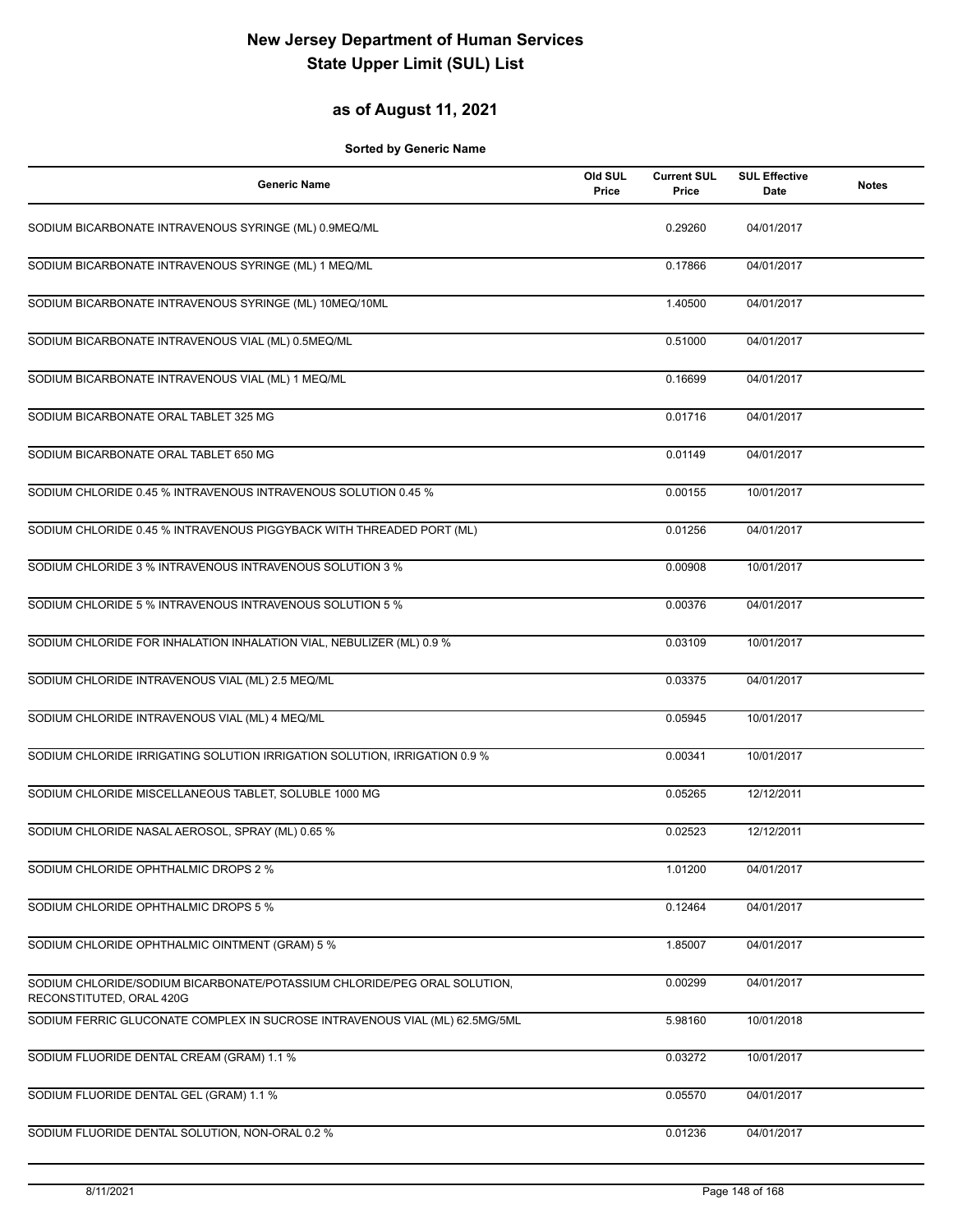### **as of August 11, 2021**

| <b>Generic Name</b>                                                                                  | Old SUL<br>Price | <b>Current SUL</b><br>Price | <b>SUL Effective</b><br><b>Date</b> | <b>Notes</b> |
|------------------------------------------------------------------------------------------------------|------------------|-----------------------------|-------------------------------------|--------------|
| SODIUM BICARBONATE INTRAVENOUS SYRINGE (ML) 0.9MEQ/ML                                                |                  | 0.29260                     | 04/01/2017                          |              |
| SODIUM BICARBONATE INTRAVENOUS SYRINGE (ML) 1 MEQ/ML                                                 |                  | 0.17866                     | 04/01/2017                          |              |
| SODIUM BICARBONATE INTRAVENOUS SYRINGE (ML) 10MEQ/10ML                                               |                  | 1.40500                     | 04/01/2017                          |              |
| SODIUM BICARBONATE INTRAVENOUS VIAL (ML) 0.5MEQ/ML                                                   |                  | 0.51000                     | 04/01/2017                          |              |
| SODIUM BICARBONATE INTRAVENOUS VIAL (ML) 1 MEQ/ML                                                    |                  | 0.16699                     | 04/01/2017                          |              |
| SODIUM BICARBONATE ORAL TABLET 325 MG                                                                |                  | 0.01716                     | 04/01/2017                          |              |
| SODIUM BICARBONATE ORAL TABLET 650 MG                                                                |                  | 0.01149                     | 04/01/2017                          |              |
| SODIUM CHLORIDE 0.45 % INTRAVENOUS INTRAVENOUS SOLUTION 0.45 %                                       |                  | 0.00155                     | 10/01/2017                          |              |
| SODIUM CHLORIDE 0.45 % INTRAVENOUS PIGGYBACK WITH THREADED PORT (ML)                                 |                  | 0.01256                     | 04/01/2017                          |              |
| SODIUM CHLORIDE 3 % INTRAVENOUS INTRAVENOUS SOLUTION 3 %                                             |                  | 0.00908                     | 10/01/2017                          |              |
| SODIUM CHLORIDE 5 % INTRAVENOUS INTRAVENOUS SOLUTION 5 %                                             |                  | 0.00376                     | 04/01/2017                          |              |
| SODIUM CHLORIDE FOR INHALATION INHALATION VIAL, NEBULIZER (ML) 0.9 %                                 |                  | 0.03109                     | 10/01/2017                          |              |
| SODIUM CHLORIDE INTRAVENOUS VIAL (ML) 2.5 MEQ/ML                                                     |                  | 0.03375                     | 04/01/2017                          |              |
| SODIUM CHLORIDE INTRAVENOUS VIAL (ML) 4 MEQ/ML                                                       |                  | 0.05945                     | 10/01/2017                          |              |
| SODIUM CHLORIDE IRRIGATING SOLUTION IRRIGATION SOLUTION, IRRIGATION 0.9 %                            |                  | 0.00341                     | 10/01/2017                          |              |
| SODIUM CHLORIDE MISCELLANEOUS TABLET, SOLUBLE 1000 MG                                                |                  | 0.05265                     | 12/12/2011                          |              |
| SODIUM CHLORIDE NASAL AEROSOL, SPRAY (ML) 0.65 %                                                     |                  | 0.02523                     | 12/12/2011                          |              |
| SODIUM CHLORIDE OPHTHALMIC DROPS 2 %                                                                 |                  | 1.01200                     | 04/01/2017                          |              |
| SODIUM CHLORIDE OPHTHALMIC DROPS 5 %                                                                 |                  | 0.12464                     | 04/01/2017                          |              |
| SODIUM CHLORIDE OPHTHALMIC OINTMENT (GRAM) 5 %                                                       |                  | 1.85007                     | 04/01/2017                          |              |
| SODIUM CHLORIDE/SODIUM BICARBONATE/POTASSIUM CHLORIDE/PEG ORAL SOLUTION,<br>RECONSTITUTED, ORAL 420G |                  | 0.00299                     | 04/01/2017                          |              |
| SODIUM FERRIC GLUCONATE COMPLEX IN SUCROSE INTRAVENOUS VIAL (ML) 62.5MG/5ML                          |                  | 5.98160                     | 10/01/2018                          |              |
| SODIUM FLUORIDE DENTAL CREAM (GRAM) 1.1 %                                                            |                  | 0.03272                     | 10/01/2017                          |              |
| SODIUM FLUORIDE DENTAL GEL (GRAM) 1.1 %                                                              |                  | 0.05570                     | 04/01/2017                          |              |
| SODIUM FLUORIDE DENTAL SOLUTION, NON-ORAL 0.2 %                                                      |                  | 0.01236                     | 04/01/2017                          |              |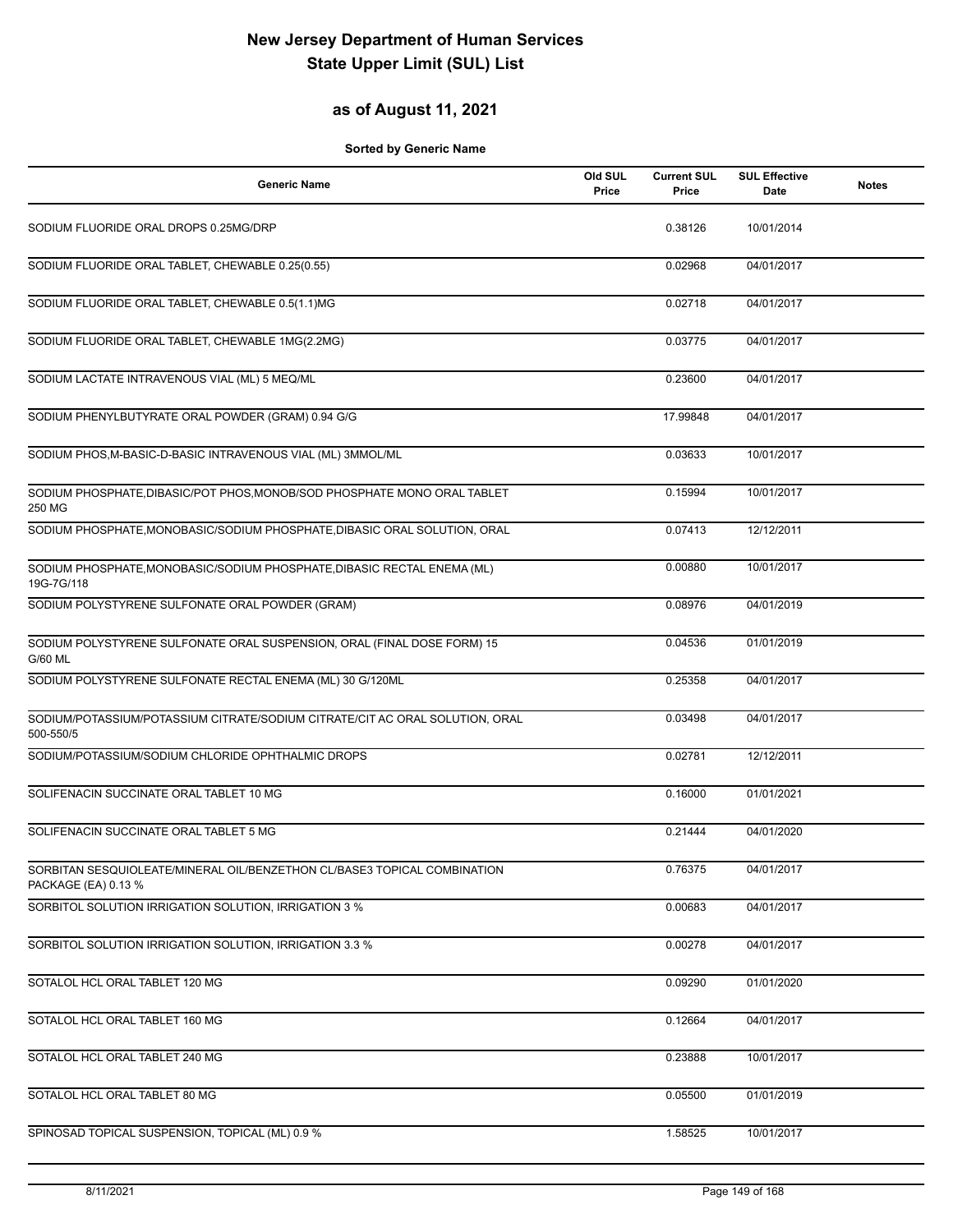### **as of August 11, 2021**

| <b>Generic Name</b>                                                                             | Old SUL<br>Price | <b>Current SUL</b><br>Price | <b>SUL Effective</b><br>Date | <b>Notes</b> |
|-------------------------------------------------------------------------------------------------|------------------|-----------------------------|------------------------------|--------------|
| SODIUM FLUORIDE ORAL DROPS 0.25MG/DRP                                                           |                  | 0.38126                     | 10/01/2014                   |              |
| SODIUM FLUORIDE ORAL TABLET, CHEWABLE 0.25(0.55)                                                |                  | 0.02968                     | 04/01/2017                   |              |
| SODIUM FLUORIDE ORAL TABLET, CHEWABLE 0.5(1.1)MG                                                |                  | 0.02718                     | 04/01/2017                   |              |
| SODIUM FLUORIDE ORAL TABLET, CHEWABLE 1MG(2.2MG)                                                |                  | 0.03775                     | 04/01/2017                   |              |
| SODIUM LACTATE INTRAVENOUS VIAL (ML) 5 MEQ/ML                                                   |                  | 0.23600                     | 04/01/2017                   |              |
| SODIUM PHENYLBUTYRATE ORAL POWDER (GRAM) 0.94 G/G                                               |                  | 17.99848                    | 04/01/2017                   |              |
| SODIUM PHOS, M-BASIC-D-BASIC INTRAVENOUS VIAL (ML) 3MMOL/ML                                     |                  | 0.03633                     | 10/01/2017                   |              |
| SODIUM PHOSPHATE, DIBASIC/POT PHOS, MONOB/SOD PHOSPHATE MONO ORAL TABLET<br>250 MG              |                  | 0.15994                     | 10/01/2017                   |              |
| SODIUM PHOSPHATE, MONOBASIC/SODIUM PHOSPHATE, DIBASIC ORAL SOLUTION, ORAL                       |                  | 0.07413                     | 12/12/2011                   |              |
| SODIUM PHOSPHATE, MONOBASIC/SODIUM PHOSPHATE, DIBASIC RECTAL ENEMA (ML)<br>19G-7G/118           |                  | 0.00880                     | 10/01/2017                   |              |
| SODIUM POLYSTYRENE SULFONATE ORAL POWDER (GRAM)                                                 |                  | 0.08976                     | 04/01/2019                   |              |
| SODIUM POLYSTYRENE SULFONATE ORAL SUSPENSION, ORAL (FINAL DOSE FORM) 15<br>G/60 ML              |                  | 0.04536                     | 01/01/2019                   |              |
| SODIUM POLYSTYRENE SULFONATE RECTAL ENEMA (ML) 30 G/120ML                                       |                  | 0.25358                     | 04/01/2017                   |              |
| SODIUM/POTASSIUM/POTASSIUM CITRATE/SODIUM CITRATE/CIT AC ORAL SOLUTION, ORAL<br>500-550/5       |                  | 0.03498                     | 04/01/2017                   |              |
| SODIUM/POTASSIUM/SODIUM CHLORIDE OPHTHALMIC DROPS                                               |                  | 0.02781                     | 12/12/2011                   |              |
| SOLIFENACIN SUCCINATE ORAL TABLET 10 MG                                                         |                  | 0.16000                     | 01/01/2021                   |              |
| SOLIFENACIN SUCCINATE ORAL TABLET 5 MG                                                          |                  | 0.21444                     | 04/01/2020                   |              |
| SORBITAN SESQUIOLEATE/MINERAL OIL/BENZETHON CL/BASE3 TOPICAL COMBINATION<br>PACKAGE (EA) 0.13 % |                  | 0.76375                     | 04/01/2017                   |              |
| SORBITOL SOLUTION IRRIGATION SOLUTION, IRRIGATION 3 %                                           |                  | 0.00683                     | 04/01/2017                   |              |
| SORBITOL SOLUTION IRRIGATION SOLUTION, IRRIGATION 3.3 %                                         |                  | 0.00278                     | 04/01/2017                   |              |
| SOTALOL HCL ORAL TABLET 120 MG                                                                  |                  | 0.09290                     | 01/01/2020                   |              |
| SOTALOL HCL ORAL TABLET 160 MG                                                                  |                  | 0.12664                     | 04/01/2017                   |              |
| SOTALOL HCL ORAL TABLET 240 MG                                                                  |                  | 0.23888                     | 10/01/2017                   |              |
| SOTALOL HCL ORAL TABLET 80 MG                                                                   |                  | 0.05500                     | 01/01/2019                   |              |
| SPINOSAD TOPICAL SUSPENSION, TOPICAL (ML) 0.9 %                                                 |                  | 1.58525                     | 10/01/2017                   |              |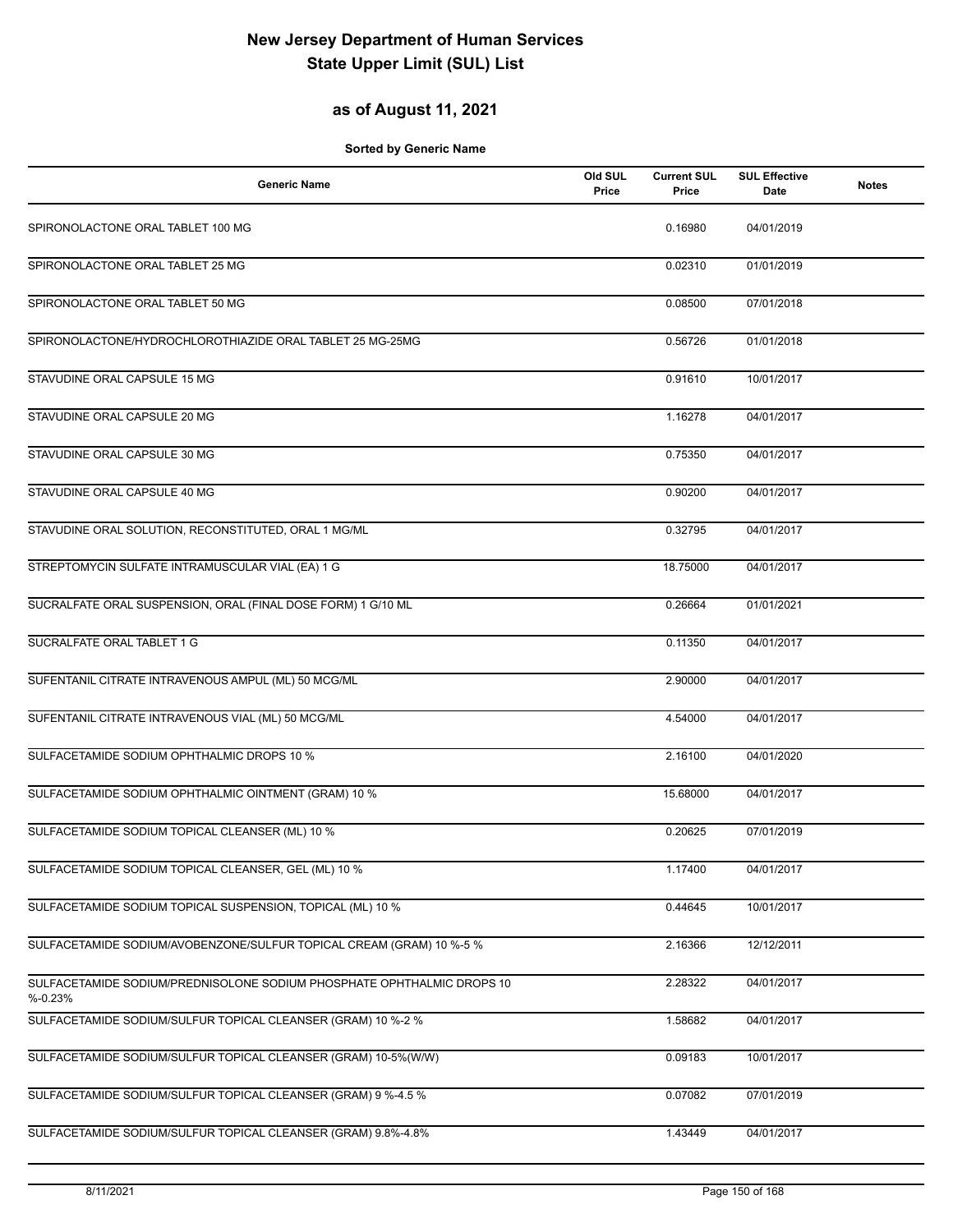### **as of August 11, 2021**

| <b>Generic Name</b>                                                                  | Old SUL<br>Price | <b>Current SUL</b><br>Price | <b>SUL Effective</b><br>Date | <b>Notes</b> |
|--------------------------------------------------------------------------------------|------------------|-----------------------------|------------------------------|--------------|
| SPIRONOLACTONE ORAL TABLET 100 MG                                                    |                  | 0.16980                     | 04/01/2019                   |              |
| SPIRONOLACTONE ORAL TABLET 25 MG                                                     |                  | 0.02310                     | 01/01/2019                   |              |
| SPIRONOLACTONE ORAL TABLET 50 MG                                                     |                  | 0.08500                     | 07/01/2018                   |              |
| SPIRONOLACTONE/HYDROCHLOROTHIAZIDE ORAL TABLET 25 MG-25MG                            |                  | 0.56726                     | 01/01/2018                   |              |
| STAVUDINE ORAL CAPSULE 15 MG                                                         |                  | 0.91610                     | 10/01/2017                   |              |
| STAVUDINE ORAL CAPSULE 20 MG                                                         |                  | 1.16278                     | 04/01/2017                   |              |
| STAVUDINE ORAL CAPSULE 30 MG                                                         |                  | 0.75350                     | 04/01/2017                   |              |
| STAVUDINE ORAL CAPSULE 40 MG                                                         |                  | 0.90200                     | 04/01/2017                   |              |
| STAVUDINE ORAL SOLUTION, RECONSTITUTED, ORAL 1 MG/ML                                 |                  | 0.32795                     | 04/01/2017                   |              |
| STREPTOMYCIN SULFATE INTRAMUSCULAR VIAL (EA) 1 G                                     |                  | 18.75000                    | 04/01/2017                   |              |
| SUCRALFATE ORAL SUSPENSION, ORAL (FINAL DOSE FORM) 1 G/10 ML                         |                  | 0.26664                     | 01/01/2021                   |              |
| SUCRALFATE ORAL TABLET 1 G                                                           |                  | 0.11350                     | 04/01/2017                   |              |
| SUFENTANIL CITRATE INTRAVENOUS AMPUL (ML) 50 MCG/ML                                  |                  | 2.90000                     | 04/01/2017                   |              |
| SUFENTANIL CITRATE INTRAVENOUS VIAL (ML) 50 MCG/ML                                   |                  | 4.54000                     | 04/01/2017                   |              |
| SULFACETAMIDE SODIUM OPHTHALMIC DROPS 10 %                                           |                  | 2.16100                     | 04/01/2020                   |              |
| SULFACETAMIDE SODIUM OPHTHALMIC OINTMENT (GRAM) 10 %                                 |                  | 15.68000                    | 04/01/2017                   |              |
| SULFACETAMIDE SODIUM TOPICAL CLEANSER (ML) 10 %                                      |                  | 0.20625                     | 07/01/2019                   |              |
| SULFACETAMIDE SODIUM TOPICAL CLEANSER, GEL (ML) 10 %                                 |                  | 1.17400                     | 04/01/2017                   |              |
| SULFACETAMIDE SODIUM TOPICAL SUSPENSION, TOPICAL (ML) 10 %                           |                  | 0.44645                     | 10/01/2017                   |              |
| SULFACETAMIDE SODIUM/AVOBENZONE/SULFUR TOPICAL CREAM (GRAM) 10 %-5 %                 |                  | 2.16366                     | 12/12/2011                   |              |
| SULFACETAMIDE SODIUM/PREDNISOLONE SODIUM PHOSPHATE OPHTHALMIC DROPS 10<br>$% -0.23%$ |                  | 2.28322                     | 04/01/2017                   |              |
| SULFACETAMIDE SODIUM/SULFUR TOPICAL CLEANSER (GRAM) 10 %-2 %                         |                  | 1.58682                     | 04/01/2017                   |              |
| SULFACETAMIDE SODIUM/SULFUR TOPICAL CLEANSER (GRAM) 10-5%(W/W)                       |                  | 0.09183                     | 10/01/2017                   |              |
| SULFACETAMIDE SODIUM/SULFUR TOPICAL CLEANSER (GRAM) 9 %-4.5 %                        |                  | 0.07082                     | 07/01/2019                   |              |
| SULFACETAMIDE SODIUM/SULFUR TOPICAL CLEANSER (GRAM) 9.8%-4.8%                        |                  | 1.43449                     | 04/01/2017                   |              |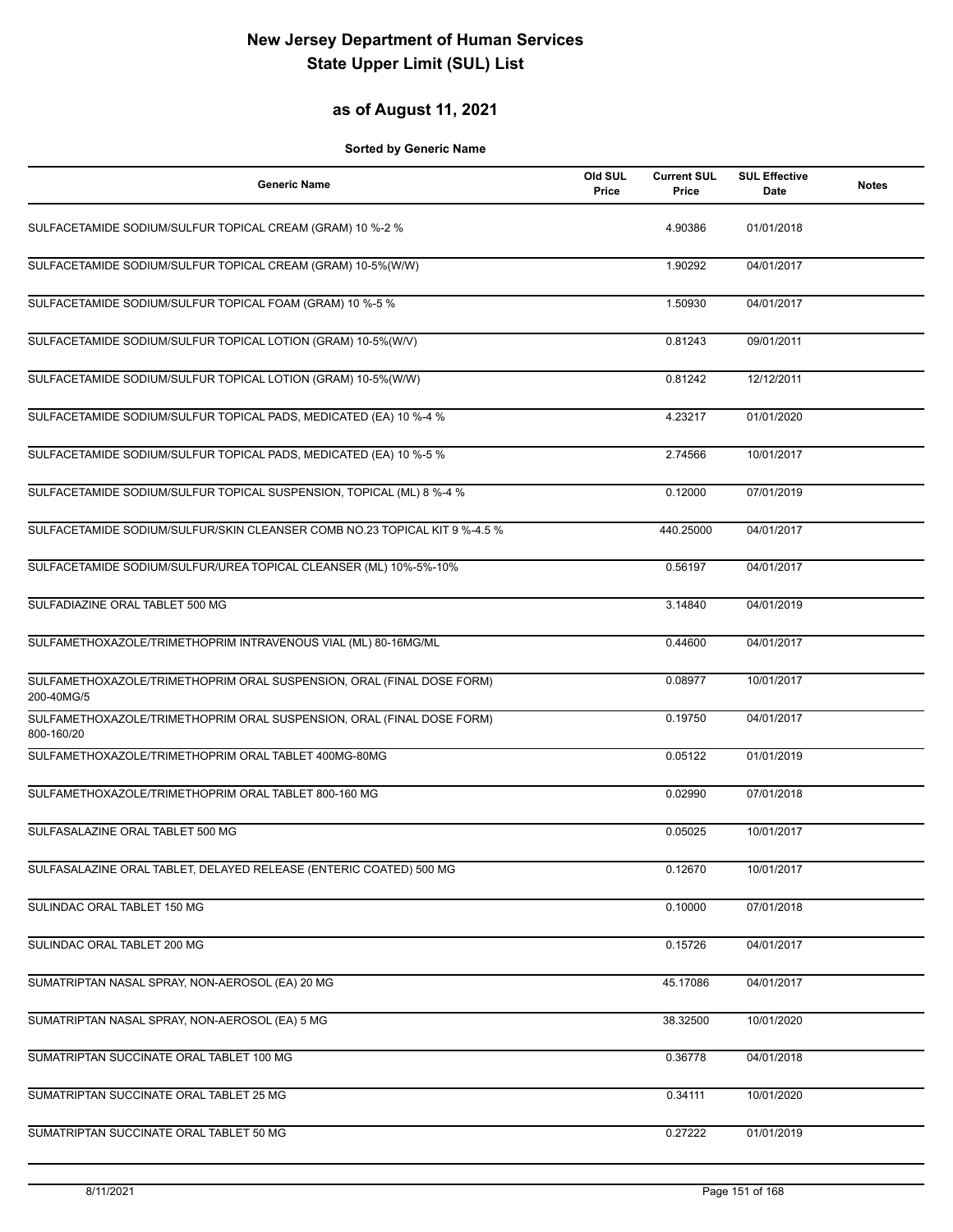### **as of August 11, 2021**

| Generic Name                                                                        | Old SUL<br>Price | <b>Current SUL</b><br>Price | <b>SUL Effective</b><br>Date | <b>Notes</b> |
|-------------------------------------------------------------------------------------|------------------|-----------------------------|------------------------------|--------------|
| SULFACETAMIDE SODIUM/SULFUR TOPICAL CREAM (GRAM) 10 %-2 %                           |                  | 4.90386                     | 01/01/2018                   |              |
| SULFACETAMIDE SODIUM/SULFUR TOPICAL CREAM (GRAM) 10-5%(W/W)                         |                  | 1.90292                     | 04/01/2017                   |              |
| SULFACETAMIDE SODIUM/SULFUR TOPICAL FOAM (GRAM) 10 %-5 %                            |                  | 1.50930                     | 04/01/2017                   |              |
| SULFACETAMIDE SODIUM/SULFUR TOPICAL LOTION (GRAM) 10-5%(W/V)                        |                  | 0.81243                     | 09/01/2011                   |              |
| SULFACETAMIDE SODIUM/SULFUR TOPICAL LOTION (GRAM) 10-5%(W/W)                        |                  | 0.81242                     | 12/12/2011                   |              |
| SULFACETAMIDE SODIUM/SULFUR TOPICAL PADS, MEDICATED (EA) 10 %-4 %                   |                  | 4.23217                     | 01/01/2020                   |              |
| SULFACETAMIDE SODIUM/SULFUR TOPICAL PADS, MEDICATED (EA) 10 %-5 %                   |                  | 2.74566                     | 10/01/2017                   |              |
| SULFACETAMIDE SODIUM/SULFUR TOPICAL SUSPENSION, TOPICAL (ML) 8 %-4 %                |                  | 0.12000                     | 07/01/2019                   |              |
| SULFACETAMIDE SODIUM/SULFUR/SKIN CLEANSER COMB NO.23 TOPICAL KIT 9 %-4.5 %          |                  | 440.25000                   | 04/01/2017                   |              |
| SULFACETAMIDE SODIUM/SULFUR/UREA TOPICAL CLEANSER (ML) 10%-5%-10%                   |                  | 0.56197                     | 04/01/2017                   |              |
| SULFADIAZINE ORAL TABLET 500 MG                                                     |                  | 3.14840                     | 04/01/2019                   |              |
| SULFAMETHOXAZOLE/TRIMETHOPRIM INTRAVENOUS VIAL (ML) 80-16MG/ML                      |                  | 0.44600                     | 04/01/2017                   |              |
| SULFAMETHOXAZOLE/TRIMETHOPRIM ORAL SUSPENSION, ORAL (FINAL DOSE FORM)<br>200-40MG/5 |                  | 0.08977                     | 10/01/2017                   |              |
| SULFAMETHOXAZOLE/TRIMETHOPRIM ORAL SUSPENSION, ORAL (FINAL DOSE FORM)<br>800-160/20 |                  | 0.19750                     | 04/01/2017                   |              |
| SULFAMETHOXAZOLE/TRIMETHOPRIM ORAL TABLET 400MG-80MG                                |                  | 0.05122                     | 01/01/2019                   |              |
| SULFAMETHOXAZOLE/TRIMETHOPRIM ORAL TABLET 800-160 MG                                |                  | 0.02990                     | 07/01/2018                   |              |
| SULFASALAZINE ORAL TABLET 500 MG                                                    |                  | 0.05025                     | 10/01/2017                   |              |
| SULFASALAZINE ORAL TABLET, DELAYED RELEASE (ENTERIC COATED) 500 MG                  |                  | 0.12670                     | 10/01/2017                   |              |
| SULINDAC ORAL TABLET 150 MG                                                         |                  | 0.10000                     | 07/01/2018                   |              |
| SULINDAC ORAL TABLET 200 MG                                                         |                  | 0.15726                     | 04/01/2017                   |              |
| SUMATRIPTAN NASAL SPRAY, NON-AEROSOL (EA) 20 MG                                     |                  | 45.17086                    | 04/01/2017                   |              |
| SUMATRIPTAN NASAL SPRAY, NON-AEROSOL (EA) 5 MG                                      |                  | 38.32500                    | 10/01/2020                   |              |
| SUMATRIPTAN SUCCINATE ORAL TABLET 100 MG                                            |                  | 0.36778                     | 04/01/2018                   |              |
| SUMATRIPTAN SUCCINATE ORAL TABLET 25 MG                                             |                  | 0.34111                     | 10/01/2020                   |              |
| SUMATRIPTAN SUCCINATE ORAL TABLET 50 MG                                             |                  | 0.27222                     | 01/01/2019                   |              |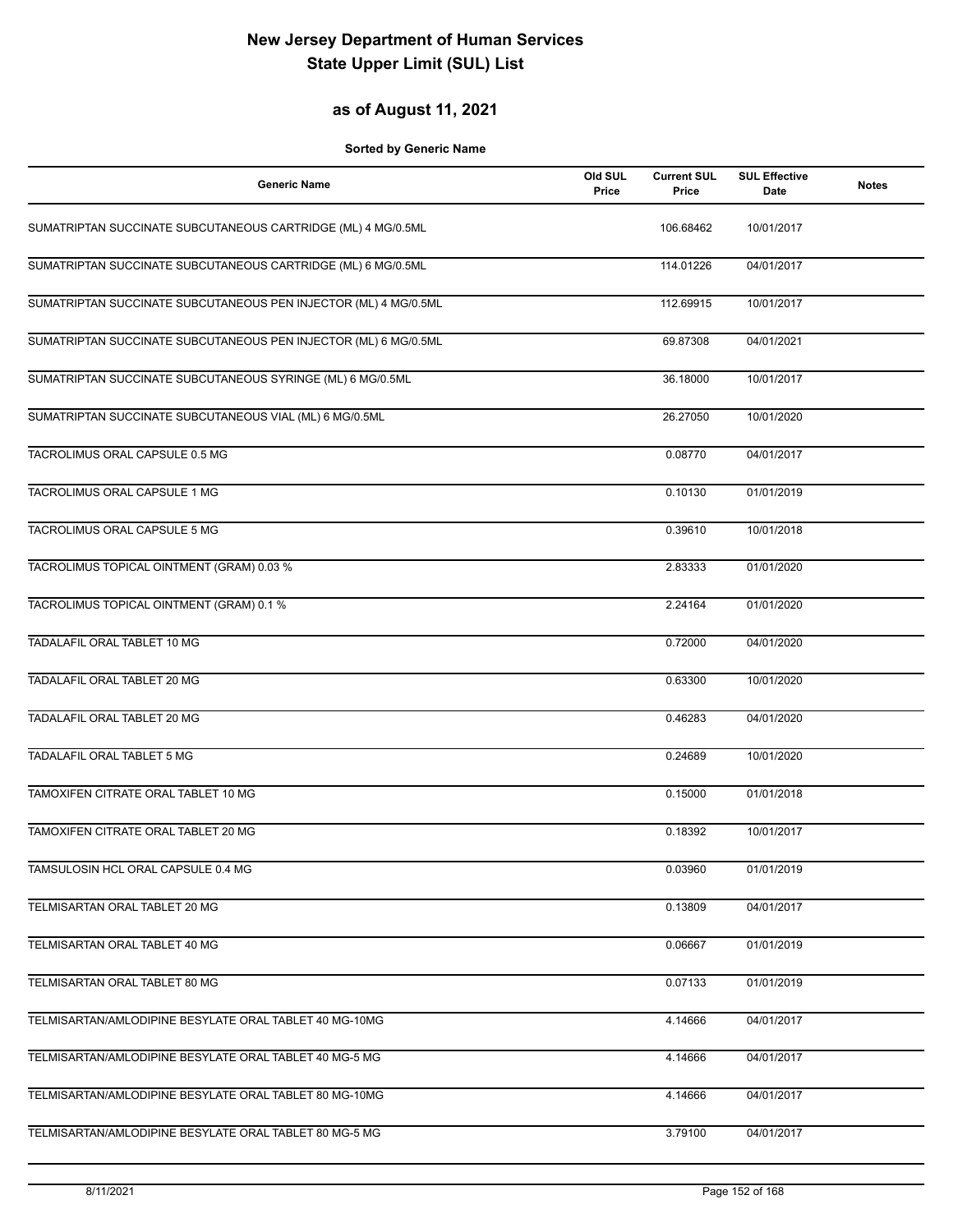#### **as of August 11, 2021**

| <b>Generic Name</b>                                             | Old SUL<br>Price | <b>Current SUL</b><br>Price | <b>SUL Effective</b><br>Date | <b>Notes</b> |
|-----------------------------------------------------------------|------------------|-----------------------------|------------------------------|--------------|
| SUMATRIPTAN SUCCINATE SUBCUTANEOUS CARTRIDGE (ML) 4 MG/0.5ML    |                  | 106.68462                   | 10/01/2017                   |              |
| SUMATRIPTAN SUCCINATE SUBCUTANEOUS CARTRIDGE (ML) 6 MG/0.5ML    |                  | 114.01226                   | 04/01/2017                   |              |
| SUMATRIPTAN SUCCINATE SUBCUTANEOUS PEN INJECTOR (ML) 4 MG/0.5ML |                  | 112.69915                   | 10/01/2017                   |              |
| SUMATRIPTAN SUCCINATE SUBCUTANEOUS PEN INJECTOR (ML) 6 MG/0.5ML |                  | 69.87308                    | 04/01/2021                   |              |
| SUMATRIPTAN SUCCINATE SUBCUTANEOUS SYRINGE (ML) 6 MG/0.5ML      |                  | 36.18000                    | 10/01/2017                   |              |
| SUMATRIPTAN SUCCINATE SUBCUTANEOUS VIAL (ML) 6 MG/0.5ML         |                  | 26.27050                    | 10/01/2020                   |              |
| TACROLIMUS ORAL CAPSULE 0.5 MG                                  |                  | 0.08770                     | 04/01/2017                   |              |
| TACROLIMUS ORAL CAPSULE 1 MG                                    |                  | 0.10130                     | 01/01/2019                   |              |
| TACROLIMUS ORAL CAPSULE 5 MG                                    |                  | 0.39610                     | 10/01/2018                   |              |
| TACROLIMUS TOPICAL OINTMENT (GRAM) 0.03 %                       |                  | 2.83333                     | 01/01/2020                   |              |
| TACROLIMUS TOPICAL OINTMENT (GRAM) 0.1 %                        |                  | 2.24164                     | 01/01/2020                   |              |
| TADALAFIL ORAL TABLET 10 MG                                     |                  | 0.72000                     | 04/01/2020                   |              |
| TADALAFIL ORAL TABLET 20 MG                                     |                  | 0.63300                     | 10/01/2020                   |              |
| TADALAFIL ORAL TABLET 20 MG                                     |                  | 0.46283                     | 04/01/2020                   |              |
| <b>TADALAFIL ORAL TABLET 5 MG</b>                               |                  | 0.24689                     | 10/01/2020                   |              |
| TAMOXIFEN CITRATE ORAL TABLET 10 MG                             |                  | 0.15000                     | 01/01/2018                   |              |
| TAMOXIFEN CITRATE ORAL TABLET 20 MG                             |                  | 0.18392                     | 10/01/2017                   |              |
| TAMSULOSIN HCL ORAL CAPSULE 0.4 MG                              |                  | 0.03960                     | 01/01/2019                   |              |
| TELMISARTAN ORAL TABLET 20 MG                                   |                  | 0.13809                     | 04/01/2017                   |              |
| TELMISARTAN ORAL TABLET 40 MG                                   |                  | 0.06667                     | 01/01/2019                   |              |
| TELMISARTAN ORAL TABLET 80 MG                                   |                  | 0.07133                     | 01/01/2019                   |              |
| TELMISARTAN/AMLODIPINE BESYLATE ORAL TABLET 40 MG-10MG          |                  | 4.14666                     | 04/01/2017                   |              |
| TELMISARTAN/AMLODIPINE BESYLATE ORAL TABLET 40 MG-5 MG          |                  | 4.14666                     | 04/01/2017                   |              |
| TELMISARTAN/AMLODIPINE BESYLATE ORAL TABLET 80 MG-10MG          |                  | 4.14666                     | 04/01/2017                   |              |
| TELMISARTAN/AMLODIPINE BESYLATE ORAL TABLET 80 MG-5 MG          |                  | 3.79100                     | 04/01/2017                   |              |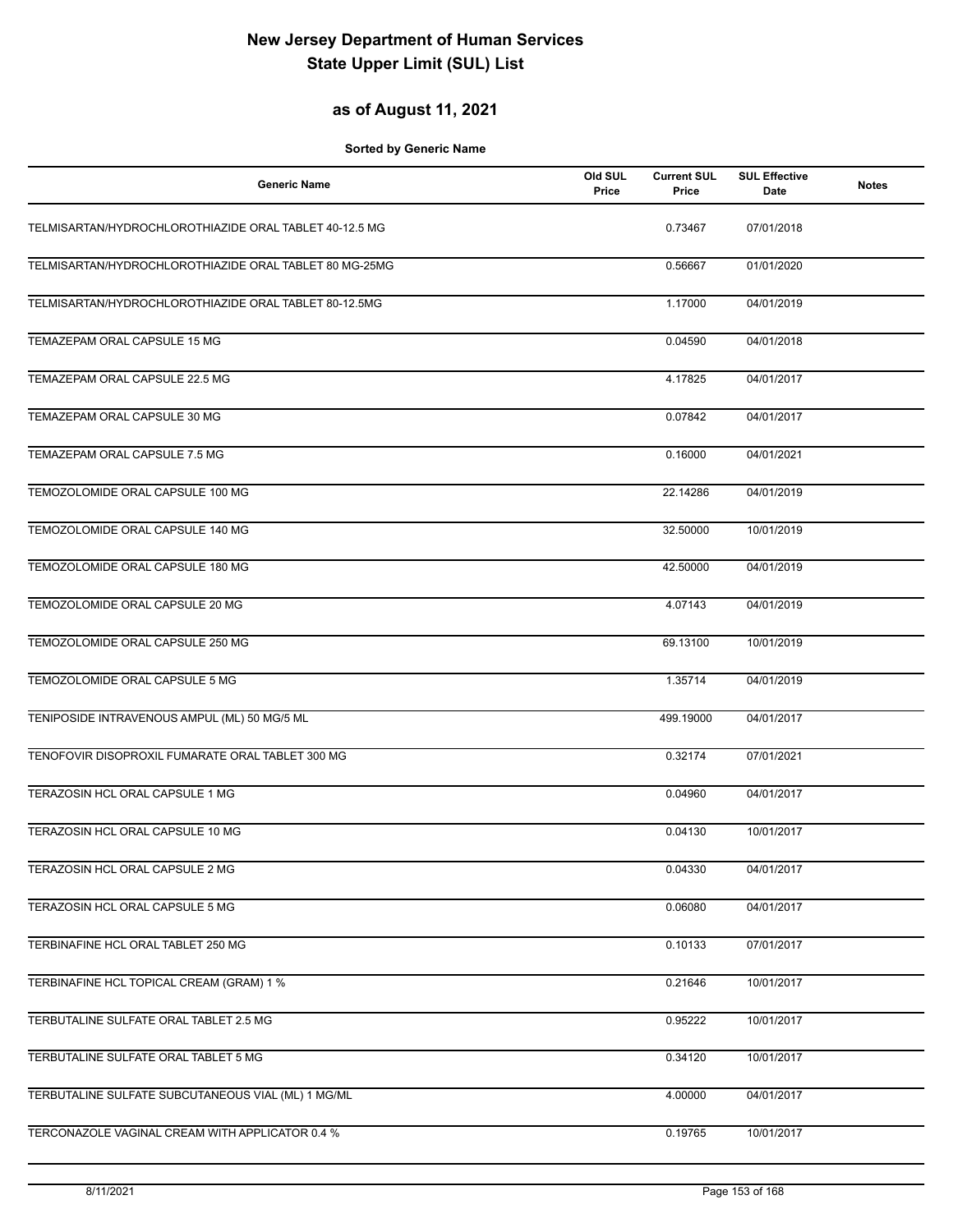### **as of August 11, 2021**

| <b>Generic Name</b>                                    | Old SUL<br>Price | <b>Current SUL</b><br>Price | <b>SUL Effective</b><br>Date | <b>Notes</b> |
|--------------------------------------------------------|------------------|-----------------------------|------------------------------|--------------|
| TELMISARTAN/HYDROCHLOROTHIAZIDE ORAL TABLET 40-12.5 MG |                  | 0.73467                     | 07/01/2018                   |              |
| TELMISARTAN/HYDROCHLOROTHIAZIDE ORAL TABLET 80 MG-25MG |                  | 0.56667                     | 01/01/2020                   |              |
| TELMISARTAN/HYDROCHLOROTHIAZIDE ORAL TABLET 80-12.5MG  |                  | 1.17000                     | 04/01/2019                   |              |
| TEMAZEPAM ORAL CAPSULE 15 MG                           |                  | 0.04590                     | 04/01/2018                   |              |
| TEMAZEPAM ORAL CAPSULE 22.5 MG                         |                  | 4.17825                     | 04/01/2017                   |              |
| TEMAZEPAM ORAL CAPSULE 30 MG                           |                  | 0.07842                     | 04/01/2017                   |              |
| TEMAZEPAM ORAL CAPSULE 7.5 MG                          |                  | 0.16000                     | 04/01/2021                   |              |
| TEMOZOLOMIDE ORAL CAPSULE 100 MG                       |                  | 22.14286                    | 04/01/2019                   |              |
| TEMOZOLOMIDE ORAL CAPSULE 140 MG                       |                  | 32.50000                    | 10/01/2019                   |              |
| TEMOZOLOMIDE ORAL CAPSULE 180 MG                       |                  | 42.50000                    | 04/01/2019                   |              |
| TEMOZOLOMIDE ORAL CAPSULE 20 MG                        |                  | 4.07143                     | 04/01/2019                   |              |
| TEMOZOLOMIDE ORAL CAPSULE 250 MG                       |                  | 69.13100                    | 10/01/2019                   |              |
| TEMOZOLOMIDE ORAL CAPSULE 5 MG                         |                  | 1.35714                     | 04/01/2019                   |              |
| TENIPOSIDE INTRAVENOUS AMPUL (ML) 50 MG/5 ML           |                  | 499.19000                   | 04/01/2017                   |              |
| TENOFOVIR DISOPROXIL FUMARATE ORAL TABLET 300 MG       |                  | 0.32174                     | 07/01/2021                   |              |
| TERAZOSIN HCL ORAL CAPSULE 1 MG                        |                  | 0.04960                     | 04/01/2017                   |              |
| TERAZOSIN HCL ORAL CAPSULE 10 MG                       |                  | 0.04130                     | 10/01/2017                   |              |
| TERAZOSIN HCL ORAL CAPSULE 2 MG                        |                  | 0.04330                     | 04/01/2017                   |              |
| TERAZOSIN HCL ORAL CAPSULE 5 MG                        |                  | 0.06080                     | 04/01/2017                   |              |
| TERBINAFINE HCL ORAL TABLET 250 MG                     |                  | 0.10133                     | 07/01/2017                   |              |
| TERBINAFINE HCL TOPICAL CREAM (GRAM) 1 %               |                  | 0.21646                     | 10/01/2017                   |              |
| TERBUTALINE SULFATE ORAL TABLET 2.5 MG                 |                  | 0.95222                     | 10/01/2017                   |              |
| TERBUTALINE SULFATE ORAL TABLET 5 MG                   |                  | 0.34120                     | 10/01/2017                   |              |
| TERBUTALINE SULFATE SUBCUTANEOUS VIAL (ML) 1 MG/ML     |                  | 4.00000                     | 04/01/2017                   |              |
| TERCONAZOLE VAGINAL CREAM WITH APPLICATOR 0.4 %        |                  | 0.19765                     | 10/01/2017                   |              |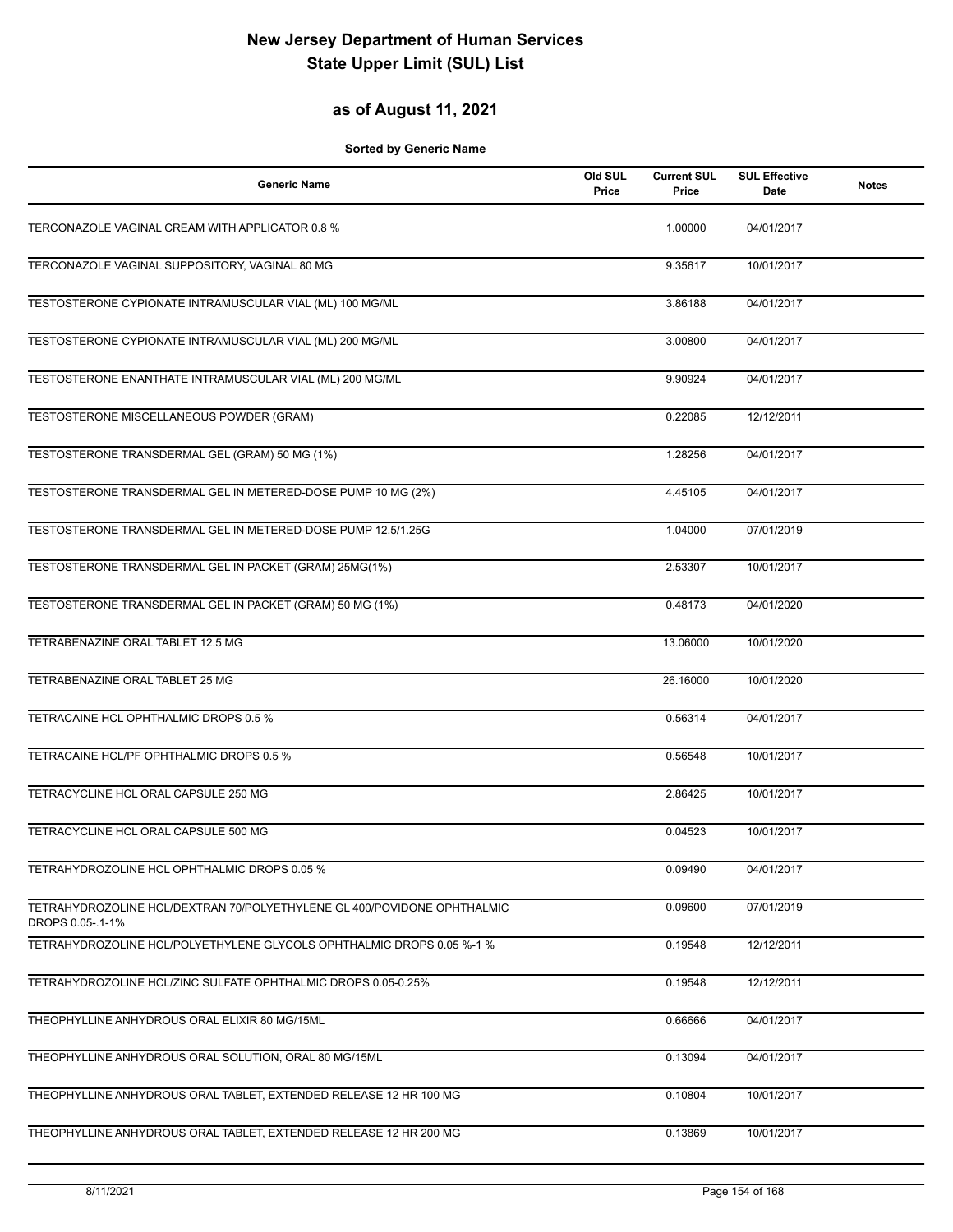### **as of August 11, 2021**

| <b>Generic Name</b>                                                                         | Old SUL<br>Price | <b>Current SUL</b><br>Price | <b>SUL Effective</b><br>Date | <b>Notes</b> |
|---------------------------------------------------------------------------------------------|------------------|-----------------------------|------------------------------|--------------|
| TERCONAZOLE VAGINAL CREAM WITH APPLICATOR 0.8 %                                             |                  | 1.00000                     | 04/01/2017                   |              |
| TERCONAZOLE VAGINAL SUPPOSITORY, VAGINAL 80 MG                                              |                  | 9.35617                     | 10/01/2017                   |              |
| TESTOSTERONE CYPIONATE INTRAMUSCULAR VIAL (ML) 100 MG/ML                                    |                  | 3.86188                     | 04/01/2017                   |              |
| TESTOSTERONE CYPIONATE INTRAMUSCULAR VIAL (ML) 200 MG/ML                                    |                  | 3.00800                     | 04/01/2017                   |              |
| TESTOSTERONE ENANTHATE INTRAMUSCULAR VIAL (ML) 200 MG/ML                                    |                  | 9.90924                     | 04/01/2017                   |              |
| TESTOSTERONE MISCELLANEOUS POWDER (GRAM)                                                    |                  | 0.22085                     | 12/12/2011                   |              |
| TESTOSTERONE TRANSDERMAL GEL (GRAM) 50 MG (1%)                                              |                  | 1.28256                     | 04/01/2017                   |              |
| TESTOSTERONE TRANSDERMAL GEL IN METERED-DOSE PUMP 10 MG (2%)                                |                  | 4.45105                     | 04/01/2017                   |              |
| TESTOSTERONE TRANSDERMAL GEL IN METERED-DOSE PUMP 12.5/1.25G                                |                  | 1.04000                     | 07/01/2019                   |              |
| TESTOSTERONE TRANSDERMAL GEL IN PACKET (GRAM) 25MG(1%)                                      |                  | 2.53307                     | 10/01/2017                   |              |
| TESTOSTERONE TRANSDERMAL GEL IN PACKET (GRAM) 50 MG (1%)                                    |                  | 0.48173                     | 04/01/2020                   |              |
| TETRABENAZINE ORAL TABLET 12.5 MG                                                           |                  | 13.06000                    | 10/01/2020                   |              |
| TETRABENAZINE ORAL TABLET 25 MG                                                             |                  | 26.16000                    | 10/01/2020                   |              |
| TETRACAINE HCL OPHTHALMIC DROPS 0.5 %                                                       |                  | 0.56314                     | 04/01/2017                   |              |
| TETRACAINE HCL/PF OPHTHALMIC DROPS 0.5 %                                                    |                  | 0.56548                     | 10/01/2017                   |              |
| TETRACYCLINE HCL ORAL CAPSULE 250 MG                                                        |                  | 2.86425                     | 10/01/2017                   |              |
| TETRACYCLINE HCL ORAL CAPSULE 500 MG                                                        |                  | 0.04523                     | 10/01/2017                   |              |
| TETRAHYDROZOLINE HCL OPHTHALMIC DROPS 0.05 %                                                |                  | 0.09490                     | 04/01/2017                   |              |
| TETRAHYDROZOLINE HCL/DEXTRAN 70/POLYETHYLENE GL 400/POVIDONE OPHTHALMIC<br>DROPS 0.05-.1-1% |                  | 0.09600                     | 07/01/2019                   |              |
| TETRAHYDROZOLINE HCL/POLYETHYLENE GLYCOLS OPHTHALMIC DROPS 0.05 %-1 %                       |                  | 0.19548                     | 12/12/2011                   |              |
| TETRAHYDROZOLINE HCL/ZINC SULFATE OPHTHALMIC DROPS 0.05-0.25%                               |                  | 0.19548                     | 12/12/2011                   |              |
| THEOPHYLLINE ANHYDROUS ORAL ELIXIR 80 MG/15ML                                               |                  | 0.66666                     | 04/01/2017                   |              |
| THEOPHYLLINE ANHYDROUS ORAL SOLUTION, ORAL 80 MG/15ML                                       |                  | 0.13094                     | 04/01/2017                   |              |
| THEOPHYLLINE ANHYDROUS ORAL TABLET, EXTENDED RELEASE 12 HR 100 MG                           |                  | 0.10804                     | 10/01/2017                   |              |
| THEOPHYLLINE ANHYDROUS ORAL TABLET, EXTENDED RELEASE 12 HR 200 MG                           |                  | 0.13869                     | 10/01/2017                   |              |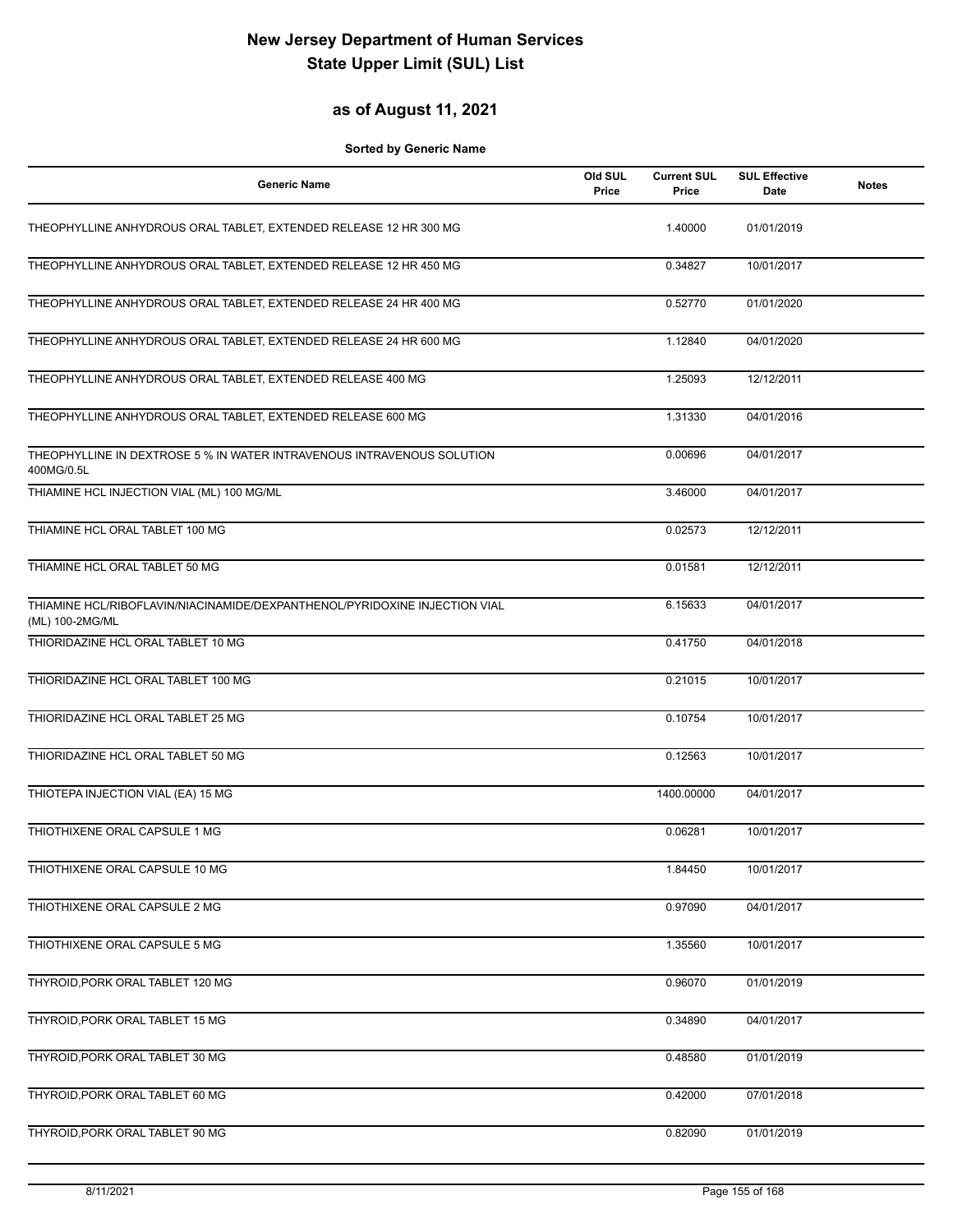#### **as of August 11, 2021**

| <b>Generic Name</b>                                                                           | Old SUL<br>Price | <b>Current SUL</b><br>Price | <b>SUL Effective</b><br>Date | <b>Notes</b> |
|-----------------------------------------------------------------------------------------------|------------------|-----------------------------|------------------------------|--------------|
| THEOPHYLLINE ANHYDROUS ORAL TABLET, EXTENDED RELEASE 12 HR 300 MG                             |                  | 1.40000                     | 01/01/2019                   |              |
| THEOPHYLLINE ANHYDROUS ORAL TABLET, EXTENDED RELEASE 12 HR 450 MG                             |                  | 0.34827                     | 10/01/2017                   |              |
| THEOPHYLLINE ANHYDROUS ORAL TABLET, EXTENDED RELEASE 24 HR 400 MG                             |                  | 0.52770                     | 01/01/2020                   |              |
| THEOPHYLLINE ANHYDROUS ORAL TABLET, EXTENDED RELEASE 24 HR 600 MG                             |                  | 1.12840                     | 04/01/2020                   |              |
| THEOPHYLLINE ANHYDROUS ORAL TABLET, EXTENDED RELEASE 400 MG                                   |                  | 1.25093                     | 12/12/2011                   |              |
| THEOPHYLLINE ANHYDROUS ORAL TABLET, EXTENDED RELEASE 600 MG                                   |                  | 1.31330                     | 04/01/2016                   |              |
| THEOPHYLLINE IN DEXTROSE 5 % IN WATER INTRAVENOUS INTRAVENOUS SOLUTION<br>400MG/0.5L          |                  | 0.00696                     | 04/01/2017                   |              |
| THIAMINE HCL INJECTION VIAL (ML) 100 MG/ML                                                    |                  | 3.46000                     | 04/01/2017                   |              |
| THIAMINE HCL ORAL TABLET 100 MG                                                               |                  | 0.02573                     | 12/12/2011                   |              |
| THIAMINE HCL ORAL TABLET 50 MG                                                                |                  | 0.01581                     | 12/12/2011                   |              |
| THIAMINE HCL/RIBOFLAVIN/NIACINAMIDE/DEXPANTHENOL/PYRIDOXINE INJECTION VIAL<br>(ML) 100-2MG/ML |                  | 6.15633                     | 04/01/2017                   |              |
| THIORIDAZINE HCL ORAL TABLET 10 MG                                                            |                  | 0.41750                     | 04/01/2018                   |              |
| THIORIDAZINE HCL ORAL TABLET 100 MG                                                           |                  | 0.21015                     | 10/01/2017                   |              |
| THIORIDAZINE HCL ORAL TABLET 25 MG                                                            |                  | 0.10754                     | 10/01/2017                   |              |
| THIORIDAZINE HCL ORAL TABLET 50 MG                                                            |                  | 0.12563                     | 10/01/2017                   |              |
| THIOTEPA INJECTION VIAL (EA) 15 MG                                                            |                  | 1400.00000                  | 04/01/2017                   |              |
| THIOTHIXENE ORAL CAPSULE 1 MG                                                                 |                  | 0.06281                     | 10/01/2017                   |              |
| THIOTHIXENE ORAL CAPSULE 10 MG                                                                |                  | 1.84450                     | 10/01/2017                   |              |
| THIOTHIXENE ORAL CAPSULE 2 MG                                                                 |                  | 0.97090                     | 04/01/2017                   |              |
| THIOTHIXENE ORAL CAPSULE 5 MG                                                                 |                  | 1.35560                     | 10/01/2017                   |              |
| THYROID, PORK ORAL TABLET 120 MG                                                              |                  | 0.96070                     | 01/01/2019                   |              |
| THYROID, PORK ORAL TABLET 15 MG                                                               |                  | 0.34890                     | 04/01/2017                   |              |
| THYROID, PORK ORAL TABLET 30 MG                                                               |                  | 0.48580                     | 01/01/2019                   |              |
| THYROID, PORK ORAL TABLET 60 MG                                                               |                  | 0.42000                     | 07/01/2018                   |              |
| THYROID, PORK ORAL TABLET 90 MG                                                               |                  | 0.82090                     | 01/01/2019                   |              |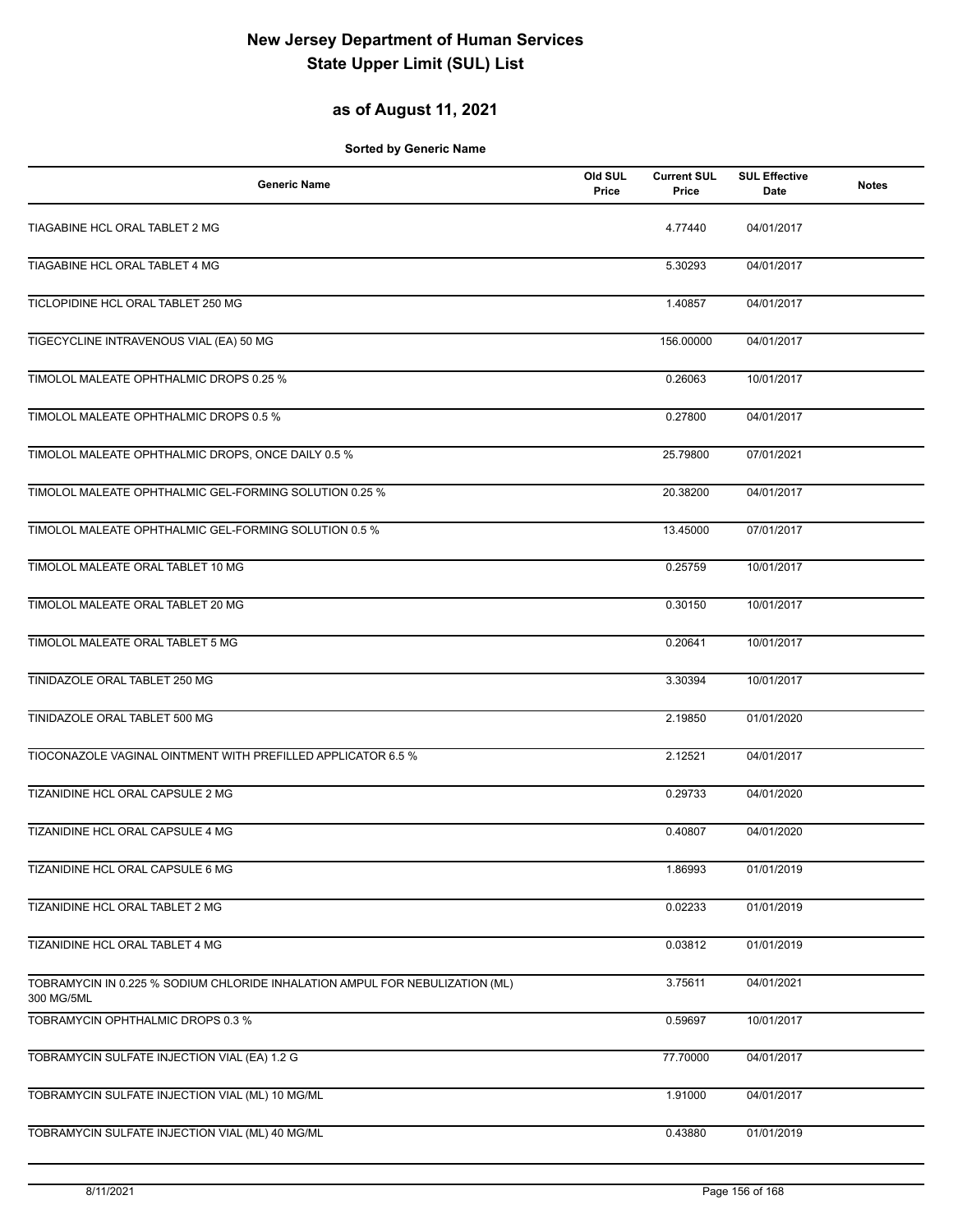### **as of August 11, 2021**

| <b>Generic Name</b>                                                                        | Old SUL<br>Price | <b>Current SUL</b><br>Price | <b>SUL Effective</b><br>Date | <b>Notes</b> |
|--------------------------------------------------------------------------------------------|------------------|-----------------------------|------------------------------|--------------|
| TIAGABINE HCL ORAL TABLET 2 MG                                                             |                  | 4.77440                     | 04/01/2017                   |              |
| TIAGABINE HCL ORAL TABLET 4 MG                                                             |                  | 5.30293                     | 04/01/2017                   |              |
| TICLOPIDINE HCL ORAL TABLET 250 MG                                                         |                  | 1.40857                     | 04/01/2017                   |              |
| TIGECYCLINE INTRAVENOUS VIAL (EA) 50 MG                                                    |                  | 156.00000                   | 04/01/2017                   |              |
| TIMOLOL MALEATE OPHTHALMIC DROPS 0.25 %                                                    |                  | 0.26063                     | 10/01/2017                   |              |
| TIMOLOL MALEATE OPHTHALMIC DROPS 0.5 %                                                     |                  | 0.27800                     | 04/01/2017                   |              |
| TIMOLOL MALEATE OPHTHALMIC DROPS, ONCE DAILY 0.5 %                                         |                  | 25.79800                    | 07/01/2021                   |              |
| TIMOLOL MALEATE OPHTHALMIC GEL-FORMING SOLUTION 0.25 %                                     |                  | 20.38200                    | 04/01/2017                   |              |
| TIMOLOL MALEATE OPHTHALMIC GEL-FORMING SOLUTION 0.5 %                                      |                  | 13.45000                    | 07/01/2017                   |              |
| TIMOLOL MALEATE ORAL TABLET 10 MG                                                          |                  | 0.25759                     | 10/01/2017                   |              |
| TIMOLOL MALEATE ORAL TABLET 20 MG                                                          |                  | 0.30150                     | 10/01/2017                   |              |
| TIMOLOL MALEATE ORAL TABLET 5 MG                                                           |                  | 0.20641                     | 10/01/2017                   |              |
| TINIDAZOLE ORAL TABLET 250 MG                                                              |                  | 3.30394                     | 10/01/2017                   |              |
| TINIDAZOLE ORAL TABLET 500 MG                                                              |                  | 2.19850                     | 01/01/2020                   |              |
| TIOCONAZOLE VAGINAL OINTMENT WITH PREFILLED APPLICATOR 6.5 %                               |                  | 2.12521                     | 04/01/2017                   |              |
| TIZANIDINE HCL ORAL CAPSULE 2 MG                                                           |                  | 0.29733                     | 04/01/2020                   |              |
| TIZANIDINE HCL ORAL CAPSULE 4 MG                                                           |                  | 0.40807                     | 04/01/2020                   |              |
| TIZANIDINE HCL ORAL CAPSULE 6 MG                                                           |                  | 1.86993                     | 01/01/2019                   |              |
| TIZANIDINE HCL ORAL TABLET 2 MG                                                            |                  | 0.02233                     | 01/01/2019                   |              |
| TIZANIDINE HCL ORAL TABLET 4 MG                                                            |                  | 0.03812                     | 01/01/2019                   |              |
| TOBRAMYCIN IN 0.225 % SODIUM CHLORIDE INHALATION AMPUL FOR NEBULIZATION (ML)<br>300 MG/5ML |                  | 3.75611                     | 04/01/2021                   |              |
| TOBRAMYCIN OPHTHALMIC DROPS 0.3 %                                                          |                  | 0.59697                     | 10/01/2017                   |              |
| TOBRAMYCIN SULFATE INJECTION VIAL (EA) 1.2 G                                               |                  | 77.70000                    | 04/01/2017                   |              |
| TOBRAMYCIN SULFATE INJECTION VIAL (ML) 10 MG/ML                                            |                  | 1.91000                     | 04/01/2017                   |              |
| TOBRAMYCIN SULFATE INJECTION VIAL (ML) 40 MG/ML                                            |                  | 0.43880                     | 01/01/2019                   |              |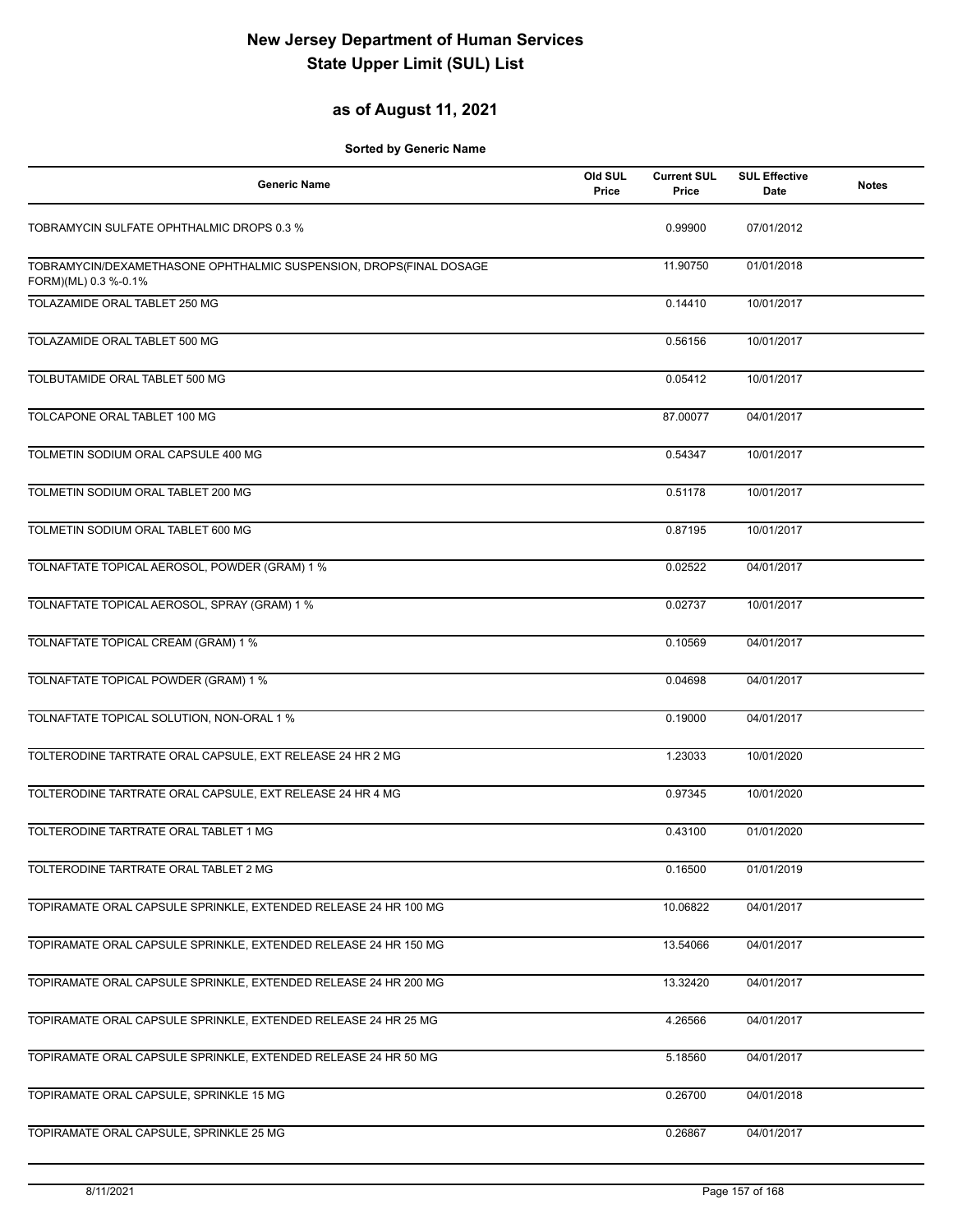#### **as of August 11, 2021**

| <b>Generic Name</b>                                                                        | Old SUL<br>Price | <b>Current SUL</b><br>Price | <b>SUL Effective</b><br><b>Date</b> | <b>Notes</b> |
|--------------------------------------------------------------------------------------------|------------------|-----------------------------|-------------------------------------|--------------|
| TOBRAMYCIN SULFATE OPHTHALMIC DROPS 0.3 %                                                  |                  | 0.99900                     | 07/01/2012                          |              |
| TOBRAMYCIN/DEXAMETHASONE OPHTHALMIC SUSPENSION, DROPS(FINAL DOSAGE<br>FORM)(ML) 0.3 %-0.1% |                  | 11.90750                    | 01/01/2018                          |              |
| TOLAZAMIDE ORAL TABLET 250 MG                                                              |                  | 0.14410                     | 10/01/2017                          |              |
| TOLAZAMIDE ORAL TABLET 500 MG                                                              |                  | 0.56156                     | 10/01/2017                          |              |
| TOLBUTAMIDE ORAL TABLET 500 MG                                                             |                  | 0.05412                     | 10/01/2017                          |              |
| TOLCAPONE ORAL TABLET 100 MG                                                               |                  | 87.00077                    | 04/01/2017                          |              |
| TOLMETIN SODIUM ORAL CAPSULE 400 MG                                                        |                  | 0.54347                     | 10/01/2017                          |              |
| TOLMETIN SODIUM ORAL TABLET 200 MG                                                         |                  | 0.51178                     | 10/01/2017                          |              |
| TOLMETIN SODIUM ORAL TABLET 600 MG                                                         |                  | 0.87195                     | 10/01/2017                          |              |
| TOLNAFTATE TOPICAL AEROSOL, POWDER (GRAM) 1 %                                              |                  | 0.02522                     | 04/01/2017                          |              |
| TOLNAFTATE TOPICAL AEROSOL, SPRAY (GRAM) 1 %                                               |                  | 0.02737                     | 10/01/2017                          |              |
| TOLNAFTATE TOPICAL CREAM (GRAM) 1 %                                                        |                  | 0.10569                     | 04/01/2017                          |              |
| TOLNAFTATE TOPICAL POWDER (GRAM) 1 %                                                       |                  | 0.04698                     | 04/01/2017                          |              |
| TOLNAFTATE TOPICAL SOLUTION, NON-ORAL 1 %                                                  |                  | 0.19000                     | 04/01/2017                          |              |
| TOLTERODINE TARTRATE ORAL CAPSULE, EXT RELEASE 24 HR 2 MG                                  |                  | 1.23033                     | 10/01/2020                          |              |
| TOLTERODINE TARTRATE ORAL CAPSULE, EXT RELEASE 24 HR 4 MG                                  |                  | 0.97345                     | 10/01/2020                          |              |
| TOLTERODINE TARTRATE ORAL TABLET 1 MG                                                      |                  | 0.43100                     | 01/01/2020                          |              |
| TOLTERODINE TARTRATE ORAL TABLET 2 MG                                                      |                  | 0.16500                     | 01/01/2019                          |              |
| TOPIRAMATE ORAL CAPSULE SPRINKLE, EXTENDED RELEASE 24 HR 100 MG                            |                  | 10.06822                    | 04/01/2017                          |              |
| TOPIRAMATE ORAL CAPSULE SPRINKLE, EXTENDED RELEASE 24 HR 150 MG                            |                  | 13.54066                    | 04/01/2017                          |              |
| TOPIRAMATE ORAL CAPSULE SPRINKLE, EXTENDED RELEASE 24 HR 200 MG                            |                  | 13.32420                    | 04/01/2017                          |              |
| TOPIRAMATE ORAL CAPSULE SPRINKLE, EXTENDED RELEASE 24 HR 25 MG                             |                  | 4.26566                     | 04/01/2017                          |              |
| TOPIRAMATE ORAL CAPSULE SPRINKLE, EXTENDED RELEASE 24 HR 50 MG                             |                  | 5.18560                     | 04/01/2017                          |              |
| TOPIRAMATE ORAL CAPSULE, SPRINKLE 15 MG                                                    |                  | 0.26700                     | 04/01/2018                          |              |
| TOPIRAMATE ORAL CAPSULE, SPRINKLE 25 MG                                                    |                  | 0.26867                     | 04/01/2017                          |              |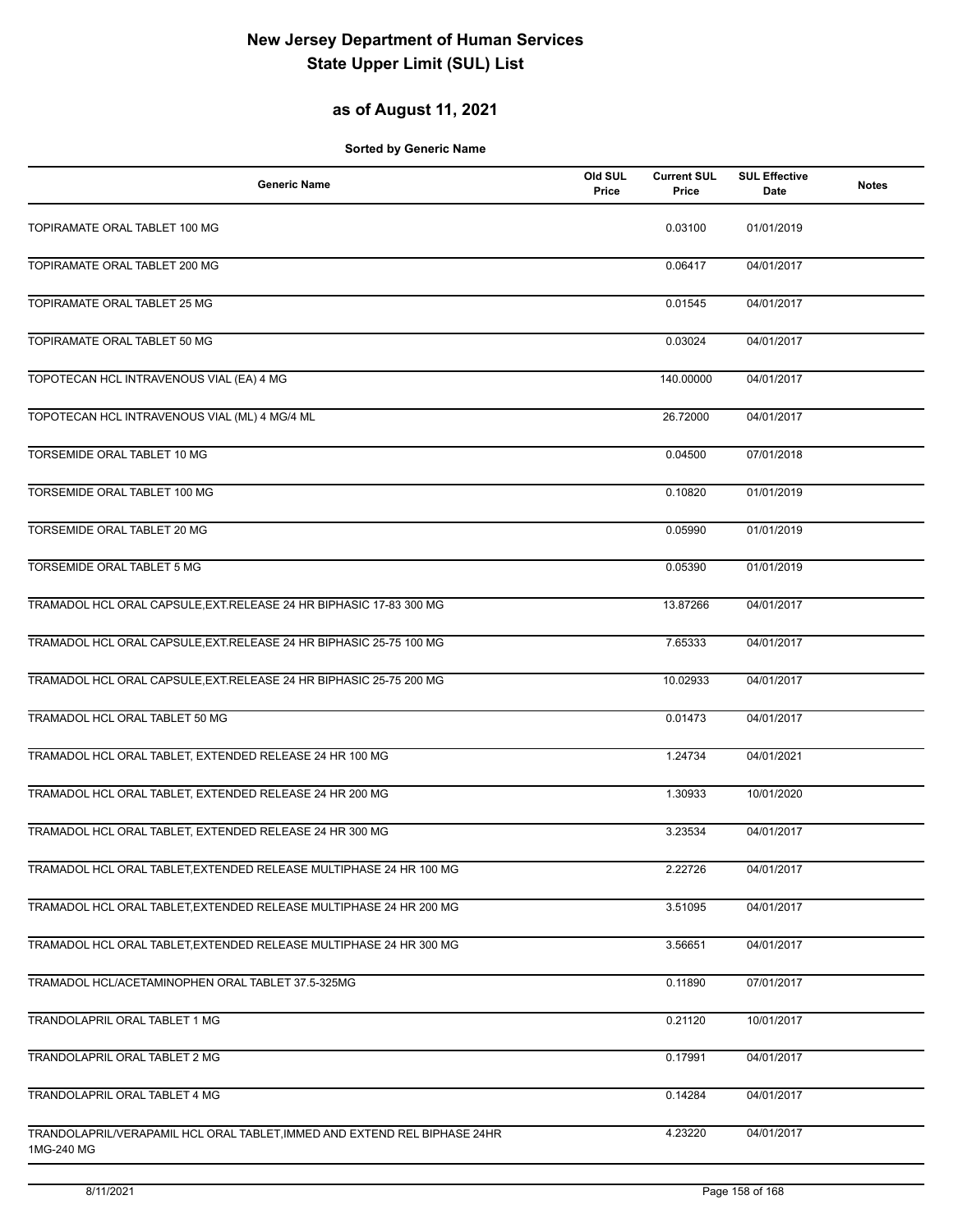### **as of August 11, 2021**

| <b>Generic Name</b>                                                                     | Old SUL<br>Price | <b>Current SUL</b><br>Price | <b>SUL Effective</b><br><b>Date</b> | <b>Notes</b> |
|-----------------------------------------------------------------------------------------|------------------|-----------------------------|-------------------------------------|--------------|
| TOPIRAMATE ORAL TABLET 100 MG                                                           |                  | 0.03100                     | 01/01/2019                          |              |
| TOPIRAMATE ORAL TABLET 200 MG                                                           |                  | 0.06417                     | 04/01/2017                          |              |
| TOPIRAMATE ORAL TABLET 25 MG                                                            |                  | 0.01545                     | 04/01/2017                          |              |
| TOPIRAMATE ORAL TABLET 50 MG                                                            |                  | 0.03024                     | 04/01/2017                          |              |
| TOPOTECAN HCL INTRAVENOUS VIAL (EA) 4 MG                                                |                  | 140.00000                   | 04/01/2017                          |              |
| TOPOTECAN HCL INTRAVENOUS VIAL (ML) 4 MG/4 ML                                           |                  | 26.72000                    | 04/01/2017                          |              |
| TORSEMIDE ORAL TABLET 10 MG                                                             |                  | 0.04500                     | 07/01/2018                          |              |
| TORSEMIDE ORAL TABLET 100 MG                                                            |                  | 0.10820                     | 01/01/2019                          |              |
| TORSEMIDE ORAL TABLET 20 MG                                                             |                  | 0.05990                     | 01/01/2019                          |              |
| TORSEMIDE ORAL TABLET 5 MG                                                              |                  | 0.05390                     | 01/01/2019                          |              |
| TRAMADOL HCL ORAL CAPSULE, EXT. RELEASE 24 HR BIPHASIC 17-83 300 MG                     |                  | 13.87266                    | 04/01/2017                          |              |
| TRAMADOL HCL ORAL CAPSULE, EXT.RELEASE 24 HR BIPHASIC 25-75 100 MG                      |                  | 7.65333                     | 04/01/2017                          |              |
| TRAMADOL HCL ORAL CAPSULE, EXT.RELEASE 24 HR BIPHASIC 25-75 200 MG                      |                  | 10.02933                    | 04/01/2017                          |              |
| TRAMADOL HCL ORAL TABLET 50 MG                                                          |                  | 0.01473                     | 04/01/2017                          |              |
| TRAMADOL HCL ORAL TABLET, EXTENDED RELEASE 24 HR 100 MG                                 |                  | 1.24734                     | 04/01/2021                          |              |
| TRAMADOL HCL ORAL TABLET, EXTENDED RELEASE 24 HR 200 MG                                 |                  | 1.30933                     | 10/01/2020                          |              |
| TRAMADOL HCL ORAL TABLET, EXTENDED RELEASE 24 HR 300 MG                                 |                  | 3.23534                     | 04/01/2017                          |              |
| TRAMADOL HCL ORAL TABLET,EXTENDED RELEASE MULTIPHASE 24 HR 100 MG                       |                  | 2.22726                     | 04/01/2017                          |              |
| TRAMADOL HCL ORAL TABLET, EXTENDED RELEASE MULTIPHASE 24 HR 200 MG                      |                  | 3.51095                     | 04/01/2017                          |              |
| TRAMADOL HCL ORAL TABLET, EXTENDED RELEASE MULTIPHASE 24 HR 300 MG                      |                  | 3.56651                     | 04/01/2017                          |              |
| TRAMADOL HCL/ACETAMINOPHEN ORAL TABLET 37.5-325MG                                       |                  | 0.11890                     | 07/01/2017                          |              |
| TRANDOLAPRIL ORAL TABLET 1 MG                                                           |                  | 0.21120                     | 10/01/2017                          |              |
| TRANDOLAPRIL ORAL TABLET 2 MG                                                           |                  | 0.17991                     | 04/01/2017                          |              |
| TRANDOLAPRIL ORAL TABLET 4 MG                                                           |                  | 0.14284                     | 04/01/2017                          |              |
| TRANDOLAPRIL/VERAPAMIL HCL ORAL TABLET, IMMED AND EXTEND REL BIPHASE 24HR<br>1MG-240 MG |                  | 4.23220                     | 04/01/2017                          |              |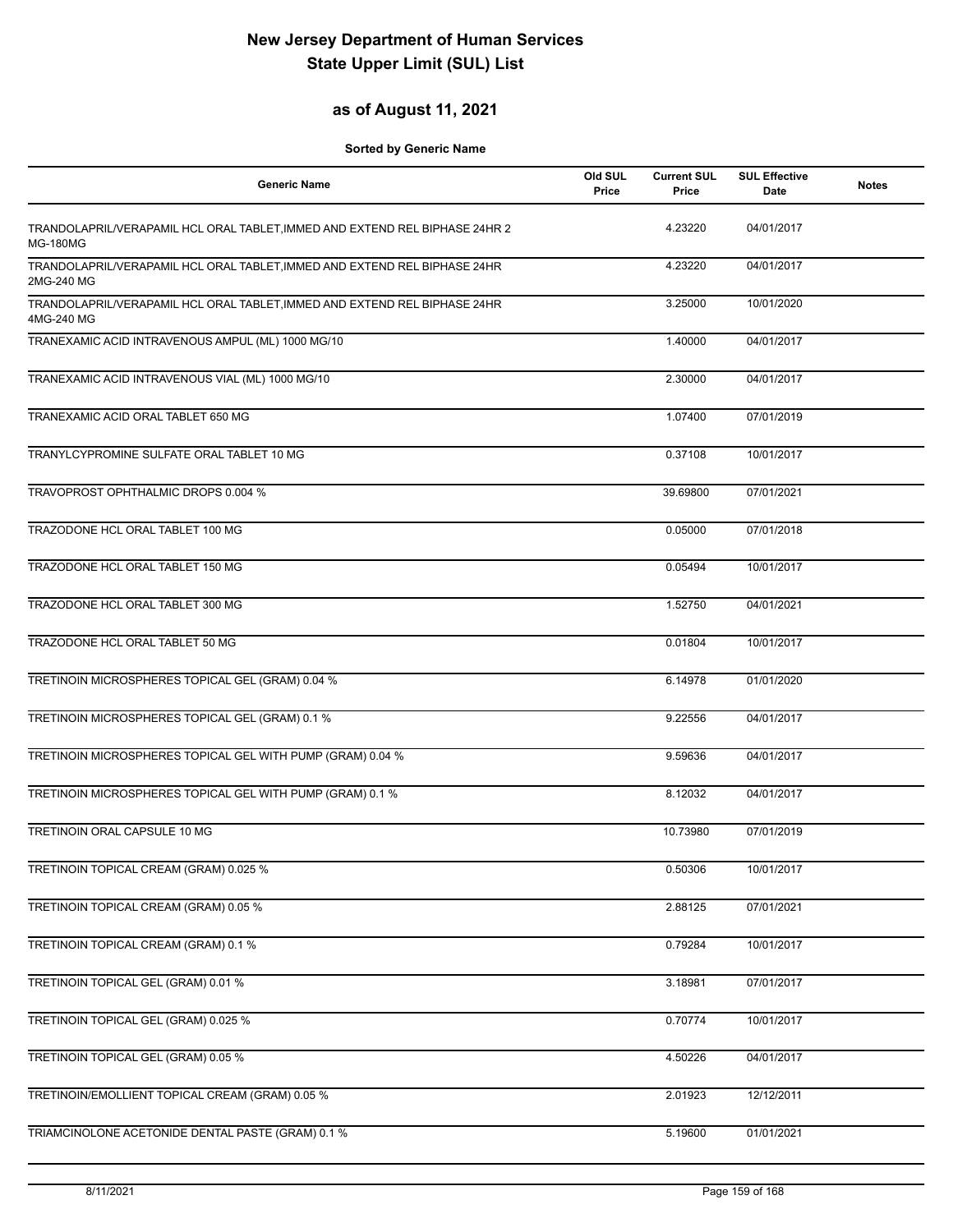#### **as of August 11, 2021**

| <b>Generic Name</b>                                                                            | Old SUL<br>Price | <b>Current SUL</b><br>Price | <b>SUL Effective</b><br>Date | <b>Notes</b> |
|------------------------------------------------------------------------------------------------|------------------|-----------------------------|------------------------------|--------------|
| TRANDOLAPRIL/VERAPAMIL HCL ORAL TABLET, IMMED AND EXTEND REL BIPHASE 24HR 2<br><b>MG-180MG</b> |                  | 4.23220                     | 04/01/2017                   |              |
| TRANDOLAPRIL/VERAPAMIL HCL ORAL TABLET, IMMED AND EXTEND REL BIPHASE 24HR<br>2MG-240 MG        |                  | 4.23220                     | 04/01/2017                   |              |
| TRANDOLAPRIL/VERAPAMIL HCL ORAL TABLET, IMMED AND EXTEND REL BIPHASE 24HR<br>4MG-240 MG        |                  | 3.25000                     | 10/01/2020                   |              |
| TRANEXAMIC ACID INTRAVENOUS AMPUL (ML) 1000 MG/10                                              |                  | 1.40000                     | 04/01/2017                   |              |
| TRANEXAMIC ACID INTRAVENOUS VIAL (ML) 1000 MG/10                                               |                  | 2.30000                     | 04/01/2017                   |              |
| TRANEXAMIC ACID ORAL TABLET 650 MG                                                             |                  | 1.07400                     | 07/01/2019                   |              |
| TRANYLCYPROMINE SULFATE ORAL TABLET 10 MG                                                      |                  | 0.37108                     | 10/01/2017                   |              |
| TRAVOPROST OPHTHALMIC DROPS 0.004 %                                                            |                  | 39.69800                    | 07/01/2021                   |              |
| TRAZODONE HCL ORAL TABLET 100 MG                                                               |                  | 0.05000                     | 07/01/2018                   |              |
| TRAZODONE HCL ORAL TABLET 150 MG                                                               |                  | 0.05494                     | 10/01/2017                   |              |
| TRAZODONE HCL ORAL TABLET 300 MG                                                               |                  | 1.52750                     | 04/01/2021                   |              |
| TRAZODONE HCL ORAL TABLET 50 MG                                                                |                  | 0.01804                     | 10/01/2017                   |              |
| TRETINOIN MICROSPHERES TOPICAL GEL (GRAM) 0.04 %                                               |                  | 6.14978                     | 01/01/2020                   |              |
| TRETINOIN MICROSPHERES TOPICAL GEL (GRAM) 0.1 %                                                |                  | 9.22556                     | 04/01/2017                   |              |
| TRETINOIN MICROSPHERES TOPICAL GEL WITH PUMP (GRAM) 0.04 %                                     |                  | 9.59636                     | 04/01/2017                   |              |
| TRETINOIN MICROSPHERES TOPICAL GEL WITH PUMP (GRAM) 0.1 %                                      |                  | 8.12032                     | 04/01/2017                   |              |
| TRETINOIN ORAL CAPSULE 10 MG                                                                   |                  | 10.73980                    | 07/01/2019                   |              |
| TRETINOIN TOPICAL CREAM (GRAM) 0.025 %                                                         |                  | 0.50306                     | 10/01/2017                   |              |
| TRETINOIN TOPICAL CREAM (GRAM) 0.05 %                                                          |                  | 2.88125                     | 07/01/2021                   |              |
| TRETINOIN TOPICAL CREAM (GRAM) 0.1 %                                                           |                  | 0.79284                     | 10/01/2017                   |              |
| TRETINOIN TOPICAL GEL (GRAM) 0.01 %                                                            |                  | 3.18981                     | 07/01/2017                   |              |
| TRETINOIN TOPICAL GEL (GRAM) 0.025 %                                                           |                  | 0.70774                     | 10/01/2017                   |              |
| TRETINOIN TOPICAL GEL (GRAM) 0.05 %                                                            |                  | 4.50226                     | 04/01/2017                   |              |
| TRETINOIN/EMOLLIENT TOPICAL CREAM (GRAM) 0.05 %                                                |                  | 2.01923                     | 12/12/2011                   |              |
| TRIAMCINOLONE ACETONIDE DENTAL PASTE (GRAM) 0.1 %                                              |                  | 5.19600                     | 01/01/2021                   |              |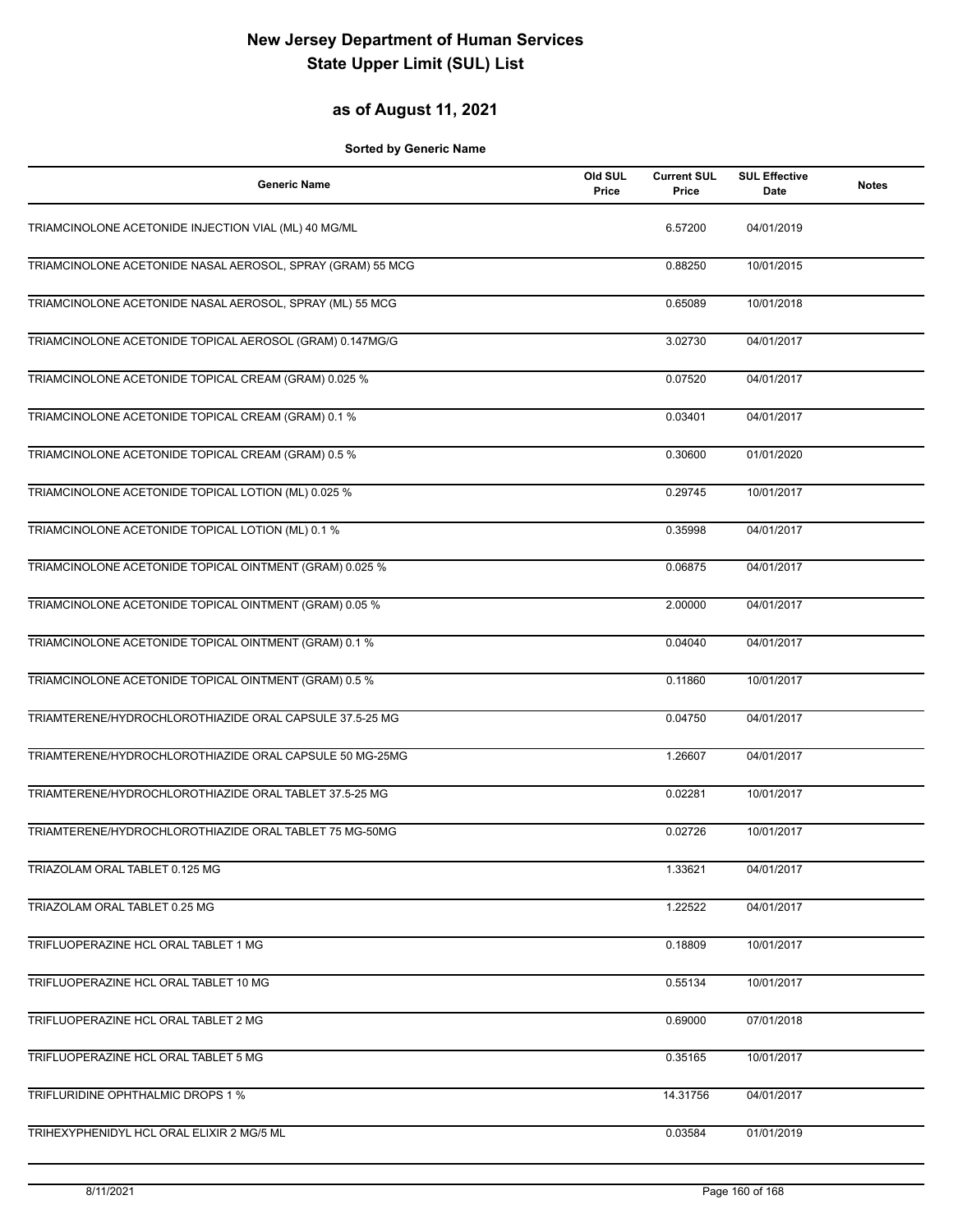### **as of August 11, 2021**

| <b>Generic Name</b>                                        | Old SUL<br>Price | <b>Current SUL</b><br>Price | <b>SUL Effective</b><br><b>Date</b> | <b>Notes</b> |
|------------------------------------------------------------|------------------|-----------------------------|-------------------------------------|--------------|
| TRIAMCINOLONE ACETONIDE INJECTION VIAL (ML) 40 MG/ML       |                  | 6.57200                     | 04/01/2019                          |              |
| TRIAMCINOLONE ACETONIDE NASAL AEROSOL, SPRAY (GRAM) 55 MCG |                  | 0.88250                     | 10/01/2015                          |              |
| TRIAMCINOLONE ACETONIDE NASAL AEROSOL, SPRAY (ML) 55 MCG   |                  | 0.65089                     | 10/01/2018                          |              |
| TRIAMCINOLONE ACETONIDE TOPICAL AEROSOL (GRAM) 0.147MG/G   |                  | 3.02730                     | 04/01/2017                          |              |
| TRIAMCINOLONE ACETONIDE TOPICAL CREAM (GRAM) 0.025 %       |                  | 0.07520                     | 04/01/2017                          |              |
| TRIAMCINOLONE ACETONIDE TOPICAL CREAM (GRAM) 0.1 %         |                  | 0.03401                     | 04/01/2017                          |              |
| TRIAMCINOLONE ACETONIDE TOPICAL CREAM (GRAM) 0.5 %         |                  | 0.30600                     | 01/01/2020                          |              |
| TRIAMCINOLONE ACETONIDE TOPICAL LOTION (ML) 0.025 %        |                  | 0.29745                     | 10/01/2017                          |              |
| TRIAMCINOLONE ACETONIDE TOPICAL LOTION (ML) 0.1 %          |                  | 0.35998                     | 04/01/2017                          |              |
| TRIAMCINOLONE ACETONIDE TOPICAL OINTMENT (GRAM) 0.025 %    |                  | 0.06875                     | 04/01/2017                          |              |
| TRIAMCINOLONE ACETONIDE TOPICAL OINTMENT (GRAM) 0.05 %     |                  | 2.00000                     | 04/01/2017                          |              |
| TRIAMCINOLONE ACETONIDE TOPICAL OINTMENT (GRAM) 0.1 %      |                  | 0.04040                     | 04/01/2017                          |              |
| TRIAMCINOLONE ACETONIDE TOPICAL OINTMENT (GRAM) 0.5 %      |                  | 0.11860                     | 10/01/2017                          |              |
| TRIAMTERENE/HYDROCHLOROTHIAZIDE ORAL CAPSULE 37.5-25 MG    |                  | 0.04750                     | 04/01/2017                          |              |
| TRIAMTERENE/HYDROCHLOROTHIAZIDE ORAL CAPSULE 50 MG-25MG    |                  | 1.26607                     | 04/01/2017                          |              |
| TRIAMTERENE/HYDROCHLOROTHIAZIDE ORAL TABLET 37.5-25 MG     |                  | 0.02281                     | 10/01/2017                          |              |
| TRIAMTERENE/HYDROCHLOROTHIAZIDE ORAL TABLET 75 MG-50MG     |                  | 0.02726                     | 10/01/2017                          |              |
| TRIAZOLAM ORAL TABLET 0.125 MG                             |                  | 1.33621                     | 04/01/2017                          |              |
| TRIAZOLAM ORAL TABLET 0.25 MG                              |                  | 1.22522                     | 04/01/2017                          |              |
| TRIFLUOPERAZINE HCL ORAL TABLET 1 MG                       |                  | 0.18809                     | 10/01/2017                          |              |
| TRIFLUOPERAZINE HCL ORAL TABLET 10 MG                      |                  | 0.55134                     | 10/01/2017                          |              |
| TRIFLUOPERAZINE HCL ORAL TABLET 2 MG                       |                  | 0.69000                     | 07/01/2018                          |              |
| TRIFLUOPERAZINE HCL ORAL TABLET 5 MG                       |                  | 0.35165                     | 10/01/2017                          |              |
| TRIFLURIDINE OPHTHALMIC DROPS 1 %                          |                  | 14.31756                    | 04/01/2017                          |              |
| TRIHEXYPHENIDYL HCL ORAL ELIXIR 2 MG/5 ML                  |                  | 0.03584                     | 01/01/2019                          |              |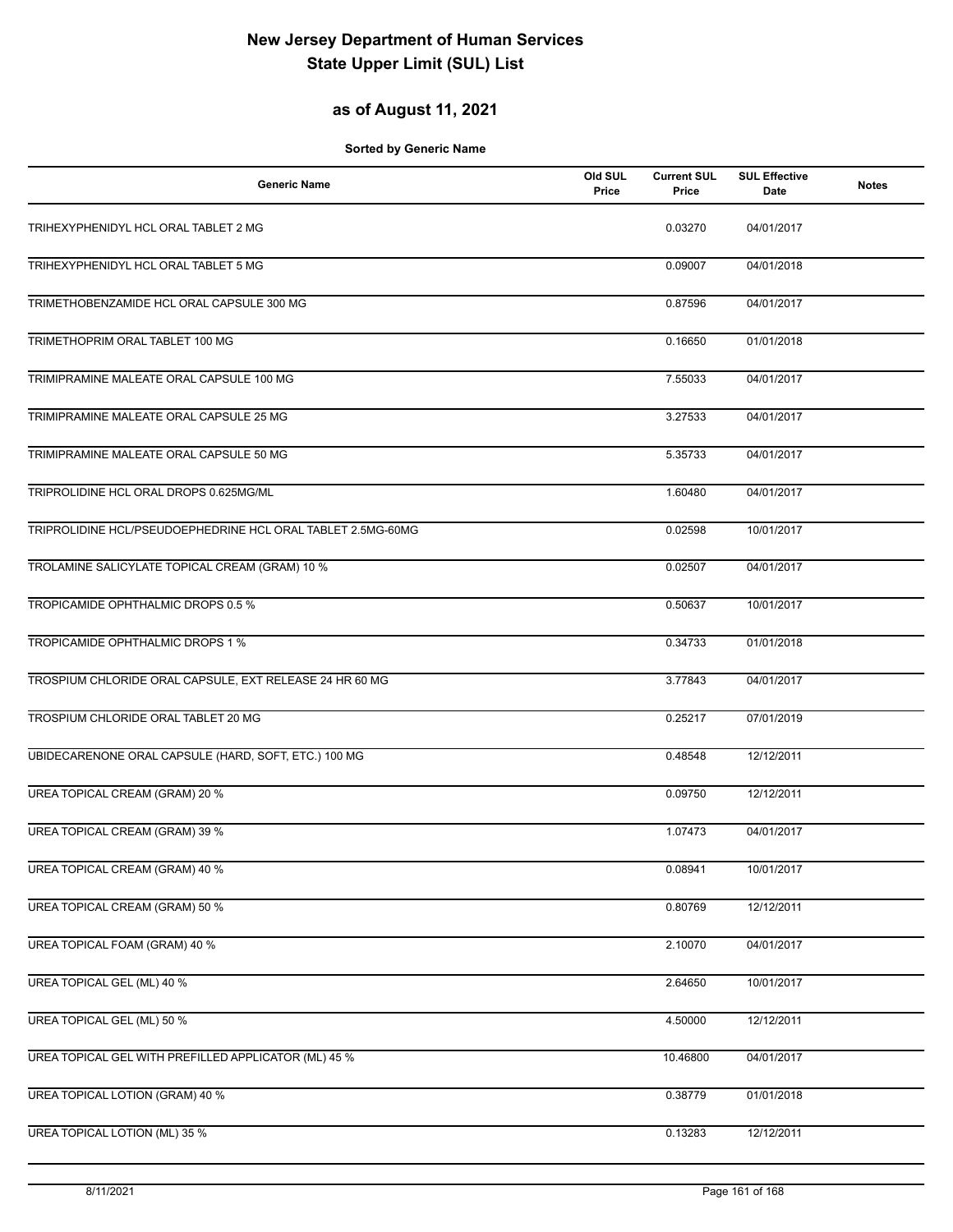### **as of August 11, 2021**

| <b>Generic Name</b>                                         | Old SUL<br>Price | <b>Current SUL</b><br>Price | <b>SUL Effective</b><br>Date | <b>Notes</b> |
|-------------------------------------------------------------|------------------|-----------------------------|------------------------------|--------------|
| TRIHEXYPHENIDYL HCL ORAL TABLET 2 MG                        |                  | 0.03270                     | 04/01/2017                   |              |
| TRIHEXYPHENIDYL HCL ORAL TABLET 5 MG                        |                  | 0.09007                     | 04/01/2018                   |              |
| TRIMETHOBENZAMIDE HCL ORAL CAPSULE 300 MG                   |                  | 0.87596                     | 04/01/2017                   |              |
| TRIMETHOPRIM ORAL TABLET 100 MG                             |                  | 0.16650                     | 01/01/2018                   |              |
| TRIMIPRAMINE MALEATE ORAL CAPSULE 100 MG                    |                  | 7.55033                     | 04/01/2017                   |              |
| TRIMIPRAMINE MALEATE ORAL CAPSULE 25 MG                     |                  | 3.27533                     | 04/01/2017                   |              |
| TRIMIPRAMINE MALEATE ORAL CAPSULE 50 MG                     |                  | 5.35733                     | 04/01/2017                   |              |
| TRIPROLIDINE HCL ORAL DROPS 0.625MG/ML                      |                  | 1.60480                     | 04/01/2017                   |              |
| TRIPROLIDINE HCL/PSEUDOEPHEDRINE HCL ORAL TABLET 2.5MG-60MG |                  | 0.02598                     | 10/01/2017                   |              |
| TROLAMINE SALICYLATE TOPICAL CREAM (GRAM) 10 %              |                  | 0.02507                     | 04/01/2017                   |              |
| TROPICAMIDE OPHTHALMIC DROPS 0.5 %                          |                  | 0.50637                     | 10/01/2017                   |              |
| TROPICAMIDE OPHTHALMIC DROPS 1 %                            |                  | 0.34733                     | 01/01/2018                   |              |
| TROSPIUM CHLORIDE ORAL CAPSULE, EXT RELEASE 24 HR 60 MG     |                  | 3.77843                     | 04/01/2017                   |              |
| TROSPIUM CHLORIDE ORAL TABLET 20 MG                         |                  | 0.25217                     | 07/01/2019                   |              |
| UBIDECARENONE ORAL CAPSULE (HARD, SOFT, ETC.) 100 MG        |                  | 0.48548                     | 12/12/2011                   |              |
| <b>UREA TOPICAL CREAM (GRAM) 20 %</b>                       |                  | 0.09750                     | 12/12/2011                   |              |
| UREA TOPICAL CREAM (GRAM) 39 %                              |                  | 1.07473                     | 04/01/2017                   |              |
| UREA TOPICAL CREAM (GRAM) 40 %                              |                  | 0.08941                     | 10/01/2017                   |              |
| <b>UREA TOPICAL CREAM (GRAM) 50 %</b>                       |                  | 0.80769                     | 12/12/2011                   |              |
| UREA TOPICAL FOAM (GRAM) 40 %                               |                  | 2.10070                     | 04/01/2017                   |              |
| <b>UREA TOPICAL GEL (ML) 40 %</b>                           |                  | 2.64650                     | 10/01/2017                   |              |
| <b>UREA TOPICAL GEL (ML) 50 %</b>                           |                  | 4.50000                     | 12/12/2011                   |              |
| UREA TOPICAL GEL WITH PREFILLED APPLICATOR (ML) 45 %        |                  | 10.46800                    | 04/01/2017                   |              |
| UREA TOPICAL LOTION (GRAM) 40 %                             |                  | 0.38779                     | 01/01/2018                   |              |
| <b>UREA TOPICAL LOTION (ML) 35 %</b>                        |                  | 0.13283                     | 12/12/2011                   |              |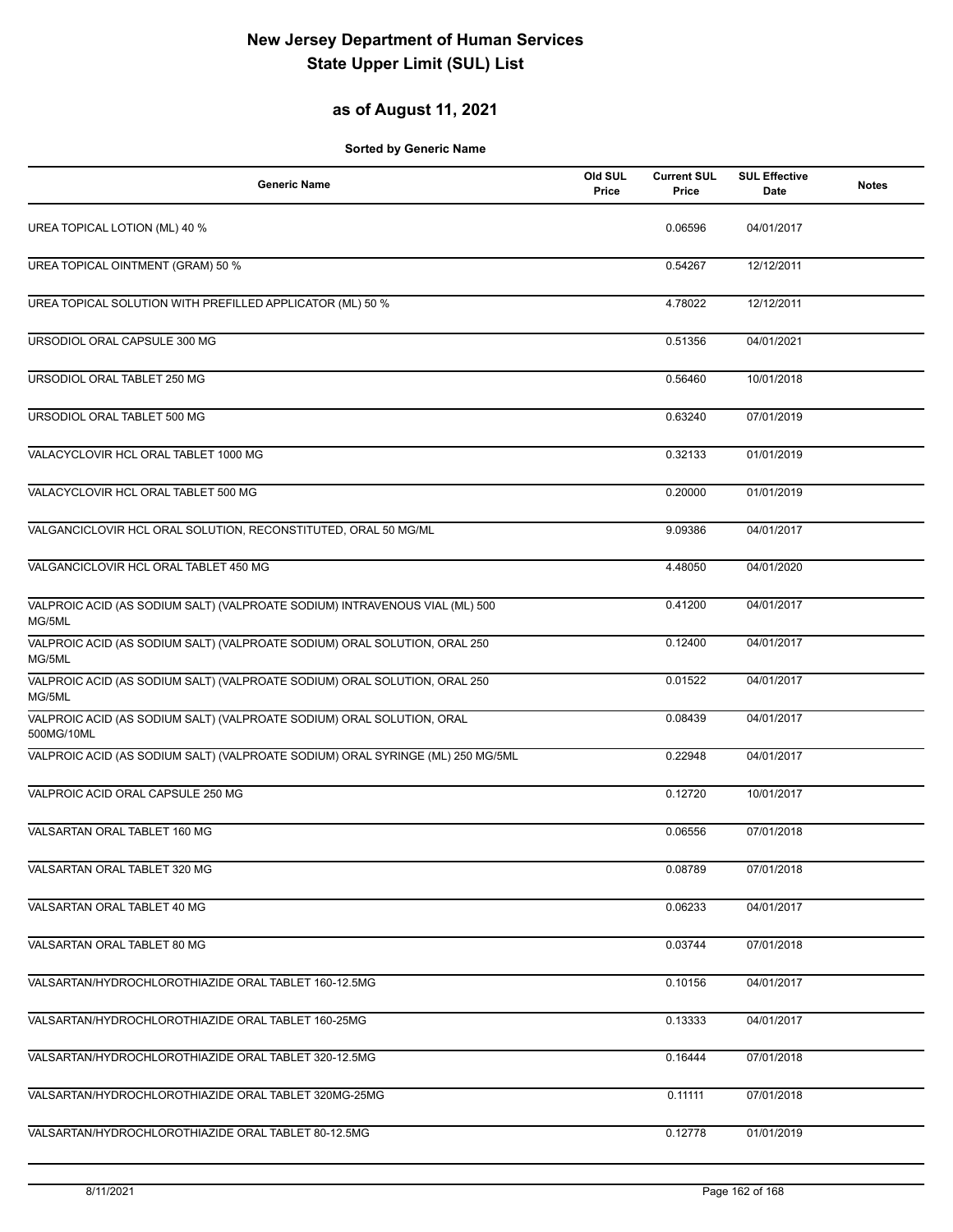### **as of August 11, 2021**

| <b>Generic Name</b>                                                                   | Old SUL<br>Price | <b>Current SUL</b><br>Price | <b>SUL Effective</b><br><b>Date</b> | <b>Notes</b> |
|---------------------------------------------------------------------------------------|------------------|-----------------------------|-------------------------------------|--------------|
| UREA TOPICAL LOTION (ML) 40 %                                                         |                  | 0.06596                     | 04/01/2017                          |              |
| UREA TOPICAL OINTMENT (GRAM) 50 %                                                     |                  | 0.54267                     | 12/12/2011                          |              |
| UREA TOPICAL SOLUTION WITH PREFILLED APPLICATOR (ML) 50 %                             |                  | 4.78022                     | 12/12/2011                          |              |
| URSODIOL ORAL CAPSULE 300 MG                                                          |                  | 0.51356                     | 04/01/2021                          |              |
| URSODIOL ORAL TABLET 250 MG                                                           |                  | 0.56460                     | 10/01/2018                          |              |
| URSODIOL ORAL TABLET 500 MG                                                           |                  | 0.63240                     | 07/01/2019                          |              |
| VALACYCLOVIR HCL ORAL TABLET 1000 MG                                                  |                  | 0.32133                     | 01/01/2019                          |              |
| VALACYCLOVIR HCL ORAL TABLET 500 MG                                                   |                  | 0.20000                     | 01/01/2019                          |              |
| VALGANCICLOVIR HCL ORAL SOLUTION, RECONSTITUTED, ORAL 50 MG/ML                        |                  | 9.09386                     | 04/01/2017                          |              |
| VALGANCICLOVIR HCL ORAL TABLET 450 MG                                                 |                  | 4.48050                     | 04/01/2020                          |              |
| VALPROIC ACID (AS SODIUM SALT) (VALPROATE SODIUM) INTRAVENOUS VIAL (ML) 500<br>MG/5ML |                  | 0.41200                     | 04/01/2017                          |              |
| VALPROIC ACID (AS SODIUM SALT) (VALPROATE SODIUM) ORAL SOLUTION, ORAL 250<br>MG/5ML   |                  | 0.12400                     | 04/01/2017                          |              |
| VALPROIC ACID (AS SODIUM SALT) (VALPROATE SODIUM) ORAL SOLUTION, ORAL 250<br>MG/5ML   |                  | 0.01522                     | 04/01/2017                          |              |
| VALPROIC ACID (AS SODIUM SALT) (VALPROATE SODIUM) ORAL SOLUTION, ORAL<br>500MG/10ML   |                  | 0.08439                     | 04/01/2017                          |              |
| VALPROIC ACID (AS SODIUM SALT) (VALPROATE SODIUM) ORAL SYRINGE (ML) 250 MG/5ML        |                  | 0.22948                     | 04/01/2017                          |              |
| VALPROIC ACID ORAL CAPSULE 250 MG                                                     |                  | 0.12720                     | 10/01/2017                          |              |
| VALSARTAN ORAL TABLET 160 MG                                                          |                  | 0.06556                     | 07/01/2018                          |              |
| VALSARTAN ORAL TABLET 320 MG                                                          |                  | 0.08789                     | 07/01/2018                          |              |
| VALSARTAN ORAL TABLET 40 MG                                                           |                  | 0.06233                     | 04/01/2017                          |              |
| VALSARTAN ORAL TABLET 80 MG                                                           |                  | 0.03744                     | 07/01/2018                          |              |
| VALSARTAN/HYDROCHLOROTHIAZIDE ORAL TABLET 160-12.5MG                                  |                  | 0.10156                     | 04/01/2017                          |              |
| VALSARTAN/HYDROCHLOROTHIAZIDE ORAL TABLET 160-25MG                                    |                  | 0.13333                     | 04/01/2017                          |              |
| VALSARTAN/HYDROCHLOROTHIAZIDE ORAL TABLET 320-12.5MG                                  |                  | 0.16444                     | 07/01/2018                          |              |
| VALSARTAN/HYDROCHLOROTHIAZIDE ORAL TABLET 320MG-25MG                                  |                  | 0.11111                     | 07/01/2018                          |              |
| VALSARTAN/HYDROCHLOROTHIAZIDE ORAL TABLET 80-12.5MG                                   |                  | 0.12778                     | 01/01/2019                          |              |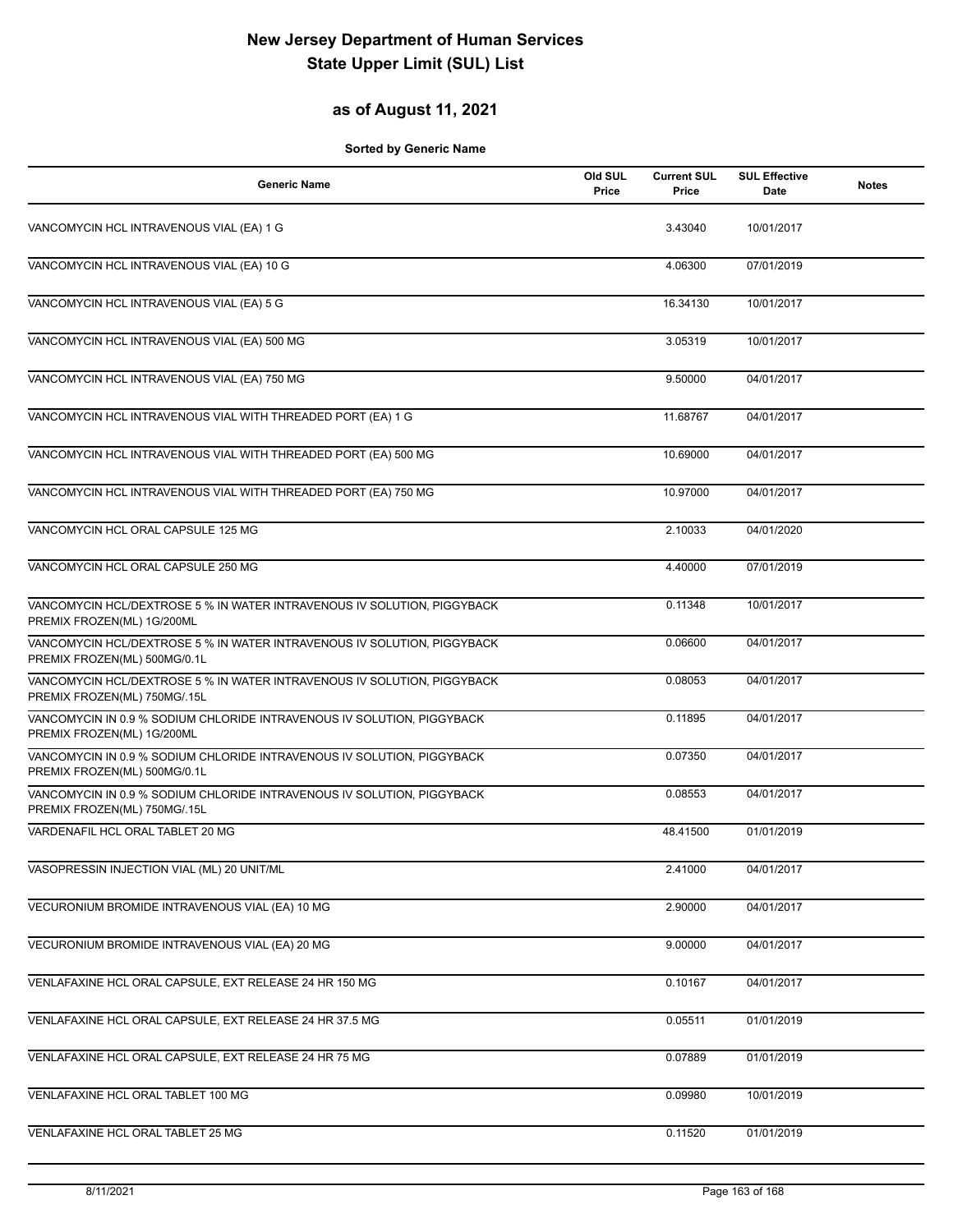### **as of August 11, 2021**

| <b>Generic Name</b>                                                                                     | Old SUL<br>Price | <b>Current SUL</b><br>Price | <b>SUL Effective</b><br>Date | <b>Notes</b> |
|---------------------------------------------------------------------------------------------------------|------------------|-----------------------------|------------------------------|--------------|
| VANCOMYCIN HCL INTRAVENOUS VIAL (EA) 1 G                                                                |                  | 3.43040                     | 10/01/2017                   |              |
| VANCOMYCIN HCL INTRAVENOUS VIAL (EA) 10 G                                                               |                  | 4.06300                     | 07/01/2019                   |              |
| VANCOMYCIN HCL INTRAVENOUS VIAL (EA) 5 G                                                                |                  | 16.34130                    | 10/01/2017                   |              |
| VANCOMYCIN HCL INTRAVENOUS VIAL (EA) 500 MG                                                             |                  | 3.05319                     | 10/01/2017                   |              |
| VANCOMYCIN HCL INTRAVENOUS VIAL (EA) 750 MG                                                             |                  | 9.50000                     | 04/01/2017                   |              |
| VANCOMYCIN HCL INTRAVENOUS VIAL WITH THREADED PORT (EA) 1 G                                             |                  | 11.68767                    | 04/01/2017                   |              |
| VANCOMYCIN HCL INTRAVENOUS VIAL WITH THREADED PORT (EA) 500 MG                                          |                  | 10.69000                    | 04/01/2017                   |              |
| VANCOMYCIN HCL INTRAVENOUS VIAL WITH THREADED PORT (EA) 750 MG                                          |                  | 10.97000                    | 04/01/2017                   |              |
| VANCOMYCIN HCL ORAL CAPSULE 125 MG                                                                      |                  | 2.10033                     | 04/01/2020                   |              |
| VANCOMYCIN HCL ORAL CAPSULE 250 MG                                                                      |                  | 4.40000                     | 07/01/2019                   |              |
| VANCOMYCIN HCL/DEXTROSE 5 % IN WATER INTRAVENOUS IV SOLUTION, PIGGYBACK<br>PREMIX FROZEN(ML) 1G/200ML   |                  | 0.11348                     | 10/01/2017                   |              |
| VANCOMYCIN HCL/DEXTROSE 5 % IN WATER INTRAVENOUS IV SOLUTION, PIGGYBACK<br>PREMIX FROZEN(ML) 500MG/0.1L |                  | 0.06600                     | 04/01/2017                   |              |
| VANCOMYCIN HCL/DEXTROSE 5 % IN WATER INTRAVENOUS IV SOLUTION, PIGGYBACK<br>PREMIX FROZEN(ML) 750MG/.15L |                  | 0.08053                     | 04/01/2017                   |              |
| VANCOMYCIN IN 0.9 % SODIUM CHLORIDE INTRAVENOUS IV SOLUTION, PIGGYBACK<br>PREMIX FROZEN(ML) 1G/200ML    |                  | 0.11895                     | 04/01/2017                   |              |
| VANCOMYCIN IN 0.9 % SODIUM CHLORIDE INTRAVENOUS IV SOLUTION, PIGGYBACK<br>PREMIX FROZEN(ML) 500MG/0.1L  |                  | 0.07350                     | 04/01/2017                   |              |
| VANCOMYCIN IN 0.9 % SODIUM CHLORIDE INTRAVENOUS IV SOLUTION, PIGGYBACK<br>PREMIX FROZEN(ML) 750MG/.15L  |                  | 0.08553                     | 04/01/2017                   |              |
| VARDENAFIL HCL ORAL TABLET 20 MG                                                                        |                  | 48.41500                    | 01/01/2019                   |              |
| VASOPRESSIN INJECTION VIAL (ML) 20 UNIT/ML                                                              |                  | 2.41000                     | 04/01/2017                   |              |
| VECURONIUM BROMIDE INTRAVENOUS VIAL (EA) 10 MG                                                          |                  | 2.90000                     | 04/01/2017                   |              |
| VECURONIUM BROMIDE INTRAVENOUS VIAL (EA) 20 MG                                                          |                  | 9.00000                     | 04/01/2017                   |              |
| VENLAFAXINE HCL ORAL CAPSULE, EXT RELEASE 24 HR 150 MG                                                  |                  | 0.10167                     | 04/01/2017                   |              |
| VENLAFAXINE HCL ORAL CAPSULE, EXT RELEASE 24 HR 37.5 MG                                                 |                  | 0.05511                     | 01/01/2019                   |              |
| VENLAFAXINE HCL ORAL CAPSULE, EXT RELEASE 24 HR 75 MG                                                   |                  | 0.07889                     | 01/01/2019                   |              |
| VENLAFAXINE HCL ORAL TABLET 100 MG                                                                      |                  | 0.09980                     | 10/01/2019                   |              |
| VENLAFAXINE HCL ORAL TABLET 25 MG                                                                       |                  | 0.11520                     | 01/01/2019                   |              |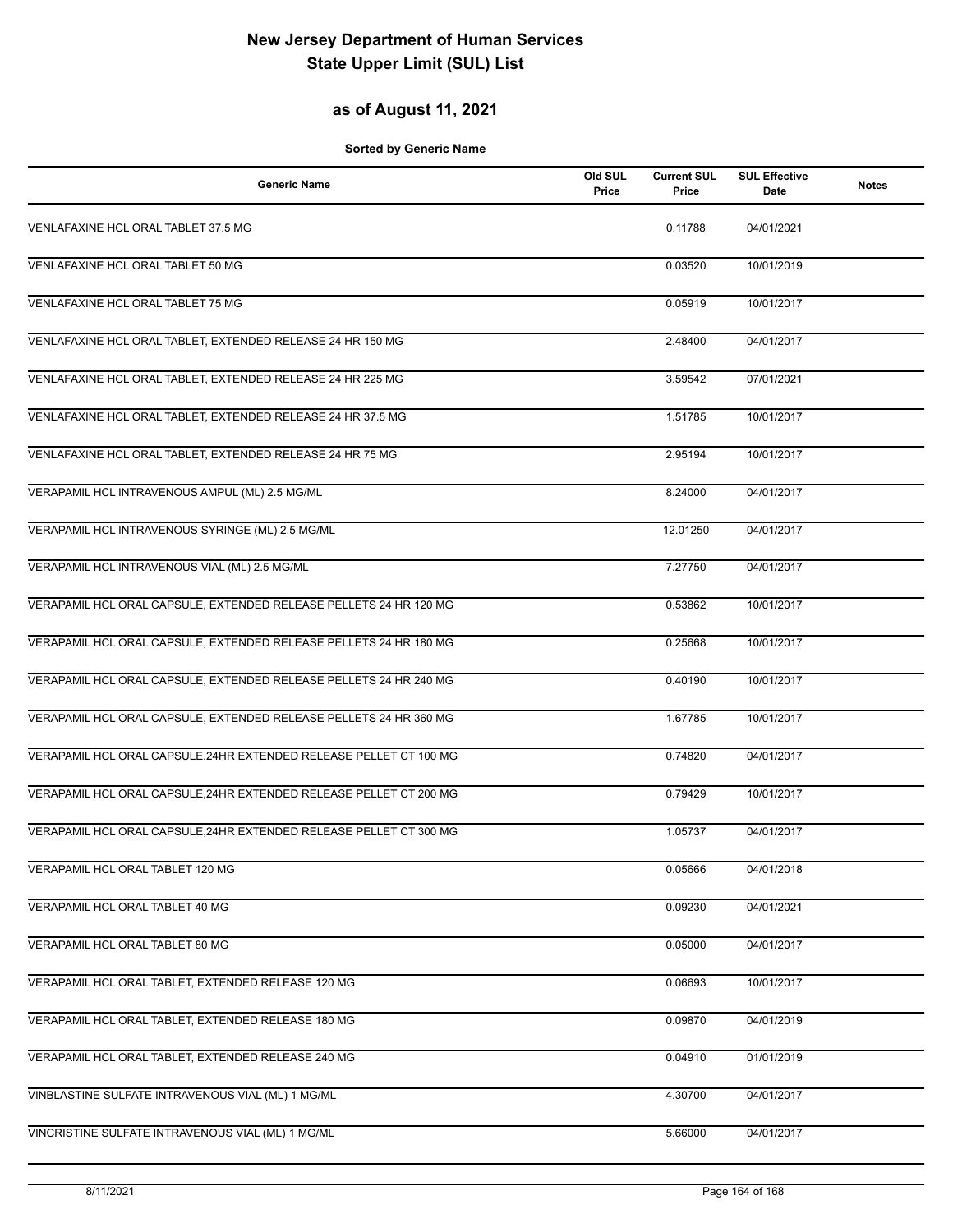#### **as of August 11, 2021**

| <b>Generic Name</b>                                                | Old SUL<br>Price | <b>Current SUL</b><br>Price | <b>SUL Effective</b><br>Date | <b>Notes</b> |
|--------------------------------------------------------------------|------------------|-----------------------------|------------------------------|--------------|
| VENLAFAXINE HCL ORAL TABLET 37.5 MG                                |                  | 0.11788                     | 04/01/2021                   |              |
| VENLAFAXINE HCL ORAL TABLET 50 MG                                  |                  | 0.03520                     | 10/01/2019                   |              |
| VENLAFAXINE HCL ORAL TABLET 75 MG                                  |                  | 0.05919                     | 10/01/2017                   |              |
| VENLAFAXINE HCL ORAL TABLET, EXTENDED RELEASE 24 HR 150 MG         |                  | 2.48400                     | 04/01/2017                   |              |
| VENLAFAXINE HCL ORAL TABLET, EXTENDED RELEASE 24 HR 225 MG         |                  | 3.59542                     | 07/01/2021                   |              |
| VENLAFAXINE HCL ORAL TABLET, EXTENDED RELEASE 24 HR 37.5 MG        |                  | 1.51785                     | 10/01/2017                   |              |
| VENLAFAXINE HCL ORAL TABLET, EXTENDED RELEASE 24 HR 75 MG          |                  | 2.95194                     | 10/01/2017                   |              |
| VERAPAMIL HCL INTRAVENOUS AMPUL (ML) 2.5 MG/ML                     |                  | 8.24000                     | 04/01/2017                   |              |
| VERAPAMIL HCL INTRAVENOUS SYRINGE (ML) 2.5 MG/ML                   |                  | 12.01250                    | 04/01/2017                   |              |
| VERAPAMIL HCL INTRAVENOUS VIAL (ML) 2.5 MG/ML                      |                  | 7.27750                     | 04/01/2017                   |              |
| VERAPAMIL HCL ORAL CAPSULE, EXTENDED RELEASE PELLETS 24 HR 120 MG  |                  | 0.53862                     | 10/01/2017                   |              |
| VERAPAMIL HCL ORAL CAPSULE, EXTENDED RELEASE PELLETS 24 HR 180 MG  |                  | 0.25668                     | 10/01/2017                   |              |
| VERAPAMIL HCL ORAL CAPSULE, EXTENDED RELEASE PELLETS 24 HR 240 MG  |                  | 0.40190                     | 10/01/2017                   |              |
| VERAPAMIL HCL ORAL CAPSULE, EXTENDED RELEASE PELLETS 24 HR 360 MG  |                  | 1.67785                     | 10/01/2017                   |              |
| VERAPAMIL HCL ORAL CAPSULE, 24HR EXTENDED RELEASE PELLET CT 100 MG |                  | 0.74820                     | 04/01/2017                   |              |
| VERAPAMIL HCL ORAL CAPSULE, 24HR EXTENDED RELEASE PELLET CT 200 MG |                  | 0.79429                     | 10/01/2017                   |              |
| VERAPAMIL HCL ORAL CAPSULE, 24HR EXTENDED RELEASE PELLET CT 300 MG |                  | 1.05737                     | 04/01/2017                   |              |
| VERAPAMIL HCL ORAL TABLET 120 MG                                   |                  | 0.05666                     | 04/01/2018                   |              |
| VERAPAMIL HCL ORAL TABLET 40 MG                                    |                  | 0.09230                     | 04/01/2021                   |              |
| VERAPAMIL HCL ORAL TABLET 80 MG                                    |                  | 0.05000                     | 04/01/2017                   |              |
| VERAPAMIL HCL ORAL TABLET, EXTENDED RELEASE 120 MG                 |                  | 0.06693                     | 10/01/2017                   |              |
| VERAPAMIL HCL ORAL TABLET, EXTENDED RELEASE 180 MG                 |                  | 0.09870                     | 04/01/2019                   |              |
| VERAPAMIL HCL ORAL TABLET, EXTENDED RELEASE 240 MG                 |                  | 0.04910                     | 01/01/2019                   |              |
| VINBLASTINE SULFATE INTRAVENOUS VIAL (ML) 1 MG/ML                  |                  | 4.30700                     | 04/01/2017                   |              |
| VINCRISTINE SULFATE INTRAVENOUS VIAL (ML) 1 MG/ML                  |                  | 5.66000                     | 04/01/2017                   |              |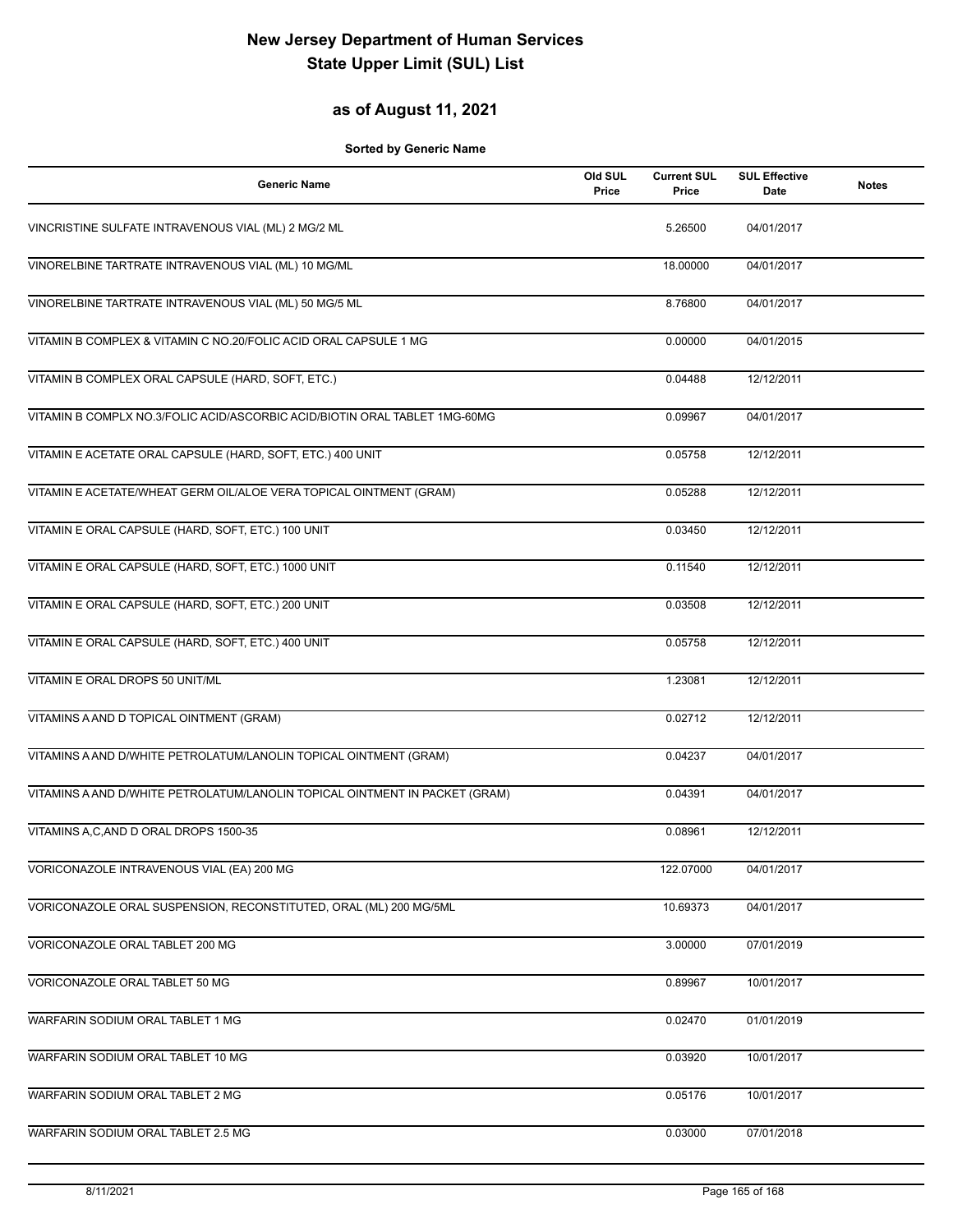#### **as of August 11, 2021**

| <b>Generic Name</b>                                                         | Old SUL<br>Price | <b>Current SUL</b><br>Price | <b>SUL Effective</b><br><b>Date</b> | <b>Notes</b> |
|-----------------------------------------------------------------------------|------------------|-----------------------------|-------------------------------------|--------------|
| VINCRISTINE SULFATE INTRAVENOUS VIAL (ML) 2 MG/2 ML                         |                  | 5.26500                     | 04/01/2017                          |              |
| VINORELBINE TARTRATE INTRAVENOUS VIAL (ML) 10 MG/ML                         |                  | 18.00000                    | 04/01/2017                          |              |
| VINORELBINE TARTRATE INTRAVENOUS VIAL (ML) 50 MG/5 ML                       |                  | 8.76800                     | 04/01/2017                          |              |
| VITAMIN B COMPLEX & VITAMIN C NO.20/FOLIC ACID ORAL CAPSULE 1 MG            |                  | 0.00000                     | 04/01/2015                          |              |
| VITAMIN B COMPLEX ORAL CAPSULE (HARD, SOFT, ETC.)                           |                  | 0.04488                     | 12/12/2011                          |              |
| VITAMIN B COMPLX NO.3/FOLIC ACID/ASCORBIC ACID/BIOTIN ORAL TABLET 1MG-60MG  |                  | 0.09967                     | 04/01/2017                          |              |
| VITAMIN E ACETATE ORAL CAPSULE (HARD, SOFT, ETC.) 400 UNIT                  |                  | 0.05758                     | 12/12/2011                          |              |
| VITAMIN E ACETATE/WHEAT GERM OIL/ALOE VERA TOPICAL OINTMENT (GRAM)          |                  | 0.05288                     | 12/12/2011                          |              |
| VITAMIN E ORAL CAPSULE (HARD, SOFT, ETC.) 100 UNIT                          |                  | 0.03450                     | 12/12/2011                          |              |
| VITAMIN E ORAL CAPSULE (HARD, SOFT, ETC.) 1000 UNIT                         |                  | 0.11540                     | 12/12/2011                          |              |
| VITAMIN E ORAL CAPSULE (HARD, SOFT, ETC.) 200 UNIT                          |                  | 0.03508                     | 12/12/2011                          |              |
| VITAMIN E ORAL CAPSULE (HARD, SOFT, ETC.) 400 UNIT                          |                  | 0.05758                     | 12/12/2011                          |              |
| VITAMIN E ORAL DROPS 50 UNIT/ML                                             |                  | 1.23081                     | 12/12/2011                          |              |
| VITAMINS A AND D TOPICAL OINTMENT (GRAM)                                    |                  | 0.02712                     | 12/12/2011                          |              |
| VITAMINS A AND D/WHITE PETROLATUM/LANOLIN TOPICAL OINTMENT (GRAM)           |                  | 0.04237                     | 04/01/2017                          |              |
| VITAMINS A AND D/WHITE PETROLATUM/LANOLIN TOPICAL OINTMENT IN PACKET (GRAM) |                  | 0.04391                     | 04/01/2017                          |              |
| VITAMINS A,C,AND D ORAL DROPS 1500-35                                       |                  | 0.08961                     | 12/12/2011                          |              |
| VORICONAZOLE INTRAVENOUS VIAL (EA) 200 MG                                   |                  | 122.07000                   | 04/01/2017                          |              |
| VORICONAZOLE ORAL SUSPENSION, RECONSTITUTED, ORAL (ML) 200 MG/5ML           |                  | 10.69373                    | 04/01/2017                          |              |
| VORICONAZOLE ORAL TABLET 200 MG                                             |                  | 3.00000                     | 07/01/2019                          |              |
| VORICONAZOLE ORAL TABLET 50 MG                                              |                  | 0.89967                     | 10/01/2017                          |              |
| WARFARIN SODIUM ORAL TABLET 1 MG                                            |                  | 0.02470                     | 01/01/2019                          |              |
| WARFARIN SODIUM ORAL TABLET 10 MG                                           |                  | 0.03920                     | 10/01/2017                          |              |
| WARFARIN SODIUM ORAL TABLET 2 MG                                            |                  | 0.05176                     | 10/01/2017                          |              |
| WARFARIN SODIUM ORAL TABLET 2.5 MG                                          |                  | 0.03000                     | 07/01/2018                          |              |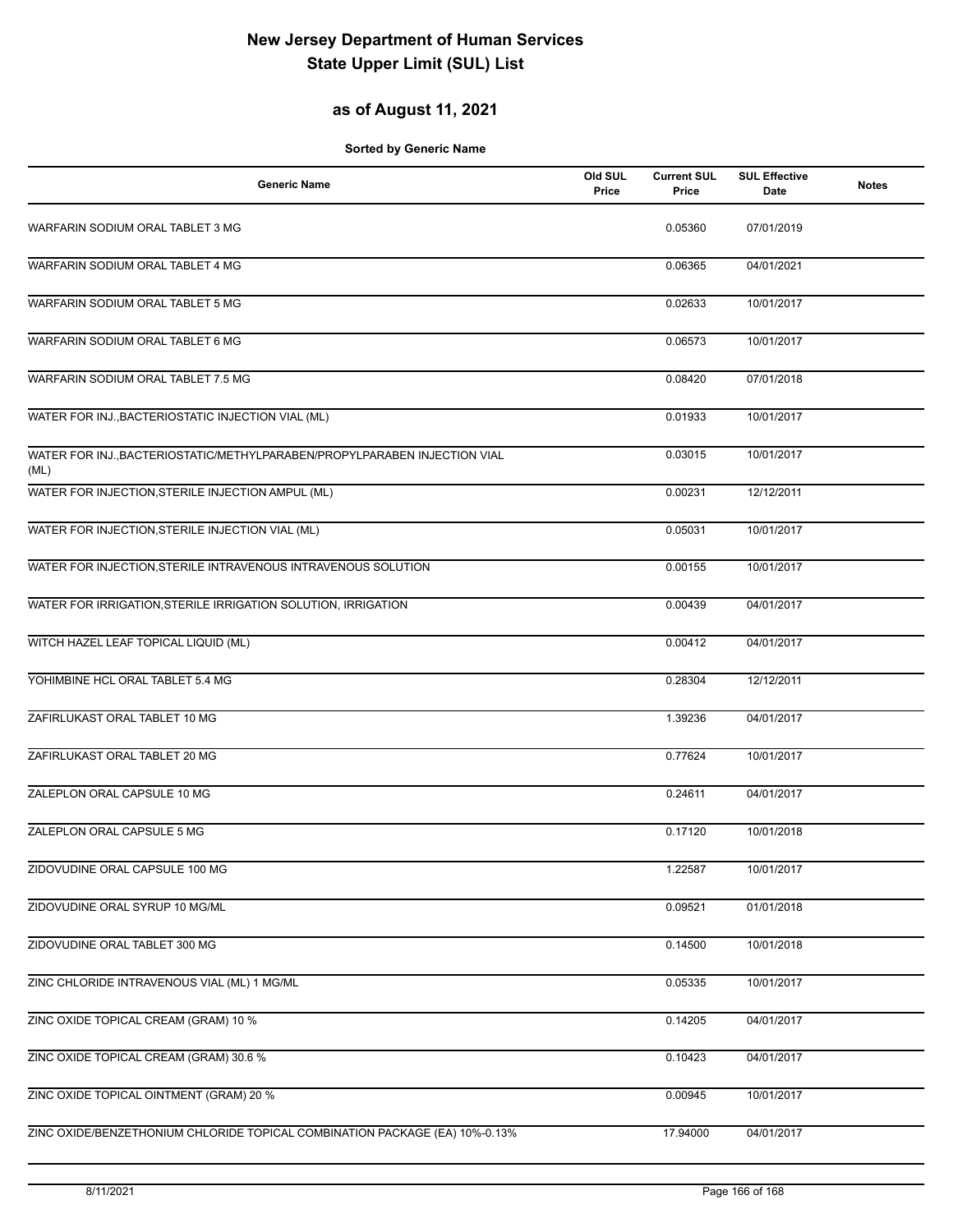### **as of August 11, 2021**

| <b>Generic Name</b>                                                               | Old SUL<br>Price | <b>Current SUL</b><br>Price | <b>SUL Effective</b><br>Date | <b>Notes</b> |
|-----------------------------------------------------------------------------------|------------------|-----------------------------|------------------------------|--------------|
| WARFARIN SODIUM ORAL TABLET 3 MG                                                  |                  | 0.05360                     | 07/01/2019                   |              |
| WARFARIN SODIUM ORAL TABLET 4 MG                                                  |                  | 0.06365                     | 04/01/2021                   |              |
| WARFARIN SODIUM ORAL TABLET 5 MG                                                  |                  | 0.02633                     | 10/01/2017                   |              |
| WARFARIN SODIUM ORAL TABLET 6 MG                                                  |                  | 0.06573                     | 10/01/2017                   |              |
| WARFARIN SODIUM ORAL TABLET 7.5 MG                                                |                  | 0.08420                     | 07/01/2018                   |              |
| WATER FOR INJ., BACTERIOSTATIC INJECTION VIAL (ML)                                |                  | 0.01933                     | 10/01/2017                   |              |
| WATER FOR INJ., BACTERIOSTATIC/METHYLPARABEN/PROPYLPARABEN INJECTION VIAL<br>(ML) |                  | 0.03015                     | 10/01/2017                   |              |
| WATER FOR INJECTION, STERILE INJECTION AMPUL (ML)                                 |                  | 0.00231                     | 12/12/2011                   |              |
| WATER FOR INJECTION, STERILE INJECTION VIAL (ML)                                  |                  | 0.05031                     | 10/01/2017                   |              |
| WATER FOR INJECTION, STERILE INTRAVENOUS INTRAVENOUS SOLUTION                     |                  | 0.00155                     | 10/01/2017                   |              |
| WATER FOR IRRIGATION, STERILE IRRIGATION SOLUTION, IRRIGATION                     |                  | 0.00439                     | 04/01/2017                   |              |
| WITCH HAZEL LEAF TOPICAL LIQUID (ML)                                              |                  | 0.00412                     | 04/01/2017                   |              |
| YOHIMBINE HCL ORAL TABLET 5.4 MG                                                  |                  | 0.28304                     | 12/12/2011                   |              |
| ZAFIRLUKAST ORAL TABLET 10 MG                                                     |                  | 1.39236                     | 04/01/2017                   |              |
| ZAFIRLUKAST ORAL TABLET 20 MG                                                     |                  | 0.77624                     | 10/01/2017                   |              |
| ZALEPLON ORAL CAPSULE 10 MG                                                       |                  | 0.24611                     | 04/01/2017                   |              |
| ZALEPLON ORAL CAPSULE 5 MG                                                        |                  | 0.17120                     | 10/01/2018                   |              |
| ZIDOVUDINE ORAL CAPSULE 100 MG                                                    |                  | 1.22587                     | 10/01/2017                   |              |
| ZIDOVUDINE ORAL SYRUP 10 MG/ML                                                    |                  | 0.09521                     | 01/01/2018                   |              |
| ZIDOVUDINE ORAL TABLET 300 MG                                                     |                  | 0.14500                     | 10/01/2018                   |              |
| ZINC CHLORIDE INTRAVENOUS VIAL (ML) 1 MG/ML                                       |                  | 0.05335                     | 10/01/2017                   |              |
| ZINC OXIDE TOPICAL CREAM (GRAM) 10 %                                              |                  | 0.14205                     | 04/01/2017                   |              |
| ZINC OXIDE TOPICAL CREAM (GRAM) 30.6 %                                            |                  | 0.10423                     | 04/01/2017                   |              |
| ZINC OXIDE TOPICAL OINTMENT (GRAM) 20 %                                           |                  | 0.00945                     | 10/01/2017                   |              |
| ZINC OXIDE/BENZETHONIUM CHLORIDE TOPICAL COMBINATION PACKAGE (EA) 10%-0.13%       |                  | 17.94000                    | 04/01/2017                   |              |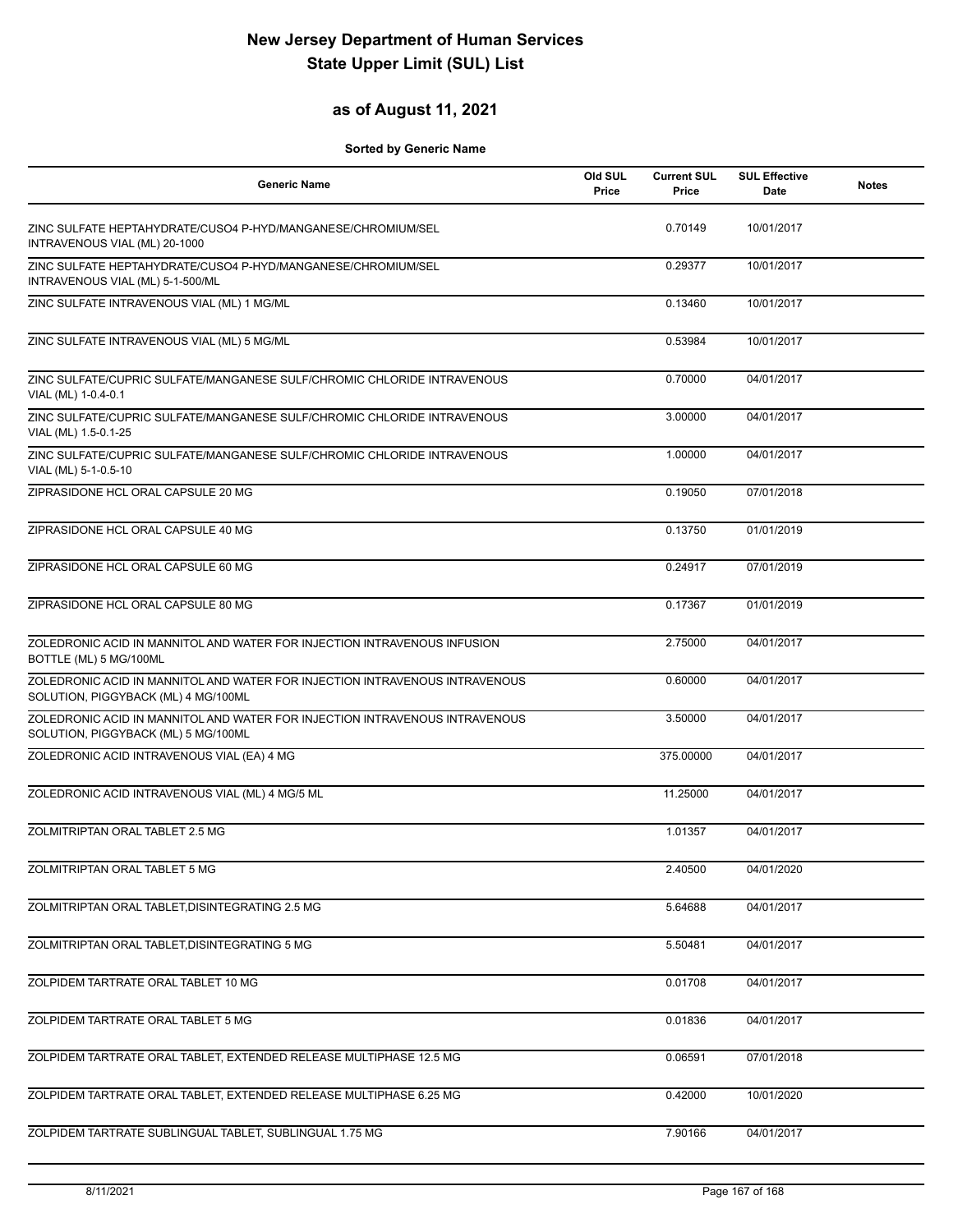### **as of August 11, 2021**

| Generic Name                                                                                                       | Old SUL<br>Price | <b>Current SUL</b><br>Price | <b>SUL Effective</b><br>Date | <b>Notes</b> |
|--------------------------------------------------------------------------------------------------------------------|------------------|-----------------------------|------------------------------|--------------|
| ZINC SULFATE HEPTAHYDRATE/CUSO4 P-HYD/MANGANESE/CHROMIUM/SEL<br>INTRAVENOUS VIAL (ML) 20-1000                      |                  | 0.70149                     | 10/01/2017                   |              |
| ZINC SULFATE HEPTAHYDRATE/CUSO4 P-HYD/MANGANESE/CHROMIUM/SEL<br>INTRAVENOUS VIAL (ML) 5-1-500/ML                   |                  | 0.29377                     | 10/01/2017                   |              |
| ZINC SULFATE INTRAVENOUS VIAL (ML) 1 MG/ML                                                                         |                  | 0.13460                     | 10/01/2017                   |              |
| ZINC SULFATE INTRAVENOUS VIAL (ML) 5 MG/ML                                                                         |                  | 0.53984                     | 10/01/2017                   |              |
| ZINC SULFATE/CUPRIC SULFATE/MANGANESE SULF/CHROMIC CHLORIDE INTRAVENOUS<br>VIAL (ML) 1-0.4-0.1                     |                  | 0.70000                     | 04/01/2017                   |              |
| ZINC SULFATE/CUPRIC SULFATE/MANGANESE SULF/CHROMIC CHLORIDE INTRAVENOUS<br>VIAL (ML) 1.5-0.1-25                    |                  | 3.00000                     | 04/01/2017                   |              |
| ZINC SULFATE/CUPRIC SULFATE/MANGANESE SULF/CHROMIC CHLORIDE INTRAVENOUS<br>VIAL (ML) 5-1-0.5-10                    |                  | 1.00000                     | 04/01/2017                   |              |
| ZIPRASIDONE HCL ORAL CAPSULE 20 MG                                                                                 |                  | 0.19050                     | 07/01/2018                   |              |
| ZIPRASIDONE HCL ORAL CAPSULE 40 MG                                                                                 |                  | 0.13750                     | 01/01/2019                   |              |
| ZIPRASIDONE HCL ORAL CAPSULE 60 MG                                                                                 |                  | 0.24917                     | 07/01/2019                   |              |
| ZIPRASIDONE HCL ORAL CAPSULE 80 MG                                                                                 |                  | 0.17367                     | 01/01/2019                   |              |
| ZOLEDRONIC ACID IN MANNITOL AND WATER FOR INJECTION INTRAVENOUS INFUSION<br>BOTTLE (ML) 5 MG/100ML                 |                  | 2.75000                     | 04/01/2017                   |              |
| ZOLEDRONIC ACID IN MANNITOL AND WATER FOR INJECTION INTRAVENOUS INTRAVENOUS<br>SOLUTION, PIGGYBACK (ML) 4 MG/100ML |                  | 0.60000                     | 04/01/2017                   |              |
| ZOLEDRONIC ACID IN MANNITOL AND WATER FOR INJECTION INTRAVENOUS INTRAVENOUS<br>SOLUTION, PIGGYBACK (ML) 5 MG/100ML |                  | 3.50000                     | 04/01/2017                   |              |
| ZOLEDRONIC ACID INTRAVENOUS VIAL (EA) 4 MG                                                                         |                  | 375.00000                   | 04/01/2017                   |              |
| ZOLEDRONIC ACID INTRAVENOUS VIAL (ML) 4 MG/5 ML                                                                    |                  | 11.25000                    | 04/01/2017                   |              |
| ZOLMITRIPTAN ORAL TABLET 2.5 MG                                                                                    |                  | 1.01357                     | 04/01/2017                   |              |
| ZOLMITRIPTAN ORAL TABLET 5 MG                                                                                      |                  | 2.40500                     | 04/01/2020                   |              |
| ZOLMITRIPTAN ORAL TABLET, DISINTEGRATING 2.5 MG                                                                    |                  | 5.64688                     | 04/01/2017                   |              |
| ZOLMITRIPTAN ORAL TABLET, DISINTEGRATING 5 MG                                                                      |                  | 5.50481                     | 04/01/2017                   |              |
| ZOLPIDEM TARTRATE ORAL TABLET 10 MG                                                                                |                  | 0.01708                     | 04/01/2017                   |              |
| ZOLPIDEM TARTRATE ORAL TABLET 5 MG                                                                                 |                  | 0.01836                     | 04/01/2017                   |              |
| ZOLPIDEM TARTRATE ORAL TABLET, EXTENDED RELEASE MULTIPHASE 12.5 MG                                                 |                  | 0.06591                     | 07/01/2018                   |              |
| ZOLPIDEM TARTRATE ORAL TABLET, EXTENDED RELEASE MULTIPHASE 6.25 MG                                                 |                  | 0.42000                     | 10/01/2020                   |              |
| ZOLPIDEM TARTRATE SUBLINGUAL TABLET, SUBLINGUAL 1.75 MG                                                            |                  | 7.90166                     | 04/01/2017                   |              |